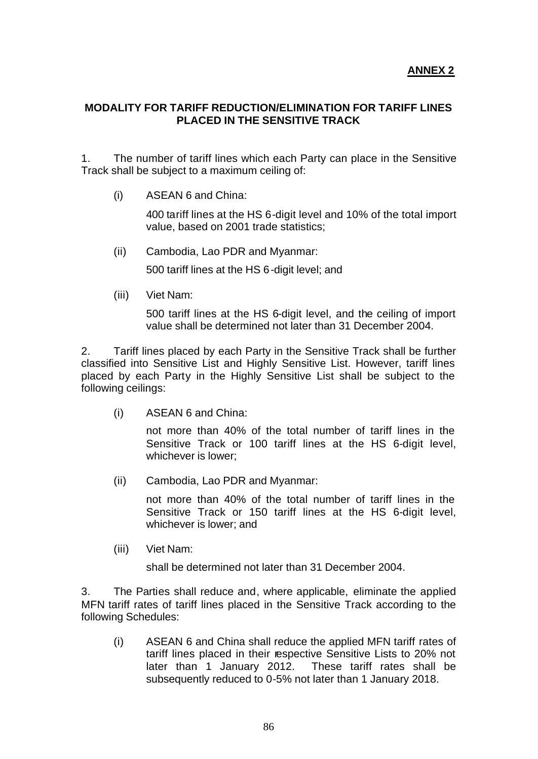#### **MODALITY FOR TARIFF REDUCTION/ELIMINATION FOR TARIFF LINES PLACED IN THE SENSITIVE TRACK**

1. The number of tariff lines which each Party can place in the Sensitive Track shall be subject to a maximum ceiling of:

(i) ASEAN 6 and China:

400 tariff lines at the HS 6-digit level and 10% of the total import value, based on 2001 trade statistics;

(ii) Cambodia, Lao PDR and Myanmar:

500 tariff lines at the HS 6-digit level; and

(iii) Viet Nam:

500 tariff lines at the HS 6-digit level, and the ceiling of import value shall be determined not later than 31 December 2004.

2. Tariff lines placed by each Party in the Sensitive Track shall be further classified into Sensitive List and Highly Sensitive List. However, tariff lines placed by each Party in the Highly Sensitive List shall be subject to the following ceilings:

(i) ASEAN 6 and China:

not more than 40% of the total number of tariff lines in the Sensitive Track or 100 tariff lines at the HS 6-digit level, whichever is lower;

(ii) Cambodia, Lao PDR and Myanmar:

not more than 40% of the total number of tariff lines in the Sensitive Track or 150 tariff lines at the HS 6-digit level, whichever is lower; and

(iii) Viet Nam:

shall be determined not later than 31 December 2004.

3. The Parties shall reduce and, where applicable, eliminate the applied MFN tariff rates of tariff lines placed in the Sensitive Track according to the following Schedules:

(i) ASEAN 6 and China shall reduce the applied MFN tariff rates of tariff lines placed in their respective Sensitive Lists to 20% not later than 1 January 2012. These tariff rates shall be subsequently reduced to 0-5% not later than 1 January 2018.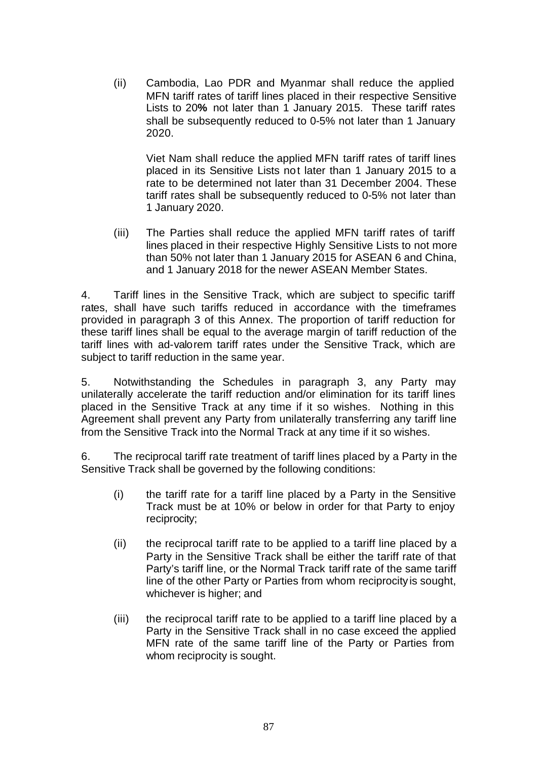(ii) Cambodia, Lao PDR and Myanmar shall reduce the applied MFN tariff rates of tariff lines placed in their respective Sensitive Lists to 20**%** not later than 1 January 2015. These tariff rates shall be subsequently reduced to 0-5% not later than 1 January 2020.

Viet Nam shall reduce the applied MFN tariff rates of tariff lines placed in its Sensitive Lists not later than 1 January 2015 to a rate to be determined not later than 31 December 2004. These tariff rates shall be subsequently reduced to 0-5% not later than 1 January 2020.

(iii) The Parties shall reduce the applied MFN tariff rates of tariff lines placed in their respective Highly Sensitive Lists to not more than 50% not later than 1 January 2015 for ASEAN 6 and China, and 1 January 2018 for the newer ASEAN Member States.

4. Tariff lines in the Sensitive Track, which are subject to specific tariff rates, shall have such tariffs reduced in accordance with the timeframes provided in paragraph 3 of this Annex. The proportion of tariff reduction for these tariff lines shall be equal to the average margin of tariff reduction of the tariff lines with ad-valorem tariff rates under the Sensitive Track, which are subject to tariff reduction in the same year.

5. Notwithstanding the Schedules in paragraph 3, any Party may unilaterally accelerate the tariff reduction and/or elimination for its tariff lines placed in the Sensitive Track at any time if it so wishes. Nothing in this Agreement shall prevent any Party from unilaterally transferring any tariff line from the Sensitive Track into the Normal Track at any time if it so wishes.

6. The reciprocal tariff rate treatment of tariff lines placed by a Party in the Sensitive Track shall be governed by the following conditions:

- (i) the tariff rate for a tariff line placed by a Party in the Sensitive Track must be at 10% or below in order for that Party to enjoy reciprocity;
- (ii) the reciprocal tariff rate to be applied to a tariff line placed by a Party in the Sensitive Track shall be either the tariff rate of that Party's tariff line, or the Normal Track tariff rate of the same tariff line of the other Party or Parties from whom reciprocity is sought, whichever is higher; and
- (iii) the reciprocal tariff rate to be applied to a tariff line placed by a Party in the Sensitive Track shall in no case exceed the applied MFN rate of the same tariff line of the Party or Parties from whom reciprocity is sought.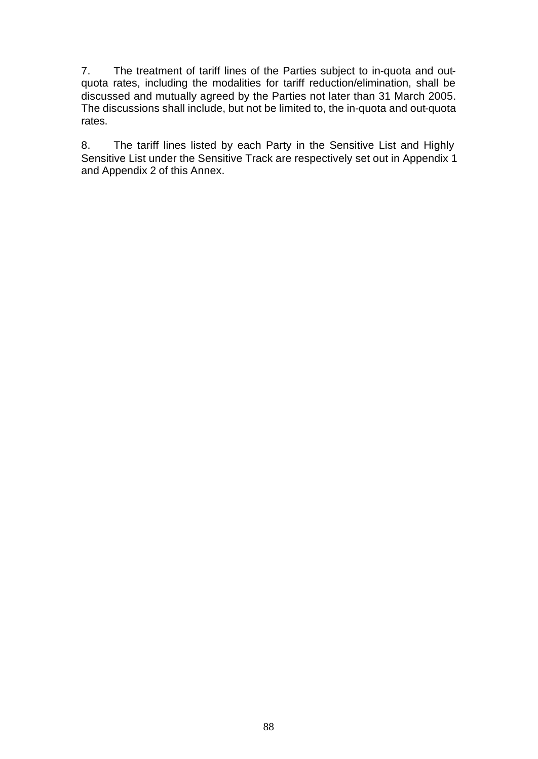7. The treatment of tariff lines of the Parties subject to in-quota and outquota rates, including the modalities for tariff reduction/elimination, shall be discussed and mutually agreed by the Parties not later than 31 March 2005. The discussions shall include, but not be limited to, the in-quota and out-quota rates.

8. The tariff lines listed by each Party in the Sensitive List and Highly Sensitive List under the Sensitive Track are respectively set out in Appendix 1 and Appendix 2 of this Annex.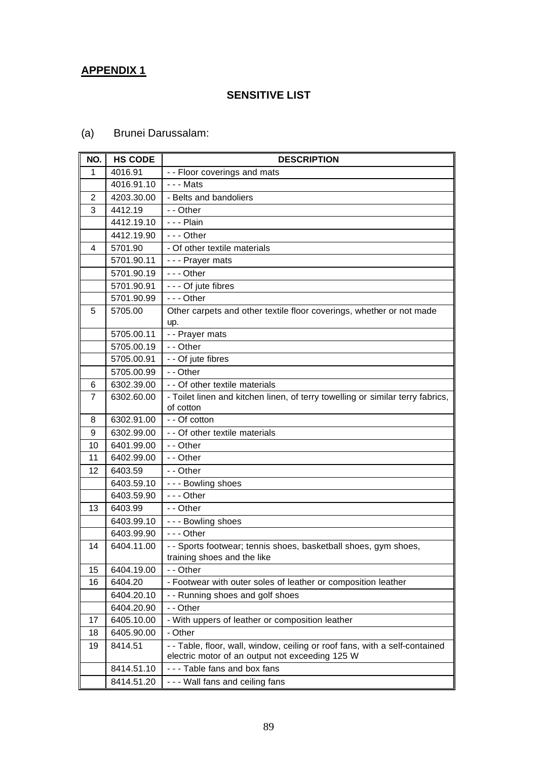## **APPENDIX 1**

### **SENSITIVE LIST**

# (a) Brunei Darussalam:

| NO. | <b>HS CODE</b> | <b>DESCRIPTION</b>                                                                                                             |
|-----|----------------|--------------------------------------------------------------------------------------------------------------------------------|
| 1   | 4016.91        | - - Floor coverings and mats                                                                                                   |
|     | 4016.91.10     | - - - Mats                                                                                                                     |
| 2   | 4203.30.00     | - Belts and bandoliers                                                                                                         |
| 3   | 4412.19        | - - Other                                                                                                                      |
|     | 4412.19.10     | - - - Plain                                                                                                                    |
|     | 4412.19.90     | $- -$ Other                                                                                                                    |
| 4   | 5701.90        | - Of other textile materials                                                                                                   |
|     | 5701.90.11     | - - - Prayer mats                                                                                                              |
|     | 5701.90.19     | $- -$ - Other                                                                                                                  |
|     | 5701.90.91     | - - - Of jute fibres                                                                                                           |
|     | 5701.90.99     | - - - Other                                                                                                                    |
| 5   | 5705.00        | Other carpets and other textile floor coverings, whether or not made<br>up.                                                    |
|     | 5705.00.11     | - - Prayer mats                                                                                                                |
|     | 5705.00.19     | - - Other                                                                                                                      |
|     | 5705.00.91     | - - Of jute fibres                                                                                                             |
|     | 5705.00.99     | - - Other                                                                                                                      |
| 6   | 6302.39.00     | - - Of other textile materials                                                                                                 |
| 7   | 6302.60.00     | - Toilet linen and kitchen linen, of terry towelling or similar terry fabrics,                                                 |
|     |                | of cotton                                                                                                                      |
| 8   | 6302.91.00     | - - Of cotton                                                                                                                  |
| 9   | 6302.99.00     | - - Of other textile materials                                                                                                 |
| 10  | 6401.99.00     | - - Other                                                                                                                      |
| 11  | 6402.99.00     | - - Other                                                                                                                      |
| 12  | 6403.59        | - - Other                                                                                                                      |
|     | 6403.59.10     | --- Bowling shoes                                                                                                              |
|     | 6403.59.90     | $- -$ - Other                                                                                                                  |
| 13  | 6403.99        | - - Other                                                                                                                      |
|     | 6403.99.10     | - - - Bowling shoes                                                                                                            |
|     | 6403.99.90     | $- -$ - Other                                                                                                                  |
| 14  | 6404.11.00     | - - Sports footwear; tennis shoes, basketball shoes, gym shoes,<br>training shoes and the like                                 |
| 15  | 6404.19.00     | - - Other                                                                                                                      |
| 16  | 6404.20        | - Footwear with outer soles of leather or composition leather                                                                  |
|     | 6404.20.10     | - - Running shoes and golf shoes                                                                                               |
|     | 6404.20.90     | - - Other                                                                                                                      |
| 17  | 6405.10.00     | - With uppers of leather or composition leather                                                                                |
| 18  | 6405.90.00     | - Other                                                                                                                        |
| 19  | 8414.51        | - - Table, floor, wall, window, ceiling or roof fans, with a self-contained<br>electric motor of an output not exceeding 125 W |
|     | 8414.51.10     | --- Table fans and box fans                                                                                                    |
|     | 8414.51.20     | --- Wall fans and ceiling fans                                                                                                 |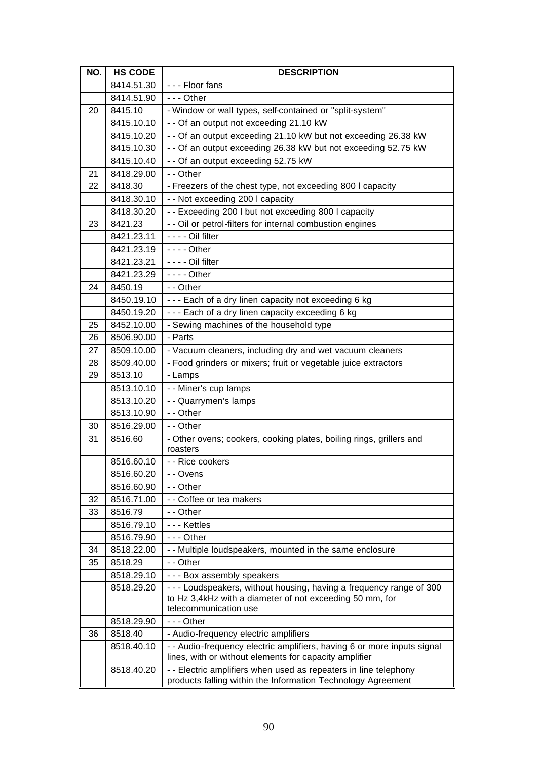| NO. | <b>HS CODE</b> | <b>DESCRIPTION</b>                                                                                                                                      |
|-----|----------------|---------------------------------------------------------------------------------------------------------------------------------------------------------|
|     | 8414.51.30     | --- Floor fans                                                                                                                                          |
|     | 8414.51.90     | $- -$ Other                                                                                                                                             |
| 20  | 8415.10        | - Window or wall types, self-contained or "split-system"                                                                                                |
|     | 8415.10.10     | - - Of an output not exceeding 21.10 kW                                                                                                                 |
|     | 8415.10.20     | -- Of an output exceeding 21.10 kW but not exceeding 26.38 kW                                                                                           |
|     | 8415.10.30     | - - Of an output exceeding 26.38 kW but not exceeding 52.75 kW                                                                                          |
|     | 8415.10.40     | - - Of an output exceeding 52.75 kW                                                                                                                     |
| 21  | 8418.29.00     | - - Other                                                                                                                                               |
| 22  | 8418.30        | - Freezers of the chest type, not exceeding 800 I capacity                                                                                              |
|     | 8418.30.10     | - - Not exceeding 200 I capacity                                                                                                                        |
|     | 8418.30.20     | -- Exceeding 200 I but not exceeding 800 I capacity                                                                                                     |
| 23  | 8421.23        | - - Oil or petrol-filters for internal combustion engines                                                                                               |
|     | 8421.23.11     | - - - - Oil filter                                                                                                                                      |
|     | 8421.23.19     | $--$ Other                                                                                                                                              |
|     | 8421.23.21     | - - - - Oil filter                                                                                                                                      |
|     | 8421.23.29     | $--$ Other                                                                                                                                              |
| 24  | 8450.19        | - - Other                                                                                                                                               |
|     | 8450.19.10     | --- Each of a dry linen capacity not exceeding 6 kg                                                                                                     |
|     | 8450.19.20     | --- Each of a dry linen capacity exceeding 6 kg                                                                                                         |
| 25  | 8452.10.00     | - Sewing machines of the household type                                                                                                                 |
| 26  | 8506.90.00     | - Parts                                                                                                                                                 |
| 27  | 8509.10.00     | - Vacuum cleaners, including dry and wet vacuum cleaners                                                                                                |
| 28  | 8509.40.00     | - Food grinders or mixers; fruit or vegetable juice extractors                                                                                          |
| 29  | 8513.10        | - Lamps                                                                                                                                                 |
|     | 8513.10.10     | - - Miner's cup lamps                                                                                                                                   |
|     | 8513.10.20     | - - Quarrymen's lamps                                                                                                                                   |
|     | 8513.10.90     | - - Other                                                                                                                                               |
| 30  | 8516.29.00     | - - Other                                                                                                                                               |
| 31  | 8516.60        | - Other ovens; cookers, cooking plates, boiling rings, grillers and<br>roasters                                                                         |
|     | 8516.60.10     | - - Rice cookers                                                                                                                                        |
|     | 8516.60.20     | - - Ovens                                                                                                                                               |
|     | 8516.60.90     | - - Other                                                                                                                                               |
| 32  | 8516.71.00     | - - Coffee or tea makers                                                                                                                                |
| 33  | 8516.79        | - - Other                                                                                                                                               |
|     | 8516.79.10     | - - - Kettles                                                                                                                                           |
|     | 8516.79.90     | $- -$ Other                                                                                                                                             |
| 34  | 8518.22.00     | - - Multiple loudspeakers, mounted in the same enclosure                                                                                                |
| 35  | 8518.29        | - - Other                                                                                                                                               |
|     | 8518.29.10     | --- Box assembly speakers                                                                                                                               |
|     | 8518.29.20     | --- Loudspeakers, without housing, having a frequency range of 300<br>to Hz 3,4kHz with a diameter of not exceeding 50 mm, for<br>telecommunication use |
|     | 8518.29.90     | $- -$ - Other                                                                                                                                           |
| 36  | 8518.40        | - Audio-frequency electric amplifiers                                                                                                                   |
|     | 8518.40.10     | - - Audio-frequency electric amplifiers, having 6 or more inputs signal<br>lines, with or without elements for capacity amplifier                       |
|     | 8518.40.20     | - - Electric amplifiers when used as repeaters in line telephony<br>products falling within the Information Technology Agreement                        |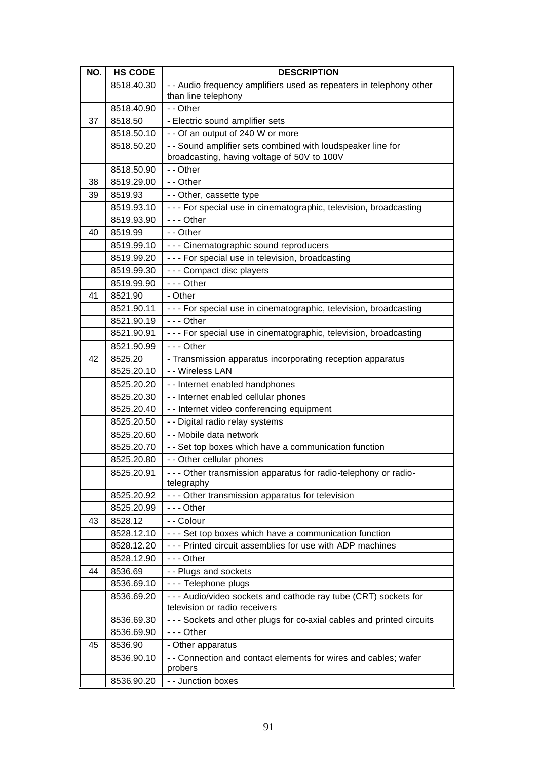| NO. | <b>HS CODE</b> | <b>DESCRIPTION</b>                                                             |
|-----|----------------|--------------------------------------------------------------------------------|
|     | 8518.40.30     | - - Audio frequency amplifiers used as repeaters in telephony other            |
|     |                | than line telephony                                                            |
|     | 8518.40.90     | - - Other                                                                      |
| 37  | 8518.50        | - Electric sound amplifier sets                                                |
|     | 8518.50.10     | - - Of an output of 240 W or more                                              |
|     | 8518.50.20     | - - Sound amplifier sets combined with loudspeaker line for                    |
|     |                | broadcasting, having voltage of 50V to 100V                                    |
|     | 8518.50.90     | - - Other                                                                      |
| 38  | 8519.29.00     | - - Other                                                                      |
| 39  | 8519.93        | - - Other, cassette type                                                       |
|     | 8519.93.10     | - - - For special use in cinematographic, television, broadcasting             |
|     | 8519.93.90     | $- -$ - Other                                                                  |
| 40  | 8519.99        | - - Other                                                                      |
|     | 8519.99.10     | --- Cinematographic sound reproducers                                          |
|     | 8519.99.20     | --- For special use in television, broadcasting                                |
|     | 8519.99.30     | - - - Compact disc players                                                     |
|     | 8519.99.90     | $- -$ Other                                                                    |
| 41  | 8521.90        | - Other                                                                        |
|     | 8521.90.11     | - - - For special use in cinematographic, television, broadcasting             |
|     | 8521.90.19     | $- -$ Other                                                                    |
|     | 8521.90.91     | - - - For special use in cinematographic, television, broadcasting             |
|     | 8521.90.99     | $- -$ - Other                                                                  |
| 42  | 8525.20        | - Transmission apparatus incorporating reception apparatus                     |
|     | 8525.20.10     | - - Wireless LAN                                                               |
|     | 8525.20.20     | - - Internet enabled handphones                                                |
|     | 8525.20.30     | - - Internet enabled cellular phones                                           |
|     | 8525.20.40     | - - Internet video conferencing equipment                                      |
|     | 8525.20.50     | - - Digital radio relay systems                                                |
|     | 8525.20.60     | - - Mobile data network                                                        |
|     | 8525.20.70     | - - Set top boxes which have a communication function                          |
|     | 8525.20.80     | - - Other cellular phones                                                      |
|     | 8525.20.91     | - - - Other transmission apparatus for radio-telephony or radio-<br>telegraphy |
|     | 8525.20.92     | - - - Other transmission apparatus for television                              |
|     | 8525.20.99     | $- -$ - Other                                                                  |
| 43  | 8528.12        | - - Colour                                                                     |
|     | 8528.12.10     | --- Set top boxes which have a communication function                          |
|     | 8528.12.20     | - - - Printed circuit assemblies for use with ADP machines                     |
|     | 8528.12.90     | $- -$ - Other                                                                  |
| 44  | 8536.69        | - - Plugs and sockets                                                          |
|     | 8536.69.10     | - - - Telephone plugs                                                          |
|     | 8536.69.20     | - - - Audio/video sockets and cathode ray tube (CRT) sockets for               |
|     |                | television or radio receivers                                                  |
|     | 8536.69.30     | - - - Sockets and other plugs for co-axial cables and printed circuits         |
|     | 8536.69.90     | $--$ Other                                                                     |
| 45  | 8536.90        | - Other apparatus                                                              |
|     | 8536.90.10     | - - Connection and contact elements for wires and cables; wafer<br>probers     |
|     | 8536.90.20     | - - Junction boxes                                                             |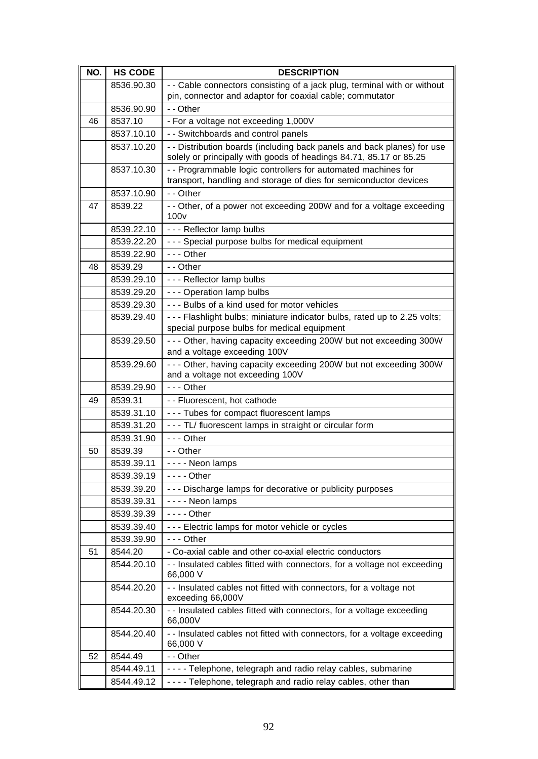| NO. | <b>HS CODE</b> | <b>DESCRIPTION</b>                                                                                                                            |
|-----|----------------|-----------------------------------------------------------------------------------------------------------------------------------------------|
|     | 8536.90.30     | - - Cable connectors consisting of a jack plug, terminal with or without                                                                      |
|     |                | pin, connector and adaptor for coaxial cable; commutator                                                                                      |
|     | 8536.90.90     | - - Other                                                                                                                                     |
| 46  | 8537.10        | - For a voltage not exceeding 1,000V                                                                                                          |
|     | 8537.10.10     | - - Switchboards and control panels                                                                                                           |
|     | 8537.10.20     | - - Distribution boards (including back panels and back planes) for use<br>solely or principally with goods of headings 84.71, 85.17 or 85.25 |
|     | 8537.10.30     | - - Programmable logic controllers for automated machines for<br>transport, handling and storage of dies for semiconductor devices            |
|     | 8537.10.90     | - - Other                                                                                                                                     |
| 47  | 8539.22        | - - Other, of a power not exceeding 200W and for a voltage exceeding<br>100v                                                                  |
|     | 8539.22.10     | - - - Reflector lamp bulbs                                                                                                                    |
|     | 8539.22.20     | - - - Special purpose bulbs for medical equipment                                                                                             |
|     | 8539.22.90     | $- -$ Other                                                                                                                                   |
| 48  | 8539.29        | - - Other                                                                                                                                     |
|     | 8539.29.10     | - - - Reflector lamp bulbs                                                                                                                    |
|     | 8539.29.20     | - - - Operation lamp bulbs                                                                                                                    |
|     | 8539.29.30     | --- Bulbs of a kind used for motor vehicles                                                                                                   |
|     | 8539.29.40     | - - - Flashlight bulbs; miniature indicator bulbs, rated up to 2.25 volts;<br>special purpose bulbs for medical equipment                     |
|     | 8539.29.50     | - - - Other, having capacity exceeding 200W but not exceeding 300W<br>and a voltage exceeding 100V                                            |
|     | 8539.29.60     | - - - Other, having capacity exceeding 200W but not exceeding 300W<br>and a voltage not exceeding 100V                                        |
|     | 8539.29.90     | $- -$ Other                                                                                                                                   |
| 49  | 8539.31        | - - Fluorescent, hot cathode                                                                                                                  |
|     | 8539.31.10     | --- Tubes for compact fluorescent lamps                                                                                                       |
|     | 8539.31.20     | --- TL/ fluorescent lamps in straight or circular form                                                                                        |
|     | 8539.31.90     | --- Other                                                                                                                                     |
| 50  | 8539.39        | - - Other                                                                                                                                     |
|     | 8539.39.11     | - - - - Neon lamps                                                                                                                            |
|     | 8539.39.19     | $--$ Other                                                                                                                                    |
|     | 8539.39.20     | --- Discharge lamps for decorative or publicity purposes                                                                                      |
|     | 8539.39.31     | - - - - Neon lamps                                                                                                                            |
|     | 8539.39.39     | $--$ Other                                                                                                                                    |
|     | 8539.39.40     | --- Electric lamps for motor vehicle or cycles                                                                                                |
|     | 8539.39.90     | $--$ Other                                                                                                                                    |
| 51  | 8544.20        | - Co-axial cable and other co-axial electric conductors                                                                                       |
|     | 8544.20.10     | - - Insulated cables fitted with connectors, for a voltage not exceeding<br>66,000 V                                                          |
|     | 8544.20.20     | - - Insulated cables not fitted with connectors, for a voltage not<br>exceeding 66,000V                                                       |
|     | 8544.20.30     | - - Insulated cables fitted with connectors, for a voltage exceeding<br>66,000V                                                               |
|     | 8544.20.40     | - - Insulated cables not fitted with connectors, for a voltage exceeding<br>66,000 V                                                          |
| 52  | 8544.49        | - - Other                                                                                                                                     |
|     | 8544.49.11     | ---- Telephone, telegraph and radio relay cables, submarine                                                                                   |
|     | 8544.49.12     | - - - - Telephone, telegraph and radio relay cables, other than                                                                               |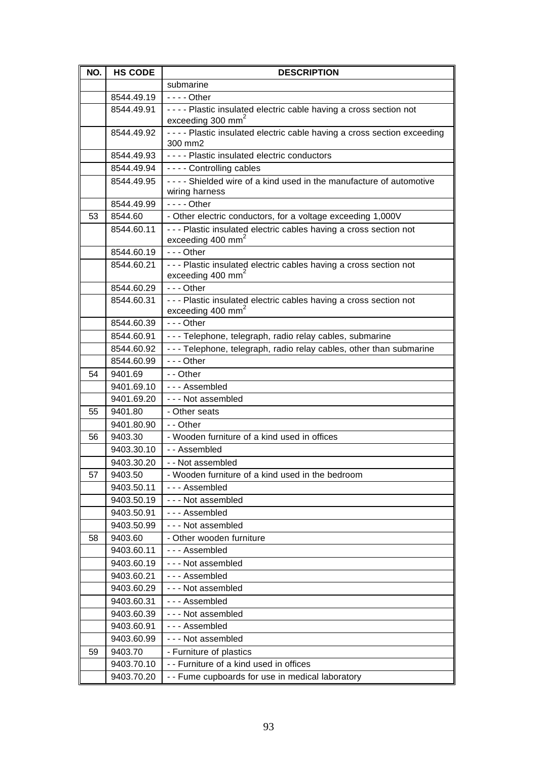| NO. | <b>HS CODE</b>        | <b>DESCRIPTION</b>                                                                                    |
|-----|-----------------------|-------------------------------------------------------------------------------------------------------|
|     |                       | submarine                                                                                             |
|     | 8544.49.19            | $--$ Other                                                                                            |
|     | 8544.49.91            | - - - - Plastic insulated electric cable having a cross section not                                   |
|     |                       | exceeding 300 mm <sup>2</sup>                                                                         |
|     | 8544.49.92            | - - - - Plastic insulated electric cable having a cross section exceeding<br>300 mm2                  |
|     | 8544.49.93            | ---- Plastic insulated electric conductors                                                            |
|     | 8544.49.94            | - - - - Controlling cables                                                                            |
|     | 8544.49.95            | ---- Shielded wire of a kind used in the manufacture of automotive<br>wiring harness                  |
|     | 8544.49.99            | - - - - Other                                                                                         |
| 53  | 8544.60               | - Other electric conductors, for a voltage exceeding 1,000V                                           |
|     | 8544.60.11            | - - - Plastic insulated electric cables having a cross section not<br>exceeding 400 mm <sup>2</sup>   |
|     | 8544.60.19            | $- -$ - Other                                                                                         |
|     | 8544.60.21            | - - - Plastic insulated electric cables having a cross section not<br>exceeding 400 mm <sup>2</sup>   |
|     | 8544.60.29            | $- -$ Other                                                                                           |
|     | 8544.60.31            | - - - Plastic insulated electric cables having a cross section not<br>exceeding $400$ mm <sup>2</sup> |
|     | 8544.60.39            | $- -$ - Other                                                                                         |
|     | 8544.60.91            | - - - Telephone, telegraph, radio relay cables, submarine                                             |
|     | 8544.60.92            | - - - Telephone, telegraph, radio relay cables, other than submarine                                  |
|     | 8544.60.99            | - - - Other                                                                                           |
| 54  | 9401.69               | - - Other                                                                                             |
|     | 9401.69.10            | --- Assembled                                                                                         |
|     | 9401.69.20            | --- Not assembled                                                                                     |
| 55  | 9401.80               | - Other seats                                                                                         |
|     | 9401.80.90            | - - Other                                                                                             |
| 56  | 9403.30               | - Wooden furniture of a kind used in offices                                                          |
|     | 9403.30.10            | -- Assembled                                                                                          |
|     | 9403.30.20            | -- Not assembled                                                                                      |
| 57  | 9403.50               | - Wooden furniture of a kind used in the bedroom                                                      |
|     | 9403.50.11            | --- Assembled                                                                                         |
|     | 9403.50.19            | - - - Not assembled                                                                                   |
|     | 9403.50.91            | --- Assembled                                                                                         |
|     | 9403.50.99            | --- Not assembled                                                                                     |
| 58  | 9403.60               | - Other wooden furniture                                                                              |
|     | 9403.60.11            | --- Assembled                                                                                         |
|     | 9403.60.19            | --- Not assembled                                                                                     |
|     | 9403.60.21            | --- Assembled                                                                                         |
|     | 9403.60.29            | - - - Not assembled                                                                                   |
|     | 9403.60.31            | --- Assembled                                                                                         |
|     | 9403.60.39            | --- Not assembled                                                                                     |
|     | 9403.60.91            | --- Assembled                                                                                         |
|     | 9403.60.99            | --- Not assembled                                                                                     |
| 59  | 9403.70<br>9403.70.10 | - Furniture of plastics<br>- - Furniture of a kind used in offices                                    |
|     | 9403.70.20            | - - Fume cupboards for use in medical laboratory                                                      |
|     |                       |                                                                                                       |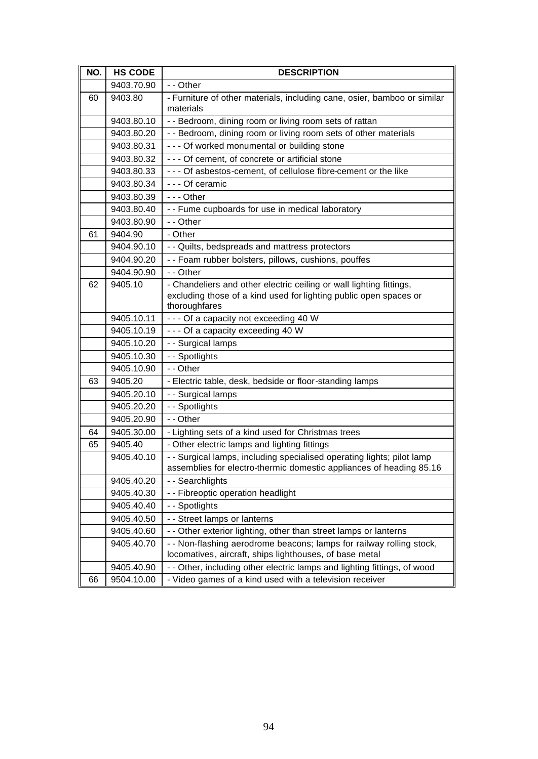| NO. | <b>HS CODE</b> | <b>DESCRIPTION</b>                                                                                                                                        |
|-----|----------------|-----------------------------------------------------------------------------------------------------------------------------------------------------------|
|     | 9403.70.90     | - - Other                                                                                                                                                 |
| 60  | 9403.80        | - Furniture of other materials, including cane, osier, bamboo or similar<br>materials                                                                     |
|     | 9403.80.10     | - - Bedroom, dining room or living room sets of rattan                                                                                                    |
|     | 9403.80.20     | - - Bedroom, dining room or living room sets of other materials                                                                                           |
|     | 9403.80.31     | - - - Of worked monumental or building stone                                                                                                              |
|     | 9403.80.32     | - - - Of cement, of concrete or artificial stone                                                                                                          |
|     | 9403.80.33     | - - - Of asbestos-cement, of cellulose fibre-cement or the like                                                                                           |
|     | 9403.80.34     | --- Of ceramic                                                                                                                                            |
|     | 9403.80.39     | $- -$ - Other                                                                                                                                             |
|     | 9403.80.40     | - - Fume cupboards for use in medical laboratory                                                                                                          |
|     | 9403.80.90     | - - Other                                                                                                                                                 |
| 61  | 9404.90        | - Other                                                                                                                                                   |
|     | 9404.90.10     | - - Quilts, bedspreads and mattress protectors                                                                                                            |
|     | 9404.90.20     | - - Foam rubber bolsters, pillows, cushions, pouffes                                                                                                      |
|     | 9404.90.90     | - - Other                                                                                                                                                 |
| 62  | 9405.10        | - Chandeliers and other electric ceiling or wall lighting fittings,<br>excluding those of a kind used for lighting public open spaces or<br>thoroughfares |
|     | 9405.10.11     | - - - Of a capacity not exceeding 40 W                                                                                                                    |
|     | 9405.10.19     | - - - Of a capacity exceeding 40 W                                                                                                                        |
|     | 9405.10.20     | - - Surgical lamps                                                                                                                                        |
|     | 9405.10.30     | - - Spotlights                                                                                                                                            |
|     | 9405.10.90     | - - Other                                                                                                                                                 |
| 63  | 9405.20        | - Electric table, desk, bedside or floor-standing lamps                                                                                                   |
|     | 9405.20.10     | - - Surgical lamps                                                                                                                                        |
|     | 9405.20.20     | - - Spotlights                                                                                                                                            |
|     | 9405.20.90     | - - Other                                                                                                                                                 |
| 64  | 9405.30.00     | - Lighting sets of a kind used for Christmas trees                                                                                                        |
| 65  | 9405.40        | - Other electric lamps and lighting fittings                                                                                                              |
|     | 9405.40.10     | - - Surgical lamps, including specialised operating lights; pilot lamp<br>assemblies for electro-thermic domestic appliances of heading 85.16             |
|     | 9405.40.20     | - - Searchlights                                                                                                                                          |
|     | 9405.40.30     | - - Fibreoptic operation headlight                                                                                                                        |
|     | 9405.40.40     | - - Spotlights                                                                                                                                            |
|     | 9405.40.50     | - - Street lamps or lanterns                                                                                                                              |
|     | 9405.40.60     | - - Other exterior lighting, other than street lamps or lanterns                                                                                          |
|     | 9405.40.70     | - - Non-flashing aerodrome beacons; lamps for railway rolling stock,                                                                                      |
|     |                | locomatives, aircraft, ships lighthouses, of base metal                                                                                                   |
|     | 9405.40.90     | - - Other, including other electric lamps and lighting fittings, of wood                                                                                  |
| 66  | 9504.10.00     | - Video games of a kind used with a television receiver                                                                                                   |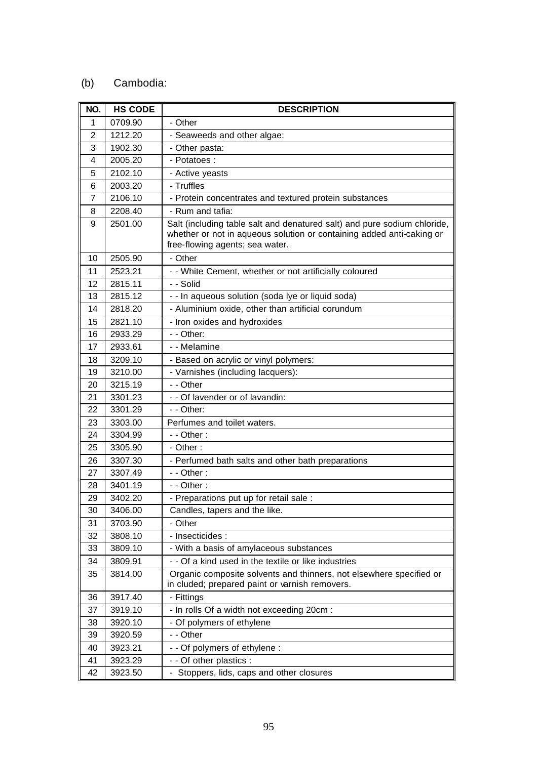## (b) Cambodia:

| NO. | <b>HS CODE</b> | <b>DESCRIPTION</b>                                                                                                                                                                   |
|-----|----------------|--------------------------------------------------------------------------------------------------------------------------------------------------------------------------------------|
| 1   | 0709.90        | - Other                                                                                                                                                                              |
| 2   | 1212.20        | - Seaweeds and other algae:                                                                                                                                                          |
| 3   | 1902.30        | - Other pasta:                                                                                                                                                                       |
| 4   | 2005.20        | - Potatoes :                                                                                                                                                                         |
| 5   | 2102.10        | - Active yeasts                                                                                                                                                                      |
| 6   | 2003.20        | - Truffles                                                                                                                                                                           |
| 7   | 2106.10        | - Protein concentrates and textured protein substances                                                                                                                               |
| 8   | 2208.40        | - Rum and tafia:                                                                                                                                                                     |
| 9   | 2501.00        | Salt (including table salt and denatured salt) and pure sodium chloride,<br>whether or not in aqueous solution or containing added anti-caking or<br>free-flowing agents; sea water. |
| 10  | 2505.90        | - Other                                                                                                                                                                              |
| 11  | 2523.21        | - - White Cement, whether or not artificially coloured                                                                                                                               |
| 12  | 2815.11        | - - Solid                                                                                                                                                                            |
| 13  | 2815.12        | - - In aqueous solution (soda lye or liquid soda)                                                                                                                                    |
| 14  | 2818.20        | - Aluminium oxide, other than artificial corundum                                                                                                                                    |
| 15  | 2821.10        | - Iron oxides and hydroxides                                                                                                                                                         |
| 16  | 2933.29        | - - Other:                                                                                                                                                                           |
| 17  | 2933.61        | - - Melamine                                                                                                                                                                         |
| 18  | 3209.10        | - Based on acrylic or vinyl polymers:                                                                                                                                                |
| 19  | 3210.00        | - Varnishes (including lacquers):                                                                                                                                                    |
| 20  | 3215.19        | - - Other                                                                                                                                                                            |
| 21  | 3301.23        | - - Of lavender or of lavandin:                                                                                                                                                      |
| 22  | 3301.29        | - - Other:                                                                                                                                                                           |
| 23  | 3303.00        | Perfumes and toilet waters.                                                                                                                                                          |
| 24  | 3304.99        | - - Other :                                                                                                                                                                          |
| 25  | 3305.90        | - Other:                                                                                                                                                                             |
| 26  | 3307.30        | - Perfumed bath salts and other bath preparations                                                                                                                                    |
| 27  | 3307.49        | - - Other:                                                                                                                                                                           |
| 28  | 3401.19        | - - Other :                                                                                                                                                                          |
| 29  | 3402.20        | - Preparations put up for retail sale :                                                                                                                                              |
| 30  | 3406.00        | Candles, tapers and the like.                                                                                                                                                        |
| 31  | 3703.90        | - Other                                                                                                                                                                              |
| 32  | 3808.10        | - Insecticides :                                                                                                                                                                     |
| 33  | 3809.10        | - With a basis of amylaceous substances                                                                                                                                              |
| 34  | 3809.91        | - - Of a kind used in the textile or like industries                                                                                                                                 |
| 35  | 3814.00        | Organic composite solvents and thinners, not elsewhere specified or<br>in cluded; prepared paint or varnish removers.                                                                |
| 36  | 3917.40        | - Fittings                                                                                                                                                                           |
| 37  | 3919.10        | - In rolls Of a width not exceeding 20cm :                                                                                                                                           |
| 38  | 3920.10        | - Of polymers of ethylene                                                                                                                                                            |
| 39  | 3920.59        | - - Other                                                                                                                                                                            |
| 40  | 3923.21        | - - Of polymers of ethylene :                                                                                                                                                        |
| 41  | 3923.29        | - - Of other plastics :                                                                                                                                                              |
| 42  | 3923.50        | - Stoppers, lids, caps and other closures                                                                                                                                            |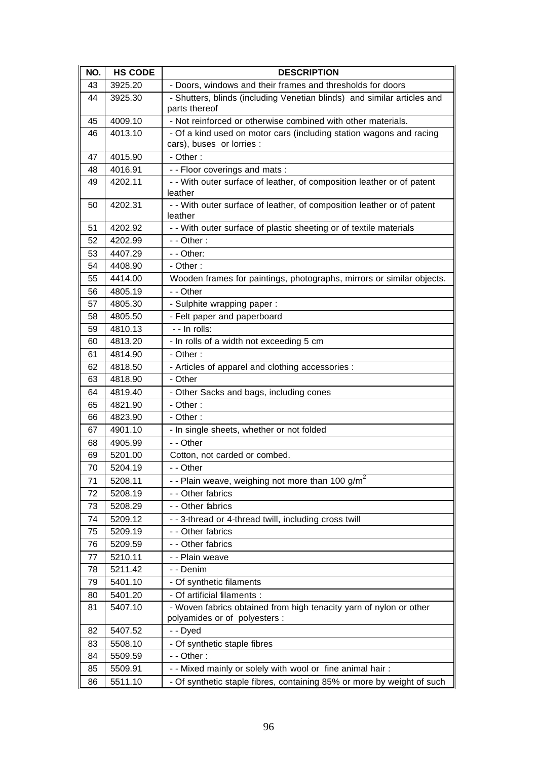| NO. | <b>HS CODE</b> | <b>DESCRIPTION</b>                                                                       |
|-----|----------------|------------------------------------------------------------------------------------------|
| 43  | 3925.20        | - Doors, windows and their frames and thresholds for doors                               |
| 44  | 3925.30        | - Shutters, blinds (including Venetian blinds) and similar articles and<br>parts thereof |
| 45  | 4009.10        | - Not reinforced or otherwise combined with other materials.                             |
| 46  | 4013.10        | - Of a kind used on motor cars (including station wagons and racing                      |
|     |                | cars), buses or lorries :                                                                |
| 47  | 4015.90        | - Other:                                                                                 |
| 48  | 4016.91        | - - Floor coverings and mats :                                                           |
| 49  | 4202.11        | - - With outer surface of leather, of composition leather or of patent                   |
|     |                | leather                                                                                  |
| 50  | 4202.31        | - - With outer surface of leather, of composition leather or of patent                   |
|     |                | leather                                                                                  |
| 51  | 4202.92        | - - With outer surface of plastic sheeting or of textile materials                       |
| 52  | 4202.99        | - - Other:                                                                               |
| 53  | 4407.29        | - - Other:                                                                               |
| 54  | 4408.90        | - Other:                                                                                 |
| 55  | 4414.00        | Wooden frames for paintings, photographs, mirrors or similar objects.                    |
| 56  | 4805.19        | - - Other                                                                                |
| 57  | 4805.30        | - Sulphite wrapping paper:                                                               |
| 58  | 4805.50        | - Felt paper and paperboard                                                              |
| 59  | 4810.13        | - - In rolls:                                                                            |
| 60  | 4813.20        | - In rolls of a width not exceeding 5 cm                                                 |
| 61  | 4814.90        | - Other:                                                                                 |
| 62  | 4818.50        | - Articles of apparel and clothing accessories :                                         |
| 63  | 4818.90        | - Other                                                                                  |
| 64  | 4819.40        | - Other Sacks and bags, including cones                                                  |
| 65  | 4821.90        | - Other:                                                                                 |
| 66  | 4823.90        | - Other:                                                                                 |
| 67  | 4901.10        | - In single sheets, whether or not folded                                                |
| 68  | 4905.99        | - - Other                                                                                |
| 69  | 5201.00        | Cotton, not carded or combed.                                                            |
| 70  | 5204.19        | - - Other                                                                                |
| 71  | 5208.11        | - - Plain weave, weighing not more than 100 $g/m^2$                                      |
| 72  | 5208.19        | - - Other fabrics                                                                        |
| 73  | 5208.29        | - - Other fabrics                                                                        |
| 74  | 5209.12        | - - 3-thread or 4-thread twill, including cross twill                                    |
| 75  | 5209.19        | - - Other fabrics                                                                        |
| 76  | 5209.59        | - - Other fabrics                                                                        |
| 77  | 5210.11        | - - Plain weave                                                                          |
| 78  | 5211.42        | - - Denim                                                                                |
| 79  | 5401.10        | - Of synthetic filaments                                                                 |
| 80  | 5401.20        | - Of artificial filaments :                                                              |
| 81  | 5407.10        | - Woven fabrics obtained from high tenacity yarn of nylon or other                       |
|     |                | polyamides or of polyesters :                                                            |
| 82  | 5407.52        | - - Dyed                                                                                 |
| 83  | 5508.10        | - Of synthetic staple fibres                                                             |
| 84  | 5509.59        | - - Other:                                                                               |
| 85  | 5509.91        | - - Mixed mainly or solely with wool or fine animal hair:                                |
| 86  | 5511.10        | - Of synthetic staple fibres, containing 85% or more by weight of such                   |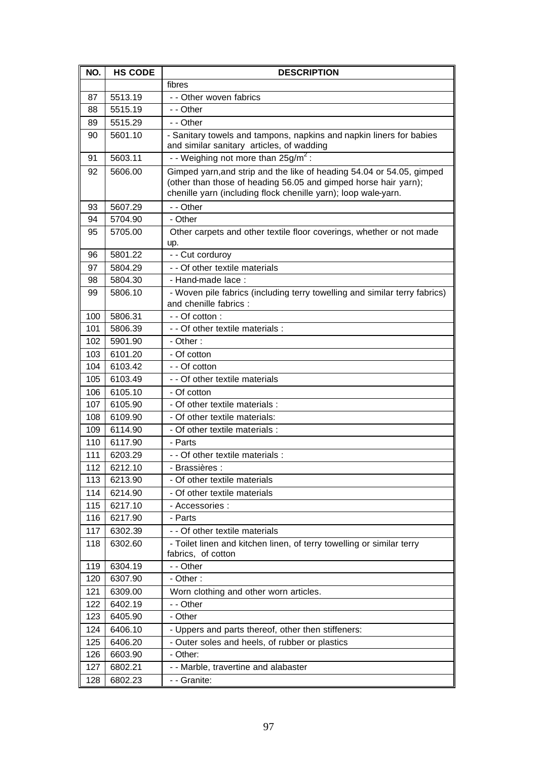| NO. | <b>HS CODE</b> | <b>DESCRIPTION</b>                                                                                                                                                                                         |
|-----|----------------|------------------------------------------------------------------------------------------------------------------------------------------------------------------------------------------------------------|
|     |                | fibres                                                                                                                                                                                                     |
| 87  | 5513.19        | - - Other woven fabrics                                                                                                                                                                                    |
| 88  | 5515.19        | - - Other                                                                                                                                                                                                  |
| 89  | 5515.29        | - - Other                                                                                                                                                                                                  |
| 90  | 5601.10        | - Sanitary towels and tampons, napkins and napkin liners for babies<br>and similar sanitary articles, of wadding                                                                                           |
| 91  | 5603.11        | - Weighing not more than $25g/m^2$ :                                                                                                                                                                       |
| 92  | 5606.00        | Gimped yarn, and strip and the like of heading 54.04 or 54.05, gimped<br>(other than those of heading 56.05 and gimped horse hair yarn);<br>chenille yarn (including flock chenille yarn); loop wale-yarn. |
| 93  | 5607.29        | - - Other                                                                                                                                                                                                  |
| 94  | 5704.90        | - Other                                                                                                                                                                                                    |
| 95  | 5705.00        | Other carpets and other textile floor coverings, whether or not made<br>up.                                                                                                                                |
| 96  | 5801.22        | - - Cut corduroy                                                                                                                                                                                           |
| 97  | 5804.29        | - - Of other textile materials                                                                                                                                                                             |
| 98  | 5804.30        | - Hand-made lace:                                                                                                                                                                                          |
| 99  | 5806.10        | - Woven pile fabrics (including terry towelling and similar terry fabrics)<br>and chenille fabrics :                                                                                                       |
| 100 | 5806.31        | - - Of cotton :                                                                                                                                                                                            |
| 101 | 5806.39        | - - Of other textile materials :                                                                                                                                                                           |
| 102 | 5901.90        | - Other :                                                                                                                                                                                                  |
| 103 | 6101.20        | - Of cotton                                                                                                                                                                                                |
| 104 | 6103.42        | - - Of cotton                                                                                                                                                                                              |
| 105 | 6103.49        | - - Of other textile materials                                                                                                                                                                             |
| 106 | 6105.10        | - Of cotton                                                                                                                                                                                                |
| 107 | 6105.90        | - Of other textile materials :                                                                                                                                                                             |
| 108 | 6109.90        | - Of other textile materials:                                                                                                                                                                              |
| 109 | 6114.90        | - Of other textile materials :                                                                                                                                                                             |
| 110 | 6117.90        | - Parts                                                                                                                                                                                                    |
| 111 | 6203.29        | - - Of other textile materials :                                                                                                                                                                           |
| 112 | 6212.10        | - Brassières :                                                                                                                                                                                             |
| 113 | 6213.90        | - Of other textile materials                                                                                                                                                                               |
| 114 | 6214.90        | - Of other textile materials                                                                                                                                                                               |
| 115 | 6217.10        | - Accessories :                                                                                                                                                                                            |
| 116 | 6217.90        | - Parts                                                                                                                                                                                                    |
| 117 | 6302.39        | - - Of other textile materials                                                                                                                                                                             |
| 118 | 6302.60        | - Toilet linen and kitchen linen, of terry towelling or similar terry<br>fabrics, of cotton                                                                                                                |
| 119 | 6304.19        | - - Other                                                                                                                                                                                                  |
| 120 | 6307.90        | - Other:                                                                                                                                                                                                   |
| 121 | 6309.00        | Worn clothing and other worn articles.                                                                                                                                                                     |
| 122 | 6402.19        | - - Other                                                                                                                                                                                                  |
| 123 | 6405.90        | - Other                                                                                                                                                                                                    |
| 124 | 6406.10        | - Uppers and parts thereof, other then stiffeners:                                                                                                                                                         |
| 125 | 6406.20        | - Outer soles and heels, of rubber or plastics                                                                                                                                                             |
| 126 | 6603.90        | - Other:                                                                                                                                                                                                   |
| 127 | 6802.21        | - - Marble, travertine and alabaster                                                                                                                                                                       |
| 128 | 6802.23        | - - Granite:                                                                                                                                                                                               |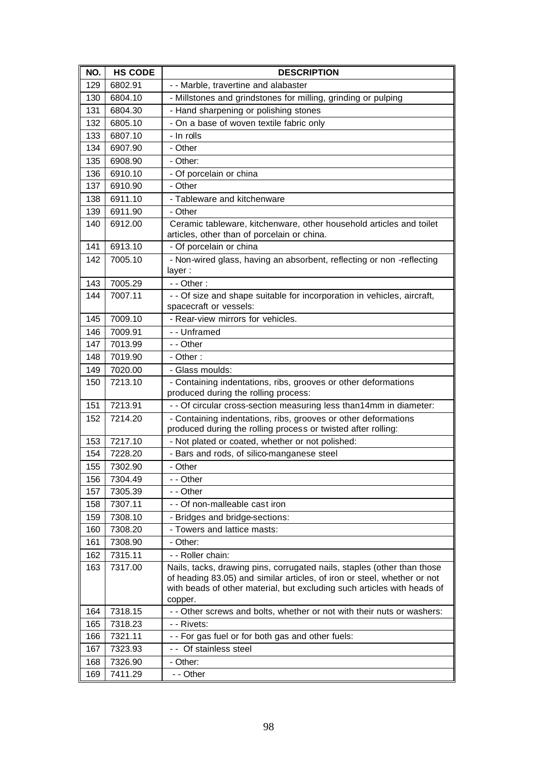| NO. | <b>HS CODE</b> | <b>DESCRIPTION</b>                                                                                                                                                                                                                        |
|-----|----------------|-------------------------------------------------------------------------------------------------------------------------------------------------------------------------------------------------------------------------------------------|
| 129 | 6802.91        | - - Marble, travertine and alabaster                                                                                                                                                                                                      |
| 130 | 6804.10        | - Millstones and grindstones for milling, grinding or pulping                                                                                                                                                                             |
| 131 | 6804.30        | - Hand sharpening or polishing stones                                                                                                                                                                                                     |
| 132 | 6805.10        | - On a base of woven textile fabric only                                                                                                                                                                                                  |
| 133 | 6807.10        | - In rolls                                                                                                                                                                                                                                |
| 134 | 6907.90        | - Other                                                                                                                                                                                                                                   |
| 135 | 6908.90        | - Other:                                                                                                                                                                                                                                  |
| 136 | 6910.10        | - Of porcelain or china                                                                                                                                                                                                                   |
| 137 | 6910.90        | - Other                                                                                                                                                                                                                                   |
| 138 | 6911.10        | - Tableware and kitchenware                                                                                                                                                                                                               |
| 139 | 6911.90        | - Other                                                                                                                                                                                                                                   |
| 140 | 6912.00        | Ceramic tableware, kitchenware, other household articles and toilet                                                                                                                                                                       |
|     |                | articles, other than of porcelain or china.                                                                                                                                                                                               |
| 141 | 6913.10        | - Of porcelain or china                                                                                                                                                                                                                   |
| 142 | 7005.10        | - Non-wired glass, having an absorbent, reflecting or non -reflecting<br>layer:                                                                                                                                                           |
| 143 | 7005.29        | $-$ - Other :                                                                                                                                                                                                                             |
| 144 | 7007.11        | - - Of size and shape suitable for incorporation in vehicles, aircraft,<br>spacecraft or vessels:                                                                                                                                         |
| 145 | 7009.10        | - Rear-view mirrors for vehicles.                                                                                                                                                                                                         |
| 146 | 7009.91        | - - Unframed                                                                                                                                                                                                                              |
| 147 | 7013.99        | - - Other                                                                                                                                                                                                                                 |
| 148 | 7019.90        | - Other:                                                                                                                                                                                                                                  |
| 149 | 7020.00        | - Glass moulds:                                                                                                                                                                                                                           |
| 150 | 7213.10        | - Containing indentations, ribs, grooves or other deformations<br>produced during the rolling process:                                                                                                                                    |
| 151 | 7213.91        | - - Of circular cross-section measuring less than14mm in diameter:                                                                                                                                                                        |
| 152 | 7214.20        | - Containing indentations, ribs, grooves or other deformations                                                                                                                                                                            |
|     |                | produced during the rolling process or twisted after rolling:                                                                                                                                                                             |
| 153 | 7217.10        | - Not plated or coated, whether or not polished:                                                                                                                                                                                          |
| 154 | 7228.20        | - Bars and rods, of silico-manganese steel                                                                                                                                                                                                |
| 155 | 7302.90        | - Other                                                                                                                                                                                                                                   |
| 156 | 7304.49        | - - Other                                                                                                                                                                                                                                 |
| 157 | 7305.39        | - - Other                                                                                                                                                                                                                                 |
| 158 | 7307.11        | - - Of non-malleable cast iron                                                                                                                                                                                                            |
| 159 | 7308.10        | - Bridges and bridge-sections:                                                                                                                                                                                                            |
| 160 | 7308.20        | - Towers and lattice masts:                                                                                                                                                                                                               |
| 161 | 7308.90        | - Other:                                                                                                                                                                                                                                  |
| 162 | 7315.11        | - - Roller chain:                                                                                                                                                                                                                         |
| 163 | 7317.00        | Nails, tacks, drawing pins, corrugated nails, staples (other than those<br>of heading 83.05) and similar articles, of iron or steel, whether or not<br>with beads of other material, but excluding such articles with heads of<br>copper. |
| 164 | 7318.15        | - - Other screws and bolts, whether or not with their nuts or washers:                                                                                                                                                                    |
| 165 | 7318.23        | - - Rivets:                                                                                                                                                                                                                               |
| 166 | 7321.11        | - - For gas fuel or for both gas and other fuels:                                                                                                                                                                                         |
| 167 | 7323.93        | - - Of stainless steel                                                                                                                                                                                                                    |
| 168 | 7326.90        | - Other:                                                                                                                                                                                                                                  |
| 169 | 7411.29        | - - Other                                                                                                                                                                                                                                 |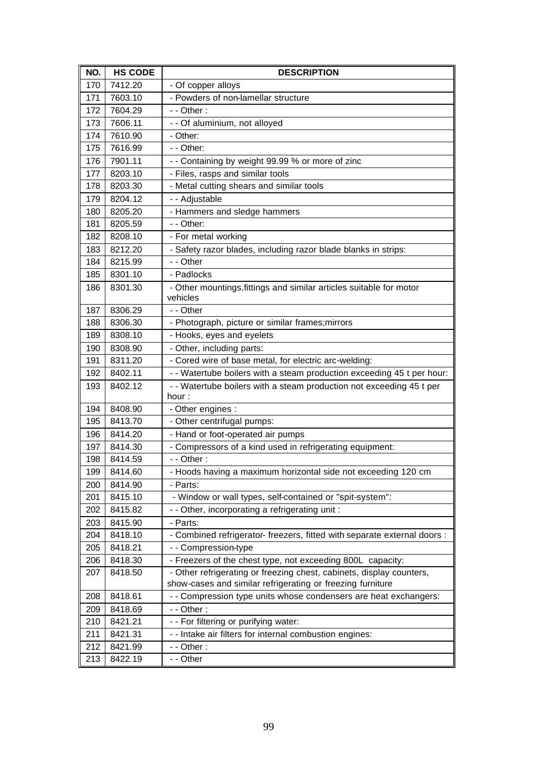| NO. | <b>HS CODE</b> | <b>DESCRIPTION</b>                                                              |
|-----|----------------|---------------------------------------------------------------------------------|
| 170 | 7412.20        | - Of copper alloys                                                              |
| 171 | 7603.10        | - Powders of non-lamellar structure                                             |
| 172 | 7604.29        | $-$ - Other :                                                                   |
| 173 | 7606.11        | - - Of aluminium, not alloyed                                                   |
| 174 | 7610.90        | - Other:                                                                        |
| 175 | 7616.99        | - - Other:                                                                      |
| 176 | 7901.11        | - - Containing by weight 99.99 % or more of zinc                                |
| 177 | 8203.10        | - Files, rasps and similar tools                                                |
| 178 | 8203.30        | - Metal cutting shears and similar tools                                        |
| 179 | 8204.12        | - - Adjustable                                                                  |
| 180 | 8205.20        | - Hammers and sledge hammers                                                    |
| 181 | 8205.59        | - - Other:                                                                      |
| 182 | 8208.10        | - For metal working                                                             |
| 183 | 8212.20        | - Safety razor blades, including razor blade blanks in strips:                  |
| 184 | 8215.99        | - - Other                                                                       |
| 185 | 8301.10        | - Padlocks                                                                      |
| 186 | 8301.30        | - Other mountings, fittings and similar articles suitable for motor<br>vehicles |
| 187 | 8306.29        | - - Other                                                                       |
| 188 | 8306.30        | - Photograph, picture or similar frames; mirrors                                |
| 189 | 8308.10        | - Hooks, eyes and eyelets                                                       |
| 190 | 8308.90        | - Other, including parts:                                                       |
| 191 | 8311.20        | - Cored wire of base metal, for electric arc-welding:                           |
| 192 | 8402.11        | - - Watertube boilers with a steam production exceeding 45 t per hour:          |
| 193 | 8402.12        | - - Watertube boilers with a steam production not exceeding 45 t per<br>hour :  |
| 194 | 8408.90        | - Other engines :                                                               |
| 195 | 8413.70        | - Other centrifugal pumps:                                                      |
| 196 | 8414.20        | - Hand or foot-operated air pumps                                               |
| 197 | 8414.30        | - Compressors of a kind used in refrigerating equipment:                        |
| 198 | 8414.59        | - - Other:                                                                      |
| 199 | 8414.60        | - Hoods having a maximum horizontal side not exceeding 120 cm                   |
| 200 | 8414.90        | - Parts:                                                                        |
| 201 | 8415.10        | - Window or wall types, self-contained or "spit-system":                        |
| 202 | 8415.82        | - - Other, incorporating a refrigerating unit :                                 |
| 203 | 8415.90        | - Parts:                                                                        |
| 204 | 8418.10        | - Combined refrigerator- freezers, fitted with separate external doors :        |
| 205 | 8418.21        | -- Compression-type                                                             |
| 206 | 8418.30        | - Freezers of the chest type, not exceeding 800L capacity:                      |
| 207 | 8418.50        | - Other refrigerating or freezing chest, cabinets, display counters,            |
|     |                | show-cases and similar refrigerating or freezing furniture                      |
| 208 | 8418.61        | - - Compression type units whose condensers are heat exchangers:                |
| 209 | 8418.69        | - - Other:                                                                      |
| 210 | 8421.21        | - - For filtering or purifying water:                                           |
| 211 | 8421.31        | - - Intake air filters for internal combustion engines:                         |
| 212 | 8421.99        | - - Other:                                                                      |
| 213 | 8422.19        | - - Other                                                                       |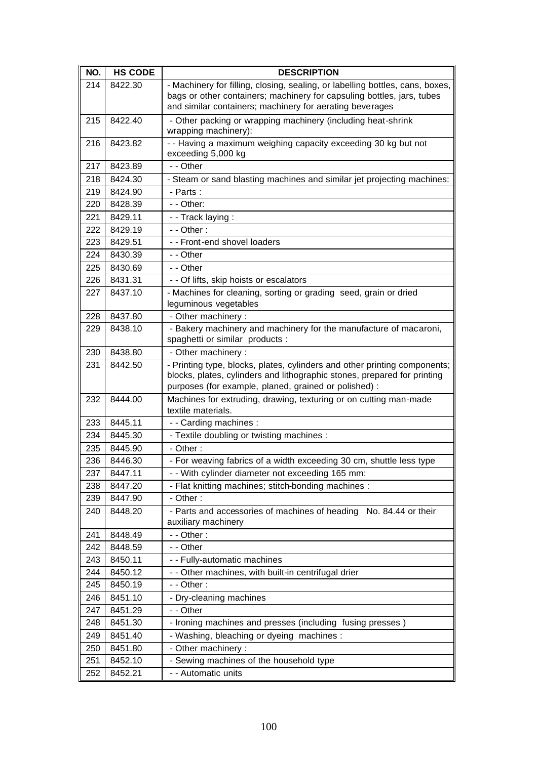| NO. | <b>HS CODE</b> | <b>DESCRIPTION</b>                                                                                                                                                                                                  |
|-----|----------------|---------------------------------------------------------------------------------------------------------------------------------------------------------------------------------------------------------------------|
| 214 | 8422.30        | - Machinery for filling, closing, sealing, or labelling bottles, cans, boxes,<br>bags or other containers; machinery for capsuling bottles, jars, tubes<br>and similar containers; machinery for aerating beverages |
| 215 | 8422.40        | - Other packing or wrapping machinery (including heat-shrink<br>wrapping machinery):                                                                                                                                |
| 216 | 8423.82        | - - Having a maximum weighing capacity exceeding 30 kg but not<br>exceeding 5,000 kg                                                                                                                                |
| 217 | 8423.89        | - - Other                                                                                                                                                                                                           |
| 218 | 8424.30        | - Steam or sand blasting machines and similar jet projecting machines:                                                                                                                                              |
| 219 | 8424.90        | - Parts:                                                                                                                                                                                                            |
| 220 | 8428.39        | - - Other:                                                                                                                                                                                                          |
| 221 | 8429.11        | - - Track laying :                                                                                                                                                                                                  |
| 222 | 8429.19        | $-$ - Other :                                                                                                                                                                                                       |
| 223 | 8429.51        | - - Front-end shovel loaders                                                                                                                                                                                        |
| 224 | 8430.39        | - - Other                                                                                                                                                                                                           |
| 225 | 8430.69        | - - Other                                                                                                                                                                                                           |
| 226 | 8431.31        | - - Of lifts, skip hoists or escalators                                                                                                                                                                             |
| 227 | 8437.10        | - Machines for cleaning, sorting or grading seed, grain or dried<br>leguminous vegetables                                                                                                                           |
| 228 | 8437.80        | - Other machinery :                                                                                                                                                                                                 |
| 229 | 8438.10        | - Bakery machinery and machinery for the manufacture of macaroni,<br>spaghetti or similar products :                                                                                                                |
| 230 | 8438.80        | - Other machinery:                                                                                                                                                                                                  |
| 231 | 8442.50        | - Printing type, blocks, plates, cylinders and other printing components;<br>blocks, plates, cylinders and lithographic stones, prepared for printing<br>purposes (for example, planed, grained or polished) :      |
| 232 | 8444.00        | Machines for extruding, drawing, texturing or on cutting man-made<br>textile materials.                                                                                                                             |
| 233 | 8445.11        | - - Carding machines :                                                                                                                                                                                              |
| 234 | 8445.30        | - Textile doubling or twisting machines :                                                                                                                                                                           |
| 235 | 8445.90        | - Other:                                                                                                                                                                                                            |
| 236 | 8446.30        | - For weaving fabrics of a width exceeding 30 cm, shuttle less type                                                                                                                                                 |
| 237 | 8447.11        | - - With cylinder diameter not exceeding 165 mm:                                                                                                                                                                    |
| 238 | 8447.20        | - Flat knitting machines; stitch-bonding machines :                                                                                                                                                                 |
| 239 | 8447.90        | - Other:                                                                                                                                                                                                            |
| 240 | 8448.20        | - Parts and accessories of machines of heading No. 84.44 or their<br>auxiliary machinery                                                                                                                            |
| 241 | 8448.49        | $-$ - Other :                                                                                                                                                                                                       |
| 242 | 8448.59        | - - Other                                                                                                                                                                                                           |
| 243 | 8450.11        | - - Fully-automatic machines                                                                                                                                                                                        |
| 244 | 8450.12        | - - Other machines, with built-in centrifugal drier                                                                                                                                                                 |
| 245 | 8450.19        | $-$ - Other :                                                                                                                                                                                                       |
| 246 | 8451.10        | - Dry-cleaning machines                                                                                                                                                                                             |
| 247 | 8451.29        | - - Other                                                                                                                                                                                                           |
| 248 | 8451.30        | - Ironing machines and presses (including fusing presses)                                                                                                                                                           |
| 249 | 8451.40        | - Washing, bleaching or dyeing machines :                                                                                                                                                                           |
| 250 | 8451.80        | - Other machinery :                                                                                                                                                                                                 |
| 251 | 8452.10        | - Sewing machines of the household type                                                                                                                                                                             |
| 252 | 8452.21        | - - Automatic units                                                                                                                                                                                                 |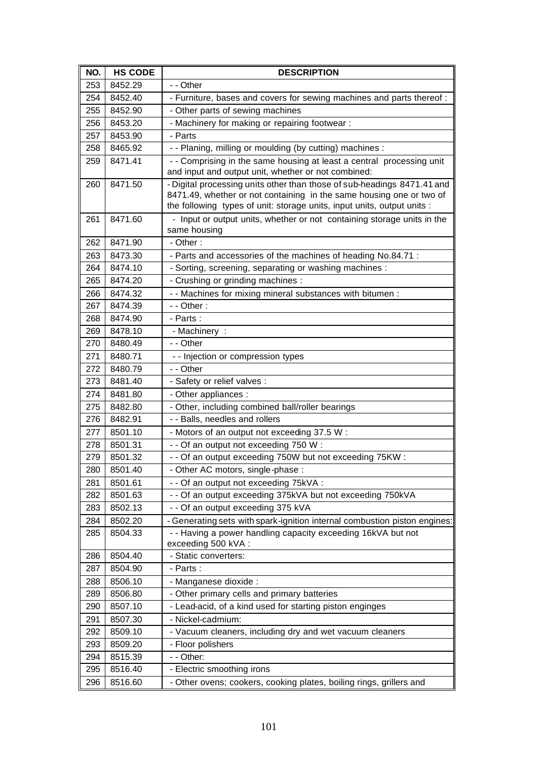| NO.        | <b>HS CODE</b>     | <b>DESCRIPTION</b>                                                                      |
|------------|--------------------|-----------------------------------------------------------------------------------------|
| 253        | 8452.29            | - - Other                                                                               |
| 254        | 8452.40            | - Furniture, bases and covers for sewing machines and parts thereof:                    |
| 255        | 8452.90            | - Other parts of sewing machines                                                        |
| 256        | 8453.20            | - Machinery for making or repairing footwear :                                          |
| 257        | 8453.90            | - Parts                                                                                 |
| 258        | 8465.92            | - - Planing, milling or moulding (by cutting) machines :                                |
| 259        | 8471.41            | - - Comprising in the same housing at least a central processing unit                   |
|            |                    | and input and output unit, whether or not combined:                                     |
| 260        | 8471.50            | - Digital processing units other than those of sub-headings 8471.41 and                 |
|            |                    | 8471.49, whether or not containing in the same housing one or two of                    |
|            |                    | the following types of unit: storage units, input units, output units :                 |
| 261        | 8471.60            | - Input or output units, whether or not containing storage units in the<br>same housing |
| 262        | 8471.90            | $-$ Other:                                                                              |
| 263        | 8473.30            | - Parts and accessories of the machines of heading No.84.71 :                           |
| 264        | 8474.10            | - Sorting, screening, separating or washing machines :                                  |
| 265        | 8474.20            | - Crushing or grinding machines :                                                       |
| 266        | 8474.32            | - - Machines for mixing mineral substances with bitumen :                               |
| 267        | 8474.39            | $-$ - Other :                                                                           |
| 268        | 8474.90            | - Parts:                                                                                |
| 269        | 8478.10            | - Machinery :                                                                           |
| 270        | 8480.49            | - - Other                                                                               |
| 271        | 8480.71            | - - Injection or compression types                                                      |
| 272        | 8480.79            | - - Other                                                                               |
| 273        | 8481.40            | - Safety or relief valves :                                                             |
| 274        | 8481.80            | - Other appliances :                                                                    |
| 275        | 8482.80            | - Other, including combined ball/roller bearings                                        |
| 276        | 8482.91            | - - Balls, needles and rollers                                                          |
| 277        | 8501.10            | - Motors of an output not exceeding 37.5 W:                                             |
| 278        | 8501.31            | - - Of an output not exceeding 750 W:                                                   |
| 279        | 8501.32            | - - Of an output exceeding 750W but not exceeding 75KW :                                |
| 280        | 8501.40            | - Other AC motors, single-phase :                                                       |
| 281        | 8501.61            | - - Of an output not exceeding 75kVA :                                                  |
| 282        | 8501.63            | - - Of an output exceeding 375kVA but not exceeding 750kVA                              |
| 283        | 8502.13            | - - Of an output exceeding 375 kVA                                                      |
| 284        | 8502.20            | - Generating sets with spark-ignition internal combustion piston engines:               |
| 285        | 8504.33            | - - Having a power handling capacity exceeding 16kVA but not                            |
|            |                    | exceeding 500 kVA :                                                                     |
| 286        | 8504.40            | - Static converters:                                                                    |
| 287        | 8504.90            | - Parts:                                                                                |
| 288        | 8506.10            | - Manganese dioxide :                                                                   |
| 289<br>290 | 8506.80<br>8507.10 | - Other primary cells and primary batteries                                             |
|            |                    | - Lead-acid, of a kind used for starting piston enginges                                |
| 291<br>292 | 8507.30<br>8509.10 | - Nickel-cadmium:<br>- Vacuum cleaners, including dry and wet vacuum cleaners           |
| 293        | 8509.20            | - Floor polishers                                                                       |
| 294        | 8515.39            | - - Other:                                                                              |
| 295        | 8516.40            | - Electric smoothing irons                                                              |
| 296        | 8516.60            | - Other ovens; cookers, cooking plates, boiling rings, grillers and                     |
|            |                    |                                                                                         |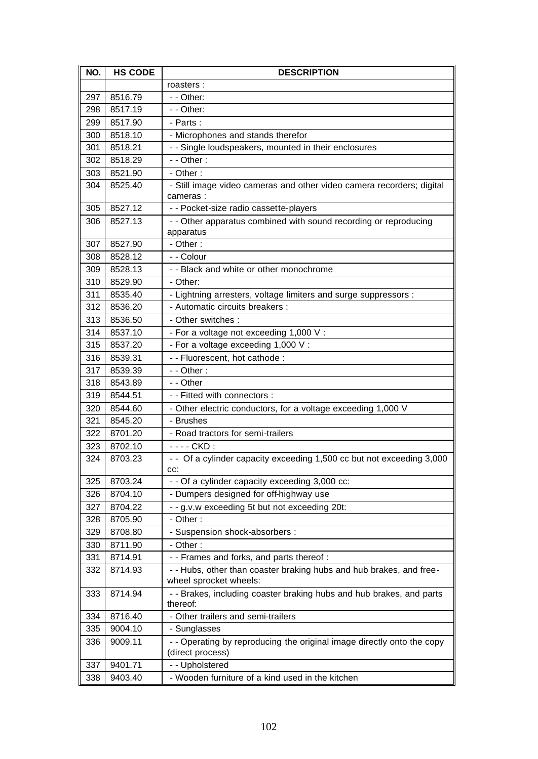| NO. | <b>HS CODE</b> | <b>DESCRIPTION</b>                                                               |
|-----|----------------|----------------------------------------------------------------------------------|
|     |                | roasters :                                                                       |
| 297 | 8516.79        | - - Other:                                                                       |
| 298 | 8517.19        | - - Other:                                                                       |
| 299 | 8517.90        | - Parts:                                                                         |
| 300 | 8518.10        | - Microphones and stands therefor                                                |
| 301 | 8518.21        | - - Single loudspeakers, mounted in their enclosures                             |
| 302 | 8518.29        | $-$ - Other :                                                                    |
| 303 | 8521.90        | - Other:                                                                         |
| 304 | 8525.40        | - Still image video cameras and other video camera recorders; digital            |
|     |                | cameras:                                                                         |
| 305 | 8527.12        | - - Pocket-size radio cassette-players                                           |
| 306 | 8527.13        | - - Other apparatus combined with sound recording or reproducing                 |
|     |                | apparatus                                                                        |
| 307 | 8527.90        | - Other:                                                                         |
| 308 | 8528.12        | - - Colour                                                                       |
| 309 | 8528.13        | - - Black and white or other monochrome                                          |
| 310 | 8529.90        | - Other:                                                                         |
| 311 | 8535.40        | - Lightning arresters, voltage limiters and surge suppressors :                  |
| 312 | 8536.20        | - Automatic circuits breakers :                                                  |
| 313 | 8536.50        | - Other switches :                                                               |
| 314 | 8537.10        | - For a voltage not exceeding 1,000 V :                                          |
| 315 | 8537.20        | - For a voltage exceeding 1,000 V :                                              |
| 316 | 8539.31        | - - Fluorescent, hot cathode :                                                   |
| 317 | 8539.39        | $-$ - Other :                                                                    |
| 318 | 8543.89        | - - Other                                                                        |
| 319 | 8544.51        | - - Fitted with connectors :                                                     |
| 320 | 8544.60        | - Other electric conductors, for a voltage exceeding 1,000 V                     |
| 321 | 8545.20        | - Brushes                                                                        |
| 322 | 8701.20        | - Road tractors for semi-trailers                                                |
| 323 | 8702.10        | - - - - CKD :                                                                    |
| 324 | 8703.23        | - - Of a cylinder capacity exceeding 1,500 cc but not exceeding 3,000<br>CC:     |
| 325 | 8703.24        | - - Of a cylinder capacity exceeding 3,000 cc:                                   |
| 326 | 8704.10        | - Dumpers designed for off-highway use                                           |
| 327 | 8704.22        | - - g.v.w exceeding 5t but not exceeding 20t:                                    |
| 328 | 8705.90        | - Other:                                                                         |
| 329 | 8708.80        | - Suspension shock-absorbers :                                                   |
| 330 | 8711.90        | - Other:                                                                         |
| 331 | 8714.91        | - - Frames and forks, and parts thereof :                                        |
| 332 | 8714.93        | - - Hubs, other than coaster braking hubs and hub brakes, and free-              |
|     |                | wheel sprocket wheels:                                                           |
| 333 | 8714.94        | - - Brakes, including coaster braking hubs and hub brakes, and parts<br>thereof: |
| 334 | 8716.40        | - Other trailers and semi-trailers                                               |
| 335 | 9004.10        | - Sunglasses                                                                     |
| 336 | 9009.11        | - - Operating by reproducing the original image directly onto the copy           |
|     |                | (direct process)                                                                 |
| 337 | 9401.71        | - - Upholstered                                                                  |
| 338 | 9403.40        | - Wooden furniture of a kind used in the kitchen                                 |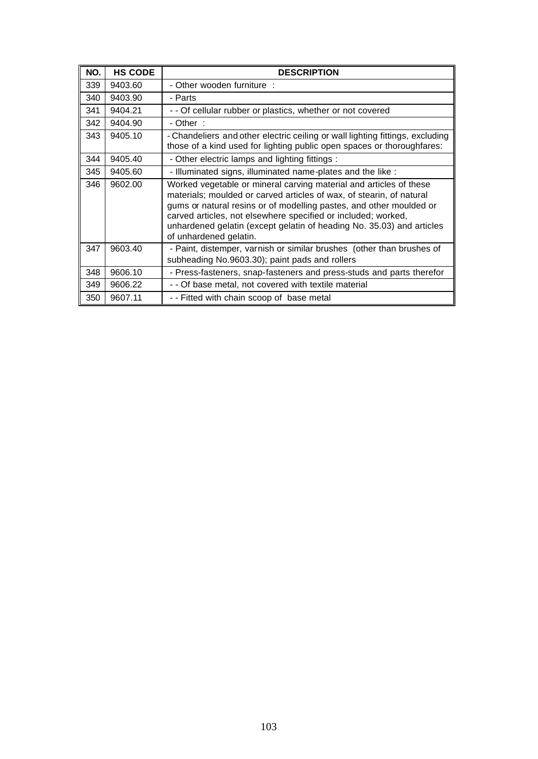| NO. | <b>HS CODE</b> | <b>DESCRIPTION</b>                                                                                                                                                                                                                                                                                                                                                                    |
|-----|----------------|---------------------------------------------------------------------------------------------------------------------------------------------------------------------------------------------------------------------------------------------------------------------------------------------------------------------------------------------------------------------------------------|
| 339 | 9403.60        | - Other wooden furniture :                                                                                                                                                                                                                                                                                                                                                            |
| 340 | 9403.90        | - Parts                                                                                                                                                                                                                                                                                                                                                                               |
| 341 | 9404.21        | - - Of cellular rubber or plastics, whether or not covered                                                                                                                                                                                                                                                                                                                            |
| 342 | 9404.90        | - Other :                                                                                                                                                                                                                                                                                                                                                                             |
| 343 | 9405.10        | - Chandeliers and other electric ceiling or wall lighting fittings, excluding<br>those of a kind used for lighting public open spaces or thoroughfares:                                                                                                                                                                                                                               |
| 344 | 9405.40        | - Other electric lamps and lighting fittings :                                                                                                                                                                                                                                                                                                                                        |
| 345 | 9405.60        | - Illuminated signs, illuminated name-plates and the like :                                                                                                                                                                                                                                                                                                                           |
| 346 | 9602.00        | Worked vegetable or mineral carving material and articles of these<br>materials; moulded or carved articles of wax, of stearin, of natural<br>gums or natural resins or of modelling pastes, and other moulded or<br>carved articles, not elsewhere specified or included; worked,<br>unhardened gelatin (except gelatin of heading No. 35.03) and articles<br>of unhardened gelatin. |
| 347 | 9603.40        | - Paint, distemper, varnish or similar brushes (other than brushes of<br>subheading No.9603.30); paint pads and rollers                                                                                                                                                                                                                                                               |
| 348 | 9606.10        | - Press-fasteners, snap-fasteners and press-studs and parts therefor                                                                                                                                                                                                                                                                                                                  |
| 349 | 9606.22        | - - Of base metal, not covered with textile material                                                                                                                                                                                                                                                                                                                                  |
| 350 | 9607.11        | -- Fitted with chain scoop of base metal                                                                                                                                                                                                                                                                                                                                              |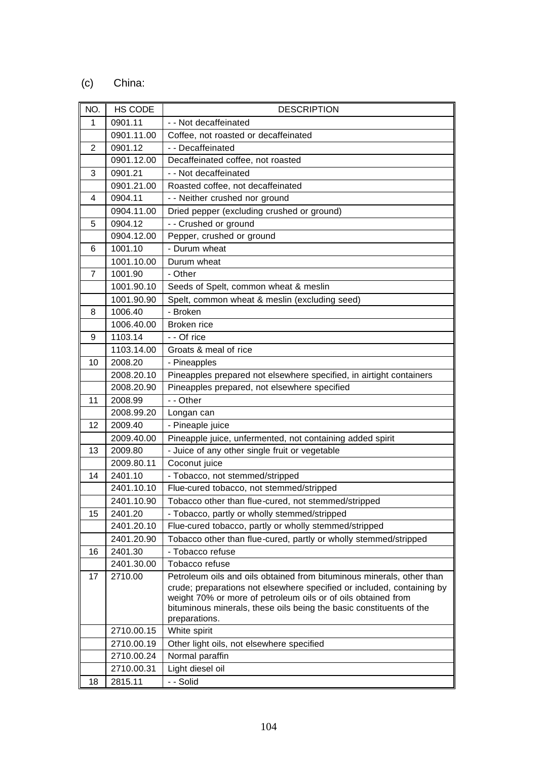## (c) China:

| NO.            | HS CODE    | <b>DESCRIPTION</b>                                                                                                                      |
|----------------|------------|-----------------------------------------------------------------------------------------------------------------------------------------|
| 1              | 0901.11    | - - Not decaffeinated                                                                                                                   |
|                | 0901.11.00 | Coffee, not roasted or decaffeinated                                                                                                    |
| $\overline{2}$ | 0901.12    | - - Decaffeinated                                                                                                                       |
|                | 0901.12.00 | Decaffeinated coffee, not roasted                                                                                                       |
| 3              | 0901.21    | - - Not decaffeinated                                                                                                                   |
|                | 0901.21.00 | Roasted coffee, not decaffeinated                                                                                                       |
| 4              | 0904.11    | - - Neither crushed nor ground                                                                                                          |
|                | 0904.11.00 | Dried pepper (excluding crushed or ground)                                                                                              |
| 5              | 0904.12    | - - Crushed or ground                                                                                                                   |
|                | 0904.12.00 | Pepper, crushed or ground                                                                                                               |
| 6              | 1001.10    | - Durum wheat                                                                                                                           |
|                | 1001.10.00 | Durum wheat                                                                                                                             |
| $\overline{7}$ | 1001.90    | - Other                                                                                                                                 |
|                | 1001.90.10 | Seeds of Spelt, common wheat & meslin                                                                                                   |
|                | 1001.90.90 | Spelt, common wheat & meslin (excluding seed)                                                                                           |
| 8              | 1006.40    | - Broken                                                                                                                                |
|                | 1006.40.00 | Broken rice                                                                                                                             |
| 9              | 1103.14    | - - Of rice                                                                                                                             |
|                | 1103.14.00 | Groats & meal of rice                                                                                                                   |
| 10             | 2008.20    | - Pineapples                                                                                                                            |
|                | 2008.20.10 | Pineapples prepared not elsewhere specified, in airtight containers                                                                     |
|                | 2008.20.90 | Pineapples prepared, not elsewhere specified                                                                                            |
| 11             | 2008.99    | - - Other                                                                                                                               |
|                | 2008.99.20 | Longan can                                                                                                                              |
| 12             | 2009.40    | - Pineaple juice                                                                                                                        |
|                | 2009.40.00 | Pineapple juice, unfermented, not containing added spirit                                                                               |
| 13             | 2009.80    | - Juice of any other single fruit or vegetable                                                                                          |
|                | 2009.80.11 | Coconut juice                                                                                                                           |
| 14             | 2401.10    | - Tobacco, not stemmed/stripped                                                                                                         |
|                | 2401.10.10 | Flue-cured tobacco, not stemmed/stripped                                                                                                |
|                | 2401.10.90 | Tobacco other than flue-cured, not stemmed/stripped                                                                                     |
| 15             | 2401.20    | - Tobacco, partly or wholly stemmed/stripped                                                                                            |
|                | 2401.20.10 | Flue-cured tobacco, partly or wholly stemmed/stripped                                                                                   |
|                | 2401.20.90 | Tobacco other than flue-cured, partly or wholly stemmed/stripped                                                                        |
| 16             | 2401.30    | - Tobacco refuse                                                                                                                        |
|                | 2401.30.00 | Tobacco refuse                                                                                                                          |
| 17             | 2710.00    | Petroleum oils and oils obtained from bituminous minerals, other than                                                                   |
|                |            | crude; preparations not elsewhere specified or included, containing by<br>weight 70% or more of petroleum oils or of oils obtained from |
|                |            | bituminous minerals, these oils being the basic constituents of the                                                                     |
|                |            | preparations.                                                                                                                           |
|                | 2710.00.15 | White spirit                                                                                                                            |
|                | 2710.00.19 | Other light oils, not elsewhere specified                                                                                               |
|                | 2710.00.24 | Normal paraffin                                                                                                                         |
|                | 2710.00.31 | Light diesel oil                                                                                                                        |
| 18             | 2815.11    | - - Solid                                                                                                                               |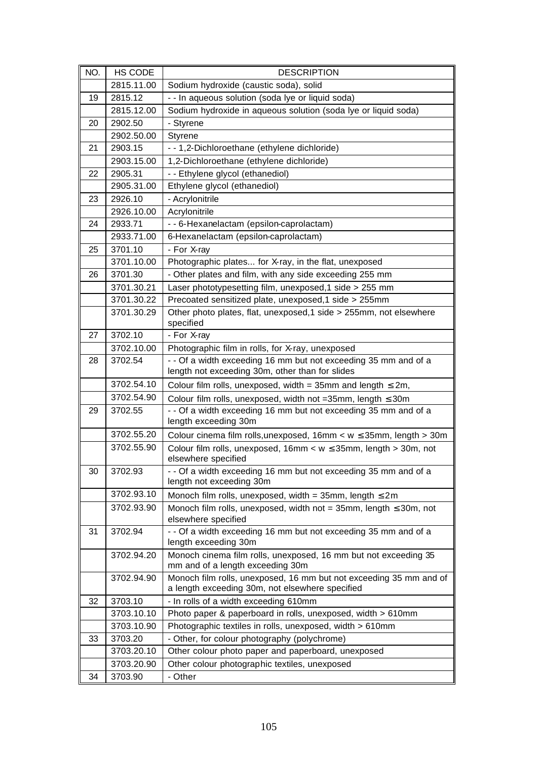| NO. | HS CODE    | <b>DESCRIPTION</b>                                                                                                    |
|-----|------------|-----------------------------------------------------------------------------------------------------------------------|
|     | 2815.11.00 | Sodium hydroxide (caustic soda), solid                                                                                |
| 19  | 2815.12    | - - In aqueous solution (soda lye or liquid soda)                                                                     |
|     | 2815.12.00 | Sodium hydroxide in aqueous solution (soda lye or liquid soda)                                                        |
| 20  | 2902.50    | - Styrene                                                                                                             |
|     | 2902.50.00 | Styrene                                                                                                               |
| 21  | 2903.15    | - - 1,2-Dichloroethane (ethylene dichloride)                                                                          |
|     | 2903.15.00 | 1,2-Dichloroethane (ethylene dichloride)                                                                              |
| 22  | 2905.31    | - - Ethylene glycol (ethanediol)                                                                                      |
|     | 2905.31.00 | Ethylene glycol (ethanediol)                                                                                          |
| 23  | 2926.10    | - Acrylonitrile                                                                                                       |
|     | 2926.10.00 | Acrylonitrile                                                                                                         |
| 24  | 2933.71    | - - 6-Hexanelactam (epsilon-caprolactam)                                                                              |
|     | 2933.71.00 | 6-Hexanelactam (epsilon-caprolactam)                                                                                  |
| 25  | 3701.10    | - For X-ray                                                                                                           |
|     | 3701.10.00 | Photographic plates for X-ray, in the flat, unexposed                                                                 |
| 26  | 3701.30    | - Other plates and film, with any side exceeding 255 mm                                                               |
|     | 3701.30.21 | Laser phototypesetting film, unexposed, 1 side > 255 mm                                                               |
|     | 3701.30.22 | Precoated sensitized plate, unexposed, 1 side > 255mm                                                                 |
|     | 3701.30.29 | Other photo plates, flat, unexposed, 1 side > 255mm, not elsewhere<br>specified                                       |
| 27  | 3702.10    | - For X-ray                                                                                                           |
|     | 3702.10.00 | Photographic film in rolls, for X-ray, unexposed                                                                      |
| 28  | 3702.54    | - - Of a width exceeding 16 mm but not exceeding 35 mm and of a<br>length not exceeding 30m, other than for slides    |
|     | 3702.54.10 | Colour film rolls, unexposed, width = 35mm and length $\leq 2m$ ,                                                     |
|     | 3702.54.90 | Colour film rolls, unexposed, width not = 35mm, length $\leq$ 30m                                                     |
| 29  | 3702.55    | - - Of a width exceeding 16 mm but not exceeding 35 mm and of a<br>length exceeding 30m                               |
|     | 3702.55.20 | Colour cinema film rolls, unexposed, 16mm < w ≤ 35mm, length > 30m                                                    |
|     | 3702.55.90 | Colour film rolls, unexposed, 16mm < w ≤ 35mm, length > 30m, not<br>elsewhere specified                               |
| 30  | 3702.93    | - - Of a width exceeding 16 mm but not exceeding 35 mm and of a<br>length not exceeding 30m                           |
|     | 3702.93.10 | Monoch film rolls, unexposed, width = $35$ mm, length $\leq 2$ m                                                      |
|     | 3702.93.90 | Monoch film rolls, unexposed, width not = $35$ mm, length $\leq 30$ m, not<br>elsewhere specified                     |
| 31  | 3702.94    | - - Of a width exceeding 16 mm but not exceeding 35 mm and of a<br>length exceeding 30m                               |
|     | 3702.94.20 | Monoch cinema film rolls, unexposed, 16 mm but not exceeding 35<br>mm and of a length exceeding 30m                   |
|     | 3702.94.90 | Monoch film rolls, unexposed, 16 mm but not exceeding 35 mm and of<br>a length exceeding 30m, not elsewhere specified |
| 32  | 3703.10    | - In rolls of a width exceeding 610mm                                                                                 |
|     | 3703.10.10 | Photo paper & paperboard in rolls, unexposed, width > 610mm                                                           |
|     | 3703.10.90 | Photographic textiles in rolls, unexposed, width > 610mm                                                              |
| 33  | 3703.20    | - Other, for colour photography (polychrome)                                                                          |
|     | 3703.20.10 | Other colour photo paper and paperboard, unexposed                                                                    |
|     | 3703.20.90 | Other colour photographic textiles, unexposed                                                                         |
| 34  | 3703.90    | - Other                                                                                                               |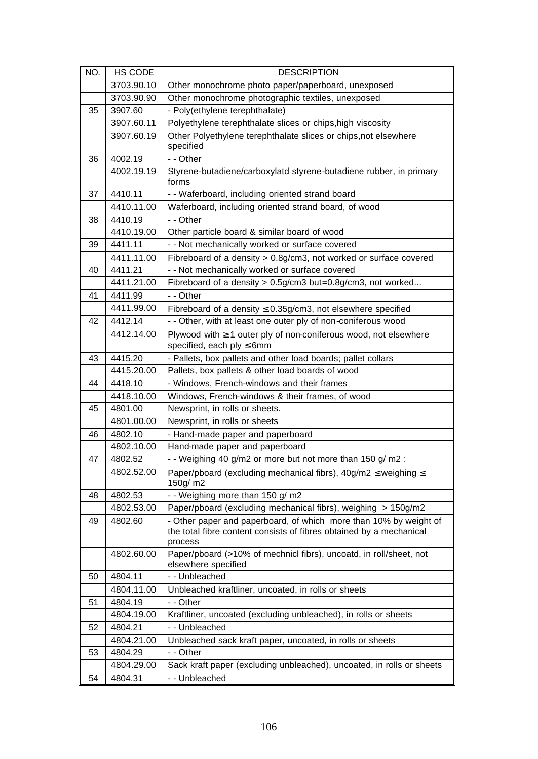| NO. | <b>HS CODE</b> | <b>DESCRIPTION</b>                                                                   |
|-----|----------------|--------------------------------------------------------------------------------------|
|     | 3703.90.10     | Other monochrome photo paper/paperboard, unexposed                                   |
|     | 3703.90.90     | Other monochrome photographic textiles, unexposed                                    |
| 35  | 3907.60        | - Poly(ethylene terephthalate)                                                       |
|     | 3907.60.11     | Polyethylene terephthalate slices or chips, high viscosity                           |
|     | 3907.60.19     | Other Polyethylene terephthalate slices or chips, not elsewhere                      |
|     |                | specified                                                                            |
| 36  | 4002.19        | - - Other                                                                            |
|     | 4002.19.19     | Styrene-butadiene/carboxylatd styrene-butadiene rubber, in primary<br>forms          |
| 37  | 4410.11        | - - Waferboard, including oriented strand board                                      |
|     | 4410.11.00     | Waferboard, including oriented strand board, of wood                                 |
| 38  | 4410.19        | - - Other                                                                            |
|     | 4410.19.00     | Other particle board & similar board of wood                                         |
| 39  | 4411.11        | - - Not mechanically worked or surface covered                                       |
|     | 4411.11.00     | Fibreboard of a density > 0.8g/cm3, not worked or surface covered                    |
| 40  | 4411.21        | - - Not mechanically worked or surface covered                                       |
|     | 4411.21.00     | Fibreboard of a density > 0.5g/cm3 but=0.8g/cm3, not worked                          |
| 41  | 4411.99        | - - Other                                                                            |
|     | 4411.99.00     | Fibreboard of a density $\leq$ 0.35g/cm3, not elsewhere specified                    |
| 42  | 4412.14        | - - Other, with at least one outer ply of non-coniferous wood                        |
|     | 4412.14.00     | Plywood with $\geq 1$ outer ply of non-coniferous wood, not elsewhere                |
|     |                | specified, each $ply \le 6$ mm                                                       |
| 43  | 4415.20        | - Pallets, box pallets and other load boards; pallet collars                         |
|     | 4415.20.00     | Pallets, box pallets & other load boards of wood                                     |
| 44  | 4418.10        | - Windows, French-windows and their frames                                           |
|     | 4418.10.00     | Windows, French-windows & their frames, of wood                                      |
| 45  | 4801.00        | Newsprint, in rolls or sheets.                                                       |
|     | 4801.00.00     | Newsprint, in rolls or sheets                                                        |
| 46  | 4802.10        | - Hand-made paper and paperboard                                                     |
|     | 4802.10.00     | Hand-made paper and paperboard                                                       |
| 47  | 4802.52        | - - Weighing 40 g/m2 or more but not more than 150 g/m2 :                            |
|     | 4802.52.00     | Paper/pboard (excluding mechanical fibrs), $40g/m2 \leq$ weighing $\leq$<br>150g/ m2 |
| 48  | 4802.53        | - - Weighing more than 150 g/ m2                                                     |
|     | 4802.53.00     | Paper/pboard (excluding mechanical fibrs), weighing > 150g/m2                        |
| 49  | 4802.60        | - Other paper and paperboard, of which more than 10% by weight of                    |
|     |                | the total fibre content consists of fibres obtained by a mechanical                  |
|     |                | process                                                                              |
|     | 4802.60.00     | Paper/pboard (>10% of mechnicl fibrs), uncoatd, in roll/sheet, not                   |
|     |                | elsewhere specified                                                                  |
| 50  | 4804.11        | - - Unbleached                                                                       |
|     | 4804.11.00     | Unbleached kraftliner, uncoated, in rolls or sheets                                  |
| 51  | 4804.19        | - - Other                                                                            |
|     | 4804.19.00     | Kraftliner, uncoated (excluding unbleached), in rolls or sheets                      |
| 52  | 4804.21        | - - Unbleached                                                                       |
|     | 4804.21.00     | Unbleached sack kraft paper, uncoated, in rolls or sheets                            |
| 53  | 4804.29        | - - Other                                                                            |
|     | 4804.29.00     | Sack kraft paper (excluding unbleached), uncoated, in rolls or sheets                |
| 54  | 4804.31        | - - Unbleached                                                                       |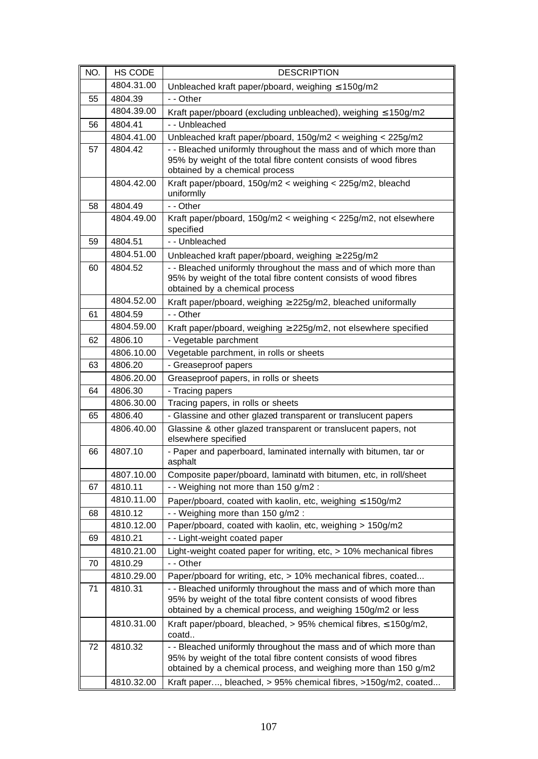| NO. | HS CODE    | <b>DESCRIPTION</b>                                                                                                                                                                                       |
|-----|------------|----------------------------------------------------------------------------------------------------------------------------------------------------------------------------------------------------------|
|     | 4804.31.00 | Unbleached kraft paper/pboard, weighing $\leq 150$ g/m2                                                                                                                                                  |
| 55  | 4804.39    | - - Other                                                                                                                                                                                                |
|     | 4804.39.00 | Kraft paper/pboard (excluding unbleached), weighing $\leq 150$ g/m2                                                                                                                                      |
| 56  | 4804.41    | - - Unbleached                                                                                                                                                                                           |
|     | 4804.41.00 | Unbleached kraft paper/pboard, 150g/m2 < weighing < 225g/m2                                                                                                                                              |
| 57  | 4804.42    | - - Bleached uniformly throughout the mass and of which more than<br>95% by weight of the total fibre content consists of wood fibres<br>obtained by a chemical process                                  |
|     | 4804.42.00 | Kraft paper/pboard, 150g/m2 < weighing < 225g/m2, bleachd<br>uniformlly                                                                                                                                  |
| 58  | 4804.49    | - - Other                                                                                                                                                                                                |
|     | 4804.49.00 | Kraft paper/pboard, 150g/m2 < weighing < 225g/m2, not elsewhere<br>specified                                                                                                                             |
| 59  | 4804.51    | - - Unbleached                                                                                                                                                                                           |
|     | 4804.51.00 | Unbleached kraft paper/pboard, weighing $\geq$ 225g/m2                                                                                                                                                   |
| 60  | 4804.52    | - - Bleached uniformly throughout the mass and of which more than<br>95% by weight of the total fibre content consists of wood fibres<br>obtained by a chemical process                                  |
|     | 4804.52.00 | Kraft paper/pboard, weighing ≥ 225g/m2, bleached uniformally                                                                                                                                             |
| 61  | 4804.59    | - - Other                                                                                                                                                                                                |
|     | 4804.59.00 | Kraft paper/pboard, weighing $\geq$ 225g/m2, not elsewhere specified                                                                                                                                     |
| 62  | 4806.10    | - Vegetable parchment                                                                                                                                                                                    |
|     | 4806.10.00 | Vegetable parchment, in rolls or sheets                                                                                                                                                                  |
| 63  | 4806.20    | - Greaseproof papers                                                                                                                                                                                     |
|     | 4806.20.00 | Greaseproof papers, in rolls or sheets                                                                                                                                                                   |
| 64  | 4806.30    | - Tracing papers                                                                                                                                                                                         |
|     | 4806.30.00 | Tracing papers, in rolls or sheets                                                                                                                                                                       |
| 65  | 4806.40    | - Glassine and other glazed transparent or translucent papers                                                                                                                                            |
|     | 4806.40.00 | Glassine & other glazed transparent or translucent papers, not<br>elsewhere specified                                                                                                                    |
| 66  | 4807.10    | - Paper and paperboard, laminated internally with bitumen, tar or<br>asphalt                                                                                                                             |
|     | 4807.10.00 | Composite paper/pboard, laminatd with bitumen, etc, in roll/sheet                                                                                                                                        |
| 67  | 4810.11    | - - Weighing not more than 150 g/m2 :                                                                                                                                                                    |
|     | 4810.11.00 | Paper/pboard, coated with kaolin, etc, weighing $\leq 150$ g/m2                                                                                                                                          |
| 68  | 4810.12    | - - Weighing more than 150 g/m2 :                                                                                                                                                                        |
|     | 4810.12.00 | Paper/pboard, coated with kaolin, etc, weighing > 150g/m2                                                                                                                                                |
| 69  | 4810.21    | - - Light-weight coated paper                                                                                                                                                                            |
|     | 4810.21.00 | Light-weight coated paper for writing, etc, > 10% mechanical fibres                                                                                                                                      |
| 70  | 4810.29    | - - Other                                                                                                                                                                                                |
|     | 4810.29.00 | Paper/pboard for writing, etc, > 10% mechanical fibres, coated                                                                                                                                           |
| 71  | 4810.31    | - - Bleached uniformly throughout the mass and of which more than<br>95% by weight of the total fibre content consists of wood fibres<br>obtained by a chemical process, and weighing 150g/m2 or less    |
|     | 4810.31.00 | Kraft paper/pboard, bleached, $> 95\%$ chemical fibres, $\leq 150$ g/m2,<br>coatd                                                                                                                        |
| 72  | 4810.32    | - - Bleached uniformly throughout the mass and of which more than<br>95% by weight of the total fibre content consists of wood fibres<br>obtained by a chemical process, and weighing more than 150 g/m2 |
|     | 4810.32.00 | Kraft paper, bleached, > 95% chemical fibres, >150g/m2, coated                                                                                                                                           |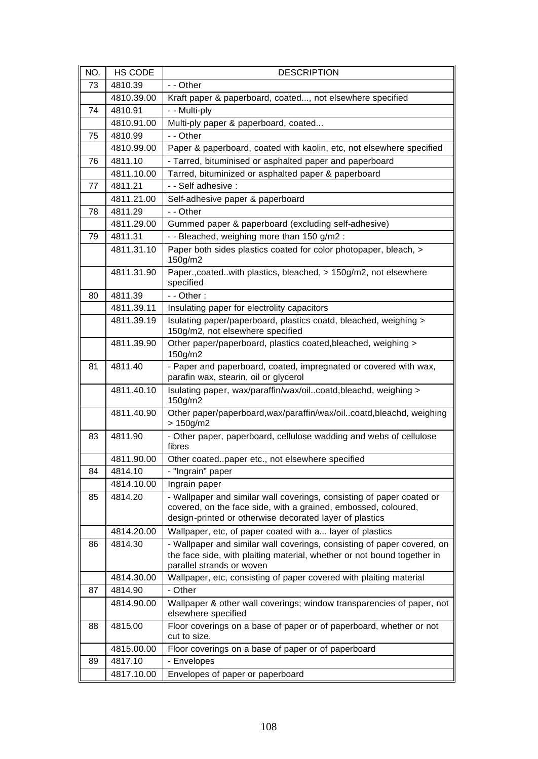| NO. | HS CODE    | <b>DESCRIPTION</b>                                                                                                                                                                                 |
|-----|------------|----------------------------------------------------------------------------------------------------------------------------------------------------------------------------------------------------|
| 73  | 4810.39    | - - Other                                                                                                                                                                                          |
|     | 4810.39.00 | Kraft paper & paperboard, coated, not elsewhere specified                                                                                                                                          |
| 74  | 4810.91    | - - Multi-ply                                                                                                                                                                                      |
|     | 4810.91.00 | Multi-ply paper & paperboard, coated                                                                                                                                                               |
| 75  | 4810.99    | - - Other                                                                                                                                                                                          |
|     | 4810.99.00 | Paper & paperboard, coated with kaolin, etc, not elsewhere specified                                                                                                                               |
| 76  | 4811.10    | - Tarred, bituminised or asphalted paper and paperboard                                                                                                                                            |
|     | 4811.10.00 | Tarred, bituminized or asphalted paper & paperboard                                                                                                                                                |
| 77  | 4811.21    | - - Self adhesive :                                                                                                                                                                                |
|     | 4811.21.00 | Self-adhesive paper & paperboard                                                                                                                                                                   |
| 78  | 4811.29    | - - Other                                                                                                                                                                                          |
|     | 4811.29.00 | Gummed paper & paperboard (excluding self-adhesive)                                                                                                                                                |
| 79  | 4811.31    | - - Bleached, weighing more than 150 g/m2 :                                                                                                                                                        |
|     | 4811.31.10 | Paper both sides plastics coated for color photopaper, bleach, ><br>150g/m2                                                                                                                        |
|     | 4811.31.90 | Paper., coated. with plastics, bleached, > 150g/m2, not elsewhere<br>specified                                                                                                                     |
| 80  | 4811.39    | $-$ - Other :                                                                                                                                                                                      |
|     | 4811.39.11 | Insulating paper for electrolity capacitors                                                                                                                                                        |
|     | 4811.39.19 | Isulating paper/paperboard, plastics coatd, bleached, weighing ><br>150g/m2, not elsewhere specified                                                                                               |
|     | 4811.39.90 | Other paper/paperboard, plastics coated, bleached, weighing ><br>150g/m2                                                                                                                           |
| 81  | 4811.40    | - Paper and paperboard, coated, impregnated or covered with wax,<br>parafin wax, stearin, oil or glycerol                                                                                          |
|     | 4811.40.10 | Isulating paper, wax/paraffin/wax/oilcoatd,bleachd, weighing ><br>150g/m2                                                                                                                          |
|     | 4811.40.90 | Other paper/paperboard, wax/paraffin/wax/oilcoatd, bleachd, weighing<br>$> 150$ g/m2                                                                                                               |
| 83  | 4811.90    | - Other paper, paperboard, cellulose wadding and webs of cellulose<br>fibres                                                                                                                       |
|     | 4811.90.00 | Other coatedpaper etc., not elsewhere specified                                                                                                                                                    |
| 84  | 4814.10    | - "Ingrain" paper                                                                                                                                                                                  |
|     | 4814.10.00 | Ingrain paper                                                                                                                                                                                      |
| 85  | 4814.20    | - Wallpaper and similar wall coverings, consisting of paper coated or<br>covered, on the face side, with a grained, embossed, coloured,<br>design-printed or otherwise decorated layer of plastics |
|     | 4814.20.00 | Wallpaper, etc, of paper coated with a layer of plastics                                                                                                                                           |
| 86  | 4814.30    | - Wallpaper and similar wall coverings, consisting of paper covered, on<br>the face side, with plaiting material, whether or not bound together in<br>parallel strands or woven                    |
|     | 4814.30.00 | Wallpaper, etc, consisting of paper covered with plaiting material                                                                                                                                 |
| 87  | 4814.90    | - Other                                                                                                                                                                                            |
|     | 4814.90.00 | Wallpaper & other wall coverings; window transparencies of paper, not<br>elsewhere specified                                                                                                       |
| 88  | 4815.00    | Floor coverings on a base of paper or of paperboard, whether or not<br>cut to size.                                                                                                                |
|     | 4815.00.00 | Floor coverings on a base of paper or of paperboard                                                                                                                                                |
| 89  | 4817.10    | - Envelopes                                                                                                                                                                                        |
|     | 4817.10.00 | Envelopes of paper or paperboard                                                                                                                                                                   |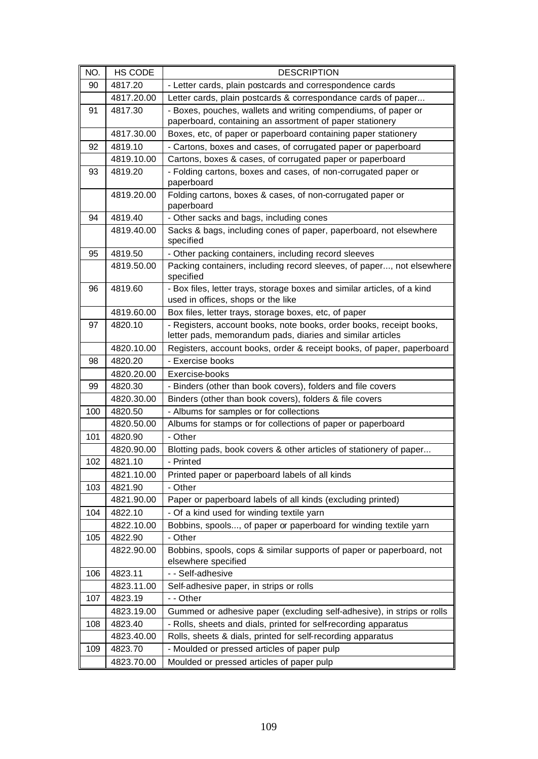| NO. | HS CODE    | <b>DESCRIPTION</b>                                                                                                                |
|-----|------------|-----------------------------------------------------------------------------------------------------------------------------------|
| 90  | 4817.20    | - Letter cards, plain postcards and correspondence cards                                                                          |
|     | 4817.20.00 | Letter cards, plain postcards & correspondance cards of paper                                                                     |
| 91  | 4817.30    | - Boxes, pouches, wallets and writing compendiums, of paper or                                                                    |
|     |            | paperboard, containing an assortment of paper stationery                                                                          |
|     | 4817.30.00 | Boxes, etc, of paper or paperboard containing paper stationery                                                                    |
| 92  | 4819.10    | - Cartons, boxes and cases, of corrugated paper or paperboard                                                                     |
|     | 4819.10.00 | Cartons, boxes & cases, of corrugated paper or paperboard                                                                         |
| 93  | 4819.20    | - Folding cartons, boxes and cases, of non-corrugated paper or<br>paperboard                                                      |
|     | 4819.20.00 | Folding cartons, boxes & cases, of non-corrugated paper or<br>paperboard                                                          |
| 94  | 4819.40    | - Other sacks and bags, including cones                                                                                           |
|     | 4819.40.00 | Sacks & bags, including cones of paper, paperboard, not elsewhere<br>specified                                                    |
| 95  | 4819.50    | - Other packing containers, including record sleeves                                                                              |
|     | 4819.50.00 | Packing containers, including record sleeves, of paper, not elsewhere<br>specified                                                |
| 96  | 4819.60    | - Box files, letter trays, storage boxes and similar articles, of a kind<br>used in offices, shops or the like                    |
|     | 4819.60.00 | Box files, letter trays, storage boxes, etc, of paper                                                                             |
| 97  | 4820.10    | - Registers, account books, note books, order books, receipt books,<br>letter pads, memorandum pads, diaries and similar articles |
|     | 4820.10.00 | Registers, account books, order & receipt books, of paper, paperboard                                                             |
| 98  | 4820.20    | - Exercise books                                                                                                                  |
|     | 4820.20.00 | Exercise-books                                                                                                                    |
| 99  | 4820.30    | - Binders (other than book covers), folders and file covers                                                                       |
|     | 4820.30.00 | Binders (other than book covers), folders & file covers                                                                           |
| 100 | 4820.50    | - Albums for samples or for collections                                                                                           |
|     | 4820.50.00 | Albums for stamps or for collections of paper or paperboard                                                                       |
| 101 | 4820.90    | - Other                                                                                                                           |
|     | 4820.90.00 | Blotting pads, book covers & other articles of stationery of paper                                                                |
| 102 | 4821.10    | - Printed                                                                                                                         |
|     | 4821.10.00 | Printed paper or paperboard labels of all kinds                                                                                   |
| 103 | 4821.90    | - Other                                                                                                                           |
|     | 4821.90.00 | Paper or paperboard labels of all kinds (excluding printed)                                                                       |
| 104 | 4822.10    | - Of a kind used for winding textile yarn                                                                                         |
|     | 4822.10.00 | Bobbins, spools, of paper or paperboard for winding textile yarn                                                                  |
| 105 | 4822.90    | - Other                                                                                                                           |
|     | 4822.90.00 | Bobbins, spools, cops & similar supports of paper or paperboard, not<br>elsewhere specified                                       |
| 106 | 4823.11    | - - Self-adhesive                                                                                                                 |
|     | 4823.11.00 | Self-adhesive paper, in strips or rolls                                                                                           |
| 107 | 4823.19    | - - Other                                                                                                                         |
|     | 4823.19.00 | Gummed or adhesive paper (excluding self-adhesive), in strips or rolls                                                            |
| 108 | 4823.40    | - Rolls, sheets and dials, printed for self-recording apparatus                                                                   |
|     | 4823.40.00 | Rolls, sheets & dials, printed for self-recording apparatus                                                                       |
| 109 | 4823.70    | - Moulded or pressed articles of paper pulp                                                                                       |
|     | 4823.70.00 | Moulded or pressed articles of paper pulp                                                                                         |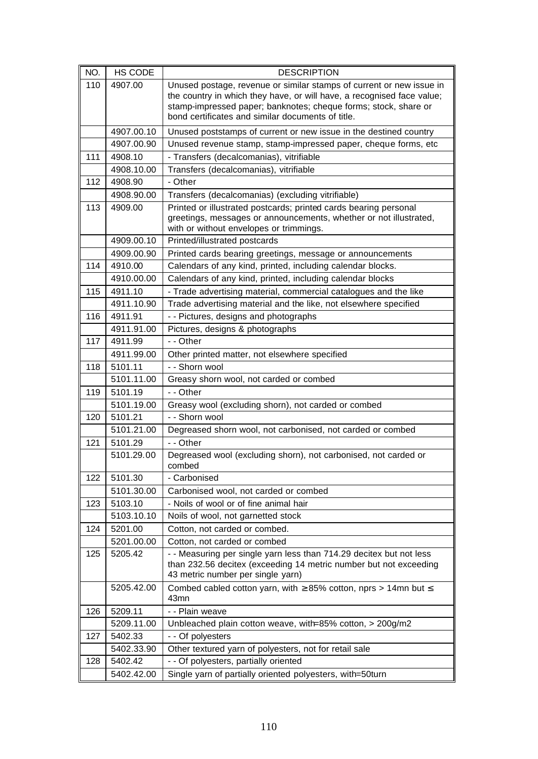| NO. | <b>HS CODE</b> | <b>DESCRIPTION</b>                                                                                                                                                                                                                                                     |
|-----|----------------|------------------------------------------------------------------------------------------------------------------------------------------------------------------------------------------------------------------------------------------------------------------------|
| 110 | 4907.00        | Unused postage, revenue or similar stamps of current or new issue in<br>the country in which they have, or will have, a recognised face value;<br>stamp-impressed paper; banknotes; cheque forms; stock, share or<br>bond certificates and similar documents of title. |
|     | 4907.00.10     | Unused poststamps of current or new issue in the destined country                                                                                                                                                                                                      |
|     | 4907.00.90     | Unused revenue stamp, stamp-impressed paper, cheque forms, etc                                                                                                                                                                                                         |
| 111 | 4908.10        | - Transfers (decalcomanias), vitrifiable                                                                                                                                                                                                                               |
|     | 4908.10.00     | Transfers (decalcomanias), vitrifiable                                                                                                                                                                                                                                 |
| 112 | 4908.90        | - Other                                                                                                                                                                                                                                                                |
|     | 4908.90.00     | Transfers (decalcomanias) (excluding vitrifiable)                                                                                                                                                                                                                      |
| 113 | 4909.00        | Printed or illustrated postcards; printed cards bearing personal<br>greetings, messages or announcements, whether or not illustrated,<br>with or without envelopes or trimmings.                                                                                       |
|     | 4909.00.10     | Printed/illustrated postcards                                                                                                                                                                                                                                          |
|     | 4909.00.90     | Printed cards bearing greetings, message or announcements                                                                                                                                                                                                              |
| 114 | 4910.00        | Calendars of any kind, printed, including calendar blocks.                                                                                                                                                                                                             |
|     | 4910.00.00     | Calendars of any kind, printed, including calendar blocks                                                                                                                                                                                                              |
| 115 | 4911.10        | - Trade advertising material, commercial catalogues and the like                                                                                                                                                                                                       |
|     | 4911.10.90     | Trade advertising material and the like, not elsewhere specified                                                                                                                                                                                                       |
| 116 | 4911.91        | - - Pictures, designs and photographs                                                                                                                                                                                                                                  |
|     | 4911.91.00     | Pictures, designs & photographs                                                                                                                                                                                                                                        |
| 117 | 4911.99        | - - Other                                                                                                                                                                                                                                                              |
|     | 4911.99.00     | Other printed matter, not elsewhere specified                                                                                                                                                                                                                          |
| 118 | 5101.11        | - - Shorn wool                                                                                                                                                                                                                                                         |
|     | 5101.11.00     | Greasy shorn wool, not carded or combed                                                                                                                                                                                                                                |
| 119 | 5101.19        | - - Other                                                                                                                                                                                                                                                              |
|     | 5101.19.00     | Greasy wool (excluding shorn), not carded or combed                                                                                                                                                                                                                    |
| 120 | 5101.21        | - - Shorn wool                                                                                                                                                                                                                                                         |
|     | 5101.21.00     | Degreased shorn wool, not carbonised, not carded or combed                                                                                                                                                                                                             |
| 121 | 5101.29        | - - Other                                                                                                                                                                                                                                                              |
|     | 5101.29.00     | Degreased wool (excluding shorn), not carbonised, not carded or<br>combed                                                                                                                                                                                              |
| 122 | 5101.30        | - Carbonised                                                                                                                                                                                                                                                           |
|     | 5101.30.00     | Carbonised wool, not carded or combed                                                                                                                                                                                                                                  |
| 123 | 5103.10        | - Noils of wool or of fine animal hair                                                                                                                                                                                                                                 |
|     | 5103.10.10     | Noils of wool, not garnetted stock                                                                                                                                                                                                                                     |
| 124 | 5201.00        | Cotton, not carded or combed.                                                                                                                                                                                                                                          |
|     | 5201.00.00     | Cotton, not carded or combed                                                                                                                                                                                                                                           |
| 125 | 5205.42        | - - Measuring per single yarn less than 714.29 decitex but not less<br>than 232.56 decitex (exceeding 14 metric number but not exceeding<br>43 metric number per single yarn)                                                                                          |
|     | 5205.42.00     | Combed cabled cotton yarn, with $\geq$ 85% cotton, nprs > 14mn but $\leq$<br>43mn                                                                                                                                                                                      |
| 126 | 5209.11        | - - Plain weave                                                                                                                                                                                                                                                        |
|     | 5209.11.00     | Unbleached plain cotton weave, with=85% cotton, $>$ 200g/m2                                                                                                                                                                                                            |
| 127 | 5402.33        | - - Of polyesters                                                                                                                                                                                                                                                      |
|     | 5402.33.90     | Other textured yarn of polyesters, not for retail sale                                                                                                                                                                                                                 |
| 128 | 5402.42        | - - Of polyesters, partially oriented                                                                                                                                                                                                                                  |
|     | 5402.42.00     | Single yarn of partially oriented polyesters, with=50turn                                                                                                                                                                                                              |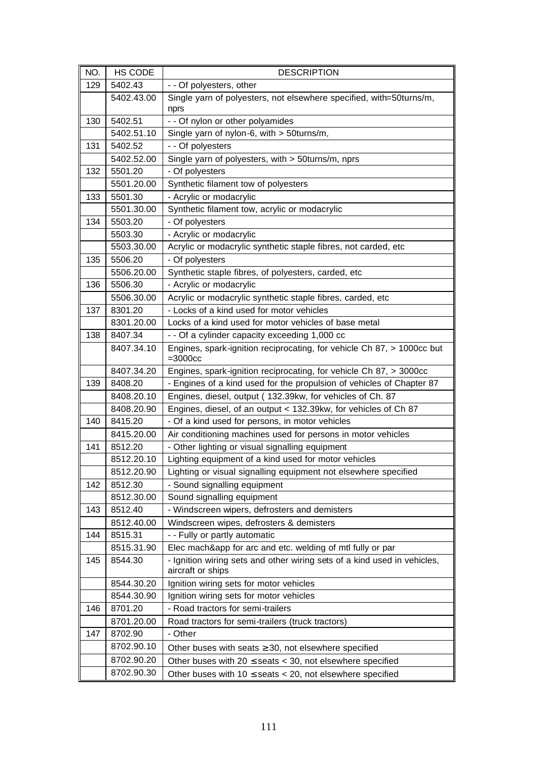| NO. | HS CODE    | <b>DESCRIPTION</b>                                                                            |
|-----|------------|-----------------------------------------------------------------------------------------------|
| 129 | 5402.43    | - - Of polyesters, other                                                                      |
|     | 5402.43.00 | Single yarn of polyesters, not elsewhere specified, with=50turns/m,<br>nprs                   |
| 130 | 5402.51    | - - Of nylon or other polyamides                                                              |
|     | 5402.51.10 | Single yarn of nylon-6, with > 50turns/m,                                                     |
| 131 | 5402.52    | - - Of polyesters                                                                             |
|     | 5402.52.00 | Single yarn of polyesters, with > 50turns/m, nprs                                             |
| 132 | 5501.20    | - Of polyesters                                                                               |
|     | 5501.20.00 | Synthetic filament tow of polyesters                                                          |
| 133 | 5501.30    | - Acrylic or modacrylic                                                                       |
|     | 5501.30.00 | Synthetic filament tow, acrylic or modacrylic                                                 |
| 134 | 5503.20    | - Of polyesters                                                                               |
|     | 5503.30    | - Acrylic or modacrylic                                                                       |
|     | 5503.30.00 | Acrylic or modacrylic synthetic staple fibres, not carded, etc                                |
| 135 | 5506.20    | - Of polyesters                                                                               |
|     | 5506.20.00 | Synthetic staple fibres, of polyesters, carded, etc                                           |
| 136 | 5506.30    | - Acrylic or modacrylic                                                                       |
|     | 5506.30.00 | Acrylic or modacrylic synthetic staple fibres, carded, etc                                    |
| 137 | 8301.20    | - Locks of a kind used for motor vehicles                                                     |
|     | 8301.20.00 | Locks of a kind used for motor vehicles of base metal                                         |
| 138 | 8407.34    | - - Of a cylinder capacity exceeding 1,000 cc                                                 |
|     | 8407.34.10 | Engines, spark-ignition reciprocating, for vehicle Ch 87, > 1000cc but<br>$=3000cc$           |
|     | 8407.34.20 | Engines, spark-ignition reciprocating, for vehicle Ch 87, > 3000cc                            |
| 139 | 8408.20    | - Engines of a kind used for the propulsion of vehicles of Chapter 87                         |
|     | 8408.20.10 | Engines, diesel, output (132.39kw, for vehicles of Ch. 87                                     |
|     | 8408.20.90 | Engines, diesel, of an output < 132.39kw, for vehicles of Ch 87                               |
| 140 | 8415.20    | - Of a kind used for persons, in motor vehicles                                               |
|     | 8415.20.00 | Air conditioning machines used for persons in motor vehicles                                  |
| 141 | 8512.20    | - Other lighting or visual signalling equipment                                               |
|     | 8512.20.10 | Lighting equipment of a kind used for motor vehicles                                          |
|     | 8512.20.90 | Lighting or visual signalling equipment not elsewhere specified                               |
| 142 | 8512.30    | - Sound signalling equipment                                                                  |
|     | 8512.30.00 | Sound signalling equipment                                                                    |
| 143 | 8512.40    | - Windscreen wipers, defrosters and demisters                                                 |
|     | 8512.40.00 | Windscreen wipes, defrosters & demisters                                                      |
| 144 | 8515.31    | - - Fully or partly automatic                                                                 |
|     | 8515.31.90 | Elec mach&app for arc and etc. welding of mtl fully or par                                    |
| 145 | 8544.30    | - Ignition wiring sets and other wiring sets of a kind used in vehicles,<br>aircraft or ships |
|     | 8544.30.20 | Ignition wiring sets for motor vehicles                                                       |
|     | 8544.30.90 | Ignition wiring sets for motor vehicles                                                       |
| 146 | 8701.20    | - Road tractors for semi-trailers                                                             |
|     | 8701.20.00 | Road tractors for semi-trailers (truck tractors)                                              |
| 147 | 8702.90    | - Other                                                                                       |
|     | 8702.90.10 | Other buses with seats $\geq$ 30, not elsewhere specified                                     |
|     | 8702.90.20 | Other buses with 20 $\le$ seats $<$ 30, not elsewhere specified                               |
|     | 8702.90.30 | Other buses with $10 \leq$ seats $<$ 20, not elsewhere specified                              |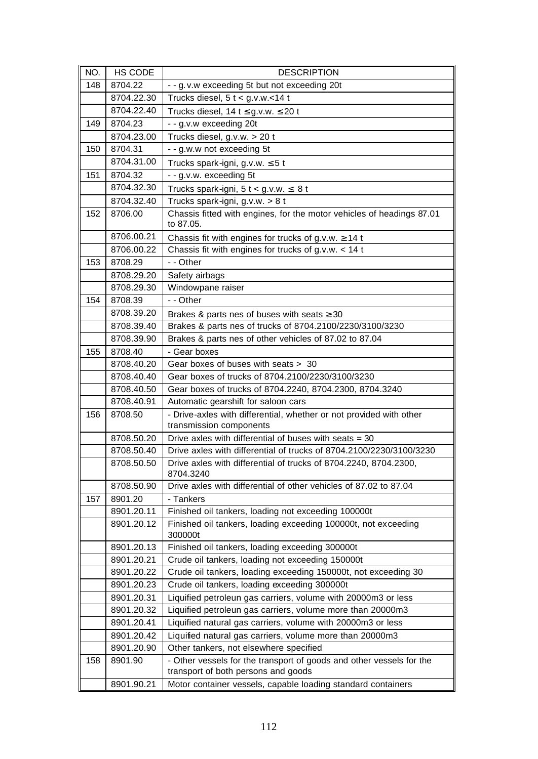| NO. | HS CODE    | <b>DESCRIPTION</b>                                                            |
|-----|------------|-------------------------------------------------------------------------------|
| 148 | 8704.22    | - - g. v.w exceeding 5t but not exceeding 20t                                 |
|     | 8704.22.30 | Trucks diesel, $5t < g.v.w.<14t$                                              |
|     | 8704.22.40 | Trucks diesel, 14 t $\leq$ g.v.w. $\leq$ 20 t                                 |
| 149 | 8704.23    | - - g.v.w exceeding 20t                                                       |
|     | 8704.23.00 | Trucks diesel, g.v.w. > 20 t                                                  |
| 150 | 8704.31    | - - g.w.w not exceeding 5t                                                    |
|     | 8704.31.00 | Trucks spark-igni, g.v.w. $\leq 5$ t                                          |
| 151 | 8704.32    | - - g.v.w. exceeding 5t                                                       |
|     | 8704.32.30 | Trucks spark-igni, $5 t < g.v.w. \leq 8 t$                                    |
|     | 8704.32.40 | Trucks spark-igni, g.v.w. > 8 t                                               |
| 152 | 8706.00    | Chassis fitted with engines, for the motor vehicles of headings 87.01         |
|     |            | to 87.05.                                                                     |
|     | 8706.00.21 | Chassis fit with engines for trucks of g.v.w. $\geq$ 14 t                     |
|     | 8706.00.22 | Chassis fit with engines for trucks of $g.v.w. < 14$ t                        |
| 153 | 8708.29    | - - Other                                                                     |
|     | 8708.29.20 | Safety airbags                                                                |
|     | 8708.29.30 | Windowpane raiser                                                             |
| 154 | 8708.39    | - - Other                                                                     |
|     | 8708.39.20 | Brakes & parts nes of buses with seats $\geq 30$                              |
|     | 8708.39.40 | Brakes & parts nes of trucks of 8704.2100/2230/3100/3230                      |
|     | 8708.39.90 | Brakes & parts nes of other vehicles of 87.02 to 87.04                        |
| 155 | 8708.40    | - Gear boxes                                                                  |
|     | 8708.40.20 | Gear boxes of buses with seats > 30                                           |
|     | 8708.40.40 | Gear boxes of trucks of 8704.2100/2230/3100/3230                              |
|     | 8708.40.50 | Gear boxes of trucks of 8704.2240, 8704.2300, 8704.3240                       |
|     | 8708.40.91 | Automatic gearshift for saloon cars                                           |
| 156 | 8708.50    | - Drive-axles with differential, whether or not provided with other           |
|     |            | transmission components                                                       |
|     | 8708.50.20 | Drive axles with differential of buses with seats = 30                        |
|     | 8708.50.40 | Drive axles with differential of trucks of 8704.2100/2230/3100/3230           |
|     | 8708.50.50 | Drive axles with differential of trucks of 8704.2240, 8704.2300,<br>8704.3240 |
|     | 8708.50.90 | Drive axles with differential of other vehicles of 87.02 to 87.04             |
| 157 | 8901.20    | - Tankers                                                                     |
|     | 8901.20.11 | Finished oil tankers, loading not exceeding 100000t                           |
|     | 8901.20.12 | Finished oil tankers, loading exceeding 100000t, not exceeding<br>300000t     |
|     | 8901.20.13 | Finished oil tankers, loading exceeding 300000t                               |
|     | 8901.20.21 | Crude oil tankers, loading not exceeding 150000t                              |
|     | 8901.20.22 | Crude oil tankers, loading exceeding 150000t, not exceeding 30                |
|     | 8901.20.23 | Crude oil tankers, loading exceeding 300000t                                  |
|     | 8901.20.31 | Liquified petroleun gas carriers, volume with 20000m3 or less                 |
|     | 8901.20.32 | Liquified petroleun gas carriers, volume more than 20000m3                    |
|     | 8901.20.41 | Liquified natural gas carriers, volume with 20000m3 or less                   |
|     | 8901.20.42 | Liquified natural gas carriers, volume more than 20000m3                      |
|     | 8901.20.90 | Other tankers, not elsewhere specified                                        |
| 158 | 8901.90    | - Other vessels for the transport of goods and other vessels for the          |
|     |            | transport of both persons and goods                                           |
|     | 8901.90.21 | Motor container vessels, capable loading standard containers                  |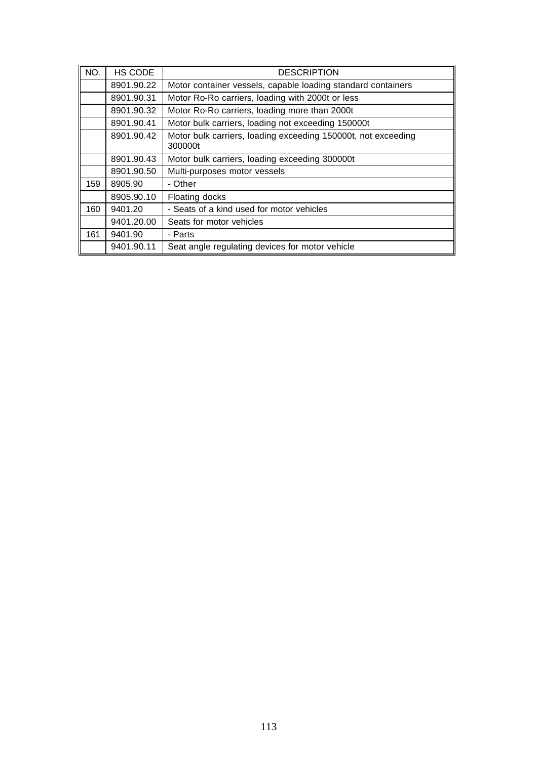| NO. | HS CODE    | <b>DESCRIPTION</b>                                                       |
|-----|------------|--------------------------------------------------------------------------|
|     | 8901.90.22 | Motor container vessels, capable loading standard containers             |
|     | 8901.90.31 | Motor Ro-Ro carriers, loading with 2000t or less                         |
|     | 8901.90.32 | Motor Ro-Ro carriers, loading more than 2000t                            |
|     | 8901.90.41 | Motor bulk carriers, loading not exceeding 150000t                       |
|     | 8901.90.42 | Motor bulk carriers, loading exceeding 150000t, not exceeding<br>300000t |
|     | 8901.90.43 | Motor bulk carriers, loading exceeding 300000t                           |
|     | 8901.90.50 | Multi-purposes motor vessels                                             |
| 159 | 8905.90    | - Other                                                                  |
|     | 8905.90.10 | Floating docks                                                           |
| 160 | 9401.20    | - Seats of a kind used for motor vehicles                                |
|     | 9401.20.00 | Seats for motor vehicles                                                 |
| 161 | 9401.90    | - Parts                                                                  |
|     | 9401.90.11 | Seat angle regulating devices for motor vehicle                          |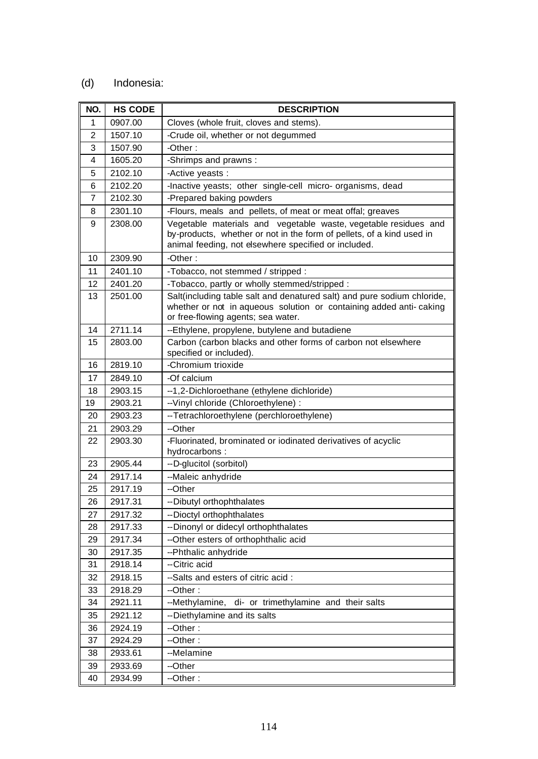## (d) Indonesia:

| NO.            | <b>HS CODE</b> | <b>DESCRIPTION</b>                                                                                                                                                                               |
|----------------|----------------|--------------------------------------------------------------------------------------------------------------------------------------------------------------------------------------------------|
| 1              | 0907.00        | Cloves (whole fruit, cloves and stems).                                                                                                                                                          |
| $\overline{2}$ | 1507.10        | -Crude oil, whether or not degummed                                                                                                                                                              |
| 3              | 1507.90        | -Other:                                                                                                                                                                                          |
| 4              | 1605.20        | -Shrimps and prawns:                                                                                                                                                                             |
| 5              | 2102.10        | -Active yeasts :                                                                                                                                                                                 |
| 6              | 2102.20        | -Inactive yeasts; other single-cell micro- organisms, dead                                                                                                                                       |
| 7              | 2102.30        | -Prepared baking powders                                                                                                                                                                         |
| 8              | 2301.10        | -Flours, meals and pellets, of meat or meat offal; greaves                                                                                                                                       |
| 9              | 2308.00        | Vegetable materials and vegetable waste, vegetable residues and<br>by-products, whether or not in the form of pellets, of a kind used in<br>animal feeding, not elsewhere specified or included. |
| 10             | 2309.90        | -Other:                                                                                                                                                                                          |
| 11             | 2401.10        | -Tobacco, not stemmed / stripped :                                                                                                                                                               |
| 12             | 2401.20        | - Tobacco, partly or wholly stemmed/stripped :                                                                                                                                                   |
| 13             | 2501.00        | Salt(including table salt and denatured salt) and pure sodium chloride,<br>whether or not in aqueous solution or containing added anti-caking<br>or free-flowing agents; sea water.              |
| 14             | 2711.14        | --Ethylene, propylene, butylene and butadiene                                                                                                                                                    |
| 15             | 2803.00        | Carbon (carbon blacks and other forms of carbon not elsewhere<br>specified or included).                                                                                                         |
| 16             | 2819.10        | -Chromium trioxide                                                                                                                                                                               |
| 17             | 2849.10        | -Of calcium                                                                                                                                                                                      |
| 18             | 2903.15        | --1,2-Dichloroethane (ethylene dichloride)                                                                                                                                                       |
| 19             | 2903.21        | -- Vinyl chloride (Chloroethylene) :                                                                                                                                                             |
| 20             | 2903.23        | -- Tetrachloroethylene (perchloroethylene)                                                                                                                                                       |
| 21             | 2903.29        | --Other                                                                                                                                                                                          |
| 22             | 2903.30        | -Fluorinated, brominated or iodinated derivatives of acyclic<br>hydrocarbons:                                                                                                                    |
| 23             | 2905.44        | --D-glucitol (sorbitol)                                                                                                                                                                          |
| 24             | 2917.14        | --Maleic anhydride                                                                                                                                                                               |
| 25             | 2917.19        | --Other                                                                                                                                                                                          |
| 26             | 2917.31        | -- Dibutyl orthophthalates                                                                                                                                                                       |
| 27             | 2917.32        | -- Dioctyl orthophthalates                                                                                                                                                                       |
| 28             | 2917.33        | -- Dinonyl or didecyl orthophthalates                                                                                                                                                            |
| 29             | 2917.34        | --Other esters of orthophthalic acid                                                                                                                                                             |
| 30             | 2917.35        | --Phthalic anhydride                                                                                                                                                                             |
| 31             | 2918.14        | --Citric acid                                                                                                                                                                                    |
| 32             | 2918.15        | --Salts and esters of citric acid :                                                                                                                                                              |
| 33             | 2918.29        | --Other:                                                                                                                                                                                         |
| 34             | 2921.11        | --Methylamine, di- or trimethylamine and their salts                                                                                                                                             |
| 35             | 2921.12        | -- Diethylamine and its salts                                                                                                                                                                    |
| 36             | 2924.19        | --Other:                                                                                                                                                                                         |
| 37             | 2924.29        | --Other:                                                                                                                                                                                         |
| 38             | 2933.61        | --Melamine                                                                                                                                                                                       |
| 39             | 2933.69        | --Other                                                                                                                                                                                          |
| 40             | 2934.99        | --Other:                                                                                                                                                                                         |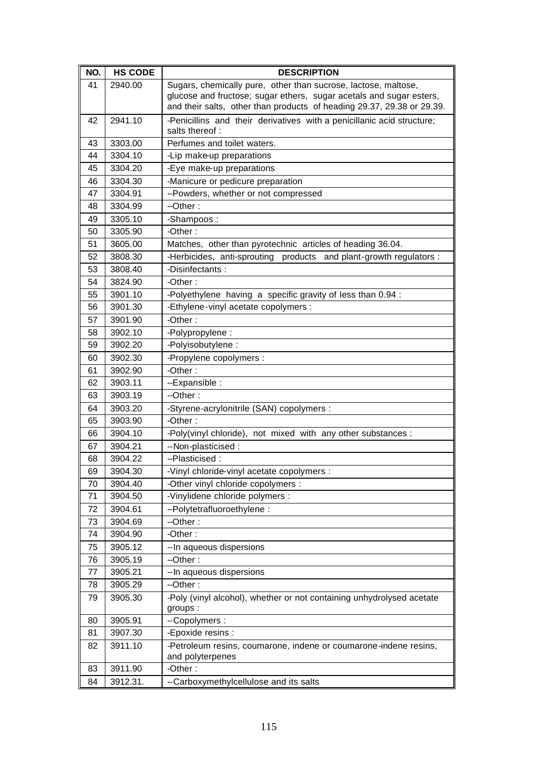| NO. | <b>HS CODE</b> | <b>DESCRIPTION</b>                                                                                                                                                                                              |
|-----|----------------|-----------------------------------------------------------------------------------------------------------------------------------------------------------------------------------------------------------------|
| 41  | 2940.00        | Sugars, chemically pure, other than sucrose, lactose, maltose,<br>glucose and fructose; sugar ethers, sugar acetals and sugar esters,<br>and their salts, other than products of heading 29.37, 29.38 or 29.39. |
| 42  | 2941.10        | -Penicillins and their derivatives with a penicillanic acid structure;<br>salts thereof:                                                                                                                        |
| 43  | 3303.00        | Perfumes and toilet waters.                                                                                                                                                                                     |
| 44  | 3304.10        | -Lip make-up preparations                                                                                                                                                                                       |
| 45  | 3304.20        | -Eye make-up preparations                                                                                                                                                                                       |
| 46  | 3304.30        | -Manicure or pedicure preparation                                                                                                                                                                               |
| 47  | 3304.91        | --Powders, whether or not compressed                                                                                                                                                                            |
| 48  | 3304.99        | $-Other:$                                                                                                                                                                                                       |
| 49  | 3305.10        | -Shampoos:                                                                                                                                                                                                      |
| 50  | 3305.90        | -Other:                                                                                                                                                                                                         |
| 51  | 3605.00        | Matches, other than pyrotechnic articles of heading 36.04.                                                                                                                                                      |
| 52  | 3808.30        | -Herbicides, anti-sprouting products and plant-growth regulators :                                                                                                                                              |
| 53  | 3808.40        | -Disinfectants:                                                                                                                                                                                                 |
| 54  | 3824.90        | -Other:                                                                                                                                                                                                         |
| 55  | 3901.10        | -Polyethylene having a specific gravity of less than 0.94 :                                                                                                                                                     |
| 56  | 3901.30        | -Ethylene-vinyl acetate copolymers :                                                                                                                                                                            |
| 57  | 3901.90        | -Other:                                                                                                                                                                                                         |
| 58  | 3902.10        | -Polypropylene :                                                                                                                                                                                                |
| 59  | 3902.20        | -Polyisobutylene:                                                                                                                                                                                               |
| 60  | 3902.30        | -Propylene copolymers :                                                                                                                                                                                         |
| 61  | 3902.90        | -Other:                                                                                                                                                                                                         |
| 62  | 3903.11        | --Expansible :                                                                                                                                                                                                  |
| 63  | 3903.19        | --Other:                                                                                                                                                                                                        |
| 64  | 3903.20        | -Styrene-acrylonitrile (SAN) copolymers :                                                                                                                                                                       |
| 65  | 3903.90        | -Other:                                                                                                                                                                                                         |
| 66  | 3904.10        | -Poly(vinyl chloride), not mixed with any other substances :                                                                                                                                                    |
| 67  | 3904.21        | --Non-plasticised :                                                                                                                                                                                             |
| 68  | 3904.22        | --Plasticised :                                                                                                                                                                                                 |
| 69  | 3904.30        | -Vinyl chloride-vinyl acetate copolymers :                                                                                                                                                                      |
| 70  | 3904.40        | -Other vinyl chloride copolymers :                                                                                                                                                                              |
| 71  | 3904.50        | -Vinylidene chloride polymers :                                                                                                                                                                                 |
| 72  | 3904.61        | --Polytetrafluoroethylene:                                                                                                                                                                                      |
| 73  | 3904.69        | --Other:                                                                                                                                                                                                        |
| 74  | 3904.90        | -Other:                                                                                                                                                                                                         |
| 75  | 3905.12        | -- In aqueous dispersions                                                                                                                                                                                       |
| 76  | 3905.19        | --Other:                                                                                                                                                                                                        |
| 77  | 3905.21        | -- In aqueous dispersions                                                                                                                                                                                       |
| 78  | 3905.29        | --Other:                                                                                                                                                                                                        |
| 79  | 3905.30        | -Poly (vinyl alcohol), whether or not containing unhydrolysed acetate<br>groups:                                                                                                                                |
| 80  | 3905.91        | --Copolymers :                                                                                                                                                                                                  |
| 81  | 3907.30        | -Epoxide resins :                                                                                                                                                                                               |
| 82  | 3911.10        | -Petroleum resins, coumarone, indene or coumarone-indene resins,<br>and polyterpenes                                                                                                                            |
| 83  | 3911.90        | -Other:                                                                                                                                                                                                         |
| 84  | 3912.31.       | --Carboxymethylcellulose and its salts                                                                                                                                                                          |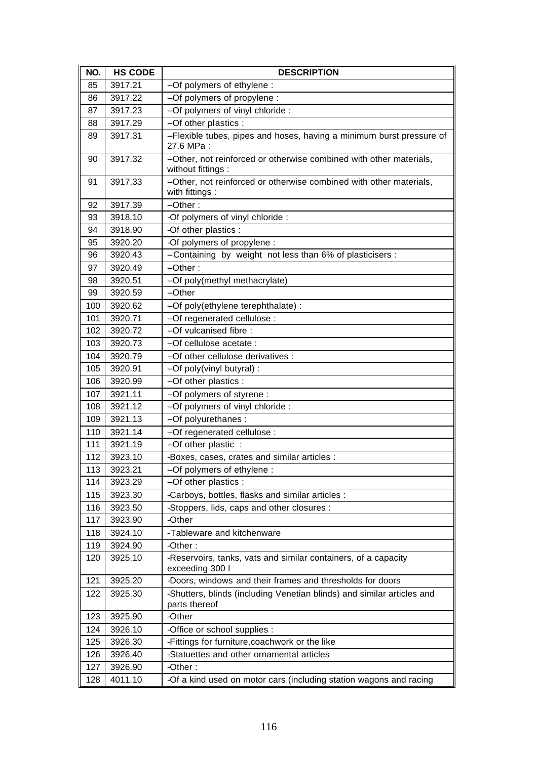| NO. | <b>HS CODE</b> | <b>DESCRIPTION</b>                                                                        |
|-----|----------------|-------------------------------------------------------------------------------------------|
| 85  | 3917.21        | --Of polymers of ethylene :                                                               |
| 86  | 3917.22        | --Of polymers of propylene :                                                              |
| 87  | 3917.23        | --Of polymers of vinyl chloride :                                                         |
| 88  | 3917.29        | --Of other plastics :                                                                     |
| 89  | 3917.31        | --Flexible tubes, pipes and hoses, having a minimum burst pressure of<br>27.6 MPa:        |
| 90  | 3917.32        | --Other, not reinforced or otherwise combined with other materials,<br>without fittings : |
| 91  | 3917.33        | -- Other, not reinforced or otherwise combined with other materials,<br>with fittings :   |
| 92  | 3917.39        | $-Other:$                                                                                 |
| 93  | 3918.10        | -Of polymers of vinyl chloride :                                                          |
| 94  | 3918.90        | -Of other plastics :                                                                      |
| 95  | 3920.20        | -Of polymers of propylene :                                                               |
| 96  | 3920.43        | --Containing by weight not less than 6% of plasticisers :                                 |
| 97  | 3920.49        | --Other:                                                                                  |
| 98  | 3920.51        | --Of poly(methyl methacrylate)                                                            |
| 99  | 3920.59        | --Other                                                                                   |
| 100 | 3920.62        | --Of poly(ethylene terephthalate) :                                                       |
| 101 | 3920.71        | --Of regenerated cellulose :                                                              |
| 102 | 3920.72        | --Of vulcanised fibre :                                                                   |
| 103 | 3920.73        | --Of cellulose acetate :                                                                  |
| 104 | 3920.79        | -- Of other cellulose derivatives :                                                       |
| 105 | 3920.91        | --Of poly(vinyl butyral) :                                                                |
| 106 | 3920.99        | --Of other plastics :                                                                     |
| 107 | 3921.11        | --Of polymers of styrene :                                                                |
| 108 | 3921.12        | --Of polymers of vinyl chloride :                                                         |
| 109 | 3921.13        | --Of polyurethanes :                                                                      |
| 110 | 3921.14        | --Of regenerated cellulose :                                                              |
| 111 | 3921.19        | --Of other plastic :                                                                      |
| 112 | 3923.10        | -Boxes, cases, crates and similar articles :                                              |
| 113 | 3923.21        | --Of polymers of ethylene :                                                               |
| 114 | 3923.29        | --Of other plastics :                                                                     |
| 115 | 3923.30        | -Carboys, bottles, flasks and similar articles :                                          |
| 116 | 3923.50        | -Stoppers, lids, caps and other closures :                                                |
| 117 | 3923.90        | -Other                                                                                    |
| 118 | 3924.10        | -Tableware and kitchenware                                                                |
| 119 | 3924.90        | -Other:                                                                                   |
| 120 | 3925.10        | -Reservoirs, tanks, vats and similar containers, of a capacity<br>exceeding 300 l         |
| 121 | 3925.20        | -Doors, windows and their frames and thresholds for doors                                 |
| 122 | 3925.30        | -Shutters, blinds (including Venetian blinds) and similar articles and<br>parts thereof   |
| 123 | 3925.90        | -Other                                                                                    |
| 124 | 3926.10        | -Office or school supplies :                                                              |
| 125 | 3926.30        | -Fittings for furniture, coachwork or the like                                            |
| 126 | 3926.40        | -Statuettes and other ornamental articles                                                 |
| 127 | 3926.90        | -Other:                                                                                   |
| 128 | 4011.10        | -Of a kind used on motor cars (including station wagons and racing                        |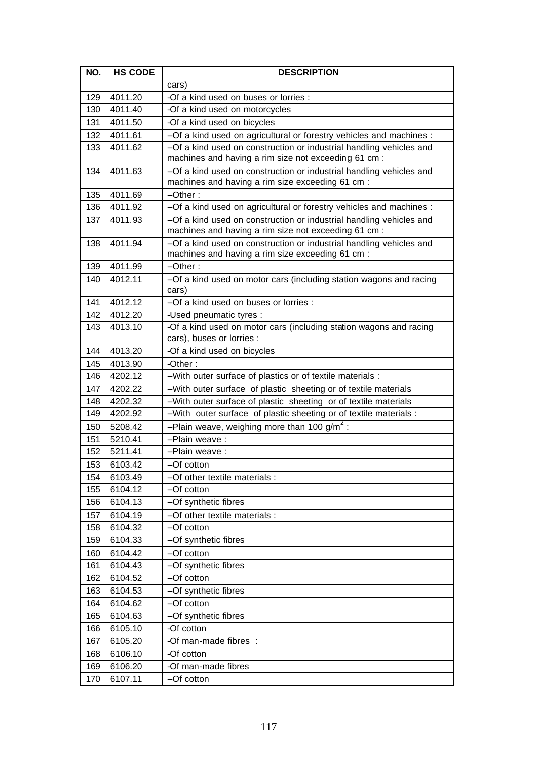| NO. | <b>HS CODE</b> | <b>DESCRIPTION</b>                                                                                                       |
|-----|----------------|--------------------------------------------------------------------------------------------------------------------------|
|     |                | cars)                                                                                                                    |
| 129 | 4011.20        | -Of a kind used on buses or lorries :                                                                                    |
| 130 | 4011.40        | -Of a kind used on motorcycles                                                                                           |
| 131 | 4011.50        | -Of a kind used on bicycles                                                                                              |
| 132 | 4011.61        | --Of a kind used on agricultural or forestry vehicles and machines :                                                     |
| 133 | 4011.62        | --Of a kind used on construction or industrial handling vehicles and                                                     |
|     |                | machines and having a rim size not exceeding 61 cm :                                                                     |
| 134 | 4011.63        | --Of a kind used on construction or industrial handling vehicles and                                                     |
|     |                | machines and having a rim size exceeding 61 cm :                                                                         |
| 135 | 4011.69        | $-Other:$                                                                                                                |
| 136 | 4011.92        | --Of a kind used on agricultural or forestry vehicles and machines :                                                     |
| 137 | 4011.93        | --Of a kind used on construction or industrial handling vehicles and                                                     |
|     |                | machines and having a rim size not exceeding 61 cm :                                                                     |
| 138 | 4011.94        | --Of a kind used on construction or industrial handling vehicles and<br>machines and having a rim size exceeding 61 cm : |
| 139 | 4011.99        | $-Other:$                                                                                                                |
| 140 | 4012.11        | --Of a kind used on motor cars (including station wagons and racing                                                      |
|     |                | cars)                                                                                                                    |
| 141 | 4012.12        | --Of a kind used on buses or lorries :                                                                                   |
| 142 | 4012.20        | -Used pneumatic tyres :                                                                                                  |
| 143 | 4013.10        | -Of a kind used on motor cars (including station wagons and racing                                                       |
|     |                | cars), buses or lorries :                                                                                                |
| 144 | 4013.20        | -Of a kind used on bicycles                                                                                              |
| 145 | 4013.90        | -Other:                                                                                                                  |
| 146 | 4202.12        | -- With outer surface of plastics or of textile materials :                                                              |
| 147 | 4202.22        | -- With outer surface of plastic sheeting or of textile materials                                                        |
| 148 | 4202.32        | -- With outer surface of plastic sheeting or of textile materials                                                        |
| 149 | 4202.92        | -- With outer surface of plastic sheeting or of textile materials :                                                      |
| 150 | 5208.42        | --Plain weave, weighing more than 100 g/m <sup>2</sup> :                                                                 |
| 151 | 5210.41        | --Plain weave:                                                                                                           |
| 152 | 5211.41        | --Plain weave :                                                                                                          |
| 153 | 6103.42        | --Of cotton                                                                                                              |
| 154 | 6103.49        | --Of other textile materials :                                                                                           |
| 155 | 6104.12        | --Of cotton                                                                                                              |
| 156 | 6104.13        | --Of synthetic fibres                                                                                                    |
| 157 | 6104.19        | -- Of other textile materials :                                                                                          |
| 158 | 6104.32        | --Of cotton                                                                                                              |
| 159 | 6104.33        | --Of synthetic fibres                                                                                                    |
| 160 | 6104.42        | --Of cotton                                                                                                              |
| 161 | 6104.43        | --Of synthetic fibres                                                                                                    |
| 162 | 6104.52        | --Of cotton                                                                                                              |
| 163 | 6104.53        | --Of synthetic fibres                                                                                                    |
| 164 | 6104.62        | --Of cotton                                                                                                              |
| 165 | 6104.63        | --Of synthetic fibres                                                                                                    |
| 166 | 6105.10        | -Of cotton                                                                                                               |
| 167 | 6105.20        | -Of man-made fibres :                                                                                                    |
| 168 | 6106.10        | -Of cotton                                                                                                               |
| 169 | 6106.20        | -Of man-made fibres                                                                                                      |
| 170 | 6107.11        | --Of cotton                                                                                                              |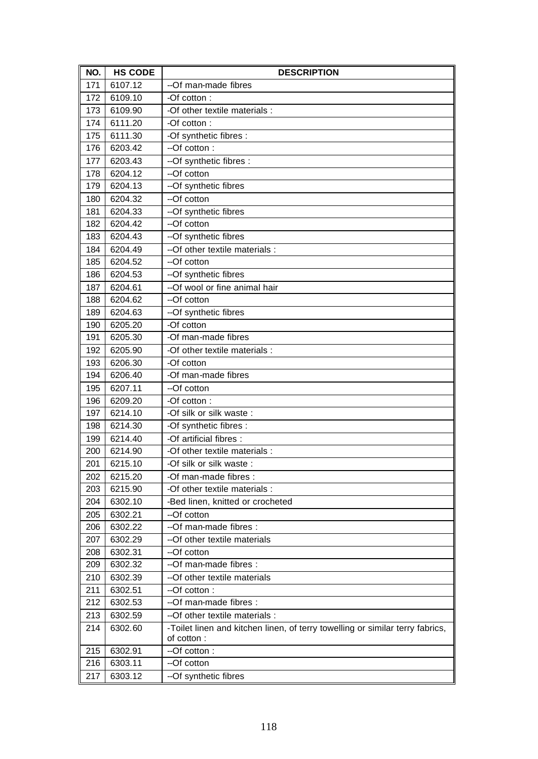| NO. | <b>HS CODE</b> | <b>DESCRIPTION</b>                                                            |
|-----|----------------|-------------------------------------------------------------------------------|
| 171 | 6107.12        | --Of man-made fibres                                                          |
| 172 | 6109.10        | -Of cotton:                                                                   |
| 173 | 6109.90        | -Of other textile materials :                                                 |
| 174 | 6111.20        | -Of cotton:                                                                   |
| 175 | 6111.30        | -Of synthetic fibres :                                                        |
| 176 | 6203.42        | --Of cotton:                                                                  |
| 177 | 6203.43        | --Of synthetic fibres :                                                       |
| 178 | 6204.12        | --Of cotton                                                                   |
| 179 | 6204.13        | --Of synthetic fibres                                                         |
| 180 | 6204.32        | --Of cotton                                                                   |
| 181 | 6204.33        | --Of synthetic fibres                                                         |
| 182 | 6204.42        | --Of cotton                                                                   |
| 183 | 6204.43        | --Of synthetic fibres                                                         |
| 184 | 6204.49        | -- Of other textile materials :                                               |
| 185 | 6204.52        | --Of cotton                                                                   |
| 186 | 6204.53        | --Of synthetic fibres                                                         |
| 187 | 6204.61        | --Of wool or fine animal hair                                                 |
| 188 | 6204.62        | --Of cotton                                                                   |
| 189 | 6204.63        | --Of synthetic fibres                                                         |
| 190 | 6205.20        | -Of cotton                                                                    |
| 191 | 6205.30        | -Of man-made fibres                                                           |
| 192 | 6205.90        | -Of other textile materials :                                                 |
| 193 | 6206.30        | -Of cotton                                                                    |
| 194 | 6206.40        | -Of man-made fibres                                                           |
| 195 | 6207.11        | --Of cotton                                                                   |
| 196 | 6209.20        | -Of cotton:                                                                   |
| 197 | 6214.10        | -Of silk or silk waste :                                                      |
| 198 | 6214.30        | -Of synthetic fibres :                                                        |
| 199 | 6214.40        | -Of artificial fibres :                                                       |
| 200 | 6214.90        | -Of other textile materials :                                                 |
| 201 | 6215.10        | -Of silk or silk waste:                                                       |
| 202 | 6215.20        | -Of man-made fibres :                                                         |
| 203 | 6215.90        | -Of other textile materials :                                                 |
| 204 | 6302.10        | -Bed linen, knitted or crocheted                                              |
| 205 | 6302.21        | --Of cotton                                                                   |
| 206 | 6302.22        | --Of man-made fibres :                                                        |
| 207 | 6302.29        | --Of other textile materials                                                  |
| 208 | 6302.31        | --Of cotton                                                                   |
| 209 | 6302.32        | --Of man-made fibres :                                                        |
| 210 | 6302.39        | --Of other textile materials                                                  |
| 211 | 6302.51        | --Of cotton:                                                                  |
| 212 | 6302.53        | --Of man-made fibres :                                                        |
| 213 | 6302.59        | --Of other textile materials :                                                |
| 214 | 6302.60        | -Toilet linen and kitchen linen, of terry towelling or similar terry fabrics, |
|     |                | of cotton:                                                                    |
| 215 | 6302.91        | --Of cotton:                                                                  |
| 216 | 6303.11        | --Of cotton                                                                   |
| 217 | 6303.12        | --Of synthetic fibres                                                         |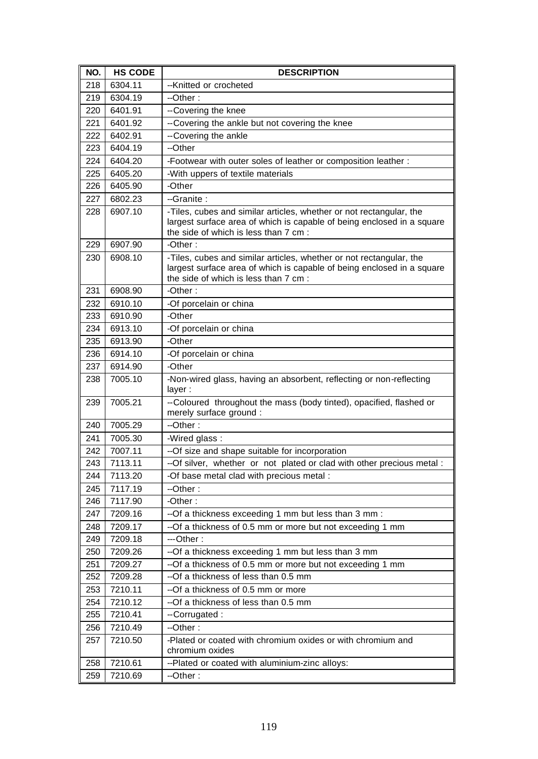| NO. | <b>HS CODE</b> | <b>DESCRIPTION</b>                                                                                              |
|-----|----------------|-----------------------------------------------------------------------------------------------------------------|
| 218 | 6304.11        | --Knitted or crocheted                                                                                          |
| 219 | 6304.19        | --Other:                                                                                                        |
| 220 | 6401.91        | --Covering the knee                                                                                             |
| 221 | 6401.92        | --Covering the ankle but not covering the knee                                                                  |
| 222 | 6402.91        | --Covering the ankle                                                                                            |
| 223 | 6404.19        | --Other                                                                                                         |
| 224 | 6404.20        | -Footwear with outer soles of leather or composition leather :                                                  |
| 225 | 6405.20        | -With uppers of textile materials                                                                               |
| 226 | 6405.90        | -Other                                                                                                          |
| 227 | 6802.23        | --Granite :                                                                                                     |
| 228 | 6907.10        | -Tiles, cubes and similar articles, whether or not rectangular, the                                             |
|     |                | largest surface area of which is capable of being enclosed in a square                                          |
|     |                | the side of which is less than 7 cm :                                                                           |
| 229 | 6907.90        | $-Other:$                                                                                                       |
| 230 | 6908.10        | -Tiles, cubes and similar articles, whether or not rectangular, the                                             |
|     |                | largest surface area of which is capable of being enclosed in a square<br>the side of which is less than 7 cm : |
| 231 | 6908.90        | -Other:                                                                                                         |
| 232 | 6910.10        |                                                                                                                 |
| 233 | 6910.90        | -Of porcelain or china<br>-Other                                                                                |
| 234 | 6913.10        | -Of porcelain or china                                                                                          |
|     | 6913.90        | -Other                                                                                                          |
| 235 |                | -Of porcelain or china                                                                                          |
| 236 | 6914.10        | -Other                                                                                                          |
| 237 | 6914.90        |                                                                                                                 |
| 238 | 7005.10        | -Non-wired glass, having an absorbent, reflecting or non-reflecting<br>layer:                                   |
| 239 | 7005.21        | --Coloured throughout the mass (body tinted), opacified, flashed or<br>merely surface ground :                  |
| 240 | 7005.29        | --Other:                                                                                                        |
| 241 | 7005.30        | -Wired glass:                                                                                                   |
| 242 | 7007.11        | --Of size and shape suitable for incorporation                                                                  |
| 243 | 7113.11        | --Of silver, whether or not plated or clad with other precious metal :                                          |
| 244 | 7113.20        | -Of base metal clad with precious metal :                                                                       |
| 245 | 7117.19        | --Other:                                                                                                        |
| 246 | 7117.90        | -Other:                                                                                                         |
| 247 | 7209.16        | --Of a thickness exceeding 1 mm but less than 3 mm :                                                            |
| 248 | 7209.17        | --Of a thickness of 0.5 mm or more but not exceeding 1 mm                                                       |
| 249 | 7209.18        | ---Other:                                                                                                       |
| 250 | 7209.26        | --Of a thickness exceeding 1 mm but less than 3 mm                                                              |
| 251 | 7209.27        | --Of a thickness of 0.5 mm or more but not exceeding 1 mm                                                       |
| 252 | 7209.28        | --Of a thickness of less than 0.5 mm                                                                            |
| 253 | 7210.11        | --Of a thickness of 0.5 mm or more                                                                              |
| 254 | 7210.12        | --Of a thickness of less than 0.5 mm                                                                            |
| 255 | 7210.41        | --Corrugated :                                                                                                  |
| 256 | 7210.49        | --Other:                                                                                                        |
| 257 | 7210.50        | -Plated or coated with chromium oxides or with chromium and<br>chromium oxides                                  |
| 258 | 7210.61        | --Plated or coated with aluminium-zinc alloys:                                                                  |
| 259 | 7210.69        | --Other:                                                                                                        |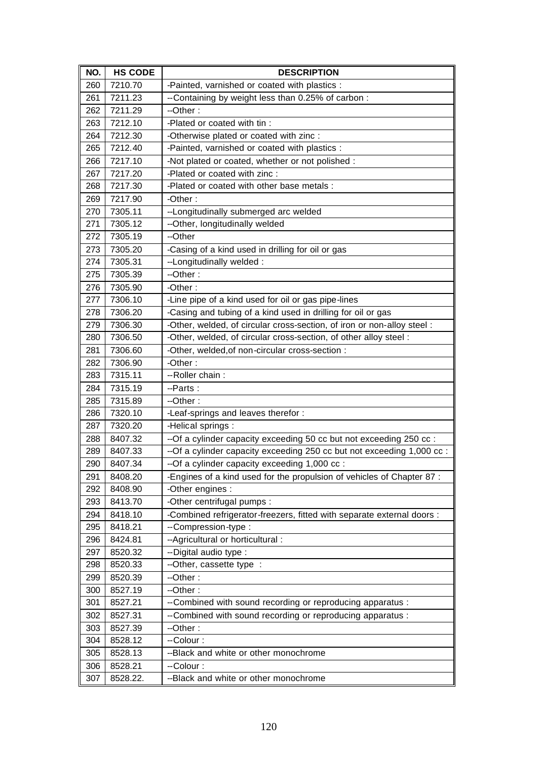| NO. | <b>HS CODE</b> | <b>DESCRIPTION</b>                                                      |
|-----|----------------|-------------------------------------------------------------------------|
| 260 | 7210.70        | -Painted, varnished or coated with plastics :                           |
| 261 | 7211.23        | --Containing by weight less than 0.25% of carbon:                       |
| 262 | 7211.29        | --Other:                                                                |
| 263 | 7212.10        | -Plated or coated with tin :                                            |
| 264 | 7212.30        | -Otherwise plated or coated with zinc :                                 |
| 265 | 7212.40        | -Painted, varnished or coated with plastics :                           |
| 266 | 7217.10        | -Not plated or coated, whether or not polished :                        |
| 267 | 7217.20        | -Plated or coated with zinc :                                           |
| 268 | 7217.30        | -Plated or coated with other base metals :                              |
| 269 | 7217.90        | -Other:                                                                 |
| 270 | 7305.11        | --Longitudinally submerged arc welded                                   |
| 271 | 7305.12        | --Other, longitudinally welded                                          |
| 272 | 7305.19        | --Other                                                                 |
| 273 | 7305.20        | -Casing of a kind used in drilling for oil or gas                       |
| 274 | 7305.31        | --Longitudinally welded:                                                |
| 275 | 7305.39        | --Other:                                                                |
| 276 | 7305.90        | -Other:                                                                 |
| 277 | 7306.10        | -Line pipe of a kind used for oil or gas pipe-lines                     |
| 278 | 7306.20        | -Casing and tubing of a kind used in drilling for oil or gas            |
| 279 | 7306.30        | -Other, welded, of circular cross-section, of iron or non-alloy steel : |
| 280 | 7306.50        | -Other, welded, of circular cross-section, of other alloy steel :       |
| 281 | 7306.60        | -Other, welded, of non-circular cross-section :                         |
| 282 | 7306.90        | -Other:                                                                 |
| 283 | 7315.11        | -- Roller chain:                                                        |
| 284 | 7315.19        | --Parts:                                                                |
| 285 | 7315.89        | $-Other:$                                                               |
| 286 | 7320.10        | -Leaf-springs and leaves therefor :                                     |
| 287 | 7320.20        | -Helical springs :                                                      |
| 288 | 8407.32        | --Of a cylinder capacity exceeding 50 cc but not exceeding 250 cc :     |
| 289 | 8407.33        | --Of a cylinder capacity exceeding 250 cc but not exceeding 1,000 cc :  |
| 290 | 8407.34        | --Of a cylinder capacity exceeding 1,000 cc :                           |
| 291 | 8408.20        | -Engines of a kind used for the propulsion of vehicles of Chapter 87 :  |
| 292 | 8408.90        | -Other engines :                                                        |
| 293 | 8413.70        | -Other centrifugal pumps :                                              |
| 294 | 8418.10        | -Combined refrigerator-freezers, fitted with separate external doors :  |
| 295 | 8418.21        | --Compression-type:                                                     |
| 296 | 8424.81        | --Agricultural or horticultural :                                       |
| 297 | 8520.32        | --Digital audio type :                                                  |
| 298 | 8520.33        | --Other, cassette type :                                                |
| 299 | 8520.39        | --Other:                                                                |
| 300 | 8527.19        | --Other:                                                                |
| 301 | 8527.21        | --Combined with sound recording or reproducing apparatus :              |
| 302 | 8527.31        | --Combined with sound recording or reproducing apparatus :              |
| 303 | 8527.39        | --Other:                                                                |
| 304 | 8528.12        | --Colour :                                                              |
| 305 | 8528.13        | --Black and white or other monochrome                                   |
| 306 | 8528.21        | --Colour:                                                               |
| 307 | 8528.22.       | --Black and white or other monochrome                                   |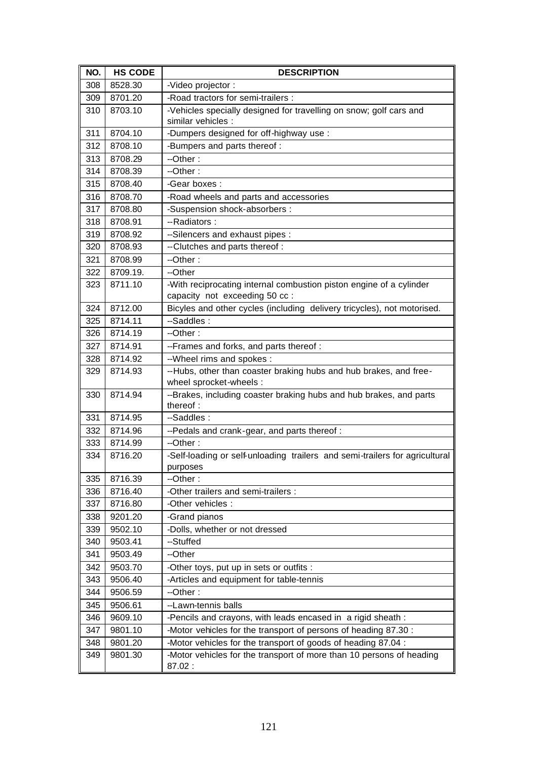| NO. | <b>HS CODE</b> | <b>DESCRIPTION</b>                                                                                   |
|-----|----------------|------------------------------------------------------------------------------------------------------|
| 308 | 8528.30        | -Video projector:                                                                                    |
| 309 | 8701.20        | -Road tractors for semi-trailers :                                                                   |
| 310 | 8703.10        | -Vehicles specially designed for travelling on snow; golf cars and                                   |
|     |                | similar vehicles :                                                                                   |
| 311 | 8704.10        | -Dumpers designed for off-highway use :                                                              |
| 312 | 8708.10        | -Bumpers and parts thereof :                                                                         |
| 313 | 8708.29        | --Other:                                                                                             |
| 314 | 8708.39        | --Other:                                                                                             |
| 315 | 8708.40        | -Gear boxes:                                                                                         |
| 316 | 8708.70        | -Road wheels and parts and accessories                                                               |
| 317 | 8708.80        | -Suspension shock-absorbers :                                                                        |
| 318 | 8708.91        | --Radiators:                                                                                         |
| 319 | 8708.92        | --Silencers and exhaust pipes :                                                                      |
| 320 | 8708.93        | --Clutches and parts thereof :                                                                       |
| 321 | 8708.99        | $-Other:$                                                                                            |
| 322 | 8709.19.       | --Other                                                                                              |
| 323 | 8711.10        | -With reciprocating internal combustion piston engine of a cylinder<br>capacity not exceeding 50 cc: |
| 324 | 8712.00        | Bicyles and other cycles (including delivery tricycles), not motorised.                              |
| 325 | 8714.11        | --Saddles:                                                                                           |
| 326 | 8714.19        | --Other:                                                                                             |
| 327 | 8714.91        | --Frames and forks, and parts thereof :                                                              |
| 328 | 8714.92        | --Wheel rims and spokes :                                                                            |
| 329 | 8714.93        | --Hubs, other than coaster braking hubs and hub brakes, and free-<br>wheel sprocket-wheels :         |
| 330 | 8714.94        | --Brakes, including coaster braking hubs and hub brakes, and parts<br>thereof:                       |
| 331 | 8714.95        | --Saddles:                                                                                           |
| 332 | 8714.96        | --Pedals and crank-gear, and parts thereof :                                                         |
| 333 | 8714.99        | --Other:                                                                                             |
| 334 | 8716.20        | -Self-loading or self-unloading trailers and semi-trailers for agricultural<br>purposes              |
| 335 | 8716.39        | --Other:                                                                                             |
| 336 | 8716.40        | -Other trailers and semi-trailers :                                                                  |
| 337 | 8716.80        | -Other vehicles :                                                                                    |
| 338 | 9201.20        | -Grand pianos                                                                                        |
| 339 | 9502.10        | -Dolls, whether or not dressed                                                                       |
| 340 | 9503.41        | --Stuffed                                                                                            |
| 341 | 9503.49        | --Other                                                                                              |
| 342 | 9503.70        | -Other toys, put up in sets or outfits :                                                             |
| 343 | 9506.40        | -Articles and equipment for table-tennis                                                             |
| 344 | 9506.59        | --Other:                                                                                             |
| 345 | 9506.61        | --Lawn-tennis balls                                                                                  |
| 346 | 9609.10        | -Pencils and crayons, with leads encased in a rigid sheath :                                         |
| 347 | 9801.10        | -Motor vehicles for the transport of persons of heading 87.30 :                                      |
| 348 | 9801.20        | -Motor vehicles for the transport of goods of heading 87.04 :                                        |
| 349 | 9801.30        | -Motor vehicles for the transport of more than 10 persons of heading                                 |
|     |                | 87.02:                                                                                               |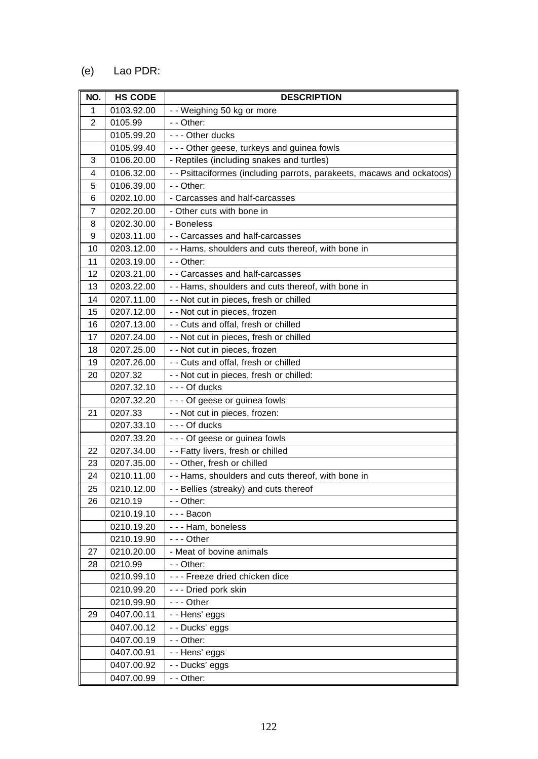## (e) Lao PDR:

| NO.            | <b>HS CODE</b>        | <b>DESCRIPTION</b>                                                     |
|----------------|-----------------------|------------------------------------------------------------------------|
| $\mathbf{1}$   | 0103.92.00            | - - Weighing 50 kg or more                                             |
| $\overline{2}$ | 0105.99               | - - Other:                                                             |
|                | 0105.99.20            | --- Other ducks                                                        |
|                | 0105.99.40            | - - - Other geese, turkeys and guinea fowls                            |
| 3              | 0106.20.00            | - Reptiles (including snakes and turtles)                              |
| 4              | 0106.32.00            | - - Psittaciformes (including parrots, parakeets, macaws and ockatoos) |
| 5              | 0106.39.00            | - - Other:                                                             |
| 6              | 0202.10.00            | - Carcasses and half-carcasses                                         |
| 7              | 0202.20.00            | - Other cuts with bone in                                              |
| 8              | 0202.30.00            | - Boneless                                                             |
| 9              | 0203.11.00            | - - Carcasses and half-carcasses                                       |
| 10             | 0203.12.00            | - - Hams, shoulders and cuts thereof, with bone in                     |
| 11             | 0203.19.00            | - - Other:                                                             |
| 12             | 0203.21.00            | - - Carcasses and half-carcasses                                       |
| 13             | 0203.22.00            | - - Hams, shoulders and cuts thereof, with bone in                     |
| 14             | 0207.11.00            | - - Not cut in pieces, fresh or chilled                                |
| 15             | 0207.12.00            | - - Not cut in pieces, frozen                                          |
| 16             | 0207.13.00            | - - Cuts and offal, fresh or chilled                                   |
| 17             | 0207.24.00            | - - Not cut in pieces, fresh or chilled                                |
| 18             | 0207.25.00            | - - Not cut in pieces, frozen                                          |
| 19             | 0207.26.00            | - - Cuts and offal, fresh or chilled                                   |
| 20             | 0207.32               | - - Not cut in pieces, fresh or chilled:                               |
|                | 0207.32.10            | - - - Of ducks                                                         |
|                | 0207.32.20            | - - - Of geese or guinea fowls                                         |
| 21             | 0207.33<br>0207.33.10 | - - Not cut in pieces, frozen:<br>- - - Of ducks                       |
|                | 0207.33.20            | - - - Of geese or guinea fowls                                         |
|                | 0207.34.00            |                                                                        |
| 22<br>23       | 0207.35.00            | - - Fatty livers, fresh or chilled<br>- - Other, fresh or chilled      |
| 24             | 0210.11.00            | - - Hams, shoulders and cuts thereof, with bone in                     |
| 25             | 0210.12.00            | - - Bellies (streaky) and cuts thereof                                 |
| 26             | 0210.19               | - - Other:                                                             |
|                | 0210.19.10            | --- Bacon                                                              |
|                | 0210.19.20            | - - - Ham, boneless                                                    |
|                | 0210.19.90            | --- Other                                                              |
| 27             | 0210.20.00            | - Meat of bovine animals                                               |
| 28             | 0210.99               | - - Other:                                                             |
|                | 0210.99.10            | --- Freeze dried chicken dice                                          |
|                | 0210.99.20            | --- Dried pork skin                                                    |
|                | 0210.99.90            | --- Other                                                              |
| 29             | 0407.00.11            | - - Hens' eggs                                                         |
|                | 0407.00.12            | - - Ducks' eggs                                                        |
|                | 0407.00.19            | - - Other:                                                             |
|                | 0407.00.91            | - - Hens' eggs                                                         |
|                | 0407.00.92            | - - Ducks' eggs                                                        |
|                | 0407.00.99            | - - Other:                                                             |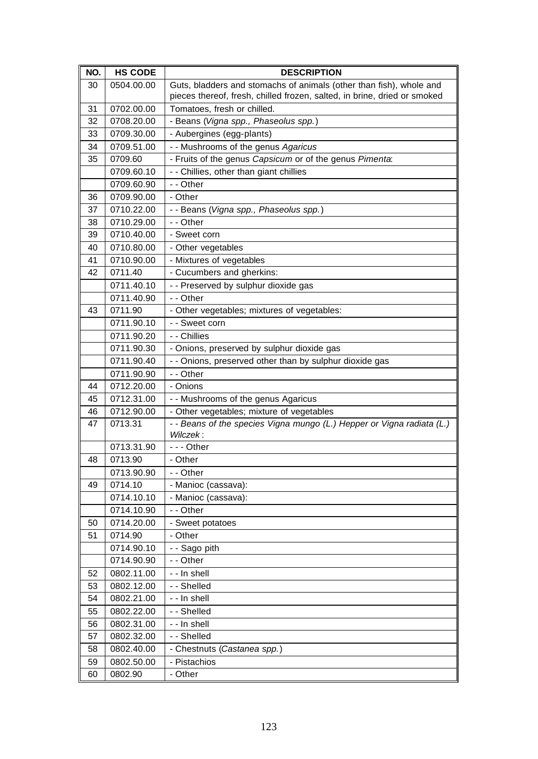| NO.      | <b>HS CODE</b> | <b>DESCRIPTION</b>                                                       |
|----------|----------------|--------------------------------------------------------------------------|
| 30       | 0504.00.00     | Guts, bladders and stomachs of animals (other than fish), whole and      |
|          |                | pieces thereof, fresh, chilled frozen, salted, in brine, dried or smoked |
| 31       | 0702.00.00     | Tomatoes, fresh or chilled.                                              |
| 32       | 0708.20.00     | - Beans (Vigna spp., Phaseolus spp.)                                     |
| 33       | 0709.30.00     | - Aubergines (egg-plants)                                                |
| 34       | 0709.51.00     | - - Mushrooms of the genus Agaricus                                      |
| 35       | 0709.60        | - Fruits of the genus Capsicum or of the genus Pimenta:                  |
|          | 0709.60.10     | - - Chillies, other than giant chillies                                  |
|          | 0709.60.90     | - - Other                                                                |
| 36       | 0709.90.00     | - Other                                                                  |
| 37       | 0710.22.00     | - - Beans (Vigna spp., Phaseolus spp.)                                   |
| 38       | 0710.29.00     | - - Other                                                                |
| 39       | 0710.40.00     | - Sweet corn                                                             |
| 40       | 0710.80.00     | - Other vegetables                                                       |
| 41       | 0710.90.00     | - Mixtures of vegetables                                                 |
| 42       | 0711.40        | - Cucumbers and gherkins:                                                |
|          | 0711.40.10     | - - Preserved by sulphur dioxide gas                                     |
|          | 0711.40.90     | - - Other                                                                |
| 43       | 0711.90        | - Other vegetables; mixtures of vegetables:                              |
|          | 0711.90.10     | - - Sweet corn                                                           |
|          | 0711.90.20     | - - Chillies                                                             |
|          | 0711.90.30     | - Onions, preserved by sulphur dioxide gas                               |
|          | 0711.90.40     | - - Onions, preserved other than by sulphur dioxide gas                  |
|          | 0711.90.90     | - - Other                                                                |
| 44       | 0712.20.00     | - Onions                                                                 |
| 45       | 0712.31.00     | - - Mushrooms of the genus Agaricus                                      |
| 46       | 0712.90.00     | - Other vegetables; mixture of vegetables                                |
| 47       | 0713.31        | - - Beans of the species Vigna mungo (L.) Hepper or Vigna radiata (L.)   |
|          |                | Wilczek:                                                                 |
|          | 0713.31.90     | --- Other                                                                |
| 48       | 0713.90        | - Other                                                                  |
|          | 0713.90.90     | - - Other                                                                |
| 49       | 0714.10        | - Manioc (cassava):                                                      |
|          | 0714.10.10     | - Manioc (cassava):                                                      |
|          | 0714.10.90     | - - Other                                                                |
| 50       | 0714.20.00     | - Sweet potatoes                                                         |
| 51       | 0714.90        | - Other                                                                  |
|          | 0714.90.10     | - - Sago pith<br>- - Other                                               |
|          | 0714.90.90     |                                                                          |
| 52       | 0802.11.00     | - - In shell                                                             |
| 53<br>54 | 0802.12.00     | - - Shelled                                                              |
|          | 0802.21.00     | - - In shell                                                             |
| 55       | 0802.22.00     | - - Shelled                                                              |
| 56       | 0802.31.00     | - - In shell                                                             |
| 57       | 0802.32.00     | - - Shelled                                                              |
| 58       | 0802.40.00     | - Chestnuts (Castanea spp.)                                              |
| 59       | 0802.50.00     | - Pistachios                                                             |
| 60       | 0802.90        | - Other                                                                  |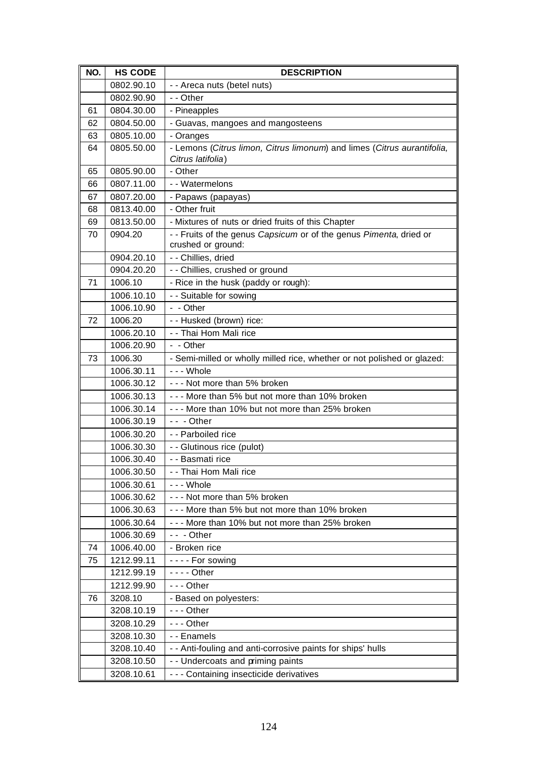| NO. | <b>HS CODE</b> | <b>DESCRIPTION</b>                                                                       |
|-----|----------------|------------------------------------------------------------------------------------------|
|     | 0802.90.10     | - - Areca nuts (betel nuts)                                                              |
|     | 0802.90.90     | - - Other                                                                                |
| 61  | 0804.30.00     | - Pineapples                                                                             |
| 62  | 0804.50.00     | - Guavas, mangoes and mangosteens                                                        |
| 63  | 0805.10.00     | - Oranges                                                                                |
| 64  | 0805.50.00     | - Lemons (Citrus limon, Citrus limonum) and limes (Citrus aurantifolia,                  |
|     |                | Citrus latifolia)                                                                        |
| 65  | 0805.90.00     | - Other                                                                                  |
| 66  | 0807.11.00     | - - Watermelons                                                                          |
| 67  | 0807.20.00     | - Papaws (papayas)                                                                       |
| 68  | 0813.40.00     | - Other fruit                                                                            |
| 69  | 0813.50.00     | - Mixtures of nuts or dried fruits of this Chapter                                       |
| 70  | 0904.20        | - - Fruits of the genus Capsicum or of the genus Pimenta, dried or<br>crushed or ground: |
|     | 0904.20.10     | - - Chillies, dried                                                                      |
|     | 0904.20.20     | - - Chillies, crushed or ground                                                          |
| 71  | 1006.10        | - Rice in the husk (paddy or rough):                                                     |
|     | 1006.10.10     | - - Suitable for sowing                                                                  |
|     | 1006.10.90     | - - Other                                                                                |
| 72  | 1006.20        | - - Husked (brown) rice:                                                                 |
|     | 1006.20.10     | - - Thai Hom Mali rice                                                                   |
|     | 1006.20.90     | - - Other                                                                                |
| 73  | 1006.30        | - Semi-milled or wholly milled rice, whether or not polished or glazed:                  |
|     | 1006.30.11     | --- Whole                                                                                |
|     | 1006.30.12     | --- Not more than 5% broken                                                              |
|     | 1006.30.13     | --- More than 5% but not more than 10% broken                                            |
|     | 1006.30.14     | --- More than 10% but not more than 25% broken                                           |
|     | 1006.30.19     | $- -$ - Other                                                                            |
|     | 1006.30.20     | -- Parboiled rice                                                                        |
|     | 1006.30.30     | - - Glutinous rice (pulot)                                                               |
|     | 1006.30.40     | - - Basmati rice                                                                         |
|     | 1006.30.50     | - - Thai Hom Mali rice                                                                   |
|     | 1006.30.61     | --- Whole                                                                                |
|     | 1006.30.62     | --- Not more than 5% broken                                                              |
|     | 1006.30.63     | --- More than 5% but not more than 10% broken                                            |
|     | 1006.30.64     | --- More than 10% but not more than 25% broken                                           |
|     | 1006.30.69     | $- -$ - Other                                                                            |
| 74  | 1006.40.00     | - Broken rice                                                                            |
| 75  | 1212.99.11     | $--$ For sowing                                                                          |
|     | 1212.99.19     | $--$ Other                                                                               |
|     | 1212.99.90     | --- Other                                                                                |
| 76  | 3208.10        | - Based on polyesters:                                                                   |
|     | 3208.10.19     | --- Other                                                                                |
|     | 3208.10.29     | --- Other                                                                                |
|     | 3208.10.30     | - - Enamels                                                                              |
|     | 3208.10.40     | - - Anti-fouling and anti-corrosive paints for ships' hulls                              |
|     | 3208.10.50     | - - Undercoats and priming paints                                                        |
|     | 3208.10.61     | --- Containing insecticide derivatives                                                   |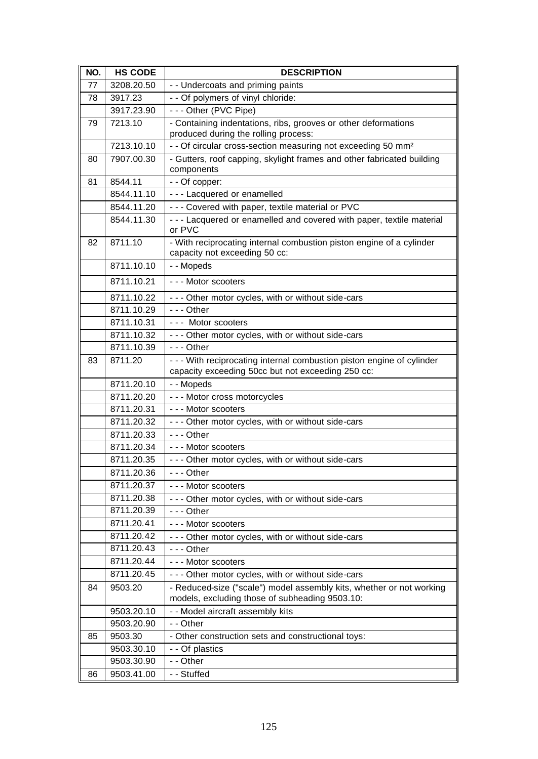| NO. | <b>HS CODE</b> | <b>DESCRIPTION</b>                                                                                                     |
|-----|----------------|------------------------------------------------------------------------------------------------------------------------|
| 77  | 3208.20.50     | - - Undercoats and priming paints                                                                                      |
| 78  | 3917.23        | - - Of polymers of vinyl chloride:                                                                                     |
|     | 3917.23.90     | --- Other (PVC Pipe)                                                                                                   |
| 79  | 7213.10        | - Containing indentations, ribs, grooves or other deformations                                                         |
|     |                | produced during the rolling process:                                                                                   |
|     | 7213.10.10     | - - Of circular cross-section measuring not exceeding 50 mm <sup>2</sup>                                               |
| 80  | 7907.00.30     | - Gutters, roof capping, skylight frames and other fabricated building<br>components                                   |
| 81  | 8544.11        | - - Of copper:                                                                                                         |
|     | 8544.11.10     | - - - Lacquered or enamelled                                                                                           |
|     | 8544.11.20     | - - - Covered with paper, textile material or PVC                                                                      |
|     | 8544.11.30     | - - - Lacquered or enamelled and covered with paper, textile material<br>or PVC                                        |
| 82  | 8711.10        | - With reciprocating internal combustion piston engine of a cylinder<br>capacity not exceeding 50 cc:                  |
|     | 8711.10.10     | - - Mopeds                                                                                                             |
|     | 8711.10.21     | --- Motor scooters                                                                                                     |
|     | 8711.10.22     | - - - Other motor cycles, with or without side-cars                                                                    |
|     | 8711.10.29     | $- -$ Other                                                                                                            |
|     | 8711.10.31     | --- Motor scooters                                                                                                     |
|     | 8711.10.32     | - - - Other motor cycles, with or without side-cars                                                                    |
|     | 8711.10.39     | $- -$ Other                                                                                                            |
| 83  | 8711.20        | - - - With reciprocating internal combustion piston engine of cylinder                                                 |
|     |                | capacity exceeding 50cc but not exceeding 250 cc:                                                                      |
|     | 8711.20.10     | - - Mopeds                                                                                                             |
|     | 8711.20.20     | --- Motor cross motorcycles                                                                                            |
|     | 8711.20.31     | --- Motor scooters                                                                                                     |
|     | 8711.20.32     | - - - Other motor cycles, with or without side-cars                                                                    |
|     | 8711.20.33     | $--$ Other                                                                                                             |
|     | 8711.20.34     | --- Motor scooters                                                                                                     |
|     | 8711.20.35     | - - - Other motor cycles, with or without side-cars                                                                    |
|     | 8711.20.36     | $- -$ Other                                                                                                            |
|     | 8711.20.37     | --- Motor scooters                                                                                                     |
|     | 8711.20.38     | - - - Other motor cycles, with or without side-cars                                                                    |
|     | 8711.20.39     | $- -$ Other                                                                                                            |
|     | 8711.20.41     | --- Motor scooters                                                                                                     |
|     | 8711.20.42     | - - - Other motor cycles, with or without side-cars                                                                    |
|     | 8711.20.43     | $--$ Other                                                                                                             |
|     | 8711.20.44     | - - - Motor scooters                                                                                                   |
|     | 8711.20.45     | - - - Other motor cycles, with or without side-cars                                                                    |
| 84  | 9503.20        | - Reduced-size ("scale") model assembly kits, whether or not working<br>models, excluding those of subheading 9503.10: |
|     | 9503.20.10     | - - Model aircraft assembly kits                                                                                       |
|     | 9503.20.90     | - - Other                                                                                                              |
| 85  | 9503.30        | - Other construction sets and constructional toys:                                                                     |
|     | 9503.30.10     | - - Of plastics                                                                                                        |
|     | 9503.30.90     | - - Other                                                                                                              |
| 86  | 9503.41.00     | - - Stuffed                                                                                                            |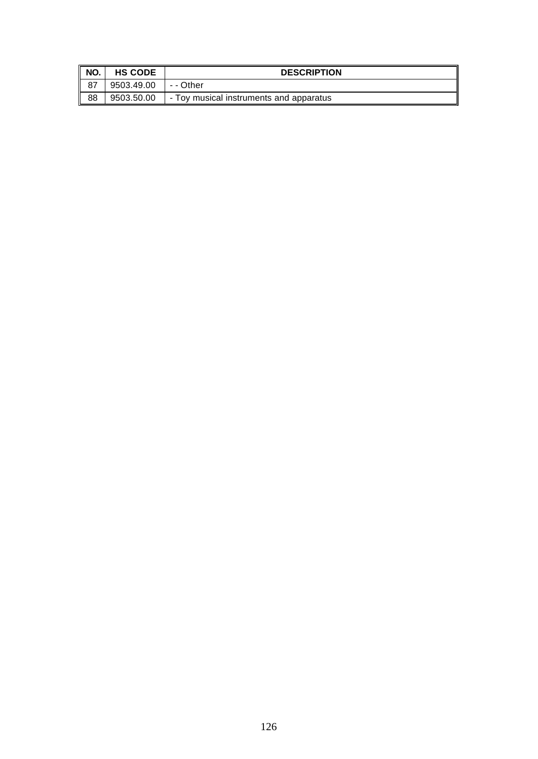| NO. | <b>HS CODE</b> | <b>DESCRIPTION</b>                      |
|-----|----------------|-----------------------------------------|
|     | 9503.49.00     | - - Other                               |
| 88  | 9503.50.00     | - Toy musical instruments and apparatus |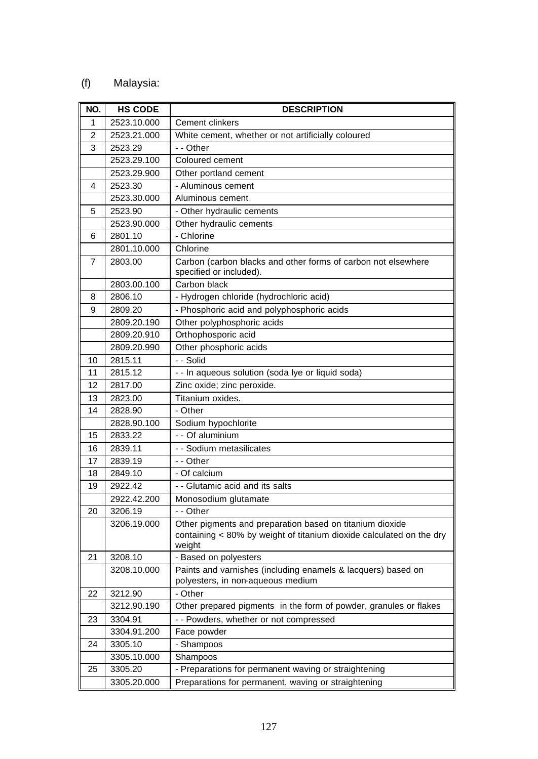## (f) Malaysia:

| NO.            | <b>HS CODE</b> | <b>DESCRIPTION</b>                                                                                                                         |
|----------------|----------------|--------------------------------------------------------------------------------------------------------------------------------------------|
| 1              | 2523.10.000    | Cement clinkers                                                                                                                            |
| $\overline{2}$ | 2523.21.000    | White cement, whether or not artificially coloured                                                                                         |
| 3              | 2523.29        | - - Other                                                                                                                                  |
|                | 2523.29.100    | Coloured cement                                                                                                                            |
|                | 2523.29.900    | Other portland cement                                                                                                                      |
| 4              | 2523.30        | - Aluminous cement                                                                                                                         |
|                | 2523.30.000    | Aluminous cement                                                                                                                           |
| 5              | 2523.90        | - Other hydraulic cements                                                                                                                  |
|                | 2523.90.000    | Other hydraulic cements                                                                                                                    |
| 6              | 2801.10        | - Chlorine                                                                                                                                 |
|                | 2801.10.000    | Chlorine                                                                                                                                   |
| 7              | 2803.00        | Carbon (carbon blacks and other forms of carbon not elsewhere<br>specified or included).                                                   |
|                | 2803.00.100    | Carbon black                                                                                                                               |
| 8              | 2806.10        | - Hydrogen chloride (hydrochloric acid)                                                                                                    |
| 9              | 2809.20        | - Phosphoric acid and polyphosphoric acids                                                                                                 |
|                | 2809.20.190    | Other polyphosphoric acids                                                                                                                 |
|                | 2809.20.910    | Orthophosporic acid                                                                                                                        |
|                | 2809.20.990    | Other phosphoric acids                                                                                                                     |
| 10             | 2815.11        | - - Solid                                                                                                                                  |
| 11             | 2815.12        | - - In aqueous solution (soda lye or liquid soda)                                                                                          |
| 12             | 2817.00        | Zinc oxide; zinc peroxide.                                                                                                                 |
| 13             | 2823.00        | Titanium oxides.                                                                                                                           |
| 14             | 2828.90        | - Other                                                                                                                                    |
|                | 2828.90.100    | Sodium hypochlorite                                                                                                                        |
| 15             | 2833.22        | - - Of aluminium                                                                                                                           |
| 16             | 2839.11        | - - Sodium metasilicates                                                                                                                   |
| 17             | 2839.19        | - - Other                                                                                                                                  |
| 18             | 2849.10        | - Of calcium                                                                                                                               |
| 19             | 2922.42        | - - Glutamic acid and its salts                                                                                                            |
|                | 2922.42.200    | Monosodium glutamate                                                                                                                       |
| 20             | 3206.19        | - - Other                                                                                                                                  |
|                | 3206.19.000    | Other pigments and preparation based on titanium dioxide<br>containing < 80% by weight of titanium dioxide calculated on the dry<br>weight |
| 21             | 3208.10        | - Based on polyesters                                                                                                                      |
|                | 3208.10.000    | Paints and varnishes (including enamels & lacquers) based on<br>polyesters, in non-aqueous medium                                          |
| 22             | 3212.90        | - Other                                                                                                                                    |
|                | 3212.90.190    | Other prepared pigments in the form of powder, granules or flakes                                                                          |
| 23             | 3304.91        | - - Powders, whether or not compressed                                                                                                     |
|                | 3304.91.200    | Face powder                                                                                                                                |
| 24             | 3305.10        | - Shampoos                                                                                                                                 |
|                | 3305.10.000    | Shampoos                                                                                                                                   |
| 25             | 3305.20        | - Preparations for permanent waving or straightening                                                                                       |
|                | 3305.20.000    | Preparations for permanent, waving or straightening                                                                                        |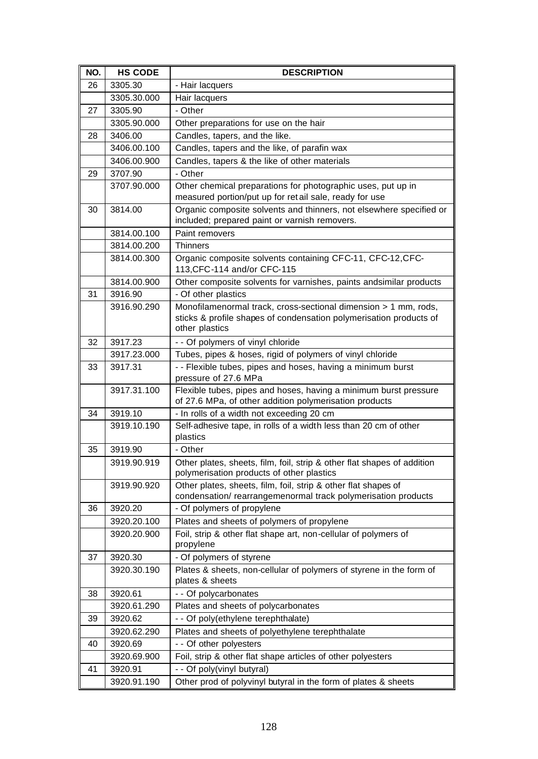| NO. | <b>HS CODE</b> | <b>DESCRIPTION</b>                                                                                                                                      |
|-----|----------------|---------------------------------------------------------------------------------------------------------------------------------------------------------|
| 26  | 3305.30        | - Hair lacquers                                                                                                                                         |
|     | 3305.30.000    | Hair lacquers                                                                                                                                           |
| 27  | 3305.90        | - Other                                                                                                                                                 |
|     | 3305.90.000    | Other preparations for use on the hair                                                                                                                  |
| 28  | 3406.00        | Candles, tapers, and the like.                                                                                                                          |
|     | 3406.00.100    | Candles, tapers and the like, of parafin wax                                                                                                            |
|     | 3406.00.900    | Candles, tapers & the like of other materials                                                                                                           |
| 29  | 3707.90        | - Other                                                                                                                                                 |
|     | 3707.90.000    | Other chemical preparations for photographic uses, put up in<br>measured portion/put up for retail sale, ready for use                                  |
| 30  | 3814.00        | Organic composite solvents and thinners, not elsewhere specified or<br>included; prepared paint or varnish removers.                                    |
|     | 3814.00.100    | Paint removers                                                                                                                                          |
|     | 3814.00.200    | <b>Thinners</b>                                                                                                                                         |
|     | 3814.00.300    | Organic composite solvents containing CFC-11, CFC-12, CFC-<br>113, CFC-114 and/or CFC-115                                                               |
|     | 3814.00.900    | Other composite solvents for varnishes, paints andsimilar products                                                                                      |
| 31  | 3916.90        | - Of other plastics                                                                                                                                     |
|     | 3916.90.290    | Monofilamenormal track, cross-sectional dimension > 1 mm, rods,<br>sticks & profile shapes of condensation polymerisation products of<br>other plastics |
| 32  | 3917.23        | - - Of polymers of vinyl chloride                                                                                                                       |
|     | 3917.23.000    | Tubes, pipes & hoses, rigid of polymers of vinyl chloride                                                                                               |
| 33  | 3917.31        | - - Flexible tubes, pipes and hoses, having a minimum burst<br>pressure of 27.6 MPa                                                                     |
|     | 3917.31.100    | Flexible tubes, pipes and hoses, having a minimum burst pressure<br>of 27.6 MPa, of other addition polymerisation products                              |
| 34  | 3919.10        | - In rolls of a width not exceeding 20 cm                                                                                                               |
|     | 3919.10.190    | Self-adhesive tape, in rolls of a width less than 20 cm of other<br>plastics                                                                            |
| 35  | 3919.90        | - Other                                                                                                                                                 |
|     | 3919.90.919    | Other plates, sheets, film, foil, strip & other flat shapes of addition<br>polymerisation products of other plastics                                    |
|     | 3919.90.920    | Other plates, sheets, film, foil, strip & other flat shapes of<br>condensation/rearrangemenormal track polymerisation products                          |
| 36  | 3920.20        | - Of polymers of propylene                                                                                                                              |
|     | 3920.20.100    | Plates and sheets of polymers of propylene                                                                                                              |
|     | 3920.20.900    | Foil, strip & other flat shape art, non-cellular of polymers of<br>propylene                                                                            |
| 37  | 3920.30        | - Of polymers of styrene                                                                                                                                |
|     | 3920.30.190    | Plates & sheets, non-cellular of polymers of styrene in the form of<br>plates & sheets                                                                  |
| 38  | 3920.61        | - - Of polycarbonates                                                                                                                                   |
|     | 3920.61.290    | Plates and sheets of polycarbonates                                                                                                                     |
| 39  | 3920.62        | - - Of poly(ethylene terephthalate)                                                                                                                     |
|     | 3920.62.290    | Plates and sheets of polyethylene terephthalate                                                                                                         |
| 40  | 3920.69        | - - Of other polyesters                                                                                                                                 |
|     | 3920.69.900    | Foil, strip & other flat shape articles of other polyesters                                                                                             |
| 41  | 3920.91        | - - Of poly(vinyl butyral)                                                                                                                              |
|     | 3920.91.190    | Other prod of polyvinyl butyral in the form of plates & sheets                                                                                          |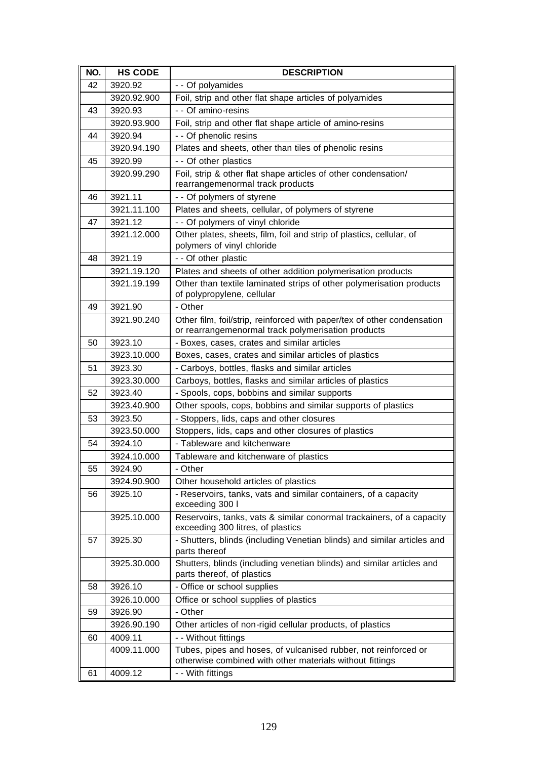| NO. | <b>HS CODE</b> | <b>DESCRIPTION</b>                                                                                                            |
|-----|----------------|-------------------------------------------------------------------------------------------------------------------------------|
| 42  | 3920.92        | - - Of polyamides                                                                                                             |
|     | 3920.92.900    | Foil, strip and other flat shape articles of polyamides                                                                       |
| 43  | 3920.93        | - - Of amino-resins                                                                                                           |
|     | 3920.93.900    | Foil, strip and other flat shape article of amino-resins                                                                      |
| 44  | 3920.94        | - - Of phenolic resins                                                                                                        |
|     | 3920.94.190    | Plates and sheets, other than tiles of phenolic resins                                                                        |
| 45  | 3920.99        | - - Of other plastics                                                                                                         |
|     | 3920.99.290    | Foil, strip & other flat shape articles of other condensation/<br>rearrangemenormal track products                            |
| 46  | 3921.11        | - - Of polymers of styrene                                                                                                    |
|     | 3921.11.100    | Plates and sheets, cellular, of polymers of styrene                                                                           |
| 47  | 3921.12        | - - Of polymers of vinyl chloride                                                                                             |
|     | 3921.12.000    | Other plates, sheets, film, foil and strip of plastics, cellular, of<br>polymers of vinyl chloride                            |
| 48  | 3921.19        | - - Of other plastic                                                                                                          |
|     | 3921.19.120    | Plates and sheets of other addition polymerisation products                                                                   |
|     | 3921.19.199    | Other than textile laminated strips of other polymerisation products<br>of polypropylene, cellular                            |
| 49  | 3921.90        | - Other                                                                                                                       |
|     | 3921.90.240    | Other film, foil/strip, reinforced with paper/tex of other condensation<br>or rearrangemenormal track polymerisation products |
| 50  | 3923.10        | - Boxes, cases, crates and similar articles                                                                                   |
|     | 3923.10.000    | Boxes, cases, crates and similar articles of plastics                                                                         |
| 51  | 3923.30        | - Carboys, bottles, flasks and similar articles                                                                               |
|     | 3923.30.000    | Carboys, bottles, flasks and similar articles of plastics                                                                     |
| 52  | 3923.40        | - Spools, cops, bobbins and similar supports                                                                                  |
|     | 3923.40.900    | Other spools, cops, bobbins and similar supports of plastics                                                                  |
| 53  | 3923.50        | - Stoppers, lids, caps and other closures                                                                                     |
|     | 3923.50.000    | Stoppers, lids, caps and other closures of plastics                                                                           |
| 54  | 3924.10        | - Tableware and kitchenware                                                                                                   |
|     | 3924.10.000    | Tableware and kitchenware of plastics                                                                                         |
| 55  | 3924.90        | - Other                                                                                                                       |
|     | 3924.90.900    | Other household articles of plastics                                                                                          |
| 56  | 3925.10        | - Reservoirs, tanks, vats and similar containers, of a capacity<br>exceeding 300 l                                            |
|     | 3925.10.000    | Reservoirs, tanks, vats & similar conormal trackainers, of a capacity<br>exceeding 300 litres, of plastics                    |
| 57  | 3925.30        | - Shutters, blinds (including Venetian blinds) and similar articles and<br>parts thereof                                      |
|     | 3925.30.000    | Shutters, blinds (including venetian blinds) and similar articles and<br>parts thereof, of plastics                           |
| 58  | 3926.10        | - Office or school supplies                                                                                                   |
|     | 3926.10.000    | Office or school supplies of plastics                                                                                         |
| 59  | 3926.90        | - Other                                                                                                                       |
|     | 3926.90.190    | Other articles of non-rigid cellular products, of plastics                                                                    |
| 60  | 4009.11        | - - Without fittings                                                                                                          |
|     | 4009.11.000    | Tubes, pipes and hoses, of vulcanised rubber, not reinforced or                                                               |
|     |                | otherwise combined with other materials without fittings                                                                      |
| 61  | 4009.12        | - - With fittings                                                                                                             |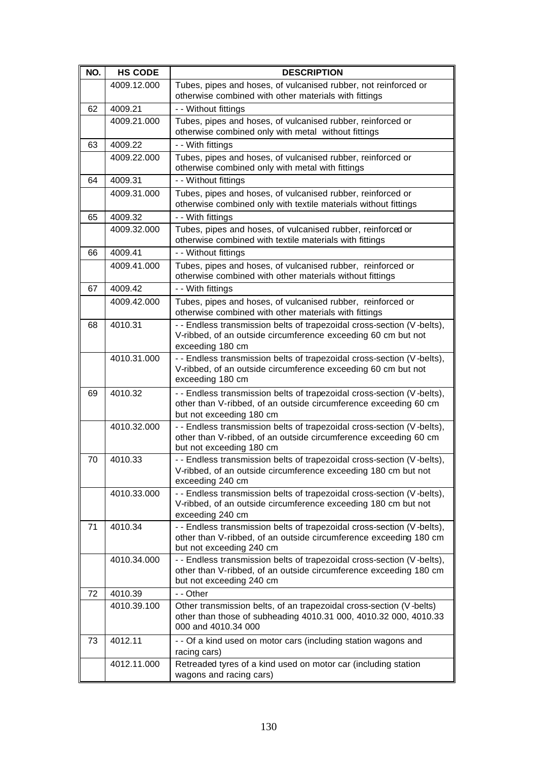| NO. | <b>HS CODE</b> | <b>DESCRIPTION</b>                                                                                                                                                      |
|-----|----------------|-------------------------------------------------------------------------------------------------------------------------------------------------------------------------|
|     | 4009.12.000    | Tubes, pipes and hoses, of vulcanised rubber, not reinforced or<br>otherwise combined with other materials with fittings                                                |
| 62  | 4009.21        | - - Without fittings                                                                                                                                                    |
|     | 4009.21.000    | Tubes, pipes and hoses, of vulcanised rubber, reinforced or<br>otherwise combined only with metal without fittings                                                      |
| 63  | 4009.22        | - - With fittings                                                                                                                                                       |
|     | 4009.22.000    | Tubes, pipes and hoses, of vulcanised rubber, reinforced or<br>otherwise combined only with metal with fittings                                                         |
| 64  | 4009.31        | - - Without fittings                                                                                                                                                    |
|     | 4009.31.000    | Tubes, pipes and hoses, of vulcanised rubber, reinforced or<br>otherwise combined only with textile materials without fittings                                          |
| 65  | 4009.32        | - - With fittings                                                                                                                                                       |
|     | 4009.32.000    | Tubes, pipes and hoses, of vulcanised rubber, reinforced or<br>otherwise combined with textile materials with fittings                                                  |
| 66  | 4009.41        | - - Without fittings                                                                                                                                                    |
|     | 4009.41.000    | Tubes, pipes and hoses, of vulcanised rubber, reinforced or<br>otherwise combined with other materials without fittings                                                 |
| 67  | 4009.42        | - - With fittings                                                                                                                                                       |
|     | 4009.42.000    | Tubes, pipes and hoses, of vulcanised rubber, reinforced or<br>otherwise combined with other materials with fittings                                                    |
| 68  | 4010.31        | - - Endless transmission belts of trapezoidal cross-section (V-belts),<br>V-ribbed, of an outside circumference exceeding 60 cm but not<br>exceeding 180 cm             |
|     | 4010.31.000    | - - Endless transmission belts of trapezoidal cross-section (V-belts),<br>V-ribbed, of an outside circumference exceeding 60 cm but not<br>exceeding 180 cm             |
| 69  | 4010.32        | - - Endless transmission belts of trapezoidal cross-section (V-belts),<br>other than V-ribbed, of an outside circumference exceeding 60 cm<br>but not exceeding 180 cm  |
|     | 4010.32.000    | - - Endless transmission belts of trapezoidal cross-section (V-belts),<br>other than V-ribbed, of an outside circumference exceeding 60 cm<br>but not exceeding 180 cm  |
| 70  | 4010.33        | - - Endless transmission belts of trapezoidal cross-section (V-belts),<br>V-ribbed, of an outside circumference exceeding 180 cm but not<br>exceeding 240 cm            |
|     | 4010.33.000    | - - Endless transmission belts of trapezoidal cross-section (V-belts),<br>V-ribbed, of an outside circumference exceeding 180 cm but not<br>exceeding 240 cm            |
| 71  | 4010.34        | - - Endless transmission belts of trapezoidal cross-section (V-belts),<br>other than V-ribbed, of an outside circumference exceeding 180 cm<br>but not exceeding 240 cm |
|     | 4010.34.000    | - - Endless transmission belts of trapezoidal cross-section (V-belts),<br>other than V-ribbed, of an outside circumference exceeding 180 cm<br>but not exceeding 240 cm |
| 72  | 4010.39        | - - Other                                                                                                                                                               |
|     | 4010.39.100    | Other transmission belts, of an trapezoidal cross-section (V-belts)<br>other than those of subheading 4010.31 000, 4010.32 000, 4010.33<br>000 and 4010.34 000          |
| 73  | 4012.11        | - - Of a kind used on motor cars (including station wagons and<br>racing cars)                                                                                          |
|     | 4012.11.000    | Retreaded tyres of a kind used on motor car (including station<br>wagons and racing cars)                                                                               |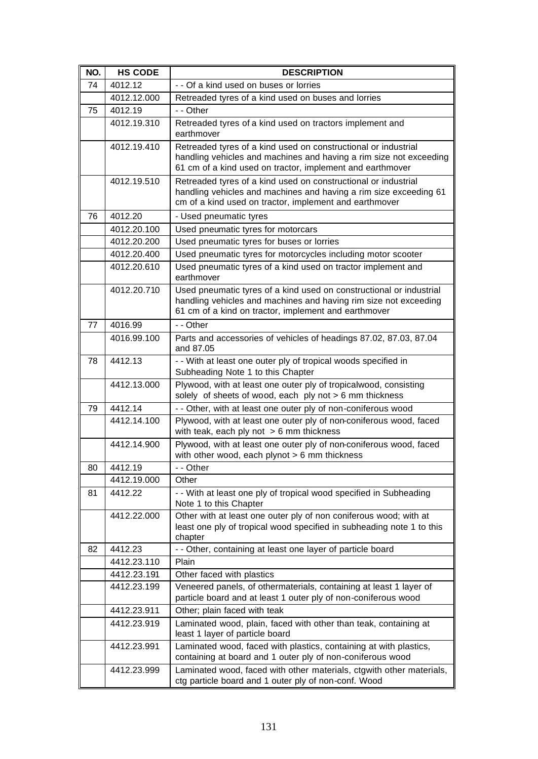| NO. | <b>HS CODE</b> | <b>DESCRIPTION</b>                                                                                                                                                                                |
|-----|----------------|---------------------------------------------------------------------------------------------------------------------------------------------------------------------------------------------------|
| 74  | 4012.12        | - - Of a kind used on buses or lorries                                                                                                                                                            |
|     | 4012.12.000    | Retreaded tyres of a kind used on buses and lorries                                                                                                                                               |
| 75  | 4012.19        | - - Other                                                                                                                                                                                         |
|     | 4012.19.310    | Retreaded tyres of a kind used on tractors implement and<br>earthmover                                                                                                                            |
|     | 4012.19.410    | Retreaded tyres of a kind used on constructional or industrial<br>handling vehicles and machines and having a rim size not exceeding<br>61 cm of a kind used on tractor, implement and earthmover |
|     | 4012.19.510    | Retreaded tyres of a kind used on constructional or industrial<br>handling vehicles and machines and having a rim size exceeding 61<br>cm of a kind used on tractor, implement and earthmover     |
| 76  | 4012.20        | - Used pneumatic tyres                                                                                                                                                                            |
|     | 4012.20.100    | Used pneumatic tyres for motorcars                                                                                                                                                                |
|     | 4012.20.200    | Used pneumatic tyres for buses or lorries                                                                                                                                                         |
|     | 4012.20.400    | Used pneumatic tyres for motorcycles including motor scooter                                                                                                                                      |
|     | 4012.20.610    | Used pneumatic tyres of a kind used on tractor implement and<br>earthmover                                                                                                                        |
|     | 4012.20.710    | Used pneumatic tyres of a kind used on constructional or industrial<br>handling vehicles and machines and having rim size not exceeding<br>61 cm of a kind on tractor, implement and earthmover   |
| 77  | 4016.99        | - - Other                                                                                                                                                                                         |
|     | 4016.99.100    | Parts and accessories of vehicles of headings 87.02, 87.03, 87.04<br>and 87.05                                                                                                                    |
| 78  | 4412.13        | - - With at least one outer ply of tropical woods specified in<br>Subheading Note 1 to this Chapter                                                                                               |
|     | 4412.13.000    | Plywood, with at least one outer ply of tropicalwood, consisting<br>solely of sheets of wood, each $ply not > 6$ mm thickness                                                                     |
| 79  | 4412.14        | - - Other, with at least one outer ply of non-coniferous wood                                                                                                                                     |
|     | 4412.14.100    | Plywood, with at least one outer ply of non-coniferous wood, faced<br>with teak, each ply not $> 6$ mm thickness                                                                                  |
|     | 4412.14.900    | Plywood, with at least one outer ply of non-coniferous wood, faced<br>with other wood, each plynot $> 6$ mm thickness                                                                             |
| 80  | 4412.19        | - - Other                                                                                                                                                                                         |
|     | 4412.19.000    | Other                                                                                                                                                                                             |
| 81  | 4412.22        | - - With at least one ply of tropical wood specified in Subheading<br>Note 1 to this Chapter                                                                                                      |
|     | 4412.22.000    | Other with at least one outer ply of non coniferous wood; with at<br>least one ply of tropical wood specified in subheading note 1 to this<br>chapter                                             |
| 82  | 4412.23        | - - Other, containing at least one layer of particle board                                                                                                                                        |
|     | 4412.23.110    | Plain                                                                                                                                                                                             |
|     | 4412.23.191    | Other faced with plastics                                                                                                                                                                         |
|     | 4412.23.199    | Veneered panels, of othermaterials, containing at least 1 layer of<br>particle board and at least 1 outer ply of non-coniferous wood                                                              |
|     | 4412.23.911    | Other; plain faced with teak                                                                                                                                                                      |
|     | 4412.23.919    | Laminated wood, plain, faced with other than teak, containing at<br>least 1 layer of particle board                                                                                               |
|     | 4412.23.991    | Laminated wood, faced with plastics, containing at with plastics,<br>containing at board and 1 outer ply of non-coniferous wood                                                                   |
|     | 4412.23.999    | Laminated wood, faced with other materials, ctgwith other materials,<br>ctg particle board and 1 outer ply of non-conf. Wood                                                                      |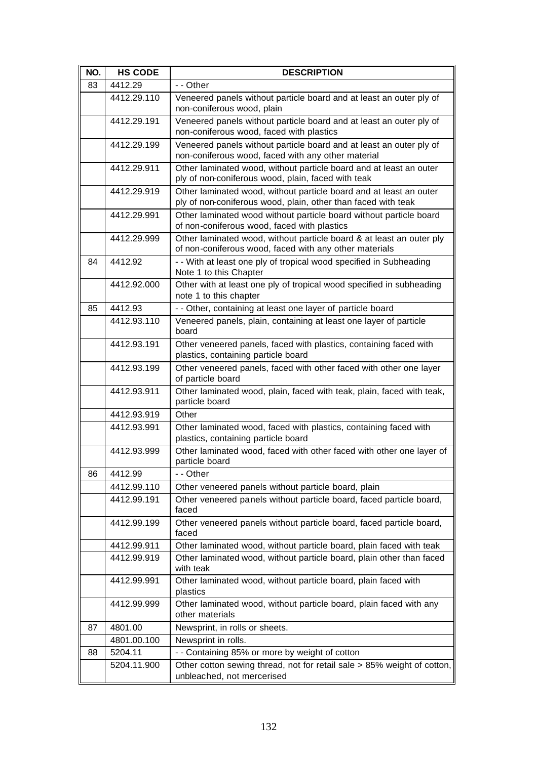| NO. | <b>HS CODE</b> | <b>DESCRIPTION</b>                                                                                                                  |
|-----|----------------|-------------------------------------------------------------------------------------------------------------------------------------|
| 83  | 4412.29        | - - Other                                                                                                                           |
|     | 4412.29.110    | Veneered panels without particle board and at least an outer ply of<br>non-coniferous wood, plain                                   |
|     | 4412.29.191    | Veneered panels without particle board and at least an outer ply of<br>non-coniferous wood, faced with plastics                     |
|     | 4412.29.199    | Veneered panels without particle board and at least an outer ply of<br>non-coniferous wood, faced with any other material           |
|     | 4412.29.911    | Other laminated wood, without particle board and at least an outer<br>ply of non-coniferous wood, plain, faced with teak            |
|     | 4412.29.919    | Other laminated wood, without particle board and at least an outer<br>ply of non-coniferous wood, plain, other than faced with teak |
|     | 4412.29.991    | Other laminated wood without particle board without particle board<br>of non-coniferous wood, faced with plastics                   |
|     | 4412.29.999    | Other laminated wood, without particle board & at least an outer ply<br>of non-coniferous wood, faced with any other materials      |
| 84  | 4412.92        | - - With at least one ply of tropical wood specified in Subheading<br>Note 1 to this Chapter                                        |
|     | 4412.92.000    | Other with at least one ply of tropical wood specified in subheading<br>note 1 to this chapter                                      |
| 85  | 4412.93        | - - Other, containing at least one layer of particle board                                                                          |
|     | 4412.93.110    | Veneered panels, plain, containing at least one layer of particle<br>board                                                          |
|     | 4412.93.191    | Other veneered panels, faced with plastics, containing faced with<br>plastics, containing particle board                            |
|     | 4412.93.199    | Other veneered panels, faced with other faced with other one layer<br>of particle board                                             |
|     | 4412.93.911    | Other laminated wood, plain, faced with teak, plain, faced with teak,<br>particle board                                             |
|     | 4412.93.919    | Other                                                                                                                               |
|     | 4412.93.991    | Other laminated wood, faced with plastics, containing faced with<br>plastics, containing particle board                             |
|     | 4412.93.999    | Other laminated wood, faced with other faced with other one layer of<br>particle board                                              |
| 86  | 4412.99        | - - Other                                                                                                                           |
|     | 4412.99.110    | Other veneered panels without particle board, plain                                                                                 |
|     | 4412.99.191    | Other veneered panels without particle board, faced particle board,<br>faced                                                        |
|     | 4412.99.199    | Other veneered panels without particle board, faced particle board,<br>faced                                                        |
|     | 4412.99.911    | Other laminated wood, without particle board, plain faced with teak                                                                 |
|     | 4412.99.919    | Other laminated wood, without particle board, plain other than faced<br>with teak                                                   |
|     | 4412.99.991    | Other laminated wood, without particle board, plain faced with<br>plastics                                                          |
|     | 4412.99.999    | Other laminated wood, without particle board, plain faced with any<br>other materials                                               |
| 87  | 4801.00        | Newsprint, in rolls or sheets.                                                                                                      |
|     | 4801.00.100    | Newsprint in rolls.                                                                                                                 |
| 88  | 5204.11        | - - Containing 85% or more by weight of cotton                                                                                      |
|     | 5204.11.900    | Other cotton sewing thread, not for retail sale > 85% weight of cotton,<br>unbleached, not mercerised                               |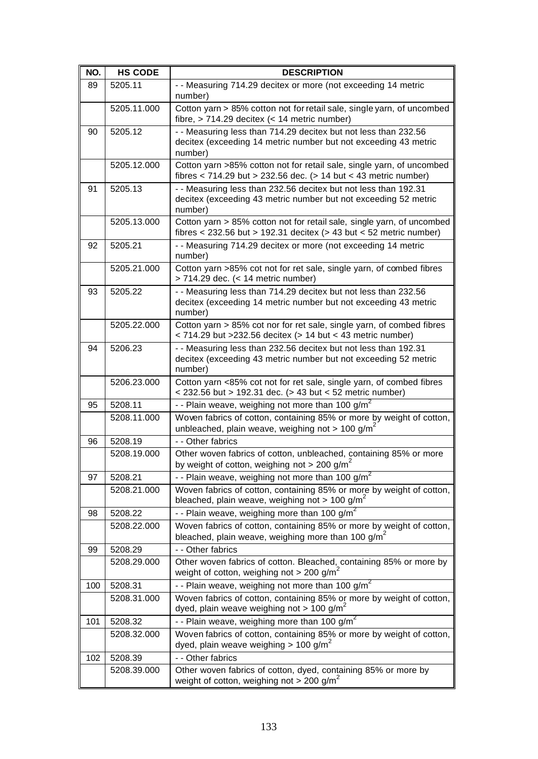| NO. | <b>HS CODE</b> | <b>DESCRIPTION</b>                                                                                                                             |
|-----|----------------|------------------------------------------------------------------------------------------------------------------------------------------------|
| 89  | 5205.11        | - - Measuring 714.29 decitex or more (not exceeding 14 metric<br>number)                                                                       |
|     | 5205.11.000    | Cotton yarn > 85% cotton not for retail sale, single yarn, of uncombed<br>fibre, $> 714.29$ decitex (< 14 metric number)                       |
| 90  | 5205.12        | - - Measuring less than 714.29 decitex but not less than 232.56                                                                                |
|     |                | decitex (exceeding 14 metric number but not exceeding 43 metric<br>number)                                                                     |
|     | 5205.12.000    | Cotton yarn >85% cotton not for retail sale, single yarn, of uncombed<br>fibres $<$ 714.29 but > 232.56 dec. (> 14 but $<$ 43 metric number)   |
| 91  | 5205.13        | - - Measuring less than 232.56 decitex but not less than 192.31<br>decitex (exceeding 43 metric number but not exceeding 52 metric<br>number)  |
|     | 5205.13.000    | Cotton yarn > 85% cotton not for retail sale, single yarn, of uncombed<br>fibres < $232.56$ but > 192.31 decitex (> 43 but < 52 metric number) |
| 92  | 5205.21        | - - Measuring 714.29 decitex or more (not exceeding 14 metric<br>number)                                                                       |
|     | 5205.21.000    | Cotton yarn >85% cot not for ret sale, single yarn, of combed fibres<br>> 714.29 dec. (< 14 metric number)                                     |
| 93  | 5205.22        | - - Measuring less than 714.29 decitex but not less than 232.56<br>decitex (exceeding 14 metric number but not exceeding 43 metric<br>number)  |
|     | 5205.22.000    | Cotton yarn > 85% cot nor for ret sale, single yarn, of combed fibres<br>< 714.29 but > 232.56 decitex (> 14 but < 43 metric number)           |
| 94  | 5206.23        | - - Measuring less than 232.56 decitex but not less than 192.31<br>decitex (exceeding 43 metric number but not exceeding 52 metric<br>number)  |
|     | 5206.23.000    | Cotton yarn <85% cot not for ret sale, single yarn, of combed fibres<br>< 232.56 but > 192.31 dec. (> 43 but < 52 metric number)               |
| 95  | 5208.11        | - - Plain weave, weighing not more than 100 g/m <sup>2</sup>                                                                                   |
|     | 5208.11.000    | Woven fabrics of cotton, containing 85% or more by weight of cotton,<br>unbleached, plain weave, weighing not > 100 g/m <sup>2</sup>           |
| 96  | 5208.19        | - - Other fabrics                                                                                                                              |
|     | 5208.19.000    | Other woven fabrics of cotton, unbleached, containing 85% or more<br>by weight of cotton, weighing not > 200 g/m <sup>2</sup>                  |
| 97  | 5208.21        | - - Plain weave, weighing not more than 100 $g/m^2$                                                                                            |
|     | 5208.21.000    | Woven fabrics of cotton, containing 85% or more by weight of cotton,<br>bleached, plain weave, weighing not > 100 g/m <sup>2</sup>             |
| 98  | 5208.22        | - - Plain weave, weighing more than 100 g/m <sup>2</sup>                                                                                       |
|     | 5208.22.000    | Woven fabrics of cotton, containing 85% or more by weight of cotton,<br>bleached, plain weave, weighing more than 100 g/m <sup>2</sup>         |
| 99  | 5208.29        | - - Other fabrics                                                                                                                              |
|     | 5208.29.000    | Other woven fabrics of cotton. Bleached, containing 85% or more by<br>weight of cotton, weighing not > 200 g/m <sup>2</sup>                    |
| 100 | 5208.31        | - - Plain weave, weighing not more than 100 g/m <sup>2</sup>                                                                                   |
|     | 5208.31.000    | Woven fabrics of cotton, containing 85% or more by weight of cotton,<br>dyed, plain weave weighing not > 100 g/m <sup>2</sup>                  |
| 101 | 5208.32        | - - Plain weave, weighing more than 100 $q/m^2$                                                                                                |
|     | 5208.32.000    | Woven fabrics of cotton, containing 85% or more by weight of cotton,<br>dyed, plain weave weighing > 100 g/m <sup>2</sup>                      |
| 102 | 5208.39        | - - Other fabrics                                                                                                                              |
|     | 5208.39.000    | Other woven fabrics of cotton, dyed, containing 85% or more by<br>weight of cotton, weighing not > 200 g/m <sup>2</sup>                        |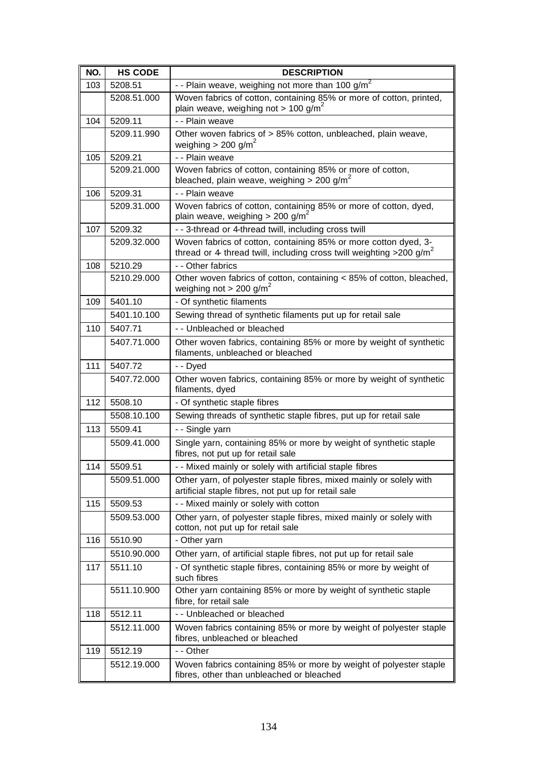| NO. | <b>HS CODE</b> | <b>DESCRIPTION</b>                                                                                                                                  |
|-----|----------------|-----------------------------------------------------------------------------------------------------------------------------------------------------|
| 103 | 5208.51        | - - Plain weave, weighing not more than 100 g/m <sup>2</sup>                                                                                        |
|     | 5208.51.000    | Woven fabrics of cotton, containing 85% or more of cotton, printed,<br>plain weave, weighing not > 100 g/m <sup>2</sup>                             |
| 104 | 5209.11        | - - Plain weave                                                                                                                                     |
|     | 5209.11.990    | Other woven fabrics of > 85% cotton, unbleached, plain weave,<br>weighing > 200 g/m <sup>2</sup>                                                    |
| 105 | 5209.21        | - - Plain weave                                                                                                                                     |
|     | 5209.21.000    | Woven fabrics of cotton, containing 85% or more of cotton,<br>bleached, plain weave, weighing > 200 g/m <sup>2</sup>                                |
| 106 | 5209.31        | - - Plain weave                                                                                                                                     |
|     | 5209.31.000    | Woven fabrics of cotton, containing 85% or more of cotton, dyed,<br>plain weave, weighing $> 200$ g/m <sup>2</sup>                                  |
| 107 | 5209.32        | - - 3-thread or 4-thread twill, including cross twill                                                                                               |
|     | 5209.32.000    | Woven fabrics of cotton, containing 85% or more cotton dyed, 3-<br>thread or 4 thread twill, including cross twill weighting > 200 g/m <sup>2</sup> |
| 108 | 5210.29        | - - Other fabrics                                                                                                                                   |
|     | 5210.29.000    | Other woven fabrics of cotton, containing < 85% of cotton, bleached,<br>weighing not > 200 g/m <sup>2</sup>                                         |
| 109 | 5401.10        | - Of synthetic filaments                                                                                                                            |
|     | 5401.10.100    | Sewing thread of synthetic filaments put up for retail sale                                                                                         |
| 110 | 5407.71        | - - Unbleached or bleached                                                                                                                          |
|     | 5407.71.000    | Other woven fabrics, containing 85% or more by weight of synthetic<br>filaments, unbleached or bleached                                             |
| 111 | 5407.72        | - - Dyed                                                                                                                                            |
|     | 5407.72.000    | Other woven fabrics, containing 85% or more by weight of synthetic<br>filaments, dyed                                                               |
| 112 | 5508.10        | - Of synthetic staple fibres                                                                                                                        |
|     | 5508.10.100    | Sewing threads of synthetic staple fibres, put up for retail sale                                                                                   |
| 113 | 5509.41        | - - Single yarn                                                                                                                                     |
|     | 5509.41.000    | Single yarn, containing 85% or more by weight of synthetic staple<br>fibres, not put up for retail sale                                             |
| 114 | 5509.51        | - - Mixed mainly or solely with artificial staple fibres                                                                                            |
|     | 5509.51.000    | Other yarn, of polyester staple fibres, mixed mainly or solely with<br>artificial staple fibres, not put up for retail sale                         |
| 115 | 5509.53        | - - Mixed mainly or solely with cotton                                                                                                              |
|     | 5509.53.000    | Other yarn, of polyester staple fibres, mixed mainly or solely with<br>cotton, not put up for retail sale                                           |
| 116 | 5510.90        | - Other yarn                                                                                                                                        |
|     | 5510.90.000    | Other yarn, of artificial staple fibres, not put up for retail sale                                                                                 |
| 117 | 5511.10        | - Of synthetic staple fibres, containing 85% or more by weight of<br>such fibres                                                                    |
|     | 5511.10.900    | Other yarn containing 85% or more by weight of synthetic staple<br>fibre, for retail sale                                                           |
| 118 | 5512.11        | - - Unbleached or bleached                                                                                                                          |
|     | 5512.11.000    | Woven fabrics containing 85% or more by weight of polyester staple<br>fibres, unbleached or bleached                                                |
| 119 | 5512.19        | - - Other                                                                                                                                           |
|     | 5512.19.000    | Woven fabrics containing 85% or more by weight of polyester staple<br>fibres, other than unbleached or bleached                                     |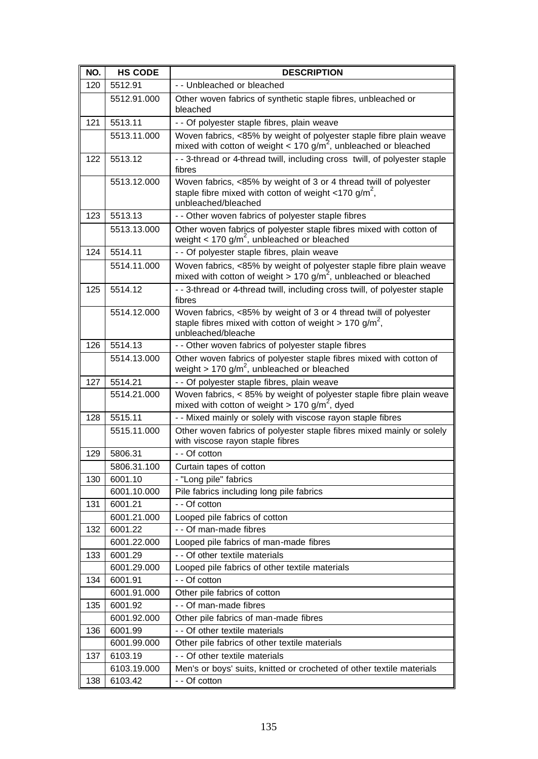| NO. | <b>HS CODE</b> | <b>DESCRIPTION</b>                                                                                                                                              |
|-----|----------------|-----------------------------------------------------------------------------------------------------------------------------------------------------------------|
| 120 | 5512.91        | - - Unbleached or bleached                                                                                                                                      |
|     | 5512.91.000    | Other woven fabrics of synthetic staple fibres, unbleached or<br>bleached                                                                                       |
| 121 | 5513.11        | - - Of polyester staple fibres, plain weave                                                                                                                     |
|     | 5513.11.000    | Woven fabrics, <85% by weight of polyester staple fibre plain weave<br>mixed with cotton of weight $<$ 170 g/m <sup>2</sup> , unbleached or bleached            |
| 122 | 5513.12        | - - 3-thread or 4-thread twill, including cross twill, of polyester staple<br>fibres                                                                            |
|     | 5513.12.000    | Woven fabrics, <85% by weight of 3 or 4 thread twill of polyester<br>staple fibre mixed with cotton of weight <170 g/m <sup>2</sup> ,<br>unbleached/bleached    |
| 123 | 5513.13        | - - Other woven fabrics of polyester staple fibres                                                                                                              |
|     | 5513.13.000    | Other woven fabrics of polyester staple fibres mixed with cotton of<br>weight < 170 $g/m^2$ , unbleached or bleached                                            |
| 124 | 5514.11        | - - Of polyester staple fibres, plain weave                                                                                                                     |
|     | 5514.11.000    | Woven fabrics, <85% by weight of polyester staple fibre plain weave<br>mixed with cotton of weight > 170 $g/m^2$ , unbleached or bleached                       |
| 125 | 5514.12        | - - 3-thread or 4-thread twill, including cross twill, of polyester staple<br>fibres                                                                            |
|     | 5514.12.000    | Woven fabrics, <85% by weight of 3 or 4 thread twill of polyester<br>staple fibres mixed with cotton of weight $> 170$ g/m <sup>2</sup> ,<br>unbleached/bleache |
| 126 | 5514.13        | - - Other woven fabrics of polyester staple fibres                                                                                                              |
|     | 5514.13.000    | Other woven fabrics of polyester staple fibres mixed with cotton of<br>weight > 170 g/m <sup>2</sup> , unbleached or bleached                                   |
| 127 | 5514.21        | - - Of polyester staple fibres, plain weave                                                                                                                     |
|     | 5514.21.000    | Woven fabrics, < 85% by weight of polyester staple fibre plain weave<br>mixed with cotton of weight > 170 $g/m^2$ , dyed                                        |
| 128 | 5515.11        | - - Mixed mainly or solely with viscose rayon staple fibres                                                                                                     |
|     | 5515.11.000    | Other woven fabrics of polyester staple fibres mixed mainly or solely<br>with viscose rayon staple fibres                                                       |
| 129 | 5806.31        | - - Of cotton                                                                                                                                                   |
|     | 5806.31.100    | Curtain tapes of cotton                                                                                                                                         |
| 130 | 6001.10        | - "Long pile" fabrics                                                                                                                                           |
|     | 6001.10.000    | Pile fabrics including long pile fabrics                                                                                                                        |
| 131 | 6001.21        | - - Of cotton                                                                                                                                                   |
|     | 6001.21.000    | Looped pile fabrics of cotton                                                                                                                                   |
| 132 | 6001.22        | - - Of man-made fibres                                                                                                                                          |
|     | 6001.22.000    | Looped pile fabrics of man-made fibres                                                                                                                          |
| 133 | 6001.29        | - - Of other textile materials                                                                                                                                  |
|     | 6001.29.000    | Looped pile fabrics of other textile materials                                                                                                                  |
| 134 | 6001.91        | - - Of cotton                                                                                                                                                   |
|     | 6001.91.000    | Other pile fabrics of cotton                                                                                                                                    |
| 135 | 6001.92        | - - Of man-made fibres                                                                                                                                          |
|     | 6001.92.000    | Other pile fabrics of man-made fibres                                                                                                                           |
| 136 | 6001.99        | - - Of other textile materials                                                                                                                                  |
|     | 6001.99.000    | Other pile fabrics of other textile materials                                                                                                                   |
| 137 | 6103.19        | - - Of other textile materials                                                                                                                                  |
|     | 6103.19.000    | Men's or boys' suits, knitted or crocheted of other textile materials                                                                                           |
| 138 | 6103.42        | - - Of cotton                                                                                                                                                   |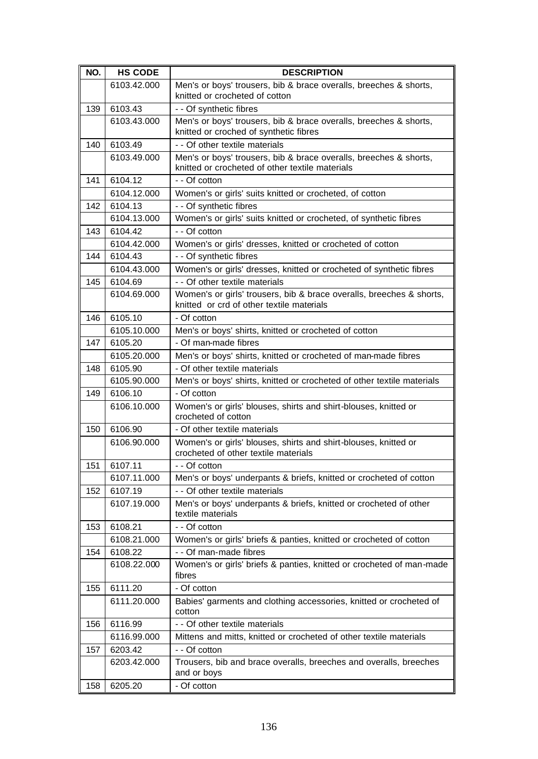| NO. | <b>HS CODE</b> | <b>DESCRIPTION</b>                                                                                                   |
|-----|----------------|----------------------------------------------------------------------------------------------------------------------|
|     | 6103.42.000    | Men's or boys' trousers, bib & brace overalls, breeches & shorts,<br>knitted or crocheted of cotton                  |
| 139 | 6103.43        | - - Of synthetic fibres                                                                                              |
|     | 6103.43.000    | Men's or boys' trousers, bib & brace overalls, breeches & shorts,<br>knitted or croched of synthetic fibres          |
| 140 | 6103.49        | - - Of other textile materials                                                                                       |
|     | 6103.49.000    | Men's or boys' trousers, bib & brace overalls, breeches & shorts,<br>knitted or crocheted of other textile materials |
| 141 | 6104.12        | - - Of cotton                                                                                                        |
|     | 6104.12.000    | Women's or girls' suits knitted or crocheted, of cotton                                                              |
| 142 | 6104.13        | - - Of synthetic fibres                                                                                              |
|     | 6104.13.000    | Women's or girls' suits knitted or crocheted, of synthetic fibres                                                    |
| 143 | 6104.42        | - - Of cotton                                                                                                        |
|     | 6104.42.000    | Women's or girls' dresses, knitted or crocheted of cotton                                                            |
| 144 | 6104.43        | - - Of synthetic fibres                                                                                              |
|     | 6104.43.000    | Women's or girls' dresses, knitted or crocheted of synthetic fibres                                                  |
| 145 | 6104.69        | - - Of other textile materials                                                                                       |
|     | 6104.69.000    | Women's or girls' trousers, bib & brace overalls, breeches & shorts,<br>knitted or crd of other textile materials    |
| 146 | 6105.10        | - Of cotton                                                                                                          |
|     | 6105.10.000    | Men's or boys' shirts, knitted or crocheted of cotton                                                                |
| 147 | 6105.20        | - Of man-made fibres                                                                                                 |
|     | 6105.20.000    | Men's or boys' shirts, knitted or crocheted of man-made fibres                                                       |
| 148 | 6105.90        | - Of other textile materials                                                                                         |
|     | 6105.90.000    | Men's or boys' shirts, knitted or crocheted of other textile materials                                               |
| 149 | 6106.10        | - Of cotton                                                                                                          |
|     | 6106.10.000    | Women's or girls' blouses, shirts and shirt-blouses, knitted or<br>crocheted of cotton                               |
| 150 | 6106.90        | - Of other textile materials                                                                                         |
|     | 6106.90.000    | Women's or girls' blouses, shirts and shirt-blouses, knitted or<br>crocheted of other textile materials              |
| 151 | 6107.11        | - - Of cotton                                                                                                        |
|     | 6107.11.000    | Men's or boys' underpants & briefs, knitted or crocheted of cotton                                                   |
| 152 | 6107.19        | - - Of other textile materials                                                                                       |
|     | 6107.19.000    | Men's or boys' underpants & briefs, knitted or crocheted of other<br>textile materials                               |
| 153 | 6108.21        | - - Of cotton                                                                                                        |
|     | 6108.21.000    | Women's or girls' briefs & panties, knitted or crocheted of cotton                                                   |
| 154 | 6108.22        | - - Of man-made fibres                                                                                               |
|     | 6108.22.000    | Women's or girls' briefs & panties, knitted or crocheted of man-made<br>fibres                                       |
| 155 | 6111.20        | - Of cotton                                                                                                          |
|     | 6111.20.000    | Babies' garments and clothing accessories, knitted or crocheted of<br>cotton                                         |
| 156 | 6116.99        | - - Of other textile materials                                                                                       |
|     | 6116.99.000    | Mittens and mitts, knitted or crocheted of other textile materials                                                   |
| 157 | 6203.42        | - - Of cotton                                                                                                        |
|     | 6203.42.000    | Trousers, bib and brace overalls, breeches and overalls, breeches<br>and or boys                                     |
| 158 | 6205.20        | - Of cotton                                                                                                          |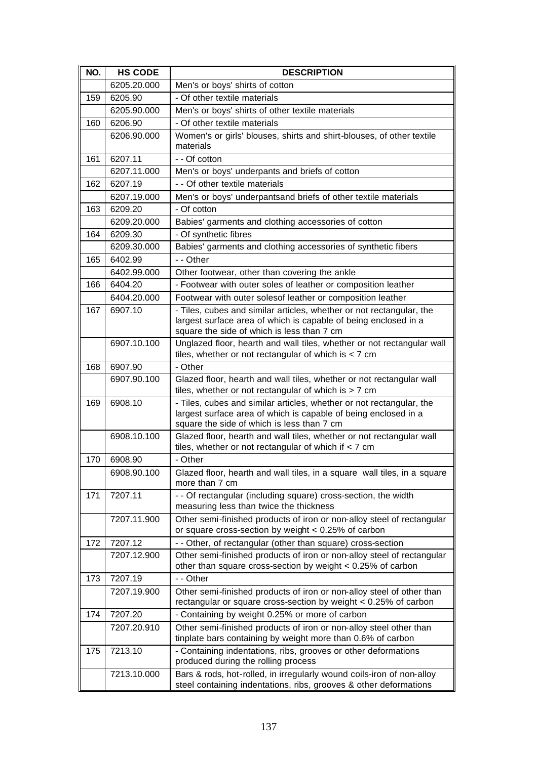| NO. | <b>HS CODE</b> | <b>DESCRIPTION</b>                                                                                                                                                                    |
|-----|----------------|---------------------------------------------------------------------------------------------------------------------------------------------------------------------------------------|
|     | 6205.20.000    | Men's or boys' shirts of cotton                                                                                                                                                       |
| 159 | 6205.90        | - Of other textile materials                                                                                                                                                          |
|     | 6205.90.000    | Men's or boys' shirts of other textile materials                                                                                                                                      |
| 160 | 6206.90        | - Of other textile materials                                                                                                                                                          |
|     | 6206.90.000    | Women's or girls' blouses, shirts and shirt-blouses, of other textile<br>materials                                                                                                    |
| 161 | 6207.11        | - - Of cotton                                                                                                                                                                         |
|     | 6207.11.000    | Men's or boys' underpants and briefs of cotton                                                                                                                                        |
| 162 | 6207.19        | - - Of other textile materials                                                                                                                                                        |
|     | 6207.19.000    | Men's or boys' underpantsand briefs of other textile materials                                                                                                                        |
| 163 | 6209.20        | - Of cotton                                                                                                                                                                           |
|     | 6209.20.000    | Babies' garments and clothing accessories of cotton                                                                                                                                   |
| 164 | 6209.30        | - Of synthetic fibres                                                                                                                                                                 |
|     | 6209.30.000    | Babies' garments and clothing accessories of synthetic fibers                                                                                                                         |
| 165 | 6402.99        | - - Other                                                                                                                                                                             |
|     | 6402.99.000    | Other footwear, other than covering the ankle                                                                                                                                         |
| 166 | 6404.20        | - Footwear with outer soles of leather or composition leather                                                                                                                         |
|     | 6404.20.000    | Footwear with outer solesof leather or composition leather                                                                                                                            |
| 167 | 6907.10        | - Tiles, cubes and similar articles, whether or not rectangular, the<br>largest surface area of which is capable of being enclosed in a<br>square the side of which is less than 7 cm |
|     | 6907.10.100    | Unglazed floor, hearth and wall tiles, whether or not rectangular wall<br>tiles, whether or not rectangular of which is $<$ 7 cm                                                      |
| 168 | 6907.90        | - Other                                                                                                                                                                               |
|     | 6907.90.100    | Glazed floor, hearth and wall tiles, whether or not rectangular wall<br>tiles, whether or not rectangular of which is $> 7$ cm                                                        |
| 169 | 6908.10        | - Tiles, cubes and similar articles, whether or not rectangular, the<br>largest surface area of which is capable of being enclosed in a<br>square the side of which is less than 7 cm |
|     | 6908.10.100    | Glazed floor, hearth and wall tiles, whether or not rectangular wall<br>tiles, whether or not rectangular of which if $<$ 7 cm                                                        |
| 170 | 6908.90        | - Other                                                                                                                                                                               |
|     | 6908.90.100    | Glazed floor, hearth and wall tiles, in a square wall tiles, in a square<br>more than 7 cm                                                                                            |
| 171 | 7207.11        | - - Of rectangular (including square) cross-section, the width<br>measuring less than twice the thickness                                                                             |
|     | 7207.11.900    | Other semi-finished products of iron or non-alloy steel of rectangular<br>or square cross-section by weight $< 0.25\%$ of carbon                                                      |
| 172 | 7207.12        | - - Other, of rectangular (other than square) cross-section                                                                                                                           |
|     | 7207.12.900    | Other semi-finished products of iron or non-alloy steel of rectangular<br>other than square cross-section by weight < 0.25% of carbon                                                 |
| 173 | 7207.19        | - - Other                                                                                                                                                                             |
|     | 7207.19.900    | Other semi-finished products of iron or non-alloy steel of other than<br>rectangular or square cross-section by weight < 0.25% of carbon                                              |
| 174 | 7207.20        | - Containing by weight 0.25% or more of carbon                                                                                                                                        |
|     | 7207.20.910    | Other semi-finished products of iron or non-alloy steel other than<br>tinplate bars containing by weight more than 0.6% of carbon                                                     |
| 175 | 7213.10        | - Containing indentations, ribs, grooves or other deformations<br>produced during the rolling process                                                                                 |
|     | 7213.10.000    | Bars & rods, hot-rolled, in irregularly wound coils-iron of non-alloy<br>steel containing indentations, ribs, grooves & other deformations                                            |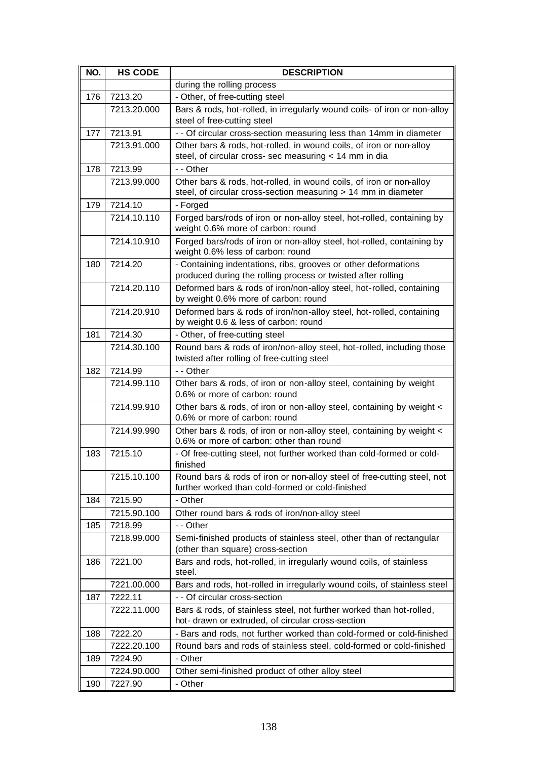| NO. | <b>HS CODE</b> | <b>DESCRIPTION</b>                                                                                                                    |
|-----|----------------|---------------------------------------------------------------------------------------------------------------------------------------|
|     |                | during the rolling process                                                                                                            |
| 176 | 7213.20        | - Other, of free-cutting steel                                                                                                        |
|     | 7213.20.000    | Bars & rods, hot-rolled, in irregularly wound coils- of iron or non-alloy<br>steel of free-cutting steel                              |
| 177 | 7213.91        | - - Of circular cross-section measuring less than 14mm in diameter                                                                    |
|     | 7213.91.000    | Other bars & rods, hot-rolled, in wound coils, of iron or non-alloy                                                                   |
|     |                | steel, of circular cross- sec measuring < 14 mm in dia                                                                                |
| 178 | 7213.99        | - - Other                                                                                                                             |
|     | 7213.99.000    | Other bars & rods, hot-rolled, in wound coils, of iron or non-alloy<br>steel, of circular cross-section measuring > 14 mm in diameter |
| 179 | 7214.10        | - Forged                                                                                                                              |
|     | 7214.10.110    | Forged bars/rods of iron or non-alloy steel, hot-rolled, containing by<br>weight 0.6% more of carbon: round                           |
|     | 7214.10.910    | Forged bars/rods of iron or non-alloy steel, hot-rolled, containing by                                                                |
|     |                | weight 0.6% less of carbon: round                                                                                                     |
| 180 | 7214.20        | - Containing indentations, ribs, grooves or other deformations<br>produced during the rolling process or twisted after rolling        |
|     | 7214.20.110    | Deformed bars & rods of iron/non-alloy steel, hot-rolled, containing                                                                  |
|     |                | by weight 0.6% more of carbon: round                                                                                                  |
|     | 7214.20.910    | Deformed bars & rods of iron/non-alloy steel, hot-rolled, containing<br>by weight 0.6 & less of carbon: round                         |
| 181 | 7214.30        | - Other, of free-cutting steel                                                                                                        |
|     | 7214.30.100    | Round bars & rods of iron/non-alloy steel, hot-rolled, including those                                                                |
|     |                | twisted after rolling of free-cutting steel                                                                                           |
| 182 | 7214.99        | - - Other                                                                                                                             |
|     | 7214.99.110    | Other bars & rods, of iron or non-alloy steel, containing by weight<br>0.6% or more of carbon: round                                  |
|     | 7214.99.910    | Other bars & rods, of iron or non-alloy steel, containing by weight <<br>0.6% or more of carbon: round                                |
|     | 7214.99.990    | Other bars & rods, of iron or non-alloy steel, containing by weight <<br>0.6% or more of carbon: other than round                     |
| 183 | 7215.10        | - Of free-cutting steel, not further worked than cold-formed or cold-<br>finished                                                     |
|     | 7215.10.100    | Round bars & rods of iron or non-alloy steel of free-cutting steel, not<br>further worked than cold-formed or cold-finished           |
| 184 | 7215.90        | - Other                                                                                                                               |
|     | 7215.90.100    | Other round bars & rods of iron/non-alloy steel                                                                                       |
| 185 | 7218.99        | - - Other                                                                                                                             |
|     | 7218.99.000    | Semi-finished products of stainless steel, other than of rectangular<br>(other than square) cross-section                             |
| 186 | 7221.00        | Bars and rods, hot-rolled, in irregularly wound coils, of stainless<br>steel.                                                         |
|     | 7221.00.000    | Bars and rods, hot-rolled in irregularly wound coils, of stainless steel                                                              |
| 187 | 7222.11        | - - Of circular cross-section                                                                                                         |
|     | 7222.11.000    | Bars & rods, of stainless steel, not further worked than hot-rolled,<br>hot- drawn or extruded, of circular cross-section             |
| 188 | 7222.20        | - Bars and rods, not further worked than cold-formed or cold-finished                                                                 |
|     | 7222.20.100    | Round bars and rods of stainless steel, cold-formed or cold-finished                                                                  |
| 189 | 7224.90        | - Other                                                                                                                               |
|     | 7224.90.000    | Other semi-finished product of other alloy steel                                                                                      |
| 190 | 7227.90        | - Other                                                                                                                               |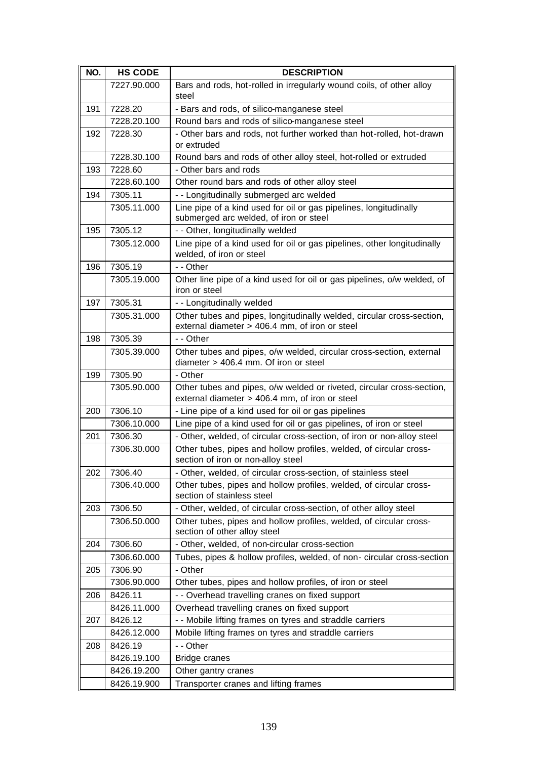| NO. | <b>HS CODE</b> | <b>DESCRIPTION</b>                                                                                                      |
|-----|----------------|-------------------------------------------------------------------------------------------------------------------------|
|     | 7227.90.000    | Bars and rods, hot-rolled in irregularly wound coils, of other alloy<br>steel                                           |
| 191 | 7228.20        | - Bars and rods, of silico-manganese steel                                                                              |
|     | 7228.20.100    | Round bars and rods of silico-manganese steel                                                                           |
| 192 | 7228.30        | - Other bars and rods, not further worked than hot-rolled, hot-drawn<br>or extruded                                     |
|     | 7228.30.100    | Round bars and rods of other alloy steel, hot-rolled or extruded                                                        |
| 193 | 7228.60        | - Other bars and rods                                                                                                   |
|     | 7228.60.100    | Other round bars and rods of other alloy steel                                                                          |
| 194 | 7305.11        | - - Longitudinally submerged arc welded                                                                                 |
|     | 7305.11.000    | Line pipe of a kind used for oil or gas pipelines, longitudinally<br>submerged arc welded, of iron or steel             |
| 195 | 7305.12        | - - Other, longitudinally welded                                                                                        |
|     | 7305.12.000    | Line pipe of a kind used for oil or gas pipelines, other longitudinally<br>welded, of iron or steel                     |
| 196 | 7305.19        | - - Other                                                                                                               |
|     | 7305.19.000    | Other line pipe of a kind used for oil or gas pipelines, o/w welded, of<br>iron or steel                                |
| 197 | 7305.31        | - - Longitudinally welded                                                                                               |
|     | 7305.31.000    | Other tubes and pipes, longitudinally welded, circular cross-section,<br>external diameter > 406.4 mm, of iron or steel |
| 198 | 7305.39        | - - Other                                                                                                               |
|     | 7305.39.000    | Other tubes and pipes, o/w welded, circular cross-section, external<br>diameter > 406.4 mm. Of iron or steel            |
| 199 | 7305.90        | - Other                                                                                                                 |
|     | 7305.90.000    | Other tubes and pipes, o/w welded or riveted, circular cross-section,<br>external diameter > 406.4 mm, of iron or steel |
| 200 | 7306.10        | - Line pipe of a kind used for oil or gas pipelines                                                                     |
|     | 7306.10.000    | Line pipe of a kind used for oil or gas pipelines, of iron or steel                                                     |
| 201 | 7306.30        | - Other, welded, of circular cross-section, of iron or non-alloy steel                                                  |
|     | 7306.30.000    | Other tubes, pipes and hollow profiles, welded, of circular cross-<br>section of iron or non-alloy steel                |
| 202 | 7306.40        | - Other, welded, of circular cross-section, of stainless steel                                                          |
|     | 7306.40.000    | Other tubes, pipes and hollow profiles, welded, of circular cross-<br>section of stainless steel                        |
| 203 | 7306.50        | - Other, welded, of circular cross-section, of other alloy steel                                                        |
|     | 7306.50.000    | Other tubes, pipes and hollow profiles, welded, of circular cross-<br>section of other alloy steel                      |
| 204 | 7306.60        | - Other, welded, of non-circular cross-section                                                                          |
|     | 7306.60.000    | Tubes, pipes & hollow profiles, welded, of non-circular cross-section                                                   |
| 205 | 7306.90        | - Other                                                                                                                 |
|     | 7306.90.000    | Other tubes, pipes and hollow profiles, of iron or steel                                                                |
| 206 | 8426.11        | - - Overhead travelling cranes on fixed support                                                                         |
|     | 8426.11.000    | Overhead travelling cranes on fixed support                                                                             |
| 207 | 8426.12        | - - Mobile lifting frames on tyres and straddle carriers                                                                |
|     | 8426.12.000    | Mobile lifting frames on tyres and straddle carriers                                                                    |
| 208 | 8426.19        | - - Other                                                                                                               |
|     | 8426.19.100    | Bridge cranes                                                                                                           |
|     | 8426.19.200    | Other gantry cranes                                                                                                     |
|     | 8426.19.900    | Transporter cranes and lifting frames                                                                                   |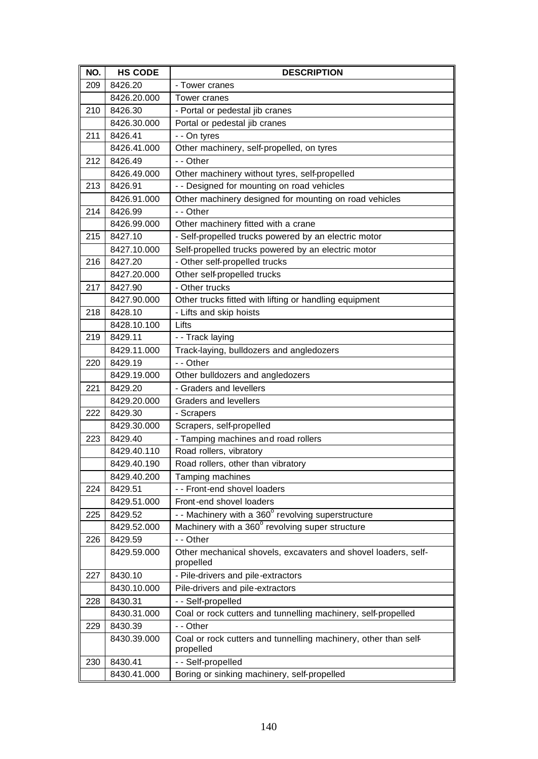| NO. | <b>HS CODE</b> | <b>DESCRIPTION</b>                                                           |
|-----|----------------|------------------------------------------------------------------------------|
| 209 | 8426.20        | - Tower cranes                                                               |
|     | 8426.20.000    | Tower cranes                                                                 |
| 210 | 8426.30        | - Portal or pedestal jib cranes                                              |
|     | 8426.30.000    | Portal or pedestal jib cranes                                                |
| 211 | 8426.41        | - - On tyres                                                                 |
|     | 8426.41.000    | Other machinery, self-propelled, on tyres                                    |
| 212 | 8426.49        | - - Other                                                                    |
|     | 8426.49.000    | Other machinery without tyres, self-propelled                                |
| 213 | 8426.91        | - - Designed for mounting on road vehicles                                   |
|     | 8426.91.000    | Other machinery designed for mounting on road vehicles                       |
| 214 | 8426.99        | - - Other                                                                    |
|     | 8426.99.000    | Other machinery fitted with a crane                                          |
| 215 | 8427.10        | - Self-propelled trucks powered by an electric motor                         |
|     | 8427.10.000    | Self-propelled trucks powered by an electric motor                           |
| 216 | 8427.20        | - Other self-propelled trucks                                                |
|     | 8427.20.000    | Other self-propelled trucks                                                  |
| 217 | 8427.90        | - Other trucks                                                               |
|     | 8427.90.000    | Other trucks fitted with lifting or handling equipment                       |
| 218 | 8428.10        | - Lifts and skip hoists                                                      |
|     | 8428.10.100    | Lifts                                                                        |
| 219 | 8429.11        | - - Track laying                                                             |
|     | 8429.11.000    | Track-laying, bulldozers and angledozers                                     |
| 220 | 8429.19        | - - Other                                                                    |
|     | 8429.19.000    | Other bulldozers and angledozers                                             |
| 221 | 8429.20        | - Graders and levellers                                                      |
|     | 8429.20.000    | <b>Graders and levellers</b>                                                 |
| 222 | 8429.30        | - Scrapers                                                                   |
|     | 8429.30.000    | Scrapers, self-propelled                                                     |
| 223 | 8429.40        | - Tamping machines and road rollers                                          |
|     | 8429.40.110    | Road rollers, vibratory                                                      |
|     | 8429.40.190    | Road rollers, other than vibratory                                           |
|     | 8429.40.200    | Tamping machines                                                             |
| 224 | 8429.51        | - - Front-end shovel loaders                                                 |
|     | 8429.51.000    | Front-end shovel loaders                                                     |
| 225 | 8429.52        | - - Machinery with a 360° revolving superstructure                           |
|     | 8429.52.000    | Machinery with a 360° revolving super structure                              |
| 226 | 8429.59        | - - Other                                                                    |
|     | 8429.59.000    | Other mechanical shovels, excavaters and shovel loaders, self-<br>propelled  |
| 227 | 8430.10        | - Pile-drivers and pile-extractors                                           |
|     | 8430.10.000    | Pile-drivers and pile-extractors                                             |
| 228 | 8430.31        | - - Self-propelled                                                           |
|     | 8430.31.000    | Coal or rock cutters and tunnelling machinery, self-propelled                |
| 229 | 8430.39        | - - Other                                                                    |
|     | 8430.39.000    | Coal or rock cutters and tunnelling machinery, other than self-<br>propelled |
| 230 | 8430.41        | - - Self-propelled                                                           |
|     | 8430.41.000    | Boring or sinking machinery, self-propelled                                  |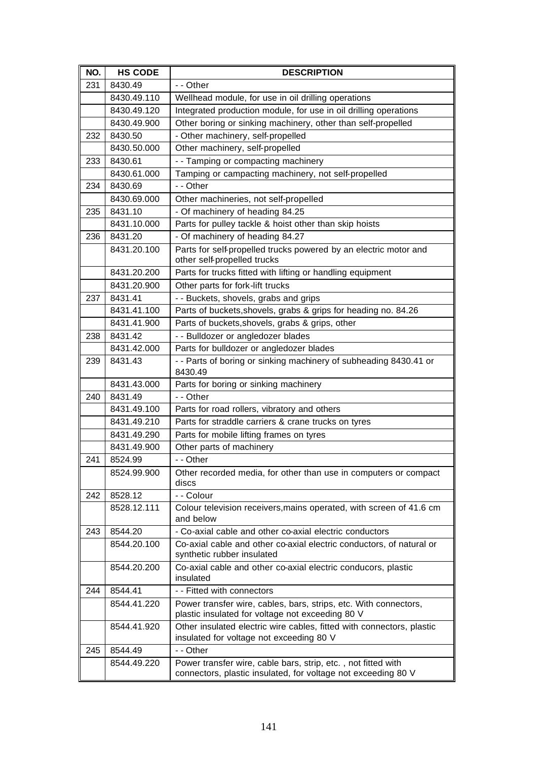| NO. | <b>HS CODE</b> | <b>DESCRIPTION</b>                                                                                                             |
|-----|----------------|--------------------------------------------------------------------------------------------------------------------------------|
| 231 | 8430.49        | - - Other                                                                                                                      |
|     | 8430.49.110    | Wellhead module, for use in oil drilling operations                                                                            |
|     | 8430.49.120    | Integrated production module, for use in oil drilling operations                                                               |
|     | 8430.49.900    | Other boring or sinking machinery, other than self-propelled                                                                   |
| 232 | 8430.50        | - Other machinery, self-propelled                                                                                              |
|     | 8430.50.000    | Other machinery, self-propelled                                                                                                |
| 233 | 8430.61        | - - Tamping or compacting machinery                                                                                            |
|     | 8430.61.000    | Tamping or campacting machinery, not self-propelled                                                                            |
| 234 | 8430.69        | - - Other                                                                                                                      |
|     | 8430.69.000    | Other machineries, not self-propelled                                                                                          |
| 235 | 8431.10        | - Of machinery of heading 84.25                                                                                                |
|     | 8431.10.000    | Parts for pulley tackle & hoist other than skip hoists                                                                         |
| 236 | 8431.20        | - Of machinery of heading 84.27                                                                                                |
|     | 8431.20.100    | Parts for self-propelled trucks powered by an electric motor and<br>other self-propelled trucks                                |
|     | 8431.20.200    | Parts for trucks fitted with lifting or handling equipment                                                                     |
|     | 8431.20.900    | Other parts for fork-lift trucks                                                                                               |
| 237 | 8431.41        | - - Buckets, shovels, grabs and grips                                                                                          |
|     | 8431.41.100    | Parts of buckets, shovels, grabs & grips for heading no. 84.26                                                                 |
|     | 8431.41.900    | Parts of buckets, shovels, grabs & grips, other                                                                                |
| 238 | 8431.42        | - - Bulldozer or angledozer blades                                                                                             |
|     | 8431.42.000    | Parts for bulldozer or angledozer blades                                                                                       |
| 239 | 8431.43        | - - Parts of boring or sinking machinery of subheading 8430.41 or<br>8430.49                                                   |
|     | 8431.43.000    | Parts for boring or sinking machinery                                                                                          |
| 240 | 8431.49        | - - Other                                                                                                                      |
|     | 8431.49.100    | Parts for road rollers, vibratory and others                                                                                   |
|     | 8431.49.210    | Parts for straddle carriers & crane trucks on tyres                                                                            |
|     | 8431.49.290    | Parts for mobile lifting frames on tyres                                                                                       |
|     | 8431.49.900    | Other parts of machinery                                                                                                       |
| 241 | 8524.99        | - - Other                                                                                                                      |
|     | 8524.99.900    | Other recorded media, for other than use in computers or compact<br>discs                                                      |
| 242 | 8528.12        | - - Colour                                                                                                                     |
|     | 8528.12.111    | Colour television receivers, mains operated, with screen of 41.6 cm<br>and below                                               |
| 243 | 8544.20        | - Co-axial cable and other co-axial electric conductors                                                                        |
|     | 8544.20.100    | Co-axial cable and other co-axial electric conductors, of natural or<br>synthetic rubber insulated                             |
|     | 8544.20.200    | Co-axial cable and other co-axial electric conducors, plastic<br>insulated                                                     |
| 244 | 8544.41        | - - Fitted with connectors                                                                                                     |
|     | 8544.41.220    | Power transfer wire, cables, bars, strips, etc. With connectors,<br>plastic insulated for voltage not exceeding 80 V           |
|     | 8544.41.920    | Other insulated electric wire cables, fitted with connectors, plastic<br>insulated for voltage not exceeding 80 V              |
| 245 | 8544.49        | - - Other                                                                                                                      |
|     | 8544.49.220    | Power transfer wire, cable bars, strip, etc., not fitted with<br>connectors, plastic insulated, for voltage not exceeding 80 V |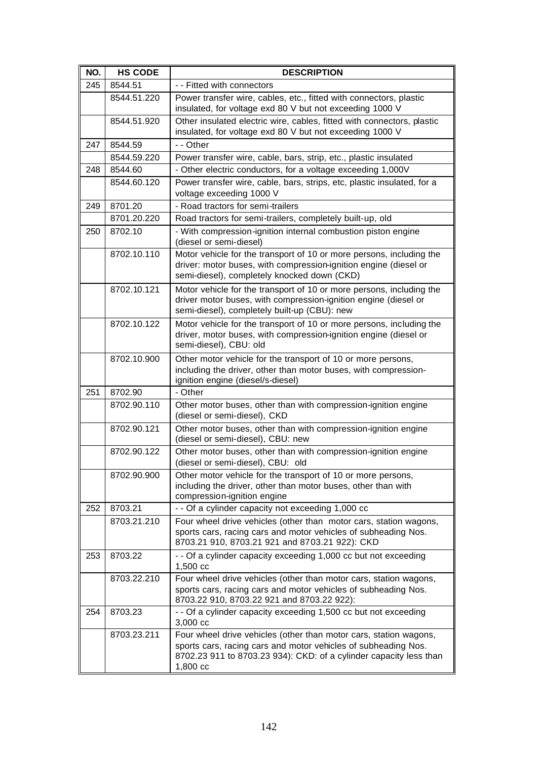| NO. | <b>HS CODE</b> | <b>DESCRIPTION</b>                                                                                                                                                                                                    |
|-----|----------------|-----------------------------------------------------------------------------------------------------------------------------------------------------------------------------------------------------------------------|
| 245 | 8544.51        | - - Fitted with connectors                                                                                                                                                                                            |
|     | 8544.51.220    | Power transfer wire, cables, etc., fitted with connectors, plastic<br>insulated, for voltage exd 80 V but not exceeding 1000 V                                                                                        |
|     | 8544.51.920    | Other insulated electric wire, cables, fitted with connectors, plastic<br>insulated, for voltage exd 80 V but not exceeding 1000 V                                                                                    |
| 247 | 8544.59        | - - Other                                                                                                                                                                                                             |
|     | 8544.59.220    | Power transfer wire, cable, bars, strip, etc., plastic insulated                                                                                                                                                      |
| 248 | 8544.60        | - Other electric conductors, for a voltage exceeding 1,000V                                                                                                                                                           |
|     | 8544.60.120    | Power transfer wire, cable, bars, strips, etc, plastic insulated, for a<br>voltage exceeding 1000 V                                                                                                                   |
| 249 | 8701.20        | - Road tractors for semi-trailers                                                                                                                                                                                     |
|     | 8701.20.220    | Road tractors for semi-trailers, completely built-up, old                                                                                                                                                             |
| 250 | 8702.10        | - With compression-ignition internal combustion piston engine<br>(diesel or semi-diesel)                                                                                                                              |
|     | 8702.10.110    | Motor vehicle for the transport of 10 or more persons, including the<br>driver: motor buses, with compression-ignition engine (diesel or<br>semi-diesel), completely knocked down (CKD)                               |
|     | 8702.10.121    | Motor vehicle for the transport of 10 or more persons, including the<br>driver motor buses, with compression-ignition engine (diesel or<br>semi-diesel), completely built-up (CBU): new                               |
|     | 8702.10.122    | Motor vehicle for the transport of 10 or more persons, including the<br>driver, motor buses, with compression-ignition engine (diesel or<br>semi-diesel), CBU: old                                                    |
|     | 8702.10.900    | Other motor vehicle for the transport of 10 or more persons,<br>including the driver, other than motor buses, with compression-<br>ignition engine (diesel/s-diesel)                                                  |
| 251 | 8702.90        | - Other                                                                                                                                                                                                               |
|     | 8702.90.110    | Other motor buses, other than with compression-ignition engine<br>(diesel or semi-diesel), CKD                                                                                                                        |
|     | 8702.90.121    | Other motor buses, other than with compression-ignition engine<br>(diesel or semi-diesel), CBU: new                                                                                                                   |
|     | 8702.90.122    | Other motor buses, other than with compression-ignition engine<br>(diesel or semi-diesel), CBU: old                                                                                                                   |
|     | 8702.90.900    | Other motor vehicle for the transport of 10 or more persons,<br>including the driver, other than motor buses, other than with<br>compression-ignition engine                                                          |
| 252 | 8703.21        | - - Of a cylinder capacity not exceeding 1,000 cc                                                                                                                                                                     |
|     | 8703.21.210    | Four wheel drive vehicles (other than motor cars, station wagons,                                                                                                                                                     |
|     |                | sports cars, racing cars and motor vehicles of subheading Nos.<br>8703.21 910, 8703.21 921 and 8703.21 922): CKD                                                                                                      |
| 253 | 8703.22        | - - Of a cylinder capacity exceeding 1,000 cc but not exceeding<br>1,500 cc                                                                                                                                           |
|     | 8703.22.210    | Four wheel drive vehicles (other than motor cars, station wagons,<br>sports cars, racing cars and motor vehicles of subheading Nos.<br>8703.22 910, 8703.22 921 and 8703.22 922):                                     |
| 254 | 8703.23        | - - Of a cylinder capacity exceeding 1,500 cc but not exceeding<br>$3,000$ cc                                                                                                                                         |
|     | 8703.23.211    | Four wheel drive vehicles (other than motor cars, station wagons,<br>sports cars, racing cars and motor vehicles of subheading Nos.<br>8702.23 911 to 8703.23 934): CKD: of a cylinder capacity less than<br>1,800 cc |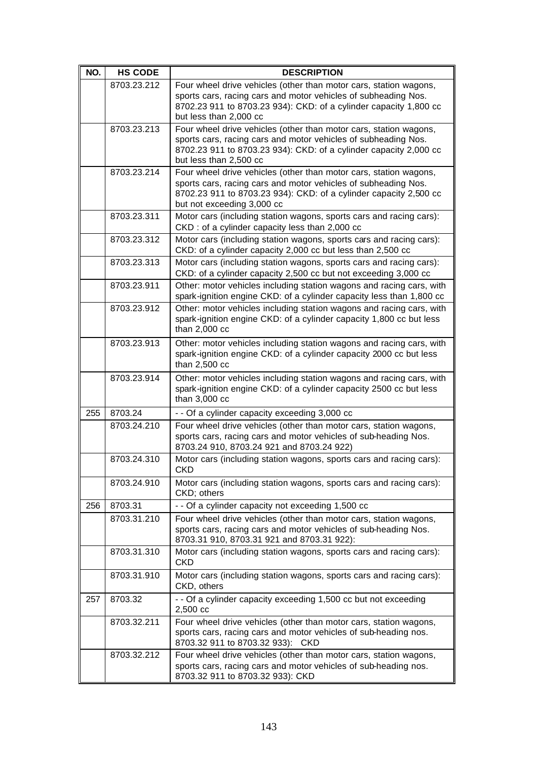| NO. | <b>HS CODE</b> | <b>DESCRIPTION</b>                                                                                                                                                                                                                     |
|-----|----------------|----------------------------------------------------------------------------------------------------------------------------------------------------------------------------------------------------------------------------------------|
|     | 8703.23.212    | Four wheel drive vehicles (other than motor cars, station wagons,<br>sports cars, racing cars and motor vehicles of subheading Nos.<br>8702.23 911 to 8703.23 934): CKD: of a cylinder capacity 1,800 cc<br>but less than 2,000 cc     |
|     | 8703.23.213    | Four wheel drive vehicles (other than motor cars, station wagons,<br>sports cars, racing cars and motor vehicles of subheading Nos.<br>8702.23 911 to 8703.23 934): CKD: of a cylinder capacity 2,000 cc<br>but less than 2,500 cc     |
|     | 8703.23.214    | Four wheel drive vehicles (other than motor cars, station wagons,<br>sports cars, racing cars and motor vehicles of subheading Nos.<br>8702.23 911 to 8703.23 934): CKD: of a cylinder capacity 2,500 cc<br>but not exceeding 3,000 cc |
|     | 8703.23.311    | Motor cars (including station wagons, sports cars and racing cars):<br>CKD : of a cylinder capacity less than 2,000 cc                                                                                                                 |
|     | 8703.23.312    | Motor cars (including station wagons, sports cars and racing cars):<br>CKD: of a cylinder capacity 2,000 cc but less than 2,500 cc                                                                                                     |
|     | 8703.23.313    | Motor cars (including station wagons, sports cars and racing cars):<br>CKD: of a cylinder capacity 2,500 cc but not exceeding 3,000 cc                                                                                                 |
|     | 8703.23.911    | Other: motor vehicles including station wagons and racing cars, with<br>spark-ignition engine CKD: of a cylinder capacity less than 1,800 cc                                                                                           |
|     | 8703.23.912    | Other: motor vehicles including station wagons and racing cars, with<br>spark-ignition engine CKD: of a cylinder capacity 1,800 cc but less<br>than 2,000 cc                                                                           |
|     | 8703.23.913    | Other: motor vehicles including station wagons and racing cars, with<br>spark-ignition engine CKD: of a cylinder capacity 2000 cc but less<br>than 2,500 cc                                                                            |
|     | 8703.23.914    | Other: motor vehicles including station wagons and racing cars, with<br>spark-ignition engine CKD: of a cylinder capacity 2500 cc but less<br>than 3,000 cc                                                                            |
| 255 | 8703.24        | - - Of a cylinder capacity exceeding 3,000 cc                                                                                                                                                                                          |
|     | 8703.24.210    | Four wheel drive vehicles (other than motor cars, station wagons,<br>sports cars, racing cars and motor vehicles of sub-heading Nos.<br>8703.24 910, 8703.24 921 and 8703.24 922)                                                      |
|     | 8703.24.310    | Motor cars (including station wagons, sports cars and racing cars):<br><b>CKD</b>                                                                                                                                                      |
|     | 8703.24.910    | Motor cars (including station wagons, sports cars and racing cars):<br>CKD; others                                                                                                                                                     |
| 256 | 8703.31        | - - Of a cylinder capacity not exceeding 1,500 cc                                                                                                                                                                                      |
|     | 8703.31.210    | Four wheel drive vehicles (other than motor cars, station wagons,<br>sports cars, racing cars and motor vehicles of sub-heading Nos.<br>8703.31 910, 8703.31 921 and 8703.31 922):                                                     |
|     | 8703.31.310    | Motor cars (including station wagons, sports cars and racing cars):<br><b>CKD</b>                                                                                                                                                      |
|     | 8703.31.910    | Motor cars (including station wagons, sports cars and racing cars):<br>CKD, others                                                                                                                                                     |
| 257 | 8703.32        | - - Of a cylinder capacity exceeding 1,500 cc but not exceeding<br>2,500 cc                                                                                                                                                            |
|     | 8703.32.211    | Four wheel drive vehicles (other than motor cars, station wagons,<br>sports cars, racing cars and motor vehicles of sub-heading nos.<br>8703.32 911 to 8703.32 933): CKD                                                               |
|     | 8703.32.212    | Four wheel drive vehicles (other than motor cars, station wagons,<br>sports cars, racing cars and motor vehicles of sub-heading nos.<br>8703.32 911 to 8703.32 933): CKD                                                               |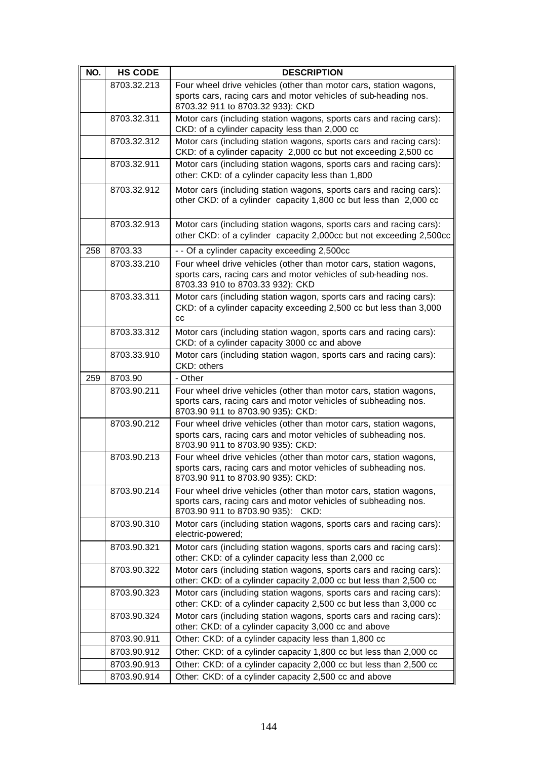| NO. | <b>HS CODE</b> | <b>DESCRIPTION</b>                                                                                                                                                       |
|-----|----------------|--------------------------------------------------------------------------------------------------------------------------------------------------------------------------|
|     | 8703.32.213    | Four wheel drive vehicles (other than motor cars, station wagons,<br>sports cars, racing cars and motor vehicles of sub-heading nos.<br>8703.32 911 to 8703.32 933): CKD |
|     | 8703.32.311    | Motor cars (including station wagons, sports cars and racing cars):<br>CKD: of a cylinder capacity less than 2,000 cc                                                    |
|     | 8703.32.312    | Motor cars (including station wagons, sports cars and racing cars):<br>CKD: of a cylinder capacity 2,000 cc but not exceeding 2,500 cc                                   |
|     | 8703.32.911    | Motor cars (including station wagons, sports cars and racing cars):<br>other: CKD: of a cylinder capacity less than 1,800                                                |
|     | 8703.32.912    | Motor cars (including station wagons, sports cars and racing cars):<br>other CKD: of a cylinder capacity 1,800 cc but less than 2,000 cc                                 |
|     | 8703.32.913    | Motor cars (including station wagons, sports cars and racing cars):<br>other CKD: of a cylinder capacity 2,000cc but not exceeding 2,500cc                               |
| 258 | 8703.33        | - - Of a cylinder capacity exceeding 2,500cc                                                                                                                             |
|     | 8703.33.210    | Four wheel drive vehicles (other than motor cars, station wagons,<br>sports cars, racing cars and motor vehicles of sub-heading nos.<br>8703.33 910 to 8703.33 932): CKD |
|     | 8703.33.311    | Motor cars (including station wagon, sports cars and racing cars):<br>CKD: of a cylinder capacity exceeding 2,500 cc but less than 3,000<br>cc                           |
|     | 8703.33.312    | Motor cars (including station wagon, sports cars and racing cars):<br>CKD: of a cylinder capacity 3000 cc and above                                                      |
|     | 8703.33.910    | Motor cars (including station wagon, sports cars and racing cars):<br>CKD: others                                                                                        |
| 259 | 8703.90        | - Other                                                                                                                                                                  |
|     | 8703.90.211    | Four wheel drive vehicles (other than motor cars, station wagons,<br>sports cars, racing cars and motor vehicles of subheading nos.<br>8703.90 911 to 8703.90 935): CKD: |
|     | 8703.90.212    | Four wheel drive vehicles (other than motor cars, station wagons,<br>sports cars, racing cars and motor vehicles of subheading nos.<br>8703.90 911 to 8703.90 935): CKD: |
|     | 8703.90.213    | Four wheel drive vehicles (other than motor cars, station wagons,<br>sports cars, racing cars and motor vehicles of subheading nos.<br>8703.90 911 to 8703.90 935): CKD: |
|     | 8703.90.214    | Four wheel drive vehicles (other than motor cars, station wagons,<br>sports cars, racing cars and motor vehicles of subheading nos.<br>8703.90 911 to 8703.90 935): CKD: |
|     | 8703.90.310    | Motor cars (including station wagons, sports cars and racing cars):<br>electric-powered;                                                                                 |
|     | 8703.90.321    | Motor cars (including station wagons, sports cars and racing cars):<br>other: CKD: of a cylinder capacity less than 2,000 cc                                             |
|     | 8703.90.322    | Motor cars (including station wagons, sports cars and racing cars):<br>other: CKD: of a cylinder capacity 2,000 cc but less than 2,500 cc                                |
|     | 8703.90.323    | Motor cars (including station wagons, sports cars and racing cars):<br>other: CKD: of a cylinder capacity 2,500 cc but less than 3,000 cc                                |
|     | 8703.90.324    | Motor cars (including station wagons, sports cars and racing cars):<br>other: CKD: of a cylinder capacity 3,000 cc and above                                             |
|     | 8703.90.911    | Other: CKD: of a cylinder capacity less than 1,800 cc                                                                                                                    |
|     | 8703.90.912    | Other: CKD: of a cylinder capacity 1,800 cc but less than 2,000 cc                                                                                                       |
|     | 8703.90.913    | Other: CKD: of a cylinder capacity 2,000 cc but less than 2,500 cc                                                                                                       |
|     | 8703.90.914    | Other: CKD: of a cylinder capacity 2,500 cc and above                                                                                                                    |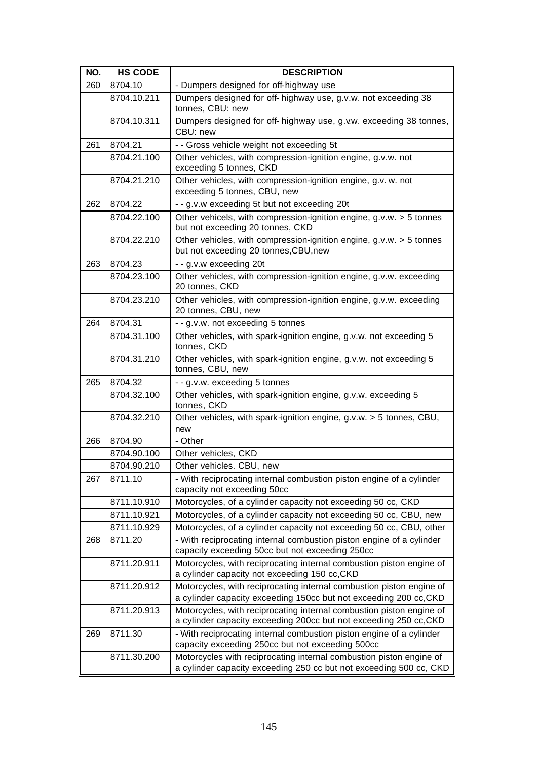| NO. | <b>HS CODE</b> | <b>DESCRIPTION</b>                                                                                                                        |
|-----|----------------|-------------------------------------------------------------------------------------------------------------------------------------------|
| 260 | 8704.10        | - Dumpers designed for off-highway use                                                                                                    |
|     | 8704.10.211    | Dumpers designed for off- highway use, g.v.w. not exceeding 38<br>tonnes, CBU: new                                                        |
|     | 8704.10.311    | Dumpers designed for off- highway use, g.v.w. exceeding 38 tonnes,<br>CBU: new                                                            |
| 261 | 8704.21        | - - Gross vehicle weight not exceeding 5t                                                                                                 |
|     | 8704.21.100    | Other vehicles, with compression-ignition engine, g.v.w. not<br>exceeding 5 tonnes, CKD                                                   |
|     | 8704.21.210    | Other vehicles, with compression-ignition engine, g.v. w. not<br>exceeding 5 tonnes, CBU, new                                             |
| 262 | 8704.22        | - - g.v.w exceeding 5t but not exceeding 20t                                                                                              |
|     | 8704.22.100    | Other vehicels, with compression-ignition engine, g.v.w. > 5 tonnes<br>but not exceeding 20 tonnes, CKD                                   |
|     | 8704.22.210    | Other vehicles, with compression-ignition engine, g.v.w. > 5 tonnes<br>but not exceeding 20 tonnes, CBU, new                              |
| 263 | 8704.23        | - - g.v.w exceeding 20t                                                                                                                   |
|     | 8704.23.100    | Other vehicles, with compression-ignition engine, g.v.w. exceeding<br>20 tonnes, CKD                                                      |
|     | 8704.23.210    | Other vehicles, with compression-ignition engine, g.v.w. exceeding<br>20 tonnes, CBU, new                                                 |
| 264 | 8704.31        | - - g.v.w. not exceeding 5 tonnes                                                                                                         |
|     | 8704.31.100    | Other vehicles, with spark-ignition engine, g.v.w. not exceeding 5<br>tonnes, CKD                                                         |
|     | 8704.31.210    | Other vehicles, with spark-ignition engine, g.v.w. not exceeding 5<br>tonnes, CBU, new                                                    |
| 265 | 8704.32        | - - g.v.w. exceeding 5 tonnes                                                                                                             |
|     | 8704.32.100    | Other vehicles, with spark-ignition engine, g.v.w. exceeding 5<br>tonnes, CKD                                                             |
|     | 8704.32.210    | Other vehicles, with spark-ignition engine, g.v.w. > 5 tonnes, CBU,<br>new                                                                |
| 266 | 8704.90        | - Other                                                                                                                                   |
|     | 8704.90.100    | Other vehicles, CKD                                                                                                                       |
|     | 8704.90.210    | Other vehicles. CBU, new                                                                                                                  |
| 267 | 8711.10        | - With reciprocating internal combustion piston engine of a cylinder<br>capacity not exceeding 50cc                                       |
|     | 8711.10.910    | Motorcycles, of a cylinder capacity not exceeding 50 cc, CKD                                                                              |
|     | 8711.10.921    | Motorcycles, of a cylinder capacity not exceeding 50 cc, CBU, new                                                                         |
|     | 8711.10.929    | Motorcycles, of a cylinder capacity not exceeding 50 cc, CBU, other                                                                       |
| 268 | 8711.20        | - With reciprocating internal combustion piston engine of a cylinder<br>capacity exceeding 50cc but not exceeding 250cc                   |
|     | 8711.20.911    | Motorcycles, with reciprocating internal combustion piston engine of<br>a cylinder capacity not exceeding 150 cc, CKD                     |
|     | 8711.20.912    | Motorcycles, with reciprocating internal combustion piston engine of<br>a cylinder capacity exceeding 150cc but not exceeding 200 cc, CKD |
|     | 8711.20.913    | Motorcycles, with reciprocating internal combustion piston engine of<br>a cylinder capacity exceeding 200cc but not exceeding 250 cc, CKD |
| 269 | 8711.30        | - With reciprocating internal combustion piston engine of a cylinder<br>capacity exceeding 250cc but not exceeding 500cc                  |
|     | 8711.30.200    | Motorcycles with reciprocating internal combustion piston engine of<br>a cylinder capacity exceeding 250 cc but not exceeding 500 cc, CKD |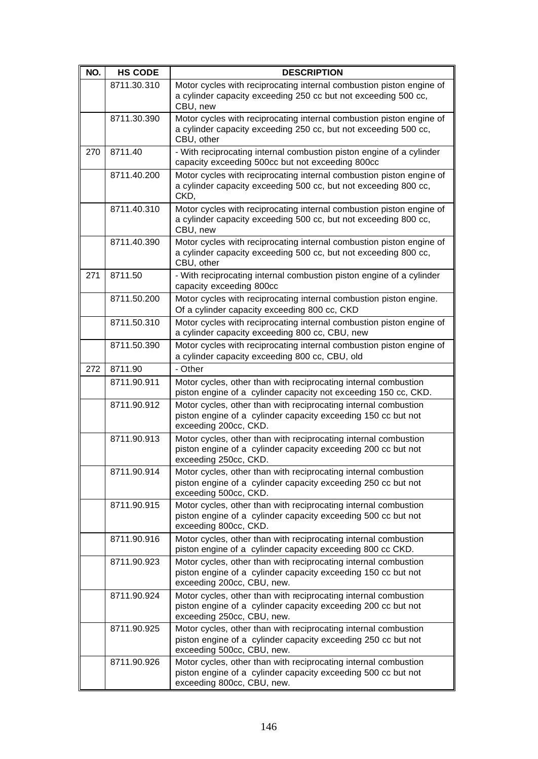| NO. | <b>HS CODE</b> | <b>DESCRIPTION</b>                                                                                                                                             |
|-----|----------------|----------------------------------------------------------------------------------------------------------------------------------------------------------------|
|     | 8711.30.310    | Motor cycles with reciprocating internal combustion piston engine of<br>a cylinder capacity exceeding 250 cc but not exceeding 500 cc,<br>CBU, new             |
|     | 8711.30.390    | Motor cycles with reciprocating internal combustion piston engine of<br>a cylinder capacity exceeding 250 cc, but not exceeding 500 cc,<br>CBU, other          |
| 270 | 8711.40        | - With reciprocating internal combustion piston engine of a cylinder<br>capacity exceeding 500cc but not exceeding 800cc                                       |
|     | 8711.40.200    | Motor cycles with reciprocating internal combustion piston engine of<br>a cylinder capacity exceeding 500 cc, but not exceeding 800 cc,<br>CKD,                |
|     | 8711.40.310    | Motor cycles with reciprocating internal combustion piston engine of<br>a cylinder capacity exceeding 500 cc, but not exceeding 800 cc,<br>CBU, new            |
|     | 8711.40.390    | Motor cycles with reciprocating internal combustion piston engine of<br>a cylinder capacity exceeding 500 cc, but not exceeding 800 cc,<br>CBU, other          |
| 271 | 8711.50        | - With reciprocating internal combustion piston engine of a cylinder<br>capacity exceeding 800cc                                                               |
|     | 8711.50.200    | Motor cycles with reciprocating internal combustion piston engine.<br>Of a cylinder capacity exceeding 800 cc, CKD                                             |
|     | 8711.50.310    | Motor cycles with reciprocating internal combustion piston engine of<br>a cylinder capacity exceeding 800 cc, CBU, new                                         |
|     | 8711.50.390    | Motor cycles with reciprocating internal combustion piston engine of<br>a cylinder capacity exceeding 800 cc, CBU, old                                         |
| 272 | 8711.90        | - Other                                                                                                                                                        |
|     | 8711.90.911    | Motor cycles, other than with reciprocating internal combustion<br>piston engine of a cylinder capacity not exceeding 150 cc, CKD.                             |
|     | 8711.90.912    | Motor cycles, other than with reciprocating internal combustion<br>piston engine of a cylinder capacity exceeding 150 cc but not<br>exceeding 200cc, CKD.      |
|     | 8711.90.913    | Motor cycles, other than with reciprocating internal combustion<br>piston engine of a cylinder capacity exceeding 200 cc but not<br>exceeding 250cc, CKD.      |
|     | 8711.90.914    | Motor cycles, other than with reciprocating internal combustion<br>piston engine of a cylinder capacity exceeding 250 cc but not<br>exceeding 500cc, CKD.      |
|     | 8711.90.915    | Motor cycles, other than with reciprocating internal combustion<br>piston engine of a cylinder capacity exceeding 500 cc but not<br>exceeding 800cc, CKD.      |
|     | 8711.90.916    | Motor cycles, other than with reciprocating internal combustion<br>piston engine of a cylinder capacity exceeding 800 cc CKD.                                  |
|     | 8711.90.923    | Motor cycles, other than with reciprocating internal combustion<br>piston engine of a cylinder capacity exceeding 150 cc but not<br>exceeding 200cc, CBU, new. |
|     | 8711.90.924    | Motor cycles, other than with reciprocating internal combustion<br>piston engine of a cylinder capacity exceeding 200 cc but not<br>exceeding 250cc, CBU, new. |
|     | 8711.90.925    | Motor cycles, other than with reciprocating internal combustion<br>piston engine of a cylinder capacity exceeding 250 cc but not<br>exceeding 500cc, CBU, new. |
|     | 8711.90.926    | Motor cycles, other than with reciprocating internal combustion<br>piston engine of a cylinder capacity exceeding 500 cc but not<br>exceeding 800cc, CBU, new. |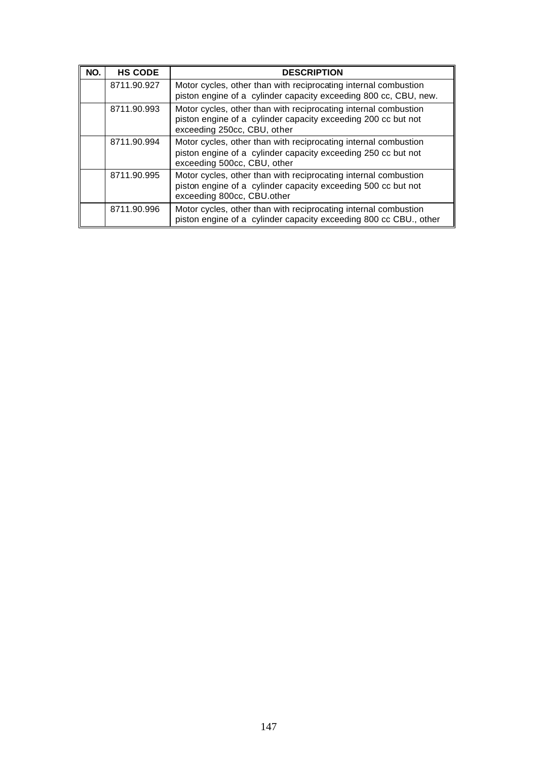| NO. | <b>HS CODE</b> | <b>DESCRIPTION</b>                                                                                                                                              |
|-----|----------------|-----------------------------------------------------------------------------------------------------------------------------------------------------------------|
|     | 8711.90.927    | Motor cycles, other than with reciprocating internal combustion<br>piston engine of a cylinder capacity exceeding 800 cc, CBU, new.                             |
|     | 8711.90.993    | Motor cycles, other than with reciprocating internal combustion<br>piston engine of a cylinder capacity exceeding 200 cc but not<br>exceeding 250cc, CBU, other |
|     | 8711.90.994    | Motor cycles, other than with reciprocating internal combustion<br>piston engine of a cylinder capacity exceeding 250 cc but not<br>exceeding 500cc, CBU, other |
|     | 8711.90.995    | Motor cycles, other than with reciprocating internal combustion<br>piston engine of a cylinder capacity exceeding 500 cc but not<br>exceeding 800cc, CBU.other  |
|     | 8711.90.996    | Motor cycles, other than with reciprocating internal combustion<br>piston engine of a cylinder capacity exceeding 800 cc CBU., other                            |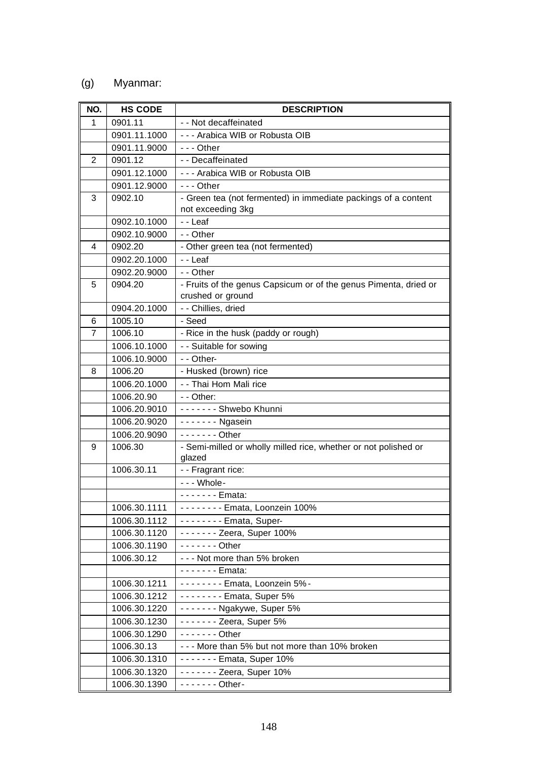## (g) Myanmar:

| NO.            | <b>HS CODE</b> | <b>DESCRIPTION</b>                                                        |
|----------------|----------------|---------------------------------------------------------------------------|
| 1              | 0901.11        | - - Not decaffeinated                                                     |
|                | 0901.11.1000   | --- Arabica WIB or Robusta OIB                                            |
|                | 0901.11.9000   | $- -$ Other                                                               |
| 2              | 0901.12        | - - Decaffeinated                                                         |
|                | 0901.12.1000   | --- Arabica WIB or Robusta OIB                                            |
|                | 0901.12.9000   | $- -$ Other                                                               |
| 3              | 0902.10        | - Green tea (not fermented) in immediate packings of a content            |
|                |                | not exceeding 3kg                                                         |
|                | 0902.10.1000   | - - Leaf                                                                  |
|                | 0902.10.9000   | - - Other                                                                 |
| 4              | 0902.20        | - Other green tea (not fermented)                                         |
|                | 0902.20.1000   | - - Leaf                                                                  |
|                | 0902.20.9000   | - - Other                                                                 |
| 5              | 0904.20        | - Fruits of the genus Capsicum or of the genus Pimenta, dried or          |
|                |                | crushed or ground                                                         |
|                | 0904.20.1000   | - - Chillies, dried                                                       |
| 6              | 1005.10        | - Seed                                                                    |
| $\overline{7}$ | 1006.10        | - Rice in the husk (paddy or rough)                                       |
|                | 1006.10.1000   | - - Suitable for sowing                                                   |
|                | 1006.10.9000   | - - Other-                                                                |
| 8              | 1006.20        | - Husked (brown) rice                                                     |
|                | 1006.20.1000   | - - Thai Hom Mali rice                                                    |
|                | 1006.20.90     | - - Other:                                                                |
|                | 1006.20.9010   | ------- Shwebo Khunni                                                     |
|                | 1006.20.9020   | $----$ - Ngasein                                                          |
|                | 1006.20.9090   | $- - - - - -$ Other                                                       |
| 9              | 1006.30        | - Semi-milled or wholly milled rice, whether or not polished or<br>glazed |
|                | 1006.30.11     | - - Fragrant rice:                                                        |
|                |                | - - - Whole-                                                              |
|                |                | - - - - - - - Emata:                                                      |
|                | 1006.30.1111   | -------- Emata, Loonzein 100%                                             |
|                | 1006.30.1112   | -------- Emata, Super-                                                    |
|                | 1006.30.1120   | - - - - - - - Zeera, Super 100%                                           |
|                | 1006.30.1190   | $---$ Other                                                               |
|                | 1006.30.12     | --- Not more than 5% broken                                               |
|                |                | - - - - - - - Emata:                                                      |
|                | 1006.30.1211   | -------- Emata, Loonzein 5%-                                              |
|                | 1006.30.1212   | $- - - - - -$ Emata, Super 5%                                             |
|                | 1006.30.1220   | ------- Ngakywe, Super 5%                                                 |
|                | 1006.30.1230   | $---$ Zeera, Super 5%                                                     |
|                | 1006.30.1290   | $- - - - - -$ Other                                                       |
|                | 1006.30.13     | --- More than 5% but not more than 10% broken                             |
|                | 1006.30.1310   | - - - - - - - Emata, Super 10%                                            |
|                | 1006.30.1320   | $- - - - - -$ Zeera, Super 10%                                            |
|                | 1006.30.1390   | $- - - - - -$ Other-                                                      |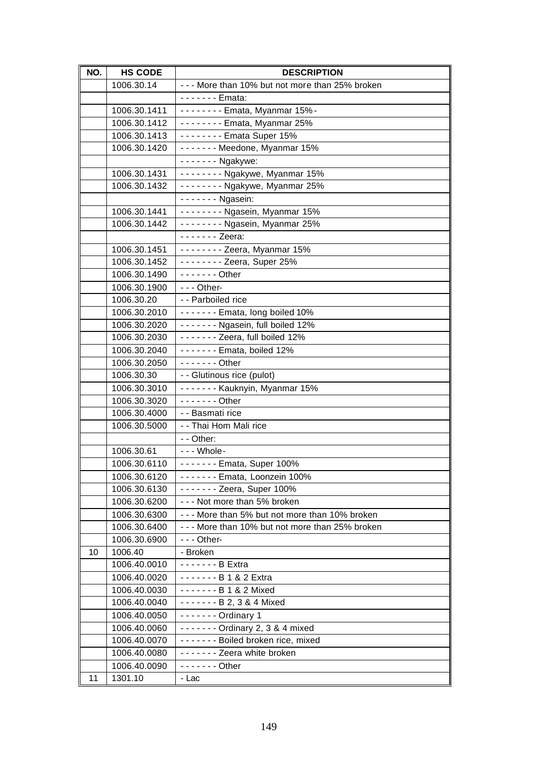| 1006.30.14<br>- - - More than 10% but not more than 25% broken<br>- - - - - - - Emata:<br>1006.30.1411<br>-------- Emata, Myanmar 15%-<br>1006.30.1412<br>-------- Emata, Myanmar 25%<br>1006.30.1413<br>-------- Emata Super 15%<br>------- Meedone, Myanmar 15%<br>1006.30.1420<br>- - - - - - - Ngakywe:<br>------- Ngakywe, Myanmar 15%<br>1006.30.1431<br>1006.30.1432<br>------- Ngakywe, Myanmar 25%<br>$---$ Ngasein:<br>-------- Ngasein, Myanmar 15%<br>1006.30.1441<br>1006.30.1442<br>-------- Ngasein, Myanmar 25%<br>- - - - - - - Zeera:<br>$-----$ Zeera, Myanmar 15%<br>1006.30.1451<br>1006.30.1452<br>$- - - - - -$ Zeera, Super 25%<br>$---$ Other<br>1006.30.1490<br>1006.30.1900<br>$- -$ - Other-<br>1006.30.20<br>- - Parboiled rice<br>------- Emata, long boiled 10%<br>1006.30.2010<br>------- Ngasein, full boiled 12%<br>1006.30.2020<br>1006.30.2030<br>------- Zeera, full boiled 12%<br>$\frac{1}{2}$ - - - - - Emata, boiled 12%<br>1006.30.2040<br>$- - - - - -$ Other<br>1006.30.2050<br>1006.30.30<br>- - Glutinous rice (pulot)<br>------- Kauknyin, Myanmar 15%<br>1006.30.3010<br>1006.30.3020<br>$- - - - - -$ Other<br>1006.30.4000<br>- - Basmati rice<br>- - Thai Hom Mali rice<br>1006.30.5000<br>- - Other:<br>1006.30.61<br>- - - Whole-<br>------- Emata, Super 100%<br>1006.30.6110<br>1006.30.6120<br>$----$ Emata, Loonzein 100%<br>1006.30.6130<br>$- - - - - -$ Zeera, Super 100%<br>1006.30.6200<br>--- Not more than 5% broken<br>1006.30.6300<br>--- More than 5% but not more than 10% broken<br>1006.30.6400<br>--- More than 10% but not more than 25% broken<br>1006.30.6900<br>$--$ Other-<br>1006.40<br>- Broken<br>10<br>1006.40.0010<br>- - - - - - - B Extra<br>------- B 1 & 2 Extra<br>1006.40.0020<br>1006.40.0030<br>------- B 1 & 2 Mixed<br>1006.40.0040<br>$-----B$ 2, 3 & 4 Mixed<br>1006.40.0050<br>$---$ Ordinary 1<br>------- Ordinary 2, 3 & 4 mixed<br>1006.40.0060<br>------- Boiled broken rice, mixed<br>1006.40.0070<br>1006.40.0080<br>------- Zeera white broken<br>1006.40.0090<br>$- - - - - -$ Other<br>11 | NO. | <b>HS CODE</b> | <b>DESCRIPTION</b> |
|--------------------------------------------------------------------------------------------------------------------------------------------------------------------------------------------------------------------------------------------------------------------------------------------------------------------------------------------------------------------------------------------------------------------------------------------------------------------------------------------------------------------------------------------------------------------------------------------------------------------------------------------------------------------------------------------------------------------------------------------------------------------------------------------------------------------------------------------------------------------------------------------------------------------------------------------------------------------------------------------------------------------------------------------------------------------------------------------------------------------------------------------------------------------------------------------------------------------------------------------------------------------------------------------------------------------------------------------------------------------------------------------------------------------------------------------------------------------------------------------------------------------------------------------------------------------------------------------------------------------------------------------------------------------------------------------------------------------------------------------------------------------------------------------------------------------------------------------------------------------------------------------------------------------------------------------------------------------------------------------------------------------------------------------------------------------------------------------------|-----|----------------|--------------------|
|                                                                                                                                                                                                                                                                                                                                                                                                                                                                                                                                                                                                                                                                                                                                                                                                                                                                                                                                                                                                                                                                                                                                                                                                                                                                                                                                                                                                                                                                                                                                                                                                                                                                                                                                                                                                                                                                                                                                                                                                                                                                                                  |     |                |                    |
|                                                                                                                                                                                                                                                                                                                                                                                                                                                                                                                                                                                                                                                                                                                                                                                                                                                                                                                                                                                                                                                                                                                                                                                                                                                                                                                                                                                                                                                                                                                                                                                                                                                                                                                                                                                                                                                                                                                                                                                                                                                                                                  |     |                |                    |
|                                                                                                                                                                                                                                                                                                                                                                                                                                                                                                                                                                                                                                                                                                                                                                                                                                                                                                                                                                                                                                                                                                                                                                                                                                                                                                                                                                                                                                                                                                                                                                                                                                                                                                                                                                                                                                                                                                                                                                                                                                                                                                  |     |                |                    |
|                                                                                                                                                                                                                                                                                                                                                                                                                                                                                                                                                                                                                                                                                                                                                                                                                                                                                                                                                                                                                                                                                                                                                                                                                                                                                                                                                                                                                                                                                                                                                                                                                                                                                                                                                                                                                                                                                                                                                                                                                                                                                                  |     |                |                    |
|                                                                                                                                                                                                                                                                                                                                                                                                                                                                                                                                                                                                                                                                                                                                                                                                                                                                                                                                                                                                                                                                                                                                                                                                                                                                                                                                                                                                                                                                                                                                                                                                                                                                                                                                                                                                                                                                                                                                                                                                                                                                                                  |     |                |                    |
|                                                                                                                                                                                                                                                                                                                                                                                                                                                                                                                                                                                                                                                                                                                                                                                                                                                                                                                                                                                                                                                                                                                                                                                                                                                                                                                                                                                                                                                                                                                                                                                                                                                                                                                                                                                                                                                                                                                                                                                                                                                                                                  |     |                |                    |
|                                                                                                                                                                                                                                                                                                                                                                                                                                                                                                                                                                                                                                                                                                                                                                                                                                                                                                                                                                                                                                                                                                                                                                                                                                                                                                                                                                                                                                                                                                                                                                                                                                                                                                                                                                                                                                                                                                                                                                                                                                                                                                  |     |                |                    |
|                                                                                                                                                                                                                                                                                                                                                                                                                                                                                                                                                                                                                                                                                                                                                                                                                                                                                                                                                                                                                                                                                                                                                                                                                                                                                                                                                                                                                                                                                                                                                                                                                                                                                                                                                                                                                                                                                                                                                                                                                                                                                                  |     |                |                    |
|                                                                                                                                                                                                                                                                                                                                                                                                                                                                                                                                                                                                                                                                                                                                                                                                                                                                                                                                                                                                                                                                                                                                                                                                                                                                                                                                                                                                                                                                                                                                                                                                                                                                                                                                                                                                                                                                                                                                                                                                                                                                                                  |     |                |                    |
|                                                                                                                                                                                                                                                                                                                                                                                                                                                                                                                                                                                                                                                                                                                                                                                                                                                                                                                                                                                                                                                                                                                                                                                                                                                                                                                                                                                                                                                                                                                                                                                                                                                                                                                                                                                                                                                                                                                                                                                                                                                                                                  |     |                |                    |
|                                                                                                                                                                                                                                                                                                                                                                                                                                                                                                                                                                                                                                                                                                                                                                                                                                                                                                                                                                                                                                                                                                                                                                                                                                                                                                                                                                                                                                                                                                                                                                                                                                                                                                                                                                                                                                                                                                                                                                                                                                                                                                  |     |                |                    |
|                                                                                                                                                                                                                                                                                                                                                                                                                                                                                                                                                                                                                                                                                                                                                                                                                                                                                                                                                                                                                                                                                                                                                                                                                                                                                                                                                                                                                                                                                                                                                                                                                                                                                                                                                                                                                                                                                                                                                                                                                                                                                                  |     |                |                    |
|                                                                                                                                                                                                                                                                                                                                                                                                                                                                                                                                                                                                                                                                                                                                                                                                                                                                                                                                                                                                                                                                                                                                                                                                                                                                                                                                                                                                                                                                                                                                                                                                                                                                                                                                                                                                                                                                                                                                                                                                                                                                                                  |     |                |                    |
|                                                                                                                                                                                                                                                                                                                                                                                                                                                                                                                                                                                                                                                                                                                                                                                                                                                                                                                                                                                                                                                                                                                                                                                                                                                                                                                                                                                                                                                                                                                                                                                                                                                                                                                                                                                                                                                                                                                                                                                                                                                                                                  |     |                |                    |
|                                                                                                                                                                                                                                                                                                                                                                                                                                                                                                                                                                                                                                                                                                                                                                                                                                                                                                                                                                                                                                                                                                                                                                                                                                                                                                                                                                                                                                                                                                                                                                                                                                                                                                                                                                                                                                                                                                                                                                                                                                                                                                  |     |                |                    |
|                                                                                                                                                                                                                                                                                                                                                                                                                                                                                                                                                                                                                                                                                                                                                                                                                                                                                                                                                                                                                                                                                                                                                                                                                                                                                                                                                                                                                                                                                                                                                                                                                                                                                                                                                                                                                                                                                                                                                                                                                                                                                                  |     |                |                    |
|                                                                                                                                                                                                                                                                                                                                                                                                                                                                                                                                                                                                                                                                                                                                                                                                                                                                                                                                                                                                                                                                                                                                                                                                                                                                                                                                                                                                                                                                                                                                                                                                                                                                                                                                                                                                                                                                                                                                                                                                                                                                                                  |     |                |                    |
|                                                                                                                                                                                                                                                                                                                                                                                                                                                                                                                                                                                                                                                                                                                                                                                                                                                                                                                                                                                                                                                                                                                                                                                                                                                                                                                                                                                                                                                                                                                                                                                                                                                                                                                                                                                                                                                                                                                                                                                                                                                                                                  |     |                |                    |
|                                                                                                                                                                                                                                                                                                                                                                                                                                                                                                                                                                                                                                                                                                                                                                                                                                                                                                                                                                                                                                                                                                                                                                                                                                                                                                                                                                                                                                                                                                                                                                                                                                                                                                                                                                                                                                                                                                                                                                                                                                                                                                  |     |                |                    |
|                                                                                                                                                                                                                                                                                                                                                                                                                                                                                                                                                                                                                                                                                                                                                                                                                                                                                                                                                                                                                                                                                                                                                                                                                                                                                                                                                                                                                                                                                                                                                                                                                                                                                                                                                                                                                                                                                                                                                                                                                                                                                                  |     |                |                    |
|                                                                                                                                                                                                                                                                                                                                                                                                                                                                                                                                                                                                                                                                                                                                                                                                                                                                                                                                                                                                                                                                                                                                                                                                                                                                                                                                                                                                                                                                                                                                                                                                                                                                                                                                                                                                                                                                                                                                                                                                                                                                                                  |     |                |                    |
|                                                                                                                                                                                                                                                                                                                                                                                                                                                                                                                                                                                                                                                                                                                                                                                                                                                                                                                                                                                                                                                                                                                                                                                                                                                                                                                                                                                                                                                                                                                                                                                                                                                                                                                                                                                                                                                                                                                                                                                                                                                                                                  |     |                |                    |
|                                                                                                                                                                                                                                                                                                                                                                                                                                                                                                                                                                                                                                                                                                                                                                                                                                                                                                                                                                                                                                                                                                                                                                                                                                                                                                                                                                                                                                                                                                                                                                                                                                                                                                                                                                                                                                                                                                                                                                                                                                                                                                  |     |                |                    |
|                                                                                                                                                                                                                                                                                                                                                                                                                                                                                                                                                                                                                                                                                                                                                                                                                                                                                                                                                                                                                                                                                                                                                                                                                                                                                                                                                                                                                                                                                                                                                                                                                                                                                                                                                                                                                                                                                                                                                                                                                                                                                                  |     |                |                    |
|                                                                                                                                                                                                                                                                                                                                                                                                                                                                                                                                                                                                                                                                                                                                                                                                                                                                                                                                                                                                                                                                                                                                                                                                                                                                                                                                                                                                                                                                                                                                                                                                                                                                                                                                                                                                                                                                                                                                                                                                                                                                                                  |     |                |                    |
|                                                                                                                                                                                                                                                                                                                                                                                                                                                                                                                                                                                                                                                                                                                                                                                                                                                                                                                                                                                                                                                                                                                                                                                                                                                                                                                                                                                                                                                                                                                                                                                                                                                                                                                                                                                                                                                                                                                                                                                                                                                                                                  |     |                |                    |
|                                                                                                                                                                                                                                                                                                                                                                                                                                                                                                                                                                                                                                                                                                                                                                                                                                                                                                                                                                                                                                                                                                                                                                                                                                                                                                                                                                                                                                                                                                                                                                                                                                                                                                                                                                                                                                                                                                                                                                                                                                                                                                  |     |                |                    |
|                                                                                                                                                                                                                                                                                                                                                                                                                                                                                                                                                                                                                                                                                                                                                                                                                                                                                                                                                                                                                                                                                                                                                                                                                                                                                                                                                                                                                                                                                                                                                                                                                                                                                                                                                                                                                                                                                                                                                                                                                                                                                                  |     |                |                    |
|                                                                                                                                                                                                                                                                                                                                                                                                                                                                                                                                                                                                                                                                                                                                                                                                                                                                                                                                                                                                                                                                                                                                                                                                                                                                                                                                                                                                                                                                                                                                                                                                                                                                                                                                                                                                                                                                                                                                                                                                                                                                                                  |     |                |                    |
|                                                                                                                                                                                                                                                                                                                                                                                                                                                                                                                                                                                                                                                                                                                                                                                                                                                                                                                                                                                                                                                                                                                                                                                                                                                                                                                                                                                                                                                                                                                                                                                                                                                                                                                                                                                                                                                                                                                                                                                                                                                                                                  |     |                |                    |
|                                                                                                                                                                                                                                                                                                                                                                                                                                                                                                                                                                                                                                                                                                                                                                                                                                                                                                                                                                                                                                                                                                                                                                                                                                                                                                                                                                                                                                                                                                                                                                                                                                                                                                                                                                                                                                                                                                                                                                                                                                                                                                  |     |                |                    |
|                                                                                                                                                                                                                                                                                                                                                                                                                                                                                                                                                                                                                                                                                                                                                                                                                                                                                                                                                                                                                                                                                                                                                                                                                                                                                                                                                                                                                                                                                                                                                                                                                                                                                                                                                                                                                                                                                                                                                                                                                                                                                                  |     |                |                    |
|                                                                                                                                                                                                                                                                                                                                                                                                                                                                                                                                                                                                                                                                                                                                                                                                                                                                                                                                                                                                                                                                                                                                                                                                                                                                                                                                                                                                                                                                                                                                                                                                                                                                                                                                                                                                                                                                                                                                                                                                                                                                                                  |     |                |                    |
|                                                                                                                                                                                                                                                                                                                                                                                                                                                                                                                                                                                                                                                                                                                                                                                                                                                                                                                                                                                                                                                                                                                                                                                                                                                                                                                                                                                                                                                                                                                                                                                                                                                                                                                                                                                                                                                                                                                                                                                                                                                                                                  |     |                |                    |
|                                                                                                                                                                                                                                                                                                                                                                                                                                                                                                                                                                                                                                                                                                                                                                                                                                                                                                                                                                                                                                                                                                                                                                                                                                                                                                                                                                                                                                                                                                                                                                                                                                                                                                                                                                                                                                                                                                                                                                                                                                                                                                  |     |                |                    |
|                                                                                                                                                                                                                                                                                                                                                                                                                                                                                                                                                                                                                                                                                                                                                                                                                                                                                                                                                                                                                                                                                                                                                                                                                                                                                                                                                                                                                                                                                                                                                                                                                                                                                                                                                                                                                                                                                                                                                                                                                                                                                                  |     |                |                    |
|                                                                                                                                                                                                                                                                                                                                                                                                                                                                                                                                                                                                                                                                                                                                                                                                                                                                                                                                                                                                                                                                                                                                                                                                                                                                                                                                                                                                                                                                                                                                                                                                                                                                                                                                                                                                                                                                                                                                                                                                                                                                                                  |     |                |                    |
|                                                                                                                                                                                                                                                                                                                                                                                                                                                                                                                                                                                                                                                                                                                                                                                                                                                                                                                                                                                                                                                                                                                                                                                                                                                                                                                                                                                                                                                                                                                                                                                                                                                                                                                                                                                                                                                                                                                                                                                                                                                                                                  |     |                |                    |
|                                                                                                                                                                                                                                                                                                                                                                                                                                                                                                                                                                                                                                                                                                                                                                                                                                                                                                                                                                                                                                                                                                                                                                                                                                                                                                                                                                                                                                                                                                                                                                                                                                                                                                                                                                                                                                                                                                                                                                                                                                                                                                  |     |                |                    |
|                                                                                                                                                                                                                                                                                                                                                                                                                                                                                                                                                                                                                                                                                                                                                                                                                                                                                                                                                                                                                                                                                                                                                                                                                                                                                                                                                                                                                                                                                                                                                                                                                                                                                                                                                                                                                                                                                                                                                                                                                                                                                                  |     |                |                    |
|                                                                                                                                                                                                                                                                                                                                                                                                                                                                                                                                                                                                                                                                                                                                                                                                                                                                                                                                                                                                                                                                                                                                                                                                                                                                                                                                                                                                                                                                                                                                                                                                                                                                                                                                                                                                                                                                                                                                                                                                                                                                                                  |     |                |                    |
|                                                                                                                                                                                                                                                                                                                                                                                                                                                                                                                                                                                                                                                                                                                                                                                                                                                                                                                                                                                                                                                                                                                                                                                                                                                                                                                                                                                                                                                                                                                                                                                                                                                                                                                                                                                                                                                                                                                                                                                                                                                                                                  |     |                |                    |
|                                                                                                                                                                                                                                                                                                                                                                                                                                                                                                                                                                                                                                                                                                                                                                                                                                                                                                                                                                                                                                                                                                                                                                                                                                                                                                                                                                                                                                                                                                                                                                                                                                                                                                                                                                                                                                                                                                                                                                                                                                                                                                  |     |                |                    |
|                                                                                                                                                                                                                                                                                                                                                                                                                                                                                                                                                                                                                                                                                                                                                                                                                                                                                                                                                                                                                                                                                                                                                                                                                                                                                                                                                                                                                                                                                                                                                                                                                                                                                                                                                                                                                                                                                                                                                                                                                                                                                                  |     |                |                    |
|                                                                                                                                                                                                                                                                                                                                                                                                                                                                                                                                                                                                                                                                                                                                                                                                                                                                                                                                                                                                                                                                                                                                                                                                                                                                                                                                                                                                                                                                                                                                                                                                                                                                                                                                                                                                                                                                                                                                                                                                                                                                                                  |     |                |                    |
|                                                                                                                                                                                                                                                                                                                                                                                                                                                                                                                                                                                                                                                                                                                                                                                                                                                                                                                                                                                                                                                                                                                                                                                                                                                                                                                                                                                                                                                                                                                                                                                                                                                                                                                                                                                                                                                                                                                                                                                                                                                                                                  |     |                |                    |
|                                                                                                                                                                                                                                                                                                                                                                                                                                                                                                                                                                                                                                                                                                                                                                                                                                                                                                                                                                                                                                                                                                                                                                                                                                                                                                                                                                                                                                                                                                                                                                                                                                                                                                                                                                                                                                                                                                                                                                                                                                                                                                  |     | 1301.10        | - Lac              |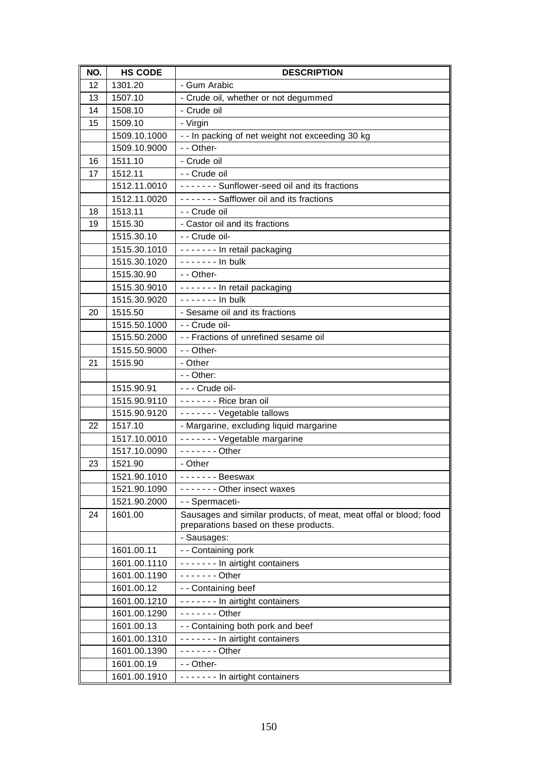| NO. | <b>HS CODE</b> | <b>DESCRIPTION</b>                                                                                         |
|-----|----------------|------------------------------------------------------------------------------------------------------------|
| 12  | 1301.20        | - Gum Arabic                                                                                               |
| 13  | 1507.10        | - Crude oil, whether or not degummed                                                                       |
| 14  | 1508.10        | - Crude oil                                                                                                |
| 15  | 1509.10        | - Virgin                                                                                                   |
|     | 1509.10.1000   | - - In packing of net weight not exceeding 30 kg                                                           |
|     | 1509.10.9000   | - - Other-                                                                                                 |
| 16  | 1511.10        | - Crude oil                                                                                                |
| 17  | 1512.11        | - - Crude oil                                                                                              |
|     | 1512.11.0010   | ------- Sunflower-seed oil and its fractions                                                               |
|     | 1512.11.0020   | ------- Safflower oil and its fractions                                                                    |
| 18  | 1513.11        | - - Crude oil                                                                                              |
| 19  | 1515.30        | - Castor oil and its fractions                                                                             |
|     | 1515.30.10     | - - Crude oil-                                                                                             |
|     | 1515.30.1010   | ------- In retail packaging                                                                                |
|     | 1515.30.1020   | $--- - -$ In bulk                                                                                          |
|     | 1515.30.90     | - - Other-                                                                                                 |
|     | 1515.30.9010   | ------- In retail packaging                                                                                |
|     | 1515.30.9020   | - - - - - - - In bulk                                                                                      |
| 20  | 1515.50        | - Sesame oil and its fractions                                                                             |
|     | 1515.50.1000   | - - Crude oil-                                                                                             |
|     | 1515.50.2000   | - - Fractions of unrefined sesame oil                                                                      |
|     | 1515.50.9000   | - - Other-                                                                                                 |
| 21  | 1515.90        | - Other                                                                                                    |
|     |                | - - Other:                                                                                                 |
|     | 1515.90.91     | - - - Crude oil-                                                                                           |
|     | 1515.90.9110   | ------- Rice bran oil                                                                                      |
|     | 1515.90.9120   | - - - - - - - Vegetable tallows                                                                            |
| 22  | 1517.10        | - Margarine, excluding liquid margarine                                                                    |
|     | 1517.10.0010   | ------- Vegetable margarine                                                                                |
|     | 1517.10.0090   | - - - - - - - Other                                                                                        |
| 23  | 1521.90        | - Other                                                                                                    |
|     | 1521.90.1010   | - - - - - - - Beeswax                                                                                      |
|     | 1521.90.1090   | ------- Other insect waxes                                                                                 |
|     | 1521.90.2000   | - - Spermaceti-                                                                                            |
| 24  | 1601.00        | Sausages and similar products, of meat, meat offal or blood; food<br>preparations based on these products. |
|     |                | - Sausages:                                                                                                |
|     | 1601.00.11     | - - Containing pork                                                                                        |
|     | 1601.00.1110   | ------- In airtight containers                                                                             |
|     | 1601.00.1190   | $---$ Other                                                                                                |
|     | 1601.00.12     | - - Containing beef                                                                                        |
|     | 1601.00.1210   | ------- In airtight containers                                                                             |
|     | 1601.00.1290   | $- - - - - -$ Other                                                                                        |
|     | 1601.00.13     | - - Containing both pork and beef                                                                          |
|     | 1601.00.1310   | ------- In airtight containers                                                                             |
|     | 1601.00.1390   | $---$ Other                                                                                                |
|     | 1601.00.19     | - - Other-                                                                                                 |
|     | 1601.00.1910   | ------- In airtight containers                                                                             |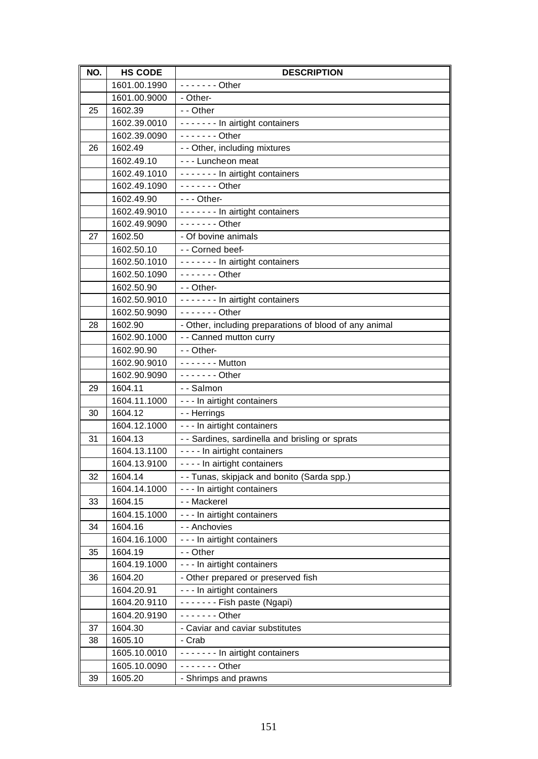| NO. | <b>HS CODE</b>          | <b>DESCRIPTION</b>                                                         |
|-----|-------------------------|----------------------------------------------------------------------------|
|     | 1601.00.1990            | - - - - - - - Other                                                        |
|     | 1601.00.9000            | - Other-                                                                   |
| 25  | 1602.39                 | - - Other                                                                  |
|     | 1602.39.0010            | ------- In airtight containers                                             |
|     | 1602.39.0090            | $---$ Other                                                                |
| 26  | 1602.49                 | - - Other, including mixtures                                              |
|     | 1602.49.10              | - - - Luncheon meat                                                        |
|     | 1602.49.1010            | ------- In airtight containers                                             |
|     | 1602.49.1090            | - - - - - - - Other                                                        |
|     | 1602.49.90              | $--$ Other-                                                                |
|     | 1602.49.9010            | ------- In airtight containers                                             |
|     | 1602.49.9090            | $---$ Other                                                                |
| 27  | 1602.50                 | - Of bovine animals                                                        |
|     | 1602.50.10              | -- Corned beef-                                                            |
|     | 1602.50.1010            | ------- In airtight containers                                             |
|     | 1602.50.1090            | $- - - - - -$ Other                                                        |
|     | 1602.50.90              | - - Other-                                                                 |
|     | 1602.50.9010            | ------- In airtight containers                                             |
|     | 1602.50.9090            | $- - - - - -$ Other                                                        |
| 28  | 1602.90                 | - Other, including preparations of blood of any animal                     |
|     | 1602.90.1000            | - - Canned mutton curry                                                    |
|     | 1602.90.90              | - - Other-                                                                 |
|     | 1602.90.9010            | - - - - - - - Mutton                                                       |
|     | 1602.90.9090            | $---$ Other                                                                |
| 29  | 1604.11                 | - - Salmon                                                                 |
|     | 1604.11.1000            | - - - In airtight containers                                               |
| 30  | 1604.12                 | - - Herrings                                                               |
|     | 1604.12.1000            | - - - In airtight containers                                               |
| 31  | 1604.13                 | - - Sardines, sardinella and brisling or sprats                            |
|     | 1604.13.1100            | - - - - In airtight containers                                             |
|     | 1604.13.9100            | - - - - In airtight containers                                             |
| 32  | 1604.14<br>1604.14.1000 | -- Tunas, skipjack and bonito (Sarda spp.)<br>- - - In airtight containers |
| 33  | 1604.15                 | - - Mackerel                                                               |
|     | 1604.15.1000            | - - - In airtight containers                                               |
| 34  | 1604.16                 | - - Anchovies                                                              |
|     | 1604.16.1000            | - - - In airtight containers                                               |
| 35  | 1604.19                 | - - Other                                                                  |
|     | 1604.19.1000            | - - - In airtight containers                                               |
| 36  | 1604.20                 | - Other prepared or preserved fish                                         |
|     | 1604.20.91              | - - - In airtight containers                                               |
|     | 1604.20.9110            | $-----Fish$ paste (Ngapi)                                                  |
|     | 1604.20.9190            | - - - - - - - Other                                                        |
| 37  | 1604.30                 | - Caviar and caviar substitutes                                            |
| 38  | 1605.10                 | - Crab                                                                     |
|     | 1605.10.0010            | ------- In airtight containers                                             |
|     | 1605.10.0090            | - - - - - - - Other                                                        |
| 39  | 1605.20                 | - Shrimps and prawns                                                       |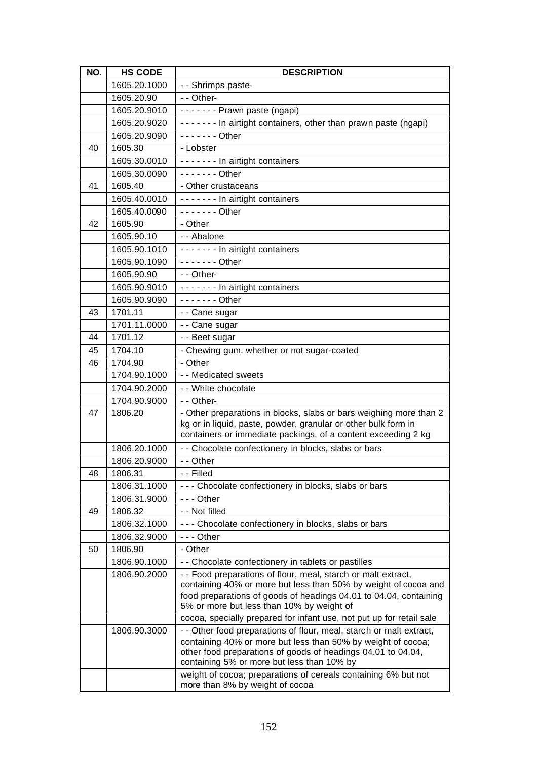| NO. | <b>HS CODE</b> | <b>DESCRIPTION</b>                                                                                                                   |
|-----|----------------|--------------------------------------------------------------------------------------------------------------------------------------|
|     | 1605.20.1000   | - - Shrimps paste-                                                                                                                   |
|     | 1605.20.90     | - - Other-                                                                                                                           |
|     | 1605.20.9010   | ------- Prawn paste (ngapi)                                                                                                          |
|     | 1605.20.9020   | ------- In airtight containers, other than prawn paste (ngapi)                                                                       |
|     | 1605.20.9090   | $---$ Other                                                                                                                          |
| 40  | 1605.30        | - Lobster                                                                                                                            |
|     | 1605.30.0010   | ------- In airtight containers                                                                                                       |
|     | 1605.30.0090   | $---$ Other                                                                                                                          |
| 41  | 1605.40        | - Other crustaceans                                                                                                                  |
|     | 1605.40.0010   | ------- In airtight containers                                                                                                       |
|     | 1605.40.0090   | - - - - - - - Other                                                                                                                  |
| 42  | 1605.90        | - Other                                                                                                                              |
|     | 1605.90.10     | - - Abalone                                                                                                                          |
|     | 1605.90.1010   | ------- In airtight containers                                                                                                       |
|     | 1605.90.1090   | - - - - - - - Other                                                                                                                  |
|     | 1605.90.90     | - - Other-                                                                                                                           |
|     | 1605.90.9010   | ------- In airtight containers                                                                                                       |
|     | 1605.90.9090   | - - - - - - - Other                                                                                                                  |
| 43  | 1701.11        | - - Cane sugar                                                                                                                       |
|     | 1701.11.0000   | - - Cane sugar                                                                                                                       |
| 44  | 1701.12        | - - Beet sugar                                                                                                                       |
| 45  | 1704.10        | - Chewing gum, whether or not sugar-coated                                                                                           |
| 46  | 1704.90        | - Other                                                                                                                              |
|     | 1704.90.1000   | - - Medicated sweets                                                                                                                 |
|     | 1704.90.2000   | - - White chocolate                                                                                                                  |
|     | 1704.90.9000   | - - Other-                                                                                                                           |
| 47  | 1806.20        | - Other preparations in blocks, slabs or bars weighing more than 2<br>kg or in liquid, paste, powder, granular or other bulk form in |
|     |                | containers or immediate packings, of a content exceeding 2 kg                                                                        |
|     | 1806.20.1000   | - - Chocolate confectionery in blocks, slabs or bars                                                                                 |
|     | 1806.20.9000   | - - Other                                                                                                                            |
| 48  | 1806.31        | - - Filled                                                                                                                           |
|     | 1806.31.1000   | - - - Chocolate confectionery in blocks, slabs or bars                                                                               |
|     | 1806.31.9000   |                                                                                                                                      |
| 49  | 1806.32        | - - Not filled                                                                                                                       |
|     | 1806.32.1000   | --- Chocolate confectionery in blocks, slabs or bars                                                                                 |
|     | 1806.32.9000   | --- Other                                                                                                                            |
| 50  | 1806.90        | - Other                                                                                                                              |
|     | 1806.90.1000   | - - Chocolate confectionery in tablets or pastilles                                                                                  |
|     | 1806.90.2000   | - - Food preparations of flour, meal, starch or malt extract,                                                                        |
|     |                | containing 40% or more but less than 50% by weight of cocoa and<br>food preparations of goods of headings 04.01 to 04.04, containing |
|     |                | 5% or more but less than 10% by weight of                                                                                            |
|     |                | cocoa, specially prepared for infant use, not put up for retail sale                                                                 |
|     | 1806.90.3000   | - - Other food preparations of flour, meal, starch or malt extract,                                                                  |
|     |                | containing 40% or more but less than 50% by weight of cocoa;<br>other food preparations of goods of headings 04.01 to 04.04,         |
|     |                | containing 5% or more but less than 10% by                                                                                           |
|     |                | weight of cocoa; preparations of cereals containing 6% but not                                                                       |
|     |                | more than 8% by weight of cocoa                                                                                                      |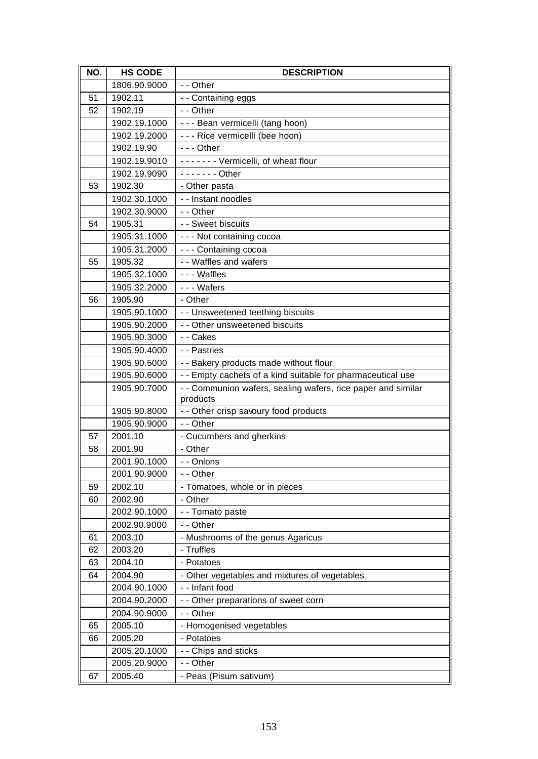| NO. | <b>HS CODE</b> | <b>DESCRIPTION</b>                                                       |
|-----|----------------|--------------------------------------------------------------------------|
|     | 1806.90.9000   | - - Other                                                                |
| 51  | 1902.11        | - - Containing eggs                                                      |
| 52  | 1902.19        | - - Other                                                                |
|     | 1902.19.1000   | - - - Bean vermicelli (tang hoon)                                        |
|     | 1902.19.2000   | - - - Rice vermicelli (bee hoon)                                         |
|     | 1902.19.90     | $--$ Other                                                               |
|     | 1902.19.9010   | ------- Vermicelli, of wheat flour                                       |
|     | 1902.19.9090   | $---$ Other                                                              |
| 53  | 1902.30        | - Other pasta                                                            |
|     | 1902.30.1000   | - - Instant noodles                                                      |
|     | 1902.30.9000   | - - Other                                                                |
| 54  | 1905.31        | - - Sweet biscuits                                                       |
|     | 1905.31.1000   | - - - Not containing cocoa                                               |
|     | 1905.31.2000   | --- Containing cocoa                                                     |
| 55  | 1905.32        | - - Waffles and wafers                                                   |
|     | 1905.32.1000   | --- Waffles                                                              |
|     | 1905.32.2000   | --- Wafers                                                               |
| 56  | 1905.90        | - Other                                                                  |
|     | 1905.90.1000   | - - Unsweetened teething biscuits                                        |
|     | 1905.90.2000   | - - Other unsweetened biscuits                                           |
|     | 1905.90.3000   | - - Cakes                                                                |
|     | 1905.90.4000   | - - Pastries                                                             |
|     | 1905.90.5000   | - - Bakery products made without flour                                   |
|     | 1905.90.6000   | - - Empty cachets of a kind suitable for pharmaceutical use              |
|     | 1905.90.7000   | - - Communion wafers, sealing wafers, rice paper and similar<br>products |
|     | 1905.90.8000   | - - Other crisp savoury food products                                    |
|     | 1905.90.9000   | - - Other                                                                |
| 57  | 2001.10        | - Cucumbers and gherkins                                                 |
| 58  | 2001.90        | - Other                                                                  |
|     | 2001.90.1000   | - - Onions                                                               |
|     | 2001.90.9000   | - - Other                                                                |
| 59  | 2002.10        | - Tomatoes, whole or in pieces                                           |
| 60  | 2002.90        | - Other                                                                  |
|     | 2002.90.1000   | - - Tomato paste                                                         |
|     | 2002.90.9000   | - - Other                                                                |
| 61  | 2003.10        | - Mushrooms of the genus Agaricus                                        |
| 62  | 2003.20        | - Truffles                                                               |
| 63  | 2004.10        | - Potatoes                                                               |
| 64  | 2004.90        | - Other vegetables and mixtures of vegetables                            |
|     | 2004.90.1000   | - - Infant food                                                          |
|     | 2004.90.2000   | - - Other preparations of sweet corn                                     |
|     | 2004.90.9000   | - - Other                                                                |
| 65  | 2005.10        | - Homogenised vegetables                                                 |
| 66  | 2005.20        | - Potatoes                                                               |
|     | 2005.20.1000   | - - Chips and sticks                                                     |
|     | 2005.20.9000   | - - Other                                                                |
| 67  | 2005.40        | - Peas (Pisum sativum)                                                   |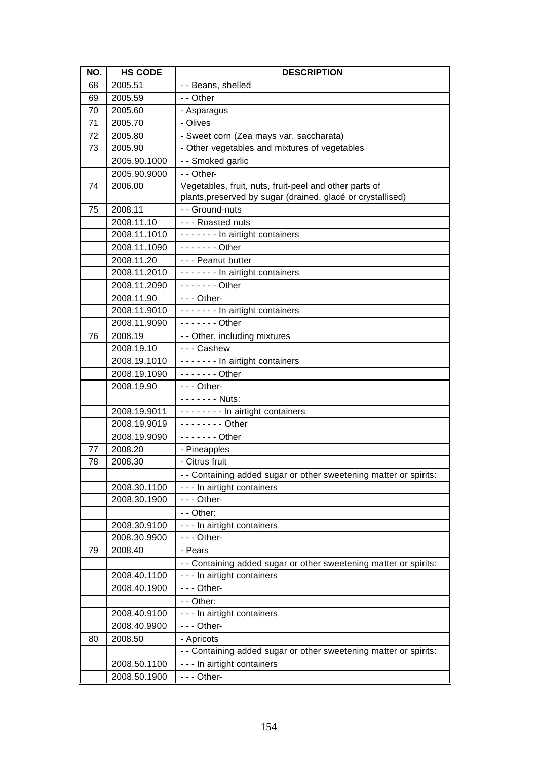| NO. | <b>HS CODE</b> | <b>DESCRIPTION</b>                                                |
|-----|----------------|-------------------------------------------------------------------|
| 68  | 2005.51        | - - Beans, shelled                                                |
| 69  | 2005.59        | - - Other                                                         |
| 70  | 2005.60        | - Asparagus                                                       |
| 71  | 2005.70        | - Olives                                                          |
| 72  | 2005.80        | - Sweet corn (Zea mays var. saccharata)                           |
| 73  | 2005.90        | - Other vegetables and mixtures of vegetables                     |
|     | 2005.90.1000   | - - Smoked garlic                                                 |
|     | 2005.90.9000   | - - Other-                                                        |
| 74  | 2006.00        | Vegetables, fruit, nuts, fruit-peel and other parts of            |
|     |                | plants, preserved by sugar (drained, glacé or crystallised)       |
| 75  | 2008.11        | - - Ground-nuts                                                   |
|     | 2008.11.10     | --- Roasted nuts                                                  |
|     | 2008.11.1010   | ------- In airtight containers                                    |
|     | 2008.11.1090   | $---$ Other                                                       |
|     | 2008.11.20     | --- Peanut butter                                                 |
|     | 2008.11.2010   | - - - - - - - In airtight containers                              |
|     | 2008.11.2090   | $- - - - - -$ Other                                               |
|     | 2008.11.90     | $- -$ Other-                                                      |
|     | 2008.11.9010   | ------- In airtight containers                                    |
|     | 2008.11.9090   | $- - - - - -$ Other                                               |
| 76  | 2008.19        | - - Other, including mixtures                                     |
|     | 2008.19.10     | --- Cashew                                                        |
|     | 2008.19.1010   | ------- In airtight containers                                    |
|     | 2008.19.1090   | - - - - - - - Other                                               |
|     | 2008.19.90     | $- -$ - Other-<br>------- Nuts:                                   |
|     | 2008.19.9011   | -------- In airtight containers                                   |
|     | 2008.19.9019   | $- - - - - - -$ Other                                             |
|     | 2008.19.9090   | $---$ Other                                                       |
| 77  | 2008.20        | - Pineapples                                                      |
| 78  | 2008.30        | - Citrus fruit                                                    |
|     |                | - - Containing added sugar or other sweetening matter or spirits: |
|     | 2008.30.1100   | - - - In airtight containers                                      |
|     | 2008.30.1900   | $- -$ - Other-                                                    |
|     |                | - - Other:                                                        |
|     | 2008.30.9100   | - - - In airtight containers                                      |
|     | 2008.30.9900   | $- -$ Other-                                                      |
| 79  | 2008.40        | - Pears                                                           |
|     |                | - - Containing added sugar or other sweetening matter or spirits: |
|     | 2008.40.1100   | - - - In airtight containers                                      |
|     | 2008.40.1900   | - - - Other-                                                      |
|     |                | - - Other:                                                        |
|     | 2008.40.9100   | - - - In airtight containers                                      |
|     | 2008.40.9900   | - - - Other-                                                      |
| 80  | 2008.50        | - Apricots                                                        |
|     |                | - - Containing added sugar or other sweetening matter or spirits: |
|     | 2008.50.1100   | - - - In airtight containers                                      |
|     | 2008.50.1900   | $- -$ Other-                                                      |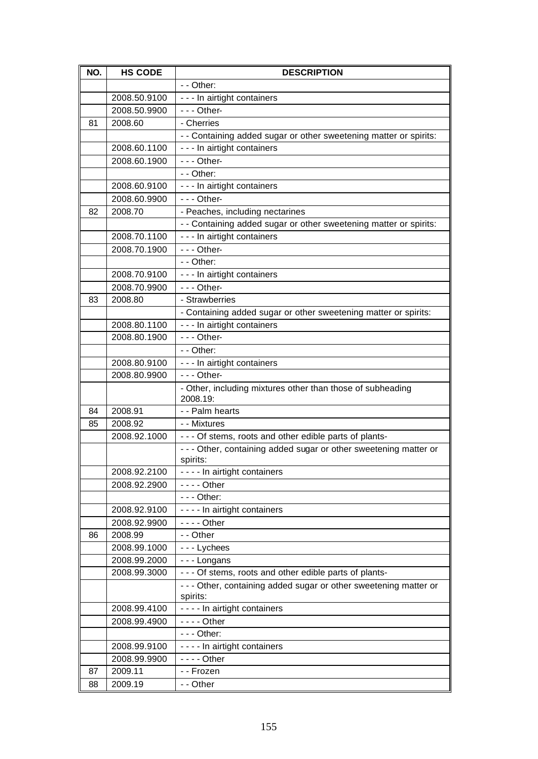| NO. | <b>HS CODE</b> | <b>DESCRIPTION</b>                                                            |
|-----|----------------|-------------------------------------------------------------------------------|
|     |                | - - Other:                                                                    |
|     | 2008.50.9100   | - - - In airtight containers                                                  |
|     | 2008.50.9900   | $- -$ - Other-                                                                |
| 81  | 2008.60        | - Cherries                                                                    |
|     |                | - - Containing added sugar or other sweetening matter or spirits:             |
|     | 2008.60.1100   | - - - In airtight containers                                                  |
|     | 2008.60.1900   | $- -$ Other-                                                                  |
|     |                | $-$ - Other:                                                                  |
|     | 2008.60.9100   | - - - In airtight containers                                                  |
|     | 2008.60.9900   | $--$ Other-                                                                   |
| 82  | 2008.70        | - Peaches, including nectarines                                               |
|     |                | - - Containing added sugar or other sweetening matter or spirits:             |
|     | 2008.70.1100   | - - - In airtight containers                                                  |
|     | 2008.70.1900   | $- -$ Other-                                                                  |
|     |                | - - Other:                                                                    |
|     | 2008.70.9100   | - - - In airtight containers                                                  |
|     | 2008.70.9900   | --- Other-                                                                    |
| 83  | 2008.80        | - Strawberries                                                                |
|     |                | - Containing added sugar or other sweetening matter or spirits:               |
|     | 2008.80.1100   | - - - In airtight containers                                                  |
|     | 2008.80.1900   | $- -$ - Other-                                                                |
|     |                | $-$ - Other:                                                                  |
|     | 2008.80.9100   | - - - In airtight containers                                                  |
|     | 2008.80.9900   | $- -$ - Other-                                                                |
|     |                | - Other, including mixtures other than those of subheading<br>2008.19:        |
| 84  | 2008.91        | - - Palm hearts                                                               |
| 85  | 2008.92        | - - Mixtures                                                                  |
|     | 2008.92.1000   | - - - Of stems, roots and other edible parts of plants-                       |
|     |                | - - - Other, containing added sugar or other sweetening matter or<br>spirits: |
|     | 2008.92.2100   | - - - - In airtight containers                                                |
|     | 2008.92.2900   | $--$ Other                                                                    |
|     |                | - - - Other:                                                                  |
|     | 2008.92.9100   | - - - - In airtight containers                                                |
|     | 2008.92.9900   | $--$ - Other                                                                  |
| 86  | 2008.99        | - - Other                                                                     |
|     | 2008.99.1000   | --- Lychees                                                                   |
|     | 2008.99.2000   | --- Longans                                                                   |
|     | 2008.99.3000   | - - - Of stems, roots and other edible parts of plants-                       |
|     |                | --- Other, containing added sugar or other sweetening matter or               |
|     |                | spirits:                                                                      |
|     | 2008.99.4100   | - - - - In airtight containers                                                |
|     | 2008.99.4900   | $--$ Other                                                                    |
|     |                | $--$ Other:                                                                   |
|     | 2008.99.9100   | - - - - In airtight containers                                                |
|     | 2008.99.9900   | - - - - Other                                                                 |
| 87  | 2009.11        | - - Frozen                                                                    |
| 88  | 2009.19        | - - Other                                                                     |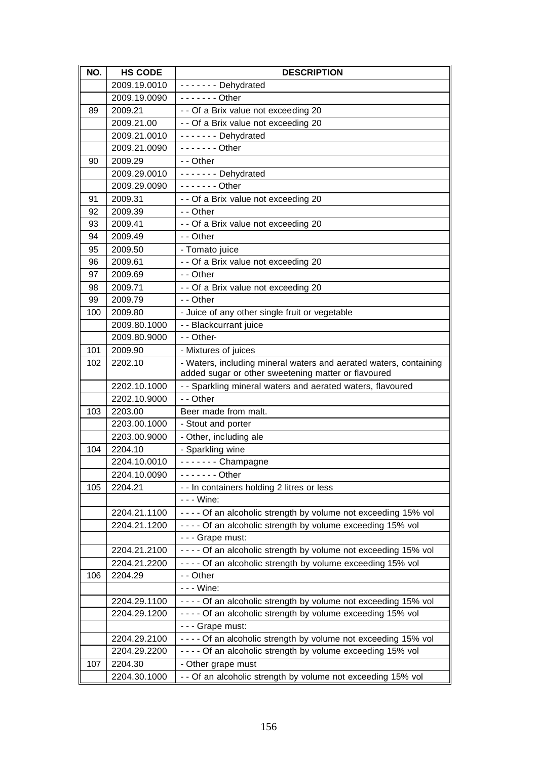| NO. | <b>HS CODE</b> | <b>DESCRIPTION</b>                                                                                                       |
|-----|----------------|--------------------------------------------------------------------------------------------------------------------------|
|     | 2009.19.0010   | - - - - - - Dehydrated                                                                                                   |
|     | 2009.19.0090   | $\overline{\cdots}$ Other                                                                                                |
| 89  | 2009.21        | - - Of a Brix value not exceeding 20                                                                                     |
|     | 2009.21.00     | - - Of a Brix value not exceeding 20                                                                                     |
|     | 2009.21.0010   | ------- Dehydrated                                                                                                       |
|     | 2009.21.0090   | $- - - - - -$ Other                                                                                                      |
| 90  | 2009.29        | - - Other                                                                                                                |
|     | 2009.29.0010   | ------- Dehydrated                                                                                                       |
|     | 2009.29.0090   | $---$ Other                                                                                                              |
| 91  | 2009.31        | - - Of a Brix value not exceeding 20                                                                                     |
| 92  | 2009.39        | - - Other                                                                                                                |
| 93  | 2009.41        | - - Of a Brix value not exceeding 20                                                                                     |
| 94  | 2009.49        | - - Other                                                                                                                |
| 95  | 2009.50        | - Tomato juice                                                                                                           |
| 96  | 2009.61        | - - Of a Brix value not exceeding 20                                                                                     |
| 97  | 2009.69        | - - Other                                                                                                                |
| 98  | 2009.71        | - - Of a Brix value not exceeding 20                                                                                     |
| 99  | 2009.79        | - - Other                                                                                                                |
| 100 | 2009.80        | - Juice of any other single fruit or vegetable                                                                           |
|     | 2009.80.1000   | - - Blackcurrant juice                                                                                                   |
|     | 2009.80.9000   | - - Other-                                                                                                               |
| 101 | 2009.90        | - Mixtures of juices                                                                                                     |
| 102 | 2202.10        | - Waters, including mineral waters and aerated waters, containing<br>added sugar or other sweetening matter or flavoured |
|     | 2202.10.1000   | - - Sparkling mineral waters and aerated waters, flavoured                                                               |
|     | 2202.10.9000   | - - Other                                                                                                                |
| 103 | 2203.00        | Beer made from malt.                                                                                                     |
|     | 2203.00.1000   | - Stout and porter                                                                                                       |
|     | 2203.00.9000   | - Other, including ale                                                                                                   |
| 104 | 2204.10        | - Sparkling wine                                                                                                         |
|     | 2204.10.0010   | $---$ Champagne                                                                                                          |
|     | 2204.10.0090   | - - - - - - - Other                                                                                                      |
| 105 | 2204.21        | - - In containers holding 2 litres or less                                                                               |
|     |                | - - - Wine:                                                                                                              |
|     | 2204.21.1100   | - - - - Of an alcoholic strength by volume not exceeding 15% vol                                                         |
|     | 2204.21.1200   | - - - - Of an alcoholic strength by volume exceeding 15% vol                                                             |
|     |                | - - - Grape must:                                                                                                        |
|     | 2204.21.2100   | - - - - Of an alcoholic strength by volume not exceeding 15% vol                                                         |
|     | 2204.21.2200   | - - - - Of an alcoholic strength by volume exceeding 15% vol                                                             |
| 106 | 2204.29        | - - Other                                                                                                                |
|     |                | - - - Wine:                                                                                                              |
|     | 2204.29.1100   | ---- Of an alcoholic strength by volume not exceeding 15% vol                                                            |
|     | 2204.29.1200   | ---- Of an alcoholic strength by volume exceeding 15% vol                                                                |
|     |                | - - - Grape must:                                                                                                        |
|     | 2204.29.2100   | - - - - Of an alcoholic strength by volume not exceeding 15% vol                                                         |
|     | 2204.29.2200   | - - - - Of an alcoholic strength by volume exceeding 15% vol                                                             |
| 107 | 2204.30        | - Other grape must                                                                                                       |
|     | 2204.30.1000   | - - Of an alcoholic strength by volume not exceeding 15% vol                                                             |
|     |                |                                                                                                                          |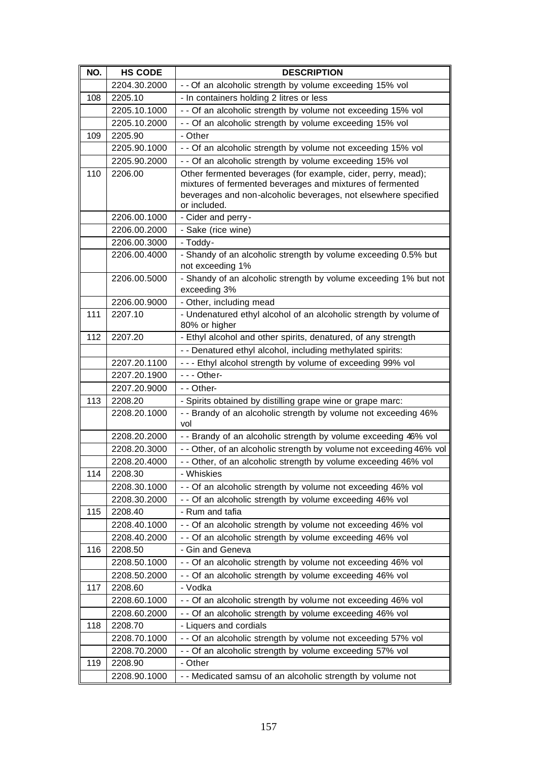| NO. | <b>HS CODE</b> | <b>DESCRIPTION</b>                                                                                                                                                                                          |
|-----|----------------|-------------------------------------------------------------------------------------------------------------------------------------------------------------------------------------------------------------|
|     | 2204.30.2000   | - - Of an alcoholic strength by volume exceeding 15% vol                                                                                                                                                    |
| 108 | 2205.10        | - In containers holding 2 litres or less                                                                                                                                                                    |
|     | 2205.10.1000   | - - Of an alcoholic strength by volume not exceeding 15% vol                                                                                                                                                |
|     | 2205.10.2000   | - - Of an alcoholic strength by volume exceeding 15% vol                                                                                                                                                    |
| 109 | 2205.90        | - Other                                                                                                                                                                                                     |
|     | 2205.90.1000   | - - Of an alcoholic strength by volume not exceeding 15% vol                                                                                                                                                |
|     | 2205.90.2000   | - - Of an alcoholic strength by volume exceeding 15% vol                                                                                                                                                    |
| 110 | 2206.00        | Other fermented beverages (for example, cider, perry, mead);<br>mixtures of fermented beverages and mixtures of fermented<br>beverages and non-alcoholic beverages, not elsewhere specified<br>or included. |
|     | 2206.00.1000   | - Cider and perry-                                                                                                                                                                                          |
|     | 2206.00.2000   | - Sake (rice wine)                                                                                                                                                                                          |
|     | 2206.00.3000   | - Toddy-                                                                                                                                                                                                    |
|     | 2206.00.4000   | - Shandy of an alcoholic strength by volume exceeding 0.5% but<br>not exceeding 1%                                                                                                                          |
|     | 2206.00.5000   | - Shandy of an alcoholic strength by volume exceeding 1% but not<br>exceeding 3%                                                                                                                            |
|     | 2206.00.9000   | - Other, including mead                                                                                                                                                                                     |
| 111 | 2207.10        | - Undenatured ethyl alcohol of an alcoholic strength by volume of<br>80% or higher                                                                                                                          |
| 112 | 2207.20        | - Ethyl alcohol and other spirits, denatured, of any strength                                                                                                                                               |
|     |                | - - Denatured ethyl alcohol, including methylated spirits:                                                                                                                                                  |
|     | 2207.20.1100   | --- Ethyl alcohol strength by volume of exceeding 99% vol                                                                                                                                                   |
|     | 2207.20.1900   | $- -$ Other-                                                                                                                                                                                                |
|     | 2207.20.9000   | - - Other-                                                                                                                                                                                                  |
| 113 | 2208.20        | - Spirits obtained by distilling grape wine or grape marc:                                                                                                                                                  |
|     | 2208.20.1000   | - - Brandy of an alcoholic strength by volume not exceeding 46%<br>vol                                                                                                                                      |
|     | 2208.20.2000   | - - Brandy of an alcoholic strength by volume exceeding 46% vol                                                                                                                                             |
|     | 2208.20.3000   | - - Other, of an alcoholic strength by volume not exceeding 46% vol                                                                                                                                         |
|     | 2208.20.4000   | - - Other, of an alcoholic strength by volume exceeding 46% vol                                                                                                                                             |
| 114 | 2208.30        | - Whiskies                                                                                                                                                                                                  |
|     | 2208.30.1000   | - - Of an alcoholic strength by volume not exceeding 46% vol                                                                                                                                                |
|     | 2208.30.2000   | - - Of an alcoholic strength by volume exceeding 46% vol                                                                                                                                                    |
| 115 | 2208.40        | - Rum and tafia                                                                                                                                                                                             |
|     | 2208.40.1000   | - - Of an alcoholic strength by volume not exceeding 46% vol                                                                                                                                                |
|     | 2208.40.2000   | - - Of an alcoholic strength by volume exceeding 46% vol                                                                                                                                                    |
| 116 | 2208.50        | - Gin and Geneva                                                                                                                                                                                            |
|     | 2208.50.1000   | - - Of an alcoholic strength by volume not exceeding 46% vol                                                                                                                                                |
|     | 2208.50.2000   | - - Of an alcoholic strength by volume exceeding 46% vol                                                                                                                                                    |
| 117 | 2208.60        | - Vodka                                                                                                                                                                                                     |
|     | 2208.60.1000   | - - Of an alcoholic strength by volume not exceeding 46% vol                                                                                                                                                |
|     | 2208.60.2000   | - - Of an alcoholic strength by volume exceeding 46% vol                                                                                                                                                    |
| 118 | 2208.70        | - Liquers and cordials                                                                                                                                                                                      |
|     | 2208.70.1000   | - - Of an alcoholic strength by volume not exceeding 57% vol                                                                                                                                                |
|     | 2208.70.2000   | - - Of an alcoholic strength by volume exceeding 57% vol                                                                                                                                                    |
| 119 | 2208.90        | - Other                                                                                                                                                                                                     |
|     | 2208.90.1000   | - - Medicated samsu of an alcoholic strength by volume not                                                                                                                                                  |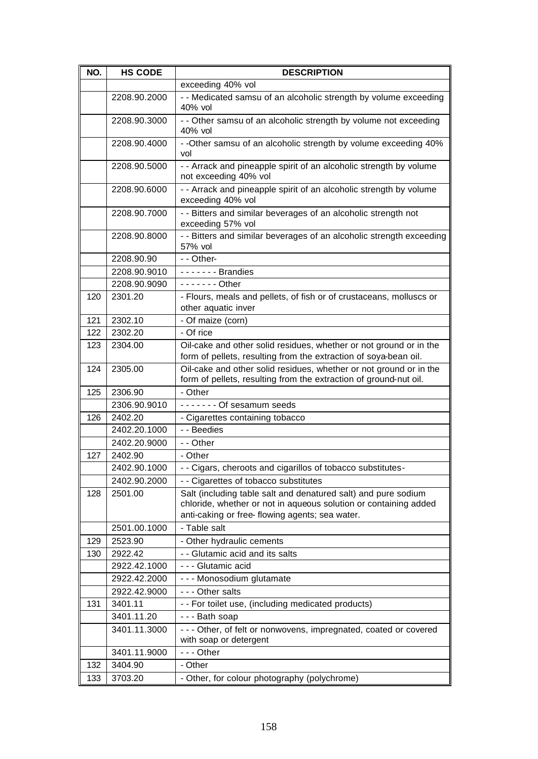| NO. | <b>HS CODE</b> | <b>DESCRIPTION</b>                                                                                                                                                                   |
|-----|----------------|--------------------------------------------------------------------------------------------------------------------------------------------------------------------------------------|
|     |                | exceeding 40% vol                                                                                                                                                                    |
|     | 2208.90.2000   | - - Medicated samsu of an alcoholic strength by volume exceeding<br>40% vol                                                                                                          |
|     | 2208.90.3000   | - - Other samsu of an alcoholic strength by volume not exceeding<br>40% vol                                                                                                          |
|     | 2208.90.4000   | - -Other samsu of an alcoholic strength by volume exceeding 40%<br>vol                                                                                                               |
|     | 2208.90.5000   | - - Arrack and pineapple spirit of an alcoholic strength by volume<br>not exceeding 40% vol                                                                                          |
|     | 2208.90.6000   | - - Arrack and pineapple spirit of an alcoholic strength by volume<br>exceeding 40% vol                                                                                              |
|     | 2208.90.7000   | - - Bitters and similar beverages of an alcoholic strength not<br>exceeding 57% vol                                                                                                  |
|     | 2208.90.8000   | - - Bitters and similar beverages of an alcoholic strength exceeding<br>57% vol                                                                                                      |
|     | 2208.90.90     | - - Other-                                                                                                                                                                           |
|     | 2208.90.9010   | $---$ Brandies                                                                                                                                                                       |
|     | 2208.90.9090   | $- - - - - -$ Other                                                                                                                                                                  |
| 120 | 2301.20        | - Flours, meals and pellets, of fish or of crustaceans, molluscs or<br>other aquatic inver                                                                                           |
| 121 | 2302.10        | - Of maize (corn)                                                                                                                                                                    |
| 122 | 2302.20        | - Of rice                                                                                                                                                                            |
| 123 | 2304.00        | Oil-cake and other solid residues, whether or not ground or in the                                                                                                                   |
|     |                | form of pellets, resulting from the extraction of soya-bean oil.                                                                                                                     |
| 124 | 2305.00        | Oil-cake and other solid residues, whether or not ground or in the<br>form of pellets, resulting from the extraction of ground-nut oil.                                              |
| 125 | 2306.90        | - Other                                                                                                                                                                              |
|     | 2306.90.9010   | ------- Of sesamum seeds                                                                                                                                                             |
| 126 | 2402.20        | - Cigarettes containing tobacco                                                                                                                                                      |
|     | 2402.20.1000   | - - Beedies                                                                                                                                                                          |
|     | 2402.20.9000   | - - Other                                                                                                                                                                            |
| 127 | 2402.90        | - Other                                                                                                                                                                              |
|     | 2402.90.1000   | - - Cigars, cheroots and cigarillos of tobacco substitutes-                                                                                                                          |
|     | 2402.90.2000   | - - Cigarettes of tobacco substitutes                                                                                                                                                |
| 128 | 2501.00        | Salt (including table salt and denatured salt) and pure sodium<br>chloride, whether or not in aqueous solution or containing added<br>anti-caking or free-flowing agents; sea water. |
|     | 2501.00.1000   | - Table salt                                                                                                                                                                         |
| 129 | 2523.90        | - Other hydraulic cements                                                                                                                                                            |
| 130 | 2922.42        | - - Glutamic acid and its salts                                                                                                                                                      |
|     | 2922.42.1000   | - - - Glutamic acid                                                                                                                                                                  |
|     | 2922.42.2000   | - - - Monosodium glutamate                                                                                                                                                           |
|     | 2922.42.9000   | - - - Other salts                                                                                                                                                                    |
| 131 | 3401.11        | - - For toilet use, (including medicated products)                                                                                                                                   |
|     | 3401.11.20     | --- Bath soap                                                                                                                                                                        |
|     | 3401.11.3000   | - - - Other, of felt or nonwovens, impregnated, coated or covered                                                                                                                    |
|     |                | with soap or detergent                                                                                                                                                               |
|     | 3401.11.9000   | $--$ Other                                                                                                                                                                           |
| 132 | 3404.90        | - Other                                                                                                                                                                              |
| 133 | 3703.20        | - Other, for colour photography (polychrome)                                                                                                                                         |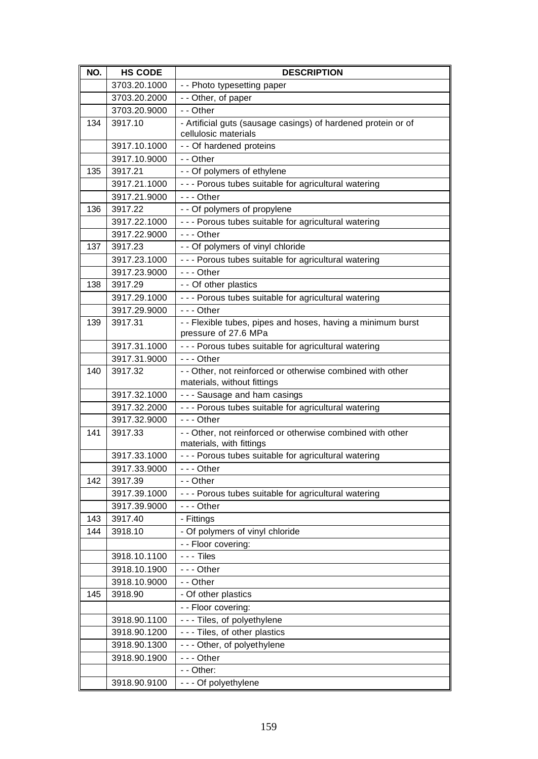| NO. | <b>HS CODE</b> | <b>DESCRIPTION</b>                                                                        |
|-----|----------------|-------------------------------------------------------------------------------------------|
|     | 3703.20.1000   | - - Photo typesetting paper                                                               |
|     | 3703.20.2000   | - - Other, of paper                                                                       |
|     | 3703.20.9000   | - - Other                                                                                 |
| 134 | 3917.10        | - Artificial guts (sausage casings) of hardened protein or of<br>cellulosic materials     |
|     | 3917.10.1000   | - - Of hardened proteins                                                                  |
|     | 3917.10.9000   | - - Other                                                                                 |
| 135 | 3917.21        | - - Of polymers of ethylene                                                               |
|     | 3917.21.1000   | - - - Porous tubes suitable for agricultural watering                                     |
|     | 3917.21.9000   | $- -$ Other                                                                               |
| 136 | 3917.22        | - - Of polymers of propylene                                                              |
|     | 3917.22.1000   | - - - Porous tubes suitable for agricultural watering                                     |
|     | 3917.22.9000   | $- -$ Other                                                                               |
| 137 | 3917.23        | - - Of polymers of vinyl chloride                                                         |
|     | 3917.23.1000   | - - - Porous tubes suitable for agricultural watering                                     |
|     | 3917.23.9000   | $- -$ Other                                                                               |
| 138 | 3917.29        | - - Of other plastics                                                                     |
|     | 3917.29.1000   | - - - Porous tubes suitable for agricultural watering                                     |
|     | 3917.29.9000   | $- -$ Other                                                                               |
| 139 | 3917.31        | - - Flexible tubes, pipes and hoses, having a minimum burst                               |
|     |                | pressure of 27.6 MPa                                                                      |
|     | 3917.31.1000   | - - - Porous tubes suitable for agricultural watering                                     |
|     | 3917.31.9000   | $- -$ Other                                                                               |
| 140 | 3917.32        | - - Other, not reinforced or otherwise combined with other<br>materials, without fittings |
|     | 3917.32.1000   | --- Sausage and ham casings                                                               |
|     | 3917.32.2000   | - - - Porous tubes suitable for agricultural watering                                     |
|     | 3917.32.9000   | $--$ Other                                                                                |
| 141 | 3917.33        | - - Other, not reinforced or otherwise combined with other<br>materials, with fittings    |
|     | 3917.33.1000   | - - - Porous tubes suitable for agricultural watering                                     |
|     | 3917.33.9000   | --- Other                                                                                 |
| 142 | 3917.39        | - - Other                                                                                 |
|     | 3917.39.1000   | - - - Porous tubes suitable for agricultural watering                                     |
|     | 3917.39.9000   | --- Other                                                                                 |
| 143 | 3917.40        | - Fittings                                                                                |
| 144 | 3918.10        | - Of polymers of vinyl chloride                                                           |
|     |                | - - Floor covering:                                                                       |
|     | 3918.10.1100   | $- -$ Tiles                                                                               |
|     | 3918.10.1900   | --- Other                                                                                 |
|     | 3918.10.9000   | - - Other                                                                                 |
| 145 | 3918.90        | - Of other plastics                                                                       |
|     |                | - - Floor covering:                                                                       |
|     | 3918.90.1100   | --- Tiles, of polyethylene                                                                |
|     | 3918.90.1200   | --- Tiles, of other plastics                                                              |
|     | 3918.90.1300   | - - - Other, of polyethylene                                                              |
|     | 3918.90.1900   | --- Other                                                                                 |
|     |                | - - Other:                                                                                |
|     | 3918.90.9100   | - - - Of polyethylene                                                                     |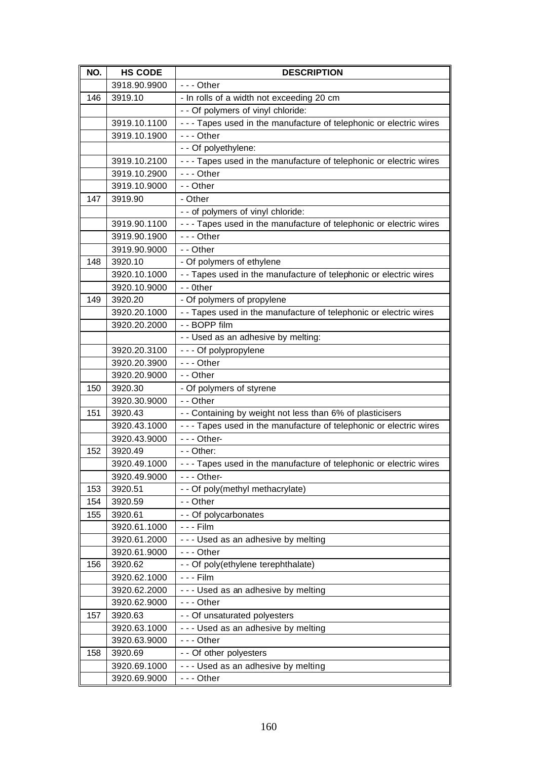| NO. | <b>HS CODE</b>          | <b>DESCRIPTION</b>                                                  |
|-----|-------------------------|---------------------------------------------------------------------|
|     | 3918.90.9900            | $--$ Other                                                          |
| 146 | 3919.10                 | - In rolls of a width not exceeding 20 cm                           |
|     |                         | - - Of polymers of vinyl chloride:                                  |
|     | 3919.10.1100            | - - - Tapes used in the manufacture of telephonic or electric wires |
|     | 3919.10.1900            | $--$ Other                                                          |
|     |                         | - - Of polyethylene:                                                |
|     | 3919.10.2100            | - - - Tapes used in the manufacture of telephonic or electric wires |
|     | 3919.10.2900            | $--$ Other                                                          |
|     | 3919.10.9000            | - - Other                                                           |
| 147 | 3919.90                 | - Other                                                             |
|     |                         | - - of polymers of vinyl chloride:                                  |
|     | 3919.90.1100            | --- Tapes used in the manufacture of telephonic or electric wires   |
|     | 3919.90.1900            | $--$ Other                                                          |
|     | 3919.90.9000            | - - Other                                                           |
| 148 | 3920.10                 | - Of polymers of ethylene                                           |
|     | 3920.10.1000            | - - Tapes used in the manufacture of telephonic or electric wires   |
|     | 3920.10.9000            | - - 0ther                                                           |
| 149 | 3920.20                 | - Of polymers of propylene                                          |
|     | 3920.20.1000            | - - Tapes used in the manufacture of telephonic or electric wires   |
|     | 3920.20.2000            | - - BOPP film                                                       |
|     |                         | - - Used as an adhesive by melting:                                 |
|     | 3920.20.3100            | - - - Of polypropylene                                              |
|     | 3920.20.3900            | $--$ Other<br>- - Other                                             |
| 150 | 3920.20.9000<br>3920.30 | - Of polymers of styrene                                            |
|     | 3920.30.9000            | - - Other                                                           |
| 151 | 3920.43                 | - - Containing by weight not less than 6% of plasticisers           |
|     | 3920.43.1000            | - - - Tapes used in the manufacture of telephonic or electric wires |
|     | 3920.43.9000            | $- -$ - Other-                                                      |
| 152 | 3920.49                 | - - Other:                                                          |
|     | 3920.49.1000            | - - - Tapes used in the manufacture of telephonic or electric wires |
|     | 3920.49.9000            | $--$ Other-                                                         |
| 153 | 3920.51                 | - - Of poly(methyl methacrylate)                                    |
| 154 | 3920.59                 | - - Other                                                           |
| 155 | 3920.61                 | - - Of polycarbonates                                               |
|     | 3920.61.1000            | - - - Film                                                          |
|     | 3920.61.2000            | --- Used as an adhesive by melting                                  |
|     | 3920.61.9000            | --- Other                                                           |
| 156 | 3920.62                 | - - Of poly(ethylene terephthalate)                                 |
|     | 3920.62.1000            | - - - Film                                                          |
|     | 3920.62.2000            | --- Used as an adhesive by melting                                  |
|     | 3920.62.9000            | $- -$ - Other                                                       |
| 157 | 3920.63                 | - - Of unsaturated polyesters                                       |
|     | 3920.63.1000            | --- Used as an adhesive by melting                                  |
|     | 3920.63.9000            | $--$ Other                                                          |
| 158 | 3920.69                 | - - Of other polyesters                                             |
|     | 3920.69.1000            | --- Used as an adhesive by melting                                  |
|     | 3920.69.9000            | $--$ Other                                                          |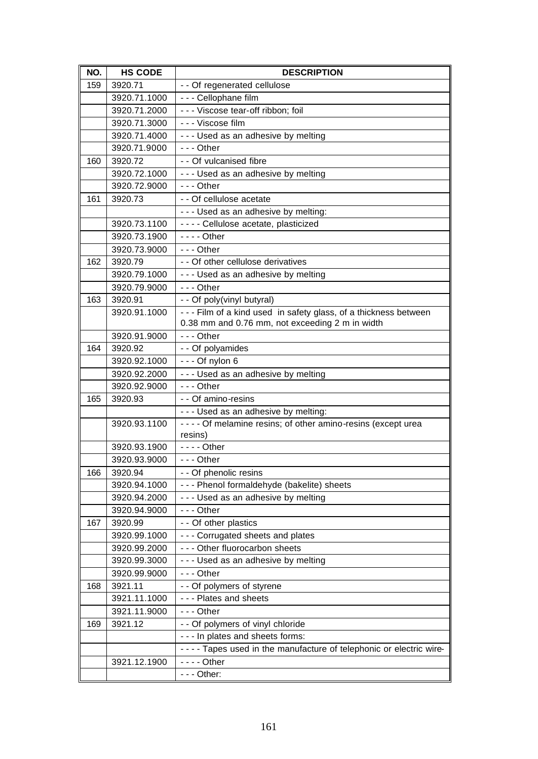| NO. | <b>HS CODE</b>          | <b>DESCRIPTION</b>                                                    |
|-----|-------------------------|-----------------------------------------------------------------------|
| 159 | 3920.71                 | - - Of regenerated cellulose                                          |
|     | 3920.71.1000            | - - - Cellophane film                                                 |
|     | 3920.71.2000            | - - - Viscose tear-off ribbon; foil                                   |
|     | 3920.71.3000            | - - - Viscose film                                                    |
|     | 3920.71.4000            | --- Used as an adhesive by melting                                    |
|     | 3920.71.9000            | $- -$ Other                                                           |
| 160 | 3920.72                 | - - Of vulcanised fibre                                               |
|     | 3920.72.1000            | --- Used as an adhesive by melting                                    |
|     | 3920.72.9000            | $- -$ Other                                                           |
| 161 | 3920.73                 | - - Of cellulose acetate                                              |
|     |                         | - - - Used as an adhesive by melting:                                 |
|     | 3920.73.1100            | - - - - Cellulose acetate, plasticized                                |
|     | 3920.73.1900            | $--$ Other                                                            |
|     | 3920.73.9000            | $--$ Other                                                            |
| 162 | 3920.79                 | - - Of other cellulose derivatives                                    |
|     | 3920.79.1000            | --- Used as an adhesive by melting                                    |
|     | 3920.79.9000            | $- -$ Other                                                           |
| 163 | 3920.91                 | - - Of poly(vinyl butyral)                                            |
|     | 3920.91.1000            | - - - Film of a kind used in safety glass, of a thickness between     |
|     |                         | 0.38 mm and 0.76 mm, not exceeding 2 m in width                       |
|     | 3920.91.9000            | $--$ Other                                                            |
| 164 | 3920.92                 | - - Of polyamides                                                     |
|     | 3920.92.1000            | $- -$ Of nylon 6                                                      |
|     | 3920.92.2000            | --- Used as an adhesive by melting                                    |
|     | 3920.92.9000            | $--$ Other                                                            |
| 165 | 3920.93                 | - - Of amino-resins                                                   |
|     |                         | - - - Used as an adhesive by melting:                                 |
|     | 3920.93.1100            | - - - - Of melamine resins; of other amino-resins (except urea        |
|     |                         | resins)                                                               |
|     | 3920.93.1900            | $--$ Other                                                            |
|     | 3920.93.9000            | $- -$ Other                                                           |
| 166 | 3920.94                 | - - Of phenolic resins                                                |
|     | 3920.94.1000            | - - - Phenol formaldehyde (bakelite) sheets                           |
|     | 3920.94.2000            | --- Used as an adhesive by melting                                    |
|     | 3920.94.9000            | $--$ Other                                                            |
| 167 | 3920.99                 | - - Of other plastics                                                 |
|     | 3920.99.1000            | - - - Corrugated sheets and plates                                    |
|     | 3920.99.2000            | - - - Other fluorocarbon sheets                                       |
|     | 3920.99.3000            | --- Used as an adhesive by melting                                    |
|     | 3920.99.9000            | --- Other                                                             |
| 168 | 3921.11<br>3921.11.1000 | - - Of polymers of styrene                                            |
|     |                         | - - - Plates and sheets                                               |
|     | 3921.11.9000            | --- Other                                                             |
| 169 | 3921.12                 | - - Of polymers of vinyl chloride                                     |
|     |                         | - - - In plates and sheets forms:                                     |
|     |                         | - - - - Tapes used in the manufacture of telephonic or electric wire- |
|     | 3921.12.1900            | $--$ Other                                                            |
|     |                         | $- -$ Other:                                                          |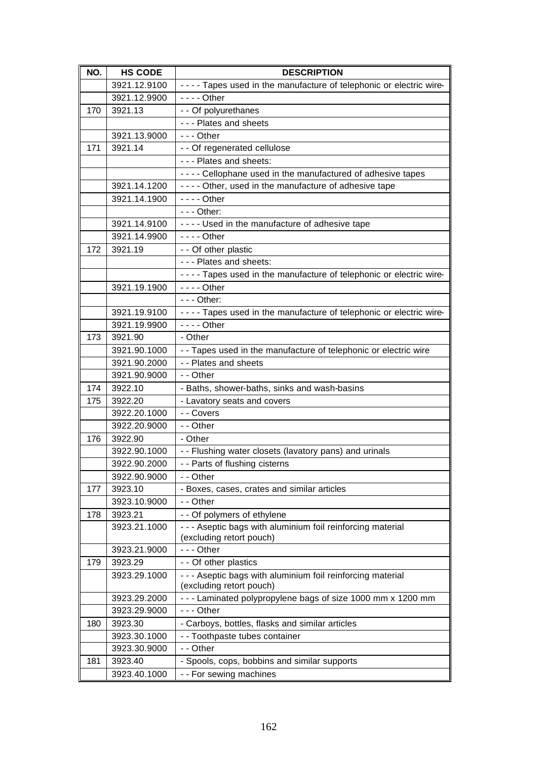| NO. | <b>HS CODE</b> | <b>DESCRIPTION</b>                                                    |
|-----|----------------|-----------------------------------------------------------------------|
|     | 3921.12.9100   | - - - - Tapes used in the manufacture of telephonic or electric wire- |
|     | 3921.12.9900   | - - - - Other                                                         |
| 170 | 3921.13        | - - Of polyurethanes                                                  |
|     |                | - - - Plates and sheets                                               |
|     | 3921.13.9000   | $- -$ Other                                                           |
| 171 | 3921.14        | - - Of regenerated cellulose                                          |
|     |                | - - - Plates and sheets:                                              |
|     |                | - - - - Cellophane used in the manufactured of adhesive tapes         |
|     | 3921.14.1200   | - - - - Other, used in the manufacture of adhesive tape               |
|     | 3921.14.1900   | $--$ Other                                                            |
|     |                | $--$ Other:                                                           |
|     | 3921.14.9100   | - - - - Used in the manufacture of adhesive tape                      |
|     | 3921.14.9900   | $--$ Other                                                            |
| 172 | 3921.19        | - - Of other plastic                                                  |
|     |                | - - - Plates and sheets:                                              |
|     |                | - - - - Tapes used in the manufacture of telephonic or electric wire- |
|     | 3921.19.1900   | $--$ Other                                                            |
|     |                | $--$ Other:                                                           |
|     | 3921.19.9100   | - - - - Tapes used in the manufacture of telephonic or electric wire- |
|     | 3921.19.9900   | $--$ Other                                                            |
| 173 | 3921.90        | - Other                                                               |
|     | 3921.90.1000   | - - Tapes used in the manufacture of telephonic or electric wire      |
|     | 3921.90.2000   | - - Plates and sheets                                                 |
|     | 3921.90.9000   | - - Other                                                             |
| 174 | 3922.10        | - Baths, shower-baths, sinks and wash-basins                          |
| 175 | 3922.20        | - Lavatory seats and covers                                           |
|     | 3922.20.1000   | - - Covers                                                            |
|     | 3922.20.9000   | - - Other                                                             |
| 176 | 3922.90        | - Other                                                               |
|     | 3922.90.1000   | - - Flushing water closets (lavatory pans) and urinals                |
|     | 3922.90.2000   | - - Parts of flushing cisterns                                        |
|     | 3922.90.9000   | - - Other                                                             |
| 177 | 3923.10        | - Boxes, cases, crates and similar articles                           |
|     | 3923.10.9000   | - - Other                                                             |
| 178 | 3923.21        | - - Of polymers of ethylene                                           |
|     | 3923.21.1000   | - - - Aseptic bags with aluminium foil reinforcing material           |
|     | 3923.21.9000   | (excluding retort pouch)<br>$--$ Other                                |
| 179 | 3923.29        | - - Of other plastics                                                 |
|     | 3923.29.1000   | - - - Aseptic bags with aluminium foil reinforcing material           |
|     |                | (excluding retort pouch)                                              |
|     | 3923.29.2000   | - - - Laminated polypropylene bags of size 1000 mm x 1200 mm          |
|     | 3923.29.9000   | --- Other                                                             |
| 180 | 3923.30        | - Carboys, bottles, flasks and similar articles                       |
|     | 3923.30.1000   | - - Toothpaste tubes container                                        |
|     | 3923.30.9000   | - - Other                                                             |
| 181 | 3923.40        | - Spools, cops, bobbins and similar supports                          |
|     | 3923.40.1000   | - - For sewing machines                                               |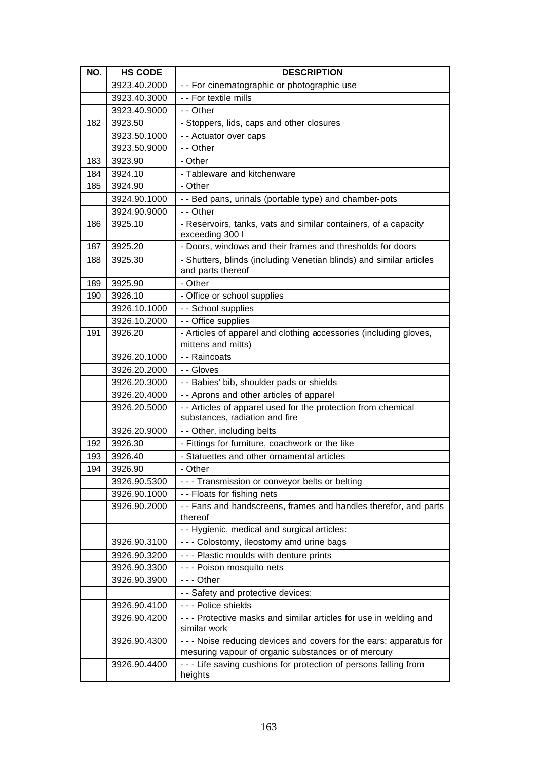| NO. | <b>HS CODE</b> | <b>DESCRIPTION</b>                                                                              |
|-----|----------------|-------------------------------------------------------------------------------------------------|
|     | 3923.40.2000   | - - For cinematographic or photographic use                                                     |
|     | 3923.40.3000   | - - For textile mills                                                                           |
|     | 3923.40.9000   | - - Other                                                                                       |
| 182 | 3923.50        | - Stoppers, lids, caps and other closures                                                       |
|     | 3923.50.1000   | - - Actuator over caps                                                                          |
|     | 3923.50.9000   | - - Other                                                                                       |
| 183 | 3923.90        | - Other                                                                                         |
| 184 | 3924.10        | - Tableware and kitchenware                                                                     |
| 185 | 3924.90        | - Other                                                                                         |
|     | 3924.90.1000   | - - Bed pans, urinals (portable type) and chamber-pots                                          |
|     | 3924.90.9000   | - - Other                                                                                       |
| 186 | 3925.10        | - Reservoirs, tanks, vats and similar containers, of a capacity                                 |
|     |                | exceeding 300 l                                                                                 |
| 187 | 3925.20        | - Doors, windows and their frames and thresholds for doors                                      |
| 188 | 3925.30        | - Shutters, blinds (including Venetian blinds) and similar articles                             |
|     |                | and parts thereof                                                                               |
| 189 | 3925.90        | - Other                                                                                         |
| 190 | 3926.10        | - Office or school supplies                                                                     |
|     | 3926.10.1000   | - - School supplies                                                                             |
|     | 3926.10.2000   | - - Office supplies                                                                             |
| 191 | 3926.20        | - Articles of apparel and clothing accessories (including gloves,                               |
|     |                | mittens and mitts)                                                                              |
|     | 3926.20.1000   | - - Raincoats                                                                                   |
|     | 3926.20.2000   | - - Gloves                                                                                      |
|     | 3926.20.3000   | - - Babies' bib, shoulder pads or shields                                                       |
|     | 3926.20.4000   | - - Aprons and other articles of apparel                                                        |
|     | 3926.20.5000   | - - Articles of apparel used for the protection from chemical<br>substances, radiation and fire |
|     | 3926.20.9000   | - - Other, including belts                                                                      |
| 192 | 3926.30        | - Fittings for furniture, coachwork or the like                                                 |
| 193 | 3926.40        | - Statuettes and other ornamental articles                                                      |
| 194 | 3926.90        | Other                                                                                           |
|     | 3926.90.5300   | --- Transmission or conveyor belts or belting                                                   |
|     | 3926.90.1000   | - - Floats for fishing nets                                                                     |
|     | 3926.90.2000   | - - Fans and handscreens, frames and handles therefor, and parts                                |
|     |                | thereof                                                                                         |
|     |                | - - Hygienic, medical and surgical articles:                                                    |
|     | 3926.90.3100   | - - - Colostomy, ileostomy amd urine bags                                                       |
|     | 3926.90.3200   | - - - Plastic moulds with denture prints                                                        |
|     | 3926.90.3300   | - - - Poison mosquito nets                                                                      |
|     | 3926.90.3900   | $- -$ Other                                                                                     |
|     |                | - - Safety and protective devices:                                                              |
|     | 3926.90.4100   | - - - Police shields                                                                            |
|     | 3926.90.4200   | --- Protective masks and similar articles for use in welding and                                |
|     |                | similar work                                                                                    |
|     | 3926.90.4300   | - - - Noise reducing devices and covers for the ears; apparatus for                             |
|     |                | mesuring vapour of organic substances or of mercury                                             |
|     | 3926.90.4400   | - - - Life saving cushions for protection of persons falling from<br>heights                    |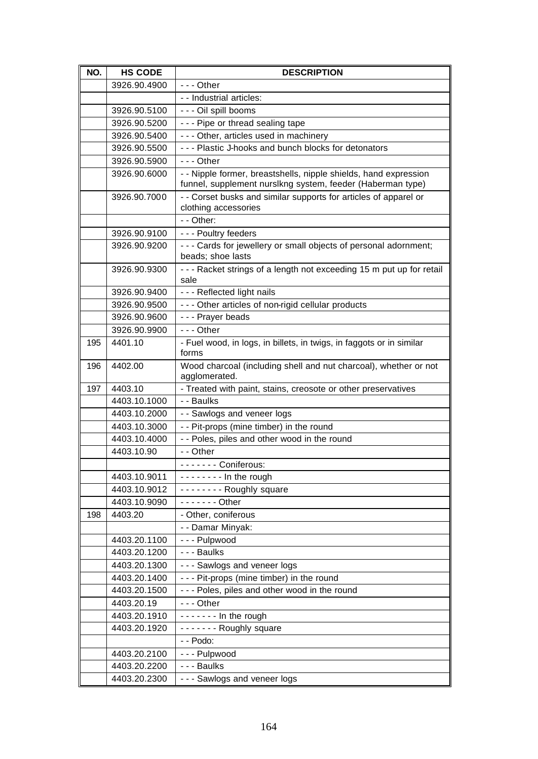| NO. | <b>HS CODE</b> | <b>DESCRIPTION</b>                                                                                                             |
|-----|----------------|--------------------------------------------------------------------------------------------------------------------------------|
|     | 3926.90.4900   | $--$ Other                                                                                                                     |
|     |                | - - Industrial articles:                                                                                                       |
|     | 3926.90.5100   | - - - Oil spill booms                                                                                                          |
|     | 3926.90.5200   | --- Pipe or thread sealing tape                                                                                                |
|     | 3926.90.5400   | - - - Other, articles used in machinery                                                                                        |
|     | 3926.90.5500   | - - - Plastic J-hooks and bunch blocks for detonators                                                                          |
|     | 3926.90.5900   | $- -$ Other                                                                                                                    |
|     | 3926.90.6000   | - - Nipple former, breastshells, nipple shields, hand expression<br>funnel, supplement nurslkng system, feeder (Haberman type) |
|     | 3926.90.7000   | - - Corset busks and similar supports for articles of apparel or<br>clothing accessories                                       |
|     |                | - - Other:                                                                                                                     |
|     | 3926.90.9100   | - - - Poultry feeders                                                                                                          |
|     | 3926.90.9200   | - - - Cards for jewellery or small objects of personal adornment;<br>beads; shoe lasts                                         |
|     | 3926.90.9300   | - - - Racket strings of a length not exceeding 15 m put up for retail<br>sale                                                  |
|     | 3926.90.9400   | - - - Reflected light nails                                                                                                    |
|     | 3926.90.9500   | - - - Other articles of non-rigid cellular products                                                                            |
|     | 3926.90.9600   | - - - Prayer beads                                                                                                             |
|     | 3926.90.9900   | $- -$ Other                                                                                                                    |
| 195 | 4401.10        | - Fuel wood, in logs, in billets, in twigs, in faggots or in similar<br>forms                                                  |
| 196 | 4402.00        | Wood charcoal (including shell and nut charcoal), whether or not<br>agglomerated.                                              |
| 197 | 4403.10        | - Treated with paint, stains, creosote or other preservatives                                                                  |
|     | 4403.10.1000   | - - Baulks                                                                                                                     |
|     | 4403.10.2000   | - - Sawlogs and veneer logs                                                                                                    |
|     | 4403.10.3000   | - - Pit-props (mine timber) in the round                                                                                       |
|     | 4403.10.4000   | - - Poles, piles and other wood in the round                                                                                   |
|     | 4403.10.90     | - - Other                                                                                                                      |
|     |                | ------- Coniferous:                                                                                                            |
|     | 4403.10.9011   | $-----$ In the rough                                                                                                           |
|     | 4403.10.9012   | -------- Roughly square                                                                                                        |
|     | 4403.10.9090   | $---$ Other                                                                                                                    |
| 198 | 4403.20        | - Other, coniferous                                                                                                            |
|     |                | - - Damar Minyak:                                                                                                              |
|     | 4403.20.1100   | --- Pulpwood                                                                                                                   |
|     | 4403.20.1200   | - - - Baulks                                                                                                                   |
|     | 4403.20.1300   | - - - Sawlogs and veneer logs                                                                                                  |
|     | 4403.20.1400   | --- Pit-props (mine timber) in the round                                                                                       |
|     | 4403.20.1500   | --- Poles, piles and other wood in the round                                                                                   |
|     | 4403.20.19     | $--$ Other                                                                                                                     |
|     | 4403.20.1910   | $--- In the rough$                                                                                                             |
|     | 4403.20.1920   | ------- Roughly square                                                                                                         |
|     |                | - - Podo:                                                                                                                      |
|     | 4403.20.2100   | - - - Pulpwood                                                                                                                 |
|     | 4403.20.2200   | - - - Baulks                                                                                                                   |
|     | 4403.20.2300   | - - - Sawlogs and veneer logs                                                                                                  |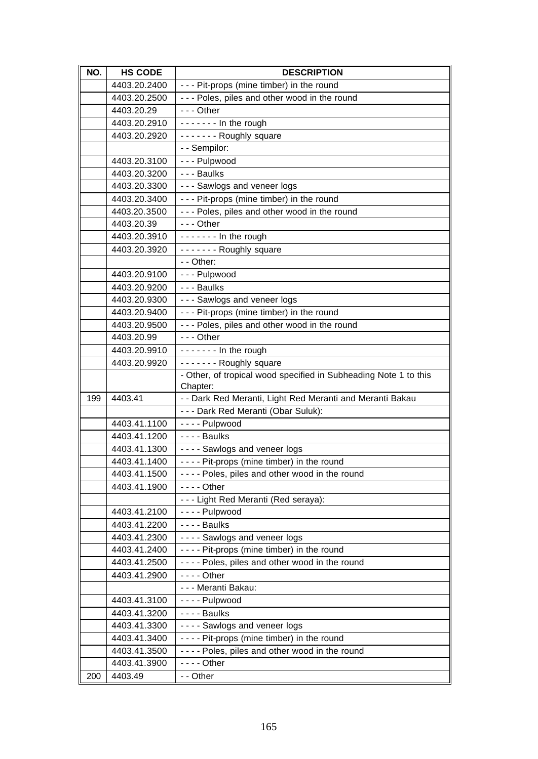| NO. | <b>HS CODE</b> | <b>DESCRIPTION</b>                                                                                                                                                                                                                                                                                                                                                                                                                                                                    |
|-----|----------------|---------------------------------------------------------------------------------------------------------------------------------------------------------------------------------------------------------------------------------------------------------------------------------------------------------------------------------------------------------------------------------------------------------------------------------------------------------------------------------------|
|     | 4403.20.2400   | --- Pit-props (mine timber) in the round                                                                                                                                                                                                                                                                                                                                                                                                                                              |
|     | 4403.20.2500   | - - - Poles, piles and other wood in the round                                                                                                                                                                                                                                                                                                                                                                                                                                        |
|     | 4403.20.29     | --- Other                                                                                                                                                                                                                                                                                                                                                                                                                                                                             |
|     | 4403.20.2910   | $\overline{\cdots}$ $\cdots$ In the rough                                                                                                                                                                                                                                                                                                                                                                                                                                             |
|     | 4403.20.2920   | ------- Roughly square                                                                                                                                                                                                                                                                                                                                                                                                                                                                |
|     |                | - - Sempilor:                                                                                                                                                                                                                                                                                                                                                                                                                                                                         |
|     | 4403.20.3100   | --- Pulpwood                                                                                                                                                                                                                                                                                                                                                                                                                                                                          |
|     | 4403.20.3200   | - - - Baulks                                                                                                                                                                                                                                                                                                                                                                                                                                                                          |
|     | 4403.20.3300   | --- Sawlogs and veneer logs                                                                                                                                                                                                                                                                                                                                                                                                                                                           |
|     | 4403.20.3400   | --- Pit-props (mine timber) in the round                                                                                                                                                                                                                                                                                                                                                                                                                                              |
|     | 4403.20.3500   | - - - Poles, piles and other wood in the round                                                                                                                                                                                                                                                                                                                                                                                                                                        |
|     | 4403.20.39     | $- -$ Other                                                                                                                                                                                                                                                                                                                                                                                                                                                                           |
|     | 4403.20.3910   | $\overline{\cdot}$ $\overline{\cdot}$ $\overline{\cdot}$ $\overline{\cdot}$ $\overline{\cdot}$ $\overline{\cdot}$ $\overline{\cdot}$ $\overline{\cdot}$ $\overline{\cdot}$ $\overline{\cdot}$ $\overline{\cdot}$ $\overline{\cdot}$ $\overline{\cdot}$ $\overline{\cdot}$ $\overline{\cdot}$ $\overline{\cdot}$ $\overline{\cdot}$ $\overline{\cdot}$ $\overline{\cdot}$ $\overline{\cdot}$ $\overline{\cdot}$ $\overline{\cdot}$ $\overline{\cdot}$ $\overline{\cdot}$ $\overline{\$ |
|     | 4403.20.3920   | ------- Roughly square                                                                                                                                                                                                                                                                                                                                                                                                                                                                |
|     |                | - - Other:                                                                                                                                                                                                                                                                                                                                                                                                                                                                            |
|     | 4403.20.9100   | - - - Pulpwood                                                                                                                                                                                                                                                                                                                                                                                                                                                                        |
|     | 4403.20.9200   | - - - Baulks                                                                                                                                                                                                                                                                                                                                                                                                                                                                          |
|     | 4403.20.9300   | --- Sawlogs and veneer logs                                                                                                                                                                                                                                                                                                                                                                                                                                                           |
|     | 4403.20.9400   | --- Pit-props (mine timber) in the round                                                                                                                                                                                                                                                                                                                                                                                                                                              |
|     | 4403.20.9500   | - - - Poles, piles and other wood in the round                                                                                                                                                                                                                                                                                                                                                                                                                                        |
|     | 4403.20.99     | --- Other                                                                                                                                                                                                                                                                                                                                                                                                                                                                             |
|     | 4403.20.9910   | ------- In the rough                                                                                                                                                                                                                                                                                                                                                                                                                                                                  |
|     | 4403.20.9920   | ------- Roughly square                                                                                                                                                                                                                                                                                                                                                                                                                                                                |
|     |                | - Other, of tropical wood specified in Subheading Note 1 to this                                                                                                                                                                                                                                                                                                                                                                                                                      |
| 199 | 4403.41        | Chapter:<br>- - Dark Red Meranti, Light Red Meranti and Meranti Bakau                                                                                                                                                                                                                                                                                                                                                                                                                 |
|     |                | - - - Dark Red Meranti (Obar Suluk):                                                                                                                                                                                                                                                                                                                                                                                                                                                  |
|     | 4403.41.1100   | - - - - Pulpwood                                                                                                                                                                                                                                                                                                                                                                                                                                                                      |
|     | 4403.41.1200   | $--$ Baulks                                                                                                                                                                                                                                                                                                                                                                                                                                                                           |
|     | 4403.41.1300   | ---- Sawlogs and veneer logs                                                                                                                                                                                                                                                                                                                                                                                                                                                          |
|     | 4403.41.1400   | ---- Pit-props (mine timber) in the round                                                                                                                                                                                                                                                                                                                                                                                                                                             |
|     | 4403.41.1500   | ---- Poles, piles and other wood in the round                                                                                                                                                                                                                                                                                                                                                                                                                                         |
|     | 4403.41.1900   | - - - - Other                                                                                                                                                                                                                                                                                                                                                                                                                                                                         |
|     |                | --- Light Red Meranti (Red seraya):                                                                                                                                                                                                                                                                                                                                                                                                                                                   |
|     | 4403.41.2100   | - - - - Pulpwood                                                                                                                                                                                                                                                                                                                                                                                                                                                                      |
|     | 4403.41.2200   | $--$ Baulks                                                                                                                                                                                                                                                                                                                                                                                                                                                                           |
|     | 4403.41.2300   | ---- Sawlogs and veneer logs                                                                                                                                                                                                                                                                                                                                                                                                                                                          |
|     | 4403.41.2400   | ---- Pit-props (mine timber) in the round                                                                                                                                                                                                                                                                                                                                                                                                                                             |
|     | 4403.41.2500   | - - - - Poles, piles and other wood in the round                                                                                                                                                                                                                                                                                                                                                                                                                                      |
|     | 4403.41.2900   | $--$ Other                                                                                                                                                                                                                                                                                                                                                                                                                                                                            |
|     |                | - - - Meranti Bakau:                                                                                                                                                                                                                                                                                                                                                                                                                                                                  |
|     | 4403.41.3100   | - - - - Pulpwood                                                                                                                                                                                                                                                                                                                                                                                                                                                                      |
|     | 4403.41.3200   | $--$ Baulks                                                                                                                                                                                                                                                                                                                                                                                                                                                                           |
|     | 4403.41.3300   | ---- Sawlogs and veneer logs                                                                                                                                                                                                                                                                                                                                                                                                                                                          |
|     | 4403.41.3400   | ---- Pit-props (mine timber) in the round                                                                                                                                                                                                                                                                                                                                                                                                                                             |
|     | 4403.41.3500   | ---- Poles, piles and other wood in the round                                                                                                                                                                                                                                                                                                                                                                                                                                         |
|     | 4403.41.3900   | $--$ Other                                                                                                                                                                                                                                                                                                                                                                                                                                                                            |
| 200 | 4403.49        | - - Other                                                                                                                                                                                                                                                                                                                                                                                                                                                                             |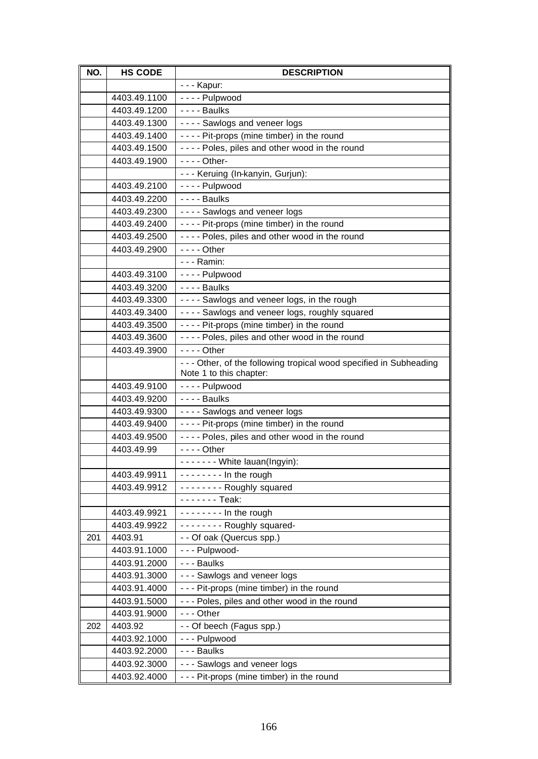| NO. | <b>HS CODE</b> | <b>DESCRIPTION</b>                                                                             |
|-----|----------------|------------------------------------------------------------------------------------------------|
|     |                | - - - Kapur:                                                                                   |
|     | 4403.49.1100   | $\overline{-}$ - - - Pulpwood                                                                  |
|     | 4403.49.1200   | - - - - Baulks                                                                                 |
|     | 4403.49.1300   | ---- Sawlogs and veneer logs                                                                   |
|     | 4403.49.1400   | ---- Pit-props (mine timber) in the round                                                      |
|     | 4403.49.1500   | ---- Poles, piles and other wood in the round                                                  |
|     | 4403.49.1900   | - - - - Other-                                                                                 |
|     |                | --- Keruing (In-kanyin, Gurjun):                                                               |
|     | 4403.49.2100   | - - - - Pulpwood                                                                               |
|     | 4403.49.2200   | $--$ Baulks                                                                                    |
|     | 4403.49.2300   | ---- Sawlogs and veneer logs                                                                   |
|     | 4403.49.2400   | ---- Pit-props (mine timber) in the round                                                      |
|     | 4403.49.2500   | ---- Poles, piles and other wood in the round                                                  |
|     | 4403.49.2900   | $--$ Other                                                                                     |
|     |                | - - - Ramin:                                                                                   |
|     | 4403.49.3100   | - - - - Pulpwood                                                                               |
|     | 4403.49.3200   | - - - - Baulks                                                                                 |
|     | 4403.49.3300   | ---- Sawlogs and veneer logs, in the rough                                                     |
|     | 4403.49.3400   | ---- Sawlogs and veneer logs, roughly squared                                                  |
|     | 4403.49.3500   | ---- Pit-props (mine timber) in the round                                                      |
|     | 4403.49.3600   | ---- Poles, piles and other wood in the round                                                  |
|     | 4403.49.3900   | $--$ Other                                                                                     |
|     |                | - - - Other, of the following tropical wood specified in Subheading<br>Note 1 to this chapter: |
|     | 4403.49.9100   | - - - - Pulpwood                                                                               |
|     | 4403.49.9200   | $--$ Baulks                                                                                    |
|     | 4403.49.9300   | ---- Sawlogs and veneer logs                                                                   |
|     | 4403.49.9400   | ---- Pit-props (mine timber) in the round                                                      |
|     | 4403.49.9500   | ---- Poles, piles and other wood in the round                                                  |
|     | 4403.49.99     | $--$ Other                                                                                     |
|     |                | ------- White lauan(Ingyin):                                                                   |
|     | 4403.49.9911   | $-----$ In the rough                                                                           |
|     | 4403.49.9912   | -------- Roughly squared                                                                       |
|     |                | - - - - - - Teak:                                                                              |
|     | 4403.49.9921   | $-----$ In the rough                                                                           |
|     | 4403.49.9922   | -------- Roughly squared-                                                                      |
| 201 | 4403.91        | - - Of oak (Quercus spp.)                                                                      |
|     | 4403.91.1000   | - - - Pulpwood-                                                                                |
|     | 4403.91.2000   | - - - Baulks                                                                                   |
|     | 4403.91.3000   | - - - Sawlogs and veneer logs                                                                  |
|     | 4403.91.4000   | --- Pit-props (mine timber) in the round                                                       |
|     | 4403.91.5000   | - - - Poles, piles and other wood in the round                                                 |
|     | 4403.91.9000   | $--$ Other                                                                                     |
| 202 | 4403.92        | - - Of beech (Fagus spp.)                                                                      |
|     | 4403.92.1000   | --- Pulpwood                                                                                   |
|     | 4403.92.2000   | --- Baulks                                                                                     |
|     | 4403.92.3000   | - - - Sawlogs and veneer logs                                                                  |
|     | 4403.92.4000   | --- Pit-props (mine timber) in the round                                                       |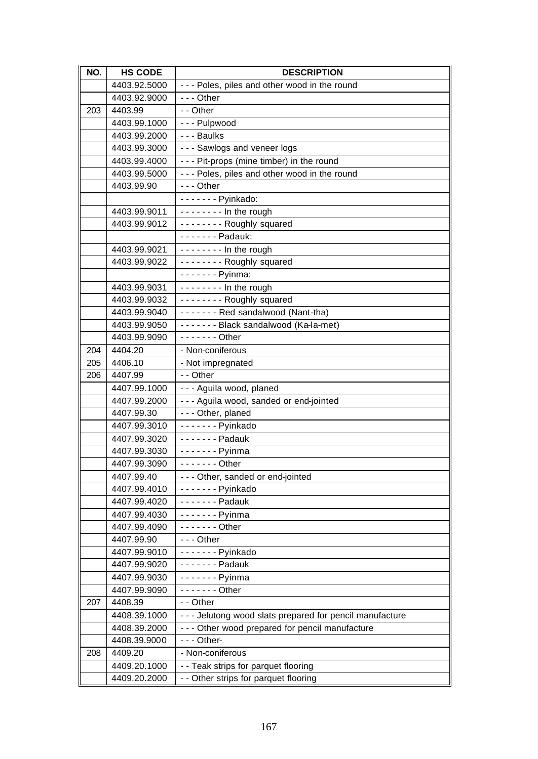| NO. | <b>HS CODE</b>               | <b>DESCRIPTION</b>                                        |
|-----|------------------------------|-----------------------------------------------------------|
|     | 4403.92.5000                 | - - - Poles, piles and other wood in the round            |
|     | 4403.92.9000                 | $- -$ Other                                               |
| 203 | 4403.99                      | - - Other                                                 |
|     | 4403.99.1000                 | --- Pulpwood                                              |
|     | 4403.99.2000                 | --- Baulks                                                |
|     | 4403.99.3000                 | - - - Sawlogs and veneer logs                             |
|     | 4403.99.4000                 | --- Pit-props (mine timber) in the round                  |
|     | 4403.99.5000                 | --- Poles, piles and other wood in the round              |
|     | 4403.99.90                   | $--$ Other                                                |
|     |                              | - - - - - - - Pyinkado:                                   |
|     | 4403.99.9011                 | $--- - -$ In the rough                                    |
|     | 4403.99.9012                 | -------- Roughly squared                                  |
|     |                              | - - - - - - - Padauk:                                     |
|     | 4403.99.9021                 | $-----$ In the rough                                      |
|     | 4403.99.9022                 | -------- Roughly squared                                  |
|     |                              | - - - - - - - Pyinma:                                     |
|     | 4403.99.9031                 | $--- - -$ In the rough                                    |
|     | 4403.99.9032                 | -------- Roughly squared                                  |
|     | 4403.99.9040                 | ------- Red sandalwood (Nant-tha)                         |
|     | 4403.99.9050                 | ------- Black sandalwood (Ka-la-met)                      |
|     | 4403.99.9090                 | - - - - - - - Other                                       |
| 204 | 4404.20                      | - Non-coniferous                                          |
| 205 | 4406.10                      | - Not impregnated                                         |
| 206 | 4407.99                      | - - Other                                                 |
|     | 4407.99.1000                 | - - - Aguila wood, planed                                 |
|     | 4407.99.2000                 | --- Aguila wood, sanded or end-jointed                    |
|     | 4407.99.30                   | - - - Other, planed                                       |
|     | 4407.99.3010                 | - - - - - - - Pyinkado                                    |
|     | 4407.99.3020                 | - - - - - - - Padauk                                      |
|     | 4407.99.3030                 | $----$ Pyinma                                             |
|     | 4407.99.3090                 | $\frac{1}{1}$ Other                                       |
|     | 4407.99.40                   | --- Other, sanded or end-jointed                          |
|     | 4407.99.4010                 | - - - - - - - Pyinkado                                    |
|     | 4407.99.4020                 | - - - - - - - Padauk                                      |
|     | 4407.99.4030                 | $----$ Pyinma                                             |
|     | 4407.99.4090                 | $- - - - - -$ Other                                       |
|     | 4407.99.90                   | --- Other                                                 |
|     | 4407.99.9010<br>4407.99.9020 | - - - - - - - Pyinkado<br>- - - - - - - Padauk            |
|     |                              |                                                           |
|     | 4407.99.9030                 | - - - - - - - Pyinma                                      |
| 207 | 4407.99.9090<br>4408.39      | $---$ Other<br>- - Other                                  |
|     | 4408.39.1000                 | - - - Jelutong wood slats prepared for pencil manufacture |
|     | 4408.39.2000                 | - - - Other wood prepared for pencil manufacture          |
|     | 4408.39.9000                 | $- -$ Other-                                              |
| 208 | 4409.20                      | - Non-coniferous                                          |
|     | 4409.20.1000                 | - - Teak strips for parquet flooring                      |
|     | 4409.20.2000                 | - - Other strips for parquet flooring                     |
|     |                              |                                                           |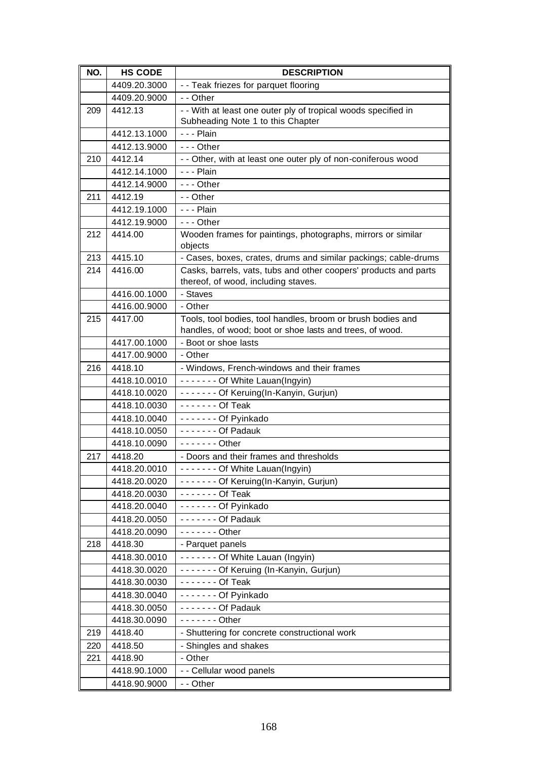| NO. | <b>HS CODE</b>               | <b>DESCRIPTION</b>                                                                                      |
|-----|------------------------------|---------------------------------------------------------------------------------------------------------|
|     | 4409.20.3000                 | - - Teak friezes for parquet flooring                                                                   |
|     | 4409.20.9000                 | - - Other                                                                                               |
| 209 | 4412.13                      | - - With at least one outer ply of tropical woods specified in                                          |
|     |                              | Subheading Note 1 to this Chapter                                                                       |
|     | 4412.13.1000                 | $- -$ Plain                                                                                             |
|     | 4412.13.9000                 | $--$ Other                                                                                              |
| 210 | 4412.14                      | - - Other, with at least one outer ply of non-coniferous wood                                           |
|     | 4412.14.1000                 | $- -$ Plain                                                                                             |
|     | 4412.14.9000                 | $- -$ Other                                                                                             |
| 211 | 4412.19                      | - - Other                                                                                               |
|     | 4412.19.1000                 | $- -$ Plain                                                                                             |
|     | 4412.19.9000                 | $- -$ Other                                                                                             |
| 212 | 4414.00                      | Wooden frames for paintings, photographs, mirrors or similar<br>objects                                 |
| 213 | 4415.10                      | - Cases, boxes, crates, drums and similar packings; cable-drums                                         |
| 214 | 4416.00                      | Casks, barrels, vats, tubs and other coopers' products and parts<br>thereof, of wood, including staves. |
|     | 4416.00.1000                 | - Staves                                                                                                |
|     | 4416.00.9000                 | - Other                                                                                                 |
| 215 | 4417.00                      | Tools, tool bodies, tool handles, broom or brush bodies and                                             |
|     |                              | handles, of wood; boot or shoe lasts and trees, of wood.                                                |
|     | 4417.00.1000                 | - Boot or shoe lasts                                                                                    |
|     | 4417.00.9000                 | - Other                                                                                                 |
| 216 | 4418.10                      | - Windows, French-windows and their frames                                                              |
|     | 4418.10.0010                 | ------- Of White Lauan(Ingyin)                                                                          |
|     | 4418.10.0020                 | ------- Of Keruing(In-Kanyin, Gurjun)                                                                   |
|     | 4418.10.0030                 | - - - - - - - Of Teak                                                                                   |
|     | 4418.10.0040<br>4418.10.0050 | - - - - - - - Of Pyinkado<br>- - - - - - - Of Padauk                                                    |
|     | 4418.10.0090                 | $- - - - - -$ Other                                                                                     |
| 217 | 4418.20                      | - Doors and their frames and thresholds                                                                 |
|     | 4418.20.0010                 | ------- Of White Lauan(Ingyin)                                                                          |
|     | 4418.20.0020                 | ------- Of Keruing(In-Kanyin, Gurjun)                                                                   |
|     | 4418.20.0030                 | - - - - - - - Of Teak                                                                                   |
|     | 4418.20.0040                 | - - - - - - - Of Pyinkado                                                                               |
|     | 4418.20.0050                 | - - - - - - - Of Padauk                                                                                 |
|     | 4418.20.0090                 | $---$ Other                                                                                             |
| 218 | 4418.30                      | - Parquet panels                                                                                        |
|     | 4418.30.0010                 | ------- Of White Lauan (Ingyin)                                                                         |
|     | 4418.30.0020                 | ------- Of Keruing (In-Kanyin, Gurjun)                                                                  |
|     | 4418.30.0030                 | - - - - - - - Of Teak                                                                                   |
|     | 4418.30.0040                 | ------- Of Pyinkado                                                                                     |
|     | 4418.30.0050                 | - - - - - - - Of Padauk                                                                                 |
|     | 4418.30.0090                 | $- - - - - -$ Other                                                                                     |
| 219 | 4418.40                      | - Shuttering for concrete constructional work                                                           |
| 220 | 4418.50                      | - Shingles and shakes                                                                                   |
| 221 | 4418.90                      | - Other                                                                                                 |
|     | 4418.90.1000                 | - - Cellular wood panels                                                                                |
|     | 4418.90.9000                 | - - Other                                                                                               |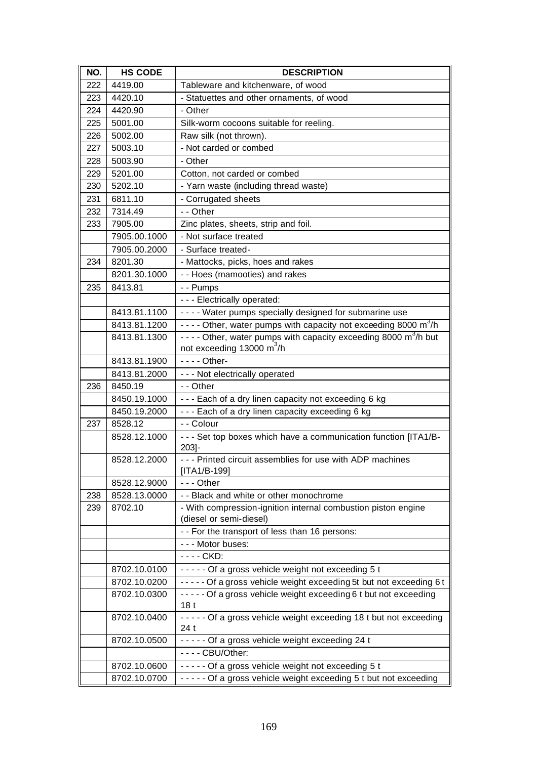| NO. | <b>HS CODE</b> | <b>DESCRIPTION</b>                                                                       |
|-----|----------------|------------------------------------------------------------------------------------------|
| 222 | 4419.00        | Tableware and kitchenware, of wood                                                       |
| 223 | 4420.10        | - Statuettes and other ornaments, of wood                                                |
| 224 | 4420.90        | - Other                                                                                  |
| 225 | 5001.00        | Silk-worm cocoons suitable for reeling.                                                  |
| 226 | 5002.00        | Raw silk (not thrown).                                                                   |
| 227 | 5003.10        | - Not carded or combed                                                                   |
| 228 | 5003.90        | - Other                                                                                  |
| 229 | 5201.00        | Cotton, not carded or combed                                                             |
| 230 | 5202.10        | - Yarn waste (including thread waste)                                                    |
| 231 | 6811.10        | - Corrugated sheets                                                                      |
| 232 | 7314.49        | - - Other                                                                                |
| 233 | 7905.00        | Zinc plates, sheets, strip and foil.                                                     |
|     | 7905.00.1000   | - Not surface treated                                                                    |
|     | 7905.00.2000   | - Surface treated-                                                                       |
| 234 | 8201.30        | - Mattocks, picks, hoes and rakes                                                        |
|     | 8201.30.1000   | - - Hoes (mamooties) and rakes                                                           |
| 235 | 8413.81        | - - Pumps                                                                                |
|     |                | - - - Electrically operated:                                                             |
|     | 8413.81.1100   | - - - - Water pumps specially designed for submarine use                                 |
|     | 8413.81.1200   | - - - - Other, water pumps with capacity not exceeding 8000 m <sup>3</sup> /h            |
|     | 8413.81.1300   | - - - - Other, water pumps with capacity exceeding 8000 m <sup>3</sup> /h but            |
|     |                | not exceeding 13000 m <sup>3</sup> /h                                                    |
|     | 8413.81.1900   | $- - -$ Other-                                                                           |
|     | 8413.81.2000   | - - - Not electrically operated                                                          |
| 236 | 8450.19        | - - Other                                                                                |
|     | 8450.19.1000   | --- Each of a dry linen capacity not exceeding 6 kg                                      |
|     | 8450.19.2000   | --- Each of a dry linen capacity exceeding 6 kg                                          |
| 237 | 8528.12        | - - Colour                                                                               |
|     | 8528.12.1000   | - - - Set top boxes which have a communication function [ITA1/B-<br>$203 -$              |
|     | 8528.12.2000   | - - - Printed circuit assemblies for use with ADP machines<br>$[ITA1/B-199]$             |
|     | 8528.12.9000   | --- Other                                                                                |
| 238 | 8528.13.0000   | - - Black and white or other monochrome                                                  |
| 239 | 8702.10        | - With compression-ignition internal combustion piston engine<br>(diesel or semi-diesel) |
|     |                | - - For the transport of less than 16 persons:                                           |
|     |                | - - - Motor buses:                                                                       |
|     |                | - - - - CKD:                                                                             |
|     | 8702.10.0100   | ----- Of a gross vehicle weight not exceeding 5 t                                        |
|     | 8702.10.0200   | ----- Of a gross vehicle weight exceeding 5t but not exceeding 6 t                       |
|     | 8702.10.0300   | ----- Of a gross vehicle weight exceeding 6 t but not exceeding                          |
|     |                | 18 <sub>t</sub>                                                                          |
|     | 8702.10.0400   | - - - - - Of a gross vehicle weight exceeding 18 t but not exceeding<br>24 t             |
|     | 8702.10.0500   | ----- Of a gross vehicle weight exceeding 24 t                                           |
|     |                | - - - - CBU/Other:                                                                       |
|     | 8702.10.0600   | ----- Of a gross vehicle weight not exceeding 5 t                                        |
|     | 8702.10.0700   | ----- Of a gross vehicle weight exceeding 5 t but not exceeding                          |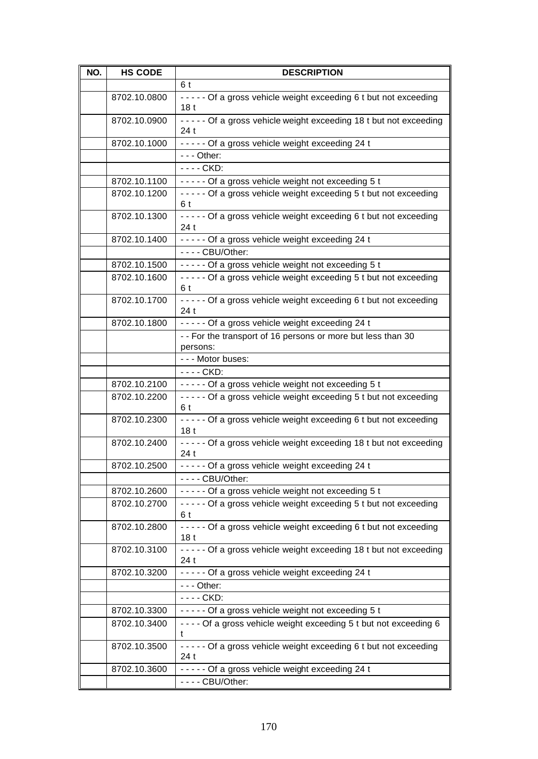| NO. | <b>HS CODE</b> | <b>DESCRIPTION</b>                                                                 |
|-----|----------------|------------------------------------------------------------------------------------|
|     |                | 6t                                                                                 |
|     | 8702.10.0800   | ----- Of a gross vehicle weight exceeding 6 t but not exceeding<br>18 <sub>t</sub> |
|     | 8702.10.0900   | ----- Of a gross vehicle weight exceeding 18 t but not exceeding<br>24 t           |
|     | 8702.10.1000   | ----- Of a gross vehicle weight exceeding 24 t                                     |
|     |                | $--$ Other:                                                                        |
|     |                | - - - - CKD:                                                                       |
|     | 8702.10.1100   | ----- Of a gross vehicle weight not exceeding 5 t                                  |
|     | 8702.10.1200   | ----- Of a gross vehicle weight exceeding 5 t but not exceeding<br>6 t             |
|     | 8702.10.1300   | ----- Of a gross vehicle weight exceeding 6 t but not exceeding<br>24 t            |
|     | 8702.10.1400   | ----- Of a gross vehicle weight exceeding 24 t                                     |
|     |                | - - - - CBU/Other:                                                                 |
|     | 8702.10.1500   | ----- Of a gross vehicle weight not exceeding 5 t                                  |
|     | 8702.10.1600   | ----- Of a gross vehicle weight exceeding 5 t but not exceeding<br>6 t             |
|     | 8702.10.1700   | ----- Of a gross vehicle weight exceeding 6 t but not exceeding<br>24t             |
|     | 8702.10.1800   | ----- Of a gross vehicle weight exceeding 24 t                                     |
|     |                | - - For the transport of 16 persons or more but less than 30<br>persons:           |
|     |                | --- Motor buses:                                                                   |
|     |                | - - - - CKD:                                                                       |
|     | 8702.10.2100   | ----- Of a gross vehicle weight not exceeding 5 t                                  |
|     | 8702.10.2200   | ----- Of a gross vehicle weight exceeding 5 t but not exceeding<br>6 t             |
|     | 8702.10.2300   | ----- Of a gross vehicle weight exceeding 6 t but not exceeding<br>18 <sub>t</sub> |
|     | 8702.10.2400   | ----- Of a gross vehicle weight exceeding 18 t but not exceeding<br>24 t           |
|     | 8702.10.2500   | ----- Of a gross vehicle weight exceeding 24 t                                     |
|     |                | $--$ CBU/Other:                                                                    |
|     | 8702.10.2600   | ----- Of a gross vehicle weight not exceeding 5 t                                  |
|     | 8702.10.2700   | ----- Of a gross vehicle weight exceeding 5 t but not exceeding<br>6 t             |
|     | 8702.10.2800   | ----- Of a gross vehicle weight exceeding 6 t but not exceeding<br>18 t            |
|     | 8702.10.3100   | ----- Of a gross vehicle weight exceeding 18 t but not exceeding<br>24 t           |
|     | 8702.10.3200   | ----- Of a gross vehicle weight exceeding 24 t                                     |
|     |                | $- -$ - Other:                                                                     |
|     |                | - - - - CKD:                                                                       |
|     | 8702.10.3300   | ----- Of a gross vehicle weight not exceeding 5 t                                  |
|     | 8702.10.3400   | ---- Of a gross vehicle weight exceeding 5 t but not exceeding 6<br>t              |
|     | 8702.10.3500   | ----- Of a gross vehicle weight exceeding 6 t but not exceeding<br>24 t            |
|     | 8702.10.3600   | ----- Of a gross vehicle weight exceeding 24 t                                     |
|     |                | - - - - CBU/Other:                                                                 |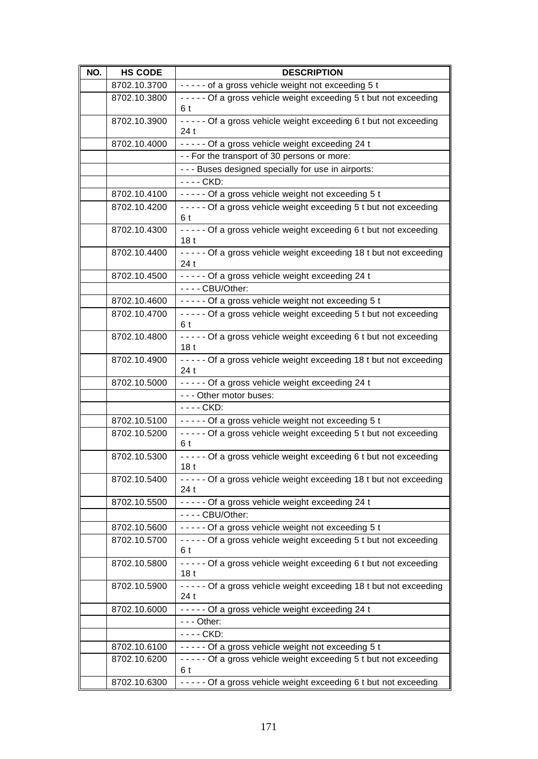| NO. | <b>HS CODE</b> | <b>DESCRIPTION</b>                                                                     |
|-----|----------------|----------------------------------------------------------------------------------------|
|     | 8702.10.3700   | ----- of a gross vehicle weight not exceeding 5 t                                      |
|     | 8702.10.3800   | ----- Of a gross vehicle weight exceeding 5 t but not exceeding<br>6 t                 |
|     | 8702.10.3900   | ----- Of a gross vehicle weight exceeding 6 t but not exceeding<br>24 t                |
|     | 8702.10.4000   | ----- Of a gross vehicle weight exceeding 24 t                                         |
|     |                | - - For the transport of 30 persons or more:                                           |
|     |                | - - - Buses designed specially for use in airports:                                    |
|     |                | - - - - CKD:                                                                           |
|     | 8702.10.4100   | ----- Of a gross vehicle weight not exceeding 5 t                                      |
|     | 8702.10.4200   | ----- Of a gross vehicle weight exceeding 5 t but not exceeding<br>6 t                 |
|     | 8702.10.4300   | - - - - - Of a gross vehicle weight exceeding 6 t but not exceeding<br>18 <sub>t</sub> |
|     | 8702.10.4400   | ----- Of a gross vehicle weight exceeding 18 t but not exceeding<br>24t                |
|     | 8702.10.4500   | ----- Of a gross vehicle weight exceeding 24 t                                         |
|     |                | - - - - CBU/Other:                                                                     |
|     | 8702.10.4600   | ----- Of a gross vehicle weight not exceeding 5 t                                      |
|     | 8702.10.4700   | ----- Of a gross vehicle weight exceeding 5 t but not exceeding<br>6 t                 |
|     | 8702.10.4800   | - - - - - Of a gross vehicle weight exceeding 6 t but not exceeding<br>18 t            |
|     | 8702.10.4900   | ----- Of a gross vehicle weight exceeding 18 t but not exceeding<br>24 t               |
|     | 8702.10.5000   | ----- Of a gross vehicle weight exceeding 24 t                                         |
|     |                | - - - Other motor buses:                                                               |
|     |                | - - - - CKD:                                                                           |
|     | 8702.10.5100   | ----- Of a gross vehicle weight not exceeding 5 t                                      |
|     | 8702.10.5200   | ----- Of a gross vehicle weight exceeding 5 t but not exceeding<br>6 t                 |
|     | 8702.10.5300   | ----- Of a gross vehicle weight exceeding 6 t but not exceeding<br>18 t                |
|     | 8702.10.5400   | ----- Of a gross vehicle weight exceeding 18 t but not exceeding<br>24 t               |
|     | 8702.10.5500   | ----- Of a gross vehicle weight exceeding 24 t                                         |
|     |                | - - - - CBU/Other:                                                                     |
|     | 8702.10.5600   | ----- Of a gross vehicle weight not exceeding 5 t                                      |
|     | 8702.10.5700   | ----- Of a gross vehicle weight exceeding 5 t but not exceeding<br>6 t                 |
|     | 8702.10.5800   | - - - Of a gross vehicle weight exceeding 6 t but not exceeding<br>18 <sub>t</sub>     |
|     | 8702.10.5900   | ----- Of a gross vehicle weight exceeding 18 t but not exceeding<br>24 t               |
|     | 8702.10.6000   | ----- Of a gross vehicle weight exceeding 24 t                                         |
|     |                | $- -$ - Other:                                                                         |
|     |                | - - - - CKD:                                                                           |
|     | 8702.10.6100   | ----- Of a gross vehicle weight not exceeding 5 t                                      |
|     | 8702.10.6200   | ----- Of a gross vehicle weight exceeding 5 t but not exceeding<br>6 t                 |
|     | 8702.10.6300   | ----- Of a gross vehicle weight exceeding 6 t but not exceeding                        |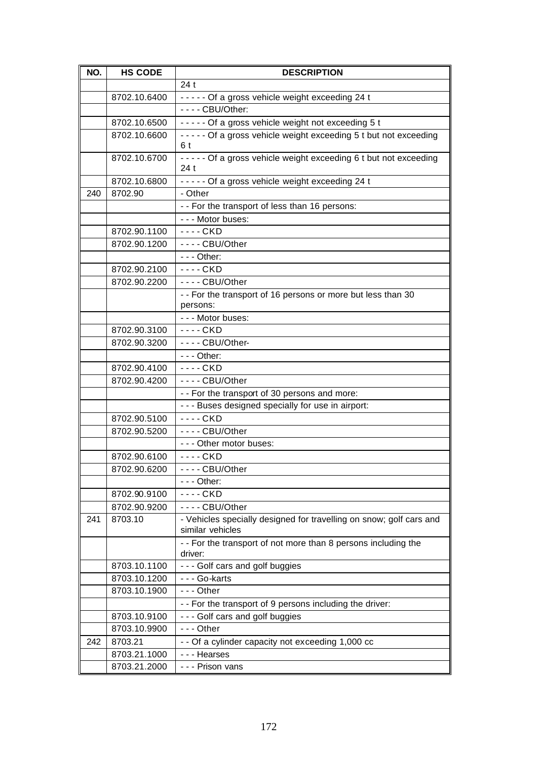| NO. | <b>HS CODE</b>               | <b>DESCRIPTION</b>                                                                      |
|-----|------------------------------|-----------------------------------------------------------------------------------------|
|     |                              | 24t                                                                                     |
|     | 8702.10.6400                 | ----- Of a gross vehicle weight exceeding 24 t                                          |
|     |                              | - - - - CBU/Other:                                                                      |
|     | 8702.10.6500                 | ----- Of a gross vehicle weight not exceeding 5 t                                       |
|     | 8702.10.6600                 | ----- Of a gross vehicle weight exceeding 5 t but not exceeding                         |
|     |                              | 6 t                                                                                     |
|     | 8702.10.6700                 | ----- Of a gross vehicle weight exceeding 6 t but not exceeding<br>24t                  |
|     | 8702.10.6800                 | ----- Of a gross vehicle weight exceeding 24 t                                          |
| 240 | 8702.90                      | - Other                                                                                 |
|     |                              | - - For the transport of less than 16 persons:                                          |
|     |                              | - - - Motor buses:                                                                      |
|     | 8702.90.1100                 | $--$ CKD                                                                                |
|     | 8702.90.1200                 | $--$ CBU/Other                                                                          |
|     |                              | $--$ Other:                                                                             |
|     | 8702.90.2100                 | $--$ CKD                                                                                |
|     | 8702.90.2200                 | ---- CBU/Other                                                                          |
|     |                              | - - For the transport of 16 persons or more but less than 30<br>persons:                |
|     |                              | - - - Motor buses:                                                                      |
|     | 8702.90.3100                 | - - - - CKD                                                                             |
|     | 8702.90.3200                 | - - - - CBU/Other-                                                                      |
|     |                              | $--$ Other:                                                                             |
|     | 8702.90.4100                 | - - - - CKD                                                                             |
|     | 8702.90.4200                 | $--$ CBU/Other                                                                          |
|     |                              | - - For the transport of 30 persons and more:                                           |
|     |                              | - - - Buses designed specially for use in airport:                                      |
|     | 8702.90.5100                 | ---- CKD                                                                                |
|     | 8702.90.5200                 | ---- CBU/Other                                                                          |
|     |                              | - - - Other motor buses:                                                                |
|     | 8702.90.6100                 | ---- CKD                                                                                |
|     | 8702.90.6200                 | -- CBU/Other                                                                            |
|     |                              | $- -$ Other:                                                                            |
|     | 8702.90.9100                 | $--$ CKD                                                                                |
|     | 8702.90.9200                 | ---- CBU/Other                                                                          |
| 241 | 8703.10                      | - Vehicles specially designed for travelling on snow; golf cars and<br>similar vehicles |
|     |                              | -- For the transport of not more than 8 persons including the                           |
|     |                              | driver:                                                                                 |
|     | 8703.10.1100                 | - - - Golf cars and golf buggies                                                        |
|     | 8703.10.1200                 | - - - Go-karts                                                                          |
|     | 8703.10.1900                 | - - - Other                                                                             |
|     |                              | - - For the transport of 9 persons including the driver:                                |
|     | 8703.10.9100                 | --- Golf cars and golf buggies                                                          |
|     | 8703.10.9900<br>8703.21      | --- Other                                                                               |
| 242 |                              | - - Of a cylinder capacity not exceeding 1,000 cc                                       |
|     | 8703.21.1000<br>8703.21.2000 | - - - Hearses<br>- - - Prison vans                                                      |
|     |                              |                                                                                         |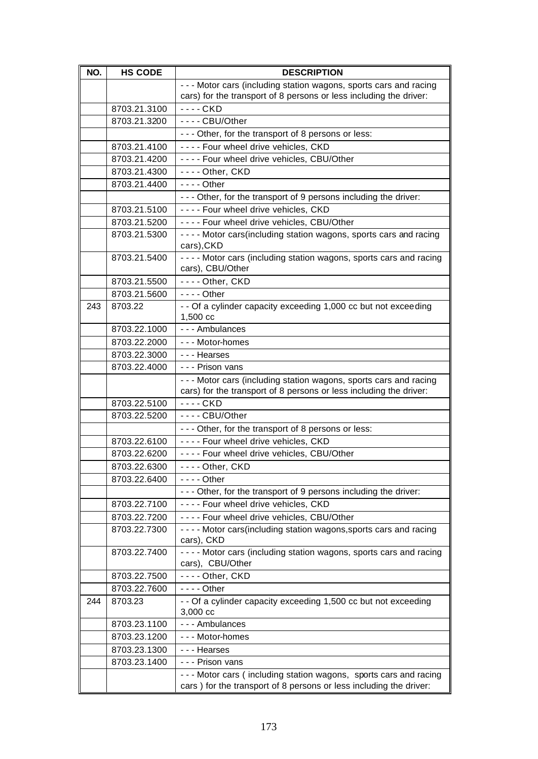| NO. | <b>HS CODE</b> | <b>DESCRIPTION</b>                                                                                                                       |
|-----|----------------|------------------------------------------------------------------------------------------------------------------------------------------|
|     |                | - - - Motor cars (including station wagons, sports cars and racing<br>cars) for the transport of 8 persons or less including the driver: |
|     | 8703.21.3100   | - - - - CKD                                                                                                                              |
|     | 8703.21.3200   | ---- CBU/Other                                                                                                                           |
|     |                | - - - Other, for the transport of 8 persons or less:                                                                                     |
|     | 8703.21.4100   | ---- Four wheel drive vehicles, CKD                                                                                                      |
|     | 8703.21.4200   | ---- Four wheel drive vehicles, CBU/Other                                                                                                |
|     | 8703.21.4300   | ---- Other, CKD                                                                                                                          |
|     | 8703.21.4400   | $--$ Other                                                                                                                               |
|     |                | - - - Other, for the transport of 9 persons including the driver:                                                                        |
|     | 8703.21.5100   | ---- Four wheel drive vehicles, CKD                                                                                                      |
|     | 8703.21.5200   | ---- Four wheel drive vehicles, CBU/Other                                                                                                |
|     | 8703.21.5300   | - - - - Motor cars(including station wagons, sports cars and racing<br>cars), CKD                                                        |
|     | 8703.21.5400   | - - - - Motor cars (including station wagons, sports cars and racing<br>cars), CBU/Other                                                 |
|     | 8703.21.5500   | ---- Other, CKD                                                                                                                          |
|     | 8703.21.5600   | $--$ Other                                                                                                                               |
| 243 | 8703.22        | - - Of a cylinder capacity exceeding 1,000 cc but not exceeding<br>1,500 cc                                                              |
|     | 8703.22.1000   | - - - Ambulances                                                                                                                         |
|     | 8703.22.2000   | --- Motor-homes                                                                                                                          |
|     | 8703.22.3000   | - - - Hearses                                                                                                                            |
|     | 8703.22.4000   | - - - Prison vans                                                                                                                        |
|     |                | - - - Motor cars (including station wagons, sports cars and racing                                                                       |
|     |                | cars) for the transport of 8 persons or less including the driver:                                                                       |
|     | 8703.22.5100   | $--CKD$                                                                                                                                  |
|     | 8703.22.5200   | $- - -$ CBU/Other                                                                                                                        |
|     |                | - - - Other, for the transport of 8 persons or less:                                                                                     |
|     | 8703.22.6100   | ---- Four wheel drive vehicles, CKD                                                                                                      |
|     | 8703.22.6200   | ---- Four wheel drive vehicles, CBU/Other                                                                                                |
|     | 8703.22.6300   | ---- Other, CKD                                                                                                                          |
|     | 8703.22.6400   | $--$ - Other                                                                                                                             |
|     |                | - - - Other, for the transport of 9 persons including the driver:                                                                        |
|     | 8703.22.7100   | ---- Four wheel drive vehicles, CKD                                                                                                      |
|     | 8703.22.7200   | ---- Four wheel drive vehicles, CBU/Other                                                                                                |
|     | 8703.22.7300   | - - - - Motor cars(including station wagons, sports cars and racing<br>cars), CKD                                                        |
|     | 8703.22.7400   | - - - - Motor cars (including station wagons, sports cars and racing<br>cars), CBU/Other                                                 |
|     | 8703.22.7500   | ---- Other, CKD                                                                                                                          |
|     | 8703.22.7600   | - - - - Other                                                                                                                            |
| 244 | 8703.23        | - - Of a cylinder capacity exceeding 1,500 cc but not exceeding                                                                          |
|     |                | $3,000 \ncc$                                                                                                                             |
|     | 8703.23.1100   | - - - Ambulances                                                                                                                         |
|     | 8703.23.1200   | --- Motor-homes                                                                                                                          |
|     | 8703.23.1300   | --- Hearses                                                                                                                              |
|     | 8703.23.1400   | - - - Prison vans                                                                                                                        |
|     |                | --- Motor cars (including station wagons, sports cars and racing<br>cars) for the transport of 8 persons or less including the driver:   |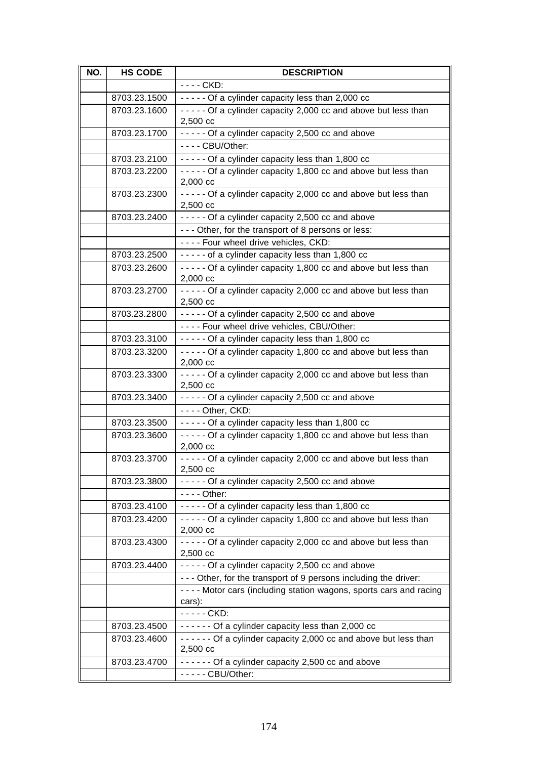| NO. | <b>HS CODE</b> | <b>DESCRIPTION</b>                                                              |
|-----|----------------|---------------------------------------------------------------------------------|
|     |                | $\overline{\cdot}$ - $\overline{\cdot}$ CKD:                                    |
|     | 8703.23.1500   | $---$ Of a cylinder capacity less than 2,000 cc                                 |
|     | 8703.23.1600   | ----- Of a cylinder capacity 2,000 cc and above but less than                   |
|     |                | $2,500 \ncc$                                                                    |
|     | 8703.23.1700   | - - - - - Of a cylinder capacity 2,500 cc and above                             |
|     |                | - - - - CBU/Other:                                                              |
|     | 8703.23.2100   | ----- Of a cylinder capacity less than 1,800 cc                                 |
|     | 8703.23.2200   | - - - - - Of a cylinder capacity 1,800 cc and above but less than               |
|     |                | $2,000 \text{ cc}$                                                              |
|     | 8703.23.2300   | - - - - - Of a cylinder capacity 2,000 cc and above but less than               |
|     |                | 2,500 cc                                                                        |
|     | 8703.23.2400   | - - - - - Of a cylinder capacity 2,500 cc and above                             |
|     |                | - - - Other, for the transport of 8 persons or less:                            |
|     |                | ---- Four wheel drive vehicles, CKD:                                            |
|     | 8703.23.2500   | ----- of a cylinder capacity less than 1,800 cc                                 |
|     | 8703.23.2600   | - - - - - Of a cylinder capacity 1,800 cc and above but less than               |
|     | 8703.23.2700   | $2,000$ cc<br>- - - - - Of a cylinder capacity 2,000 cc and above but less than |
|     |                | 2,500 cc                                                                        |
|     | 8703.23.2800   | ----- Of a cylinder capacity 2,500 cc and above                                 |
|     |                | ---- Four wheel drive vehicles, CBU/Other:                                      |
|     | 8703.23.3100   | ----- Of a cylinder capacity less than 1,800 cc                                 |
|     | 8703.23.3200   | ----- Of a cylinder capacity 1,800 cc and above but less than                   |
|     |                | 2,000 cc                                                                        |
|     | 8703.23.3300   | - - - - - Of a cylinder capacity 2,000 cc and above but less than               |
|     |                | 2,500 cc                                                                        |
|     | 8703.23.3400   | - - - - - Of a cylinder capacity 2,500 cc and above                             |
|     |                | - - - - Other, CKD:                                                             |
|     | 8703.23.3500   | ----- Of a cylinder capacity less than 1,800 cc                                 |
|     | 8703.23.3600   | - - - - - Of a cylinder capacity 1,800 cc and above but less than               |
|     |                | 2,000 cc                                                                        |
|     | 8703.23.3700   | - - - - - Of a cylinder capacity 2,000 cc and above but less than               |
|     | 8703.23.3800   | 2,500 cc<br>----- Of a cylinder capacity 2,500 cc and above                     |
|     |                | $--$ Other:                                                                     |
|     | 8703.23.4100   | ----- Of a cylinder capacity less than 1,800 cc                                 |
|     | 8703.23.4200   | - - - - - Of a cylinder capacity 1,800 cc and above but less than               |
|     |                | 2,000 cc                                                                        |
|     | 8703.23.4300   | - - - - - Of a cylinder capacity 2,000 cc and above but less than               |
|     |                | 2,500 cc                                                                        |
|     | 8703.23.4400   | ----- Of a cylinder capacity 2,500 cc and above                                 |
|     |                | - - - Other, for the transport of 9 persons including the driver:               |
|     |                | - - - - Motor cars (including station wagons, sports cars and racing            |
|     |                | cars):                                                                          |
|     |                | - - - - - CKD:                                                                  |
|     | 8703.23.4500   | $---$ Of a cylinder capacity less than 2,000 cc                                 |
|     | 8703.23.4600   | ------ Of a cylinder capacity 2,000 cc and above but less than                  |
|     |                | 2,500 cc                                                                        |
|     | 8703.23.4700   | ------ Of a cylinder capacity 2,500 cc and above                                |
|     |                | - - - - - CBU/Other:                                                            |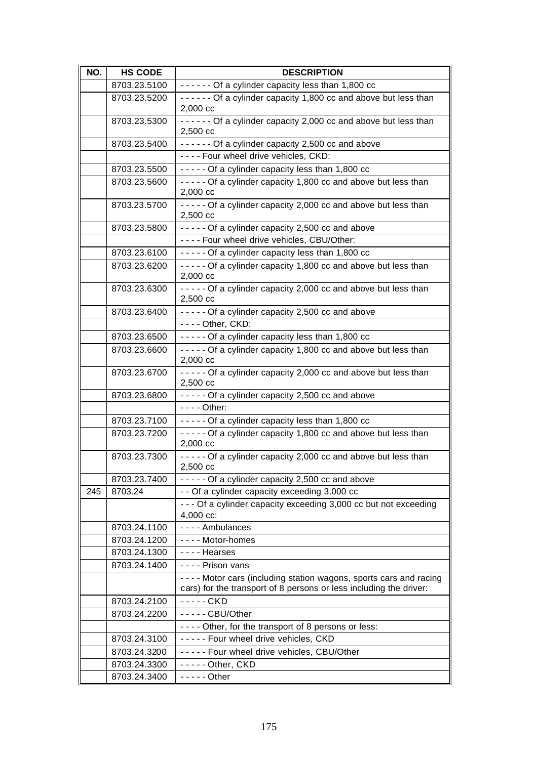| NO. | <b>HS CODE</b> | <b>DESCRIPTION</b>                                                                                                                         |
|-----|----------------|--------------------------------------------------------------------------------------------------------------------------------------------|
|     | 8703.23.5100   | ------ Of a cylinder capacity less than 1,800 cc                                                                                           |
|     | 8703.23.5200   | ------ Of a cylinder capacity 1,800 cc and above but less than<br>2,000 cc                                                                 |
|     | 8703.23.5300   | ------ Of a cylinder capacity 2,000 cc and above but less than<br>2,500 cc                                                                 |
|     | 8703.23.5400   | ------ Of a cylinder capacity 2,500 cc and above                                                                                           |
|     |                | ---- Four wheel drive vehicles, CKD:                                                                                                       |
|     | 8703.23.5500   | ----- Of a cylinder capacity less than 1,800 cc                                                                                            |
|     | 8703.23.5600   | ----- Of a cylinder capacity 1,800 cc and above but less than<br>2,000 cc                                                                  |
|     | 8703.23.5700   | - - - - - Of a cylinder capacity 2,000 cc and above but less than<br>2,500 cc                                                              |
|     | 8703.23.5800   | - - - - - Of a cylinder capacity 2,500 cc and above                                                                                        |
|     |                | ---- Four wheel drive vehicles, CBU/Other:                                                                                                 |
|     | 8703.23.6100   | ----- Of a cylinder capacity less than 1,800 cc                                                                                            |
|     | 8703.23.6200   | ----- Of a cylinder capacity 1,800 cc and above but less than<br>2,000 cc                                                                  |
|     | 8703.23.6300   | - - - - - Of a cylinder capacity 2,000 cc and above but less than<br>2,500 cc                                                              |
|     | 8703.23.6400   | ----- Of a cylinder capacity 2,500 cc and above                                                                                            |
|     |                | - - - - Other, CKD:                                                                                                                        |
|     | 8703.23.6500   | ----- Of a cylinder capacity less than 1,800 cc                                                                                            |
|     | 8703.23.6600   | - - - - - Of a cylinder capacity 1,800 cc and above but less than<br>2,000 cc                                                              |
|     | 8703.23.6700   | - - - - - Of a cylinder capacity 2,000 cc and above but less than<br>2,500 cc                                                              |
|     | 8703.23.6800   | - - - - - Of a cylinder capacity 2,500 cc and above                                                                                        |
|     |                | $- - -$ Other:                                                                                                                             |
|     | 8703.23.7100   | ----- Of a cylinder capacity less than 1,800 cc                                                                                            |
|     | 8703.23.7200   | ----- Of a cylinder capacity 1,800 cc and above but less than<br>2,000 cc                                                                  |
|     | 8703.23.7300   | ----- Of a cylinder capacity 2,000 cc and above but less than<br>$2,500 \text{ cc}$                                                        |
|     | 8703.23.7400   | ----- Of a cylinder capacity 2,500 cc and above                                                                                            |
| 245 | 8703.24        | - - Of a cylinder capacity exceeding 3,000 cc                                                                                              |
|     |                | - - - Of a cylinder capacity exceeding 3,000 cc but not exceeding<br>4,000 cc:                                                             |
|     | 8703.24.1100   | - - - - Ambulances                                                                                                                         |
|     | 8703.24.1200   | ---- Motor-homes                                                                                                                           |
|     | 8703.24.1300   | - - - - Hearses                                                                                                                            |
|     | 8703.24.1400   | - - - - Prison vans                                                                                                                        |
|     |                | - - - - Motor cars (including station wagons, sports cars and racing<br>cars) for the transport of 8 persons or less including the driver: |
|     | 8703.24.2100   | - - - - - CKD                                                                                                                              |
|     | 8703.24.2200   | - - - - - CBU/Other                                                                                                                        |
|     |                | - - - - Other, for the transport of 8 persons or less:                                                                                     |
|     | 8703.24.3100   | ----- Four wheel drive vehicles, CKD                                                                                                       |
|     | 8703.24.3200   | ----- Four wheel drive vehicles, CBU/Other                                                                                                 |
|     | 8703.24.3300   | - - - - - Other, CKD                                                                                                                       |
|     | 8703.24.3400   | $---$ Other                                                                                                                                |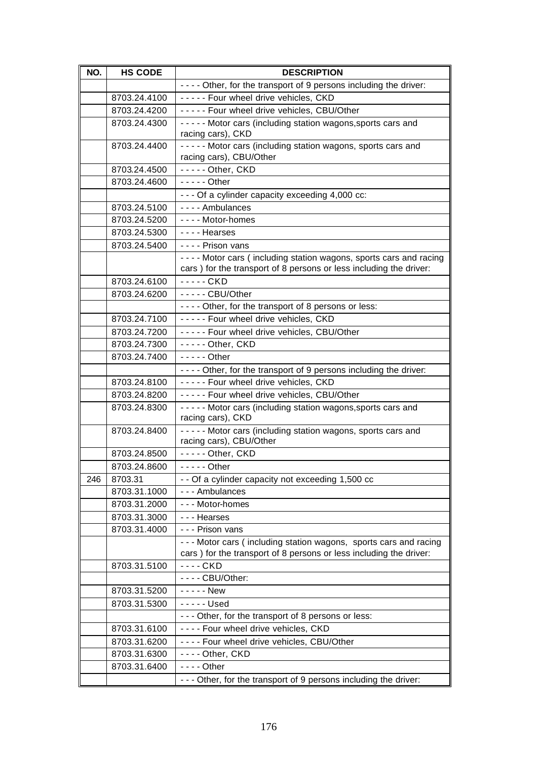| NO. | <b>HS CODE</b> | <b>DESCRIPTION</b>                                                                                                                     |
|-----|----------------|----------------------------------------------------------------------------------------------------------------------------------------|
|     |                | - - - - Other, for the transport of 9 persons including the driver:                                                                    |
|     | 8703.24.4100   | ----- Four wheel drive vehicles, CKD                                                                                                   |
|     | 8703.24.4200   | ----- Four wheel drive vehicles, CBU/Other                                                                                             |
|     | 8703.24.4300   | ----- Motor cars (including station wagons, sports cars and                                                                            |
|     |                | racing cars), CKD                                                                                                                      |
|     | 8703.24.4400   | - - - - - Motor cars (including station wagons, sports cars and                                                                        |
|     |                | racing cars), CBU/Other                                                                                                                |
|     | 8703.24.4500   | - - - - - Other, CKD                                                                                                                   |
|     | 8703.24.4600   | $---$ Other                                                                                                                            |
|     |                | --- Of a cylinder capacity exceeding 4,000 cc:                                                                                         |
|     | 8703.24.5100   | - - - - Ambulances                                                                                                                     |
|     | 8703.24.5200   | - - - - Motor-homes                                                                                                                    |
|     | 8703.24.5300   | ---- Hearses                                                                                                                           |
|     | 8703.24.5400   | - - - - Prison vans                                                                                                                    |
|     |                | - - - - Motor cars (including station wagons, sports cars and racing                                                                   |
|     |                | cars) for the transport of 8 persons or less including the driver:                                                                     |
|     | 8703.24.6100   | ----- CKD                                                                                                                              |
|     | 8703.24.6200   | - - - - - CBU/Other                                                                                                                    |
|     |                | - - - - Other, for the transport of 8 persons or less:                                                                                 |
|     | 8703.24.7100   | ----- Four wheel drive vehicles, CKD                                                                                                   |
|     | 8703.24.7200   | ----- Four wheel drive vehicles, CBU/Other                                                                                             |
|     | 8703.24.7300   | $--$ - Other, CKD                                                                                                                      |
|     | 8703.24.7400   | $---$ Other                                                                                                                            |
|     |                | - - - - Other, for the transport of 9 persons including the driver:                                                                    |
|     | 8703.24.8100   | ----- Four wheel drive vehicles, CKD                                                                                                   |
|     | 8703.24.8200   | ----- Four wheel drive vehicles, CBU/Other                                                                                             |
|     | 8703.24.8300   | - - - - - Motor cars (including station wagons, sports cars and                                                                        |
|     |                | racing cars), CKD                                                                                                                      |
|     | 8703.24.8400   | - - - - - Motor cars (including station wagons, sports cars and                                                                        |
|     |                | racing cars), CBU/Other                                                                                                                |
|     | 8703.24.8500   | - - - - - Other, CKD                                                                                                                   |
|     | 8703.24.8600   | $---$ Other                                                                                                                            |
| 246 | 8703.31        | - - Of a cylinder capacity not exceeding 1,500 cc                                                                                      |
|     | 8703.31.1000   | - - - Ambulances                                                                                                                       |
|     | 8703.31.2000   | - - - Motor-homes                                                                                                                      |
|     | 8703.31.3000   | - - - Hearses                                                                                                                          |
|     | 8703.31.4000   | - - - Prison vans                                                                                                                      |
|     |                | --- Motor cars (including station wagons, sports cars and racing<br>cars) for the transport of 8 persons or less including the driver: |
|     | 8703.31.5100   | $--$ CKD                                                                                                                               |
|     |                | - - - - CBU/Other:                                                                                                                     |
|     | 8703.31.5200   | - - - - - New                                                                                                                          |
|     | 8703.31.5300   | $--$ Used                                                                                                                              |
|     |                | - - - Other, for the transport of 8 persons or less:                                                                                   |
|     | 8703.31.6100   | ---- Four wheel drive vehicles, CKD                                                                                                    |
|     | 8703.31.6200   | ---- Four wheel drive vehicles, CBU/Other                                                                                              |
|     | 8703.31.6300   | ---- Other, CKD                                                                                                                        |
|     | 8703.31.6400   | $--$ Other                                                                                                                             |
|     |                | - - - Other, for the transport of 9 persons including the driver:                                                                      |
|     |                |                                                                                                                                        |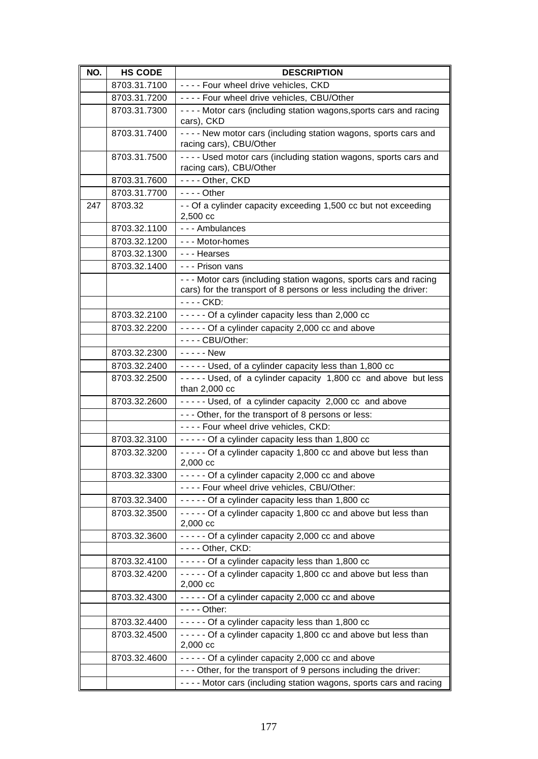| NO. | <b>HS CODE</b> | <b>DESCRIPTION</b>                                                                                                                       |
|-----|----------------|------------------------------------------------------------------------------------------------------------------------------------------|
|     | 8703.31.7100   | ---- Four wheel drive vehicles, CKD                                                                                                      |
|     | 8703.31.7200   | ---- Four wheel drive vehicles, CBU/Other                                                                                                |
|     | 8703.31.7300   | - - - - Motor cars (including station wagons, sports cars and racing                                                                     |
|     |                | cars), CKD                                                                                                                               |
|     | 8703.31.7400   | ---- New motor cars (including station wagons, sports cars and<br>racing cars), CBU/Other                                                |
|     | 8703.31.7500   | - - - - Used motor cars (including station wagons, sports cars and<br>racing cars), CBU/Other                                            |
|     | 8703.31.7600   | ---- Other, CKD                                                                                                                          |
|     | 8703.31.7700   | - - - - Other                                                                                                                            |
| 247 | 8703.32        | - - Of a cylinder capacity exceeding 1,500 cc but not exceeding                                                                          |
|     |                | 2,500 cc                                                                                                                                 |
|     | 8703.32.1100   | --- Ambulances                                                                                                                           |
|     | 8703.32.1200   | --- Motor-homes                                                                                                                          |
|     | 8703.32.1300   | - - - Hearses                                                                                                                            |
|     | 8703.32.1400   | - - - Prison vans                                                                                                                        |
|     |                | - - - Motor cars (including station wagons, sports cars and racing<br>cars) for the transport of 8 persons or less including the driver: |
|     |                | - - - - CKD:                                                                                                                             |
|     | 8703.32.2100   | ----- Of a cylinder capacity less than 2,000 cc                                                                                          |
|     | 8703.32.2200   | - - - - - Of a cylinder capacity 2,000 cc and above                                                                                      |
|     |                | - - - - CBU/Other:                                                                                                                       |
|     | 8703.32.2300   | $---New$                                                                                                                                 |
|     | 8703.32.2400   | ----- Used, of a cylinder capacity less than 1,800 cc                                                                                    |
|     | 8703.32.2500   | ----- Used, of a cylinder capacity 1,800 cc and above but less                                                                           |
|     |                | than $2,000$ cc                                                                                                                          |
|     | 8703.32.2600   | ----- Used, of a cylinder capacity 2,000 cc and above<br>--- Other, for the transport of 8 persons or less:                              |
|     |                | ---- Four wheel drive vehicles, CKD:                                                                                                     |
|     | 8703.32.3100   | ----- Of a cylinder capacity less than 1,800 cc                                                                                          |
|     | 8703.32.3200   | ----- Of a cylinder capacity 1,800 cc and above but less than                                                                            |
|     |                | 2,000 cc                                                                                                                                 |
|     | 8703.32.3300   | - - - - - Of a cylinder capacity 2,000 cc and above                                                                                      |
|     |                | ---- Four wheel drive vehicles, CBU/Other:                                                                                               |
|     | 8703.32.3400   | ----- Of a cylinder capacity less than 1,800 cc                                                                                          |
|     | 8703.32.3500   | - - - - - Of a cylinder capacity 1,800 cc and above but less than<br>2,000 cc                                                            |
|     | 8703.32.3600   | ----- Of a cylinder capacity 2,000 cc and above                                                                                          |
|     |                | $--$ Other, CKD:                                                                                                                         |
|     | 8703.32.4100   | ----- Of a cylinder capacity less than 1,800 cc                                                                                          |
|     | 8703.32.4200   | - - - - - Of a cylinder capacity 1,800 cc and above but less than<br>2,000 cc                                                            |
|     | 8703.32.4300   | - - - - - Of a cylinder capacity 2,000 cc and above                                                                                      |
|     |                | - - - - Other:                                                                                                                           |
|     | 8703.32.4400   | ----- Of a cylinder capacity less than 1,800 cc                                                                                          |
|     | 8703.32.4500   | - - - - - Of a cylinder capacity 1,800 cc and above but less than                                                                        |
|     |                | $2,000 \text{ cc}$                                                                                                                       |
|     | 8703.32.4600   | - - - - - Of a cylinder capacity 2,000 cc and above                                                                                      |
|     |                | - - - Other, for the transport of 9 persons including the driver:                                                                        |
|     |                | - - - - Motor cars (including station wagons, sports cars and racing                                                                     |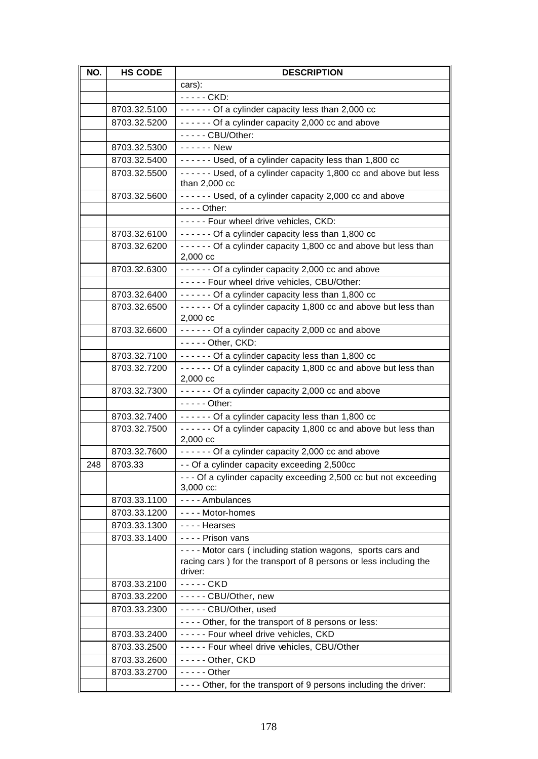| NO. | <b>HS CODE</b> | <b>DESCRIPTION</b>                                                                   |
|-----|----------------|--------------------------------------------------------------------------------------|
|     |                | cars):                                                                               |
|     |                | $- - -$ CKD:                                                                         |
|     | 8703.32.5100   | ------ Of a cylinder capacity less than 2,000 cc                                     |
|     | 8703.32.5200   | ------ Of a cylinder capacity 2,000 cc and above                                     |
|     |                | - - - - - CBU/Other:                                                                 |
|     | 8703.32.5300   | ------ New                                                                           |
|     | 8703.32.5400   | ------ Used, of a cylinder capacity less than 1,800 cc                               |
|     | 8703.32.5500   | ------ Used, of a cylinder capacity 1,800 cc and above but less<br>than $2,000$ cc   |
|     | 8703.32.5600   | ------ Used, of a cylinder capacity 2,000 cc and above                               |
|     |                | - - - - Other:                                                                       |
|     |                | ----- Four wheel drive vehicles, CKD:                                                |
|     | 8703.32.6100   | ------ Of a cylinder capacity less than 1,800 cc                                     |
|     | 8703.32.6200   | ------ Of a cylinder capacity 1,800 cc and above but less than<br>$2,000 \text{ cc}$ |
|     | 8703.32.6300   | - - - - - - Of a cylinder capacity 2,000 cc and above                                |
|     |                | ----- Four wheel drive vehicles, CBU/Other:                                          |
|     | 8703.32.6400   | ------ Of a cylinder capacity less than 1,800 cc                                     |
|     | 8703.32.6500   | ------ Of a cylinder capacity 1,800 cc and above but less than                       |
|     |                | 2,000 cc                                                                             |
|     | 8703.32.6600   | ------ Of a cylinder capacity 2,000 cc and above                                     |
|     |                | - - - - - Other, CKD:                                                                |
|     | 8703.32.7100   | ------ Of a cylinder capacity less than 1,800 cc                                     |
|     | 8703.32.7200   | ------ Of a cylinder capacity 1,800 cc and above but less than                       |
|     |                | 2,000 cc                                                                             |
|     | 8703.32.7300   | ------ Of a cylinder capacity 2,000 cc and above                                     |
|     |                | $-- -$ Other:                                                                        |
|     | 8703.32.7400   | ------ Of a cylinder capacity less than 1,800 cc                                     |
|     | 8703.32.7500   | ------ Of a cylinder capacity 1,800 cc and above but less than<br>$2,000 \text{ cc}$ |
|     | 8703.32.7600   | ------ Of a cylinder capacity 2,000 cc and above                                     |
| 248 | 8703.33        | - - Of a cylinder capacity exceeding 2,500cc                                         |
|     |                | - - - Of a cylinder capacity exceeding 2,500 cc but not exceeding                    |
|     |                | 3,000 cc:                                                                            |
|     | 8703.33.1100   | ---- Ambulances                                                                      |
|     | 8703.33.1200   | ---- Motor-homes                                                                     |
|     | 8703.33.1300   | - - - - Hearses                                                                      |
|     | 8703.33.1400   | - - - - Prison vans                                                                  |
|     |                | - - - - Motor cars (including station wagons, sports cars and                        |
|     |                | racing cars) for the transport of 8 persons or less including the<br>driver:         |
|     | 8703.33.2100   | - - - - - CKD                                                                        |
|     | 8703.33.2200   | ----- CBU/Other, new                                                                 |
|     | 8703.33.2300   | ----- CBU/Other, used                                                                |
|     |                | - - - - Other, for the transport of 8 persons or less:                               |
|     | 8703.33.2400   | ----- Four wheel drive vehicles, CKD                                                 |
|     | 8703.33.2500   | ----- Four wheel drive vehicles, CBU/Other                                           |
|     | 8703.33.2600   | - - - - - Other, CKD                                                                 |
|     | 8703.33.2700   | $---$ Other                                                                          |
|     |                | - - - - Other, for the transport of 9 persons including the driver:                  |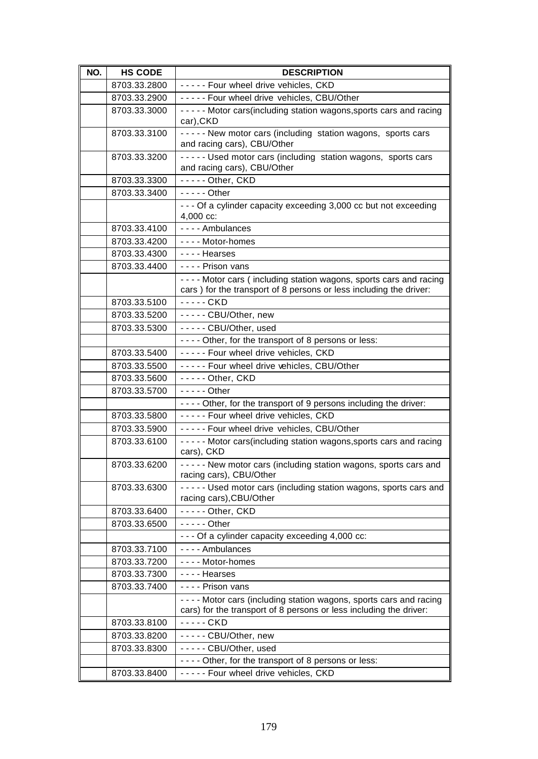| NO. | <b>HS CODE</b> | <b>DESCRIPTION</b>                                                                                                                         |
|-----|----------------|--------------------------------------------------------------------------------------------------------------------------------------------|
|     | 8703.33.2800   | ----- Four wheel drive vehicles, CKD                                                                                                       |
|     | 8703.33.2900   | ----- Four wheel drive vehicles, CBU/Other                                                                                                 |
|     | 8703.33.3000   | - - - - - Motor cars(including station wagons, sports cars and racing<br>car), CKD                                                         |
|     | 8703.33.3100   | ----- New motor cars (including station wagons, sports cars<br>and racing cars), CBU/Other                                                 |
|     | 8703.33.3200   | ----- Used motor cars (including station wagons, sports cars<br>and racing cars), CBU/Other                                                |
|     | 8703.33.3300   | - - - - - Other, CKD                                                                                                                       |
|     | 8703.33.3400   | $---$ Other                                                                                                                                |
|     |                | - - - Of a cylinder capacity exceeding 3,000 cc but not exceeding<br>4,000 cc:                                                             |
|     | 8703.33.4100   | - - - - Ambulances                                                                                                                         |
|     | 8703.33.4200   | ---- Motor-homes                                                                                                                           |
|     | 8703.33.4300   | - - - - Hearses                                                                                                                            |
|     | 8703.33.4400   | - - - - Prison vans                                                                                                                        |
|     |                | ---- Motor cars (including station wagons, sports cars and racing<br>cars) for the transport of 8 persons or less including the driver:    |
|     | 8703.33.5100   | $---CKD$                                                                                                                                   |
|     | 8703.33.5200   | ----- CBU/Other, new                                                                                                                       |
|     | 8703.33.5300   | ----- CBU/Other, used                                                                                                                      |
|     |                | - - - - Other, for the transport of 8 persons or less:                                                                                     |
|     | 8703.33.5400   | ----- Four wheel drive vehicles, CKD                                                                                                       |
|     | 8703.33.5500   | ----- Four wheel drive vehicles, CBU/Other                                                                                                 |
|     | 8703.33.5600   | - - - - - Other, CKD                                                                                                                       |
|     | 8703.33.5700   | $---$ Other                                                                                                                                |
|     |                | - - - - Other, for the transport of 9 persons including the driver:                                                                        |
|     | 8703.33.5800   | ----- Four wheel drive vehicles, CKD                                                                                                       |
|     | 8703.33.5900   | ----- Four wheel drive vehicles, CBU/Other                                                                                                 |
|     | 8703.33.6100   | ----- Motor cars(including station wagons, sports cars and racing<br>cars), CKD                                                            |
|     | 8703.33.6200   | - - - - - New motor cars (including station wagons, sports cars and<br>racing cars), CBU/Other                                             |
|     | 8703.33.6300   | - - - - - Used motor cars (including station wagons, sports cars and<br>racing cars), CBU/Other                                            |
|     | 8703.33.6400   | - - - - - Other, CKD                                                                                                                       |
|     | 8703.33.6500   | $--$ - - - Other                                                                                                                           |
|     |                | - - - Of a cylinder capacity exceeding 4,000 cc:                                                                                           |
|     | 8703.33.7100   | - - - - Ambulances                                                                                                                         |
|     | 8703.33.7200   | ---- Motor-homes                                                                                                                           |
|     | 8703.33.7300   | - - - - Hearses                                                                                                                            |
|     | 8703.33.7400   | - - - - Prison vans                                                                                                                        |
|     |                | - - - - Motor cars (including station wagons, sports cars and racing<br>cars) for the transport of 8 persons or less including the driver: |
|     | 8703.33.8100   | ----- CKD                                                                                                                                  |
|     | 8703.33.8200   | ----- CBU/Other, new                                                                                                                       |
|     | 8703.33.8300   | - - - - - CBU/Other, used                                                                                                                  |
|     |                | - - - - Other, for the transport of 8 persons or less:                                                                                     |
|     | 8703.33.8400   | ----- Four wheel drive vehicles, CKD                                                                                                       |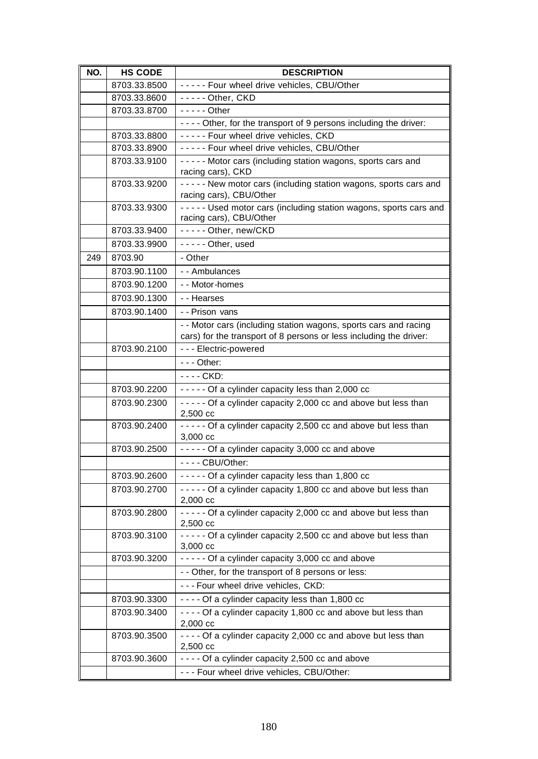| NO. | <b>HS CODE</b> | <b>DESCRIPTION</b>                                                                              |
|-----|----------------|-------------------------------------------------------------------------------------------------|
|     | 8703.33.8500   | ----- Four wheel drive vehicles, CBU/Other                                                      |
|     | 8703.33.8600   | - - - - - Other, CKD                                                                            |
|     | 8703.33.8700   | $---$ Other                                                                                     |
|     |                | - - - - Other, for the transport of 9 persons including the driver:                             |
|     | 8703.33.8800   | ----- Four wheel drive vehicles, CKD                                                            |
|     | 8703.33.8900   | ----- Four wheel drive vehicles, CBU/Other                                                      |
|     | 8703.33.9100   | ----- Motor cars (including station wagons, sports cars and                                     |
|     |                | racing cars), CKD                                                                               |
|     | 8703.33.9200   | - - - - - New motor cars (including station wagons, sports cars and                             |
|     |                | racing cars), CBU/Other                                                                         |
|     | 8703.33.9300   | - - - - - Used motor cars (including station wagons, sports cars and<br>racing cars), CBU/Other |
|     | 8703.33.9400   | ----- Other, new/CKD                                                                            |
|     | 8703.33.9900   | - - - - - Other, used                                                                           |
| 249 | 8703.90        | - Other                                                                                         |
|     | 8703.90.1100   | --Ambulances                                                                                    |
|     | 8703.90.1200   | - - Motor-homes                                                                                 |
|     | 8703.90.1300   | - - Hearses                                                                                     |
|     | 8703.90.1400   | - - Prison vans                                                                                 |
|     |                | - - Motor cars (including station wagons, sports cars and racing                                |
|     |                | cars) for the transport of 8 persons or less including the driver:                              |
|     | 8703.90.2100   | --- Electric-powered                                                                            |
|     |                | $--$ Other:                                                                                     |
|     |                | - - - - CKD:                                                                                    |
|     | 8703.90.2200   | ----- Of a cylinder capacity less than 2,000 cc                                                 |
|     | 8703.90.2300   | - - - - - Of a cylinder capacity 2,000 cc and above but less than                               |
|     |                | 2,500 cc                                                                                        |
|     | 8703.90.2400   | - - - - - Of a cylinder capacity 2,500 cc and above but less than                               |
|     |                | 3,000 cc                                                                                        |
|     | 8703.90.2500   | - - - - - Of a cylinder capacity 3,000 cc and above                                             |
|     |                | - - - - CBU/Other:                                                                              |
|     | 8703.90.2600   | ----- Of a cylinder capacity less than 1,800 cc                                                 |
|     | 8703.90.2700   | - - - - - Of a cylinder capacity 1,800 cc and above but less than<br>$2,000 \text{ cc}$         |
|     | 8703.90.2800   | - - - - - Of a cylinder capacity 2,000 cc and above but less than                               |
|     |                | 2,500 cc                                                                                        |
|     | 8703.90.3100   | - - - - - Of a cylinder capacity 2,500 cc and above but less than<br>3,000 cc                   |
|     | 8703.90.3200   | ----- Of a cylinder capacity 3,000 cc and above                                                 |
|     |                | - - Other, for the transport of 8 persons or less:                                              |
|     |                | --- Four wheel drive vehicles, CKD:                                                             |
|     | 8703.90.3300   | - - - - Of a cylinder capacity less than 1,800 cc                                               |
|     | 8703.90.3400   | - - - - Of a cylinder capacity 1,800 cc and above but less than                                 |
|     |                | $2,000$ cc                                                                                      |
|     | 8703.90.3500   | - - - - Of a cylinder capacity 2,000 cc and above but less than                                 |
|     |                | 2,500 cc                                                                                        |
|     | 8703.90.3600   | - - - - Of a cylinder capacity 2,500 cc and above                                               |
|     |                | --- Four wheel drive vehicles, CBU/Other:                                                       |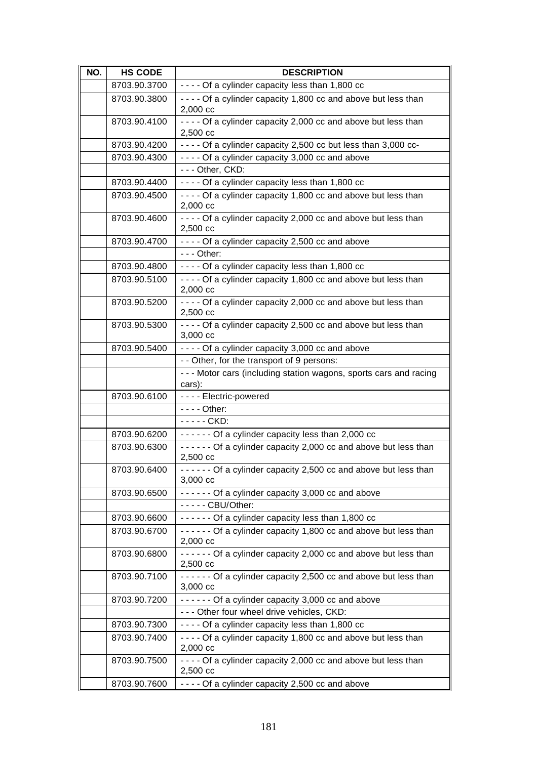| NO. | <b>HS CODE</b> | <b>DESCRIPTION</b>                                                                   |
|-----|----------------|--------------------------------------------------------------------------------------|
|     | 8703.90.3700   | - - - - Of a cylinder capacity less than 1,800 cc                                    |
|     | 8703.90.3800   | - - - - Of a cylinder capacity 1,800 cc and above but less than<br>$2,000$ cc        |
|     | 8703.90.4100   | - - - - Of a cylinder capacity 2,000 cc and above but less than<br>2,500 cc          |
|     | 8703.90.4200   | - - - - Of a cylinder capacity 2,500 cc but less than 3,000 cc-                      |
|     | 8703.90.4300   | - - - - Of a cylinder capacity 3,000 cc and above                                    |
|     |                | --- Other, CKD:                                                                      |
|     | 8703.90.4400   | ---- Of a cylinder capacity less than 1,800 cc                                       |
|     | 8703.90.4500   | - - - - Of a cylinder capacity 1,800 cc and above but less than<br>2,000 cc          |
|     | 8703.90.4600   | - - - - Of a cylinder capacity 2,000 cc and above but less than<br>2,500 cc          |
|     | 8703.90.4700   | - - - - Of a cylinder capacity 2,500 cc and above                                    |
|     |                | $--$ Other:                                                                          |
|     | 8703.90.4800   | ---- Of a cylinder capacity less than 1,800 cc                                       |
|     | 8703.90.5100   | - - - - Of a cylinder capacity 1,800 cc and above but less than<br>2,000 cc          |
|     | 8703.90.5200   | - - - - Of a cylinder capacity 2,000 cc and above but less than<br>2,500 cc          |
|     | 8703.90.5300   | - - - - Of a cylinder capacity 2,500 cc and above but less than<br>$3,000$ cc        |
|     | 8703.90.5400   | - - - - Of a cylinder capacity 3,000 cc and above                                    |
|     |                | - - Other, for the transport of 9 persons:                                           |
|     |                | --- Motor cars (including station wagons, sports cars and racing<br>cars):           |
|     | 8703.90.6100   | - - - - Electric-powered                                                             |
|     |                | $--$ Other:                                                                          |
|     |                | - - - - - CKD:                                                                       |
|     | 8703.90.6200   | ------ Of a cylinder capacity less than 2,000 cc                                     |
|     | 8703.90.6300   | ------ Of a cylinder capacity 2,000 cc and above but less than<br>2,500 cc           |
|     | 8703.90.6400   | ----- Of a cylinder capacity 2,500 cc and above but less than<br>3,000 cc            |
|     | 8703.90.6500   | ------ Of a cylinder capacity 3,000 cc and above                                     |
|     |                | - - - - - CBU/Other:                                                                 |
|     | 8703.90.6600   | ------ Of a cylinder capacity less than 1,800 cc                                     |
|     | 8703.90.6700   | ------ Of a cylinder capacity 1,800 cc and above but less than<br>2,000 cc           |
|     | 8703.90.6800   | ------ Of a cylinder capacity 2,000 cc and above but less than<br>2,500 cc           |
|     | 8703.90.7100   | ------ Of a cylinder capacity 2,500 cc and above but less than<br>$3,000 \text{ cc}$ |
|     | 8703.90.7200   | ------ Of a cylinder capacity 3,000 cc and above                                     |
|     |                | --- Other four wheel drive vehicles, CKD:                                            |
|     | 8703.90.7300   | ---- Of a cylinder capacity less than 1,800 cc                                       |
|     | 8703.90.7400   | - - - - Of a cylinder capacity 1,800 cc and above but less than<br>2,000 cc          |
|     | 8703.90.7500   | - - - - Of a cylinder capacity 2,000 cc and above but less than<br>2,500 cc          |
|     | 8703.90.7600   | - - - - Of a cylinder capacity 2,500 cc and above                                    |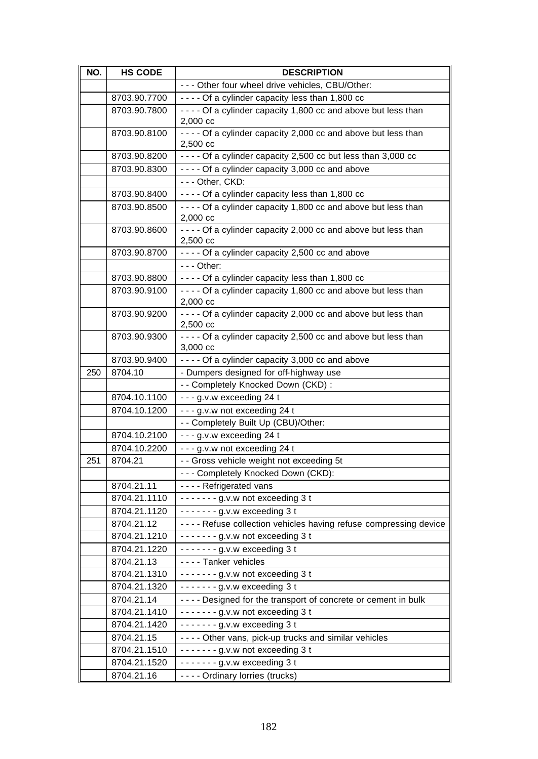| NO. | <b>HS CODE</b>             | <b>DESCRIPTION</b>                                                          |
|-----|----------------------------|-----------------------------------------------------------------------------|
|     |                            | - - - Other four wheel drive vehicles, CBU/Other:                           |
|     | 8703.90.7700               | ---- Of a cylinder capacity less than 1,800 cc                              |
|     | 8703.90.7800               | - - - - Of a cylinder capacity 1,800 cc and above but less than             |
|     |                            | $2,000$ cc                                                                  |
|     | 8703.90.8100               | - - - - Of a cylinder capacity 2,000 cc and above but less than             |
|     |                            | 2,500 cc                                                                    |
|     | 8703.90.8200               | - - - - Of a cylinder capacity 2,500 cc but less than 3,000 cc              |
|     | 8703.90.8300               | - - - - Of a cylinder capacity 3,000 cc and above                           |
|     |                            | --- Other, CKD:                                                             |
|     | 8703.90.8400               | ---- Of a cylinder capacity less than 1,800 cc                              |
|     | 8703.90.8500               | - - - - Of a cylinder capacity 1,800 cc and above but less than             |
|     | 8703.90.8600               | $2,000$ cc                                                                  |
|     |                            | - - - - Of a cylinder capacity 2,000 cc and above but less than<br>2,500 cc |
|     | 8703.90.8700               | - - - - Of a cylinder capacity 2,500 cc and above                           |
|     |                            | $--$ Other:                                                                 |
|     | 8703.90.8800               | ---- Of a cylinder capacity less than 1,800 cc                              |
|     | 8703.90.9100               | - - - - Of a cylinder capacity 1,800 cc and above but less than             |
|     |                            | 2,000 cc                                                                    |
|     | 8703.90.9200               | - - - - Of a cylinder capacity 2,000 cc and above but less than             |
|     |                            | 2,500 cc                                                                    |
|     | 8703.90.9300               | - - - - Of a cylinder capacity 2,500 cc and above but less than             |
|     |                            | $3,000$ cc                                                                  |
|     | 8703.90.9400               | - - - - Of a cylinder capacity 3,000 cc and above                           |
| 250 | 8704.10                    | - Dumpers designed for off-highway use                                      |
|     |                            | - - Completely Knocked Down (CKD) :                                         |
|     | 8704.10.1100               | $- - g.v.w$ exceeding 24 t                                                  |
|     | 8704.10.1200               | --- g.v.w not exceeding 24 t                                                |
|     |                            | - - Completely Built Up (CBU)/Other:                                        |
|     | 8704.10.2100               | --- g.v.w exceeding 24 t                                                    |
|     | 8704.10.2200               | --- g.v.w not exceeding 24 t                                                |
| 251 | 8704.21                    | - - Gross vehicle weight not exceeding 5t                                   |
|     |                            | --- Completely Knocked Down (CKD):                                          |
|     | 8704.21.11                 | - - - - Refrigerated vans                                                   |
|     | 8704.21.1110               | $---g.v.w$ not exceeding 3 t                                                |
|     | 8704.21.1120               | $---g.v.w$ exceeding 3 t                                                    |
|     | 8704.21.12                 | ---- Refuse collection vehicles having refuse compressing device            |
|     | 8704.21.1210               | -------g.v.w not exceeding 3 t                                              |
|     | 8704.21.1220               | $----g.v.w$ exceeding 3 t                                                   |
|     | 8704.21.13                 | ---- Tanker vehicles                                                        |
|     | 8704.21.1310               | $---g.v.w$ not exceeding 3 t                                                |
|     | 8704.21.1320               | $---g.v.w$ exceeding 3 t                                                    |
|     | 8704.21.14                 | - - - - Designed for the transport of concrete or cement in bulk            |
|     | 8704.21.1410               | $---g.v.w$ not exceeding 3 t                                                |
|     | 8704.21.1420               | $---g.v.w$ exceeding 3 t                                                    |
|     | 8704.21.15<br>8704.21.1510 | - - - - Other vans, pick-up trucks and similar vehicles                     |
|     |                            | $---g.v.w$ not exceeding 3 t                                                |
|     | 8704.21.1520               | $----g.v.w$ exceeding 3 t                                                   |
|     | 8704.21.16                 | - - - - Ordinary lorries (trucks)                                           |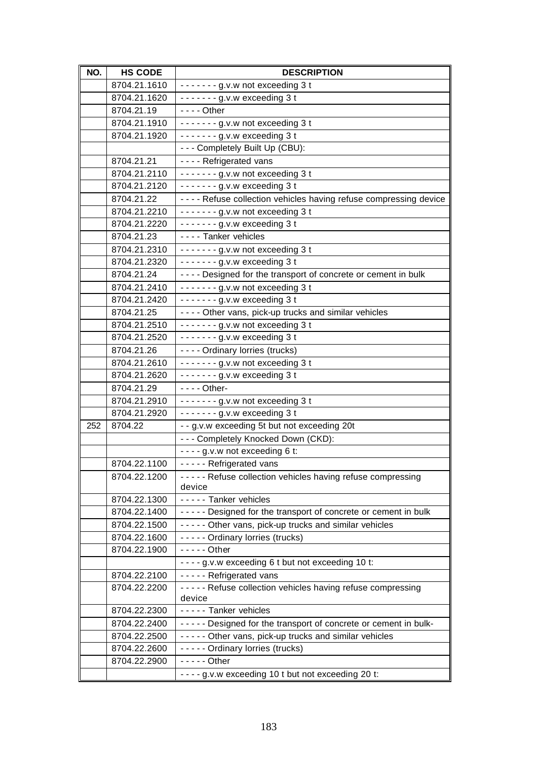| NO. | <b>HS CODE</b>               | <b>DESCRIPTION</b>                                                  |
|-----|------------------------------|---------------------------------------------------------------------|
|     | 8704.21.1610                 | -------g.v.w not exceeding 3 t                                      |
|     | 8704.21.1620                 | $---g.v.w$ exceeding 3 t                                            |
|     | 8704.21.19                   | $--$ Other                                                          |
|     | 8704.21.1910                 | -------g.v.w not exceeding 3 t                                      |
|     | 8704.21.1920                 | $--- - g.v.w$ exceeding 3 t                                         |
|     |                              | --- Completely Built Up (CBU):                                      |
|     | 8704.21.21                   | ---- Refrigerated vans                                              |
|     | 8704.21.2110                 | ------- g.v.w not exceeding 3 t                                     |
|     | 8704.21.2120                 | $---g.v.w$ exceeding 3 t                                            |
|     | 8704.21.22                   | - - - - Refuse collection vehicles having refuse compressing device |
|     | 8704.21.2210                 | $--- - g.v.w$ not exceeding 3 t                                     |
|     | 8704.21.2220                 | $---g.v.w$ exceeding 3 t                                            |
|     | 8704.21.23                   | ---- Tanker vehicles                                                |
|     | 8704.21.2310                 | $---g.v.w$ not exceeding 3 t                                        |
|     | 8704.21.2320                 | -------g.v.w exceeding 3 t                                          |
|     | 8704.21.24                   | - - - - Designed for the transport of concrete or cement in bulk    |
|     | 8704.21.2410                 | ------- g.v.w not exceeding 3 t                                     |
|     | 8704.21.2420                 | $---g.v.w$ exceeding 3 t                                            |
|     | 8704.21.25                   | ---- Other vans, pick-up trucks and similar vehicles                |
|     | 8704.21.2510                 | $--- - g.v.w$ not exceeding 3 t                                     |
|     | 8704.21.2520                 | $---g.v.w$ exceeding 3 t                                            |
|     | 8704.21.26                   | - - - - Ordinary lorries (trucks)                                   |
|     | 8704.21.2610                 | $--- - g.v.w$ not exceeding 3 t                                     |
|     | 8704.21.2620                 | $---g.v.w$ exceeding 3 t                                            |
|     | 8704.21.29                   | - - - - Other-                                                      |
|     | 8704.21.2910                 | $---g.v.w$ not exceeding 3 t                                        |
|     | 8704.21.2920                 | $---g.v.w$ exceeding 3 t                                            |
| 252 | 8704.22                      | - - g.v.w exceeding 5t but not exceeding 20t                        |
|     |                              | --- Completely Knocked Down (CKD):                                  |
|     |                              | $--$ g.v.w not exceeding 6 t:                                       |
|     | 8704.22.1100                 | ----- Refrigerated vans                                             |
|     | 8704.22.1200                 | ----- Refuse collection vehicles having refuse compressing          |
|     |                              | device                                                              |
|     | 8704.22.1300<br>8704.22.1400 | - - - - - Tanker vehicles                                           |
|     |                              | ----- Designed for the transport of concrete or cement in bulk      |
|     | 8704.22.1500                 | ----- Other vans, pick-up trucks and similar vehicles               |
|     | 8704.22.1600<br>8704.22.1900 | ----- Ordinary lorries (trucks)<br>$-- -$ Other                     |
|     |                              | - - - - g.v.w exceeding 6 t but not exceeding 10 t:                 |
|     | 8704.22.2100                 | - - - - - Refrigerated vans                                         |
|     | 8704.22.2200                 | ----- Refuse collection vehicles having refuse compressing          |
|     |                              | device                                                              |
|     | 8704.22.2300                 | - - - - - Tanker vehicles                                           |
|     | 8704.22.2400                 | ----- Designed for the transport of concrete or cement in bulk-     |
|     | 8704.22.2500                 | ----- Other vans, pick-up trucks and similar vehicles               |
|     | 8704.22.2600                 | ----- Ordinary lorries (trucks)                                     |
|     | 8704.22.2900                 | $--$ - - - Other                                                    |
|     |                              | - - - - g.v.w exceeding 10 t but not exceeding 20 t:                |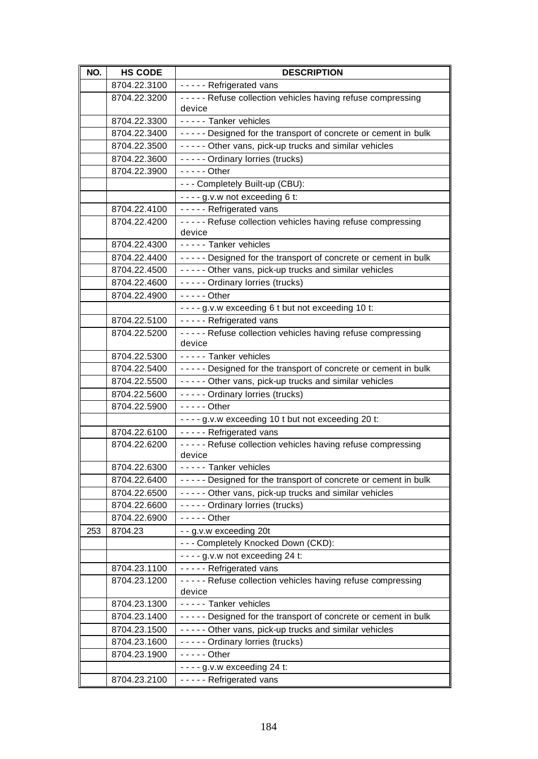| NO. | <b>HS CODE</b> | <b>DESCRIPTION</b>                                                                                                          |
|-----|----------------|-----------------------------------------------------------------------------------------------------------------------------|
|     | 8704.22.3100   | - - - - - Refrigerated vans                                                                                                 |
|     | 8704.22.3200   | ----- Refuse collection vehicles having refuse compressing                                                                  |
|     |                | device                                                                                                                      |
|     | 8704.22.3300   | ----- Tanker vehicles                                                                                                       |
|     | 8704.22.3400   | ----- Designed for the transport of concrete or cement in bulk                                                              |
|     | 8704.22.3500   | ----- Other vans, pick-up trucks and similar vehicles                                                                       |
|     | 8704.22.3600   | ----- Ordinary lorries (trucks)                                                                                             |
|     | 8704.22.3900   | $---$ Other                                                                                                                 |
|     |                | - - - Completely Built-up (CBU):                                                                                            |
|     |                | ---- g.v.w not exceeding 6 t:                                                                                               |
|     | 8704.22.4100   | - - - - - Refrigerated vans                                                                                                 |
|     | 8704.22.4200   | ----- Refuse collection vehicles having refuse compressing                                                                  |
|     |                | device                                                                                                                      |
|     | 8704.22.4300   | - - - - - Tanker vehicles                                                                                                   |
|     | 8704.22.4400   | ----- Designed for the transport of concrete or cement in bulk                                                              |
|     | 8704.22.4500   | ----- Other vans, pick-up trucks and similar vehicles                                                                       |
|     | 8704.22.4600   | - - - - - Ordinary lorries (trucks)                                                                                         |
|     | 8704.22.4900   | $---$ Other                                                                                                                 |
|     |                | - - - - g.v.w exceeding 6 t but not exceeding 10 t:                                                                         |
|     | 8704.22.5100   | - - - - - Refrigerated vans                                                                                                 |
|     | 8704.22.5200   | ----- Refuse collection vehicles having refuse compressing<br>device                                                        |
|     | 8704.22.5300   | ----- Tanker vehicles                                                                                                       |
|     | 8704.22.5400   | ----- Designed for the transport of concrete or cement in bulk                                                              |
|     | 8704.22.5500   | ----- Other vans, pick-up trucks and similar vehicles                                                                       |
|     | 8704.22.5600   | - - - - - Ordinary lorries (trucks)                                                                                         |
|     | 8704.22.5900   | $---$ Other                                                                                                                 |
|     |                | - - - - g.v.w exceeding 10 t but not exceeding 20 t:                                                                        |
|     | 8704.22.6100   | - - - - - Refrigerated vans                                                                                                 |
|     | 8704.22.6200   | ----- Refuse collection vehicles having refuse compressing                                                                  |
|     |                | device                                                                                                                      |
|     | 8704.22.6300   | ----- Tanker vehicles                                                                                                       |
|     | 8704.22.6400   | ----- Designed for the transport of concrete or cement in bulk                                                              |
|     | 8704.22.6500   | ----- Other vans, pick-up trucks and similar vehicles                                                                       |
|     | 8704.22.6600   | ----- Ordinary lorries (trucks)                                                                                             |
|     | 8704.22.6900   | $---$ Other                                                                                                                 |
| 253 | 8704.23        | - - g.v.w exceeding 20t                                                                                                     |
|     |                | --- Completely Knocked Down (CKD):                                                                                          |
|     |                | $--$ g.v.w not exceeding 24 t:                                                                                              |
|     | 8704.23.1100   | - - - - - Refrigerated vans                                                                                                 |
|     | 8704.23.1200   | ----- Refuse collection vehicles having refuse compressing                                                                  |
|     | 8704.23.1300   | device<br>----- Tanker vehicles                                                                                             |
|     | 8704.23.1400   |                                                                                                                             |
|     | 8704.23.1500   | - - - - - Designed for the transport of concrete or cement in bulk<br>----- Other vans, pick-up trucks and similar vehicles |
|     | 8704.23.1600   | ----- Ordinary lorries (trucks)                                                                                             |
|     | 8704.23.1900   | $--$ - - - Other                                                                                                            |
|     |                | $--$ - g.v.w exceeding 24 t:                                                                                                |
|     | 8704.23.2100   | - - - - - Refrigerated vans                                                                                                 |
|     |                |                                                                                                                             |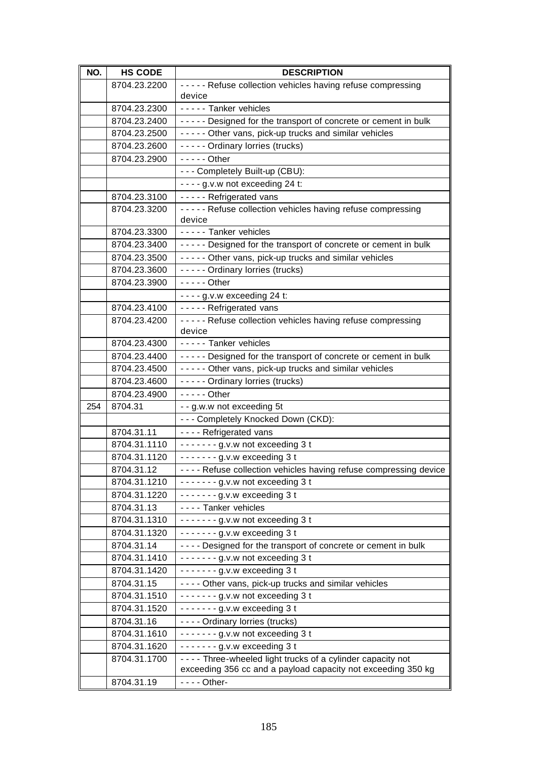| NO. | <b>HS CODE</b>             | <b>DESCRIPTION</b>                                                                                                            |
|-----|----------------------------|-------------------------------------------------------------------------------------------------------------------------------|
|     | 8704.23.2200               | ----- Refuse collection vehicles having refuse compressing                                                                    |
|     |                            | device                                                                                                                        |
|     | 8704.23.2300               | ----- Tanker vehicles                                                                                                         |
|     | 8704.23.2400               | ----- Designed for the transport of concrete or cement in bulk                                                                |
|     | 8704.23.2500               | ----- Other vans, pick-up trucks and similar vehicles                                                                         |
|     | 8704.23.2600               | - - - - - Ordinary lorries (trucks)                                                                                           |
|     | 8704.23.2900               | $- - - -$ Other                                                                                                               |
|     |                            | - - - Completely Built-up (CBU):                                                                                              |
|     |                            | $--$ g.v.w not exceeding 24 t:                                                                                                |
|     | 8704.23.3100               | - - - - - Refrigerated vans                                                                                                   |
|     | 8704.23.3200               | ----- Refuse collection vehicles having refuse compressing                                                                    |
|     |                            | device                                                                                                                        |
|     | 8704.23.3300               | - - - - - Tanker vehicles                                                                                                     |
|     | 8704.23.3400               | ----- Designed for the transport of concrete or cement in bulk                                                                |
|     | 8704.23.3500               | ----- Other vans, pick-up trucks and similar vehicles                                                                         |
|     | 8704.23.3600               | - - - - - Ordinary lorries (trucks)                                                                                           |
|     | 8704.23.3900               | $---$ Other                                                                                                                   |
|     |                            | $--$ g.v.w exceeding 24 t:                                                                                                    |
|     | 8704.23.4100               | - - - - - Refrigerated vans                                                                                                   |
|     | 8704.23.4200               | ----- Refuse collection vehicles having refuse compressing                                                                    |
|     |                            | device                                                                                                                        |
|     | 8704.23.4300               | - - - - - Tanker vehicles                                                                                                     |
|     | 8704.23.4400               | ----- Designed for the transport of concrete or cement in bulk                                                                |
|     | 8704.23.4500               | ----- Other vans, pick-up trucks and similar vehicles                                                                         |
|     | 8704.23.4600               | - - - - - Ordinary lorries (trucks)                                                                                           |
|     | 8704.23.4900               | $---$ Other                                                                                                                   |
| 254 | 8704.31                    | - - g.w.w not exceeding 5t                                                                                                    |
|     |                            | --- Completely Knocked Down (CKD):                                                                                            |
|     | 8704.31.11                 | - - - - Refrigerated vans                                                                                                     |
|     | 8704.31.1110               | ------- g.v.w not exceeding 3 t                                                                                               |
|     | 8704.31.1120               | $--- - g.v.w$ exceeding 3 t                                                                                                   |
|     | 8704.31.12                 | - - Refuse collection vehicles having refuse compressing device                                                               |
|     | 8704.31.1210               | $---g.v.w$ not exceeding 3 t                                                                                                  |
|     | 8704.31.1220               | $----g.v.w$ exceeding 3 t                                                                                                     |
|     | 8704.31.13<br>8704.31.1310 | - - - - Tanker vehicles                                                                                                       |
|     | 8704.31.1320               | $---g.v.w$ not exceeding 3 t                                                                                                  |
|     |                            | $--- - g.v.w$ exceeding 3 t                                                                                                   |
|     | 8704.31.14                 | - - - - Designed for the transport of concrete or cement in bulk                                                              |
|     | 8704.31.1410               | $---g.v.w$ not exceeding 3 t                                                                                                  |
|     | 8704.31.1420<br>8704.31.15 | $---g.v.w$ exceeding 3 t                                                                                                      |
|     |                            | - - - - Other vans, pick-up trucks and similar vehicles                                                                       |
|     | 8704.31.1510               | $---g.v.w$ not exceeding 3 t                                                                                                  |
|     | 8704.31.1520               | $---g.v.w$ exceeding 3 t                                                                                                      |
|     | 8704.31.16                 | - - - - Ordinary lorries (trucks)                                                                                             |
|     | 8704.31.1610               | $---g.v.w$ not exceeding 3 t                                                                                                  |
|     | 8704.31.1620               | $---g.v.w$ exceeding 3 t                                                                                                      |
|     | 8704.31.1700               | - - - - Three-wheeled light trucks of a cylinder capacity not<br>exceeding 356 cc and a payload capacity not exceeding 350 kg |
|     | 8704.31.19                 | - - - - Other-                                                                                                                |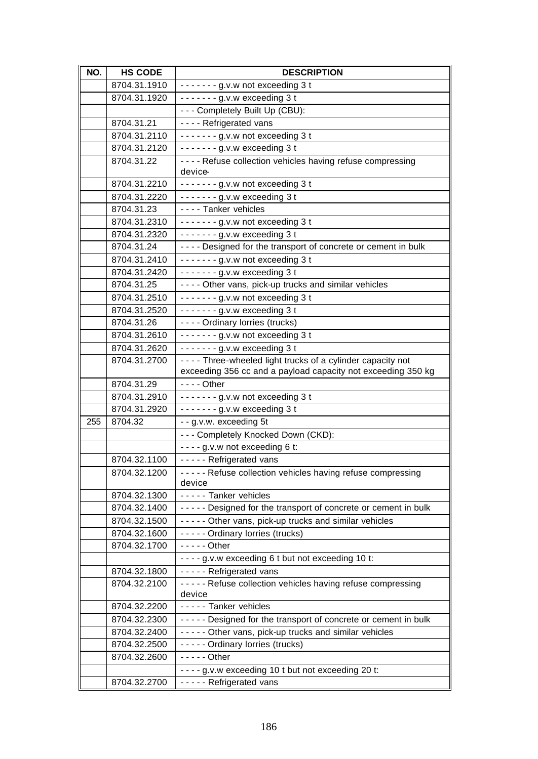| NO. | <b>HS CODE</b> | <b>DESCRIPTION</b>                                                         |
|-----|----------------|----------------------------------------------------------------------------|
|     | 8704.31.1910   | $---g.v.w$ not exceeding 3 t                                               |
|     | 8704.31.1920   | $---q.v.w$ exceeding 3 t                                                   |
|     |                | --- Completely Built Up (CBU):                                             |
|     | 8704.31.21     | ---- Refrigerated vans                                                     |
|     | 8704.31.2110   | $---g.v.w$ not exceeding 3 t                                               |
|     | 8704.31.2120   | $--- - g.v.w$ exceeding 3 t                                                |
|     | 8704.31.22     | - - - - Refuse collection vehicles having refuse compressing               |
|     |                | device                                                                     |
|     | 8704.31.2210   | $--- - q.v.w$ not exceeding 3 t                                            |
|     | 8704.31.2220   | $----g.v.w$ exceeding 3t                                                   |
|     | 8704.31.23     | - - - - Tanker vehicles                                                    |
|     | 8704.31.2310   | $\cdots$ $\cdots$ g.v.w not exceeding 3 t                                  |
|     | 8704.31.2320   | $---g.v.w$ exceeding 3 t                                                   |
|     | 8704.31.24     | - - - - Designed for the transport of concrete or cement in bulk           |
|     | 8704.31.2410   | $---g.v.w$ not exceeding 3 t                                               |
|     | 8704.31.2420   | $----g.v.w$ exceeding 3 t                                                  |
|     | 8704.31.25     | ---- Other vans, pick-up trucks and similar vehicles                       |
|     | 8704.31.2510   | -------g.v.w not exceeding 3 t                                             |
|     | 8704.31.2520   | $--- - g.v.w$ exceeding 3 t                                                |
|     | 8704.31.26     | - - - - Ordinary lorries (trucks)                                          |
|     | 8704.31.2610   | ------- g.v.w not exceeding 3 t                                            |
|     | 8704.31.2620   | $----g.v.w$ exceeding 3 t                                                  |
|     | 8704.31.2700   | ---- Three-wheeled light trucks of a cylinder capacity not                 |
|     | 8704.31.29     | exceeding 356 cc and a payload capacity not exceeding 350 kg<br>$--$ Other |
|     | 8704.31.2910   |                                                                            |
|     | 8704.31.2920   | -------g.v.w not exceeding 3 t<br>$--- - g.v.w$ exceeding 3 t              |
| 255 | 8704.32        | - - g.v.w. exceeding 5t                                                    |
|     |                | --- Completely Knocked Down (CKD):                                         |
|     |                | $--$ g.v.w not exceeding 6 t:                                              |
|     | 8704.32.1100   | - - - - - Refrigerated vans                                                |
|     | 8704.32.1200   | ----- Refuse collection vehicles having refuse compressing                 |
|     |                | device                                                                     |
|     | 8704.32.1300   | - - - - - Tanker vehicles                                                  |
|     | 8704.32.1400   | ----- Designed for the transport of concrete or cement in bulk             |
|     | 8704.32.1500   | ----- Other vans, pick-up trucks and similar vehicles                      |
|     | 8704.32.1600   | ----- Ordinary lorries (trucks)                                            |
|     | 8704.32.1700   | $-- -$ Other                                                               |
|     |                | - - - - g.v.w exceeding 6 t but not exceeding 10 t:                        |
|     | 8704.32.1800   | - - - - - Refrigerated vans                                                |
|     | 8704.32.2100   | ----- Refuse collection vehicles having refuse compressing                 |
|     |                | device                                                                     |
|     | 8704.32.2200   | - - - - - Tanker vehicles                                                  |
|     | 8704.32.2300   | ----- Designed for the transport of concrete or cement in bulk             |
|     | 8704.32.2400   | ----- Other vans, pick-up trucks and similar vehicles                      |
|     | 8704.32.2500   | ----- Ordinary lorries (trucks)                                            |
|     | 8704.32.2600   | $--$ - - Other                                                             |
|     |                | - - - - g.v.w exceeding 10 t but not exceeding 20 t:                       |
|     | 8704.32.2700   | - - - - - Refrigerated vans                                                |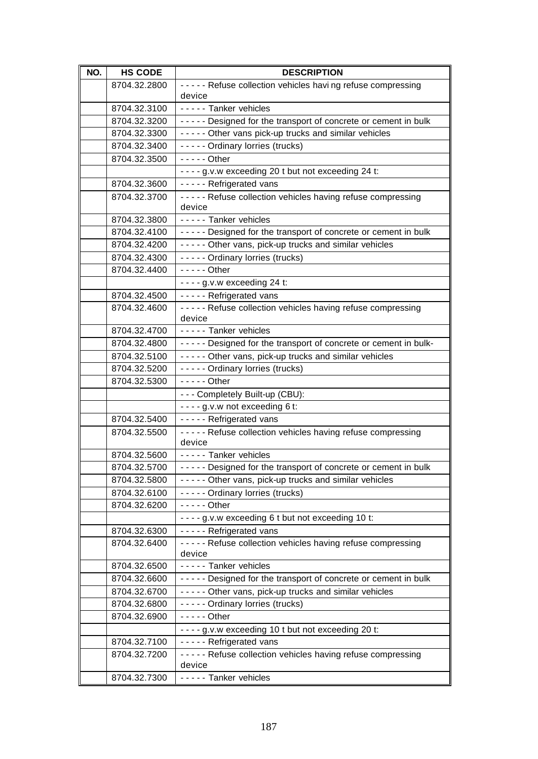| 8704.32.2800<br>----- Refuse collection vehicles having refuse compressing<br>device<br>----- Tanker vehicles<br>8704.32.3100<br>8704.32.3200<br>----- Designed for the transport of concrete or cement in bulk<br>----- Other vans pick-up trucks and similar vehicles<br>8704.32.3300<br>----- Ordinary lorries (trucks)<br>8704.32.3400<br>$---$ Other<br>8704.32.3500<br>- - - - g.v.w exceeding 20 t but not exceeding 24 t:<br>----- Refrigerated vans<br>8704.32.3600<br>----- Refuse collection vehicles having refuse compressing<br>8704.32.3700<br>device<br>----- Tanker vehicles<br>8704.32.3800<br>8704.32.4100<br>----- Designed for the transport of concrete or cement in bulk<br>----- Other vans, pick-up trucks and similar vehicles<br>8704.32.4200<br>- - - - - Ordinary lorries (trucks)<br>8704.32.4300<br>$---$ Other<br>8704.32.4400<br>$--$ g.v.w exceeding 24 t:<br>----- Refrigerated vans<br>8704.32.4500<br>8704.32.4600<br>----- Refuse collection vehicles having refuse compressing<br>device<br>- - - - - Tanker vehicles<br>8704.32.4700<br>----- Designed for the transport of concrete or cement in bulk-<br>8704.32.4800<br>----- Other vans, pick-up trucks and similar vehicles<br>8704.32.5100<br>- - - - - Ordinary lorries (trucks)<br>8704.32.5200<br>8704.32.5300<br>$--$ - - - Other<br>- - - Completely Built-up (CBU):<br>- - - - g.v.w not exceeding 6 t:<br>----- Refrigerated vans<br>8704.32.5400<br>----- Refuse collection vehicles having refuse compressing<br>8704.32.5500<br>device<br>- - - - - Tanker vehicles<br>8704.32.5600<br>8704.32.5700<br>----- Designed for the transport of concrete or cement in bulk<br>----- Other vans, pick-up trucks and similar vehicles<br>8704.32.5800<br>----- Ordinary lorries (trucks)<br>8704.32.6100<br>8704.32.6200<br>$--$ - - - Other<br>- - - - g.v.w exceeding 6 t but not exceeding 10 t:<br>- - - - - Refrigerated vans<br>8704.32.6300<br>----- Refuse collection vehicles having refuse compressing<br>8704.32.6400<br>device<br>- - - - - Tanker vehicles<br>8704.32.6500<br>8704.32.6600<br>----- Designed for the transport of concrete or cement in bulk<br>----- Other vans, pick-up trucks and similar vehicles<br>8704.32.6700<br>----- Ordinary lorries (trucks)<br>8704.32.6800<br>8704.32.6900<br>$---$ Other<br>- - - - g.v.w exceeding 10 t but not exceeding 20 t:<br>- - - - - Refrigerated vans<br>8704.32.7100<br>----- Refuse collection vehicles having refuse compressing<br>8704.32.7200<br>device | NO. | <b>HS CODE</b> | <b>DESCRIPTION</b>        |
|--------------------------------------------------------------------------------------------------------------------------------------------------------------------------------------------------------------------------------------------------------------------------------------------------------------------------------------------------------------------------------------------------------------------------------------------------------------------------------------------------------------------------------------------------------------------------------------------------------------------------------------------------------------------------------------------------------------------------------------------------------------------------------------------------------------------------------------------------------------------------------------------------------------------------------------------------------------------------------------------------------------------------------------------------------------------------------------------------------------------------------------------------------------------------------------------------------------------------------------------------------------------------------------------------------------------------------------------------------------------------------------------------------------------------------------------------------------------------------------------------------------------------------------------------------------------------------------------------------------------------------------------------------------------------------------------------------------------------------------------------------------------------------------------------------------------------------------------------------------------------------------------------------------------------------------------------------------------------------------------------------------------------------------------------------------------------------------------------------------------------------------------------------------------------------------------------------------------------------------------------------------------------------------------------------------------------------------------------------------------------------------------------------------------------------------------------------------------------------------------------------------------------------------|-----|----------------|---------------------------|
|                                                                                                                                                                                                                                                                                                                                                                                                                                                                                                                                                                                                                                                                                                                                                                                                                                                                                                                                                                                                                                                                                                                                                                                                                                                                                                                                                                                                                                                                                                                                                                                                                                                                                                                                                                                                                                                                                                                                                                                                                                                                                                                                                                                                                                                                                                                                                                                                                                                                                                                                      |     |                |                           |
|                                                                                                                                                                                                                                                                                                                                                                                                                                                                                                                                                                                                                                                                                                                                                                                                                                                                                                                                                                                                                                                                                                                                                                                                                                                                                                                                                                                                                                                                                                                                                                                                                                                                                                                                                                                                                                                                                                                                                                                                                                                                                                                                                                                                                                                                                                                                                                                                                                                                                                                                      |     |                |                           |
|                                                                                                                                                                                                                                                                                                                                                                                                                                                                                                                                                                                                                                                                                                                                                                                                                                                                                                                                                                                                                                                                                                                                                                                                                                                                                                                                                                                                                                                                                                                                                                                                                                                                                                                                                                                                                                                                                                                                                                                                                                                                                                                                                                                                                                                                                                                                                                                                                                                                                                                                      |     |                |                           |
|                                                                                                                                                                                                                                                                                                                                                                                                                                                                                                                                                                                                                                                                                                                                                                                                                                                                                                                                                                                                                                                                                                                                                                                                                                                                                                                                                                                                                                                                                                                                                                                                                                                                                                                                                                                                                                                                                                                                                                                                                                                                                                                                                                                                                                                                                                                                                                                                                                                                                                                                      |     |                |                           |
|                                                                                                                                                                                                                                                                                                                                                                                                                                                                                                                                                                                                                                                                                                                                                                                                                                                                                                                                                                                                                                                                                                                                                                                                                                                                                                                                                                                                                                                                                                                                                                                                                                                                                                                                                                                                                                                                                                                                                                                                                                                                                                                                                                                                                                                                                                                                                                                                                                                                                                                                      |     |                |                           |
|                                                                                                                                                                                                                                                                                                                                                                                                                                                                                                                                                                                                                                                                                                                                                                                                                                                                                                                                                                                                                                                                                                                                                                                                                                                                                                                                                                                                                                                                                                                                                                                                                                                                                                                                                                                                                                                                                                                                                                                                                                                                                                                                                                                                                                                                                                                                                                                                                                                                                                                                      |     |                |                           |
|                                                                                                                                                                                                                                                                                                                                                                                                                                                                                                                                                                                                                                                                                                                                                                                                                                                                                                                                                                                                                                                                                                                                                                                                                                                                                                                                                                                                                                                                                                                                                                                                                                                                                                                                                                                                                                                                                                                                                                                                                                                                                                                                                                                                                                                                                                                                                                                                                                                                                                                                      |     |                |                           |
|                                                                                                                                                                                                                                                                                                                                                                                                                                                                                                                                                                                                                                                                                                                                                                                                                                                                                                                                                                                                                                                                                                                                                                                                                                                                                                                                                                                                                                                                                                                                                                                                                                                                                                                                                                                                                                                                                                                                                                                                                                                                                                                                                                                                                                                                                                                                                                                                                                                                                                                                      |     |                |                           |
|                                                                                                                                                                                                                                                                                                                                                                                                                                                                                                                                                                                                                                                                                                                                                                                                                                                                                                                                                                                                                                                                                                                                                                                                                                                                                                                                                                                                                                                                                                                                                                                                                                                                                                                                                                                                                                                                                                                                                                                                                                                                                                                                                                                                                                                                                                                                                                                                                                                                                                                                      |     |                |                           |
|                                                                                                                                                                                                                                                                                                                                                                                                                                                                                                                                                                                                                                                                                                                                                                                                                                                                                                                                                                                                                                                                                                                                                                                                                                                                                                                                                                                                                                                                                                                                                                                                                                                                                                                                                                                                                                                                                                                                                                                                                                                                                                                                                                                                                                                                                                                                                                                                                                                                                                                                      |     |                |                           |
|                                                                                                                                                                                                                                                                                                                                                                                                                                                                                                                                                                                                                                                                                                                                                                                                                                                                                                                                                                                                                                                                                                                                                                                                                                                                                                                                                                                                                                                                                                                                                                                                                                                                                                                                                                                                                                                                                                                                                                                                                                                                                                                                                                                                                                                                                                                                                                                                                                                                                                                                      |     |                |                           |
|                                                                                                                                                                                                                                                                                                                                                                                                                                                                                                                                                                                                                                                                                                                                                                                                                                                                                                                                                                                                                                                                                                                                                                                                                                                                                                                                                                                                                                                                                                                                                                                                                                                                                                                                                                                                                                                                                                                                                                                                                                                                                                                                                                                                                                                                                                                                                                                                                                                                                                                                      |     |                |                           |
|                                                                                                                                                                                                                                                                                                                                                                                                                                                                                                                                                                                                                                                                                                                                                                                                                                                                                                                                                                                                                                                                                                                                                                                                                                                                                                                                                                                                                                                                                                                                                                                                                                                                                                                                                                                                                                                                                                                                                                                                                                                                                                                                                                                                                                                                                                                                                                                                                                                                                                                                      |     |                |                           |
|                                                                                                                                                                                                                                                                                                                                                                                                                                                                                                                                                                                                                                                                                                                                                                                                                                                                                                                                                                                                                                                                                                                                                                                                                                                                                                                                                                                                                                                                                                                                                                                                                                                                                                                                                                                                                                                                                                                                                                                                                                                                                                                                                                                                                                                                                                                                                                                                                                                                                                                                      |     |                |                           |
|                                                                                                                                                                                                                                                                                                                                                                                                                                                                                                                                                                                                                                                                                                                                                                                                                                                                                                                                                                                                                                                                                                                                                                                                                                                                                                                                                                                                                                                                                                                                                                                                                                                                                                                                                                                                                                                                                                                                                                                                                                                                                                                                                                                                                                                                                                                                                                                                                                                                                                                                      |     |                |                           |
|                                                                                                                                                                                                                                                                                                                                                                                                                                                                                                                                                                                                                                                                                                                                                                                                                                                                                                                                                                                                                                                                                                                                                                                                                                                                                                                                                                                                                                                                                                                                                                                                                                                                                                                                                                                                                                                                                                                                                                                                                                                                                                                                                                                                                                                                                                                                                                                                                                                                                                                                      |     |                |                           |
|                                                                                                                                                                                                                                                                                                                                                                                                                                                                                                                                                                                                                                                                                                                                                                                                                                                                                                                                                                                                                                                                                                                                                                                                                                                                                                                                                                                                                                                                                                                                                                                                                                                                                                                                                                                                                                                                                                                                                                                                                                                                                                                                                                                                                                                                                                                                                                                                                                                                                                                                      |     |                |                           |
|                                                                                                                                                                                                                                                                                                                                                                                                                                                                                                                                                                                                                                                                                                                                                                                                                                                                                                                                                                                                                                                                                                                                                                                                                                                                                                                                                                                                                                                                                                                                                                                                                                                                                                                                                                                                                                                                                                                                                                                                                                                                                                                                                                                                                                                                                                                                                                                                                                                                                                                                      |     |                |                           |
|                                                                                                                                                                                                                                                                                                                                                                                                                                                                                                                                                                                                                                                                                                                                                                                                                                                                                                                                                                                                                                                                                                                                                                                                                                                                                                                                                                                                                                                                                                                                                                                                                                                                                                                                                                                                                                                                                                                                                                                                                                                                                                                                                                                                                                                                                                                                                                                                                                                                                                                                      |     |                |                           |
|                                                                                                                                                                                                                                                                                                                                                                                                                                                                                                                                                                                                                                                                                                                                                                                                                                                                                                                                                                                                                                                                                                                                                                                                                                                                                                                                                                                                                                                                                                                                                                                                                                                                                                                                                                                                                                                                                                                                                                                                                                                                                                                                                                                                                                                                                                                                                                                                                                                                                                                                      |     |                |                           |
|                                                                                                                                                                                                                                                                                                                                                                                                                                                                                                                                                                                                                                                                                                                                                                                                                                                                                                                                                                                                                                                                                                                                                                                                                                                                                                                                                                                                                                                                                                                                                                                                                                                                                                                                                                                                                                                                                                                                                                                                                                                                                                                                                                                                                                                                                                                                                                                                                                                                                                                                      |     |                |                           |
|                                                                                                                                                                                                                                                                                                                                                                                                                                                                                                                                                                                                                                                                                                                                                                                                                                                                                                                                                                                                                                                                                                                                                                                                                                                                                                                                                                                                                                                                                                                                                                                                                                                                                                                                                                                                                                                                                                                                                                                                                                                                                                                                                                                                                                                                                                                                                                                                                                                                                                                                      |     |                |                           |
|                                                                                                                                                                                                                                                                                                                                                                                                                                                                                                                                                                                                                                                                                                                                                                                                                                                                                                                                                                                                                                                                                                                                                                                                                                                                                                                                                                                                                                                                                                                                                                                                                                                                                                                                                                                                                                                                                                                                                                                                                                                                                                                                                                                                                                                                                                                                                                                                                                                                                                                                      |     |                |                           |
|                                                                                                                                                                                                                                                                                                                                                                                                                                                                                                                                                                                                                                                                                                                                                                                                                                                                                                                                                                                                                                                                                                                                                                                                                                                                                                                                                                                                                                                                                                                                                                                                                                                                                                                                                                                                                                                                                                                                                                                                                                                                                                                                                                                                                                                                                                                                                                                                                                                                                                                                      |     |                |                           |
|                                                                                                                                                                                                                                                                                                                                                                                                                                                                                                                                                                                                                                                                                                                                                                                                                                                                                                                                                                                                                                                                                                                                                                                                                                                                                                                                                                                                                                                                                                                                                                                                                                                                                                                                                                                                                                                                                                                                                                                                                                                                                                                                                                                                                                                                                                                                                                                                                                                                                                                                      |     |                |                           |
|                                                                                                                                                                                                                                                                                                                                                                                                                                                                                                                                                                                                                                                                                                                                                                                                                                                                                                                                                                                                                                                                                                                                                                                                                                                                                                                                                                                                                                                                                                                                                                                                                                                                                                                                                                                                                                                                                                                                                                                                                                                                                                                                                                                                                                                                                                                                                                                                                                                                                                                                      |     |                |                           |
|                                                                                                                                                                                                                                                                                                                                                                                                                                                                                                                                                                                                                                                                                                                                                                                                                                                                                                                                                                                                                                                                                                                                                                                                                                                                                                                                                                                                                                                                                                                                                                                                                                                                                                                                                                                                                                                                                                                                                                                                                                                                                                                                                                                                                                                                                                                                                                                                                                                                                                                                      |     |                |                           |
|                                                                                                                                                                                                                                                                                                                                                                                                                                                                                                                                                                                                                                                                                                                                                                                                                                                                                                                                                                                                                                                                                                                                                                                                                                                                                                                                                                                                                                                                                                                                                                                                                                                                                                                                                                                                                                                                                                                                                                                                                                                                                                                                                                                                                                                                                                                                                                                                                                                                                                                                      |     |                |                           |
|                                                                                                                                                                                                                                                                                                                                                                                                                                                                                                                                                                                                                                                                                                                                                                                                                                                                                                                                                                                                                                                                                                                                                                                                                                                                                                                                                                                                                                                                                                                                                                                                                                                                                                                                                                                                                                                                                                                                                                                                                                                                                                                                                                                                                                                                                                                                                                                                                                                                                                                                      |     |                |                           |
|                                                                                                                                                                                                                                                                                                                                                                                                                                                                                                                                                                                                                                                                                                                                                                                                                                                                                                                                                                                                                                                                                                                                                                                                                                                                                                                                                                                                                                                                                                                                                                                                                                                                                                                                                                                                                                                                                                                                                                                                                                                                                                                                                                                                                                                                                                                                                                                                                                                                                                                                      |     |                |                           |
|                                                                                                                                                                                                                                                                                                                                                                                                                                                                                                                                                                                                                                                                                                                                                                                                                                                                                                                                                                                                                                                                                                                                                                                                                                                                                                                                                                                                                                                                                                                                                                                                                                                                                                                                                                                                                                                                                                                                                                                                                                                                                                                                                                                                                                                                                                                                                                                                                                                                                                                                      |     |                |                           |
|                                                                                                                                                                                                                                                                                                                                                                                                                                                                                                                                                                                                                                                                                                                                                                                                                                                                                                                                                                                                                                                                                                                                                                                                                                                                                                                                                                                                                                                                                                                                                                                                                                                                                                                                                                                                                                                                                                                                                                                                                                                                                                                                                                                                                                                                                                                                                                                                                                                                                                                                      |     |                |                           |
|                                                                                                                                                                                                                                                                                                                                                                                                                                                                                                                                                                                                                                                                                                                                                                                                                                                                                                                                                                                                                                                                                                                                                                                                                                                                                                                                                                                                                                                                                                                                                                                                                                                                                                                                                                                                                                                                                                                                                                                                                                                                                                                                                                                                                                                                                                                                                                                                                                                                                                                                      |     |                |                           |
|                                                                                                                                                                                                                                                                                                                                                                                                                                                                                                                                                                                                                                                                                                                                                                                                                                                                                                                                                                                                                                                                                                                                                                                                                                                                                                                                                                                                                                                                                                                                                                                                                                                                                                                                                                                                                                                                                                                                                                                                                                                                                                                                                                                                                                                                                                                                                                                                                                                                                                                                      |     |                |                           |
|                                                                                                                                                                                                                                                                                                                                                                                                                                                                                                                                                                                                                                                                                                                                                                                                                                                                                                                                                                                                                                                                                                                                                                                                                                                                                                                                                                                                                                                                                                                                                                                                                                                                                                                                                                                                                                                                                                                                                                                                                                                                                                                                                                                                                                                                                                                                                                                                                                                                                                                                      |     |                |                           |
|                                                                                                                                                                                                                                                                                                                                                                                                                                                                                                                                                                                                                                                                                                                                                                                                                                                                                                                                                                                                                                                                                                                                                                                                                                                                                                                                                                                                                                                                                                                                                                                                                                                                                                                                                                                                                                                                                                                                                                                                                                                                                                                                                                                                                                                                                                                                                                                                                                                                                                                                      |     |                |                           |
|                                                                                                                                                                                                                                                                                                                                                                                                                                                                                                                                                                                                                                                                                                                                                                                                                                                                                                                                                                                                                                                                                                                                                                                                                                                                                                                                                                                                                                                                                                                                                                                                                                                                                                                                                                                                                                                                                                                                                                                                                                                                                                                                                                                                                                                                                                                                                                                                                                                                                                                                      |     |                |                           |
|                                                                                                                                                                                                                                                                                                                                                                                                                                                                                                                                                                                                                                                                                                                                                                                                                                                                                                                                                                                                                                                                                                                                                                                                                                                                                                                                                                                                                                                                                                                                                                                                                                                                                                                                                                                                                                                                                                                                                                                                                                                                                                                                                                                                                                                                                                                                                                                                                                                                                                                                      |     |                |                           |
|                                                                                                                                                                                                                                                                                                                                                                                                                                                                                                                                                                                                                                                                                                                                                                                                                                                                                                                                                                                                                                                                                                                                                                                                                                                                                                                                                                                                                                                                                                                                                                                                                                                                                                                                                                                                                                                                                                                                                                                                                                                                                                                                                                                                                                                                                                                                                                                                                                                                                                                                      |     |                |                           |
|                                                                                                                                                                                                                                                                                                                                                                                                                                                                                                                                                                                                                                                                                                                                                                                                                                                                                                                                                                                                                                                                                                                                                                                                                                                                                                                                                                                                                                                                                                                                                                                                                                                                                                                                                                                                                                                                                                                                                                                                                                                                                                                                                                                                                                                                                                                                                                                                                                                                                                                                      |     |                |                           |
|                                                                                                                                                                                                                                                                                                                                                                                                                                                                                                                                                                                                                                                                                                                                                                                                                                                                                                                                                                                                                                                                                                                                                                                                                                                                                                                                                                                                                                                                                                                                                                                                                                                                                                                                                                                                                                                                                                                                                                                                                                                                                                                                                                                                                                                                                                                                                                                                                                                                                                                                      |     |                |                           |
|                                                                                                                                                                                                                                                                                                                                                                                                                                                                                                                                                                                                                                                                                                                                                                                                                                                                                                                                                                                                                                                                                                                                                                                                                                                                                                                                                                                                                                                                                                                                                                                                                                                                                                                                                                                                                                                                                                                                                                                                                                                                                                                                                                                                                                                                                                                                                                                                                                                                                                                                      |     |                |                           |
|                                                                                                                                                                                                                                                                                                                                                                                                                                                                                                                                                                                                                                                                                                                                                                                                                                                                                                                                                                                                                                                                                                                                                                                                                                                                                                                                                                                                                                                                                                                                                                                                                                                                                                                                                                                                                                                                                                                                                                                                                                                                                                                                                                                                                                                                                                                                                                                                                                                                                                                                      |     |                |                           |
|                                                                                                                                                                                                                                                                                                                                                                                                                                                                                                                                                                                                                                                                                                                                                                                                                                                                                                                                                                                                                                                                                                                                                                                                                                                                                                                                                                                                                                                                                                                                                                                                                                                                                                                                                                                                                                                                                                                                                                                                                                                                                                                                                                                                                                                                                                                                                                                                                                                                                                                                      |     |                |                           |
|                                                                                                                                                                                                                                                                                                                                                                                                                                                                                                                                                                                                                                                                                                                                                                                                                                                                                                                                                                                                                                                                                                                                                                                                                                                                                                                                                                                                                                                                                                                                                                                                                                                                                                                                                                                                                                                                                                                                                                                                                                                                                                                                                                                                                                                                                                                                                                                                                                                                                                                                      |     |                |                           |
|                                                                                                                                                                                                                                                                                                                                                                                                                                                                                                                                                                                                                                                                                                                                                                                                                                                                                                                                                                                                                                                                                                                                                                                                                                                                                                                                                                                                                                                                                                                                                                                                                                                                                                                                                                                                                                                                                                                                                                                                                                                                                                                                                                                                                                                                                                                                                                                                                                                                                                                                      |     |                |                           |
|                                                                                                                                                                                                                                                                                                                                                                                                                                                                                                                                                                                                                                                                                                                                                                                                                                                                                                                                                                                                                                                                                                                                                                                                                                                                                                                                                                                                                                                                                                                                                                                                                                                                                                                                                                                                                                                                                                                                                                                                                                                                                                                                                                                                                                                                                                                                                                                                                                                                                                                                      |     |                |                           |
|                                                                                                                                                                                                                                                                                                                                                                                                                                                                                                                                                                                                                                                                                                                                                                                                                                                                                                                                                                                                                                                                                                                                                                                                                                                                                                                                                                                                                                                                                                                                                                                                                                                                                                                                                                                                                                                                                                                                                                                                                                                                                                                                                                                                                                                                                                                                                                                                                                                                                                                                      |     | 8704.32.7300   | - - - - - Tanker vehicles |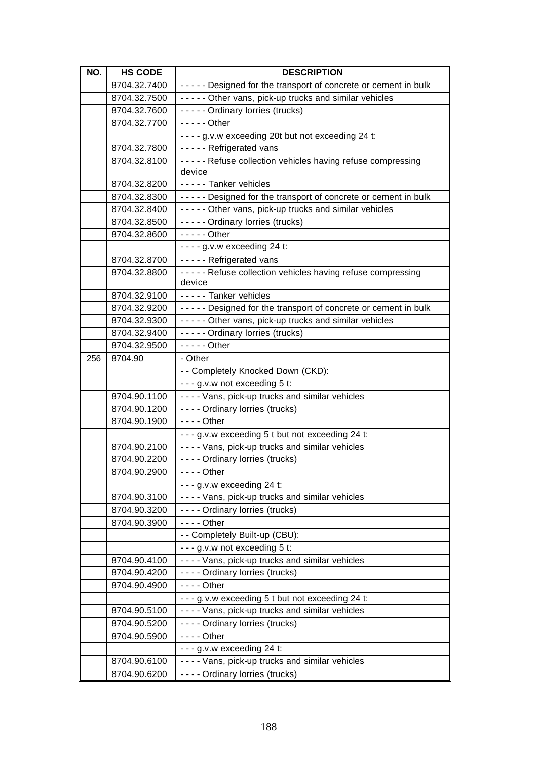| NO. | <b>HS CODE</b>               | <b>DESCRIPTION</b>                                             |
|-----|------------------------------|----------------------------------------------------------------|
|     | 8704.32.7400                 | ----- Designed for the transport of concrete or cement in bulk |
|     | 8704.32.7500                 | ----- Other vans, pick-up trucks and similar vehicles          |
|     | 8704.32.7600                 | ----- Ordinary lorries (trucks)                                |
|     | 8704.32.7700                 | $---$ Other                                                    |
|     |                              | - - - - g.v.w exceeding 20t but not exceeding 24 t:            |
|     | 8704.32.7800                 | ----- Refrigerated vans                                        |
|     | 8704.32.8100                 | ----- Refuse collection vehicles having refuse compressing     |
|     |                              | device                                                         |
|     | 8704.32.8200                 | ----- Tanker vehicles                                          |
|     | 8704.32.8300                 | ----- Designed for the transport of concrete or cement in bulk |
|     | 8704.32.8400                 | ----- Other vans, pick-up trucks and similar vehicles          |
|     | 8704.32.8500                 | ----- Ordinary lorries (trucks)                                |
|     | 8704.32.8600                 | $--$ - - Other                                                 |
|     |                              | $--$ g.v.w exceeding 24 t:                                     |
|     | 8704.32.8700                 | - - - - - Refrigerated vans                                    |
|     | 8704.32.8800                 | ----- Refuse collection vehicles having refuse compressing     |
|     |                              | device                                                         |
|     | 8704.32.9100                 | ----- Tanker vehicles                                          |
|     | 8704.32.9200                 | ----- Designed for the transport of concrete or cement in bulk |
|     | 8704.32.9300                 | ----- Other vans, pick-up trucks and similar vehicles          |
|     | 8704.32.9400<br>8704.32.9500 | ----- Ordinary lorries (trucks)<br>$---$ Other                 |
| 256 | 8704.90                      | - Other                                                        |
|     |                              | - - Completely Knocked Down (CKD):                             |
|     |                              | - - - g.v.w not exceeding 5 t:                                 |
|     | 8704.90.1100                 | ---- Vans, pick-up trucks and similar vehicles                 |
|     | 8704.90.1200                 | - - - - Ordinary lorries (trucks)                              |
|     | 8704.90.1900                 | $--$ Other                                                     |
|     |                              | - - - g.v.w exceeding 5 t but not exceeding 24 t:              |
|     | 8704.90.2100                 | - - - - Vans, pick-up trucks and similar vehicles              |
|     | 8704.90.2200                 | - - - - Ordinary lorries (trucks)                              |
|     | 8704.90.2900                 | $- - -$ Other                                                  |
|     |                              | $- - g.v.w$ exceeding 24 t:                                    |
|     | 8704.90.3100                 | - - - - Vans, pick-up trucks and similar vehicles              |
|     | 8704.90.3200                 | - - - - Ordinary lorries (trucks)                              |
|     | 8704.90.3900                 | $--$ Other                                                     |
|     |                              | - - Completely Built-up (CBU):                                 |
|     |                              | - - - g.v.w not exceeding 5 t:                                 |
|     | 8704.90.4100                 | - - - - Vans, pick-up trucks and similar vehicles              |
|     | 8704.90.4200                 | - - - - Ordinary lorries (trucks)                              |
|     | 8704.90.4900                 | $--$ Other                                                     |
|     |                              | - - - g. v.w exceeding 5 t but not exceeding 24 t:             |
|     | 8704.90.5100                 | - - - - Vans, pick-up trucks and similar vehicles              |
|     | 8704.90.5200                 | - - - - Ordinary lorries (trucks)                              |
|     | 8704.90.5900                 | $--$ Other                                                     |
|     |                              | $- - g.v.w$ exceeding 24 t:                                    |
|     | 8704.90.6100                 | ---- Vans, pick-up trucks and similar vehicles                 |
|     | 8704.90.6200                 | - - - - Ordinary lorries (trucks)                              |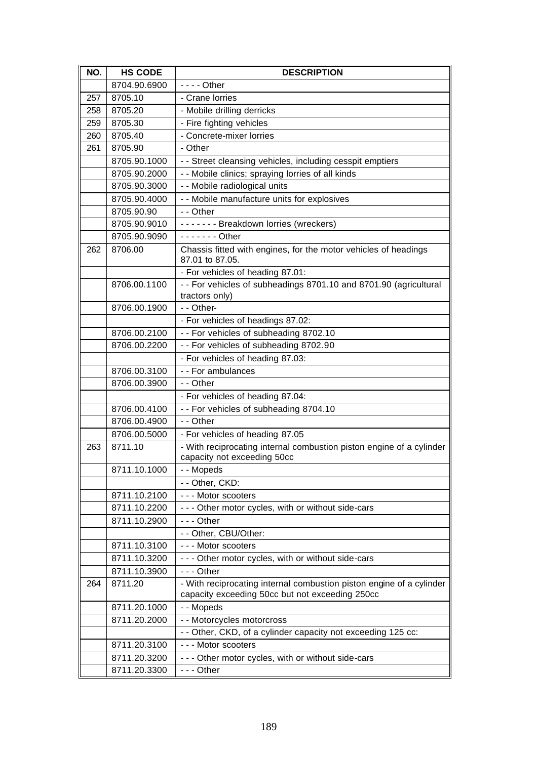| NO. | <b>HS CODE</b> | <b>DESCRIPTION</b>                                                                                                      |
|-----|----------------|-------------------------------------------------------------------------------------------------------------------------|
|     | 8704.90.6900   | $--$ Other                                                                                                              |
| 257 | 8705.10        | - Crane lorries                                                                                                         |
| 258 | 8705.20        | - Mobile drilling derricks                                                                                              |
| 259 | 8705.30        | - Fire fighting vehicles                                                                                                |
| 260 | 8705.40        | - Concrete-mixer lorries                                                                                                |
| 261 | 8705.90        | - Other                                                                                                                 |
|     | 8705.90.1000   | - - Street cleansing vehicles, including cesspit emptiers                                                               |
|     | 8705.90.2000   | - - Mobile clinics; spraying lorries of all kinds                                                                       |
|     | 8705.90.3000   | - - Mobile radiological units                                                                                           |
|     | 8705.90.4000   | - - Mobile manufacture units for explosives                                                                             |
|     | 8705.90.90     | - - Other                                                                                                               |
|     | 8705.90.9010   | ------- Breakdown lorries (wreckers)                                                                                    |
|     | 8705.90.9090   | $---$ Other                                                                                                             |
| 262 | 8706.00        | Chassis fitted with engines, for the motor vehicles of headings<br>87.01 to 87.05.                                      |
|     |                | - For vehicles of heading 87.01:                                                                                        |
|     | 8706.00.1100   | - - For vehicles of subheadings 8701.10 and 8701.90 (agricultural<br>tractors only)                                     |
|     | 8706.00.1900   | $-$ - Other-                                                                                                            |
|     |                | - For vehicles of headings 87.02:                                                                                       |
|     | 8706.00.2100   | - - For vehicles of subheading 8702.10                                                                                  |
|     | 8706.00.2200   | - - For vehicles of subheading 8702.90                                                                                  |
|     |                | - For vehicles of heading 87.03:                                                                                        |
|     | 8706.00.3100   | - - For ambulances                                                                                                      |
|     | 8706.00.3900   | - - Other                                                                                                               |
|     |                | - For vehicles of heading 87.04:                                                                                        |
|     | 8706.00.4100   | - - For vehicles of subheading 8704.10                                                                                  |
|     | 8706.00.4900   | - - Other                                                                                                               |
|     | 8706.00.5000   | - For vehicles of heading 87.05                                                                                         |
| 263 | 8711.10        | - With reciprocating internal combustion piston engine of a cylinder<br>capacity not exceeding 50cc                     |
|     | 8711.10.1000   | - - Mopeds                                                                                                              |
|     |                | - - Other, CKD:                                                                                                         |
|     | 8711.10.2100   | --- Motor scooters                                                                                                      |
|     | 8711.10.2200   | - - - Other motor cycles, with or without side-cars                                                                     |
|     | 8711.10.2900   | $--$ Other                                                                                                              |
|     |                | - - Other, CBU/Other:                                                                                                   |
|     | 8711.10.3100   | --- Motor scooters                                                                                                      |
|     | 8711.10.3200   | - - - Other motor cycles, with or without side-cars                                                                     |
|     | 8711.10.3900   | $--$ Other                                                                                                              |
| 264 | 8711.20        | - With reciprocating internal combustion piston engine of a cylinder<br>capacity exceeding 50cc but not exceeding 250cc |
|     | 8711.20.1000   | - - Mopeds                                                                                                              |
|     | 8711.20.2000   | - - Motorcycles motorcross                                                                                              |
|     |                | - - Other, CKD, of a cylinder capacity not exceeding 125 cc:                                                            |
|     | 8711.20.3100   | --- Motor scooters                                                                                                      |
|     | 8711.20.3200   | - - - Other motor cycles, with or without side-cars                                                                     |
|     | 8711.20.3300   | --- Other                                                                                                               |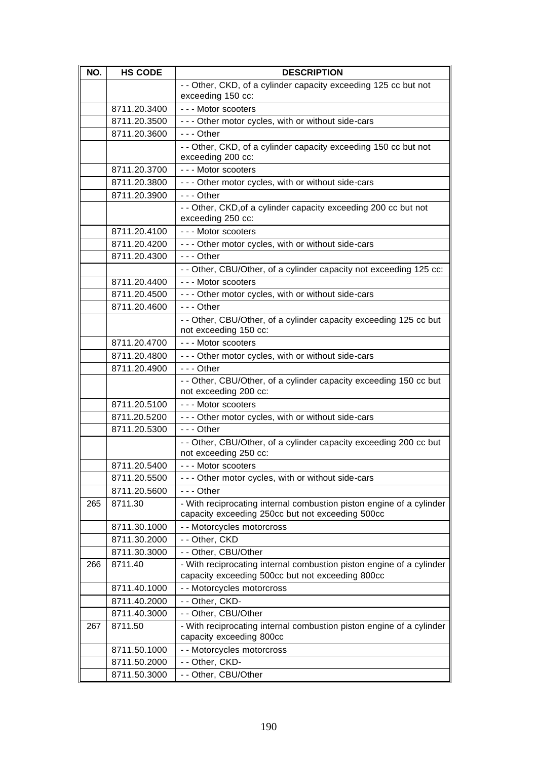| NO. | <b>HS CODE</b> | <b>DESCRIPTION</b>                                                                                                       |
|-----|----------------|--------------------------------------------------------------------------------------------------------------------------|
|     |                | - - Other, CKD, of a cylinder capacity exceeding 125 cc but not                                                          |
|     |                | exceeding 150 cc:                                                                                                        |
|     | 8711.20.3400   | --- Motor scooters                                                                                                       |
|     | 8711.20.3500   | - - - Other motor cycles, with or without side-cars                                                                      |
|     | 8711.20.3600   | $- -$ Other                                                                                                              |
|     |                | - - Other, CKD, of a cylinder capacity exceeding 150 cc but not<br>exceeding 200 cc:                                     |
|     | 8711.20.3700   | - - - Motor scooters                                                                                                     |
|     | 8711.20.3800   | - - - Other motor cycles, with or without side-cars                                                                      |
|     | 8711.20.3900   | $- -$ Other                                                                                                              |
|     |                | - - Other, CKD, of a cylinder capacity exceeding 200 cc but not<br>exceeding 250 cc:                                     |
|     | 8711.20.4100   | --- Motor scooters                                                                                                       |
|     | 8711.20.4200   | - - - Other motor cycles, with or without side-cars                                                                      |
|     | 8711.20.4300   | $- -$ Other                                                                                                              |
|     |                | - - Other, CBU/Other, of a cylinder capacity not exceeding 125 cc:                                                       |
|     | 8711.20.4400   | --- Motor scooters                                                                                                       |
|     | 8711.20.4500   | - - - Other motor cycles, with or without side-cars                                                                      |
|     | 8711.20.4600   | $--$ Other                                                                                                               |
|     |                | - - Other, CBU/Other, of a cylinder capacity exceeding 125 cc but                                                        |
|     |                | not exceeding 150 cc:                                                                                                    |
|     | 8711.20.4700   | --- Motor scooters                                                                                                       |
|     | 8711.20.4800   | - - - Other motor cycles, with or without side-cars                                                                      |
|     | 8711.20.4900   | $--$ Other                                                                                                               |
|     |                | - - Other, CBU/Other, of a cylinder capacity exceeding 150 cc but<br>not exceeding 200 cc:                               |
|     | 8711.20.5100   | --- Motor scooters                                                                                                       |
|     | 8711.20.5200   | - - - Other motor cycles, with or without side-cars                                                                      |
|     | 8711.20.5300   | $- -$ Other                                                                                                              |
|     |                | - - Other, CBU/Other, of a cylinder capacity exceeding 200 cc but<br>not exceeding 250 cc:                               |
|     | 8711.20.5400   | --- Motor scooters                                                                                                       |
|     | 8711.20.5500   | - - - Other motor cycles, with or without side-cars                                                                      |
|     | 8711.20.5600   | --- Other                                                                                                                |
| 265 | 8711.30        | - With reciprocating internal combustion piston engine of a cylinder<br>capacity exceeding 250cc but not exceeding 500cc |
|     | 8711.30.1000   | - - Motorcycles motorcross                                                                                               |
|     | 8711.30.2000   | - - Other, CKD                                                                                                           |
|     | 8711.30.3000   | - - Other, CBU/Other                                                                                                     |
| 266 | 8711.40        | - With reciprocating internal combustion piston engine of a cylinder                                                     |
|     |                | capacity exceeding 500cc but not exceeding 800cc                                                                         |
|     | 8711.40.1000   | - - Motorcycles motorcross                                                                                               |
|     | 8711.40.2000   | - - Other, CKD-                                                                                                          |
|     | 8711.40.3000   | - - Other, CBU/Other                                                                                                     |
| 267 | 8711.50        | - With reciprocating internal combustion piston engine of a cylinder                                                     |
|     |                | capacity exceeding 800cc                                                                                                 |
|     | 8711.50.1000   | - - Motorcycles motorcross                                                                                               |
|     | 8711.50.2000   | - - Other, CKD-                                                                                                          |
|     | 8711.50.3000   | - - Other, CBU/Other                                                                                                     |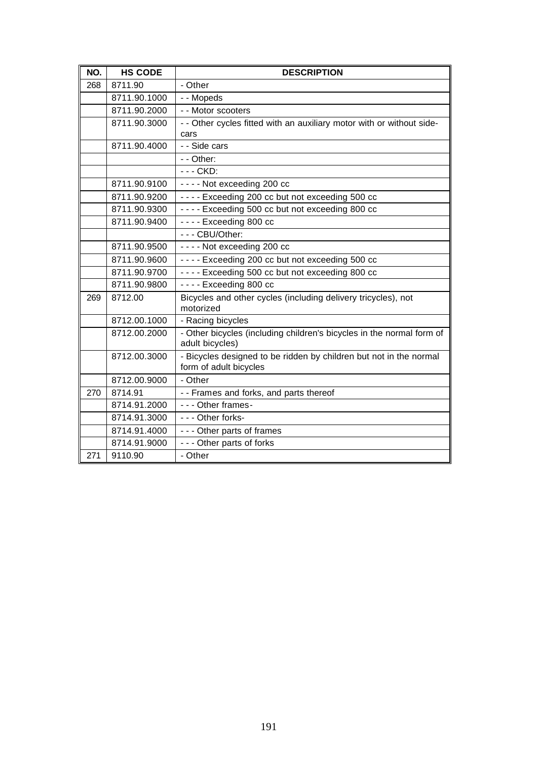| NO. | <b>HS CODE</b> | <b>DESCRIPTION</b>                                                                           |
|-----|----------------|----------------------------------------------------------------------------------------------|
| 268 | 8711.90        | - Other                                                                                      |
|     | 8711.90.1000   | - - Mopeds                                                                                   |
|     | 8711.90.2000   | - - Motor scooters                                                                           |
|     | 8711.90.3000   | - - Other cycles fitted with an auxiliary motor with or without side-                        |
|     |                | cars                                                                                         |
|     | 8711.90.4000   | - - Side cars                                                                                |
|     |                | - - Other:                                                                                   |
|     |                | - - - CKD:                                                                                   |
|     | 8711.90.9100   | ---- Not exceeding 200 cc                                                                    |
|     | 8711.90.9200   | ---- Exceeding 200 cc but not exceeding 500 cc                                               |
|     | 8711.90.9300   | ---- Exceeding 500 cc but not exceeding 800 cc                                               |
|     | 8711.90.9400   | $--$ Exceeding 800 cc                                                                        |
|     |                | --- CBU/Other:                                                                               |
|     | 8711.90.9500   | ---- Not exceeding 200 cc                                                                    |
|     | 8711.90.9600   | ---- Exceeding 200 cc but not exceeding 500 cc                                               |
|     | 8711.90.9700   | ---- Exceeding 500 cc but not exceeding 800 cc                                               |
|     | 8711.90.9800   | $--$ Exceeding 800 cc                                                                        |
| 269 | 8712.00        | Bicycles and other cycles (including delivery tricycles), not<br>motorized                   |
|     | 8712.00.1000   | - Racing bicycles                                                                            |
|     | 8712.00.2000   | - Other bicycles (including children's bicycles in the normal form of<br>adult bicycles)     |
|     | 8712.00.3000   | - Bicycles designed to be ridden by children but not in the normal<br>form of adult bicycles |
|     | 8712.00.9000   | - Other                                                                                      |
| 270 | 8714.91        | - - Frames and forks, and parts thereof                                                      |
|     | 8714.91.2000   | - - - Other frames-                                                                          |
|     | 8714.91.3000   | --- Other forks-                                                                             |
|     | 8714.91.4000   | --- Other parts of frames                                                                    |
|     | 8714.91.9000   | - - - Other parts of forks                                                                   |
| 271 | 9110.90        | - Other                                                                                      |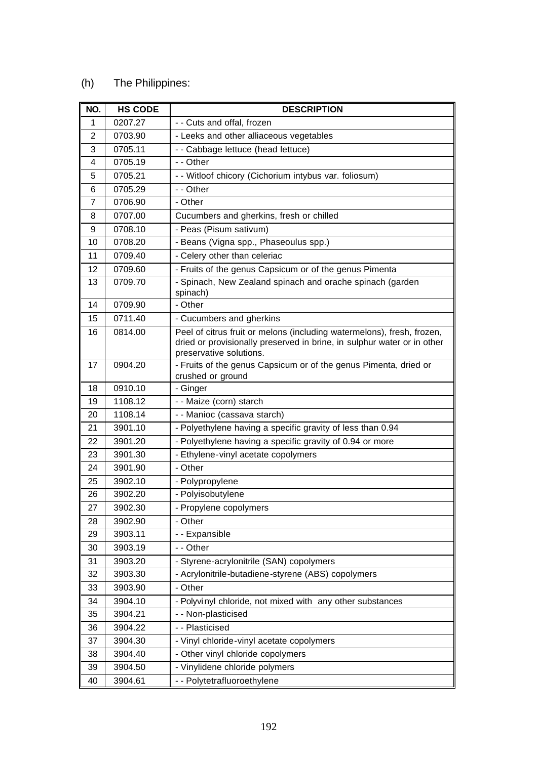## (h) The Philippines:

| NO.            | <b>HS CODE</b> | <b>DESCRIPTION</b>                                                                                                                                |
|----------------|----------------|---------------------------------------------------------------------------------------------------------------------------------------------------|
| 1              | 0207.27        | - - Cuts and offal, frozen                                                                                                                        |
| $\overline{2}$ | 0703.90        | - Leeks and other alliaceous vegetables                                                                                                           |
| 3              | 0705.11        | - - Cabbage lettuce (head lettuce)                                                                                                                |
| 4              | 0705.19        | - - Other                                                                                                                                         |
| 5              | 0705.21        | - - Witloof chicory (Cichorium intybus var. foliosum)                                                                                             |
| 6              | 0705.29        | - - Other                                                                                                                                         |
| 7              | 0706.90        | - Other                                                                                                                                           |
| 8              | 0707.00        | Cucumbers and gherkins, fresh or chilled                                                                                                          |
| 9              | 0708.10        | - Peas (Pisum sativum)                                                                                                                            |
| 10             | 0708.20        | - Beans (Vigna spp., Phaseoulus spp.)                                                                                                             |
| 11             | 0709.40        | - Celery other than celeriac                                                                                                                      |
| 12             | 0709.60        | - Fruits of the genus Capsicum or of the genus Pimenta                                                                                            |
| 13             | 0709.70        | - Spinach, New Zealand spinach and orache spinach (garden<br>spinach)                                                                             |
| 14             | 0709.90        | - Other                                                                                                                                           |
| 15             | 0711.40        | - Cucumbers and gherkins                                                                                                                          |
| 16             | 0814.00        | Peel of citrus fruit or melons (including watermelons), fresh, frozen,<br>dried or provisionally preserved in brine, in sulphur water or in other |
| 17             | 0904.20        | preservative solutions.                                                                                                                           |
|                |                | - Fruits of the genus Capsicum or of the genus Pimenta, dried or<br>crushed or ground                                                             |
| 18             | 0910.10        | - Ginger                                                                                                                                          |
| 19             | 1108.12        | - - Maize (corn) starch                                                                                                                           |
| 20             | 1108.14        | - - Manioc (cassava starch)                                                                                                                       |
| 21             | 3901.10        | - Polyethylene having a specific gravity of less than 0.94                                                                                        |
| 22             | 3901.20        | - Polyethylene having a specific gravity of 0.94 or more                                                                                          |
| 23             | 3901.30        | - Ethylene-vinyl acetate copolymers                                                                                                               |
| 24             | 3901.90        | - Other                                                                                                                                           |
| 25             | 3902.10        | - Polypropylene                                                                                                                                   |
| 26             | 3902.20        | - Polyisobutylene                                                                                                                                 |
| 27             | 3902.30        | - Propylene copolymers                                                                                                                            |
| 28             | 3902.90        | - Other                                                                                                                                           |
| 29             | 3903.11        | - - Expansible                                                                                                                                    |
| 30             | 3903.19        | - - Other                                                                                                                                         |
| 31             | 3903.20        | - Styrene-acrylonitrile (SAN) copolymers                                                                                                          |
| 32             | 3903.30        | - Acrylonitrile-butadiene-styrene (ABS) copolymers                                                                                                |
| 33             | 3903.90        | - Other                                                                                                                                           |
| 34             | 3904.10        | - Polyvinyl chloride, not mixed with any other substances                                                                                         |
| 35             | 3904.21        | - - Non-plasticised                                                                                                                               |
| 36             | 3904.22        | - - Plasticised                                                                                                                                   |
| 37             | 3904.30        | - Vinyl chloride-vinyl acetate copolymers                                                                                                         |
| 38             | 3904.40        | - Other vinyl chloride copolymers                                                                                                                 |
| 39             | 3904.50        | - Vinylidene chloride polymers                                                                                                                    |
| 40             | 3904.61        | - - Polytetrafluoroethylene                                                                                                                       |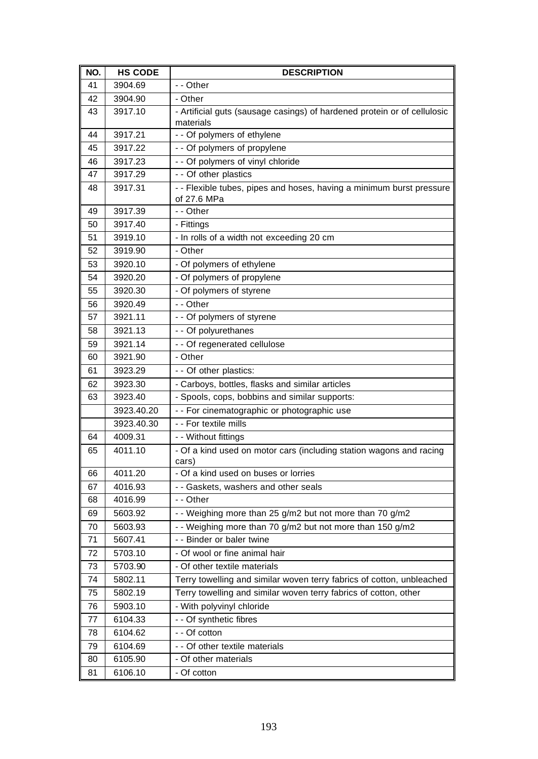| NO. | <b>HS CODE</b> | <b>DESCRIPTION</b>                                                                    |
|-----|----------------|---------------------------------------------------------------------------------------|
| 41  | 3904.69        | - - Other                                                                             |
| 42  | 3904.90        | - Other                                                                               |
| 43  | 3917.10        | - Artificial guts (sausage casings) of hardened protein or of cellulosic<br>materials |
| 44  | 3917.21        | - - Of polymers of ethylene                                                           |
| 45  | 3917.22        | - - Of polymers of propylene                                                          |
| 46  | 3917.23        | - - Of polymers of vinyl chloride                                                     |
| 47  | 3917.29        | - - Of other plastics                                                                 |
| 48  | 3917.31        | -- Flexible tubes, pipes and hoses, having a minimum burst pressure                   |
|     |                | of 27.6 MPa                                                                           |
| 49  | 3917.39        | - - Other                                                                             |
| 50  | 3917.40        | - Fittings                                                                            |
| 51  | 3919.10        | - In rolls of a width not exceeding 20 cm                                             |
| 52  | 3919.90        | - Other                                                                               |
| 53  | 3920.10        | - Of polymers of ethylene                                                             |
| 54  | 3920.20        | - Of polymers of propylene                                                            |
| 55  | 3920.30        | - Of polymers of styrene                                                              |
| 56  | 3920.49        | - - Other                                                                             |
| 57  | 3921.11        | - - Of polymers of styrene                                                            |
| 58  | 3921.13        | - - Of polyurethanes                                                                  |
| 59  | 3921.14        | - - Of regenerated cellulose                                                          |
| 60  | 3921.90        | - Other                                                                               |
| 61  | 3923.29        | - - Of other plastics:                                                                |
| 62  | 3923.30        | - Carboys, bottles, flasks and similar articles                                       |
| 63  | 3923.40        | - Spools, cops, bobbins and similar supports:                                         |
|     | 3923.40.20     | - - For cinematographic or photographic use                                           |
|     | 3923.40.30     | - - For textile mills                                                                 |
| 64  | 4009.31        | - - Without fittings                                                                  |
| 65  | 4011.10        | - Of a kind used on motor cars (including station wagons and racing<br>cars)          |
| 66  | 4011.20        | - Of a kind used on buses or lorries                                                  |
| 67  | 4016.93        | - - Gaskets, washers and other seals                                                  |
| 68  | 4016.99        | - - Other                                                                             |
| 69  | 5603.92        | - - Weighing more than 25 g/m2 but not more than 70 g/m2                              |
| 70  | 5603.93        | - - Weighing more than 70 g/m2 but not more than 150 g/m2                             |
| 71  | 5607.41        | - - Binder or baler twine                                                             |
| 72  | 5703.10        | - Of wool or fine animal hair                                                         |
| 73  | 5703.90        | - Of other textile materials                                                          |
| 74  | 5802.11        | Terry towelling and similar woven terry fabrics of cotton, unbleached                 |
| 75  | 5802.19        | Terry towelling and similar woven terry fabrics of cotton, other                      |
| 76  | 5903.10        | - With polyvinyl chloride                                                             |
| 77  | 6104.33        | - - Of synthetic fibres                                                               |
| 78  | 6104.62        | - - Of cotton                                                                         |
| 79  | 6104.69        | - - Of other textile materials                                                        |
| 80  | 6105.90        | - Of other materials                                                                  |
| 81  | 6106.10        | - Of cotton                                                                           |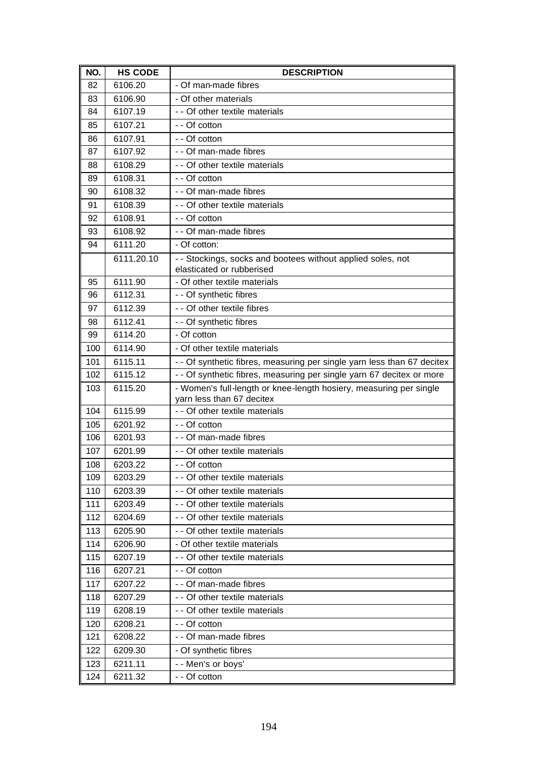| NO. | <b>HS CODE</b> | <b>DESCRIPTION</b>                                                                              |
|-----|----------------|-------------------------------------------------------------------------------------------------|
| 82  | 6106.20        | - Of man-made fibres                                                                            |
| 83  | 6106.90        | - Of other materials                                                                            |
| 84  | 6107.19        | - - Of other textile materials                                                                  |
| 85  | 6107.21        | - - Of cotton                                                                                   |
| 86  | 6107.91        | - - Of cotton                                                                                   |
| 87  | 6107.92        | - - Of man-made fibres                                                                          |
| 88  | 6108.29        | - - Of other textile materials                                                                  |
| 89  | 6108.31        | - - Of cotton                                                                                   |
| 90  | 6108.32        | - - Of man-made fibres                                                                          |
| 91  | 6108.39        | - - Of other textile materials                                                                  |
| 92  | 6108.91        | - - Of cotton                                                                                   |
| 93  | 6108.92        | - - Of man-made fibres                                                                          |
| 94  | 6111.20        | - Of cotton:                                                                                    |
|     | 6111.20.10     | - - Stockings, socks and bootees without applied soles, not<br>elasticated or rubberised        |
| 95  | 6111.90        | - Of other textile materials                                                                    |
| 96  | 6112.31        | - - Of synthetic fibres                                                                         |
| 97  | 6112.39        | - - Of other textile fibres                                                                     |
| 98  | 6112.41        | - - Of synthetic fibres                                                                         |
| 99  | 6114.20        | - Of cotton                                                                                     |
| 100 | 6114.90        | - Of other textile materials                                                                    |
| 101 | 6115.11        | - - Of synthetic fibres, measuring per single yarn less than 67 decitex                         |
| 102 | 6115.12        | - - Of synthetic fibres, measuring per single yarn 67 decitex or more                           |
| 103 | 6115.20        | - Women's full-length or knee-length hosiery, measuring per single<br>yarn less than 67 decitex |
| 104 | 6115.99        | - - Of other textile materials                                                                  |
| 105 | 6201.92        | - - Of cotton                                                                                   |
| 106 | 6201.93        | - - Of man-made fibres                                                                          |
| 107 | 6201.99        | - - Of other textile materials                                                                  |
| 108 | 6203.22        | - - Of cotton                                                                                   |
| 109 | 6203.29        | - - Of other textile materials                                                                  |
| 110 | 6203.39        | - - Of other textile materials                                                                  |
| 111 | 6203.49        | - - Of other textile materials                                                                  |
| 112 | 6204.69        | - - Of other textile materials                                                                  |
| 113 | 6205.90        | - - Of other textile materials                                                                  |
| 114 | 6206.90        | - Of other textile materials                                                                    |
| 115 | 6207.19        | - - Of other textile materials                                                                  |
| 116 | 6207.21        | - - Of cotton                                                                                   |
| 117 | 6207.22        | - - Of man-made fibres                                                                          |
| 118 | 6207.29        | - - Of other textile materials                                                                  |
| 119 | 6208.19        | - - Of other textile materials                                                                  |
| 120 | 6208.21        | - - Of cotton                                                                                   |
| 121 | 6208.22        | - - Of man-made fibres                                                                          |
| 122 | 6209.30        | - Of synthetic fibres                                                                           |
| 123 | 6211.11        | - - Men's or boys'                                                                              |
| 124 | 6211.32        | - - Of cotton                                                                                   |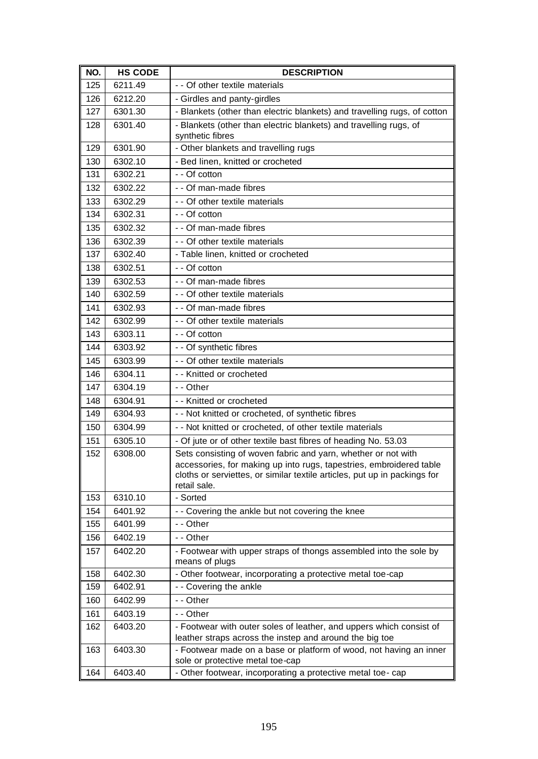| NO. | <b>HS CODE</b> | <b>DESCRIPTION</b>                                                                                                                                                                                                                |
|-----|----------------|-----------------------------------------------------------------------------------------------------------------------------------------------------------------------------------------------------------------------------------|
| 125 | 6211.49        | - - Of other textile materials                                                                                                                                                                                                    |
| 126 | 6212.20        | - Girdles and panty-girdles                                                                                                                                                                                                       |
| 127 | 6301.30        | - Blankets (other than electric blankets) and travelling rugs, of cotton                                                                                                                                                          |
| 128 | 6301.40        | - Blankets (other than electric blankets) and travelling rugs, of                                                                                                                                                                 |
|     |                | synthetic fibres                                                                                                                                                                                                                  |
| 129 | 6301.90        | - Other blankets and travelling rugs                                                                                                                                                                                              |
| 130 | 6302.10        | - Bed linen, knitted or crocheted                                                                                                                                                                                                 |
| 131 | 6302.21        | - - Of cotton                                                                                                                                                                                                                     |
| 132 | 6302.22        | - - Of man-made fibres                                                                                                                                                                                                            |
| 133 | 6302.29        | - - Of other textile materials                                                                                                                                                                                                    |
| 134 | 6302.31        | - - Of cotton                                                                                                                                                                                                                     |
| 135 | 6302.32        | - - Of man-made fibres                                                                                                                                                                                                            |
| 136 | 6302.39        | - - Of other textile materials                                                                                                                                                                                                    |
| 137 | 6302.40        | - Table linen, knitted or crocheted                                                                                                                                                                                               |
| 138 | 6302.51        | - - Of cotton                                                                                                                                                                                                                     |
| 139 | 6302.53        | - - Of man-made fibres                                                                                                                                                                                                            |
| 140 | 6302.59        | - - Of other textile materials                                                                                                                                                                                                    |
| 141 | 6302.93        | - - Of man-made fibres                                                                                                                                                                                                            |
| 142 | 6302.99        | - - Of other textile materials                                                                                                                                                                                                    |
| 143 | 6303.11        | - - Of cotton                                                                                                                                                                                                                     |
| 144 | 6303.92        | - - Of synthetic fibres                                                                                                                                                                                                           |
| 145 | 6303.99        | - - Of other textile materials                                                                                                                                                                                                    |
| 146 | 6304.11        | - - Knitted or crocheted                                                                                                                                                                                                          |
| 147 | 6304.19        | - - Other                                                                                                                                                                                                                         |
| 148 | 6304.91        | - - Knitted or crocheted                                                                                                                                                                                                          |
| 149 | 6304.93        | - - Not knitted or crocheted, of synthetic fibres                                                                                                                                                                                 |
| 150 | 6304.99        | - - Not knitted or crocheted, of other textile materials                                                                                                                                                                          |
| 151 | 6305.10        | - Of jute or of other textile bast fibres of heading No. 53.03                                                                                                                                                                    |
| 152 | 6308.00        | Sets consisting of woven fabric and yarn, whether or not with<br>accessories, for making up into rugs, tapestries, embroidered table<br>cloths or serviettes, or similar textile articles, put up in packings for<br>retail sale. |
| 153 | 6310.10        | - Sorted                                                                                                                                                                                                                          |
| 154 | 6401.92        | - - Covering the ankle but not covering the knee                                                                                                                                                                                  |
| 155 | 6401.99        | - - Other                                                                                                                                                                                                                         |
| 156 | 6402.19        | - - Other                                                                                                                                                                                                                         |
| 157 | 6402.20        | - Footwear with upper straps of thongs assembled into the sole by<br>means of plugs                                                                                                                                               |
| 158 | 6402.30        | - Other footwear, incorporating a protective metal toe-cap                                                                                                                                                                        |
| 159 | 6402.91        | - - Covering the ankle                                                                                                                                                                                                            |
| 160 | 6402.99        | - - Other                                                                                                                                                                                                                         |
| 161 | 6403.19        | - - Other                                                                                                                                                                                                                         |
| 162 | 6403.20        | - Footwear with outer soles of leather, and uppers which consist of                                                                                                                                                               |
|     |                | leather straps across the instep and around the big toe                                                                                                                                                                           |
| 163 | 6403.30        | - Footwear made on a base or platform of wood, not having an inner                                                                                                                                                                |
|     |                | sole or protective metal toe-cap                                                                                                                                                                                                  |
| 164 | 6403.40        | - Other footwear, incorporating a protective metal toe-cap                                                                                                                                                                        |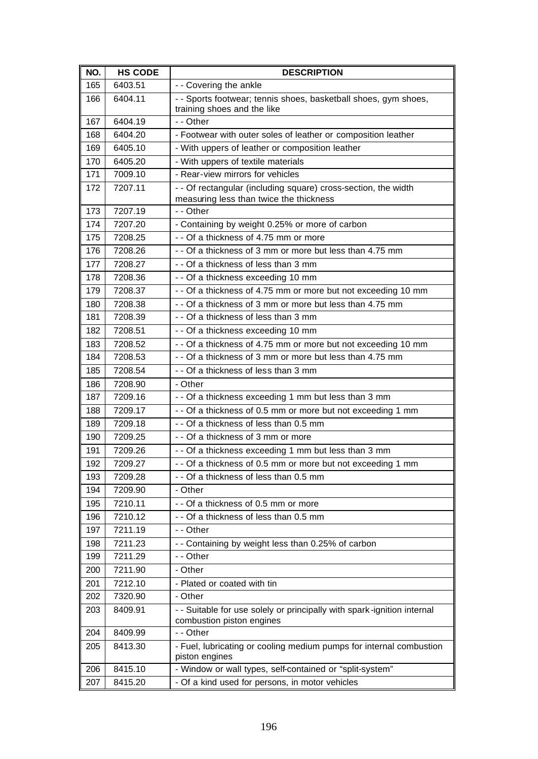| NO. | <b>HS CODE</b> | <b>DESCRIPTION</b>                                                                                        |
|-----|----------------|-----------------------------------------------------------------------------------------------------------|
| 165 | 6403.51        | - - Covering the ankle                                                                                    |
| 166 | 6404.11        | - - Sports footwear; tennis shoes, basketball shoes, gym shoes,<br>training shoes and the like            |
| 167 | 6404.19        | - - Other                                                                                                 |
| 168 | 6404.20        | - Footwear with outer soles of leather or composition leather                                             |
| 169 | 6405.10        | - With uppers of leather or composition leather                                                           |
| 170 | 6405.20        | - With uppers of textile materials                                                                        |
| 171 | 7009.10        | - Rear-view mirrors for vehicles                                                                          |
| 172 | 7207.11        | - - Of rectangular (including square) cross-section, the width<br>measuring less than twice the thickness |
| 173 | 7207.19        | - - Other                                                                                                 |
| 174 | 7207.20        | - Containing by weight 0.25% or more of carbon                                                            |
| 175 | 7208.25        | - - Of a thickness of 4.75 mm or more                                                                     |
| 176 | 7208.26        | - - Of a thickness of 3 mm or more but less than 4.75 mm                                                  |
| 177 | 7208.27        | - - Of a thickness of less than 3 mm                                                                      |
| 178 | 7208.36        | - - Of a thickness exceeding 10 mm                                                                        |
| 179 | 7208.37        | - - Of a thickness of 4.75 mm or more but not exceeding 10 mm                                             |
| 180 | 7208.38        | - - Of a thickness of 3 mm or more but less than 4.75 mm                                                  |
| 181 | 7208.39        | - - Of a thickness of less than 3 mm                                                                      |
| 182 | 7208.51        | - - Of a thickness exceeding 10 mm                                                                        |
| 183 | 7208.52        | - - Of a thickness of 4.75 mm or more but not exceeding 10 mm                                             |
| 184 | 7208.53        | - - Of a thickness of 3 mm or more but less than 4.75 mm                                                  |
| 185 | 7208.54        | - - Of a thickness of less than 3 mm                                                                      |
| 186 | 7208.90        | - Other                                                                                                   |
| 187 | 7209.16        | - - Of a thickness exceeding 1 mm but less than 3 mm                                                      |
| 188 | 7209.17        | - - Of a thickness of 0.5 mm or more but not exceeding 1 mm                                               |
| 189 | 7209.18        | - - Of a thickness of less than 0.5 mm                                                                    |
| 190 | 7209.25        | - - Of a thickness of 3 mm or more                                                                        |
| 191 | 7209.26        | - - Of a thickness exceeding 1 mm but less than 3 mm                                                      |
| 192 | 7209.27        | - - Of a thickness of 0.5 mm or more but not exceeding 1 mm                                               |
| 193 | 7209.28        | - - Of a thickness of less than 0.5 mm                                                                    |
| 194 | 7209.90        | - Other                                                                                                   |
| 195 | 7210.11        | - - Of a thickness of 0.5 mm or more                                                                      |
| 196 | 7210.12        | - - Of a thickness of less than 0.5 mm                                                                    |
| 197 | 7211.19        | - - Other                                                                                                 |
| 198 | 7211.23        | - - Containing by weight less than 0.25% of carbon                                                        |
| 199 | 7211.29        | - - Other                                                                                                 |
| 200 | 7211.90        | - Other                                                                                                   |
| 201 | 7212.10        | - Plated or coated with tin                                                                               |
| 202 | 7320.90        | - Other                                                                                                   |
| 203 | 8409.91        | - - Suitable for use solely or principally with spark-ignition internal<br>combustion piston engines      |
| 204 | 8409.99        | - - Other                                                                                                 |
| 205 | 8413.30        | - Fuel, lubricating or cooling medium pumps for internal combustion<br>piston engines                     |
| 206 | 8415.10        | - Window or wall types, self-contained or "split-system"                                                  |
| 207 | 8415.20        | - Of a kind used for persons, in motor vehicles                                                           |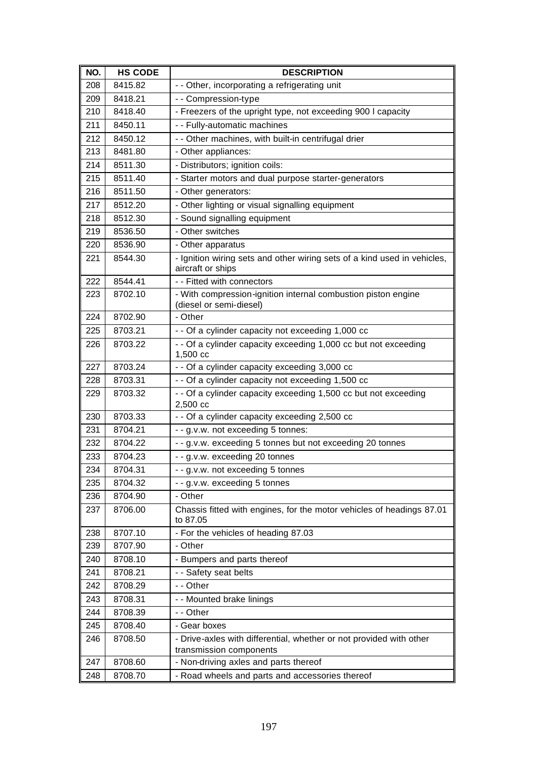| NO. | <b>HS CODE</b> | <b>DESCRIPTION</b>                                                                             |
|-----|----------------|------------------------------------------------------------------------------------------------|
| 208 | 8415.82        | - - Other, incorporating a refrigerating unit                                                  |
| 209 | 8418.21        | - - Compression-type                                                                           |
| 210 | 8418.40        | - Freezers of the upright type, not exceeding 900 I capacity                                   |
| 211 | 8450.11        | - - Fully-automatic machines                                                                   |
| 212 | 8450.12        | - - Other machines, with built-in centrifugal drier                                            |
| 213 | 8481.80        | - Other appliances:                                                                            |
| 214 | 8511.30        | - Distributors; ignition coils:                                                                |
| 215 | 8511.40        | - Starter motors and dual purpose starter-generators                                           |
| 216 | 8511.50        | - Other generators:                                                                            |
| 217 | 8512.20        | - Other lighting or visual signalling equipment                                                |
| 218 | 8512.30        | - Sound signalling equipment                                                                   |
| 219 | 8536.50        | - Other switches                                                                               |
| 220 | 8536.90        | - Other apparatus                                                                              |
| 221 | 8544.30        | - Ignition wiring sets and other wiring sets of a kind used in vehicles,<br>aircraft or ships  |
| 222 | 8544.41        | - - Fitted with connectors                                                                     |
| 223 | 8702.10        | - With compression-ignition internal combustion piston engine<br>(diesel or semi-diesel)       |
| 224 | 8702.90        | - Other                                                                                        |
| 225 | 8703.21        | - - Of a cylinder capacity not exceeding 1,000 cc                                              |
| 226 | 8703.22        | - - Of a cylinder capacity exceeding 1,000 cc but not exceeding<br>1,500 cc                    |
| 227 | 8703.24        | - - Of a cylinder capacity exceeding 3,000 cc                                                  |
| 228 | 8703.31        | - - Of a cylinder capacity not exceeding 1,500 cc                                              |
| 229 | 8703.32        | - - Of a cylinder capacity exceeding 1,500 cc but not exceeding<br>2,500 cc                    |
| 230 | 8703.33        | - - Of a cylinder capacity exceeding 2,500 cc                                                  |
| 231 | 8704.21        | - - g.v.w. not exceeding 5 tonnes:                                                             |
| 232 | 8704.22        | - - g.v.w. exceeding 5 tonnes but not exceeding 20 tonnes                                      |
| 233 | 8704.23        | - - g.v.w. exceeding 20 tonnes                                                                 |
| 234 | 8704.31        | - - g.v.w. not exceeding 5 tonnes                                                              |
| 235 | 8704.32        | - - g.v.w. exceeding 5 tonnes                                                                  |
| 236 | 8704.90        | - Other                                                                                        |
| 237 | 8706.00        | Chassis fitted with engines, for the motor vehicles of headings 87.01<br>to 87.05              |
| 238 | 8707.10        | - For the vehicles of heading 87.03                                                            |
| 239 | 8707.90        | - Other                                                                                        |
| 240 | 8708.10        | - Bumpers and parts thereof                                                                    |
| 241 | 8708.21        | - - Safety seat belts                                                                          |
| 242 | 8708.29        | - - Other                                                                                      |
| 243 | 8708.31        | - - Mounted brake linings                                                                      |
| 244 | 8708.39        | - - Other                                                                                      |
| 245 | 8708.40        | - Gear boxes                                                                                   |
| 246 | 8708.50        | - Drive-axles with differential, whether or not provided with other<br>transmission components |
| 247 | 8708.60        | - Non-driving axles and parts thereof                                                          |
| 248 | 8708.70        | - Road wheels and parts and accessories thereof                                                |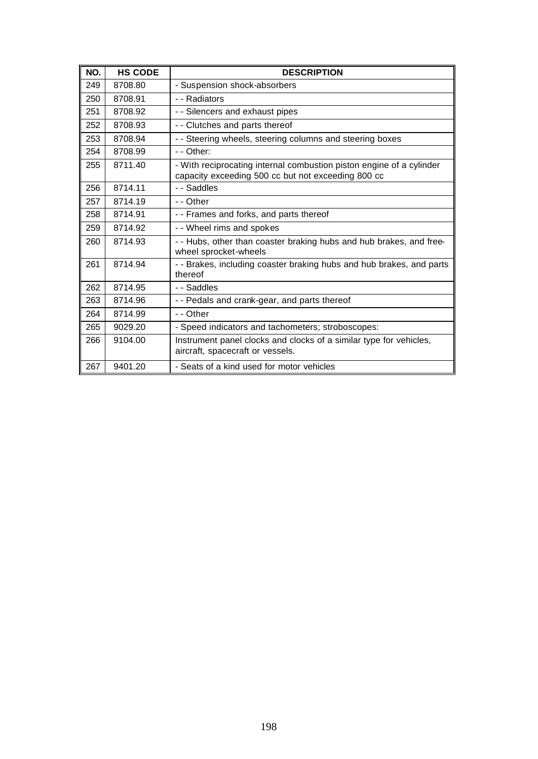| NO. | <b>HS CODE</b> | <b>DESCRIPTION</b>                                                                                                         |
|-----|----------------|----------------------------------------------------------------------------------------------------------------------------|
| 249 | 8708.80        | - Suspension shock-absorbers                                                                                               |
| 250 | 8708.91        | - - Radiators                                                                                                              |
| 251 | 8708.92        | - - Silencers and exhaust pipes                                                                                            |
| 252 | 8708.93        | - - Clutches and parts thereof                                                                                             |
| 253 | 8708.94        | - - Steering wheels, steering columns and steering boxes                                                                   |
| 254 | 8708.99        | $-$ - Other:                                                                                                               |
| 255 | 8711.40        | - With reciprocating internal combustion piston engine of a cylinder<br>capacity exceeding 500 cc but not exceeding 800 cc |
| 256 | 8714.11        | - - Saddles                                                                                                                |
| 257 | 8714.19        | - - Other                                                                                                                  |
| 258 | 8714.91        | - - Frames and forks, and parts thereof                                                                                    |
| 259 | 8714.92        | - - Wheel rims and spokes                                                                                                  |
| 260 | 8714.93        | - - Hubs, other than coaster braking hubs and hub brakes, and free-<br>wheel sprocket-wheels                               |
| 261 | 8714.94        | - - Brakes, including coaster braking hubs and hub brakes, and parts<br>thereof                                            |
| 262 | 8714.95        | - - Saddles                                                                                                                |
| 263 | 8714.96        | - - Pedals and crank-gear, and parts thereof                                                                               |
| 264 | 8714.99        | - - Other                                                                                                                  |
| 265 | 9029.20        | - Speed indicators and tachometers; stroboscopes:                                                                          |
| 266 | 9104.00        | Instrument panel clocks and clocks of a similar type for vehicles,<br>aircraft, spacecraft or vessels.                     |
| 267 | 9401.20        | - Seats of a kind used for motor vehicles                                                                                  |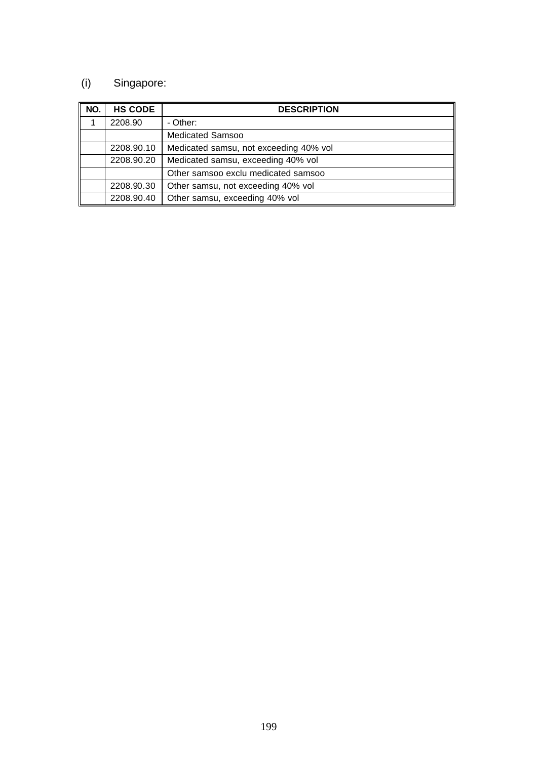# (i) Singapore:

| NO. | <b>HS CODE</b> | <b>DESCRIPTION</b>                     |
|-----|----------------|----------------------------------------|
|     | 2208.90        | - Other:                               |
|     |                | <b>Medicated Samsoo</b>                |
|     | 2208.90.10     | Medicated samsu, not exceeding 40% vol |
|     | 2208.90.20     | Medicated samsu, exceeding 40% vol     |
|     |                | Other samsoo exclu medicated samsoo    |
|     | 2208.90.30     | Other samsu, not exceeding 40% vol     |
|     | 2208.90.40     | Other samsu, exceeding 40% vol         |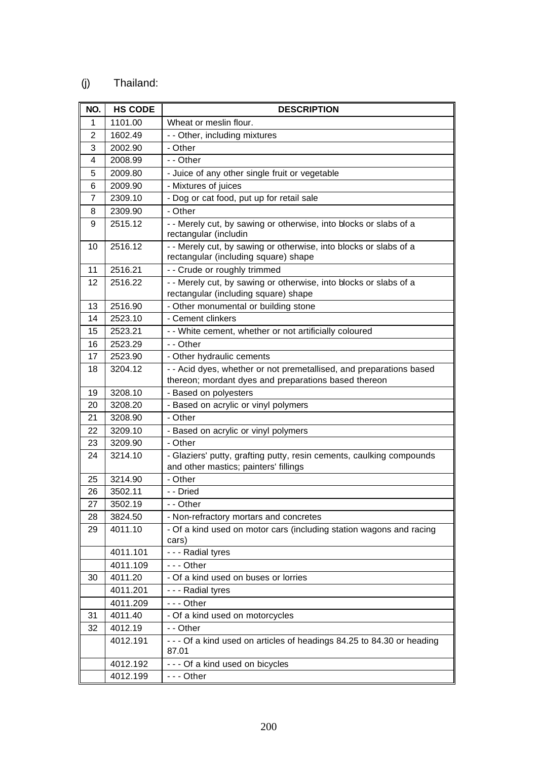## (j) Thailand:

| NO. | <b>HS CODE</b> | <b>DESCRIPTION</b>                                                                                                          |
|-----|----------------|-----------------------------------------------------------------------------------------------------------------------------|
| 1   | 1101.00        | Wheat or meslin flour.                                                                                                      |
| 2   | 1602.49        | - - Other, including mixtures                                                                                               |
| 3   | 2002.90        | - Other                                                                                                                     |
| 4   | 2008.99        | - - Other                                                                                                                   |
| 5   | 2009.80        | - Juice of any other single fruit or vegetable                                                                              |
| 6   | 2009.90        | - Mixtures of juices                                                                                                        |
| 7   | 2309.10        | - Dog or cat food, put up for retail sale                                                                                   |
| 8   | 2309.90        | - Other                                                                                                                     |
| 9   | 2515.12        | - - Merely cut, by sawing or otherwise, into blocks or slabs of a<br>rectangular (includin                                  |
| 10  | 2516.12        | - - Merely cut, by sawing or otherwise, into blocks or slabs of a<br>rectangular (including square) shape                   |
| 11  | 2516.21        | -- Crude or roughly trimmed                                                                                                 |
| 12  | 2516.22        | - - Merely cut, by sawing or otherwise, into blocks or slabs of a<br>rectangular (including square) shape                   |
| 13  | 2516.90        | - Other monumental or building stone                                                                                        |
| 14  | 2523.10        | - Cement clinkers                                                                                                           |
| 15  | 2523.21        | - - White cement, whether or not artificially coloured                                                                      |
| 16  | 2523.29        | - - Other                                                                                                                   |
| 17  | 2523.90        | - Other hydraulic cements                                                                                                   |
| 18  | 3204.12        | - - Acid dyes, whether or not premetallised, and preparations based<br>thereon; mordant dyes and preparations based thereon |
| 19  | 3208.10        | - Based on polyesters                                                                                                       |
| 20  | 3208.20        | - Based on acrylic or vinyl polymers                                                                                        |
| 21  | 3208.90        | - Other                                                                                                                     |
| 22  | 3209.10        | - Based on acrylic or vinyl polymers                                                                                        |
| 23  | 3209.90        | - Other                                                                                                                     |
| 24  | 3214.10        | - Glaziers' putty, grafting putty, resin cements, caulking compounds<br>and other mastics; painters' fillings               |
| 25  | 3214.90        | - Other                                                                                                                     |
| 26  | 3502.11        | - - Dried                                                                                                                   |
| 27  | 3502.19        | - - Other                                                                                                                   |
| 28  | 3824.50        | - Non-refractory mortars and concretes                                                                                      |
| 29  | 4011.10        | - Of a kind used on motor cars (including station wagons and racing<br>cars)                                                |
|     | 4011.101       | - - - Radial tyres                                                                                                          |
|     | 4011.109       | $- -$ Other                                                                                                                 |
| 30  | 4011.20        | - Of a kind used on buses or lorries                                                                                        |
|     | 4011.201       | - - - Radial tyres                                                                                                          |
|     | 4011.209       | --- Other                                                                                                                   |
| 31  | 4011.40        | - Of a kind used on motorcycles                                                                                             |
| 32  | 4012.19        | - - Other                                                                                                                   |
|     | 4012.191       | - - - Of a kind used on articles of headings 84.25 to 84.30 or heading<br>87.01                                             |
|     | 4012.192       | --- Of a kind used on bicycles                                                                                              |
|     | 4012.199       | --- Other                                                                                                                   |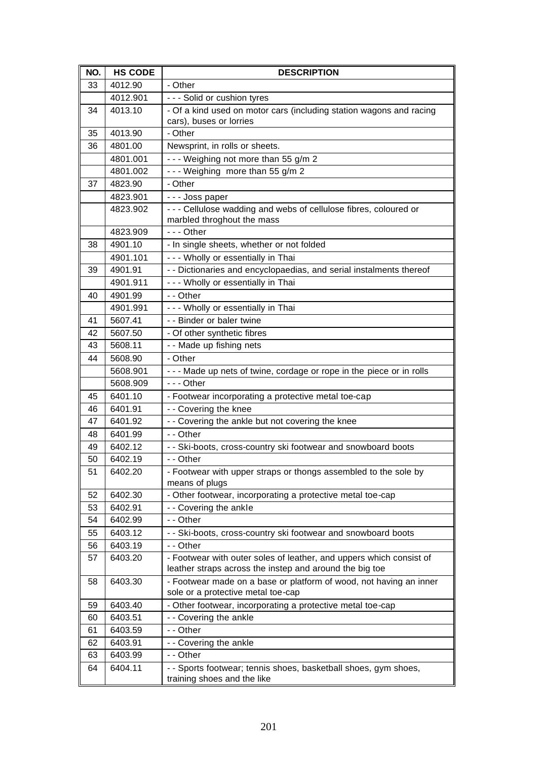| NO. | <b>HS CODE</b> | <b>DESCRIPTION</b>                                                                |
|-----|----------------|-----------------------------------------------------------------------------------|
| 33  | 4012.90        | - Other                                                                           |
|     | 4012.901       | - - - Solid or cushion tyres                                                      |
| 34  | 4013.10        | - Of a kind used on motor cars (including station wagons and racing               |
|     |                | cars), buses or lorries                                                           |
| 35  | 4013.90        | - Other                                                                           |
| 36  | 4801.00        | Newsprint, in rolls or sheets.                                                    |
|     | 4801.001       | --- Weighing not more than 55 g/m 2                                               |
|     | 4801.002       | --- Weighing more than 55 g/m 2                                                   |
| 37  | 4823.90        | - Other                                                                           |
|     | 4823.901       | --- Joss paper                                                                    |
|     | 4823.902       | - - - Cellulose wadding and webs of cellulose fibres, coloured or                 |
|     |                | marbled throghout the mass                                                        |
|     | 4823.909       | $- -$ Other                                                                       |
| 38  | 4901.10        | - In single sheets, whether or not folded                                         |
|     | 4901.101       | - - - Wholly or essentially in Thai                                               |
| 39  | 4901.91        | - - Dictionaries and encyclopaedias, and serial instalments thereof               |
|     | 4901.911       | - - - Wholly or essentially in Thai                                               |
| 40  | 4901.99        | - - Other                                                                         |
|     | 4901.991       | - - - Wholly or essentially in Thai                                               |
| 41  | 5607.41        | - - Binder or baler twine                                                         |
| 42  | 5607.50        | - Of other synthetic fibres                                                       |
| 43  | 5608.11        | - - Made up fishing nets                                                          |
| 44  | 5608.90        | - Other                                                                           |
|     | 5608.901       | - - - Made up nets of twine, cordage or rope in the piece or in rolls             |
|     | 5608.909       | $- -$ - Other                                                                     |
| 45  | 6401.10        | - Footwear incorporating a protective metal toe-cap                               |
| 46  | 6401.91        | - - Covering the knee                                                             |
| 47  | 6401.92        | - - Covering the ankle but not covering the knee                                  |
| 48  | 6401.99        | - - Other                                                                         |
| 49  | 6402.12        | - - Ski-boots, cross-country ski footwear and snowboard boots                     |
| 50  | 6402.19        | - - Other                                                                         |
| 51  | 6402.20        | - Footwear with upper straps or thongs assembled to the sole by<br>means of plugs |
| 52  | 6402.30        | - Other footwear, incorporating a protective metal toe-cap                        |
| 53  | 6402.91        | - - Covering the ankle                                                            |
| 54  | 6402.99        | - - Other                                                                         |
| 55  | 6403.12        | - - Ski-boots, cross-country ski footwear and snowboard boots                     |
| 56  | 6403.19        | - - Other                                                                         |
| 57  | 6403.20        | - Footwear with outer soles of leather, and uppers which consist of               |
|     |                | leather straps across the instep and around the big toe                           |
| 58  | 6403.30        | - Footwear made on a base or platform of wood, not having an inner                |
|     |                | sole or a protective metal toe-cap                                                |
| 59  | 6403.40        | - Other footwear, incorporating a protective metal toe-cap                        |
| 60  | 6403.51        | - - Covering the ankle                                                            |
| 61  | 6403.59        | - - Other                                                                         |
| 62  | 6403.91        | - - Covering the ankle                                                            |
| 63  | 6403.99        | - - Other                                                                         |
| 64  | 6404.11        | - - Sports footwear; tennis shoes, basketball shoes, gym shoes,                   |
|     |                | training shoes and the like                                                       |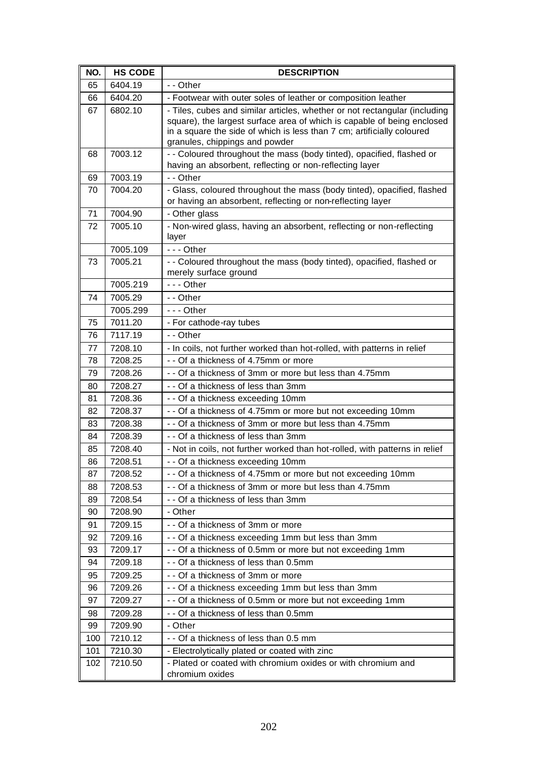| NO. | <b>HS CODE</b> | <b>DESCRIPTION</b>                                                                                                                                                                                                                                                |
|-----|----------------|-------------------------------------------------------------------------------------------------------------------------------------------------------------------------------------------------------------------------------------------------------------------|
| 65  | 6404.19        | - - Other                                                                                                                                                                                                                                                         |
| 66  | 6404.20        | - Footwear with outer soles of leather or composition leather                                                                                                                                                                                                     |
| 67  | 6802.10        | - Tiles, cubes and similar articles, whether or not rectangular (including<br>square), the largest surface area of which is capable of being enclosed<br>in a square the side of which is less than 7 cm; artificially coloured<br>granules, chippings and powder |
| 68  | 7003.12        | - - Coloured throughout the mass (body tinted), opacified, flashed or<br>having an absorbent, reflecting or non-reflecting layer                                                                                                                                  |
| 69  | 7003.19        | - - Other                                                                                                                                                                                                                                                         |
| 70  | 7004.20        | - Glass, coloured throughout the mass (body tinted), opacified, flashed<br>or having an absorbent, reflecting or non-reflecting layer                                                                                                                             |
| 71  | 7004.90        | - Other glass                                                                                                                                                                                                                                                     |
| 72  | 7005.10        | - Non-wired glass, having an absorbent, reflecting or non-reflecting<br>layer                                                                                                                                                                                     |
|     | 7005.109       | $--$ Other                                                                                                                                                                                                                                                        |
| 73  | 7005.21        | - - Coloured throughout the mass (body tinted), opacified, flashed or<br>merely surface ground                                                                                                                                                                    |
|     | 7005.219       | $--$ Other                                                                                                                                                                                                                                                        |
| 74  | 7005.29        | - - Other                                                                                                                                                                                                                                                         |
|     | 7005.299       | $- -$ Other                                                                                                                                                                                                                                                       |
| 75  | 7011.20        | - For cathode-ray tubes                                                                                                                                                                                                                                           |
| 76  | 7117.19        | - - Other                                                                                                                                                                                                                                                         |
| 77  | 7208.10        | - In coils, not further worked than hot-rolled, with patterns in relief                                                                                                                                                                                           |
| 78  | 7208.25        | - - Of a thickness of 4.75mm or more                                                                                                                                                                                                                              |
| 79  | 7208.26        | - - Of a thickness of 3mm or more but less than 4.75mm                                                                                                                                                                                                            |
| 80  | 7208.27        | - - Of a thickness of less than 3mm                                                                                                                                                                                                                               |
| 81  | 7208.36        | - - Of a thickness exceeding 10mm                                                                                                                                                                                                                                 |
| 82  | 7208.37        | - - Of a thickness of 4.75mm or more but not exceeding 10mm                                                                                                                                                                                                       |
| 83  | 7208.38        | - - Of a thickness of 3mm or more but less than 4.75mm                                                                                                                                                                                                            |
| 84  | 7208.39        | - - Of a thickness of less than 3mm                                                                                                                                                                                                                               |
| 85  | 7208.40        | - Not in coils, not further worked than hot-rolled, with patterns in relief                                                                                                                                                                                       |
| 86  | 7208.51        | - - Of a thickness exceeding 10mm                                                                                                                                                                                                                                 |
| 87  | 7208.52        | - - Of a thickness of 4.75mm or more but not exceeding 10mm                                                                                                                                                                                                       |
| 88  | 7208.53        | - - Of a thickness of 3mm or more but less than 4.75mm                                                                                                                                                                                                            |
| 89  | 7208.54        | - - Of a thickness of less than 3mm                                                                                                                                                                                                                               |
| 90  | 7208.90        | - Other                                                                                                                                                                                                                                                           |
| 91  | 7209.15        | - - Of a thickness of 3mm or more                                                                                                                                                                                                                                 |
| 92  | 7209.16        | - - Of a thickness exceeding 1mm but less than 3mm                                                                                                                                                                                                                |
| 93  | 7209.17        | - - Of a thickness of 0.5mm or more but not exceeding 1mm                                                                                                                                                                                                         |
| 94  | 7209.18        | - - Of a thickness of less than 0.5mm                                                                                                                                                                                                                             |
| 95  | 7209.25        | - - Of a thickness of 3mm or more                                                                                                                                                                                                                                 |
| 96  | 7209.26        | - - Of a thickness exceeding 1mm but less than 3mm                                                                                                                                                                                                                |
| 97  | 7209.27        | - - Of a thickness of 0.5mm or more but not exceeding 1mm                                                                                                                                                                                                         |
| 98  | 7209.28        | - - Of a thickness of less than 0.5mm                                                                                                                                                                                                                             |
| 99  | 7209.90        | - Other                                                                                                                                                                                                                                                           |
| 100 | 7210.12        | - - Of a thickness of less than 0.5 mm                                                                                                                                                                                                                            |
| 101 | 7210.30        | - Electrolytically plated or coated with zinc                                                                                                                                                                                                                     |
| 102 | 7210.50        | - Plated or coated with chromium oxides or with chromium and<br>chromium oxides                                                                                                                                                                                   |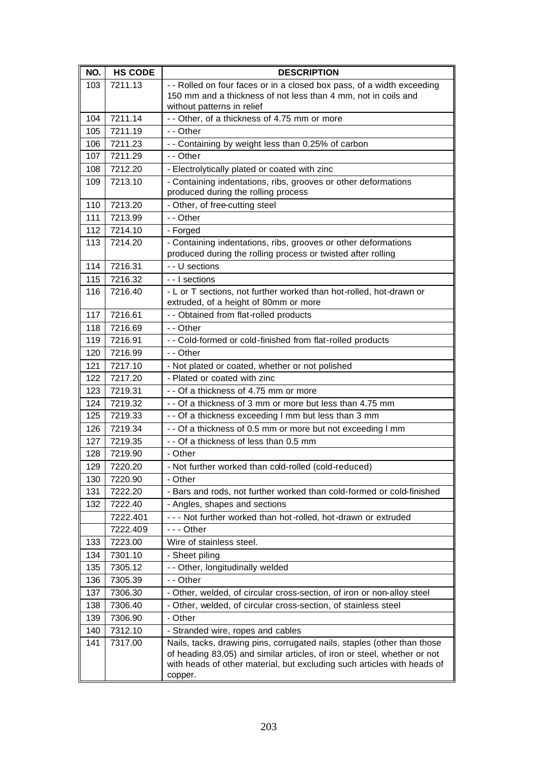| NO.        | <b>HS CODE</b>     | <b>DESCRIPTION</b>                                                                                                                                                                                                                        |
|------------|--------------------|-------------------------------------------------------------------------------------------------------------------------------------------------------------------------------------------------------------------------------------------|
| 103        | 7211.13            | - - Rolled on four faces or in a closed box pass, of a width exceeding                                                                                                                                                                    |
|            |                    | 150 mm and a thickness of not less than 4 mm, not in coils and                                                                                                                                                                            |
|            |                    | without patterns in relief                                                                                                                                                                                                                |
| 104        | 7211.14            | - - Other, of a thickness of 4.75 mm or more                                                                                                                                                                                              |
| 105        | 7211.19            | - - Other                                                                                                                                                                                                                                 |
| 106<br>107 | 7211.23<br>7211.29 | -- Containing by weight less than 0.25% of carbon<br>$-$ - Other                                                                                                                                                                          |
|            | 7212.20            |                                                                                                                                                                                                                                           |
| 108        | 7213.10            | - Electrolytically plated or coated with zinc                                                                                                                                                                                             |
| 109        |                    | - Containing indentations, ribs, grooves or other deformations<br>produced during the rolling process                                                                                                                                     |
| 110        | 7213.20            | - Other, of free-cutting steel                                                                                                                                                                                                            |
| 111        | 7213.99            | - - Other                                                                                                                                                                                                                                 |
| 112        | 7214.10            | - Forged                                                                                                                                                                                                                                  |
| 113        | 7214.20            | - Containing indentations, ribs, grooves or other deformations                                                                                                                                                                            |
|            |                    | produced during the rolling process or twisted after rolling                                                                                                                                                                              |
| 114        | 7216.31            | - - U sections                                                                                                                                                                                                                            |
| 115        | 7216.32            | - - I sections                                                                                                                                                                                                                            |
| 116        | 7216.40            | - L or T sections, not further worked than hot-rolled, hot-drawn or<br>extruded, of a height of 80mm or more                                                                                                                              |
| 117        | 7216.61            | - - Obtained from flat-rolled products                                                                                                                                                                                                    |
| 118        | 7216.69            | - - Other                                                                                                                                                                                                                                 |
| 119        | 7216.91            | - - Cold-formed or cold-finished from flat-rolled products                                                                                                                                                                                |
| 120        | 7216.99            | - - Other                                                                                                                                                                                                                                 |
| 121        | 7217.10            | - Not plated or coated, whether or not polished                                                                                                                                                                                           |
| 122        | 7217.20            | - Plated or coated with zinc                                                                                                                                                                                                              |
| 123        | 7219.31            | -- Of a thickness of 4.75 mm or more                                                                                                                                                                                                      |
| 124        | 7219.32            | - - Of a thickness of 3 mm or more but less than 4.75 mm                                                                                                                                                                                  |
| 125        | 7219.33            | - - Of a thickness exceeding I mm but less than 3 mm                                                                                                                                                                                      |
| 126        | 7219.34            | - - Of a thickness of 0.5 mm or more but not exceeding I mm                                                                                                                                                                               |
| 127        | 7219.35            | - - Of a thickness of less than 0.5 mm                                                                                                                                                                                                    |
| 128        | 7219.90            | - Other                                                                                                                                                                                                                                   |
| 129        | 7220.20            | - Not further worked than cold-rolled (cold-reduced)                                                                                                                                                                                      |
| 130        | 7220.90            | - Other                                                                                                                                                                                                                                   |
| 131        | 7222.20            | - Bars and rods, not further worked than cold-formed or cold-finished                                                                                                                                                                     |
| 132        | 7222.40            | - Angles, shapes and sections                                                                                                                                                                                                             |
|            | 7222.401           | - - - Not further worked than hot-rolled, hot-drawn or extruded                                                                                                                                                                           |
|            | 7222.409           | $- -$ - Other                                                                                                                                                                                                                             |
| 133        | 7223.00            | Wire of stainless steel.                                                                                                                                                                                                                  |
| 134        | 7301.10            | - Sheet piling                                                                                                                                                                                                                            |
| 135        | 7305.12            | - - Other, longitudinally welded                                                                                                                                                                                                          |
| 136        | 7305.39            | - - Other                                                                                                                                                                                                                                 |
| 137        | 7306.30            | - Other, welded, of circular cross-section, of iron or non-alloy steel                                                                                                                                                                    |
| 138        | 7306.40            | - Other, welded, of circular cross-section, of stainless steel                                                                                                                                                                            |
| 139        | 7306.90            | - Other                                                                                                                                                                                                                                   |
| 140        | 7312.10            | - Stranded wire, ropes and cables                                                                                                                                                                                                         |
| 141        | 7317.00            | Nails, tacks, drawing pins, corrugated nails, staples (other than those<br>of heading 83.05) and similar articles, of iron or steel, whether or not<br>with heads of other material, but excluding such articles with heads of<br>copper. |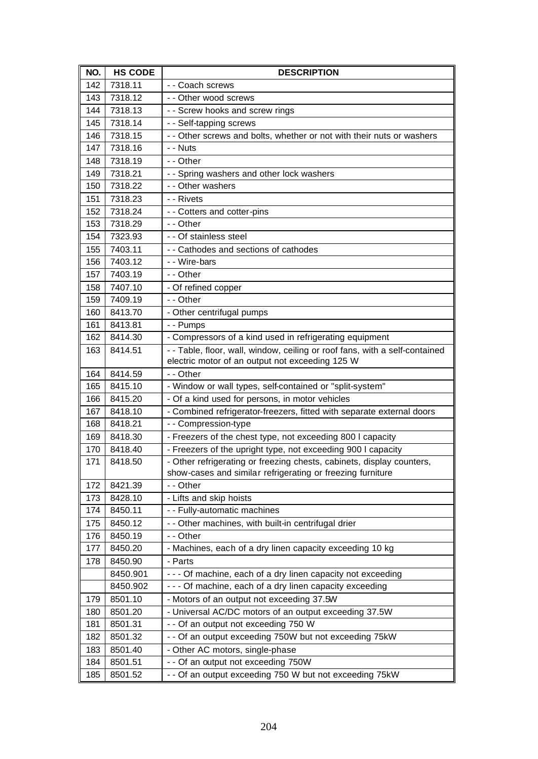| NO. | <b>HS CODE</b> | <b>DESCRIPTION</b>                                                          |
|-----|----------------|-----------------------------------------------------------------------------|
| 142 | 7318.11        | - - Coach screws                                                            |
| 143 | 7318.12        | - - Other wood screws                                                       |
| 144 | 7318.13        | - - Screw hooks and screw rings                                             |
| 145 | 7318.14        | - - Self-tapping screws                                                     |
| 146 | 7318.15        | - - Other screws and bolts, whether or not with their nuts or washers       |
| 147 | 7318.16        | - - Nuts                                                                    |
| 148 | 7318.19        | - - Other                                                                   |
| 149 | 7318.21        | - - Spring washers and other lock washers                                   |
| 150 | 7318.22        | - - Other washers                                                           |
| 151 | 7318.23        | - - Rivets                                                                  |
| 152 | 7318.24        | - - Cotters and cotter-pins                                                 |
| 153 | 7318.29        | - - Other                                                                   |
| 154 | 7323.93        | - - Of stainless steel                                                      |
| 155 | 7403.11        | - - Cathodes and sections of cathodes                                       |
| 156 | 7403.12        | - - Wire-bars                                                               |
| 157 | 7403.19        | - - Other                                                                   |
| 158 | 7407.10        | - Of refined copper                                                         |
| 159 | 7409.19        | - - Other                                                                   |
| 160 | 8413.70        | - Other centrifugal pumps                                                   |
| 161 | 8413.81        | - - Pumps                                                                   |
| 162 | 8414.30        | - Compressors of a kind used in refrigerating equipment                     |
| 163 | 8414.51        | - - Table, floor, wall, window, ceiling or roof fans, with a self-contained |
|     |                | electric motor of an output not exceeding 125 W                             |
| 164 | 8414.59        | - - Other                                                                   |
| 165 | 8415.10        | - Window or wall types, self-contained or "split-system"                    |
| 166 | 8415.20        | - Of a kind used for persons, in motor vehicles                             |
| 167 | 8418.10        | - Combined refrigerator-freezers, fitted with separate external doors       |
| 168 | 8418.21        | - - Compression-type                                                        |
| 169 | 8418.30        | - Freezers of the chest type, not exceeding 800 I capacity                  |
| 170 | 8418.40        | - Freezers of the upright type, not exceeding 900 I capacity                |
| 171 | 8418.50        | - Other refrigerating or freezing chests, cabinets, display counters,       |
|     |                | show-cases and similar refrigerating or freezing furniture                  |
| 172 | 8421.39        | - - Other                                                                   |
| 173 | 8428.10        | - Lifts and skip hoists                                                     |
| 174 | 8450.11        | - - Fully-automatic machines                                                |
| 175 | 8450.12        | - - Other machines, with built-in centrifugal drier                         |
| 176 | 8450.19        | - - Other                                                                   |
| 177 | 8450.20        | - Machines, each of a dry linen capacity exceeding 10 kg                    |
| 178 | 8450.90        | - Parts                                                                     |
|     | 8450.901       | - - - Of machine, each of a dry linen capacity not exceeding                |
|     | 8450.902       | - - - Of machine, each of a dry linen capacity exceeding                    |
| 179 | 8501.10        | - Motors of an output not exceeding 37.5W                                   |
| 180 | 8501.20        | - Universal AC/DC motors of an output exceeding 37.5W                       |
| 181 | 8501.31        | - - Of an output not exceeding 750 W                                        |
| 182 | 8501.32        | - - Of an output exceeding 750W but not exceeding 75kW                      |
| 183 | 8501.40        | - Other AC motors, single-phase                                             |
| 184 | 8501.51        | - - Of an output not exceeding 750W                                         |
| 185 | 8501.52        | - - Of an output exceeding 750 W but not exceeding 75kW                     |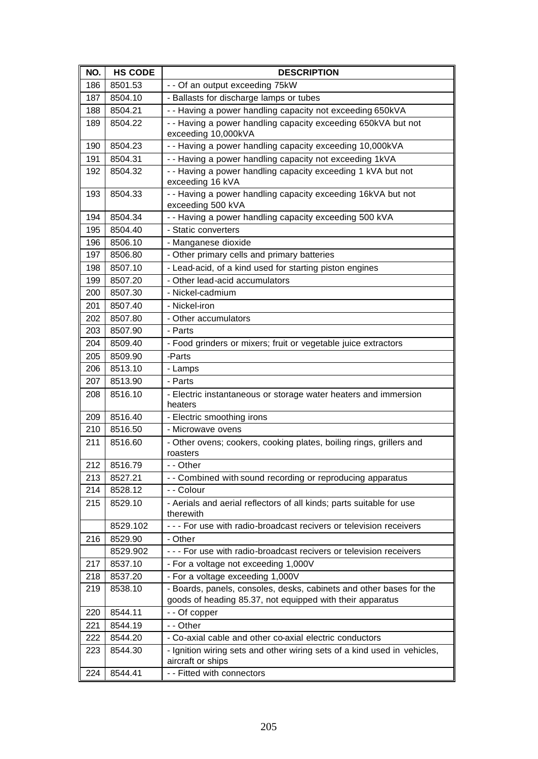| NO. | <b>HS CODE</b> | <b>DESCRIPTION</b>                                                                                                               |
|-----|----------------|----------------------------------------------------------------------------------------------------------------------------------|
| 186 | 8501.53        | - - Of an output exceeding 75kW                                                                                                  |
| 187 | 8504.10        | - Ballasts for discharge lamps or tubes                                                                                          |
| 188 | 8504.21        | - - Having a power handling capacity not exceeding 650kVA                                                                        |
| 189 | 8504.22        | - - Having a power handling capacity exceeding 650kVA but not<br>exceeding 10,000kVA                                             |
| 190 | 8504.23        | - - Having a power handling capacity exceeding 10,000kVA                                                                         |
| 191 | 8504.31        | -- Having a power handling capacity not exceeding 1kVA                                                                           |
| 192 | 8504.32        | - - Having a power handling capacity exceeding 1 kVA but not<br>exceeding 16 kVA                                                 |
| 193 | 8504.33        | - - Having a power handling capacity exceeding 16kVA but not<br>exceeding 500 kVA                                                |
| 194 | 8504.34        | - - Having a power handling capacity exceeding 500 kVA                                                                           |
| 195 | 8504.40        | - Static converters                                                                                                              |
| 196 | 8506.10        | - Manganese dioxide                                                                                                              |
| 197 | 8506.80        | - Other primary cells and primary batteries                                                                                      |
| 198 | 8507.10        | - Lead-acid, of a kind used for starting piston engines                                                                          |
| 199 | 8507.20        | - Other lead-acid accumulators                                                                                                   |
| 200 | 8507.30        | - Nickel-cadmium                                                                                                                 |
| 201 | 8507.40        | - Nickel-iron                                                                                                                    |
| 202 | 8507.80        | - Other accumulators                                                                                                             |
| 203 | 8507.90        | - Parts                                                                                                                          |
| 204 | 8509.40        | - Food grinders or mixers; fruit or vegetable juice extractors                                                                   |
| 205 | 8509.90        | -Parts                                                                                                                           |
| 206 | 8513.10        | - Lamps                                                                                                                          |
| 207 | 8513.90        | - Parts                                                                                                                          |
| 208 | 8516.10        | - Electric instantaneous or storage water heaters and immersion<br>heaters                                                       |
| 209 | 8516.40        | - Electric smoothing irons                                                                                                       |
| 210 | 8516.50        | - Microwave ovens                                                                                                                |
| 211 | 8516.60        | - Other ovens; cookers, cooking plates, boiling rings, grillers and<br>roasters                                                  |
| 212 | 8516.79        | - - Other                                                                                                                        |
| 213 | 8527.21        | - - Combined with sound recording or reproducing apparatus                                                                       |
| 214 | 8528.12        | - - Colour                                                                                                                       |
| 215 | 8529.10        | - Aerials and aerial reflectors of all kinds; parts suitable for use<br>therewith                                                |
|     | 8529.102       | - - - For use with radio-broadcast recivers or television receivers                                                              |
| 216 | 8529.90        | - Other                                                                                                                          |
|     | 8529.902       | - - - For use with radio-broadcast recivers or television receivers                                                              |
| 217 | 8537.10        | - For a voltage not exceeding 1,000V                                                                                             |
| 218 | 8537.20        | - For a voltage exceeding 1,000V                                                                                                 |
| 219 | 8538.10        | - Boards, panels, consoles, desks, cabinets and other bases for the<br>goods of heading 85.37, not equipped with their apparatus |
| 220 | 8544.11        | - - Of copper                                                                                                                    |
| 221 | 8544.19        | - - Other                                                                                                                        |
| 222 | 8544.20        | - Co-axial cable and other co-axial electric conductors                                                                          |
| 223 | 8544.30        | - Ignition wiring sets and other wiring sets of a kind used in vehicles,<br>aircraft or ships                                    |
| 224 | 8544.41        | - - Fitted with connectors                                                                                                       |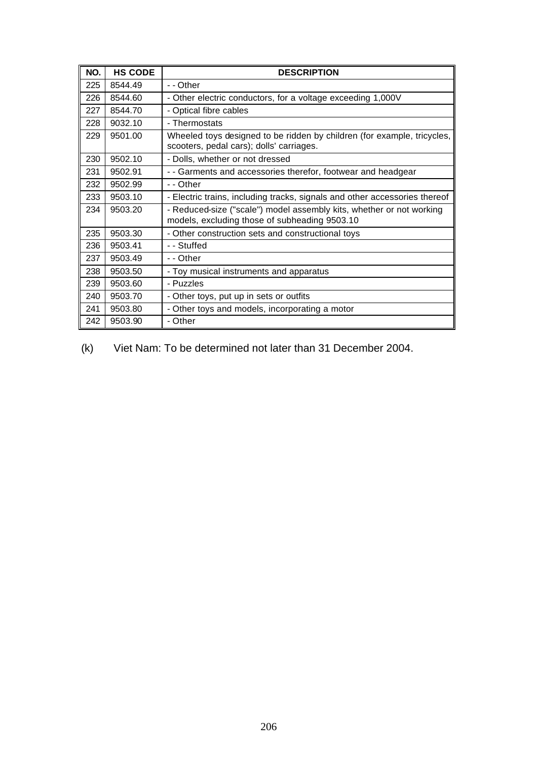| NO. | <b>HS CODE</b> | <b>DESCRIPTION</b>                                                                                                    |
|-----|----------------|-----------------------------------------------------------------------------------------------------------------------|
| 225 | 8544.49        | - - Other                                                                                                             |
| 226 | 8544.60        | - Other electric conductors, for a voltage exceeding 1,000V                                                           |
| 227 | 8544.70        | - Optical fibre cables                                                                                                |
| 228 | 9032.10        | - Thermostats                                                                                                         |
| 229 | 9501.00        | Wheeled toys designed to be ridden by children (for example, tricycles,<br>scooters, pedal cars); dolls' carriages.   |
| 230 | 9502.10        | - Dolls, whether or not dressed                                                                                       |
| 231 | 9502.91        | - - Garments and accessories therefor, footwear and headgear                                                          |
| 232 | 9502.99        | - - Other                                                                                                             |
| 233 | 9503.10        | - Electric trains, including tracks, signals and other accessories thereof                                            |
| 234 | 9503.20        | - Reduced-size ("scale") model assembly kits, whether or not working<br>models, excluding those of subheading 9503.10 |
| 235 | 9503.30        | - Other construction sets and constructional toys                                                                     |
| 236 | 9503.41        | - - Stuffed                                                                                                           |
| 237 | 9503.49        | - - Other                                                                                                             |
| 238 | 9503.50        | - Toy musical instruments and apparatus                                                                               |
| 239 | 9503.60        | - Puzzles                                                                                                             |
| 240 | 9503.70        | - Other toys, put up in sets or outfits                                                                               |
| 241 | 9503.80        | - Other toys and models, incorporating a motor                                                                        |
| 242 | 9503.90        | - Other                                                                                                               |

(k) Viet Nam: To be determined not later than 31 December 2004.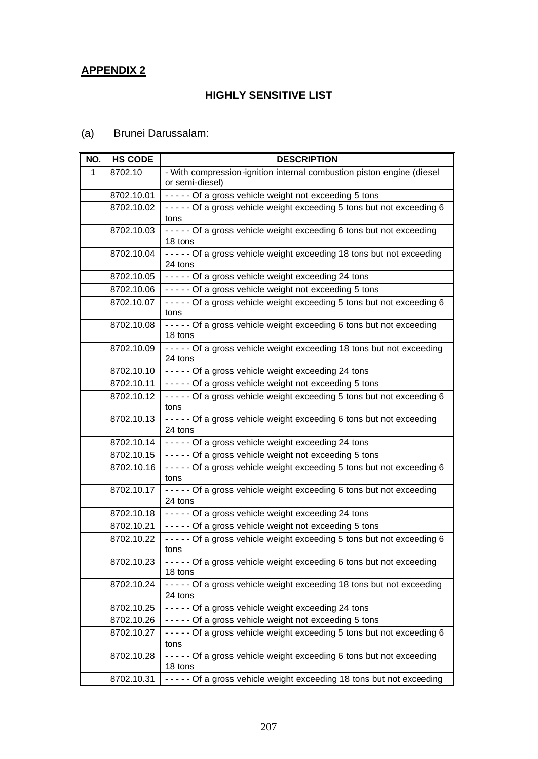### **APPENDIX 2**

#### **HIGHLY SENSITIVE LIST**

## (a) Brunei Darussalam:

| NO. | <b>HS CODE</b> | <b>DESCRIPTION</b>                                                                       |
|-----|----------------|------------------------------------------------------------------------------------------|
| 1   | 8702.10        | - With compression-ignition internal combustion piston engine (diesel<br>or semi-diesel) |
|     | 8702.10.01     | ----- Of a gross vehicle weight not exceeding 5 tons                                     |
|     | 8702.10.02     | ----- Of a gross vehicle weight exceeding 5 tons but not exceeding 6<br>tons             |
|     | 8702.10.03     | ----- Of a gross vehicle weight exceeding 6 tons but not exceeding<br>18 tons            |
|     | 8702.10.04     | ----- Of a gross vehicle weight exceeding 18 tons but not exceeding<br>24 tons           |
|     | 8702.10.05     | ----- Of a gross vehicle weight exceeding 24 tons                                        |
|     | 8702.10.06     | ----- Of a gross vehicle weight not exceeding 5 tons                                     |
|     | 8702.10.07     | - - - - - Of a gross vehicle weight exceeding 5 tons but not exceeding 6<br>tons         |
|     | 8702.10.08     | - - - - - Of a gross vehicle weight exceeding 6 tons but not exceeding<br>18 tons        |
|     | 8702.10.09     | ----- Of a gross vehicle weight exceeding 18 tons but not exceeding<br>24 tons           |
|     | 8702.10.10     | ----- Of a gross vehicle weight exceeding 24 tons                                        |
|     | 8702.10.11     | ----- Of a gross vehicle weight not exceeding 5 tons                                     |
|     | 8702.10.12     | - - - - - Of a gross vehicle weight exceeding 5 tons but not exceeding 6<br>tons         |
|     | 8702.10.13     | ----- Of a gross vehicle weight exceeding 6 tons but not exceeding<br>24 tons            |
|     | 8702.10.14     | ----- Of a gross vehicle weight exceeding 24 tons                                        |
|     | 8702.10.15     | ----- Of a gross vehicle weight not exceeding 5 tons                                     |
|     | 8702.10.16     | ----- Of a gross vehicle weight exceeding 5 tons but not exceeding 6<br>tons             |
|     | 8702.10.17     | ----- Of a gross vehicle weight exceeding 6 tons but not exceeding<br>24 tons            |
|     | 8702.10.18     | ----- Of a gross vehicle weight exceeding 24 tons                                        |
|     | 8702.10.21     | ----- Of a gross vehicle weight not exceeding 5 tons                                     |
|     | 8702.10.22     | - - - - - Of a gross vehicle weight exceeding 5 tons but not exceeding 6<br>tons         |
|     | 8702.10.23     | ----- Of a gross vehicle weight exceeding 6 tons but not exceeding<br>18 tons            |
|     | 8702.10.24     | - - - - - Of a gross vehicle weight exceeding 18 tons but not exceeding<br>24 tons       |
|     | 8702.10.25     | ----- Of a gross vehicle weight exceeding 24 tons                                        |
|     | 8702.10.26     | ----- Of a gross vehicle weight not exceeding 5 tons                                     |
|     | 8702.10.27     | - - - - - Of a gross vehicle weight exceeding 5 tons but not exceeding 6<br>tons         |
|     | 8702.10.28     | ----- Of a gross vehicle weight exceeding 6 tons but not exceeding<br>18 tons            |
|     | 8702.10.31     | ----- Of a gross vehicle weight exceeding 18 tons but not exceeding                      |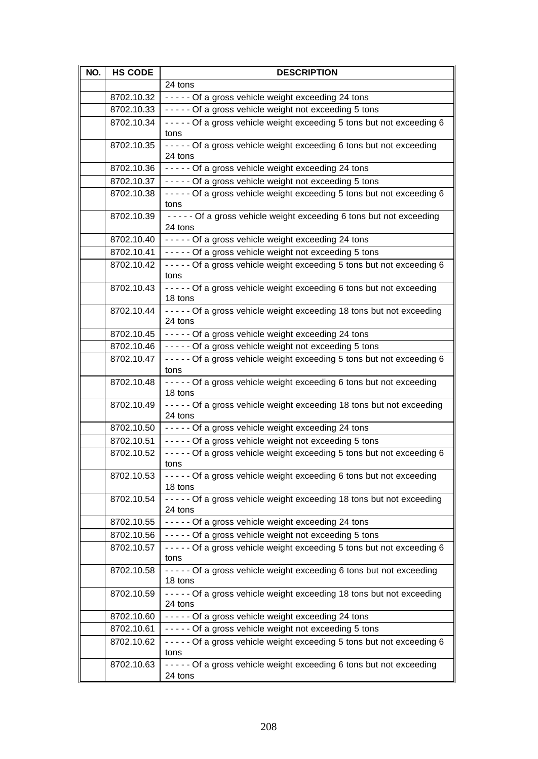| NO. | <b>HS CODE</b> | <b>DESCRIPTION</b>                                                                 |
|-----|----------------|------------------------------------------------------------------------------------|
|     |                | 24 tons                                                                            |
|     | 8702.10.32     | ----- Of a gross vehicle weight exceeding 24 tons                                  |
|     | 8702.10.33     | ----- Of a gross vehicle weight not exceeding 5 tons                               |
|     | 8702.10.34     | ----- Of a gross vehicle weight exceeding 5 tons but not exceeding 6<br>tons       |
|     | 8702.10.35     | - - - - - Of a gross vehicle weight exceeding 6 tons but not exceeding<br>24 tons  |
|     | 8702.10.36     | ----- Of a gross vehicle weight exceeding 24 tons                                  |
|     | 8702.10.37     | ----- Of a gross vehicle weight not exceeding 5 tons                               |
|     | 8702.10.38     | - - - - - Of a gross vehicle weight exceeding 5 tons but not exceeding 6<br>tons   |
|     | 8702.10.39     | ----- Of a gross vehicle weight exceeding 6 tons but not exceeding<br>24 tons      |
|     | 8702.10.40     | ----- Of a gross vehicle weight exceeding 24 tons                                  |
|     | 8702.10.41     | ----- Of a gross vehicle weight not exceeding 5 tons                               |
|     | 8702.10.42     | ----- Of a gross vehicle weight exceeding 5 tons but not exceeding 6<br>tons       |
|     | 8702.10.43     | ----- Of a gross vehicle weight exceeding 6 tons but not exceeding<br>18 tons      |
|     | 8702.10.44     | ----- Of a gross vehicle weight exceeding 18 tons but not exceeding<br>24 tons     |
|     | 8702.10.45     | ----- Of a gross vehicle weight exceeding 24 tons                                  |
|     | 8702.10.46     | ----- Of a gross vehicle weight not exceeding 5 tons                               |
|     | 8702.10.47     | - - - - - Of a gross vehicle weight exceeding 5 tons but not exceeding 6<br>tons   |
|     | 8702.10.48     | - - - - - Of a gross vehicle weight exceeding 6 tons but not exceeding<br>18 tons  |
|     | 8702.10.49     | ----- Of a gross vehicle weight exceeding 18 tons but not exceeding<br>24 tons     |
|     | 8702.10.50     | ----- Of a gross vehicle weight exceeding 24 tons                                  |
|     | 8702.10.51     | ----- Of a gross vehicle weight not exceeding 5 tons                               |
|     | 8702.10.52     | ----- Of a gross vehicle weight exceeding 5 tons but not exceeding 6<br>tons       |
|     | 8702.10.53     | ----- Of a gross vehicle weight exceeding 6 tons but not exceeding<br>18 tons      |
|     | 8702.10.54     | - - - - - Of a gross vehicle weight exceeding 18 tons but not exceeding<br>24 tons |
|     | 8702.10.55     | ----- Of a gross vehicle weight exceeding 24 tons                                  |
|     | 8702.10.56     | ----- Of a gross vehicle weight not exceeding 5 tons                               |
|     | 8702.10.57     | - - - - - Of a gross vehicle weight exceeding 5 tons but not exceeding 6<br>tons   |
|     | 8702.10.58     | ----- Of a gross vehicle weight exceeding 6 tons but not exceeding<br>18 tons      |
|     | 8702.10.59     | ----- Of a gross vehicle weight exceeding 18 tons but not exceeding<br>24 tons     |
|     | 8702.10.60     | ----- Of a gross vehicle weight exceeding 24 tons                                  |
|     | 8702.10.61     | ----- Of a gross vehicle weight not exceeding 5 tons                               |
|     | 8702.10.62     | - - - - - Of a gross vehicle weight exceeding 5 tons but not exceeding 6<br>tons   |
|     | 8702.10.63     | - - - - - Of a gross vehicle weight exceeding 6 tons but not exceeding<br>24 tons  |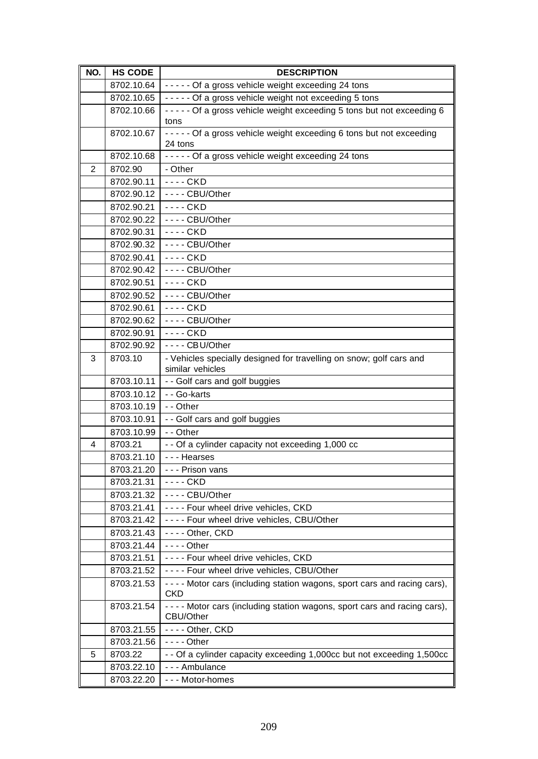| NO. | <b>HS CODE</b> | <b>DESCRIPTION</b>                                                                       |
|-----|----------------|------------------------------------------------------------------------------------------|
|     | 8702.10.64     | ----- Of a gross vehicle weight exceeding 24 tons                                        |
|     | 8702.10.65     | ----- Of a gross vehicle weight not exceeding 5 tons                                     |
|     | 8702.10.66     | - - - - - Of a gross vehicle weight exceeding 5 tons but not exceeding 6                 |
|     |                | tons                                                                                     |
|     | 8702.10.67     | ----- Of a gross vehicle weight exceeding 6 tons but not exceeding                       |
|     |                | 24 tons                                                                                  |
|     | 8702.10.68     | ----- Of a gross vehicle weight exceeding 24 tons                                        |
| 2   | 8702.90        | - Other                                                                                  |
|     | 8702.90.11     | $--CKD$                                                                                  |
|     | 8702.90.12     | $--$ - CBU/Other                                                                         |
|     | 8702.90.21     | $--$ CKD                                                                                 |
|     | 8702.90.22     | $--$ - CBU/Other                                                                         |
|     | 8702.90.31     | ---- CKD                                                                                 |
|     | 8702.90.32     | ---- CBU/Other                                                                           |
|     | 8702.90.41     | $--CKD$                                                                                  |
|     | 8702.90.42     | $--$ - CBU/Other                                                                         |
|     | 8702.90.51     | $--$ CKD                                                                                 |
|     | 8702.90.52     | $--$ CBU/Other                                                                           |
|     | 8702.90.61     | ---- CKD                                                                                 |
|     | 8702.90.62     | ---- CBU/Other                                                                           |
|     | 8702.90.91     | ---- CKD                                                                                 |
|     | 8702.90.92     | $--$ CBU/Other                                                                           |
| 3   | 8703.10        | - Vehicles specially designed for travelling on snow; golf cars and                      |
|     |                | similar vehicles                                                                         |
|     | 8703.10.11     | - - Golf cars and golf buggies                                                           |
|     | 8703.10.12     | - - Go-karts                                                                             |
|     | 8703.10.19     | - - Other                                                                                |
|     | 8703.10.91     | - - Golf cars and golf buggies                                                           |
|     | 8703.10.99     | - - Other                                                                                |
| 4   | 8703.21        | - - Of a cylinder capacity not exceeding 1,000 cc                                        |
|     | 8703.21.10     | --- Hearses                                                                              |
|     | 8703.21.20     | - - - Prison vans                                                                        |
|     | 8703.21.31     | - - - - CKD                                                                              |
|     | 8703.21.32     | $--$ CBU/Other                                                                           |
|     | 8703.21.41     | ---- Four wheel drive vehicles, CKD                                                      |
|     | 8703.21.42     | ---- Four wheel drive vehicles, CBU/Other                                                |
|     | 8703.21.43     | $--$ - Other, CKD                                                                        |
|     | 8703.21.44     | $--$ Other                                                                               |
|     | 8703.21.51     | ---- Four wheel drive vehicles, CKD                                                      |
|     | 8703.21.52     | ---- Four wheel drive vehicles, CBU/Other                                                |
|     | 8703.21.53     | - - - - Motor cars (including station wagons, sport cars and racing cars),<br><b>CKD</b> |
|     | 8703.21.54     | - - - - Motor cars (including station wagons, sport cars and racing cars),<br>CBU/Other  |
|     | 8703.21.55     | $--$ - Other, CKD                                                                        |
|     | 8703.21.56     | $--$ Other                                                                               |
| 5   | 8703.22        | - - Of a cylinder capacity exceeding 1,000cc but not exceeding 1,500cc                   |
|     | 8703.22.10     | --- Ambulance                                                                            |
|     | 8703.22.20     | --- Motor-homes                                                                          |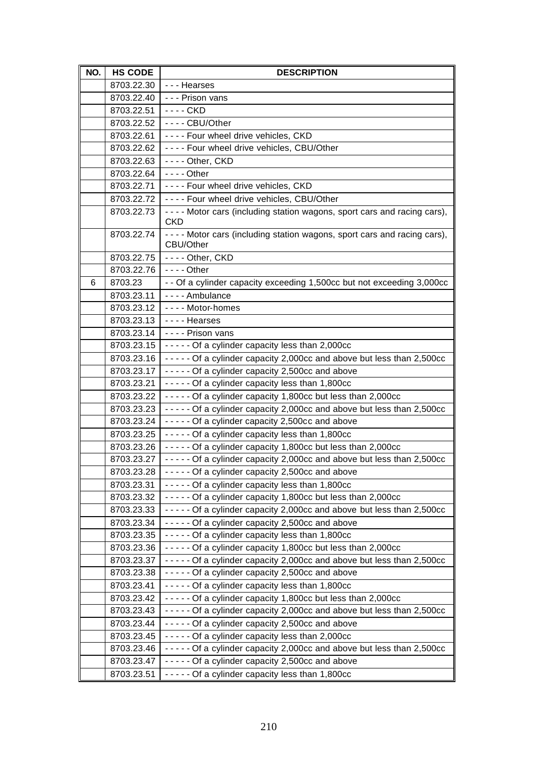| NO. | <b>HS CODE</b> | <b>DESCRIPTION</b>                                                                       |
|-----|----------------|------------------------------------------------------------------------------------------|
|     | 8703.22.30     | - - - Hearses                                                                            |
|     | 8703.22.40     | - - - Prison vans                                                                        |
|     | 8703.22.51     | - - - - CKD                                                                              |
|     | 8703.22.52     | $--$ CBU/Other                                                                           |
|     | 8703.22.61     | ---- Four wheel drive vehicles, CKD                                                      |
|     | 8703.22.62     | ---- Four wheel drive vehicles, CBU/Other                                                |
|     | 8703.22.63     | ---- Other, CKD                                                                          |
|     | 8703.22.64     | $--$ Other                                                                               |
|     | 8703.22.71     | ---- Four wheel drive vehicles, CKD                                                      |
|     | 8703.22.72     | ---- Four wheel drive vehicles, CBU/Other                                                |
|     | 8703.22.73     | - - - - Motor cars (including station wagons, sport cars and racing cars),<br><b>CKD</b> |
|     | 8703.22.74     | - - - - Motor cars (including station wagons, sport cars and racing cars),<br>CBU/Other  |
|     | 8703.22.75     | ---- Other, CKD                                                                          |
|     | 8703.22.76     | $--$ Other                                                                               |
| 6   | 8703.23        | - - Of a cylinder capacity exceeding 1,500cc but not exceeding 3,000cc                   |
|     | 8703.23.11     | - - - - Ambulance                                                                        |
|     | 8703.23.12     | ---- Motor-homes                                                                         |
|     | 8703.23.13     | ---- Hearses                                                                             |
|     | 8703.23.14     | - - - - Prison vans                                                                      |
|     | 8703.23.15     | - - - - - Of a cylinder capacity less than 2,000cc                                       |
|     | 8703.23.16     | - - - - - Of a cylinder capacity 2,000cc and above but less than 2,500cc                 |
|     | 8703.23.17     | ----- Of a cylinder capacity 2,500cc and above                                           |
|     | 8703.23.21     | ----- Of a cylinder capacity less than 1,800cc                                           |
|     | 8703.23.22     | ----- Of a cylinder capacity 1,800cc but less than 2,000cc                               |
|     | 8703.23.23     | ----- Of a cylinder capacity 2,000cc and above but less than 2,500cc                     |
|     | 8703.23.24     | - - - - - Of a cylinder capacity 2,500cc and above                                       |
|     | 8703.23.25     | ----- Of a cylinder capacity less than 1,800cc                                           |
|     | 8703.23.26     | ----- Of a cylinder capacity 1,800cc but less than 2,000cc                               |
|     | 8703.23.27     | - - - - - Of a cylinder capacity 2,000cc and above but less than 2,500cc                 |
|     | 8703.23.28     | - - - - - Of a cylinder capacity 2,500cc and above                                       |
|     | 8703.23.31     | ----- Of a cylinder capacity less than 1,800cc                                           |
|     | 8703.23.32     | ----- Of a cylinder capacity 1,800cc but less than 2,000cc                               |
|     | 8703.23.33     | - - - - - Of a cylinder capacity 2,000cc and above but less than 2,500cc                 |
|     | 8703.23.34     | ----- Of a cylinder capacity 2,500cc and above                                           |
|     | 8703.23.35     | ----- Of a cylinder capacity less than 1,800cc                                           |
|     | 8703.23.36     | $---$ Of a cylinder capacity 1,800cc but less than 2,000cc                               |
|     | 8703.23.37     | - - - - - Of a cylinder capacity 2,000cc and above but less than 2,500cc                 |
|     | 8703.23.38     | - - - - - Of a cylinder capacity 2,500cc and above                                       |
|     | 8703.23.41     | ----- Of a cylinder capacity less than 1,800cc                                           |
|     | 8703.23.42     | ----- Of a cylinder capacity 1,800cc but less than 2,000cc                               |
|     | 8703.23.43     | - - - - - Of a cylinder capacity 2,000cc and above but less than 2,500cc                 |
|     | 8703.23.44     | - - - - - Of a cylinder capacity 2,500cc and above                                       |
|     | 8703.23.45     | ----- Of a cylinder capacity less than 2,000cc                                           |
|     | 8703.23.46     | - - - - - Of a cylinder capacity 2,000cc and above but less than 2,500cc                 |
|     | 8703.23.47     | - - - - - Of a cylinder capacity 2,500cc and above                                       |
|     | 8703.23.51     | - - - - - Of a cylinder capacity less than 1,800cc                                       |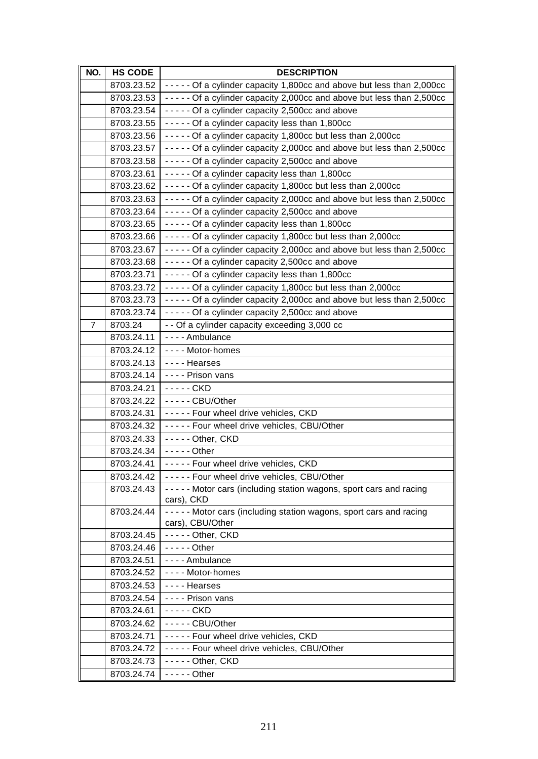| NO. | <b>HS CODE</b>           | <b>DESCRIPTION</b>                                                                 |
|-----|--------------------------|------------------------------------------------------------------------------------|
|     | 8703.23.52               | ----- Of a cylinder capacity 1,800cc and above but less than 2,000cc               |
|     | 8703.23.53               | ----- Of a cylinder capacity 2,000cc and above but less than 2,500cc               |
|     | 8703.23.54               | - - - - - Of a cylinder capacity 2,500cc and above                                 |
|     | 8703.23.55               | ----- Of a cylinder capacity less than 1,800cc                                     |
|     | 8703.23.56               | ----- Of a cylinder capacity 1,800cc but less than 2,000cc                         |
|     | 8703.23.57               | - - - - - Of a cylinder capacity 2,000cc and above but less than 2,500cc           |
|     | 8703.23.58               | ----- Of a cylinder capacity 2,500cc and above                                     |
|     | 8703.23.61               | ----- Of a cylinder capacity less than 1,800cc                                     |
|     | 8703.23.62               | ----- Of a cylinder capacity 1,800cc but less than 2,000cc                         |
|     | 8703.23.63               | - - - - - Of a cylinder capacity 2,000cc and above but less than 2,500cc           |
|     | 8703.23.64               | ----- Of a cylinder capacity 2,500cc and above                                     |
|     | 8703.23.65               | ----- Of a cylinder capacity less than 1,800cc                                     |
|     | 8703.23.66               | ----- Of a cylinder capacity 1,800cc but less than 2,000cc                         |
|     | 8703.23.67               | - - - - - Of a cylinder capacity 2,000cc and above but less than 2,500cc           |
|     | 8703.23.68               | - - - - - Of a cylinder capacity 2,500cc and above                                 |
|     | 8703.23.71               | ----- Of a cylinder capacity less than 1,800cc                                     |
|     | 8703.23.72               | $---$ Of a cylinder capacity 1,800cc but less than 2,000cc                         |
|     | 8703.23.73               | ----- Of a cylinder capacity 2,000cc and above but less than 2,500cc               |
|     | 8703.23.74               | - - - - - Of a cylinder capacity 2,500cc and above                                 |
| 7   | 8703.24                  | - - Of a cylinder capacity exceeding 3,000 cc                                      |
|     | 8703.24.11               | ---- Ambulance                                                                     |
|     | 8703.24.12               | ---- Motor-homes                                                                   |
|     | 8703.24.13               | ---- Hearses                                                                       |
|     | 8703.24.14               | ---- Prison vans                                                                   |
|     | 8703.24.21               | - - - - - CKD                                                                      |
|     | 8703.24.22               | - - - - - CBU/Other                                                                |
|     | 8703.24.31               | ----- Four wheel drive vehicles, CKD                                               |
|     | 8703.24.32               | ----- Four wheel drive vehicles, CBU/Other                                         |
|     | 8703.24.33               | - - - - - Other, CKD                                                               |
|     | 8703.24.34               | $--$ - - - Other                                                                   |
|     | 8703.24.41               | ----- Four wheel drive vehicles, CKD                                               |
|     | 8703.24.42               | ----- Four wheel drive vehicles, CBU/Other                                         |
|     | 8703.24.43               | ----- Motor cars (including station wagons, sport cars and racing                  |
|     |                          | cars), CKD                                                                         |
|     | 8703.24.44               | ----- Motor cars (including station wagons, sport cars and racing                  |
|     |                          | cars), CBU/Other                                                                   |
|     | 8703.24.45<br>8703.24.46 | - - - - - Other, CKD<br>$--$ - - - Other                                           |
|     |                          |                                                                                    |
|     | 8703.24.51               | - - - - Ambulance                                                                  |
|     | 8703.24.52<br>8703.24.53 | ---- Motor-homes                                                                   |
|     |                          | ---- Hearses                                                                       |
|     | 8703.24.54<br>8703.24.61 | - - - - Prison vans<br>- - - - - CKD                                               |
|     | 8703.24.62               |                                                                                    |
|     |                          | $----$ CBU/Other                                                                   |
|     | 8703.24.71<br>8703.24.72 | ----- Four wheel drive vehicles, CKD<br>----- Four wheel drive vehicles, CBU/Other |
|     | 8703.24.73               |                                                                                    |
|     |                          | - - - - - Other, CKD                                                               |
|     | 8703.24.74               | $--$ - - - Other                                                                   |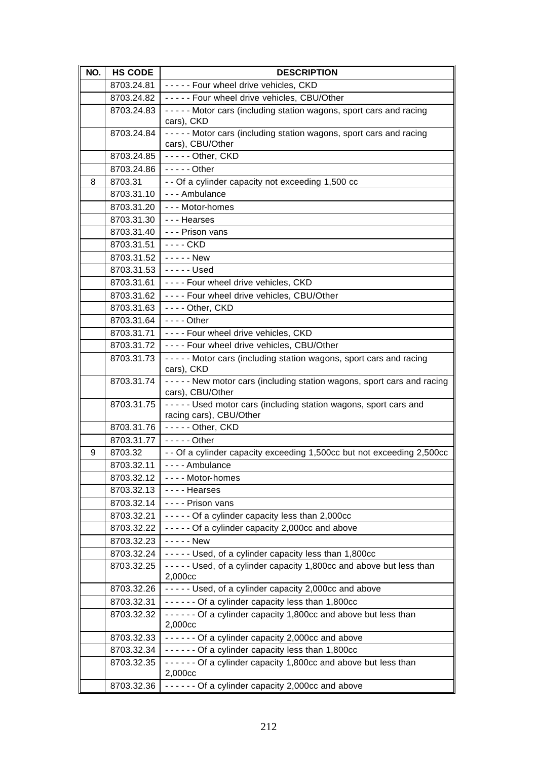| NO. | <b>HS CODE</b>                             | <b>DESCRIPTION</b>                                                                             |
|-----|--------------------------------------------|------------------------------------------------------------------------------------------------|
|     | 8703.24.81                                 | ----- Four wheel drive vehicles, CKD                                                           |
|     | 8703.24.82                                 | ----- Four wheel drive vehicles, CBU/Other                                                     |
|     | 8703.24.83                                 | ----- Motor cars (including station wagons, sport cars and racing<br>cars), CKD                |
|     | 8703.24.84                                 | - - - - - Motor cars (including station wagons, sport cars and racing<br>cars), CBU/Other      |
|     | 8703.24.85                                 | $----$ Other, CKD                                                                              |
|     | 8703.24.86                                 | $---$ Other                                                                                    |
| 8   | 8703.31                                    | - - Of a cylinder capacity not exceeding 1,500 cc                                              |
|     | 8703.31.10                                 | --- Ambulance                                                                                  |
|     | 8703.31.20                                 | --- Motor-homes                                                                                |
|     | 8703.31.30                                 | --- Hearses                                                                                    |
|     | 8703.31.40                                 | - - - Prison vans                                                                              |
|     | 8703.31.51                                 | - - - - CKD                                                                                    |
|     | 8703.31.52 $\vert \cdot \vert$ - - - - New |                                                                                                |
|     | 8703.31.53                                 | $--$ Used                                                                                      |
|     | 8703.31.61                                 | ---- Four wheel drive vehicles, CKD                                                            |
|     | 8703.31.62                                 | ---- Four wheel drive vehicles, CBU/Other                                                      |
|     | 8703.31.63                                 | ---- Other, CKD                                                                                |
|     | 8703.31.64                                 | $- - -$ Other                                                                                  |
|     | 8703.31.71                                 | ---- Four wheel drive vehicles, CKD                                                            |
|     | 8703.31.72                                 | ---- Four wheel drive vehicles, CBU/Other                                                      |
|     | 8703.31.73                                 | ----- Motor cars (including station wagons, sport cars and racing                              |
|     |                                            | cars), CKD                                                                                     |
|     | 8703.31.74                                 | - - - - - New motor cars (including station wagons, sport cars and racing<br>cars), CBU/Other  |
|     | 8703.31.75                                 | - - - - - Used motor cars (including station wagons, sport cars and<br>racing cars), CBU/Other |
|     | 8703.31.76                                 | $----$ Other, CKD                                                                              |
|     | 8703.31.77                                 | $---$ Other                                                                                    |
| 9   | 8703.32                                    | - - Of a cylinder capacity exceeding 1,500cc but not exceeding 2,500cc                         |
|     | 8703.32.11                                 | - - - - Ambulance                                                                              |
|     | 8703.32.12                                 | ---- Motor-homes                                                                               |
|     | 8703.32.13                                 | ---- Hearses                                                                                   |
|     | 8703.32.14                                 | - - - - Prison vans                                                                            |
|     | 8703.32.21                                 | ----- Of a cylinder capacity less than 2,000cc                                                 |
|     | 8703.32.22                                 | ----- Of a cylinder capacity 2,000cc and above                                                 |
|     | 8703.32.23                                 | - - - - - New                                                                                  |
|     | 8703.32.24                                 | ----- Used, of a cylinder capacity less than 1,800cc                                           |
|     | 8703.32.25                                 | - - - - - Used, of a cylinder capacity 1,800cc and above but less than                         |
|     |                                            | 2,000cc                                                                                        |
|     | 8703.32.26                                 | ----- Used, of a cylinder capacity 2,000cc and above                                           |
|     | 8703.32.31                                 | ------ Of a cylinder capacity less than 1,800cc                                                |
|     | 8703.32.32                                 | ------ Of a cylinder capacity 1,800cc and above but less than<br>2,000cc                       |
|     | 8703.32.33                                 | ------ Of a cylinder capacity 2,000cc and above                                                |
|     | 8703.32.34                                 | ------ Of a cylinder capacity less than 1,800cc                                                |
|     | 8703.32.35                                 | ------ Of a cylinder capacity 1,800cc and above but less than<br>2,000cc                       |
|     | 8703.32.36                                 | ------ Of a cylinder capacity 2,000cc and above                                                |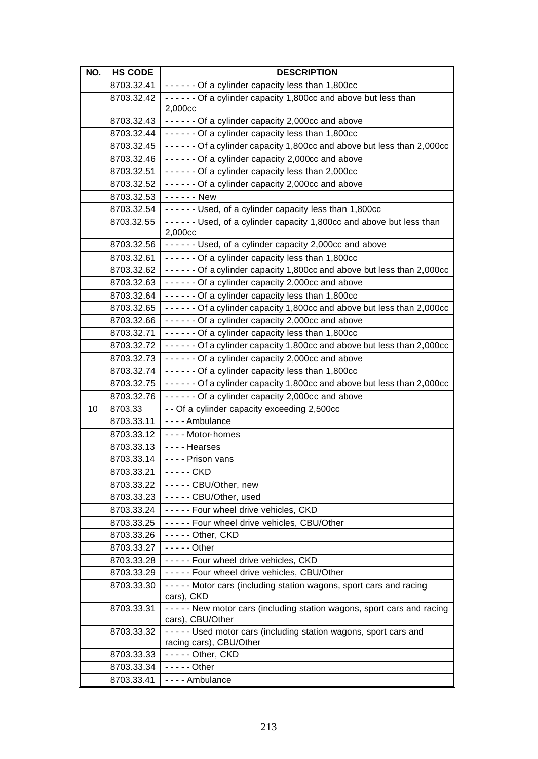| NO. | <b>HS CODE</b> | <b>DESCRIPTION</b>                                                         |
|-----|----------------|----------------------------------------------------------------------------|
|     | 8703.32.41     | ------ Of a cylinder capacity less than 1,800cc                            |
|     | 8703.32.42     | - - - - - - Of a cylinder capacity 1,800cc and above but less than         |
|     |                | 2,000cc                                                                    |
|     | 8703.32.43     | ------ Of a cylinder capacity 2,000cc and above                            |
|     | 8703.32.44     | ------ Of a cylinder capacity less than 1,800cc                            |
|     | 8703.32.45     | ------ Of a cylinder capacity 1,800cc and above but less than 2,000cc      |
|     | 8703.32.46     | ------ Of a cylinder capacity 2,000cc and above                            |
|     | 8703.32.51     | ------ Of a cylinder capacity less than 2,000cc                            |
|     | 8703.32.52     | ------ Of a cylinder capacity 2,000cc and above                            |
|     | 8703.32.53     | - - - - - - New                                                            |
|     | 8703.32.54     | ------ Used, of a cylinder capacity less than 1,800cc                      |
|     | 8703.32.55     | ------ Used, of a cylinder capacity 1,800cc and above but less than        |
|     |                | 2,000cc                                                                    |
|     | 8703.32.56     | ------ Used, of a cylinder capacity 2,000cc and above                      |
|     | 8703.32.61     | ------ Of a cylinder capacity less than 1,800cc                            |
|     | 8703.32.62     | - - - - - - Of a cylinder capacity 1,800cc and above but less than 2,000cc |
|     | 8703.32.63     | ------ Of a cylinder capacity 2,000cc and above                            |
|     | 8703.32.64     | ------ Of a cylinder capacity less than 1,800cc                            |
|     | 8703.32.65     | - - - - - - Of a cylinder capacity 1,800cc and above but less than 2,000cc |
|     | 8703.32.66     | ------ Of a cylinder capacity 2,000cc and above                            |
|     | 8703.32.71     | ------ Of a cylinder capacity less than 1,800cc                            |
|     | 8703.32.72     | - - - - - - Of a cylinder capacity 1,800cc and above but less than 2,000cc |
|     | 8703.32.73     | ------ Of a cylinder capacity 2,000cc and above                            |
|     | 8703.32.74     | ------ Of a cylinder capacity less than 1,800cc                            |
|     | 8703.32.75     | - - - - - - Of a cylinder capacity 1,800cc and above but less than 2,000cc |
|     | 8703.32.76     | ------ Of a cylinder capacity 2,000cc and above                            |
| 10  | 8703.33        | - - Of a cylinder capacity exceeding 2,500cc                               |
|     | 8703.33.11     | - - - - Ambulance                                                          |
|     | 8703.33.12     | ---- Motor-homes                                                           |
|     | 8703.33.13     | ---- Hearses                                                               |
|     | 8703.33.14     | - - - - Prison vans                                                        |
|     | 8703.33.21     | - - - - - CKD                                                              |
|     | 8703.33.22     | ----- CBU/Other, new                                                       |
|     | 8703.33.23     | ----- CBU/Other, used                                                      |
|     | 8703.33.24     | ----- Four wheel drive vehicles, CKD                                       |
|     | 8703.33.25     | ----- Four wheel drive vehicles, CBU/Other                                 |
|     | 8703.33.26     | ----- Other, CKD                                                           |
|     | 8703.33.27     | $---$ Other                                                                |
|     | 8703.33.28     | ----- Four wheel drive vehicles, CKD                                       |
|     | 8703.33.29     | ----- Four wheel drive vehicles, CBU/Other                                 |
|     | 8703.33.30     | - - - - - Motor cars (including station wagons, sport cars and racing      |
|     |                | cars), CKD                                                                 |
|     | 8703.33.31     | - - - - - New motor cars (including station wagons, sport cars and racing  |
|     |                | cars), CBU/Other                                                           |
|     | 8703.33.32     | - - - - - Used motor cars (including station wagons, sport cars and        |
|     | 8703.33.33     | racing cars), CBU/Other<br>----- Other, CKD                                |
|     | 8703.33.34     | $-- -$ - Other                                                             |
|     |                |                                                                            |
|     | 8703.33.41     | - - - - Ambulance                                                          |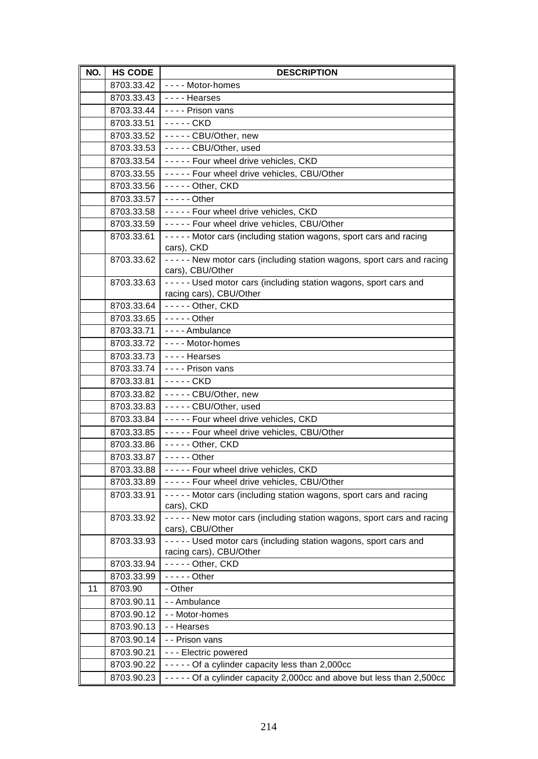| NO. | <b>HS CODE</b> | <b>DESCRIPTION</b>                                                                             |
|-----|----------------|------------------------------------------------------------------------------------------------|
|     | 8703.33.42     | ---- Motor-homes                                                                               |
|     | 8703.33.43     | ---- Hearses                                                                                   |
|     | 8703.33.44     | ---- Prison vans                                                                               |
|     | 8703.33.51     | - - - - - CKD                                                                                  |
|     | 8703.33.52     | ----- CBU/Other, new                                                                           |
|     | 8703.33.53     | ----- CBU/Other, used                                                                          |
|     | 8703.33.54     | ----- Four wheel drive vehicles, CKD                                                           |
|     | 8703.33.55     | ----- Four wheel drive vehicles, CBU/Other                                                     |
|     | 8703.33.56     | - - - - - Other, CKD                                                                           |
|     | 8703.33.57     | $---$ Other                                                                                    |
|     | 8703.33.58     | ----- Four wheel drive vehicles, CKD                                                           |
|     | 8703.33.59     | ----- Four wheel drive vehicles, CBU/Other                                                     |
|     | 8703.33.61     | ----- Motor cars (including station wagons, sport cars and racing<br>cars), CKD                |
|     | 8703.33.62     | - - - - - New motor cars (including station wagons, sport cars and racing<br>cars), CBU/Other  |
|     | 8703.33.63     | - - - - - Used motor cars (including station wagons, sport cars and<br>racing cars), CBU/Other |
|     | 8703.33.64     | ----- Other, CKD                                                                               |
|     | 8703.33.65     | $-- -$ Other                                                                                   |
|     | 8703.33.71     | - - - - Ambulance                                                                              |
|     | 8703.33.72     | ---- Motor-homes                                                                               |
|     | 8703.33.73     | ---- Hearses                                                                                   |
|     | 8703.33.74     | - - - - Prison vans                                                                            |
|     | 8703.33.81     | - - - - - CKD                                                                                  |
|     | 8703.33.82     | ----- CBU/Other, new                                                                           |
|     | 8703.33.83     | ----- CBU/Other, used                                                                          |
|     | 8703.33.84     | ----- Four wheel drive vehicles, CKD                                                           |
|     | 8703.33.85     | ----- Four wheel drive vehicles, CBU/Other                                                     |
|     | 8703.33.86     | - - - - - Other, CKD                                                                           |
|     | 8703.33.87     | $--$ - $-$ Other                                                                               |
|     | 8703.33.88     | ---- Four wheel drive vehicles, CKD                                                            |
|     | 8703.33.89     | ----- Four wheel drive vehicles, CBU/Other                                                     |
|     | 8703.33.91     | ----- Motor cars (including station wagons, sport cars and racing<br>cars), CKD                |
|     | 8703.33.92     | - - - - - New motor cars (including station wagons, sport cars and racing<br>cars), CBU/Other  |
|     | 8703.33.93     | Used motor cars (including station wagons, sport cars and<br>racing cars), CBU/Other           |
|     | 8703.33.94     | $--$ - Other, CKD                                                                              |
|     | 8703.33.99     | $---$ Other                                                                                    |
| 11  | 8703.90        | - Other                                                                                        |
|     | 8703.90.11     | -- Ambulance                                                                                   |
|     | 8703.90.12     | - - Motor-homes                                                                                |
|     | 8703.90.13     | - - Hearses                                                                                    |
|     | 8703.90.14     | - - Prison vans                                                                                |
|     | 8703.90.21     | --- Electric powered                                                                           |
|     | 8703.90.22     | ----- Of a cylinder capacity less than 2,000cc                                                 |
|     | 8703.90.23     | - - - - - Of a cylinder capacity 2,000cc and above but less than 2,500cc                       |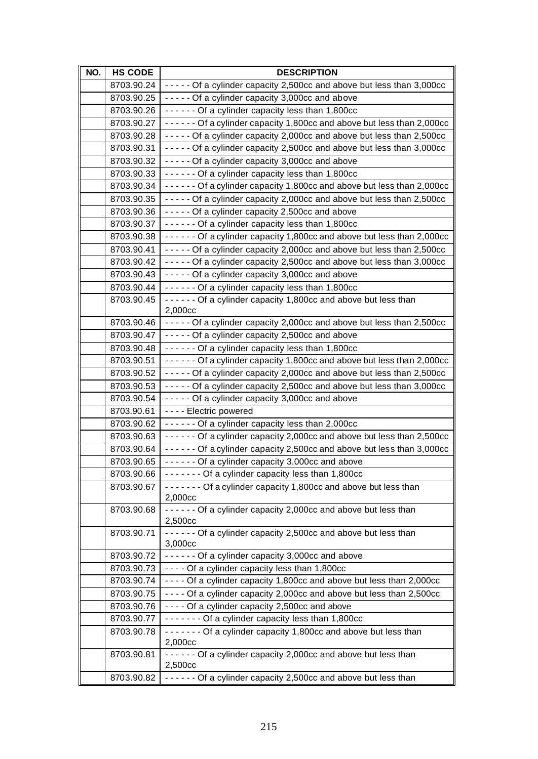| NO. | <b>HS CODE</b> | <b>DESCRIPTION</b>                                                            |
|-----|----------------|-------------------------------------------------------------------------------|
|     | 8703.90.24     | - - - - - Of a cylinder capacity 2,500cc and above but less than 3,000cc      |
|     | 8703.90.25     | - - - - - Of a cylinder capacity 3,000cc and above                            |
|     | 8703.90.26     | ------ Of a cylinder capacity less than 1,800cc                               |
|     | 8703.90.27     | - - - - - - Of a cylinder capacity 1,800cc and above but less than 2,000cc    |
|     | 8703.90.28     | - - - - - Of a cylinder capacity 2,000cc and above but less than 2,500cc      |
|     | 8703.90.31     | - - - - - Of a cylinder capacity 2,500cc and above but less than 3,000cc      |
|     | 8703.90.32     | - - - - - Of a cylinder capacity 3,000cc and above                            |
|     | 8703.90.33     | ------ Of a cylinder capacity less than 1,800cc                               |
|     | 8703.90.34     | - - - - - - Of a cylinder capacity 1,800cc and above but less than 2,000cc    |
|     | 8703.90.35     | - - - - - Of a cylinder capacity 2,000cc and above but less than 2,500cc      |
|     | 8703.90.36     | ----- Of a cylinder capacity 2,500cc and above                                |
|     | 8703.90.37     | ------ Of a cylinder capacity less than 1,800cc                               |
|     | 8703.90.38     | ------ Of a cylinder capacity 1,800cc and above but less than 2,000cc         |
|     | 8703.90.41     | - - - - - Of a cylinder capacity 2,000cc and above but less than 2,500cc      |
|     | 8703.90.42     | - - - - - Of a cylinder capacity 2,500cc and above but less than 3,000cc      |
|     | 8703.90.43     | - - - - - Of a cylinder capacity 3,000cc and above                            |
|     | 8703.90.44     | ------ Of a cylinder capacity less than 1,800cc                               |
|     | 8703.90.45     | ------ Of a cylinder capacity 1,800cc and above but less than                 |
|     |                | 2,000cc                                                                       |
|     | 8703.90.46     | - - - - - Of a cylinder capacity 2,000cc and above but less than 2,500cc      |
|     | 8703.90.47     | - - - - - Of a cylinder capacity 2,500cc and above                            |
|     | 8703.90.48     | ------ Of a cylinder capacity less than 1,800cc                               |
|     | 8703.90.51     | - - - - - - Of a cylinder capacity 1,800cc and above but less than 2,000cc    |
|     | 8703.90.52     | - - - - - Of a cylinder capacity 2,000cc and above but less than 2,500cc      |
|     | 8703.90.53     | - - - - - Of a cylinder capacity 2,500cc and above but less than 3,000cc      |
|     | 8703.90.54     | - - - - - Of a cylinder capacity 3,000cc and above                            |
|     | 8703.90.61     | - - - - Electric powered                                                      |
|     | 8703.90.62     | ------ Of a cylinder capacity less than 2,000cc                               |
|     | 8703.90.63     | - - - - - - Of a cylinder capacity 2,000cc and above but less than 2,500cc    |
|     | 8703.90.64     | - - - - - - Of a cylinder capacity 2,500cc and above but less than 3,000cc    |
|     | 8703.90.65     | ------ Of a cylinder capacity 3,000cc and above                               |
|     | 8703.90.66     | ------- Of a cylinder capacity less than 1,800cc                              |
|     | 8703.90.67     | Of a cylinder capacity 1,800cc and above but less than<br>2,000cc             |
|     | 8703.90.68     | ------ Of a cylinder capacity 2,000cc and above but less than                 |
|     | 8703.90.71     | 2,500cc<br>- - - - - - Of a cylinder capacity 2,500cc and above but less than |
|     |                | 3,000cc                                                                       |
|     | 8703.90.72     | ------ Of a cylinder capacity 3,000cc and above                               |
|     | 8703.90.73     | ---- Of a cylinder capacity less than 1,800cc                                 |
|     | 8703.90.74     | - - - - Of a cylinder capacity 1,800cc and above but less than 2,000cc        |
|     | 8703.90.75     | - - - - Of a cylinder capacity 2,000cc and above but less than 2,500cc        |
|     | 8703.90.76     | - - - - Of a cylinder capacity 2,500cc and above                              |
|     | 8703.90.77     | ------- Of a cylinder capacity less than 1,800cc                              |
|     | 8703.90.78     | ------- Of a cylinder capacity 1,800cc and above but less than                |
|     |                | 2,000cc                                                                       |
|     | 8703.90.81     | - - - - - - Of a cylinder capacity 2,000cc and above but less than<br>2,500cc |
|     | 8703.90.82     | - - - - - - Of a cylinder capacity 2,500cc and above but less than            |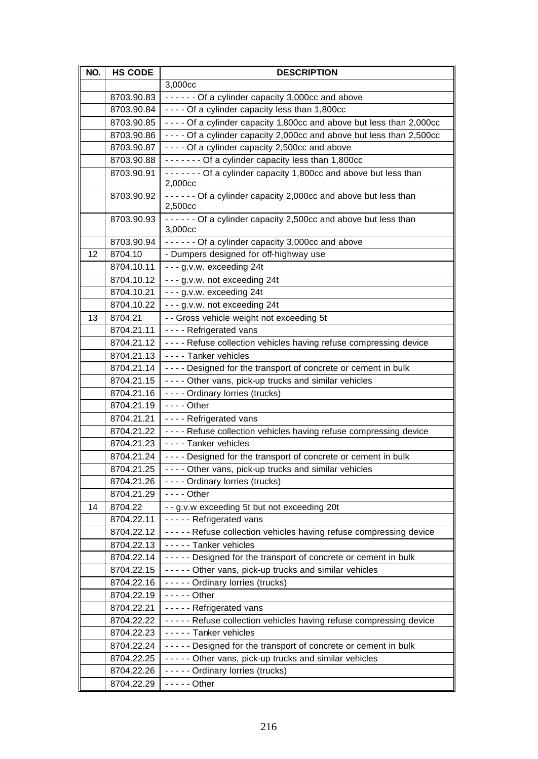| NO. | <b>HS CODE</b>           | <b>DESCRIPTION</b>                                                                         |
|-----|--------------------------|--------------------------------------------------------------------------------------------|
|     |                          | 3,000cc                                                                                    |
|     | 8703.90.83               | ------ Of a cylinder capacity 3,000cc and above                                            |
|     | 8703.90.84               | ---- Of a cylinder capacity less than 1,800cc                                              |
|     | 8703.90.85               | - - - - Of a cylinder capacity 1,800cc and above but less than 2,000cc                     |
|     | 8703.90.86               | - - - - Of a cylinder capacity 2,000cc and above but less than 2,500cc                     |
|     | 8703.90.87               | - - - - Of a cylinder capacity 2,500cc and above                                           |
|     | 8703.90.88               | ------- Of a cylinder capacity less than 1,800cc                                           |
|     | 8703.90.91               | ------ Of a cylinder capacity 1,800cc and above but less than<br>2,000cc                   |
|     | 8703.90.92               | ------ Of a cylinder capacity 2,000cc and above but less than<br>2,500cc                   |
|     | 8703.90.93               | ------ Of a cylinder capacity 2,500cc and above but less than<br>3,000cc                   |
|     | 8703.90.94               | ------ Of a cylinder capacity 3,000cc and above                                            |
| 12  | 8704.10                  | - Dumpers designed for off-highway use                                                     |
|     | 8704.10.11               | $- - g.v.w.$ exceeding 24t                                                                 |
|     | 8704.10.12               | - - - g.v.w. not exceeding 24t                                                             |
|     | 8704.10.21               | - - - g.v.w. exceeding 24t                                                                 |
|     | 8704.10.22               | --- g.v.w. not exceeding 24t                                                               |
| 13  | 8704.21                  | - - Gross vehicle weight not exceeding 5t                                                  |
|     | 8704.21.11               | ---- Refrigerated vans                                                                     |
|     | 8704.21.12               | ---- Refuse collection vehicles having refuse compressing device                           |
|     | 8704.21.13               | ---- Tanker vehicles                                                                       |
|     | 8704.21.14               | - - - - Designed for the transport of concrete or cement in bulk                           |
|     | 8704.21.15               | ---- Other vans, pick-up trucks and similar vehicles                                       |
|     | 8704.21.16               | - - - - Ordinary lorries (trucks)                                                          |
|     | 8704.21.19               | - - - - Other                                                                              |
|     | 8704.21.21               | - - - - Refrigerated vans                                                                  |
|     | 8704.21.22               | - - - - Refuse collection vehicles having refuse compressing device                        |
|     | 8704.21.23               | - - - - Tanker vehicles                                                                    |
|     | 8704.21.24               | - - - - Designed for the transport of concrete or cement in bulk                           |
|     | 8704.21.25               | - - - - Other vans, pick-up trucks and similar vehicles                                    |
|     | 8704.21.26               | - - - - Ordinary lorries (trucks)                                                          |
|     | 8704.21.29               | $--$ Other                                                                                 |
| 14  | 8704.22                  | - - g.v.w exceeding 5t but not exceeding 20t                                               |
|     | 8704.22.11               | - - - - - Refrigerated vans                                                                |
|     | 8704.22.12               | ----- Refuse collection vehicles having refuse compressing device                          |
|     | 8704.22.13               | - - - - - Tanker vehicles                                                                  |
|     | 8704.22.14               | ----- Designed for the transport of concrete or cement in bulk                             |
|     | 8704.22.15               | ----- Other vans, pick-up trucks and similar vehicles                                      |
|     | 8704.22.16               | - - - - - Ordinary lorries (trucks)<br>$--$ - - - Other                                    |
|     | 8704.22.19               |                                                                                            |
|     | 8704.22.21<br>8704.22.22 | - - - - - Refrigerated vans                                                                |
|     | 8704.22.23               | ----- Refuse collection vehicles having refuse compressing device<br>----- Tanker vehicles |
|     | 8704.22.24               | ----- Designed for the transport of concrete or cement in bulk                             |
|     | 8704.22.25               | ----- Other vans, pick-up trucks and similar vehicles                                      |
|     | 8704.22.26               | ----- Ordinary lorries (trucks)                                                            |
|     | 8704.22.29               | $--$ - - - Other                                                                           |
|     |                          |                                                                                            |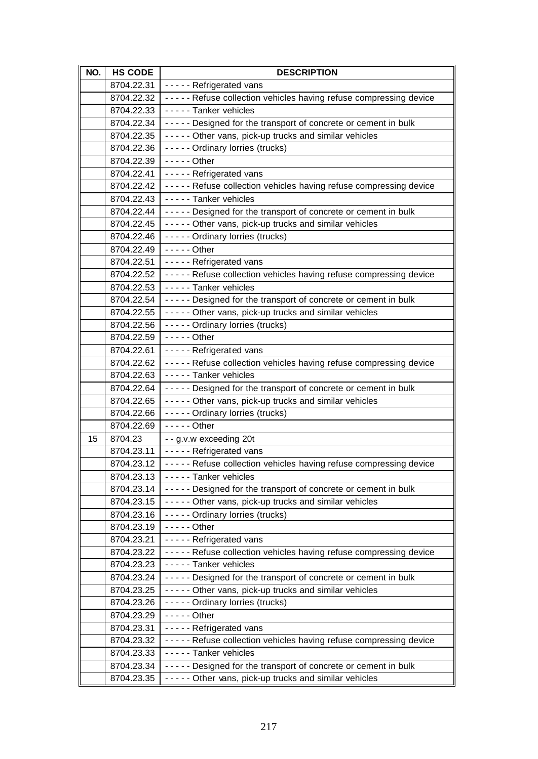| NO. | <b>HS CODE</b>           | <b>DESCRIPTION</b>                                                                                                      |
|-----|--------------------------|-------------------------------------------------------------------------------------------------------------------------|
|     | 8704.22.31               | - - - - - Refrigerated vans                                                                                             |
|     | 8704.22.32               | ----- Refuse collection vehicles having refuse compressing device                                                       |
|     | 8704.22.33               | - - - - - Tanker vehicles                                                                                               |
|     | 8704.22.34               | ----- Designed for the transport of concrete or cement in bulk                                                          |
|     | 8704.22.35               | ----- Other vans, pick-up trucks and similar vehicles                                                                   |
|     | 8704.22.36               | - - - - - Ordinary lorries (trucks)                                                                                     |
|     | 8704.22.39               | $---$ Other                                                                                                             |
|     | 8704.22.41               | - - - - - Refrigerated vans                                                                                             |
|     | 8704.22.42               | ----- Refuse collection vehicles having refuse compressing device                                                       |
|     | 8704.22.43               | - - - - - Tanker vehicles                                                                                               |
|     | 8704.22.44               | ----- Designed for the transport of concrete or cement in bulk                                                          |
|     | 8704.22.45               | - - - - - Other vans, pick-up trucks and similar vehicles                                                               |
|     | 8704.22.46               | ----- Ordinary lorries (trucks)                                                                                         |
|     | 8704.22.49               | $--$ - - Other                                                                                                          |
|     | 8704.22.51               | - - - - - Refrigerated vans                                                                                             |
|     | 8704.22.52               | ----- Refuse collection vehicles having refuse compressing device                                                       |
|     | 8704.22.53               | - - - - - Tanker vehicles                                                                                               |
|     | 8704.22.54               | ----- Designed for the transport of concrete or cement in bulk                                                          |
|     | 8704.22.55               | ----- Other vans, pick-up trucks and similar vehicles                                                                   |
|     | 8704.22.56               | - - - - - Ordinary lorries (trucks)                                                                                     |
|     | 8704.22.59               | - - - - - Other                                                                                                         |
|     | 8704.22.61               | ----- Refrigerated vans                                                                                                 |
|     | 8704.22.62               | ----- Refuse collection vehicles having refuse compressing device                                                       |
|     | 8704.22.63               | - - - - - Tanker vehicles                                                                                               |
|     | 8704.22.64               | ----- Designed for the transport of concrete or cement in bulk                                                          |
|     | 8704.22.65               | ----- Other vans, pick-up trucks and similar vehicles                                                                   |
|     | 8704.22.66               | - - - - - Ordinary lorries (trucks)                                                                                     |
|     | 8704.22.69               | $---$ Other                                                                                                             |
| 15  | 8704.23                  | - - g.v.w exceeding 20t                                                                                                 |
|     | 8704.23.11               | - - - - - Refrigerated vans                                                                                             |
|     | 8704.23.12               | - - - - - Refuse collection vehicles having refuse compressing device                                                   |
|     | 8704.23.13<br>8704.23.14 | ----- Tanker vehicles                                                                                                   |
|     | 8704.23.15               | ----- Designed for the transport of concrete or cement in bulk<br>----- Other vans, pick-up trucks and similar vehicles |
|     | 8704.23.16               | ----- Ordinary lorries (trucks)                                                                                         |
|     | 8704.23.19               | $-- -$ Other                                                                                                            |
|     | 8704.23.21               | - - - - - Refrigerated vans                                                                                             |
|     | 8704.23.22               | ----- Refuse collection vehicles having refuse compressing device                                                       |
|     | 8704.23.23               | - - - - - Tanker vehicles                                                                                               |
|     | 8704.23.24               | ----- Designed for the transport of concrete or cement in bulk                                                          |
|     | 8704.23.25               | ----- Other vans, pick-up trucks and similar vehicles                                                                   |
|     | 8704.23.26               | - - - - - Ordinary lorries (trucks)                                                                                     |
|     | 8704.23.29               | $---$ Other                                                                                                             |
|     | 8704.23.31               | - - - - - Refrigerated vans                                                                                             |
|     | 8704.23.32               | ----- Refuse collection vehicles having refuse compressing device                                                       |
|     | 8704.23.33               | - - - - - Tanker vehicles                                                                                               |
|     | 8704.23.34               | ----- Designed for the transport of concrete or cement in bulk                                                          |
|     | 8704.23.35               | ----- Other vans, pick-up trucks and similar vehicles                                                                   |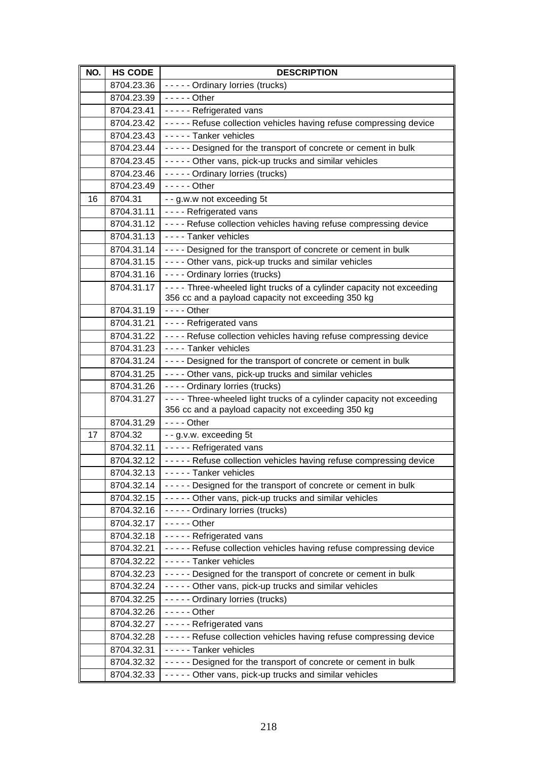| NO. | <b>HS CODE</b>           | <b>DESCRIPTION</b>                                                                                                            |
|-----|--------------------------|-------------------------------------------------------------------------------------------------------------------------------|
|     | 8704.23.36               | - - - - - Ordinary lorries (trucks)                                                                                           |
|     | 8704.23.39               | $---$ Other                                                                                                                   |
|     | 8704.23.41               | - - - - - Refrigerated vans                                                                                                   |
|     | 8704.23.42               | ----- Refuse collection vehicles having refuse compressing device                                                             |
|     | 8704.23.43               | - - - - - Tanker vehicles                                                                                                     |
|     | 8704.23.44               | ----- Designed for the transport of concrete or cement in bulk                                                                |
|     | 8704.23.45               | ----- Other vans, pick-up trucks and similar vehicles                                                                         |
|     | 8704.23.46               | ----- Ordinary lorries (trucks)                                                                                               |
|     | 8704.23.49               | $--$ - - - Other                                                                                                              |
| 16  | 8704.31                  | - - g.w.w not exceeding 5t                                                                                                    |
|     | 8704.31.11               | ---- Refrigerated vans                                                                                                        |
|     | 8704.31.12               | ---- Refuse collection vehicles having refuse compressing device                                                              |
|     | 8704.31.13               | - - - - Tanker vehicles                                                                                                       |
|     | 8704.31.14               | ---- Designed for the transport of concrete or cement in bulk                                                                 |
|     | 8704.31.15               | ---- Other vans, pick-up trucks and similar vehicles                                                                          |
|     | 8704.31.16               | - - - - Ordinary lorries (trucks)                                                                                             |
|     | 8704.31.17               | - - - - Three-wheeled light trucks of a cylinder capacity not exceeding<br>356 cc and a payload capacity not exceeding 350 kg |
|     | 8704.31.19               | $--$ Other                                                                                                                    |
|     | 8704.31.21               | ---- Refrigerated vans                                                                                                        |
|     | 8704.31.22               | ---- Refuse collection vehicles having refuse compressing device                                                              |
|     | 8704.31.23               | ---- Tanker vehicles                                                                                                          |
|     | 8704.31.24               | - - - - Designed for the transport of concrete or cement in bulk                                                              |
|     | 8704.31.25               | - - - - Other vans, pick-up trucks and similar vehicles                                                                       |
|     | 8704.31.26               | - - - - Ordinary lorries (trucks)                                                                                             |
|     | 8704.31.27               | - - - - Three-wheeled light trucks of a cylinder capacity not exceeding                                                       |
|     |                          | 356 cc and a payload capacity not exceeding 350 kg                                                                            |
|     | 8704.31.29               | $--$ Other                                                                                                                    |
| 17  | 8704.32                  | - - g.v.w. exceeding 5t                                                                                                       |
|     | 8704.32.11               | - - - - - Refrigerated vans                                                                                                   |
|     | 8704.32.12               | ----- Refuse collection vehicles having refuse compressing device                                                             |
|     | 8704.32.13               | - - - - - Tanker vehicles                                                                                                     |
|     | 8704.32.14               | ----- Designed for the transport of concrete or cement in bulk                                                                |
|     | 8704.32.15               | ----- Other vans, pick-up trucks and similar vehicles                                                                         |
|     | 8704.32.16<br>8704.32.17 | - - - - - Ordinary lorries (trucks)<br>$-- -$ Other                                                                           |
|     | 8704.32.18               | ----- Refrigerated vans                                                                                                       |
|     | 8704.32.21               | ----- Refuse collection vehicles having refuse compressing device                                                             |
|     | 8704.32.22               | - - - - - Tanker vehicles                                                                                                     |
|     | 8704.32.23               | ----- Designed for the transport of concrete or cement in bulk                                                                |
|     | 8704.32.24               | ----- Other vans, pick-up trucks and similar vehicles                                                                         |
|     | 8704.32.25               | ----- Ordinary lorries (trucks)                                                                                               |
|     | 8704.32.26               | $--$ - $-$ Other                                                                                                              |
|     | 8704.32.27               | ----- Refrigerated vans                                                                                                       |
|     | 8704.32.28               | ----- Refuse collection vehicles having refuse compressing device                                                             |
|     | 8704.32.31               | ----- Tanker vehicles                                                                                                         |
|     | 8704.32.32               | ----- Designed for the transport of concrete or cement in bulk                                                                |
|     | 8704.32.33               | ----- Other vans, pick-up trucks and similar vehicles                                                                         |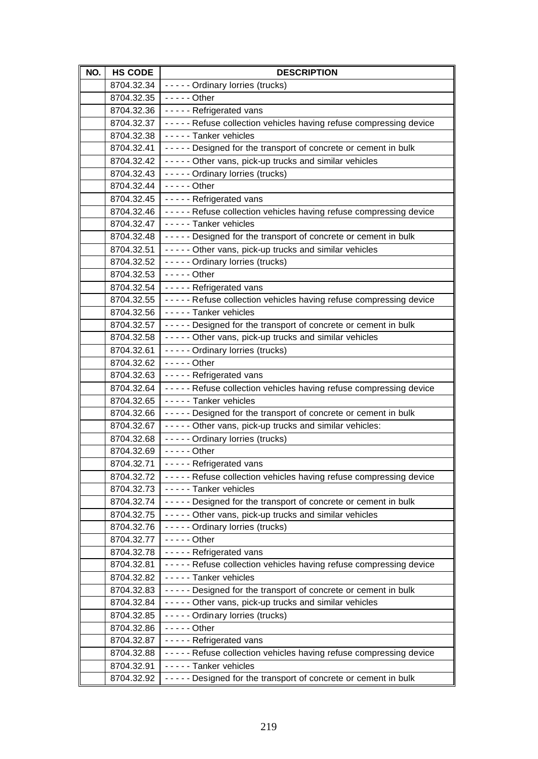| NO. | <b>HS CODE</b>           | <b>DESCRIPTION</b>                                                                         |
|-----|--------------------------|--------------------------------------------------------------------------------------------|
|     | 8704.32.34               | - - - - - Ordinary lorries (trucks)                                                        |
|     | 8704.32.35               | $---$ Other                                                                                |
|     | 8704.32.36               | ----- Refrigerated vans                                                                    |
|     | 8704.32.37               | ----- Refuse collection vehicles having refuse compressing device                          |
|     | 8704.32.38               | - - - - - Tanker vehicles                                                                  |
|     | 8704.32.41               | ----- Designed for the transport of concrete or cement in bulk                             |
|     | 8704.32.42               | ----- Other vans, pick-up trucks and similar vehicles                                      |
|     | 8704.32.43               | - - - - - Ordinary lorries (trucks)                                                        |
|     | 8704.32.44               | $- - - -$ Other                                                                            |
|     | 8704.32.45               | - - - - - Refrigerated vans                                                                |
|     | 8704.32.46               | ----- Refuse collection vehicles having refuse compressing device                          |
|     | 8704.32.47               | ----- Tanker vehicles                                                                      |
|     | 8704.32.48               | ----- Designed for the transport of concrete or cement in bulk                             |
|     | 8704.32.51               | ----- Other vans, pick-up trucks and similar vehicles                                      |
|     | 8704.32.52               | - - - - - Ordinary lorries (trucks)                                                        |
|     | 8704.32.53               | $---$ Other                                                                                |
|     | 8704.32.54               | - - - - - Refrigerated vans                                                                |
|     | 8704.32.55               | ----- Refuse collection vehicles having refuse compressing device                          |
|     | 8704.32.56               | - - - - - Tanker vehicles                                                                  |
|     | 8704.32.57               | ----- Designed for the transport of concrete or cement in bulk                             |
|     | 8704.32.58               | ----- Other vans, pick-up trucks and similar vehicles                                      |
|     | 8704.32.61               | - - - - - Ordinary lorries (trucks)                                                        |
|     | 8704.32.62               | $--$ - - Other                                                                             |
|     | 8704.32.63               | - - - - - Refrigerated vans                                                                |
|     | 8704.32.64               | ----- Refuse collection vehicles having refuse compressing device                          |
|     | 8704.32.65               | ----- Tanker vehicles                                                                      |
|     | 8704.32.66               | ----- Designed for the transport of concrete or cement in bulk                             |
|     | 8704.32.67               | ----- Other vans, pick-up trucks and similar vehicles:                                     |
|     | 8704.32.68               | - - - - - Ordinary lorries (trucks)                                                        |
|     | 8704.32.69               | $---$ Other                                                                                |
|     | 8704.32.71               | - - - - - Refrigerated vans                                                                |
|     | 8704.32.72               | ----- Refuse collection vehicles having refuse compressing device                          |
|     | 8704.32.73               | - - - - - Tanker vehicles                                                                  |
|     | 8704.32.74               | ----- Designed for the transport of concrete or cement in bulk                             |
|     | 8704.32.75               | ----- Other vans, pick-up trucks and similar vehicles                                      |
|     | 8704.32.76               | - - - - - Ordinary lorries (trucks)                                                        |
|     | 8704.32.77               | $---$ Other                                                                                |
|     | 8704.32.78               | - - - - - Refrigerated vans                                                                |
|     | 8704.32.81               | ----- Refuse collection vehicles having refuse compressing device<br>----- Tanker vehicles |
|     | 8704.32.82               |                                                                                            |
|     | 8704.32.83               | ----- Designed for the transport of concrete or cement in bulk                             |
|     | 8704.32.84<br>8704.32.85 | ----- Other vans, pick-up trucks and similar vehicles<br>----- Ordinary lorries (trucks)   |
|     | 8704.32.86               | $--$ - - - Other                                                                           |
|     | 8704.32.87               | - - - - - Refrigerated vans                                                                |
|     | 8704.32.88               | ----- Refuse collection vehicles having refuse compressing device                          |
|     | 8704.32.91               | - - - - - Tanker vehicles                                                                  |
|     | 8704.32.92               | ----- Designed for the transport of concrete or cement in bulk                             |
|     |                          |                                                                                            |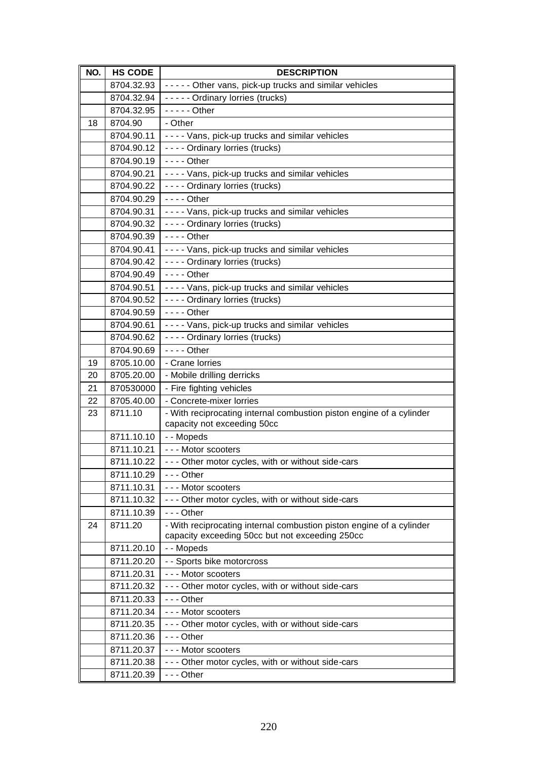| NO. | <b>HS CODE</b> | <b>DESCRIPTION</b>                                                   |
|-----|----------------|----------------------------------------------------------------------|
|     | 8704.32.93     | ----- Other vans, pick-up trucks and similar vehicles                |
|     | 8704.32.94     | ----- Ordinary lorries (trucks)                                      |
|     | 8704.32.95     | $---$ Other                                                          |
| 18  | 8704.90        | - Other                                                              |
|     | 8704.90.11     | ---- Vans, pick-up trucks and similar vehicles                       |
|     | 8704.90.12     | - - - - Ordinary lorries (trucks)                                    |
|     | 8704.90.19     | $--$ Other                                                           |
|     | 8704.90.21     | - - - - Vans, pick-up trucks and similar vehicles                    |
|     | 8704.90.22     | - - - - Ordinary lorries (trucks)                                    |
|     | 8704.90.29     | $--$ Other                                                           |
|     | 8704.90.31     | ---- Vans, pick-up trucks and similar vehicles                       |
|     | 8704.90.32     | - - - - Ordinary lorries (trucks)                                    |
|     | 8704.90.39     | $--$ Other                                                           |
|     | 8704.90.41     | ---- Vans, pick-up trucks and similar vehicles                       |
|     | 8704.90.42     | - - - - Ordinary lorries (trucks)                                    |
|     | 8704.90.49     | $--$ Other                                                           |
|     | 8704.90.51     | ---- Vans, pick-up trucks and similar vehicles                       |
|     | 8704.90.52     | - - - - Ordinary lorries (trucks)                                    |
|     | 8704.90.59     | $--$ Other                                                           |
|     | 8704.90.61     | ---- Vans, pick-up trucks and similar vehicles                       |
|     | 8704.90.62     | - - - - Ordinary lorries (trucks)                                    |
|     | 8704.90.69     | $--$ Other                                                           |
| 19  | 8705.10.00     | - Crane lorries                                                      |
| 20  | 8705.20.00     | - Mobile drilling derricks                                           |
| 21  | 870530000      | - Fire fighting vehicles                                             |
| 22  | 8705.40.00     | - Concrete-mixer lorries                                             |
| 23  | 8711.10        | - With reciprocating internal combustion piston engine of a cylinder |
|     | 8711.10.10     | capacity not exceeding 50cc<br>- - Mopeds                            |
|     | 8711.10.21     | --- Motor scooters                                                   |
|     | 8711.10.22     | - - - Other motor cycles, with or without side-cars                  |
|     | 8711.10.29     | $- -$ Other                                                          |
|     | 8711.10.31     | --- Motor scooters                                                   |
|     | 8711.10.32     | - - - Other motor cycles, with or without side-cars                  |
|     | 8711.10.39     | $- -$ Other                                                          |
| 24  | 8711.20        | - With reciprocating internal combustion piston engine of a cylinder |
|     |                | capacity exceeding 50cc but not exceeding 250cc                      |
|     | 8711.20.10     | - - Mopeds                                                           |
|     | 8711.20.20     | - - Sports bike motorcross                                           |
|     | 8711.20.31     | - - - Motor scooters                                                 |
|     | 8711.20.32     | - - - Other motor cycles, with or without side-cars                  |
|     | 8711.20.33     | $- -$ Other                                                          |
|     | 8711.20.34     | --- Motor scooters                                                   |
|     | 8711.20.35     | - - - Other motor cycles, with or without side-cars                  |
|     | 8711.20.36     | $- -$ Other                                                          |
|     | 8711.20.37     | --- Motor scooters                                                   |
|     | 8711.20.38     | - - - Other motor cycles, with or without side-cars                  |
|     | 8711.20.39     | --- Other                                                            |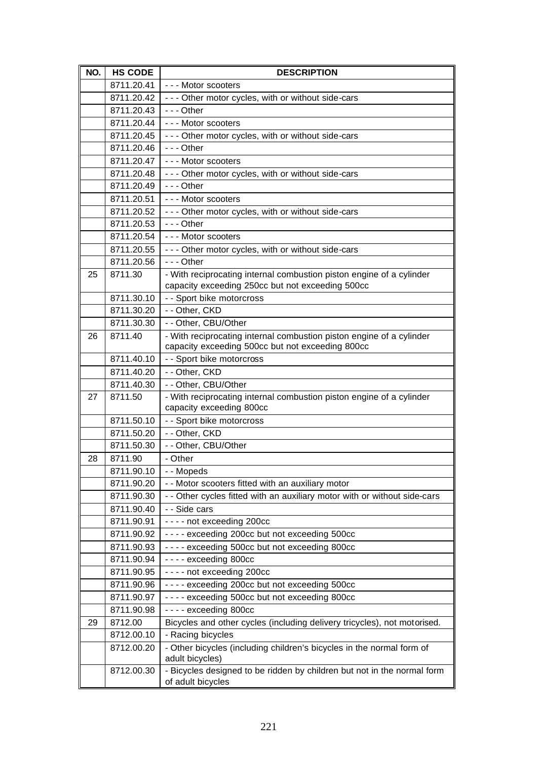| NO. | <b>HS CODE</b> | <b>DESCRIPTION</b>                                                                                                       |
|-----|----------------|--------------------------------------------------------------------------------------------------------------------------|
|     | 8711.20.41     | --- Motor scooters                                                                                                       |
|     | 8711.20.42     | - - - Other motor cycles, with or without side-cars                                                                      |
|     | 8711.20.43     | $- -$ - Other                                                                                                            |
|     | 8711.20.44     | - - - Motor scooters                                                                                                     |
|     | 8711.20.45     | - - - Other motor cycles, with or without side-cars                                                                      |
|     | 8711.20.46     | $- -$ Other                                                                                                              |
|     | 8711.20.47     | --- Motor scooters                                                                                                       |
|     | 8711.20.48     | - - - Other motor cycles, with or without side-cars                                                                      |
|     | 8711.20.49     | $- -$ - Other                                                                                                            |
|     | 8711.20.51     | --- Motor scooters                                                                                                       |
|     | 8711.20.52     | - - - Other motor cycles, with or without side-cars                                                                      |
|     | 8711.20.53     | $- -$ Other                                                                                                              |
|     | 8711.20.54     | - - - Motor scooters                                                                                                     |
|     | 8711.20.55     | - - - Other motor cycles, with or without side-cars                                                                      |
|     | 8711.20.56     | $- -$ Other                                                                                                              |
| 25  | 8711.30        | - With reciprocating internal combustion piston engine of a cylinder                                                     |
|     |                | capacity exceeding 250cc but not exceeding 500cc                                                                         |
|     | 8711.30.10     | - - Sport bike motorcross                                                                                                |
|     | 8711.30.20     | - - Other, CKD                                                                                                           |
|     | 8711.30.30     | - - Other, CBU/Other                                                                                                     |
| 26  | 8711.40        | - With reciprocating internal combustion piston engine of a cylinder<br>capacity exceeding 500cc but not exceeding 800cc |
|     | 8711.40.10     | - - Sport bike motorcross                                                                                                |
|     | 8711.40.20     | - - Other, CKD                                                                                                           |
|     | 8711.40.30     | - - Other, CBU/Other                                                                                                     |
| 27  | 8711.50        | - With reciprocating internal combustion piston engine of a cylinder<br>capacity exceeding 800cc                         |
|     | 8711.50.10     | - - Sport bike motorcross                                                                                                |
|     | 8711.50.20     | - - Other, CKD                                                                                                           |
|     | 8711.50.30     | - - Other, CBU/Other                                                                                                     |
| 28  | 8711.90        | - Other                                                                                                                  |
|     | 8711.90.10     | - - Mopeds                                                                                                               |
|     | 8711.90.20     | - - Motor scooters fitted with an auxiliary motor                                                                        |
|     | 8711.90.30     | - - Other cycles fitted with an auxiliary motor with or without side-cars                                                |
|     | 8711.90.40     | - - Side cars                                                                                                            |
|     | 8711.90.91     | - - - - not exceeding 200cc                                                                                              |
|     | 8711.90.92     | ---- exceeding 200cc but not exceeding 500cc                                                                             |
|     | 8711.90.93     | ---- exceeding 500cc but not exceeding 800cc                                                                             |
|     | 8711.90.94     | ---- exceeding 800cc                                                                                                     |
|     | 8711.90.95     | - - - - not exceeding 200cc                                                                                              |
|     | 8711.90.96     | ---- exceeding 200cc but not exceeding 500cc                                                                             |
|     | 8711.90.97     | ---- exceeding 500cc but not exceeding 800cc                                                                             |
|     | 8711.90.98     | ---- exceeding 800cc                                                                                                     |
| 29  | 8712.00        | Bicycles and other cycles (including delivery tricycles), not motorised.                                                 |
|     | 8712.00.10     | - Racing bicycles                                                                                                        |
|     | 8712.00.20     | - Other bicycles (including children's bicycles in the normal form of<br>adult bicycles)                                 |
|     | 8712.00.30     | - Bicycles designed to be ridden by children but not in the normal form<br>of adult bicycles                             |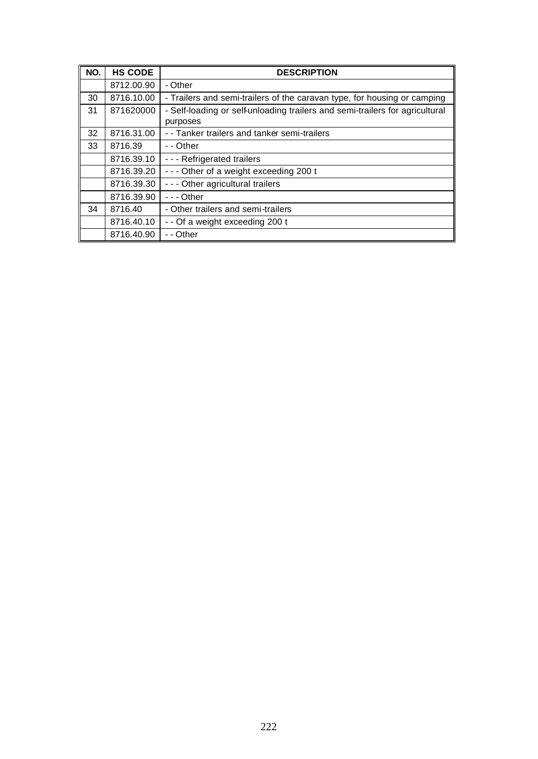| NO. | <b>HS CODE</b> | <b>DESCRIPTION</b>                                                           |
|-----|----------------|------------------------------------------------------------------------------|
|     | 8712.00.90     | - Other                                                                      |
| 30  | 8716.10.00     | - Trailers and semi-trailers of the caravan type, for housing or camping     |
| 31  | 871620000      | - Self-loading or self-unloading trailers and semi-trailers for agricultural |
|     |                | purposes                                                                     |
| 32  | 8716.31.00     | - - Tanker trailers and tanker semi-trailers                                 |
| 33  | 8716.39        | - - Other                                                                    |
|     | 8716.39.10     | --- Refrigerated trailers                                                    |
|     | 8716.39.20     | --- Other of a weight exceeding 200 t                                        |
|     | 8716.39.30     | - - - Other agricultural trailers                                            |
|     | 8716.39.90     | $- -$ - Other                                                                |
| 34  | 8716.40        | - Other trailers and semi-trailers                                           |
|     | 8716.40.10     | - - Of a weight exceeding 200 t                                              |
|     | 8716.40.90     | - - Other                                                                    |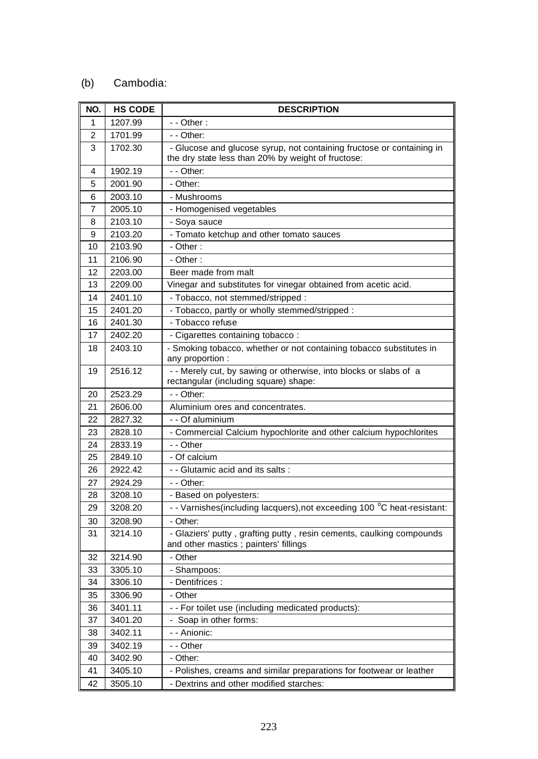### (b) Cambodia:

| NO. | <b>HS CODE</b> | <b>DESCRIPTION</b>                                                                                                          |
|-----|----------------|-----------------------------------------------------------------------------------------------------------------------------|
| 1   | 1207.99        | $-$ - Other :                                                                                                               |
| 2   | 1701.99        | - - Other:                                                                                                                  |
| 3   | 1702.30        | - Glucose and glucose syrup, not containing fructose or containing in<br>the dry state less than 20% by weight of fructose: |
| 4   | 1902.19        | - - Other:                                                                                                                  |
| 5   | 2001.90        | - Other:                                                                                                                    |
| 6   | 2003.10        | - Mushrooms                                                                                                                 |
| 7   | 2005.10        | - Homogenised vegetables                                                                                                    |
| 8   | 2103.10        | - Soya sauce                                                                                                                |
| 9   | 2103.20        | - Tomato ketchup and other tomato sauces                                                                                    |
| 10  | 2103.90        | - Other:                                                                                                                    |
| 11  | 2106.90        | - Other :                                                                                                                   |
| 12  | 2203.00        | Beer made from malt                                                                                                         |
| 13  | 2209.00        | Vinegar and substitutes for vinegar obtained from acetic acid.                                                              |
| 14  | 2401.10        | - Tobacco, not stemmed/stripped :                                                                                           |
| 15  | 2401.20        | - Tobacco, partly or wholly stemmed/stripped :                                                                              |
| 16  | 2401.30        | - Tobacco refuse                                                                                                            |
| 17  | 2402.20        | - Cigarettes containing tobacco:                                                                                            |
| 18  | 2403.10        | - Smoking tobacco, whether or not containing tobacco substitutes in<br>any proportion :                                     |
| 19  | 2516.12        | - - Merely cut, by sawing or otherwise, into blocks or slabs of a<br>rectangular (including square) shape:                  |
| 20  | 2523.29        | - - Other:                                                                                                                  |
| 21  | 2606.00        | Aluminium ores and concentrates.                                                                                            |
| 22  | 2827.32        | - - Of aluminium                                                                                                            |
| 23  | 2828.10        | - Commercial Calcium hypochlorite and other calcium hypochlorites                                                           |
| 24  | 2833.19        | - - Other                                                                                                                   |
| 25  | 2849.10        | - Of calcium                                                                                                                |
| 26  | 2922.42        | - - Glutamic acid and its salts :                                                                                           |
| 27  | 2924.29        | - - Other:                                                                                                                  |
| 28  | 3208.10        | - Based on polyesters:                                                                                                      |
| 29  | 3208.20        | - - Varnishes(including lacquers), not exceeding 100 °C heat-resistant:                                                     |
| 30  | 3208.90        | - Other:                                                                                                                    |
| 31  | 3214.10        | - Glaziers' putty, grafting putty, resin cements, caulking compounds<br>and other mastics; painters' fillings               |
| 32  | 3214.90        | - Other                                                                                                                     |
| 33  | 3305.10        | - Shampoos:                                                                                                                 |
| 34  | 3306.10        | - Dentifrices :                                                                                                             |
| 35  | 3306.90        | - Other                                                                                                                     |
| 36  | 3401.11        | - - For toilet use (including medicated products):                                                                          |
| 37  | 3401.20        | - Soap in other forms:                                                                                                      |
| 38  | 3402.11        | - - Anionic:                                                                                                                |
| 39  | 3402.19        | - - Other                                                                                                                   |
| 40  | 3402.90        | - Other:                                                                                                                    |
| 41  | 3405.10        | - Polishes, creams and similar preparations for footwear or leather                                                         |
| 42  | 3505.10        | - Dextrins and other modified starches:                                                                                     |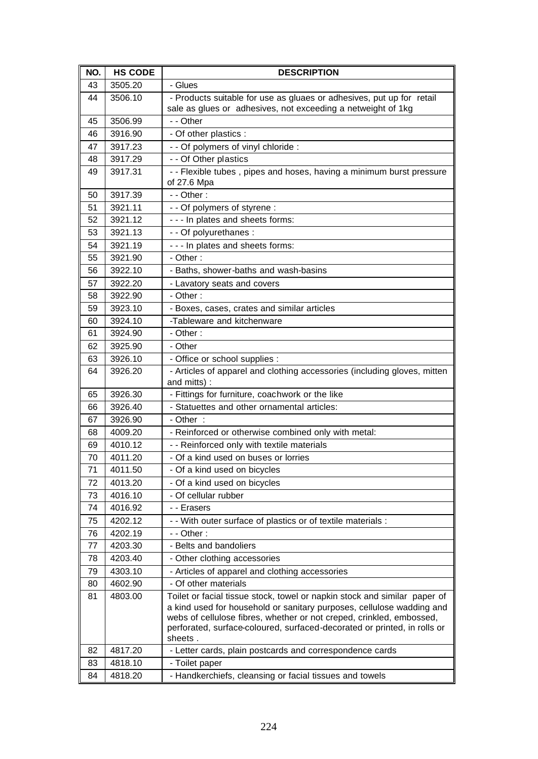| NO. | <b>HS CODE</b> | <b>DESCRIPTION</b>                                                                                                                                                                                                                                                                                                |
|-----|----------------|-------------------------------------------------------------------------------------------------------------------------------------------------------------------------------------------------------------------------------------------------------------------------------------------------------------------|
| 43  | 3505.20        | - Glues                                                                                                                                                                                                                                                                                                           |
| 44  | 3506.10        | - Products suitable for use as gluaes or adhesives, put up for retail<br>sale as glues or adhesives, not exceeding a netweight of 1kg                                                                                                                                                                             |
| 45  | 3506.99        | - - Other                                                                                                                                                                                                                                                                                                         |
| 46  | 3916.90        | - Of other plastics :                                                                                                                                                                                                                                                                                             |
| 47  | 3917.23        | - - Of polymers of vinyl chloride :                                                                                                                                                                                                                                                                               |
| 48  | 3917.29        | - - Of Other plastics                                                                                                                                                                                                                                                                                             |
| 49  | 3917.31        | - - Flexible tubes, pipes and hoses, having a minimum burst pressure<br>of 27.6 Mpa                                                                                                                                                                                                                               |
| 50  | 3917.39        | $-$ - Other :                                                                                                                                                                                                                                                                                                     |
| 51  | 3921.11        | - - Of polymers of styrene :                                                                                                                                                                                                                                                                                      |
| 52  | 3921.12        | - - - In plates and sheets forms:                                                                                                                                                                                                                                                                                 |
| 53  | 3921.13        | - - Of polyurethanes :                                                                                                                                                                                                                                                                                            |
| 54  | 3921.19        | - - - In plates and sheets forms:                                                                                                                                                                                                                                                                                 |
| 55  | 3921.90        | - Other:                                                                                                                                                                                                                                                                                                          |
| 56  | 3922.10        | - Baths, shower-baths and wash-basins                                                                                                                                                                                                                                                                             |
| 57  | 3922.20        | - Lavatory seats and covers                                                                                                                                                                                                                                                                                       |
| 58  | 3922.90        | - Other:                                                                                                                                                                                                                                                                                                          |
| 59  | 3923.10        | - Boxes, cases, crates and similar articles                                                                                                                                                                                                                                                                       |
| 60  | 3924.10        | -Tableware and kitchenware                                                                                                                                                                                                                                                                                        |
| 61  | 3924.90        | - Other:                                                                                                                                                                                                                                                                                                          |
| 62  | 3925.90        | - Other                                                                                                                                                                                                                                                                                                           |
| 63  | 3926.10        | - Office or school supplies :                                                                                                                                                                                                                                                                                     |
| 64  | 3926.20        | - Articles of apparel and clothing accessories (including gloves, mitten                                                                                                                                                                                                                                          |
|     |                | and mitts):                                                                                                                                                                                                                                                                                                       |
| 65  | 3926.30        | - Fittings for furniture, coachwork or the like                                                                                                                                                                                                                                                                   |
| 66  | 3926.40        | - Statuettes and other ornamental articles:                                                                                                                                                                                                                                                                       |
| 67  | 3926.90        | - Other:                                                                                                                                                                                                                                                                                                          |
| 68  | 4009.20        | - Reinforced or otherwise combined only with metal:                                                                                                                                                                                                                                                               |
| 69  | 4010.12        | - - Reinforced only with textile materials                                                                                                                                                                                                                                                                        |
| 70  | 4011.20        | - Of a kind used on buses or lorries                                                                                                                                                                                                                                                                              |
| 71  | 4011.50        | - Of a kind used on bicycles                                                                                                                                                                                                                                                                                      |
| 72  | 4013.20        | - Of a kind used on bicycles                                                                                                                                                                                                                                                                                      |
| 73  | 4016.10        | - Of cellular rubber                                                                                                                                                                                                                                                                                              |
| 74  | 4016.92        | - - Erasers                                                                                                                                                                                                                                                                                                       |
| 75  | 4202.12        | - - With outer surface of plastics or of textile materials :                                                                                                                                                                                                                                                      |
| 76  | 4202.19        | $-$ - Other :                                                                                                                                                                                                                                                                                                     |
| 77  | 4203.30        | - Belts and bandoliers                                                                                                                                                                                                                                                                                            |
| 78  | 4203.40        | - Other clothing accessories                                                                                                                                                                                                                                                                                      |
| 79  | 4303.10        | - Articles of apparel and clothing accessories                                                                                                                                                                                                                                                                    |
| 80  | 4602.90        | - Of other materials                                                                                                                                                                                                                                                                                              |
| 81  | 4803.00        | Toilet or facial tissue stock, towel or napkin stock and similar paper of<br>a kind used for household or sanitary purposes, cellulose wadding and<br>webs of cellulose fibres, whether or not creped, crinkled, embossed,<br>perforated, surface-coloured, surfaced-decorated or printed, in rolls or<br>sheets. |
| 82  | 4817.20        | - Letter cards, plain postcards and correspondence cards                                                                                                                                                                                                                                                          |
| 83  | 4818.10        | - Toilet paper                                                                                                                                                                                                                                                                                                    |
| 84  | 4818.20        | - Handkerchiefs, cleansing or facial tissues and towels                                                                                                                                                                                                                                                           |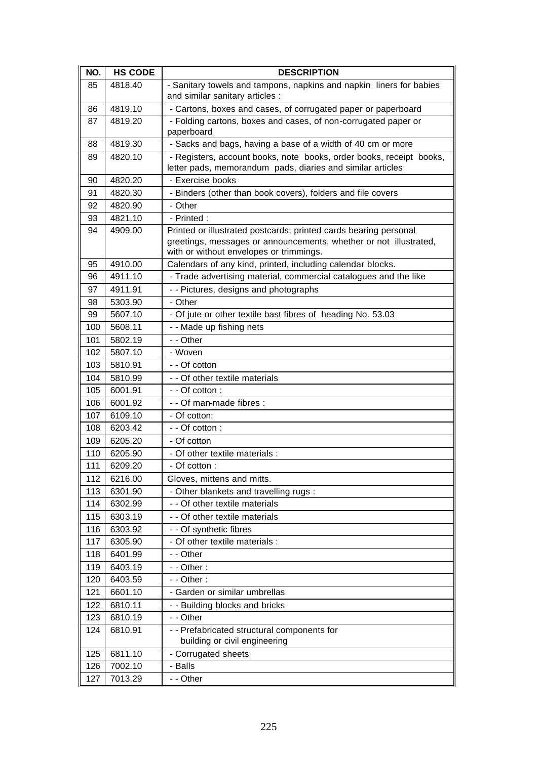| NO. | <b>HS CODE</b> | <b>DESCRIPTION</b>                                                                                           |
|-----|----------------|--------------------------------------------------------------------------------------------------------------|
| 85  | 4818.40        | - Sanitary towels and tampons, napkins and napkin liners for babies                                          |
|     |                | and similar sanitary articles :                                                                              |
| 86  | 4819.10        | - Cartons, boxes and cases, of corrugated paper or paperboard                                                |
| 87  | 4819.20        | - Folding cartons, boxes and cases, of non-corrugated paper or<br>paperboard                                 |
| 88  | 4819.30        | - Sacks and bags, having a base of a width of 40 cm or more                                                  |
| 89  | 4820.10        | - Registers, account books, note books, order books, receipt books,                                          |
|     |                | letter pads, memorandum pads, diaries and similar articles                                                   |
| 90  | 4820.20        | - Exercise books                                                                                             |
| 91  | 4820.30        | - Binders (other than book covers), folders and file covers                                                  |
| 92  | 4820.90        | - Other                                                                                                      |
| 93  | 4821.10        | - Printed:                                                                                                   |
| 94  | 4909.00        | Printed or illustrated postcards; printed cards bearing personal                                             |
|     |                | greetings, messages or announcements, whether or not illustrated,<br>with or without envelopes or trimmings. |
| 95  | 4910.00        | Calendars of any kind, printed, including calendar blocks.                                                   |
| 96  | 4911.10        | - Trade advertising material, commercial catalogues and the like                                             |
| 97  | 4911.91        | - - Pictures, designs and photographs                                                                        |
| 98  | 5303.90        | - Other                                                                                                      |
| 99  | 5607.10        | - Of jute or other textile bast fibres of heading No. 53.03                                                  |
| 100 | 5608.11        | - - Made up fishing nets                                                                                     |
| 101 | 5802.19        | - - Other                                                                                                    |
| 102 | 5807.10        | - Woven                                                                                                      |
| 103 | 5810.91        | - - Of cotton                                                                                                |
| 104 | 5810.99        | - - Of other textile materials                                                                               |
| 105 | 6001.91        | - - Of cotton:                                                                                               |
| 106 | 6001.92        | - - Of man-made fibres :                                                                                     |
| 107 | 6109.10        | - Of cotton:                                                                                                 |
| 108 | 6203.42        | - - Of cotton :                                                                                              |
| 109 | 6205.20        | - Of cotton                                                                                                  |
| 110 | 6205.90        | - Of other textile materials :                                                                               |
| 111 | 6209.20        | - Of cotton:                                                                                                 |
| 112 | 6216.00        | Gloves, mittens and mitts.                                                                                   |
| 113 | 6301.90        | - Other blankets and travelling rugs :                                                                       |
| 114 | 6302.99        | - - Of other textile materials                                                                               |
| 115 | 6303.19        | - - Of other textile materials                                                                               |
| 116 | 6303.92        | - - Of synthetic fibres                                                                                      |
| 117 | 6305.90        | - Of other textile materials :                                                                               |
| 118 | 6401.99        | - - Other                                                                                                    |
| 119 | 6403.19        | $-$ - Other :                                                                                                |
| 120 | 6403.59        | $-$ - Other :                                                                                                |
| 121 | 6601.10        | - Garden or similar umbrellas                                                                                |
| 122 | 6810.11        | - - Building blocks and bricks                                                                               |
| 123 | 6810.19        | - - Other                                                                                                    |
| 124 | 6810.91        | - - Prefabricated structural components for                                                                  |
|     |                | building or civil engineering                                                                                |
| 125 | 6811.10        | - Corrugated sheets                                                                                          |
| 126 | 7002.10        | - Balls                                                                                                      |
| 127 | 7013.29        | - - Other                                                                                                    |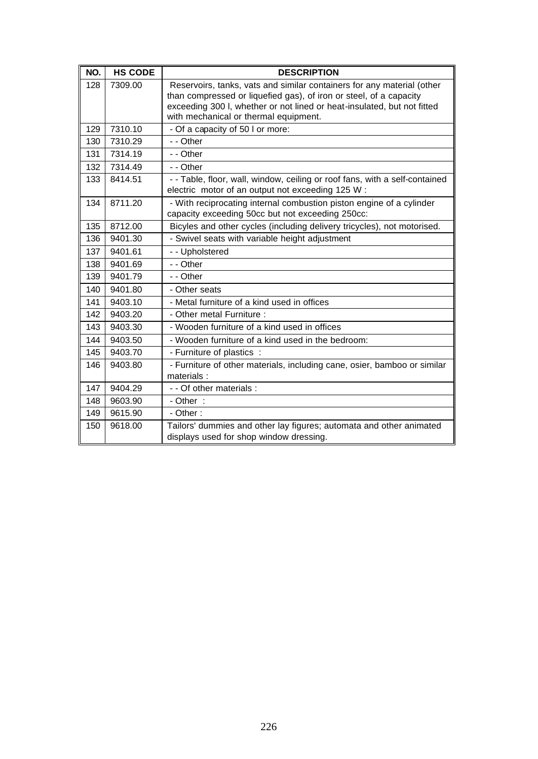| NO. | <b>HS CODE</b> | <b>DESCRIPTION</b>                                                                                                                                                                                                                                               |
|-----|----------------|------------------------------------------------------------------------------------------------------------------------------------------------------------------------------------------------------------------------------------------------------------------|
| 128 | 7309.00        | Reservoirs, tanks, vats and similar containers for any material (other<br>than compressed or liquefied gas), of iron or steel, of a capacity<br>exceeding 300 I, whether or not lined or heat-insulated, but not fitted<br>with mechanical or thermal equipment. |
| 129 | 7310.10        | - Of a capacity of 50 l or more:                                                                                                                                                                                                                                 |
| 130 | 7310.29        | - - Other                                                                                                                                                                                                                                                        |
| 131 | 7314.19        | - - Other                                                                                                                                                                                                                                                        |
| 132 | 7314.49        | - - Other                                                                                                                                                                                                                                                        |
| 133 | 8414.51        | - - Table, floor, wall, window, ceiling or roof fans, with a self-contained<br>electric motor of an output not exceeding 125 W:                                                                                                                                  |
| 134 | 8711.20        | - With reciprocating internal combustion piston engine of a cylinder<br>capacity exceeding 50cc but not exceeding 250cc:                                                                                                                                         |
| 135 | 8712.00        | Bicyles and other cycles (including delivery tricycles), not motorised.                                                                                                                                                                                          |
| 136 | 9401.30        | - Swivel seats with variable height adjustment                                                                                                                                                                                                                   |
| 137 | 9401.61        | - - Upholstered                                                                                                                                                                                                                                                  |
| 138 | 9401.69        | - - Other                                                                                                                                                                                                                                                        |
| 139 | 9401.79        | - - Other                                                                                                                                                                                                                                                        |
| 140 | 9401.80        | - Other seats                                                                                                                                                                                                                                                    |
| 141 | 9403.10        | - Metal furniture of a kind used in offices                                                                                                                                                                                                                      |
| 142 | 9403.20        | - Other metal Furniture :                                                                                                                                                                                                                                        |
| 143 | 9403.30        | - Wooden furniture of a kind used in offices                                                                                                                                                                                                                     |
| 144 | 9403.50        | - Wooden furniture of a kind used in the bedroom:                                                                                                                                                                                                                |
| 145 | 9403.70        | - Furniture of plastics :                                                                                                                                                                                                                                        |
| 146 | 9403.80        | - Furniture of other materials, including cane, osier, bamboo or similar<br>materials:                                                                                                                                                                           |
| 147 | 9404.29        | - - Of other materials :                                                                                                                                                                                                                                         |
| 148 | 9603.90        | - Other :                                                                                                                                                                                                                                                        |
| 149 | 9615.90        | $-$ Other:                                                                                                                                                                                                                                                       |
| 150 | 9618.00        | Tailors' dummies and other lay figures; automata and other animated                                                                                                                                                                                              |
|     |                | displays used for shop window dressing.                                                                                                                                                                                                                          |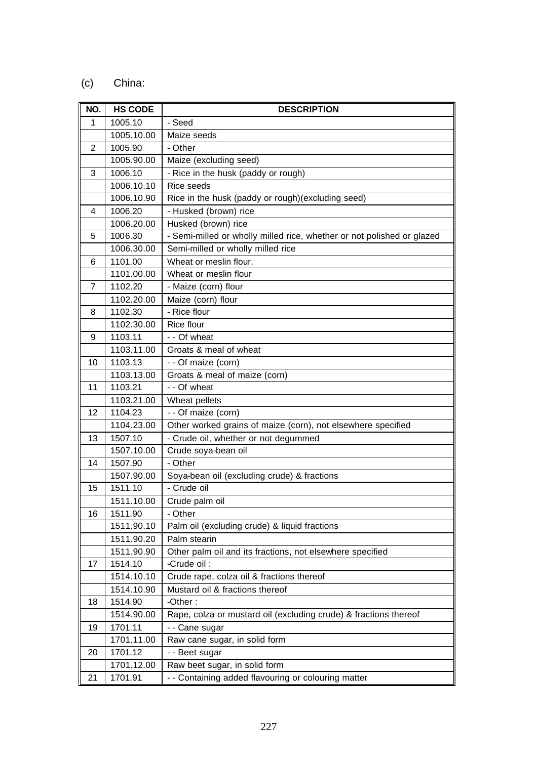# (c) China:

| NO.          | <b>HS CODE</b> | <b>DESCRIPTION</b>                                                     |
|--------------|----------------|------------------------------------------------------------------------|
| $\mathbf{1}$ | 1005.10        | - Seed                                                                 |
|              | 1005.10.00     | Maize seeds                                                            |
| $\sqrt{2}$   | 1005.90        | - Other                                                                |
|              | 1005.90.00     | Maize (excluding seed)                                                 |
| 3            | 1006.10        | - Rice in the husk (paddy or rough)                                    |
|              | 1006.10.10     | Rice seeds                                                             |
|              | 1006.10.90     | Rice in the husk (paddy or rough)(excluding seed)                      |
| 4            | 1006.20        | - Husked (brown) rice                                                  |
|              | 1006.20.00     | Husked (brown) rice                                                    |
| 5            | 1006.30        | - Semi-milled or wholly milled rice, whether or not polished or glazed |
|              | 1006.30.00     | Semi-milled or wholly milled rice                                      |
| 6            | 1101.00        | Wheat or meslin flour.                                                 |
|              | 1101.00.00     | Wheat or meslin flour                                                  |
| 7            | 1102.20        | - Maize (corn) flour                                                   |
|              | 1102.20.00     | Maize (corn) flour                                                     |
| 8            | 1102.30        | - Rice flour                                                           |
|              | 1102.30.00     | Rice flour                                                             |
| 9            | 1103.11        | - - Of wheat                                                           |
|              | 1103.11.00     | Groats & meal of wheat                                                 |
| 10           | 1103.13        | - - Of maize (corn)                                                    |
|              | 1103.13.00     | Groats & meal of maize (corn)                                          |
| 11           | 1103.21        | - - Of wheat                                                           |
|              | 1103.21.00     | Wheat pellets                                                          |
| 12           | 1104.23        | - - Of maize (corn)                                                    |
|              | 1104.23.00     | Other worked grains of maize (corn), not elsewhere specified           |
| 13           | 1507.10        | - Crude oil, whether or not degummed                                   |
|              | 1507.10.00     | Crude soya-bean oil                                                    |
| 14           | 1507.90        | - Other                                                                |
|              | 1507.90.00     | Soya-bean oil (excluding crude) & fractions                            |
| 15           | 1511.10        | - Crude oil                                                            |
|              | 1511.10.00     | Crude palm oil                                                         |
| 16           | 1511.90        | - Other                                                                |
|              | 1511.90.10     | Palm oil (excluding crude) & liquid fractions                          |
|              | 1511.90.20     | Palm stearin                                                           |
|              | 1511.90.90     | Other palm oil and its fractions, not elsewhere specified              |
| 17           | 1514.10        | -Crude oil:                                                            |
|              | 1514.10.10     | Crude rape, colza oil & fractions thereof                              |
|              | 1514.10.90     | Mustard oil & fractions thereof                                        |
| 18           | 1514.90        | -Other:                                                                |
|              | 1514.90.00     | Rape, colza or mustard oil (excluding crude) & fractions thereof       |
| 19           | 1701.11        | - - Cane sugar                                                         |
|              | 1701.11.00     | Raw cane sugar, in solid form                                          |
| 20           | 1701.12        | - - Beet sugar                                                         |
|              | 1701.12.00     | Raw beet sugar, in solid form                                          |
| 21           | 1701.91        | - - Containing added flavouring or colouring matter                    |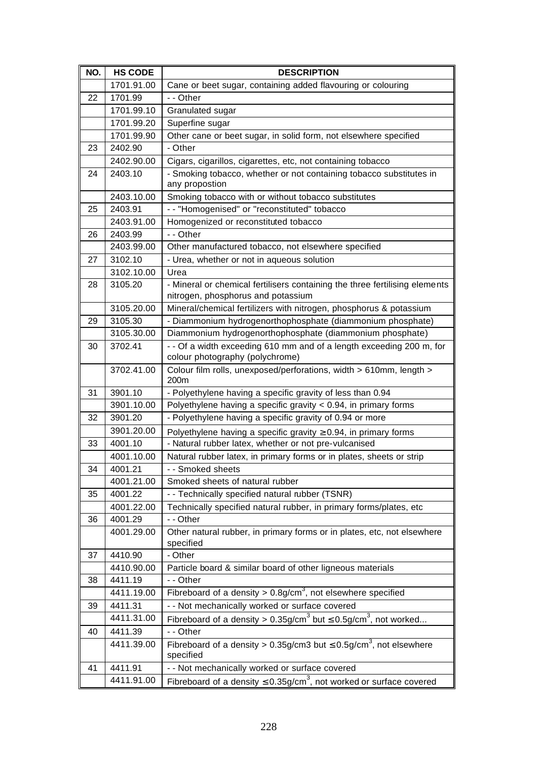| NO. | <b>HS CODE</b> | <b>DESCRIPTION</b>                                                                                                |
|-----|----------------|-------------------------------------------------------------------------------------------------------------------|
|     | 1701.91.00     | Cane or beet sugar, containing added flavouring or colouring                                                      |
| 22  | 1701.99        | - - Other                                                                                                         |
|     | 1701.99.10     | Granulated sugar                                                                                                  |
|     | 1701.99.20     | Superfine sugar                                                                                                   |
|     | 1701.99.90     | Other cane or beet sugar, in solid form, not elsewhere specified                                                  |
| 23  | 2402.90        | - Other                                                                                                           |
|     | 2402.90.00     | Cigars, cigarillos, cigarettes, etc, not containing tobacco                                                       |
| 24  | 2403.10        | - Smoking tobacco, whether or not containing tobacco substitutes in<br>any propostion                             |
|     | 2403.10.00     | Smoking tobacco with or without tobacco substitutes                                                               |
| 25  | 2403.91        | - - "Homogenised" or "reconstituted" tobacco                                                                      |
|     | 2403.91.00     | Homogenized or reconstituted tobacco                                                                              |
| 26  | 2403.99        | - - Other                                                                                                         |
|     | 2403.99.00     | Other manufactured tobacco, not elsewhere specified                                                               |
| 27  | 3102.10        | - Urea, whether or not in aqueous solution                                                                        |
|     | 3102.10.00     | Urea                                                                                                              |
| 28  | 3105.20        | - Mineral or chemical fertilisers containing the three fertilising elements<br>nitrogen, phosphorus and potassium |
|     | 3105.20.00     | Mineral/chemical fertilizers with nitrogen, phosphorus & potassium                                                |
| 29  | 3105.30        | - Diammonium hydrogenorthophosphate (diammonium phosphate)                                                        |
|     | 3105.30.00     | Diammonium hydrogenorthophosphate (diammonium phosphate)                                                          |
| 30  | 3702.41        | - - Of a width exceeding 610 mm and of a length exceeding 200 m, for                                              |
|     |                | colour photography (polychrome)                                                                                   |
|     | 3702.41.00     | Colour film rolls, unexposed/perforations, width > 610mm, length ><br>200m                                        |
| 31  | 3901.10        | - Polyethylene having a specific gravity of less than 0.94                                                        |
|     | 3901.10.00     | Polyethylene having a specific gravity $< 0.94$ , in primary forms                                                |
| 32  | 3901.20        | - Polyethylene having a specific gravity of 0.94 or more                                                          |
|     | 3901.20.00     | Polyethylene having a specific gravity $\geq 0.94$ , in primary forms                                             |
| 33  | 4001.10        | - Natural rubber latex, whether or not pre-vulcanised                                                             |
|     | 4001.10.00     | Natural rubber latex, in primary forms or in plates, sheets or strip                                              |
| 34  | 4001.21        | - Smoked sheets                                                                                                   |
|     | 4001.21.00     | Smoked sheets of natural rubber                                                                                   |
| 35  | 4001.22        | - - Technically specified natural rubber (TSNR)                                                                   |
|     | 4001.22.00     | Technically specified natural rubber, in primary forms/plates, etc                                                |
| 36  | 4001.29        | - - Other                                                                                                         |
|     | 4001.29.00     | Other natural rubber, in primary forms or in plates, etc, not elsewhere<br>specified                              |
| 37  | 4410.90        | - Other                                                                                                           |
|     | 4410.90.00     | Particle board & similar board of other ligneous materials                                                        |
| 38  | 4411.19        | - - Other                                                                                                         |
|     | 4411.19.00     | Fibreboard of a density $> 0.8$ g/cm <sup>3</sup> , not elsewhere specified                                       |
| 39  | 4411.31        | - - Not mechanically worked or surface covered                                                                    |
|     | 4411.31.00     | Fibreboard of a density > $0.35g/cm3$ but $\leq 0.5g/cm3$ , not worked                                            |
| 40  | 4411.39        | - - Other                                                                                                         |
|     | 4411.39.00     | Fibreboard of a density > 0.35g/cm3 but $\leq$ 0.5g/cm <sup>3</sup> , not elsewhere<br>specified                  |
| 41  | 4411.91        | - - Not mechanically worked or surface covered                                                                    |
|     | 4411.91.00     | Fibreboard of a density $\leq 0.35$ g/cm <sup>3</sup> , not worked or surface covered                             |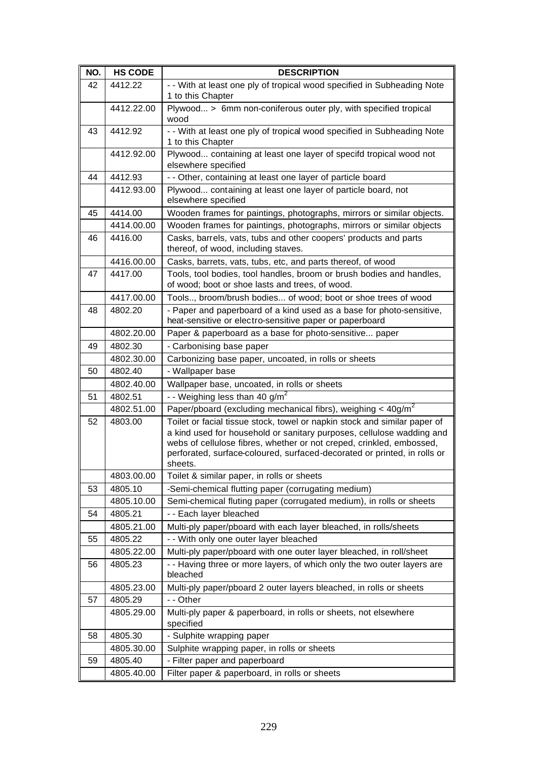| NO. | <b>HS CODE</b> | <b>DESCRIPTION</b>                                                                                                                                                                                                                                                                                                |
|-----|----------------|-------------------------------------------------------------------------------------------------------------------------------------------------------------------------------------------------------------------------------------------------------------------------------------------------------------------|
| 42  | 4412.22        | - - With at least one ply of tropical wood specified in Subheading Note<br>1 to this Chapter                                                                                                                                                                                                                      |
|     | 4412.22.00     | Plywood > 6mm non-coniferous outer ply, with specified tropical<br>wood                                                                                                                                                                                                                                           |
| 43  | 4412.92        | - - With at least one ply of tropical wood specified in Subheading Note<br>1 to this Chapter                                                                                                                                                                                                                      |
|     | 4412.92.00     | Plywood containing at least one layer of specifd tropical wood not<br>elsewhere specified                                                                                                                                                                                                                         |
| 44  | 4412.93        | - - Other, containing at least one layer of particle board                                                                                                                                                                                                                                                        |
|     | 4412.93.00     | Plywood containing at least one layer of particle board, not<br>elsewhere specified                                                                                                                                                                                                                               |
| 45  | 4414.00        | Wooden frames for paintings, photographs, mirrors or similar objects.                                                                                                                                                                                                                                             |
|     | 4414.00.00     | Wooden frames for paintings, photographs, mirrors or similar objects                                                                                                                                                                                                                                              |
| 46  | 4416.00        | Casks, barrels, vats, tubs and other coopers' products and parts<br>thereof, of wood, including staves.                                                                                                                                                                                                           |
|     | 4416.00.00     | Casks, barrets, vats, tubs, etc, and parts thereof, of wood                                                                                                                                                                                                                                                       |
| 47  | 4417.00        | Tools, tool bodies, tool handles, broom or brush bodies and handles,<br>of wood; boot or shoe lasts and trees, of wood.                                                                                                                                                                                           |
|     | 4417.00.00     | Tools, broom/brush bodies of wood; boot or shoe trees of wood                                                                                                                                                                                                                                                     |
| 48  | 4802.20        | - Paper and paperboard of a kind used as a base for photo-sensitive,<br>heat-sensitive or electro-sensitive paper or paperboard                                                                                                                                                                                   |
|     | 4802.20.00     | Paper & paperboard as a base for photo-sensitive paper                                                                                                                                                                                                                                                            |
| 49  | 4802.30        | - Carbonising base paper                                                                                                                                                                                                                                                                                          |
|     | 4802.30.00     | Carbonizing base paper, uncoated, in rolls or sheets                                                                                                                                                                                                                                                              |
| 50  | 4802.40        | - Wallpaper base                                                                                                                                                                                                                                                                                                  |
|     | 4802.40.00     | Wallpaper base, uncoated, in rolls or sheets                                                                                                                                                                                                                                                                      |
| 51  | 4802.51        | - - Weighing less than $40 g/m^2$                                                                                                                                                                                                                                                                                 |
|     | 4802.51.00     | Paper/pboard (excluding mechanical fibrs), weighing $<$ 40g/m <sup>2</sup>                                                                                                                                                                                                                                        |
| 52  | 4803.00        | Toilet or facial tissue stock, towel or napkin stock and similar paper of<br>a kind used for household or sanitary purposes, cellulose wadding and<br>webs of cellulose fibres, whether or not creped, crinkled, embossed,<br>perforated, surface-coloured, surfaced-decorated or printed, in rolls or<br>sheets. |
|     | 4803.00.00     | Toilet & similar paper, in rolls or sheets                                                                                                                                                                                                                                                                        |
| 53  | 4805.10        | -Semi-chemical flutting paper (corrugating medium)                                                                                                                                                                                                                                                                |
|     | 4805.10.00     | Semi-chemical fluting paper (corrugated medium), in rolls or sheets                                                                                                                                                                                                                                               |
| 54  | 4805.21        | - - Each layer bleached                                                                                                                                                                                                                                                                                           |
|     | 4805.21.00     | Multi-ply paper/pboard with each layer bleached, in rolls/sheets                                                                                                                                                                                                                                                  |
| 55  | 4805.22        | - - With only one outer layer bleached                                                                                                                                                                                                                                                                            |
|     | 4805.22.00     | Multi-ply paper/pboard with one outer layer bleached, in roll/sheet                                                                                                                                                                                                                                               |
| 56  | 4805.23        | - - Having three or more layers, of which only the two outer layers are<br>bleached                                                                                                                                                                                                                               |
|     | 4805.23.00     | Multi-ply paper/pboard 2 outer layers bleached, in rolls or sheets                                                                                                                                                                                                                                                |
| 57  | 4805.29        | - - Other                                                                                                                                                                                                                                                                                                         |
|     | 4805.29.00     | Multi-ply paper & paperboard, in rolls or sheets, not elsewhere<br>specified                                                                                                                                                                                                                                      |
| 58  | 4805.30        | - Sulphite wrapping paper                                                                                                                                                                                                                                                                                         |
|     | 4805.30.00     | Sulphite wrapping paper, in rolls or sheets                                                                                                                                                                                                                                                                       |
| 59  | 4805.40        | - Filter paper and paperboard                                                                                                                                                                                                                                                                                     |
|     | 4805.40.00     | Filter paper & paperboard, in rolls or sheets                                                                                                                                                                                                                                                                     |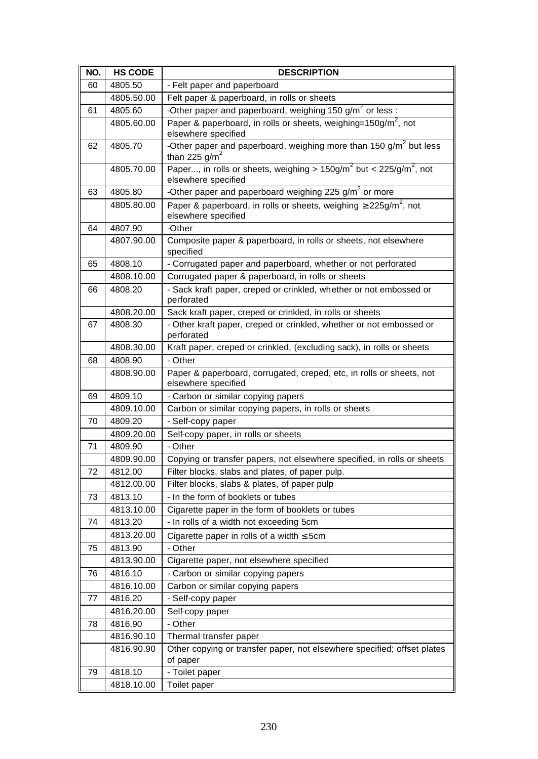| NO. | <b>HS CODE</b> | <b>DESCRIPTION</b>                                                                                       |
|-----|----------------|----------------------------------------------------------------------------------------------------------|
| 60  | 4805.50        | - Felt paper and paperboard                                                                              |
|     | 4805.50.00     | Felt paper & paperboard, in rolls or sheets                                                              |
| 61  | 4805.60        | -Other paper and paperboard, weighing 150 g/m <sup>2</sup> or less :                                     |
|     | 4805.60.00     | Paper & paperboard, in rolls or sheets, weighing=150g/m <sup>2</sup> , not<br>elsewhere specified        |
| 62  | 4805.70        | -Other paper and paperboard, weighing more than 150 $g/m^2$ but less<br>than 225 $g/m^2$                 |
|     | 4805.70.00     | Paper, in rolls or sheets, weighing > $150g/m^2$ but < $225/g/m^2$ , not<br>elsewhere specified          |
| 63  | 4805.80        | -Other paper and paperboard weighing $225 g/m^2$ or more                                                 |
|     | 4805.80.00     | Paper & paperboard, in rolls or sheets, weighing $\geq$ 225g/m <sup>2</sup> , not<br>elsewhere specified |
| 64  | 4807.90        | -Other                                                                                                   |
|     | 4807.90.00     | Composite paper & paperboard, in rolls or sheets, not elsewhere<br>specified                             |
| 65  | 4808.10        | - Corrugated paper and paperboard, whether or not perforated                                             |
|     | 4808.10.00     | Corrugated paper & paperboard, in rolls or sheets                                                        |
| 66  | 4808.20        | - Sack kraft paper, creped or crinkled, whether or not embossed or<br>perforated                         |
|     | 4808.20.00     | Sack kraft paper, creped or crinkled, in rolls or sheets                                                 |
| 67  | 4808.30        | - Other kraft paper, creped or crinkled, whether or not embossed or<br>perforated                        |
|     | 4808.30.00     | Kraft paper, creped or crinkled, (excluding sack), in rolls or sheets                                    |
| 68  | 4808.90        | - Other                                                                                                  |
|     | 4808.90.00     | Paper & paperboard, corrugated, creped, etc, in rolls or sheets, not<br>elsewhere specified              |
| 69  | 4809.10        | - Carbon or similar copying papers                                                                       |
|     | 4809.10.00     | Carbon or similar copying papers, in rolls or sheets                                                     |
| 70  | 4809.20        | - Self-copy paper                                                                                        |
|     | 4809.20.00     | Self-copy paper, in rolls or sheets                                                                      |
| 71  | 4809.90        | - Other                                                                                                  |
|     | 4809.90.00     | Copying or transfer papers, not elsewhere specified, in rolls or sheets                                  |
| 72  | 4812.00        | Filter blocks, slabs and plates, of paper pulp.                                                          |
|     | 4812.00.00     | Filter blocks, slabs & plates, of paper pulp                                                             |
| 73  | 4813.10        | - In the form of booklets or tubes                                                                       |
|     | 4813.10.00     | Cigarette paper in the form of booklets or tubes                                                         |
| 74  | 4813.20        | - In rolls of a width not exceeding 5cm                                                                  |
|     | 4813.20.00     | Cigarette paper in rolls of a width $\leq$ 5cm                                                           |
| 75  | 4813.90        | - Other                                                                                                  |
|     | 4813.90.00     | Cigarette paper, not elsewhere specified                                                                 |
| 76  | 4816.10        | - Carbon or similar copying papers                                                                       |
|     | 4816.10.00     | Carbon or similar copying papers                                                                         |
| 77  | 4816.20        | - Self-copy paper                                                                                        |
|     | 4816.20.00     | Self-copy paper                                                                                          |
| 78  | 4816.90        | - Other                                                                                                  |
|     | 4816.90.10     | Thermal transfer paper                                                                                   |
|     | 4816.90.90     | Other copying or transfer paper, not elsewhere specified; offset plates<br>of paper                      |
| 79  | 4818.10        | - Toilet paper                                                                                           |
|     | 4818.10.00     | Toilet paper                                                                                             |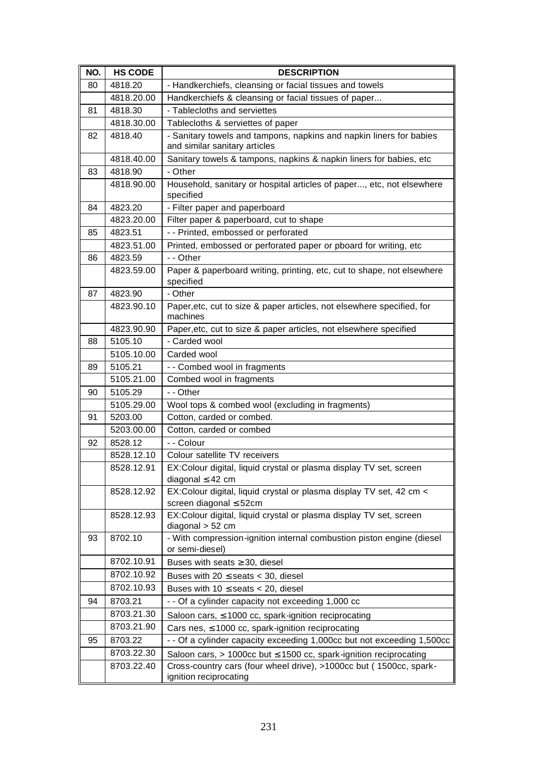| 4818.20<br>- Handkerchiefs, cleansing or facial tissues and towels<br>80<br>4818.20.00<br>Handkerchiefs & cleansing or facial tissues of paper<br>4818.30<br>- Tablecloths and serviettes<br>81<br>4818.30.00<br>Tablecloths & serviettes of paper<br>- Sanitary towels and tampons, napkins and napkin liners for babies<br>4818.40<br>82<br>and similar sanitary articles<br>Sanitary towels & tampons, napkins & napkin liners for babies, etc<br>4818.40.00<br>- Other<br>83<br>4818.90<br>Household, sanitary or hospital articles of paper, etc, not elsewhere<br>4818.90.00<br>specified<br>- Filter paper and paperboard<br>84<br>4823.20<br>Filter paper & paperboard, cut to shape<br>4823.20.00<br>- - Printed, embossed or perforated<br>85<br>4823.51<br>Printed, embossed or perforated paper or pboard for writing, etc<br>4823.51.00<br>- - Other<br>4823.59<br>86<br>Paper & paperboard writing, printing, etc, cut to shape, not elsewhere<br>4823.59.00<br>specified<br>4823.90<br>- Other<br>87<br>Paper, etc, cut to size & paper articles, not elsewhere specified, for<br>4823.90.10<br>machines<br>4823.90.90<br>Paper, etc, cut to size & paper articles, not elsewhere specified<br>5105.10<br>- Carded wool<br>88<br>5105.10.00<br>Carded wool<br>5105.21<br>- - Combed wool in fragments<br>89<br>5105.21.00<br>Combed wool in fragments<br>- - Other<br>5105.29<br>90<br>5105.29.00<br>Wool tops & combed wool (excluding in fragments)<br>5203.00<br>Cotton, carded or combed.<br>91<br>Cotton, carded or combed<br>5203.00.00<br>- - Colour<br>92<br>8528.12<br>8528.12.10<br>Colour satellite TV receivers<br>8528.12.91<br>EX:Colour digital, liquid crystal or plasma display TV set, screen<br>diagonal $\leq 42$ cm<br>EX:Colour digital, liquid crystal or plasma display TV set, 42 cm <<br>8528.12.92<br>screen diagonal ≤ 52cm<br>EX:Colour digital, liquid crystal or plasma display TV set, screen<br>8528.12.93<br>diagonal $> 52$ cm<br>- With compression-ignition internal combustion piston engine (diesel<br>93<br>8702.10<br>or semi-diesel)<br>8702.10.91<br>Buses with seats $\geq$ 30, diesel<br>8702.10.92<br>Buses with $20 \le$ seats $<$ 30, diesel<br>8702.10.93<br>Buses with $10 \le$ seats < 20, diesel<br>8703.21<br>94<br>- - Of a cylinder capacity not exceeding 1,000 cc<br>8703.21.30<br>Saloon cars, $\leq$ 1000 cc, spark-ignition reciprocating<br>8703.21.90<br>Cars nes, $\leq 1000$ cc, spark-ignition reciprocating<br>8703.22<br>- - Of a cylinder capacity exceeding 1,000cc but not exceeding 1,500cc<br>95<br>8703.22.30<br>Saloon cars, $> 1000$ cc but $\leq 1500$ cc, spark-ignition reciprocating<br>8703.22.40<br>Cross-country cars (four wheel drive), >1000cc but (1500cc, spark- | NO. | <b>HS CODE</b> | <b>DESCRIPTION</b>     |
|------------------------------------------------------------------------------------------------------------------------------------------------------------------------------------------------------------------------------------------------------------------------------------------------------------------------------------------------------------------------------------------------------------------------------------------------------------------------------------------------------------------------------------------------------------------------------------------------------------------------------------------------------------------------------------------------------------------------------------------------------------------------------------------------------------------------------------------------------------------------------------------------------------------------------------------------------------------------------------------------------------------------------------------------------------------------------------------------------------------------------------------------------------------------------------------------------------------------------------------------------------------------------------------------------------------------------------------------------------------------------------------------------------------------------------------------------------------------------------------------------------------------------------------------------------------------------------------------------------------------------------------------------------------------------------------------------------------------------------------------------------------------------------------------------------------------------------------------------------------------------------------------------------------------------------------------------------------------------------------------------------------------------------------------------------------------------------------------------------------------------------------------------------------------------------------------------------------------------------------------------------------------------------------------------------------------------------------------------------------------------------------------------------------------------------------------------------------------------------------------------------------------------------------------------------------------------------------------------------------------------------------------------------------------------------------------------------------------------------------------------------------------|-----|----------------|------------------------|
|                                                                                                                                                                                                                                                                                                                                                                                                                                                                                                                                                                                                                                                                                                                                                                                                                                                                                                                                                                                                                                                                                                                                                                                                                                                                                                                                                                                                                                                                                                                                                                                                                                                                                                                                                                                                                                                                                                                                                                                                                                                                                                                                                                                                                                                                                                                                                                                                                                                                                                                                                                                                                                                                                                                                                                        |     |                |                        |
|                                                                                                                                                                                                                                                                                                                                                                                                                                                                                                                                                                                                                                                                                                                                                                                                                                                                                                                                                                                                                                                                                                                                                                                                                                                                                                                                                                                                                                                                                                                                                                                                                                                                                                                                                                                                                                                                                                                                                                                                                                                                                                                                                                                                                                                                                                                                                                                                                                                                                                                                                                                                                                                                                                                                                                        |     |                |                        |
|                                                                                                                                                                                                                                                                                                                                                                                                                                                                                                                                                                                                                                                                                                                                                                                                                                                                                                                                                                                                                                                                                                                                                                                                                                                                                                                                                                                                                                                                                                                                                                                                                                                                                                                                                                                                                                                                                                                                                                                                                                                                                                                                                                                                                                                                                                                                                                                                                                                                                                                                                                                                                                                                                                                                                                        |     |                |                        |
|                                                                                                                                                                                                                                                                                                                                                                                                                                                                                                                                                                                                                                                                                                                                                                                                                                                                                                                                                                                                                                                                                                                                                                                                                                                                                                                                                                                                                                                                                                                                                                                                                                                                                                                                                                                                                                                                                                                                                                                                                                                                                                                                                                                                                                                                                                                                                                                                                                                                                                                                                                                                                                                                                                                                                                        |     |                |                        |
|                                                                                                                                                                                                                                                                                                                                                                                                                                                                                                                                                                                                                                                                                                                                                                                                                                                                                                                                                                                                                                                                                                                                                                                                                                                                                                                                                                                                                                                                                                                                                                                                                                                                                                                                                                                                                                                                                                                                                                                                                                                                                                                                                                                                                                                                                                                                                                                                                                                                                                                                                                                                                                                                                                                                                                        |     |                |                        |
|                                                                                                                                                                                                                                                                                                                                                                                                                                                                                                                                                                                                                                                                                                                                                                                                                                                                                                                                                                                                                                                                                                                                                                                                                                                                                                                                                                                                                                                                                                                                                                                                                                                                                                                                                                                                                                                                                                                                                                                                                                                                                                                                                                                                                                                                                                                                                                                                                                                                                                                                                                                                                                                                                                                                                                        |     |                |                        |
|                                                                                                                                                                                                                                                                                                                                                                                                                                                                                                                                                                                                                                                                                                                                                                                                                                                                                                                                                                                                                                                                                                                                                                                                                                                                                                                                                                                                                                                                                                                                                                                                                                                                                                                                                                                                                                                                                                                                                                                                                                                                                                                                                                                                                                                                                                                                                                                                                                                                                                                                                                                                                                                                                                                                                                        |     |                |                        |
|                                                                                                                                                                                                                                                                                                                                                                                                                                                                                                                                                                                                                                                                                                                                                                                                                                                                                                                                                                                                                                                                                                                                                                                                                                                                                                                                                                                                                                                                                                                                                                                                                                                                                                                                                                                                                                                                                                                                                                                                                                                                                                                                                                                                                                                                                                                                                                                                                                                                                                                                                                                                                                                                                                                                                                        |     |                |                        |
|                                                                                                                                                                                                                                                                                                                                                                                                                                                                                                                                                                                                                                                                                                                                                                                                                                                                                                                                                                                                                                                                                                                                                                                                                                                                                                                                                                                                                                                                                                                                                                                                                                                                                                                                                                                                                                                                                                                                                                                                                                                                                                                                                                                                                                                                                                                                                                                                                                                                                                                                                                                                                                                                                                                                                                        |     |                |                        |
|                                                                                                                                                                                                                                                                                                                                                                                                                                                                                                                                                                                                                                                                                                                                                                                                                                                                                                                                                                                                                                                                                                                                                                                                                                                                                                                                                                                                                                                                                                                                                                                                                                                                                                                                                                                                                                                                                                                                                                                                                                                                                                                                                                                                                                                                                                                                                                                                                                                                                                                                                                                                                                                                                                                                                                        |     |                |                        |
|                                                                                                                                                                                                                                                                                                                                                                                                                                                                                                                                                                                                                                                                                                                                                                                                                                                                                                                                                                                                                                                                                                                                                                                                                                                                                                                                                                                                                                                                                                                                                                                                                                                                                                                                                                                                                                                                                                                                                                                                                                                                                                                                                                                                                                                                                                                                                                                                                                                                                                                                                                                                                                                                                                                                                                        |     |                |                        |
|                                                                                                                                                                                                                                                                                                                                                                                                                                                                                                                                                                                                                                                                                                                                                                                                                                                                                                                                                                                                                                                                                                                                                                                                                                                                                                                                                                                                                                                                                                                                                                                                                                                                                                                                                                                                                                                                                                                                                                                                                                                                                                                                                                                                                                                                                                                                                                                                                                                                                                                                                                                                                                                                                                                                                                        |     |                |                        |
|                                                                                                                                                                                                                                                                                                                                                                                                                                                                                                                                                                                                                                                                                                                                                                                                                                                                                                                                                                                                                                                                                                                                                                                                                                                                                                                                                                                                                                                                                                                                                                                                                                                                                                                                                                                                                                                                                                                                                                                                                                                                                                                                                                                                                                                                                                                                                                                                                                                                                                                                                                                                                                                                                                                                                                        |     |                |                        |
|                                                                                                                                                                                                                                                                                                                                                                                                                                                                                                                                                                                                                                                                                                                                                                                                                                                                                                                                                                                                                                                                                                                                                                                                                                                                                                                                                                                                                                                                                                                                                                                                                                                                                                                                                                                                                                                                                                                                                                                                                                                                                                                                                                                                                                                                                                                                                                                                                                                                                                                                                                                                                                                                                                                                                                        |     |                |                        |
|                                                                                                                                                                                                                                                                                                                                                                                                                                                                                                                                                                                                                                                                                                                                                                                                                                                                                                                                                                                                                                                                                                                                                                                                                                                                                                                                                                                                                                                                                                                                                                                                                                                                                                                                                                                                                                                                                                                                                                                                                                                                                                                                                                                                                                                                                                                                                                                                                                                                                                                                                                                                                                                                                                                                                                        |     |                |                        |
|                                                                                                                                                                                                                                                                                                                                                                                                                                                                                                                                                                                                                                                                                                                                                                                                                                                                                                                                                                                                                                                                                                                                                                                                                                                                                                                                                                                                                                                                                                                                                                                                                                                                                                                                                                                                                                                                                                                                                                                                                                                                                                                                                                                                                                                                                                                                                                                                                                                                                                                                                                                                                                                                                                                                                                        |     |                |                        |
|                                                                                                                                                                                                                                                                                                                                                                                                                                                                                                                                                                                                                                                                                                                                                                                                                                                                                                                                                                                                                                                                                                                                                                                                                                                                                                                                                                                                                                                                                                                                                                                                                                                                                                                                                                                                                                                                                                                                                                                                                                                                                                                                                                                                                                                                                                                                                                                                                                                                                                                                                                                                                                                                                                                                                                        |     |                |                        |
|                                                                                                                                                                                                                                                                                                                                                                                                                                                                                                                                                                                                                                                                                                                                                                                                                                                                                                                                                                                                                                                                                                                                                                                                                                                                                                                                                                                                                                                                                                                                                                                                                                                                                                                                                                                                                                                                                                                                                                                                                                                                                                                                                                                                                                                                                                                                                                                                                                                                                                                                                                                                                                                                                                                                                                        |     |                |                        |
|                                                                                                                                                                                                                                                                                                                                                                                                                                                                                                                                                                                                                                                                                                                                                                                                                                                                                                                                                                                                                                                                                                                                                                                                                                                                                                                                                                                                                                                                                                                                                                                                                                                                                                                                                                                                                                                                                                                                                                                                                                                                                                                                                                                                                                                                                                                                                                                                                                                                                                                                                                                                                                                                                                                                                                        |     |                |                        |
|                                                                                                                                                                                                                                                                                                                                                                                                                                                                                                                                                                                                                                                                                                                                                                                                                                                                                                                                                                                                                                                                                                                                                                                                                                                                                                                                                                                                                                                                                                                                                                                                                                                                                                                                                                                                                                                                                                                                                                                                                                                                                                                                                                                                                                                                                                                                                                                                                                                                                                                                                                                                                                                                                                                                                                        |     |                |                        |
|                                                                                                                                                                                                                                                                                                                                                                                                                                                                                                                                                                                                                                                                                                                                                                                                                                                                                                                                                                                                                                                                                                                                                                                                                                                                                                                                                                                                                                                                                                                                                                                                                                                                                                                                                                                                                                                                                                                                                                                                                                                                                                                                                                                                                                                                                                                                                                                                                                                                                                                                                                                                                                                                                                                                                                        |     |                |                        |
|                                                                                                                                                                                                                                                                                                                                                                                                                                                                                                                                                                                                                                                                                                                                                                                                                                                                                                                                                                                                                                                                                                                                                                                                                                                                                                                                                                                                                                                                                                                                                                                                                                                                                                                                                                                                                                                                                                                                                                                                                                                                                                                                                                                                                                                                                                                                                                                                                                                                                                                                                                                                                                                                                                                                                                        |     |                |                        |
|                                                                                                                                                                                                                                                                                                                                                                                                                                                                                                                                                                                                                                                                                                                                                                                                                                                                                                                                                                                                                                                                                                                                                                                                                                                                                                                                                                                                                                                                                                                                                                                                                                                                                                                                                                                                                                                                                                                                                                                                                                                                                                                                                                                                                                                                                                                                                                                                                                                                                                                                                                                                                                                                                                                                                                        |     |                |                        |
|                                                                                                                                                                                                                                                                                                                                                                                                                                                                                                                                                                                                                                                                                                                                                                                                                                                                                                                                                                                                                                                                                                                                                                                                                                                                                                                                                                                                                                                                                                                                                                                                                                                                                                                                                                                                                                                                                                                                                                                                                                                                                                                                                                                                                                                                                                                                                                                                                                                                                                                                                                                                                                                                                                                                                                        |     |                |                        |
|                                                                                                                                                                                                                                                                                                                                                                                                                                                                                                                                                                                                                                                                                                                                                                                                                                                                                                                                                                                                                                                                                                                                                                                                                                                                                                                                                                                                                                                                                                                                                                                                                                                                                                                                                                                                                                                                                                                                                                                                                                                                                                                                                                                                                                                                                                                                                                                                                                                                                                                                                                                                                                                                                                                                                                        |     |                |                        |
|                                                                                                                                                                                                                                                                                                                                                                                                                                                                                                                                                                                                                                                                                                                                                                                                                                                                                                                                                                                                                                                                                                                                                                                                                                                                                                                                                                                                                                                                                                                                                                                                                                                                                                                                                                                                                                                                                                                                                                                                                                                                                                                                                                                                                                                                                                                                                                                                                                                                                                                                                                                                                                                                                                                                                                        |     |                |                        |
|                                                                                                                                                                                                                                                                                                                                                                                                                                                                                                                                                                                                                                                                                                                                                                                                                                                                                                                                                                                                                                                                                                                                                                                                                                                                                                                                                                                                                                                                                                                                                                                                                                                                                                                                                                                                                                                                                                                                                                                                                                                                                                                                                                                                                                                                                                                                                                                                                                                                                                                                                                                                                                                                                                                                                                        |     |                |                        |
|                                                                                                                                                                                                                                                                                                                                                                                                                                                                                                                                                                                                                                                                                                                                                                                                                                                                                                                                                                                                                                                                                                                                                                                                                                                                                                                                                                                                                                                                                                                                                                                                                                                                                                                                                                                                                                                                                                                                                                                                                                                                                                                                                                                                                                                                                                                                                                                                                                                                                                                                                                                                                                                                                                                                                                        |     |                |                        |
|                                                                                                                                                                                                                                                                                                                                                                                                                                                                                                                                                                                                                                                                                                                                                                                                                                                                                                                                                                                                                                                                                                                                                                                                                                                                                                                                                                                                                                                                                                                                                                                                                                                                                                                                                                                                                                                                                                                                                                                                                                                                                                                                                                                                                                                                                                                                                                                                                                                                                                                                                                                                                                                                                                                                                                        |     |                |                        |
|                                                                                                                                                                                                                                                                                                                                                                                                                                                                                                                                                                                                                                                                                                                                                                                                                                                                                                                                                                                                                                                                                                                                                                                                                                                                                                                                                                                                                                                                                                                                                                                                                                                                                                                                                                                                                                                                                                                                                                                                                                                                                                                                                                                                                                                                                                                                                                                                                                                                                                                                                                                                                                                                                                                                                                        |     |                |                        |
|                                                                                                                                                                                                                                                                                                                                                                                                                                                                                                                                                                                                                                                                                                                                                                                                                                                                                                                                                                                                                                                                                                                                                                                                                                                                                                                                                                                                                                                                                                                                                                                                                                                                                                                                                                                                                                                                                                                                                                                                                                                                                                                                                                                                                                                                                                                                                                                                                                                                                                                                                                                                                                                                                                                                                                        |     |                |                        |
|                                                                                                                                                                                                                                                                                                                                                                                                                                                                                                                                                                                                                                                                                                                                                                                                                                                                                                                                                                                                                                                                                                                                                                                                                                                                                                                                                                                                                                                                                                                                                                                                                                                                                                                                                                                                                                                                                                                                                                                                                                                                                                                                                                                                                                                                                                                                                                                                                                                                                                                                                                                                                                                                                                                                                                        |     |                |                        |
|                                                                                                                                                                                                                                                                                                                                                                                                                                                                                                                                                                                                                                                                                                                                                                                                                                                                                                                                                                                                                                                                                                                                                                                                                                                                                                                                                                                                                                                                                                                                                                                                                                                                                                                                                                                                                                                                                                                                                                                                                                                                                                                                                                                                                                                                                                                                                                                                                                                                                                                                                                                                                                                                                                                                                                        |     |                |                        |
|                                                                                                                                                                                                                                                                                                                                                                                                                                                                                                                                                                                                                                                                                                                                                                                                                                                                                                                                                                                                                                                                                                                                                                                                                                                                                                                                                                                                                                                                                                                                                                                                                                                                                                                                                                                                                                                                                                                                                                                                                                                                                                                                                                                                                                                                                                                                                                                                                                                                                                                                                                                                                                                                                                                                                                        |     |                |                        |
|                                                                                                                                                                                                                                                                                                                                                                                                                                                                                                                                                                                                                                                                                                                                                                                                                                                                                                                                                                                                                                                                                                                                                                                                                                                                                                                                                                                                                                                                                                                                                                                                                                                                                                                                                                                                                                                                                                                                                                                                                                                                                                                                                                                                                                                                                                                                                                                                                                                                                                                                                                                                                                                                                                                                                                        |     |                |                        |
|                                                                                                                                                                                                                                                                                                                                                                                                                                                                                                                                                                                                                                                                                                                                                                                                                                                                                                                                                                                                                                                                                                                                                                                                                                                                                                                                                                                                                                                                                                                                                                                                                                                                                                                                                                                                                                                                                                                                                                                                                                                                                                                                                                                                                                                                                                                                                                                                                                                                                                                                                                                                                                                                                                                                                                        |     |                |                        |
|                                                                                                                                                                                                                                                                                                                                                                                                                                                                                                                                                                                                                                                                                                                                                                                                                                                                                                                                                                                                                                                                                                                                                                                                                                                                                                                                                                                                                                                                                                                                                                                                                                                                                                                                                                                                                                                                                                                                                                                                                                                                                                                                                                                                                                                                                                                                                                                                                                                                                                                                                                                                                                                                                                                                                                        |     |                |                        |
|                                                                                                                                                                                                                                                                                                                                                                                                                                                                                                                                                                                                                                                                                                                                                                                                                                                                                                                                                                                                                                                                                                                                                                                                                                                                                                                                                                                                                                                                                                                                                                                                                                                                                                                                                                                                                                                                                                                                                                                                                                                                                                                                                                                                                                                                                                                                                                                                                                                                                                                                                                                                                                                                                                                                                                        |     |                |                        |
|                                                                                                                                                                                                                                                                                                                                                                                                                                                                                                                                                                                                                                                                                                                                                                                                                                                                                                                                                                                                                                                                                                                                                                                                                                                                                                                                                                                                                                                                                                                                                                                                                                                                                                                                                                                                                                                                                                                                                                                                                                                                                                                                                                                                                                                                                                                                                                                                                                                                                                                                                                                                                                                                                                                                                                        |     |                |                        |
|                                                                                                                                                                                                                                                                                                                                                                                                                                                                                                                                                                                                                                                                                                                                                                                                                                                                                                                                                                                                                                                                                                                                                                                                                                                                                                                                                                                                                                                                                                                                                                                                                                                                                                                                                                                                                                                                                                                                                                                                                                                                                                                                                                                                                                                                                                                                                                                                                                                                                                                                                                                                                                                                                                                                                                        |     |                | ignition reciprocating |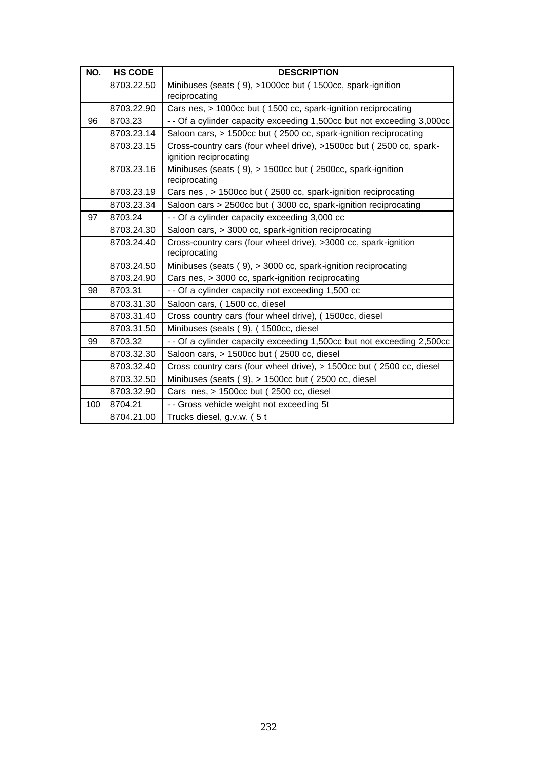| NO. | <b>HS CODE</b> | <b>DESCRIPTION</b>                                                                            |
|-----|----------------|-----------------------------------------------------------------------------------------------|
|     | 8703.22.50     | Minibuses (seats (9), >1000cc but (1500cc, spark-ignition                                     |
|     |                | reciprocating                                                                                 |
|     | 8703.22.90     | Cars nes, > 1000cc but (1500 cc, spark-ignition reciprocating                                 |
| 96  | 8703.23        | - - Of a cylinder capacity exceeding 1,500cc but not exceeding 3,000cc                        |
|     | 8703.23.14     | Saloon cars, > 1500cc but (2500 cc, spark-ignition reciprocating                              |
|     | 8703.23.15     | Cross-country cars (four wheel drive), >1500cc but (2500 cc, spark-<br>ignition reciprocating |
|     | 8703.23.16     | Minibuses (seats (9), > 1500cc but (2500cc, spark-ignition<br>reciprocating                   |
|     | 8703.23.19     | Cars nes, > 1500cc but (2500 cc, spark-ignition reciprocating                                 |
|     | 8703.23.34     | Saloon cars > 2500cc but (3000 cc, spark-ignition reciprocating                               |
| 97  | 8703.24        | - - Of a cylinder capacity exceeding 3,000 cc                                                 |
|     | 8703.24.30     | Saloon cars, > 3000 cc, spark-ignition reciprocating                                          |
|     | 8703.24.40     | Cross-country cars (four wheel drive), >3000 cc, spark-ignition<br>reciprocating              |
|     | 8703.24.50     | Minibuses (seats (9), > 3000 cc, spark-ignition reciprocating                                 |
|     | 8703.24.90     | Cars nes, > 3000 cc, spark-ignition reciprocating                                             |
| 98  | 8703.31        | - - Of a cylinder capacity not exceeding 1,500 cc                                             |
|     | 8703.31.30     | Saloon cars, (1500 cc, diesel                                                                 |
|     | 8703.31.40     | Cross country cars (four wheel drive), (1500cc, diesel                                        |
|     | 8703.31.50     | Minibuses (seats (9), (1500cc, diesel                                                         |
| 99  | 8703.32        | - - Of a cylinder capacity exceeding 1,500cc but not exceeding 2,500cc                        |
|     | 8703.32.30     | Saloon cars, > 1500cc but (2500 cc, diesel                                                    |
|     | 8703.32.40     | Cross country cars (four wheel drive), > 1500cc but (2500 cc, diesel                          |
|     | 8703.32.50     | Minibuses (seats (9), > 1500cc but (2500 cc, diesel                                           |
|     | 8703.32.90     | Cars nes, > 1500cc but (2500 cc, diesel                                                       |
| 100 | 8704.21        | - - Gross vehicle weight not exceeding 5t                                                     |
|     | 8704.21.00     | Trucks diesel, g.v.w. (5t                                                                     |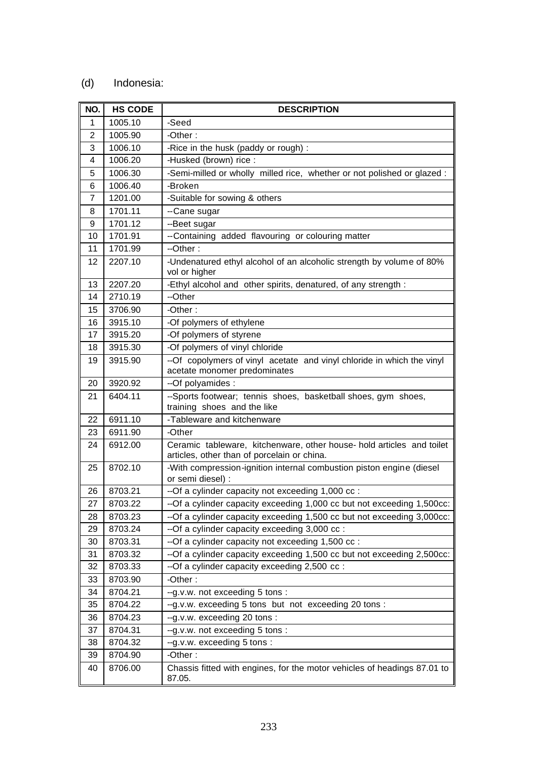#### (d) Indonesia:

| NO.            | <b>HS CODE</b> | <b>DESCRIPTION</b>                                                                                                   |
|----------------|----------------|----------------------------------------------------------------------------------------------------------------------|
| 1              | 1005.10        | -Seed                                                                                                                |
| 2              | 1005.90        | -Other:                                                                                                              |
| 3              | 1006.10        | -Rice in the husk (paddy or rough) :                                                                                 |
| 4              | 1006.20        | -Husked (brown) rice :                                                                                               |
| 5              | 1006.30        | -Semi-milled or wholly milled rice, whether or not polished or glazed :                                              |
| 6              | 1006.40        | -Broken                                                                                                              |
| $\overline{7}$ | 1201.00        | -Suitable for sowing & others                                                                                        |
| 8              | 1701.11        | --Cane sugar                                                                                                         |
| 9              | 1701.12        | --Beet sugar                                                                                                         |
| 10             | 1701.91        | -- Containing added flavouring or colouring matter                                                                   |
| 11             | 1701.99        | --Other:                                                                                                             |
| 12             | 2207.10        | -Undenatured ethyl alcohol of an alcoholic strength by volume of 80%<br>vol or higher                                |
| 13             | 2207.20        | -Ethyl alcohol and other spirits, denatured, of any strength :                                                       |
| 14             | 2710.19        | --Other                                                                                                              |
| 15             | 3706.90        | -Other:                                                                                                              |
| 16             | 3915.10        | -Of polymers of ethylene                                                                                             |
| 17             | 3915.20        | -Of polymers of styrene                                                                                              |
| 18             | 3915.30        | -Of polymers of vinyl chloride                                                                                       |
| 19             | 3915.90        | --Of copolymers of vinyl acetate and vinyl chloride in which the vinyl<br>acetate monomer predominates               |
| 20             | 3920.92        | --Of polyamides :                                                                                                    |
| 21             | 6404.11        | --Sports footwear; tennis shoes, basketball shoes, gym shoes,<br>training shoes and the like                         |
| 22             | 6911.10        | -Tableware and kitchenware                                                                                           |
| 23             | 6911.90        | -Other                                                                                                               |
| 24             | 6912.00        | Ceramic tableware, kitchenware, other house- hold articles and toilet<br>articles, other than of porcelain or china. |
| 25             | 8702.10        | -With compression-ignition internal combustion piston engine (diesel<br>or semi diesel) :                            |
| 26             | 8703.21        | --Of a cylinder capacity not exceeding 1,000 cc :                                                                    |
| 27             | 8703.22        | --Of a cylinder capacity exceeding 1,000 cc but not exceeding 1,500cc:                                               |
| 28             | 8703.23        | --Of a cylinder capacity exceeding 1,500 cc but not exceeding 3,000cc:                                               |
| 29             | 8703.24        | --Of a cylinder capacity exceeding 3,000 cc :                                                                        |
| 30             | 8703.31        | --Of a cylinder capacity not exceeding 1,500 cc :                                                                    |
| 31             | 8703.32        | --Of a cylinder capacity exceeding 1,500 cc but not exceeding 2,500cc:                                               |
| 32             | 8703.33        | --Of a cylinder capacity exceeding 2,500 cc :                                                                        |
| 33             | 8703.90        | -Other:                                                                                                              |
| 34             | 8704.21        | --g.v.w. not exceeding 5 tons :                                                                                      |
| 35             | 8704.22        | --g.v.w. exceeding 5 tons but not exceeding 20 tons:                                                                 |
| 36             | 8704.23        | --g.v.w. exceeding 20 tons :                                                                                         |
| 37             | 8704.31        | --g.v.w. not exceeding 5 tons :                                                                                      |
| 38             | 8704.32        | --g.v.w. exceeding 5 tons:                                                                                           |
| 39             | 8704.90        | -Other:                                                                                                              |
| 40             | 8706.00        | Chassis fitted with engines, for the motor vehicles of headings 87.01 to<br>87.05.                                   |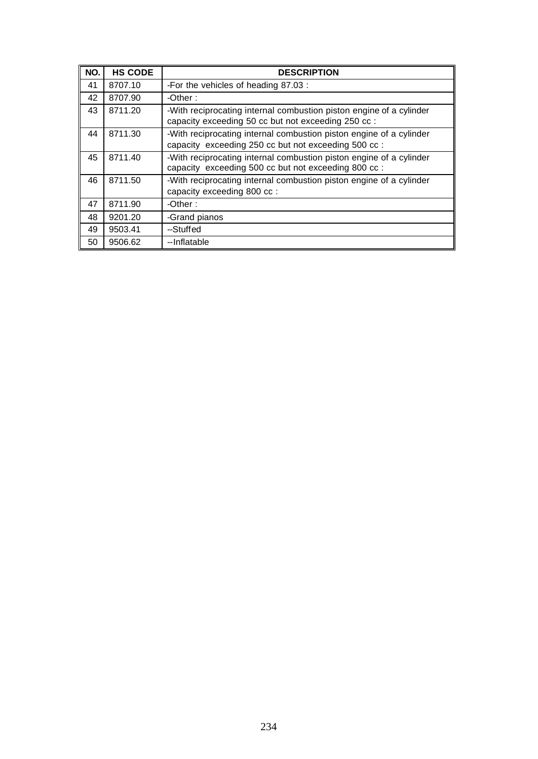| NO. | <b>HS CODE</b> | <b>DESCRIPTION</b>                                                                                                          |
|-----|----------------|-----------------------------------------------------------------------------------------------------------------------------|
| 41  | 8707.10        | -For the vehicles of heading 87.03 :                                                                                        |
| 42  | 8707.90        | -Other:                                                                                                                     |
| 43  | 8711.20        | -With reciprocating internal combustion piston engine of a cylinder<br>capacity exceeding 50 cc but not exceeding 250 cc :  |
| 44  | 8711.30        | -With reciprocating internal combustion piston engine of a cylinder<br>capacity exceeding 250 cc but not exceeding 500 cc : |
| 45  | 8711.40        | -With reciprocating internal combustion piston engine of a cylinder<br>capacity exceeding 500 cc but not exceeding 800 cc : |
| 46  | 8711.50        | -With reciprocating internal combustion piston engine of a cylinder<br>capacity exceeding 800 cc :                          |
| 47  | 8711.90        | -Other:                                                                                                                     |
| 48  | 9201.20        | -Grand pianos                                                                                                               |
| 49  | 9503.41        | --Stuffed                                                                                                                   |
| 50  | 9506.62        | --Inflatable                                                                                                                |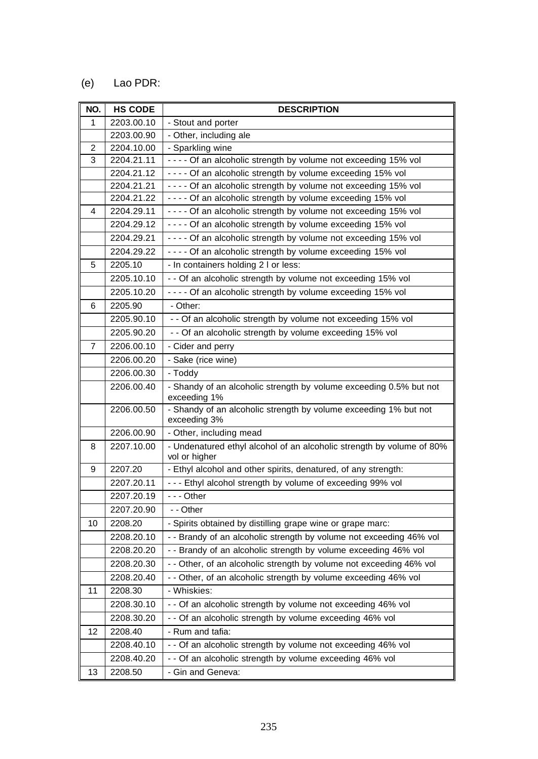#### (e) Lao PDR:

| NO.            | <b>HS CODE</b> | <b>DESCRIPTION</b>                                                                     |
|----------------|----------------|----------------------------------------------------------------------------------------|
| $\mathbf{1}$   | 2203.00.10     | - Stout and porter                                                                     |
|                | 2203.00.90     | - Other, including ale                                                                 |
| $\overline{2}$ | 2204.10.00     | - Sparkling wine                                                                       |
| 3              | 2204.21.11     | - - - - Of an alcoholic strength by volume not exceeding 15% vol                       |
|                | 2204.21.12     | - - - - Of an alcoholic strength by volume exceeding 15% vol                           |
|                | 2204.21.21     | - - - - Of an alcoholic strength by volume not exceeding 15% vol                       |
|                | 2204.21.22     | ---- Of an alcoholic strength by volume exceeding 15% vol                              |
| 4              | 2204.29.11     | - - - - Of an alcoholic strength by volume not exceeding 15% vol                       |
|                | 2204.29.12     | - - - - Of an alcoholic strength by volume exceeding 15% vol                           |
|                | 2204.29.21     | - - - - Of an alcoholic strength by volume not exceeding 15% vol                       |
|                | 2204.29.22     | - - - - Of an alcoholic strength by volume exceeding 15% vol                           |
| 5              | 2205.10        | - In containers holding 2 I or less:                                                   |
|                | 2205.10.10     | - - Of an alcoholic strength by volume not exceeding 15% vol                           |
|                | 2205.10.20     | - - - - Of an alcoholic strength by volume exceeding 15% vol                           |
| 6              | 2205.90        | - Other:                                                                               |
|                | 2205.90.10     | - - Of an alcoholic strength by volume not exceeding 15% vol                           |
|                | 2205.90.20     | - - Of an alcoholic strength by volume exceeding 15% vol                               |
| $\overline{7}$ | 2206.00.10     | - Cider and perry                                                                      |
|                | 2206.00.20     | - Sake (rice wine)                                                                     |
|                | 2206.00.30     | - Toddy                                                                                |
|                | 2206.00.40     | - Shandy of an alcoholic strength by volume exceeding 0.5% but not<br>exceeding 1%     |
|                | 2206.00.50     | - Shandy of an alcoholic strength by volume exceeding 1% but not<br>exceeding 3%       |
|                | 2206.00.90     | - Other, including mead                                                                |
| 8              | 2207.10.00     | - Undenatured ethyl alcohol of an alcoholic strength by volume of 80%<br>vol or higher |
| 9              | 2207.20        | - Ethyl alcohol and other spirits, denatured, of any strength:                         |
|                | 2207.20.11     | - - - Ethyl alcohol strength by volume of exceeding 99% vol                            |
|                | 2207.20.19     | $- -$ Other                                                                            |
|                | 2207.20.90     | - - Other                                                                              |
| 10             | 2208.20        | - Spirits obtained by distilling grape wine or grape marc:                             |
|                | 2208.20.10     | - - Brandy of an alcoholic strength by volume not exceeding 46% vol                    |
|                | 2208.20.20     | - - Brandy of an alcoholic strength by volume exceeding 46% vol                        |
|                | 2208.20.30     | - - Other, of an alcoholic strength by volume not exceeding 46% vol                    |
|                | 2208.20.40     | - - Other, of an alcoholic strength by volume exceeding 46% vol                        |
| 11             | 2208.30        | - Whiskies:                                                                            |
|                | 2208.30.10     | - - Of an alcoholic strength by volume not exceeding 46% vol                           |
|                | 2208.30.20     | - - Of an alcoholic strength by volume exceeding 46% vol                               |
| 12             | 2208.40        | - Rum and tafia:                                                                       |
|                | 2208.40.10     | - - Of an alcoholic strength by volume not exceeding 46% vol                           |
|                | 2208.40.20     | - - Of an alcoholic strength by volume exceeding 46% vol                               |
| 13             | 2208.50        | - Gin and Geneva:                                                                      |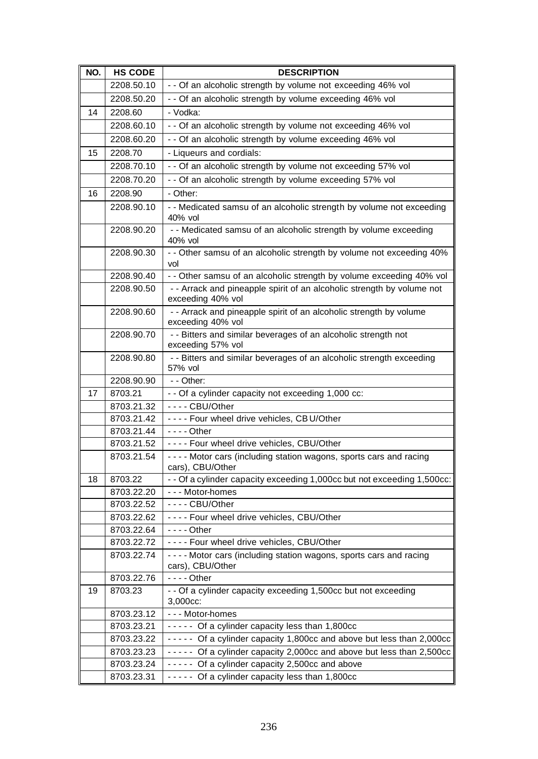| NO. | <b>HS CODE</b> | <b>DESCRIPTION</b>                                                                          |
|-----|----------------|---------------------------------------------------------------------------------------------|
|     | 2208.50.10     | - - Of an alcoholic strength by volume not exceeding 46% vol                                |
|     | 2208.50.20     | - - Of an alcoholic strength by volume exceeding 46% vol                                    |
| 14  | 2208.60        | - Vodka:                                                                                    |
|     | 2208.60.10     | - - Of an alcoholic strength by volume not exceeding 46% vol                                |
|     | 2208.60.20     | - - Of an alcoholic strength by volume exceeding 46% vol                                    |
| 15  | 2208.70        | - Liqueurs and cordials:                                                                    |
|     | 2208.70.10     | - - Of an alcoholic strength by volume not exceeding 57% vol                                |
|     | 2208.70.20     | - - Of an alcoholic strength by volume exceeding 57% vol                                    |
| 16  | 2208.90        | - Other:                                                                                    |
|     | 2208.90.10     | - - Medicated samsu of an alcoholic strength by volume not exceeding                        |
|     |                | 40% vol                                                                                     |
|     | 2208.90.20     | - - Medicated samsu of an alcoholic strength by volume exceeding<br>40% vol                 |
|     | 2208.90.30     | - - Other samsu of an alcoholic strength by volume not exceeding 40%<br>vol                 |
|     | 2208.90.40     | - - Other samsu of an alcoholic strength by volume exceeding 40% vol                        |
|     | 2208.90.50     | - - Arrack and pineapple spirit of an alcoholic strength by volume not<br>exceeding 40% vol |
|     | 2208.90.60     | - - Arrack and pineapple spirit of an alcoholic strength by volume<br>exceeding 40% vol     |
|     | 2208.90.70     | - - Bitters and similar beverages of an alcoholic strength not<br>exceeding 57% vol         |
|     | 2208.90.80     | - - Bitters and similar beverages of an alcoholic strength exceeding<br>57% vol             |
|     | 2208.90.90     | $-$ - Other:                                                                                |
| 17  | 8703.21        | - - Of a cylinder capacity not exceeding 1,000 cc:                                          |
|     | 8703.21.32     | $--$ CBU/Other                                                                              |
|     | 8703.21.42     | ---- Four wheel drive vehicles, CB U/Other                                                  |
|     | 8703.21.44     | $--$ Other                                                                                  |
|     | 8703.21.52     | ---- Four wheel drive vehicles, CBU/Other                                                   |
|     | 8703.21.54     | - - - - Motor cars (including station wagons, sports cars and racing<br>cars), CBU/Other    |
| 18  | 8703.22        | - - Of a cylinder capacity exceeding 1,000cc but not exceeding 1,500cc:                     |
|     | 8703.22.20     | --- Motor-homes                                                                             |
|     | 8703.22.52     | ---- CBU/Other                                                                              |
|     | 8703.22.62     | ---- Four wheel drive vehicles, CBU/Other                                                   |
|     | 8703.22.64     | - - - - Other                                                                               |
|     | 8703.22.72     | ---- Four wheel drive vehicles, CBU/Other                                                   |
|     | 8703.22.74     | - - - - Motor cars (including station wagons, sports cars and racing<br>cars), CBU/Other    |
|     | 8703.22.76     | - - - - Other                                                                               |
| 19  | 8703.23        | - - Of a cylinder capacity exceeding 1,500cc but not exceeding<br>3,000cc:                  |
|     | 8703.23.12     | --- Motor-homes                                                                             |
|     | 8703.23.21     | ----- Of a cylinder capacity less than 1,800cc                                              |
|     | 8703.23.22     | ----- Of a cylinder capacity 1,800cc and above but less than 2,000cc                        |
|     | 8703.23.23     | ----- Of a cylinder capacity 2,000cc and above but less than 2,500cc                        |
|     | 8703.23.24     | ----- Of a cylinder capacity 2,500cc and above                                              |
|     | 8703.23.31     | ----- Of a cylinder capacity less than 1,800cc                                              |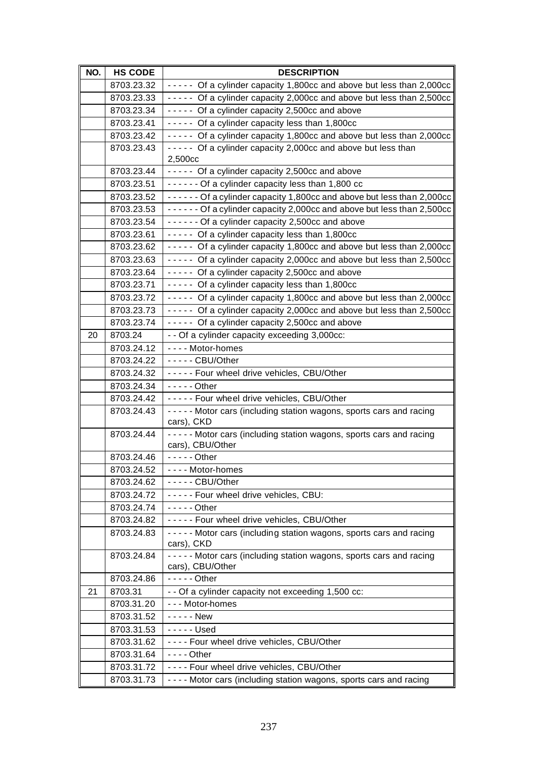| NO. | <b>HS CODE</b> | <b>DESCRIPTION</b>                                                               |
|-----|----------------|----------------------------------------------------------------------------------|
|     | 8703.23.32     | ----- Of a cylinder capacity 1,800cc and above but less than 2,000cc             |
|     | 8703.23.33     | ----- Of a cylinder capacity 2,000cc and above but less than 2,500cc             |
|     | 8703.23.34     | ----- Of a cylinder capacity 2,500cc and above                                   |
|     | 8703.23.41     | ----- Of a cylinder capacity less than 1,800cc                                   |
|     | 8703.23.42     | ----- Of a cylinder capacity 1,800cc and above but less than 2,000cc             |
|     | 8703.23.43     | ----- Of a cylinder capacity 2,000cc and above but less than                     |
|     |                | 2,500cc                                                                          |
|     | 8703.23.44     | ----- Of a cylinder capacity 2,500cc and above                                   |
|     | 8703.23.51     | ------ Of a cylinder capacity less than 1,800 cc                                 |
|     | 8703.23.52     | ------ Of a cylinder capacity 1,800cc and above but less than 2,000cc            |
|     | 8703.23.53     | - - - - - - Of a cylinder capacity 2,000cc and above but less than 2,500cc       |
|     | 8703.23.54     | ------ Of a cylinder capacity 2,500cc and above                                  |
|     | 8703.23.61     | ----- Of a cylinder capacity less than 1,800cc                                   |
|     | 8703.23.62     | ----- Of a cylinder capacity 1,800cc and above but less than 2,000cc             |
|     | 8703.23.63     | ----- Of a cylinder capacity 2,000cc and above but less than 2,500cc             |
|     | 8703.23.64     | ----- Of a cylinder capacity 2,500cc and above                                   |
|     | 8703.23.71     | ----- Of a cylinder capacity less than 1,800cc                                   |
|     | 8703.23.72     | ----- Of a cylinder capacity 1,800cc and above but less than 2,000cc             |
|     | 8703.23.73     | ----- Of a cylinder capacity 2,000cc and above but less than 2,500cc             |
|     | 8703.23.74     | ----- Of a cylinder capacity 2,500cc and above                                   |
| 20  | 8703.24        | - - Of a cylinder capacity exceeding 3,000cc:                                    |
|     | 8703.24.12     | ---- Motor-homes                                                                 |
|     | 8703.24.22     | - - - - - CBU/Other                                                              |
|     | 8703.24.32     | ----- Four wheel drive vehicles, CBU/Other                                       |
|     | 8703.24.34     | $---$ Other                                                                      |
|     | 8703.24.42     | ----- Four wheel drive vehicles, CBU/Other                                       |
|     | 8703.24.43     | ----- Motor cars (including station wagons, sports cars and racing<br>cars), CKD |
|     | 8703.24.44     | - - - - - Motor cars (including station wagons, sports cars and racing           |
|     |                | cars), CBU/Other                                                                 |
|     | 8703.24.46     | $--$ - $-$ Other                                                                 |
|     | 8703.24.52     | - - - - Motor-homes                                                              |
|     | 8703.24.62     | $---$ - CBU/Other                                                                |
|     | 8703.24.72     | ----- Four wheel drive vehicles, CBU:                                            |
|     | 8703.24.74     | - - - - - Other                                                                  |
|     | 8703.24.82     | ----- Four wheel drive vehicles, CBU/Other                                       |
|     | 8703.24.83     | ----- Motor cars (including station wagons, sports cars and racing<br>cars), CKD |
|     | 8703.24.84     | ----- Motor cars (including station wagons, sports cars and racing               |
|     |                | cars), CBU/Other                                                                 |
|     | 8703.24.86     | $--$ - $-$ Other                                                                 |
| 21  | 8703.31        | - - Of a cylinder capacity not exceeding 1,500 cc:                               |
|     | 8703.31.20     | --- Motor-homes                                                                  |
|     | 8703.31.52     | - - - - - New                                                                    |
|     | 8703.31.53     | $--$ Used                                                                        |
|     | 8703.31.62     | ---- Four wheel drive vehicles, CBU/Other                                        |
|     | 8703.31.64     | - - - - Other                                                                    |
|     | 8703.31.72     | ---- Four wheel drive vehicles, CBU/Other                                        |
|     | 8703.31.73     | - - - - Motor cars (including station wagons, sports cars and racing             |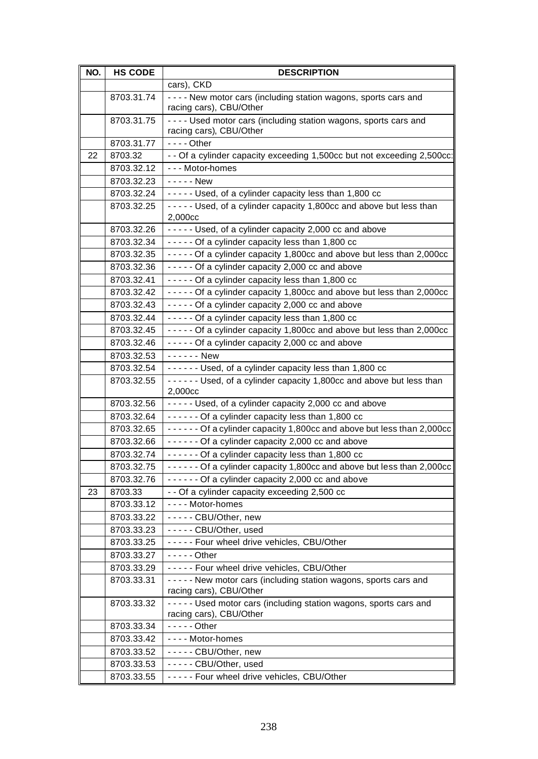| NO. | <b>HS CODE</b> | <b>DESCRIPTION</b>                                                                            |
|-----|----------------|-----------------------------------------------------------------------------------------------|
|     |                | cars), CKD                                                                                    |
|     | 8703.31.74     | ---- New motor cars (including station wagons, sports cars and<br>racing cars), CBU/Other     |
|     | 8703.31.75     | - - - - Used motor cars (including station wagons, sports cars and<br>racing cars), CBU/Other |
|     | 8703.31.77     | $--$ - Other                                                                                  |
| 22  | 8703.32        | - - Of a cylinder capacity exceeding 1,500cc but not exceeding 2,500cc:                       |
|     | 8703.32.12     | --- Motor-homes                                                                               |
|     | 8703.32.23     | - - - - - New                                                                                 |
|     | 8703.32.24     | ----- Used, of a cylinder capacity less than 1,800 cc                                         |
|     | 8703.32.25     | - - - - - Used, of a cylinder capacity 1,800cc and above but less than                        |
|     |                | 2,000cc                                                                                       |
|     | 8703.32.26     | ----- Used, of a cylinder capacity 2,000 cc and above                                         |
|     | 8703.32.34     | ----- Of a cylinder capacity less than 1,800 cc                                               |
|     | 8703.32.35     | ----- Of a cylinder capacity 1,800cc and above but less than 2,000cc                          |
|     | 8703.32.36     | - - - - - Of a cylinder capacity 2,000 cc and above                                           |
|     | 8703.32.41     | ----- Of a cylinder capacity less than 1,800 cc                                               |
|     | 8703.32.42     | ----- Of a cylinder capacity 1,800cc and above but less than 2,000cc                          |
|     | 8703.32.43     | - - - - - Of a cylinder capacity 2,000 cc and above                                           |
|     | 8703.32.44     | ----- Of a cylinder capacity less than 1,800 cc                                               |
|     | 8703.32.45     | - - - - - Of a cylinder capacity 1,800cc and above but less than 2,000cc                      |
|     | 8703.32.46     | - - - - - Of a cylinder capacity 2,000 cc and above                                           |
|     | 8703.32.53     | - - - - - - New                                                                               |
|     | 8703.32.54     | ------ Used, of a cylinder capacity less than 1,800 cc                                        |
|     | 8703.32.55     | ------ Used, of a cylinder capacity 1,800cc and above but less than<br>2,000cc                |
|     | 8703.32.56     | ----- Used, of a cylinder capacity 2,000 cc and above                                         |
|     | 8703.32.64     | $---$ Of a cylinder capacity less than 1,800 cc                                               |
|     | 8703.32.65     | - - - - - - Of a cylinder capacity 1,800cc and above but less than 2,000cc                    |
|     | 8703.32.66     | ------ Of a cylinder capacity 2,000 cc and above                                              |
|     | 8703.32.74     | ------ Of a cylinder capacity less than 1,800 cc                                              |
|     | 8703.32.75     | - - - - - - Of a cylinder capacity 1,800cc and above but less than 2,000cc                    |
|     | 8703.32.76     | ------ Of a cylinder capacity 2,000 cc and above                                              |
| 23  | 8703.33        | - - Of a cylinder capacity exceeding 2,500 cc                                                 |
|     | 8703.33.12     | ---- Motor-homes                                                                              |
|     | 8703.33.22     | ----- CBU/Other, new                                                                          |
|     | 8703.33.23     | - - - - - CBU/Other, used                                                                     |
|     | 8703.33.25     | ----- Four wheel drive vehicles, CBU/Other                                                    |
|     | 8703.33.27     | $--$ - - Other                                                                                |
|     | 8703.33.29     | ----- Four wheel drive vehicles, CBU/Other                                                    |
|     | 8703.33.31     | ----- New motor cars (including station wagons, sports cars and<br>racing cars), CBU/Other    |
|     | 8703.33.32     | ----- Used motor cars (including station wagons, sports cars and<br>racing cars), CBU/Other   |
|     | 8703.33.34     | $--$ - - - Other                                                                              |
|     | 8703.33.42     | - - - - Motor-homes                                                                           |
|     | 8703.33.52     | ----- CBU/Other, new                                                                          |
|     | 8703.33.53     | ----- CBU/Other, used                                                                         |
|     | 8703.33.55     | ----- Four wheel drive vehicles, CBU/Other                                                    |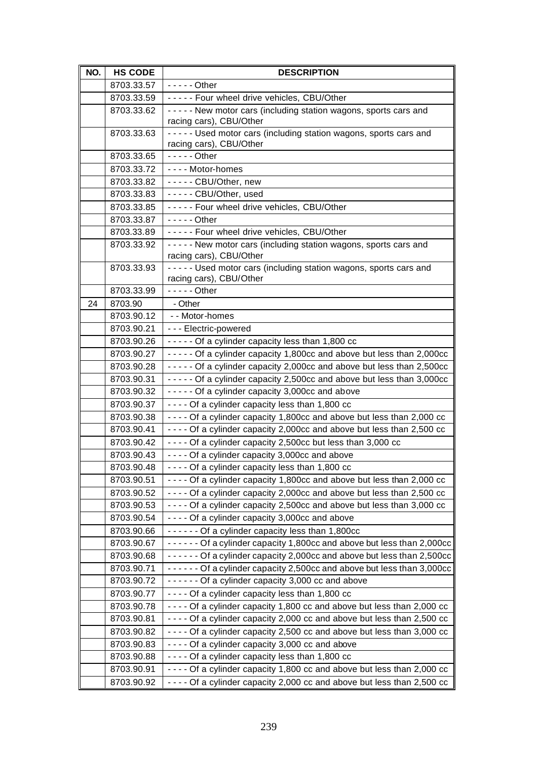| NO. | <b>HS CODE</b>           | <b>DESCRIPTION</b>                                                                                                                                 |
|-----|--------------------------|----------------------------------------------------------------------------------------------------------------------------------------------------|
|     | 8703.33.57               | $-- -$ - Other                                                                                                                                     |
|     | 8703.33.59               | ----- Four wheel drive vehicles, CBU/Other                                                                                                         |
|     | 8703.33.62               | ----- New motor cars (including station wagons, sports cars and<br>racing cars), CBU/Other                                                         |
|     | 8703.33.63               | ----- Used motor cars (including station wagons, sports cars and<br>racing cars), CBU/Other                                                        |
|     | 8703.33.65               | $---$ Other                                                                                                                                        |
|     | 8703.33.72               | ---- Motor-homes                                                                                                                                   |
|     | 8703.33.82               | ----- CBU/Other, new                                                                                                                               |
|     | 8703.33.83               | ----- CBU/Other, used                                                                                                                              |
|     | 8703.33.85               | ----- Four wheel drive vehicles, CBU/Other                                                                                                         |
|     | 8703.33.87               | - - - - - Other                                                                                                                                    |
|     | 8703.33.89               | ----- Four wheel drive vehicles, CBU/Other                                                                                                         |
|     | 8703.33.92               | - - - - - New motor cars (including station wagons, sports cars and<br>racing cars), CBU/Other                                                     |
|     | 8703.33.93               | ----- Used motor cars (including station wagons, sports cars and                                                                                   |
|     |                          | racing cars), CBU/Other                                                                                                                            |
|     | 8703.33.99               | $---Other$                                                                                                                                         |
| 24  | 8703.90                  | - Other                                                                                                                                            |
|     | 8703.90.12               | - - Motor-homes                                                                                                                                    |
|     | 8703.90.21               | --- Electric-powered                                                                                                                               |
|     | 8703.90.26               | ----- Of a cylinder capacity less than 1,800 cc                                                                                                    |
|     | 8703.90.27               | - - - - - Of a cylinder capacity 1,800cc and above but less than 2,000cc                                                                           |
|     | 8703.90.28               | ----- Of a cylinder capacity 2,000cc and above but less than 2,500cc                                                                               |
|     | 8703.90.31               | - - - - - Of a cylinder capacity 2,500cc and above but less than 3,000cc                                                                           |
|     | 8703.90.32               | - - - - - Of a cylinder capacity 3,000cc and above                                                                                                 |
|     | 8703.90.37               | ---- Of a cylinder capacity less than 1,800 cc                                                                                                     |
|     | 8703.90.38               | - - - - Of a cylinder capacity 1,800cc and above but less than 2,000 cc                                                                            |
|     | 8703.90.41               | - - - - Of a cylinder capacity 2,000cc and above but less than 2,500 cc                                                                            |
|     | 8703.90.42               | - - - - Of a cylinder capacity 2,500cc but less than 3,000 cc                                                                                      |
|     | 8703.90.43               | - - - - Of a cylinder capacity 3,000cc and above                                                                                                   |
|     | 8703.90.48               | ---- Of a cylinder capacity less than 1,800 cc                                                                                                     |
|     | 8703.90.51               | - - - - Of a cylinder capacity 1,800cc and above but less than 2,000 cc                                                                            |
|     | 8703.90.52               | - - - - Of a cylinder capacity 2,000cc and above but less than 2,500 cc<br>- - - - Of a cylinder capacity 2,500cc and above but less than 3,000 cc |
|     | 8703.90.53<br>8703.90.54 | - - - - Of a cylinder capacity 3,000cc and above                                                                                                   |
|     | 8703.90.66               | ------ Of a cylinder capacity less than 1,800cc                                                                                                    |
|     | 8703.90.67               | $\cdots$ $\cdots$ Of a cylinder capacity 1,800cc and above but less than 2,000cc                                                                   |
|     | 8703.90.68               | - - - - - - Of a cylinder capacity 2,000cc and above but less than 2,500cc                                                                         |
|     | 8703.90.71               | - - - - - - Of a cylinder capacity 2,500cc and above but less than 3,000cc                                                                         |
|     | 8703.90.72               | ------ Of a cylinder capacity 3,000 cc and above                                                                                                   |
|     | 8703.90.77               | ---- Of a cylinder capacity less than 1,800 cc                                                                                                     |
|     | 8703.90.78               | - - - - Of a cylinder capacity 1,800 cc and above but less than 2,000 cc                                                                           |
|     | 8703.90.81               | - - - - Of a cylinder capacity 2,000 cc and above but less than 2,500 cc                                                                           |
|     | 8703.90.82               | - - - - Of a cylinder capacity 2,500 cc and above but less than 3,000 cc                                                                           |
|     | 8703.90.83               | - - - - Of a cylinder capacity 3,000 cc and above                                                                                                  |
|     | 8703.90.88               | ---- Of a cylinder capacity less than 1,800 cc                                                                                                     |
|     | 8703.90.91               | - - - - Of a cylinder capacity 1,800 cc and above but less than 2,000 cc                                                                           |
|     | 8703.90.92               | - - - - Of a cylinder capacity 2,000 cc and above but less than 2,500 cc                                                                           |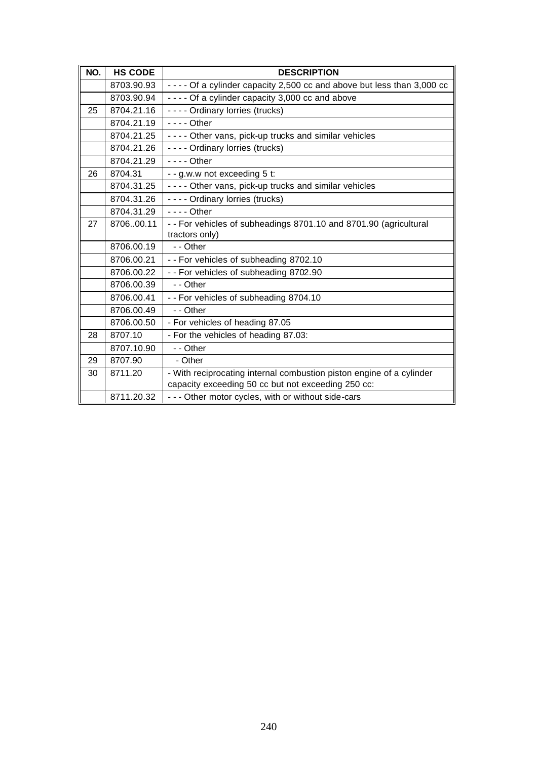| NO. | <b>HS CODE</b> | <b>DESCRIPTION</b>                                                       |
|-----|----------------|--------------------------------------------------------------------------|
|     | 8703.90.93     | - - - - Of a cylinder capacity 2,500 cc and above but less than 3,000 cc |
|     | 8703.90.94     | - - - - Of a cylinder capacity 3,000 cc and above                        |
| 25  | 8704.21.16     | ---- Ordinary lorries (trucks)                                           |
|     | 8704.21.19     | $--$ Other                                                               |
|     | 8704.21.25     | - - - - Other vans, pick-up trucks and similar vehicles                  |
|     | 8704.21.26     | - - - - Ordinary lorries (trucks)                                        |
|     | 8704.21.29     | $--$ Other                                                               |
| 26  | 8704.31        | - - g.w.w not exceeding 5 t:                                             |
|     | 8704.31.25     | - - - - Other vans, pick-up trucks and similar vehicles                  |
|     | 8704.31.26     | - - - - Ordinary lorries (trucks)                                        |
|     | 8704.31.29     | $- - -$ Other                                                            |
| 27  | 870600.11      | -- For vehicles of subheadings 8701.10 and 8701.90 (agricultural         |
|     |                | tractors only)                                                           |
|     | 8706.00.19     | - - Other                                                                |
|     | 8706.00.21     | -- For vehicles of subheading 8702.10                                    |
|     | 8706.00.22     | - - For vehicles of subheading 8702.90                                   |
|     | 8706.00.39     | - - Other                                                                |
|     | 8706.00.41     | - - For vehicles of subheading 8704.10                                   |
|     | 8706.00.49     | - - Other                                                                |
|     | 8706.00.50     | - For vehicles of heading 87.05                                          |
| 28  | 8707.10        | - For the vehicles of heading 87.03:                                     |
|     | 8707.10.90     | - - Other                                                                |
| 29  | 8707.90        | - Other                                                                  |
| 30  | 8711.20        | - With reciprocating internal combustion piston engine of a cylinder     |
|     |                | capacity exceeding 50 cc but not exceeding 250 cc:                       |
|     | 8711.20.32     | - - - Other motor cycles, with or without side-cars                      |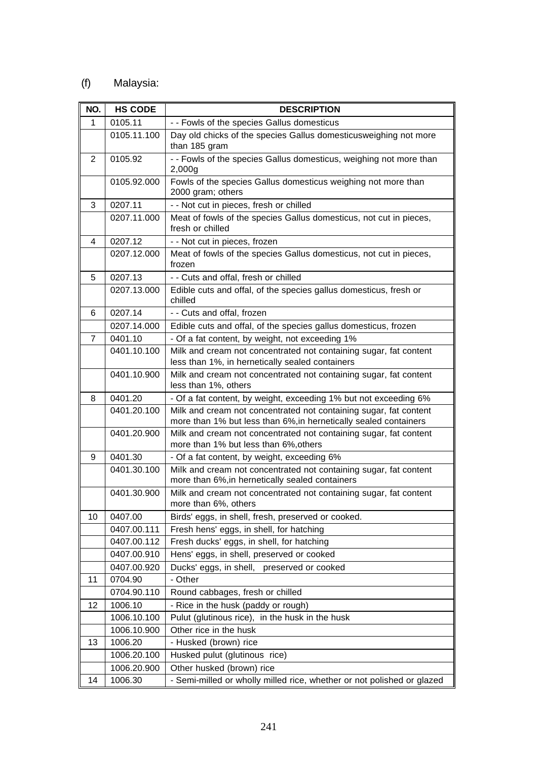## (f) Malaysia:

| NO. | <b>HS CODE</b> | <b>DESCRIPTION</b>                                                                                                                    |
|-----|----------------|---------------------------------------------------------------------------------------------------------------------------------------|
| 1   | 0105.11        | - - Fowls of the species Gallus domesticus                                                                                            |
|     | 0105.11.100    | Day old chicks of the species Gallus domesticusweighing not more                                                                      |
|     |                | than 185 gram                                                                                                                         |
| 2   | 0105.92        | - - Fowls of the species Gallus domesticus, weighing not more than<br>2,000g                                                          |
|     | 0105.92.000    | Fowls of the species Gallus domesticus weighing not more than<br>2000 gram; others                                                    |
| 3   | 0207.11        | - - Not cut in pieces, fresh or chilled                                                                                               |
|     | 0207.11.000    | Meat of fowls of the species Gallus domesticus, not cut in pieces,<br>fresh or chilled                                                |
| 4   | 0207.12        | - - Not cut in pieces, frozen                                                                                                         |
|     | 0207.12.000    | Meat of fowls of the species Gallus domesticus, not cut in pieces,                                                                    |
|     |                | frozen                                                                                                                                |
| 5   | 0207.13        | - - Cuts and offal, fresh or chilled                                                                                                  |
|     | 0207.13.000    | Edible cuts and offal, of the species gallus domesticus, fresh or<br>chilled                                                          |
| 6   | 0207.14        | - - Cuts and offal, frozen                                                                                                            |
|     | 0207.14.000    | Edible cuts and offal, of the species gallus domesticus, frozen                                                                       |
| 7   | 0401.10        | - Of a fat content, by weight, not exceeding 1%                                                                                       |
|     | 0401.10.100    | Milk and cream not concentrated not containing sugar, fat content<br>less than 1%, in hernetically sealed containers                  |
|     | 0401.10.900    | Milk and cream not concentrated not containing sugar, fat content                                                                     |
|     |                | less than 1%, others                                                                                                                  |
| 8   | 0401.20        | - Of a fat content, by weight, exceeding 1% but not exceeding 6%                                                                      |
|     | 0401.20.100    | Milk and cream not concentrated not containing sugar, fat content<br>more than 1% but less than 6%, in hernetically sealed containers |
|     | 0401.20.900    | Milk and cream not concentrated not containing sugar, fat content<br>more than 1% but less than 6%, others                            |
| 9   | 0401.30        | - Of a fat content, by weight, exceeding 6%                                                                                           |
|     | 0401.30.100    | Milk and cream not concentrated not containing sugar, fat content<br>more than 6%, in hernetically sealed containers                  |
|     | 0401.30.900    | Milk and cream not concentrated not containing sugar, fat content<br>more than 6%, others                                             |
| 10  | 0407.00        | Birds' eggs, in shell, fresh, preserved or cooked.                                                                                    |
|     | 0407.00.111    | Fresh hens' eggs, in shell, for hatching                                                                                              |
|     | 0407.00.112    | Fresh ducks' eggs, in shell, for hatching                                                                                             |
|     | 0407.00.910    | Hens' eggs, in shell, preserved or cooked                                                                                             |
|     | 0407.00.920    | Ducks' eggs, in shell, preserved or cooked                                                                                            |
| 11  | 0704.90        | - Other                                                                                                                               |
|     | 0704.90.110    | Round cabbages, fresh or chilled                                                                                                      |
| 12  | 1006.10        | - Rice in the husk (paddy or rough)                                                                                                   |
|     | 1006.10.100    | Pulut (glutinous rice), in the husk in the husk                                                                                       |
|     | 1006.10.900    | Other rice in the husk                                                                                                                |
| 13  | 1006.20        | - Husked (brown) rice                                                                                                                 |
|     | 1006.20.100    | Husked pulut (glutinous rice)                                                                                                         |
|     | 1006.20.900    | Other husked (brown) rice                                                                                                             |
| 14  | 1006.30        | - Semi-milled or wholly milled rice, whether or not polished or glazed                                                                |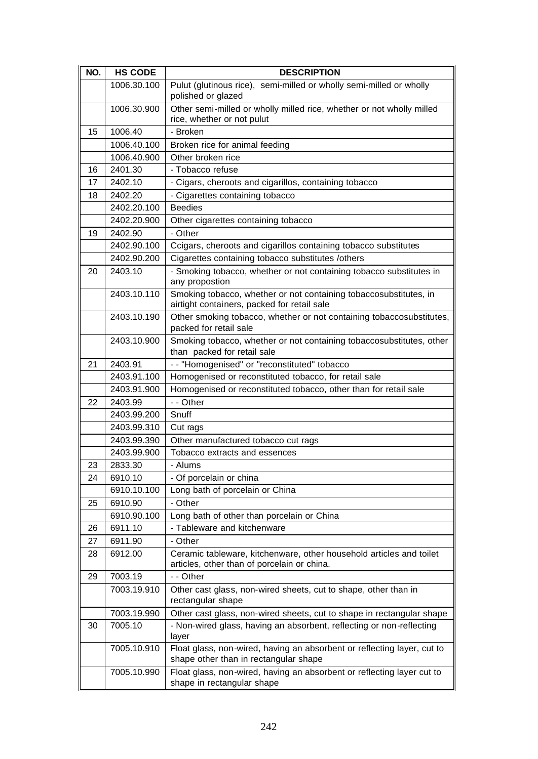| NO. | <b>HS CODE</b> | <b>DESCRIPTION</b>                                                                                                 |
|-----|----------------|--------------------------------------------------------------------------------------------------------------------|
|     | 1006.30.100    | Pulut (glutinous rice), semi-milled or wholly semi-milled or wholly<br>polished or glazed                          |
|     | 1006.30.900    | Other semi-milled or wholly milled rice, whether or not wholly milled<br>rice, whether or not pulut                |
| 15  | 1006.40        | - Broken                                                                                                           |
|     | 1006.40.100    | Broken rice for animal feeding                                                                                     |
|     | 1006.40.900    | Other broken rice                                                                                                  |
| 16  | 2401.30        | - Tobacco refuse                                                                                                   |
| 17  | 2402.10        | - Cigars, cheroots and cigarillos, containing tobacco                                                              |
| 18  | 2402.20        | - Cigarettes containing tobacco                                                                                    |
|     | 2402.20.100    | <b>Beedies</b>                                                                                                     |
|     | 2402.20.900    | Other cigarettes containing tobacco                                                                                |
| 19  | 2402.90        | - Other                                                                                                            |
|     | 2402.90.100    | Ccigars, cheroots and cigarillos containing tobacco substitutes                                                    |
|     | 2402.90.200    | Cigarettes containing tobacco substitutes /others                                                                  |
| 20  | 2403.10        | - Smoking tobacco, whether or not containing tobacco substitutes in<br>any propostion                              |
|     | 2403.10.110    | Smoking tobacco, whether or not containing tobaccosubstitutes, in<br>airtight containers, packed for retail sale   |
|     | 2403.10.190    | Other smoking tobacco, whether or not containing tobaccosubstitutes,<br>packed for retail sale                     |
|     | 2403.10.900    | Smoking tobacco, whether or not containing tobaccosubstitutes, other<br>than packed for retail sale                |
| 21  | 2403.91        | - - "Homogenised" or "reconstituted" tobacco                                                                       |
|     | 2403.91.100    | Homogenised or reconstituted tobacco, for retail sale                                                              |
|     | 2403.91.900    | Homogenised or reconstituted tobacco, other than for retail sale                                                   |
| 22  | 2403.99        | - - Other                                                                                                          |
|     | 2403.99.200    | Snuff                                                                                                              |
|     | 2403.99.310    | Cut rags                                                                                                           |
|     | 2403.99.390    | Other manufactured tobacco cut rags                                                                                |
|     | 2403.99.900    | Tobacco extracts and essences                                                                                      |
| 23  | 2833.30        | - Alums                                                                                                            |
| 24  | 6910.10        | - Of porcelain or china                                                                                            |
|     | 6910.10.100    | Long bath of porcelain or China                                                                                    |
| 25  | 6910.90        | - Other                                                                                                            |
|     | 6910.90.100    | Long bath of other than porcelain or China                                                                         |
| 26  | 6911.10        | - Tableware and kitchenware                                                                                        |
| 27  | 6911.90        | - Other                                                                                                            |
| 28  | 6912.00        | Ceramic tableware, kitchenware, other household articles and toilet<br>articles, other than of porcelain or china. |
| 29  | 7003.19        | - - Other                                                                                                          |
|     | 7003.19.910    | Other cast glass, non-wired sheets, cut to shape, other than in<br>rectangular shape                               |
|     | 7003.19.990    | Other cast glass, non-wired sheets, cut to shape in rectangular shape                                              |
| 30  | 7005.10        | - Non-wired glass, having an absorbent, reflecting or non-reflecting<br>layer                                      |
|     | 7005.10.910    | Float glass, non-wired, having an absorbent or reflecting layer, cut to<br>shape other than in rectangular shape   |
|     | 7005.10.990    | Float glass, non-wired, having an absorbent or reflecting layer cut to<br>shape in rectangular shape               |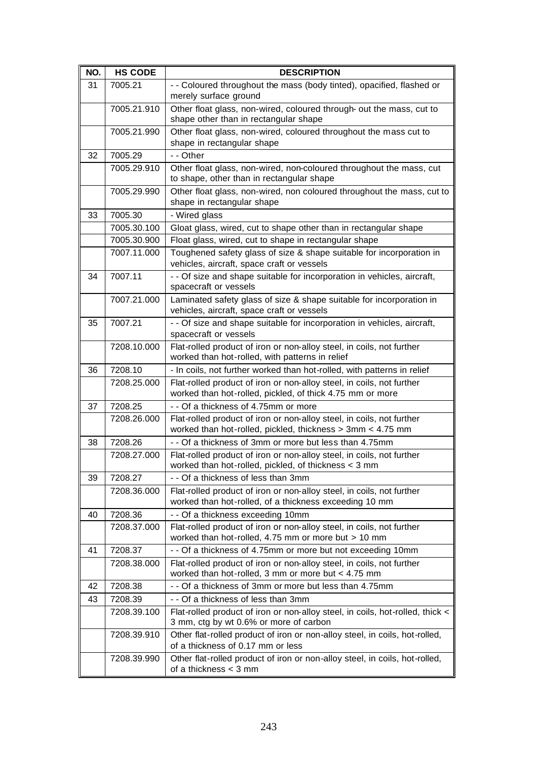| NO. | <b>HS CODE</b> | <b>DESCRIPTION</b>                                                                                                                 |
|-----|----------------|------------------------------------------------------------------------------------------------------------------------------------|
| 31  | 7005.21        | - - Coloured throughout the mass (body tinted), opacified, flashed or<br>merely surface ground                                     |
|     | 7005.21.910    | Other float glass, non-wired, coloured through- out the mass, cut to<br>shape other than in rectangular shape                      |
|     | 7005.21.990    | Other float glass, non-wired, coloured throughout the mass cut to<br>shape in rectangular shape                                    |
| 32  | 7005.29        | - - Other                                                                                                                          |
|     | 7005.29.910    | Other float glass, non-wired, non-coloured throughout the mass, cut<br>to shape, other than in rectangular shape                   |
|     | 7005.29.990    | Other float glass, non-wired, non coloured throughout the mass, cut to<br>shape in rectangular shape                               |
| 33  | 7005.30        | - Wired glass                                                                                                                      |
|     | 7005.30.100    | Gloat glass, wired, cut to shape other than in rectangular shape                                                                   |
|     | 7005.30.900    | Float glass, wired, cut to shape in rectangular shape                                                                              |
|     | 7007.11.000    | Toughened safety glass of size & shape suitable for incorporation in<br>vehicles, aircraft, space craft or vessels                 |
| 34  | 7007.11        | - - Of size and shape suitable for incorporation in vehicles, aircraft,<br>spacecraft or vessels                                   |
|     | 7007.21.000    | Laminated safety glass of size & shape suitable for incorporation in<br>vehicles, aircraft, space craft or vessels                 |
| 35  | 7007.21        | - - Of size and shape suitable for incorporation in vehicles, aircraft,<br>spacecraft or vessels                                   |
|     | 7208.10.000    | Flat-rolled product of iron or non-alloy steel, in coils, not further<br>worked than hot-rolled, with patterns in relief           |
| 36  | 7208.10        | - In coils, not further worked than hot-rolled, with patterns in relief                                                            |
|     | 7208.25.000    | Flat-rolled product of iron or non-alloy steel, in coils, not further<br>worked than hot-rolled, pickled, of thick 4.75 mm or more |
| 37  | 7208.25        | - - Of a thickness of 4.75mm or more                                                                                               |
|     | 7208.26.000    | Flat-rolled product of iron or non-alloy steel, in coils, not further                                                              |
|     |                | worked than hot-rolled, pickled, thickness > 3mm < 4.75 mm                                                                         |
| 38  | 7208.26        | - - Of a thickness of 3mm or more but less than 4.75mm                                                                             |
|     | 7208.27.000    | Flat-rolled product of iron or non-alloy steel, in coils, not further<br>worked than hot-rolled, pickled, of thickness < 3 mm      |
| 39  | 7208.27        | - - Of a thickness of less than 3mm                                                                                                |
|     | 7208.36.000    | Flat-rolled product of iron or non-alloy steel, in coils, not further<br>worked than hot-rolled, of a thickness exceeding 10 mm    |
| 40  | 7208.36        | - - Of a thickness exceeding 10mm                                                                                                  |
|     | 7208.37.000    | Flat-rolled product of iron or non-alloy steel, in coils, not further<br>worked than hot-rolled, 4.75 mm or more but > 10 mm       |
| 41  | 7208.37        | - - Of a thickness of 4.75mm or more but not exceeding 10mm                                                                        |
|     | 7208.38.000    | Flat-rolled product of iron or non-alloy steel, in coils, not further<br>worked than hot-rolled, 3 mm or more but < 4.75 mm        |
| 42  | 7208.38        | - - Of a thickness of 3mm or more but less than 4.75mm                                                                             |
| 43  | 7208.39        | - - Of a thickness of less than 3mm                                                                                                |
|     | 7208.39.100    | Flat-rolled product of iron or non-alloy steel, in coils, hot-rolled, thick <<br>3 mm, ctg by wt 0.6% or more of carbon            |
|     | 7208.39.910    | Other flat-rolled product of iron or non-alloy steel, in coils, hot-rolled,<br>of a thickness of 0.17 mm or less                   |
|     | 7208.39.990    | Other flat-rolled product of iron or non-alloy steel, in coils, hot-rolled,<br>of a thickness $<$ 3 mm                             |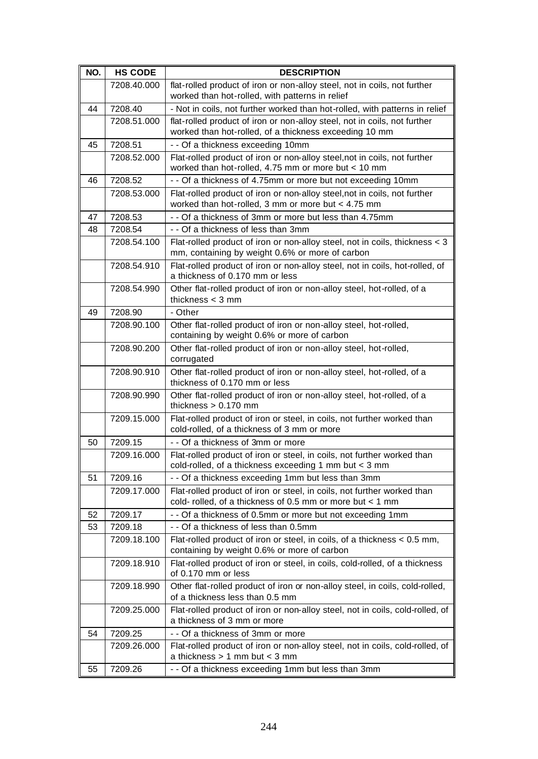| NO. | <b>HS CODE</b> | <b>DESCRIPTION</b>                                                                                                                   |
|-----|----------------|--------------------------------------------------------------------------------------------------------------------------------------|
|     | 7208.40.000    | flat-rolled product of iron or non-alloy steel, not in coils, not further                                                            |
|     |                | worked than hot-rolled, with patterns in relief                                                                                      |
| 44  | 7208.40        | - Not in coils, not further worked than hot-rolled, with patterns in relief                                                          |
|     | 7208.51.000    | flat-rolled product of iron or non-alloy steel, not in coils, not further<br>worked than hot-rolled, of a thickness exceeding 10 mm  |
| 45  | 7208.51        | - - Of a thickness exceeding 10mm                                                                                                    |
|     | 7208.52.000    | Flat-rolled product of iron or non-alloy steel, not in coils, not further<br>worked than hot-rolled, 4.75 mm or more but < 10 mm     |
| 46  | 7208.52        | - - Of a thickness of 4.75mm or more but not exceeding 10mm                                                                          |
|     | 7208.53.000    | Flat-rolled product of iron or non-alloy steel, not in coils, not further<br>worked than hot-rolled, 3 mm or more but < 4.75 mm      |
| 47  | 7208.53        | - - Of a thickness of 3mm or more but less than 4.75mm                                                                               |
| 48  | 7208.54        | - - Of a thickness of less than 3mm                                                                                                  |
|     | 7208.54.100    | Flat-rolled product of iron or non-alloy steel, not in coils, thickness < 3<br>mm, containing by weight 0.6% or more of carbon       |
|     | 7208.54.910    | Flat-rolled product of iron or non-alloy steel, not in coils, hot-rolled, of<br>a thickness of 0.170 mm or less                      |
|     | 7208.54.990    | Other flat-rolled product of iron or non-alloy steel, hot-rolled, of a<br>thickness $<$ 3 mm                                         |
| 49  | 7208.90        | - Other                                                                                                                              |
|     | 7208.90.100    | Other flat-rolled product of iron or non-alloy steel, hot-rolled,<br>containing by weight 0.6% or more of carbon                     |
|     | 7208.90.200    | Other flat-rolled product of iron or non-alloy steel, hot-rolled,<br>corrugated                                                      |
|     | 7208.90.910    | Other flat-rolled product of iron or non-alloy steel, hot-rolled, of a<br>thickness of 0.170 mm or less                              |
|     | 7208.90.990    | Other flat-rolled product of iron or non-alloy steel, hot-rolled, of a<br>thickness $> 0.170$ mm                                     |
|     | 7209.15.000    | Flat-rolled product of iron or steel, in coils, not further worked than<br>cold-rolled, of a thickness of 3 mm or more               |
| 50  | 7209.15        | - - Of a thickness of 3mm or more                                                                                                    |
|     | 7209.16.000    | Flat-rolled product of iron or steel, in coils, not further worked than<br>cold-rolled, of a thickness exceeding 1 mm but < 3 mm     |
| 51  | 7209.16        | - - Of a thickness exceeding 1mm but less than 3mm                                                                                   |
|     | 7209.17.000    | Flat-rolled product of iron or steel, in coils, not further worked than<br>cold- rolled, of a thickness of 0.5 mm or more but < 1 mm |
| 52  | 7209.17        | - - Of a thickness of 0.5mm or more but not exceeding 1mm                                                                            |
| 53  | 7209.18        | - - Of a thickness of less than 0.5mm                                                                                                |
|     | 7209.18.100    | Flat-rolled product of iron or steel, in coils, of a thickness < 0.5 mm,<br>containing by weight 0.6% or more of carbon              |
|     | 7209.18.910    | Flat-rolled product of iron or steel, in coils, cold-rolled, of a thickness<br>of 0.170 mm or less                                   |
|     | 7209.18.990    | Other flat-rolled product of iron or non-alloy steel, in coils, cold-rolled,<br>of a thickness less than 0.5 mm                      |
|     | 7209.25.000    | Flat-rolled product of iron or non-alloy steel, not in coils, cold-rolled, of<br>a thickness of 3 mm or more                         |
| 54  | 7209.25        | - - Of a thickness of 3mm or more                                                                                                    |
|     | 7209.26.000    | Flat-rolled product of iron or non-alloy steel, not in coils, cold-rolled, of<br>a thickness $> 1$ mm but < 3 mm                     |
| 55  | 7209.26        | - - Of a thickness exceeding 1mm but less than 3mm                                                                                   |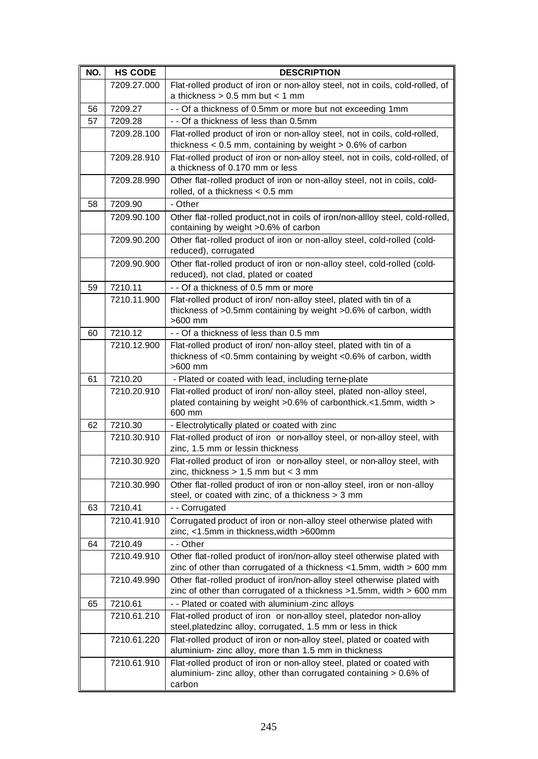| NO. | <b>HS CODE</b> | <b>DESCRIPTION</b>                                                                                                                                   |
|-----|----------------|------------------------------------------------------------------------------------------------------------------------------------------------------|
|     | 7209.27.000    | Flat-rolled product of iron or non-alloy steel, not in coils, cold-rolled, of<br>a thickness $> 0.5$ mm but $< 1$ mm                                 |
| 56  | 7209.27        | - - Of a thickness of 0.5mm or more but not exceeding 1mm                                                                                            |
| 57  | 7209.28        | - - Of a thickness of less than 0.5mm                                                                                                                |
|     | 7209.28.100    | Flat-rolled product of iron or non-alloy steel, not in coils, cold-rolled,<br>thickness $< 0.5$ mm, containing by weight $> 0.6\%$ of carbon         |
|     | 7209.28.910    | Flat-rolled product of iron or non-alloy steel, not in coils, cold-rolled, of<br>a thickness of 0.170 mm or less                                     |
|     | 7209.28.990    | Other flat-rolled product of iron or non-alloy steel, not in coils, cold-<br>rolled, of a thickness $< 0.5$ mm                                       |
| 58  | 7209.90        | - Other                                                                                                                                              |
|     | 7209.90.100    | Other flat-rolled product, not in coils of iron/non-allloy steel, cold-rolled,<br>containing by weight >0.6% of carbon                               |
|     | 7209.90.200    | Other flat-rolled product of iron or non-alloy steel, cold-rolled (cold-<br>reduced), corrugated                                                     |
|     | 7209.90.900    | Other flat-rolled product of iron or non-alloy steel, cold-rolled (cold-<br>reduced), not clad, plated or coated                                     |
| 59  | 7210.11        | - - Of a thickness of 0.5 mm or more                                                                                                                 |
|     | 7210.11.900    | Flat-rolled product of iron/ non-alloy steel, plated with tin of a<br>thickness of >0.5mm containing by weight >0.6% of carbon, width<br>$>600$ mm   |
| 60  | 7210.12        | - - Of a thickness of less than 0.5 mm                                                                                                               |
|     | 7210.12.900    | Flat-rolled product of iron/ non-alloy steel, plated with tin of a<br>thickness of <0.5mm containing by weight <0.6% of carbon, width<br>>600 mm     |
| 61  | 7210.20        | - Plated or coated with lead, including terne-plate                                                                                                  |
|     | 7210.20.910    | Flat-rolled product of iron/ non-alloy steel, plated non-alloy steel,<br>plated containing by weight >0.6% of carbonthick.<1.5mm, width ><br>600 mm  |
| 62  | 7210.30        | - Electrolytically plated or coated with zinc                                                                                                        |
|     | 7210.30.910    | Flat-rolled product of iron or non-alloy steel, or non-alloy steel, with<br>zinc, 1.5 mm or lessin thickness                                         |
|     | 7210.30.920    | Flat-rolled product of iron or non-alloy steel, or non-alloy steel, with<br>zinc, thickness $> 1.5$ mm but $<$ 3 mm                                  |
|     | 7210.30.990    | Other flat-rolled product of iron or non-alloy steel, iron or non-alloy<br>steel, or coated with zinc, of a thickness > 3 mm                         |
| 63  | 7210.41        | -- Corrugated                                                                                                                                        |
|     | 7210.41.910    | Corrugated product of iron or non-alloy steel otherwise plated with<br>zinc, <1.5mm in thickness, width >600mm                                       |
| 64  | 7210.49        | - - Other                                                                                                                                            |
|     | 7210.49.910    | Other flat-rolled product of iron/non-alloy steel otherwise plated with<br>zinc of other than corrugated of a thickness $<$ 1.5mm, width > 600 mm    |
|     | 7210.49.990    | Other flat-rolled product of iron/non-alloy steel otherwise plated with<br>zinc of other than corrugated of a thickness >1.5mm, width > 600 mm       |
| 65  | 7210.61        | - - Plated or coated with aluminium-zinc alloys                                                                                                      |
|     | 7210.61.210    | Flat-rolled product of iron or non-alloy steel, platedor non-alloy<br>steel, platedzinc alloy, corrugated, 1.5 mm or less in thick                   |
|     | 7210.61.220    | Flat-rolled product of iron or non-alloy steel, plated or coated with<br>aluminium- zinc alloy, more than 1.5 mm in thickness                        |
|     | 7210.61.910    | Flat-rolled product of iron or non-alloy steel, plated or coated with<br>aluminium- zinc alloy, other than corrugated containing > 0.6% of<br>carbon |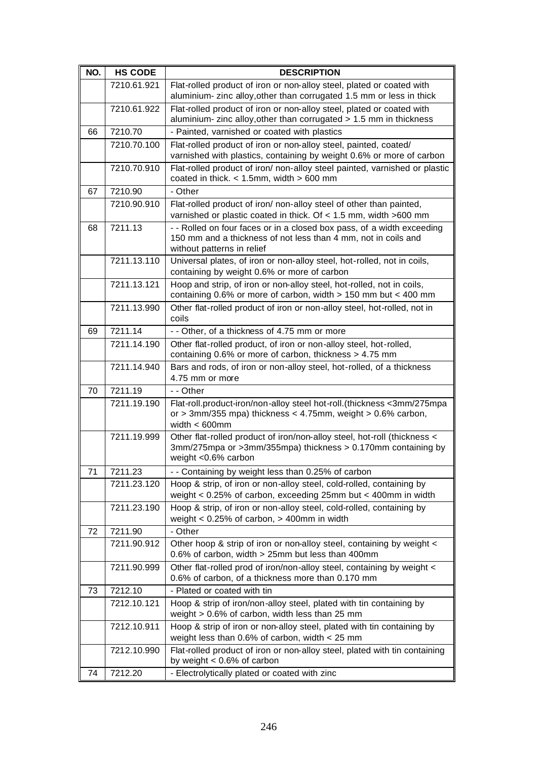| NO. | <b>HS CODE</b> | <b>DESCRIPTION</b>                                                                                                                                                     |
|-----|----------------|------------------------------------------------------------------------------------------------------------------------------------------------------------------------|
|     | 7210.61.921    | Flat-rolled product of iron or non-alloy steel, plated or coated with                                                                                                  |
|     |                | aluminium- zinc alloy, other than corrugated 1.5 mm or less in thick                                                                                                   |
|     | 7210.61.922    | Flat-rolled product of iron or non-alloy steel, plated or coated with<br>aluminium- zinc alloy, other than corrugated > 1.5 mm in thickness                            |
| 66  | 7210.70        | - Painted, varnished or coated with plastics                                                                                                                           |
|     | 7210.70.100    | Flat-rolled product of iron or non-alloy steel, painted, coated/<br>varnished with plastics, containing by weight 0.6% or more of carbon                               |
|     | 7210.70.910    | Flat-rolled product of iron/ non-alloy steel painted, varnished or plastic<br>coated in thick. $<$ 1.5mm, width $>$ 600 mm                                             |
| 67  | 7210.90        | - Other                                                                                                                                                                |
|     | 7210.90.910    | Flat-rolled product of iron/ non-alloy steel of other than painted,<br>varnished or plastic coated in thick. Of < 1.5 mm, width >600 mm                                |
| 68  | 7211.13        | - - Rolled on four faces or in a closed box pass, of a width exceeding<br>150 mm and a thickness of not less than 4 mm, not in coils and<br>without patterns in relief |
|     | 7211.13.110    | Universal plates, of iron or non-alloy steel, hot-rolled, not in coils,<br>containing by weight 0.6% or more of carbon                                                 |
|     | 7211.13.121    | Hoop and strip, of iron or non-alloy steel, hot-rolled, not in coils,<br>containing 0.6% or more of carbon, width $> 150$ mm but < 400 mm                              |
|     | 7211.13.990    | Other flat-rolled product of iron or non-alloy steel, hot-rolled, not in<br>coils                                                                                      |
| 69  | 7211.14        | - - Other, of a thickness of 4.75 mm or more                                                                                                                           |
|     | 7211.14.190    | Other flat-rolled product, of iron or non-alloy steel, hot-rolled,<br>containing 0.6% or more of carbon, thickness > 4.75 mm                                           |
|     | 7211.14.940    | Bars and rods, of iron or non-alloy steel, hot-rolled, of a thickness<br>4.75 mm or more                                                                               |
| 70  | 7211.19        | - - Other                                                                                                                                                              |
|     | 7211.19.190    | Flat-roll.product-iron/non-alloy steel hot-roll.(thickness <3mm/275mpa<br>or > 3mm/355 mpa) thickness < $4.75$ mm, weight > $0.6\%$ carbon,<br>width $< 600$ mm        |
|     | 7211.19.999    | Other flat-rolled product of iron/non-alloy steel, hot-roll (thickness <<br>3mm/275mpa or >3mm/355mpa) thickness > 0.170mm containing by<br>weight <0.6% carbon        |
| 71  | 7211.23        | - - Containing by weight less than 0.25% of carbon                                                                                                                     |
|     | 7211.23.120    | Hoop & strip, of iron or non-alloy steel, cold-rolled, containing by<br>weight < 0.25% of carbon, exceeding 25mm but < 400mm in width                                  |
|     | 7211.23.190    | Hoop & strip, of iron or non-alloy steel, cold-rolled, containing by<br>weight $< 0.25\%$ of carbon, $> 400$ mm in width                                               |
| 72  | 7211.90        | - Other                                                                                                                                                                |
|     | 7211.90.912    | Other hoop & strip of iron or non-alloy steel, containing by weight <<br>0.6% of carbon, width > 25mm but less than 400mm                                              |
|     | 7211.90.999    | Other flat-rolled prod of iron/non-alloy steel, containing by weight <<br>0.6% of carbon, of a thickness more than 0.170 mm                                            |
| 73  | 7212.10        | - Plated or coated with tin                                                                                                                                            |
|     | 7212.10.121    | Hoop & strip of iron/non-alloy steel, plated with tin containing by<br>weight > 0.6% of carbon, width less than 25 mm                                                  |
|     | 7212.10.911    | Hoop & strip of iron or non-alloy steel, plated with tin containing by<br>weight less than $0.6\%$ of carbon, width $<$ 25 mm                                          |
|     | 7212.10.990    | Flat-rolled product of iron or non-alloy steel, plated with tin containing<br>by weight $< 0.6\%$ of carbon                                                            |
| 74  | 7212.20        | - Electrolytically plated or coated with zinc                                                                                                                          |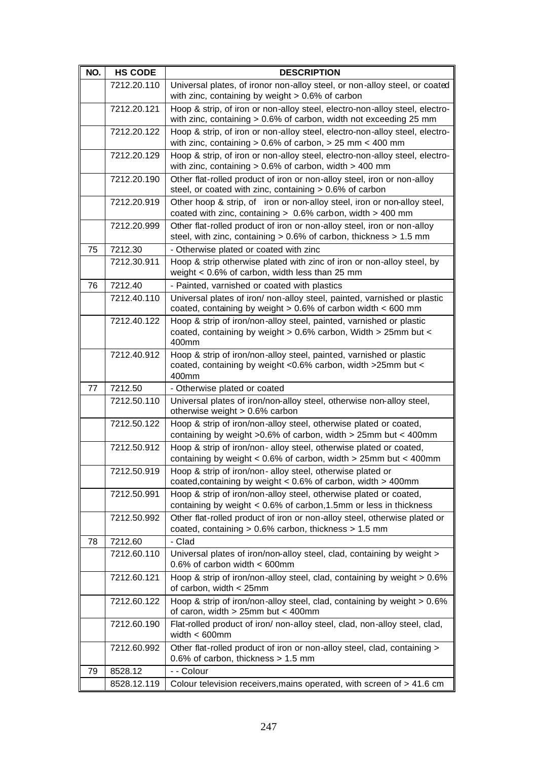| NO. | <b>HS CODE</b> | <b>DESCRIPTION</b>                                                                                                                               |
|-----|----------------|--------------------------------------------------------------------------------------------------------------------------------------------------|
|     | 7212.20.110    | Universal plates, of ironor non-alloy steel, or non-alloy steel, or coated<br>with zinc, containing by weight $> 0.6\%$ of carbon                |
|     | 7212.20.121    | Hoop & strip, of iron or non-alloy steel, electro-non-alloy steel, electro-<br>with zinc, containing > 0.6% of carbon, width not exceeding 25 mm |
|     | 7212.20.122    | Hoop & strip, of iron or non-alloy steel, electro-non-alloy steel, electro-<br>with zinc, containing $> 0.6\%$ of carbon, $> 25$ mm $< 400$ mm   |
|     | 7212.20.129    | Hoop & strip, of iron or non-alloy steel, electro-non-alloy steel, electro-<br>with zinc, containing $> 0.6\%$ of carbon, width $> 400$ mm       |
|     | 7212.20.190    | Other flat-rolled product of iron or non-alloy steel, iron or non-alloy<br>steel, or coated with zinc, containing > 0.6% of carbon               |
|     | 7212.20.919    | Other hoop & strip, of iron or non-alloy steel, iron or non-alloy steel,<br>coated with zinc, containing $> 0.6\%$ carbon, width $> 400$ mm      |
|     | 7212.20.999    | Other flat-rolled product of iron or non-alloy steel, iron or non-alloy<br>steel, with zinc, containing > 0.6% of carbon, thickness > 1.5 mm     |
| 75  | 7212.30        | - Otherwise plated or coated with zinc                                                                                                           |
|     | 7212.30.911    | Hoop & strip otherwise plated with zinc of iron or non-alloy steel, by<br>weight $< 0.6\%$ of carbon, width less than 25 mm                      |
| 76  | 7212.40        | - Painted, varnished or coated with plastics                                                                                                     |
|     | 7212.40.110    | Universal plates of iron/ non-alloy steel, painted, varnished or plastic<br>coated, containing by weight > 0.6% of carbon width < 600 mm         |
|     | 7212.40.122    | Hoop & strip of iron/non-alloy steel, painted, varnished or plastic<br>coated, containing by weight > 0.6% carbon, Width > 25mm but <<br>400mm   |
|     | 7212.40.912    | Hoop & strip of iron/non-alloy steel, painted, varnished or plastic<br>coated, containing by weight <0.6% carbon, width >25mm but <<br>400mm     |
| 77  | 7212.50        | - Otherwise plated or coated                                                                                                                     |
|     | 7212.50.110    | Universal plates of iron/non-alloy steel, otherwise non-alloy steel,<br>otherwise weight > 0.6% carbon                                           |
|     | 7212.50.122    | Hoop & strip of iron/non-alloy steel, otherwise plated or coated,<br>containing by weight $>0.6\%$ of carbon, width $>25$ mm but < 400mm         |
|     | 7212.50.912    | Hoop & strip of iron/non- alloy steel, otherwise plated or coated,<br>containing by weight < $0.6\%$ of carbon, width > $25mm$ but < $400mm$     |
|     | 7212.50.919    | Hoop & strip of iron/non- alloy steel, otherwise plated or<br>coated, containing by weight < 0.6% of carbon, width > 400mm                       |
|     | 7212.50.991    | Hoop & strip of iron/non-alloy steel, otherwise plated or coated,<br>containing by weight $< 0.6\%$ of carbon, 1.5mm or less in thickness        |
|     | 7212.50.992    | Other flat-rolled product of iron or non-alloy steel, otherwise plated or<br>coated, containing $> 0.6\%$ carbon, thickness $> 1.5$ mm           |
| 78  | 7212.60        | - Clad                                                                                                                                           |
|     | 7212.60.110    | Universal plates of iron/non-alloy steel, clad, containing by weight ><br>0.6% of carbon width $<$ 600mm                                         |
|     | 7212.60.121    | Hoop & strip of iron/non-alloy steel, clad, containing by weight > 0.6%<br>of carbon, width < 25mm                                               |
|     | 7212.60.122    | Hoop & strip of iron/non-alloy steel, clad, containing by weight > 0.6%<br>of caron, width $> 25$ mm but < 400mm                                 |
|     | 7212.60.190    | Flat-rolled product of iron/ non-alloy steel, clad, non-alloy steel, clad,<br>width $< 600$ mm                                                   |
|     | 7212.60.992    | Other flat-rolled product of iron or non-alloy steel, clad, containing ><br>0.6% of carbon, thickness $> 1.5$ mm                                 |
| 79  | 8528.12        | - - Colour                                                                                                                                       |
|     | 8528.12.119    | Colour television receivers, mains operated, with screen of > 41.6 cm                                                                            |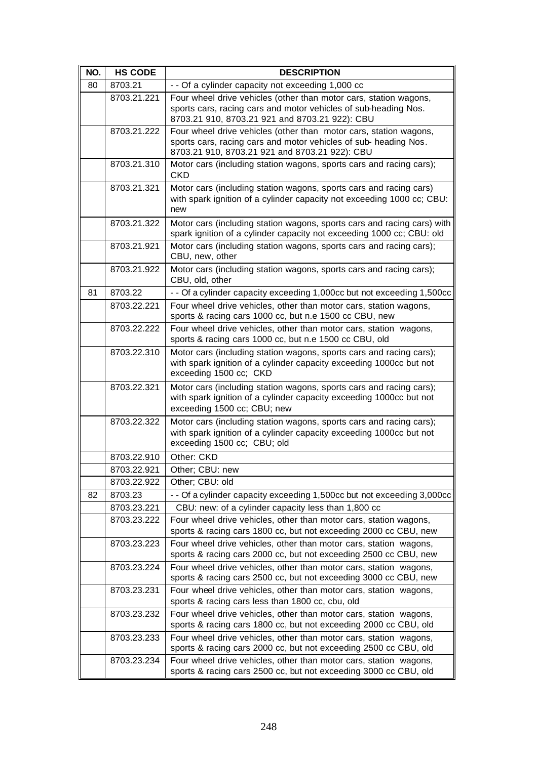| NO. | <b>HS CODE</b> | <b>DESCRIPTION</b>                                                                                                                                                                      |
|-----|----------------|-----------------------------------------------------------------------------------------------------------------------------------------------------------------------------------------|
| 80  | 8703.21        | - - Of a cylinder capacity not exceeding 1,000 cc                                                                                                                                       |
|     | 8703.21.221    | Four wheel drive vehicles (other than motor cars, station wagons,<br>sports cars, racing cars and motor vehicles of sub-heading Nos.<br>8703.21 910, 8703.21 921 and 8703.21 922): CBU  |
|     | 8703.21.222    | Four wheel drive vehicles (other than motor cars, station wagons,<br>sports cars, racing cars and motor vehicles of sub- heading Nos.<br>8703.21 910, 8703.21 921 and 8703.21 922): CBU |
|     | 8703.21.310    | Motor cars (including station wagons, sports cars and racing cars);<br><b>CKD</b>                                                                                                       |
|     | 8703.21.321    | Motor cars (including station wagons, sports cars and racing cars)<br>with spark ignition of a cylinder capacity not exceeding 1000 cc; CBU:<br>new                                     |
|     | 8703.21.322    | Motor cars (including station wagons, sports cars and racing cars) with<br>spark ignition of a cylinder capacity not exceeding 1000 cc; CBU: old                                        |
|     | 8703.21.921    | Motor cars (including station wagons, sports cars and racing cars);<br>CBU, new, other                                                                                                  |
|     | 8703.21.922    | Motor cars (including station wagons, sports cars and racing cars);<br>CBU, old, other                                                                                                  |
| 81  | 8703.22        | - - Of a cylinder capacity exceeding 1,000cc but not exceeding 1,500cc                                                                                                                  |
|     | 8703.22.221    | Four wheel drive vehicles, other than motor cars, station wagons,<br>sports & racing cars 1000 cc, but n.e 1500 cc CBU, new                                                             |
|     | 8703.22.222    | Four wheel drive vehicles, other than motor cars, station wagons,<br>sports & racing cars 1000 cc, but n.e 1500 cc CBU, old                                                             |
|     | 8703.22.310    | Motor cars (including station wagons, sports cars and racing cars);<br>with spark ignition of a cylinder capacity exceeding 1000cc but not<br>exceeding 1500 cc; CKD                    |
|     | 8703.22.321    | Motor cars (including station wagons, sports cars and racing cars);<br>with spark ignition of a cylinder capacity exceeding 1000cc but not<br>exceeding 1500 cc; CBU; new               |
|     | 8703.22.322    | Motor cars (including station wagons, sports cars and racing cars);<br>with spark ignition of a cylinder capacity exceeding 1000cc but not<br>exceeding 1500 cc; CBU; old               |
|     | 8703.22.910    | Other: CKD                                                                                                                                                                              |
|     | 8703.22.921    | Other; CBU: new                                                                                                                                                                         |
|     | 8703.22.922    | Other; CBU: old                                                                                                                                                                         |
| 82  | 8703.23        | - - Of a cylinder capacity exceeding 1,500cc but not exceeding 3,000cc                                                                                                                  |
|     | 8703.23.221    | CBU: new: of a cylinder capacity less than 1,800 cc                                                                                                                                     |
|     | 8703.23.222    | Four wheel drive vehicles, other than motor cars, station wagons,<br>sports & racing cars 1800 cc, but not exceeding 2000 cc CBU, new                                                   |
|     | 8703.23.223    | Four wheel drive vehicles, other than motor cars, station wagons,                                                                                                                       |
|     |                | sports & racing cars 2000 cc, but not exceeding 2500 cc CBU, new                                                                                                                        |
|     | 8703.23.224    | Four wheel drive vehicles, other than motor cars, station wagons,<br>sports & racing cars 2500 cc, but not exceeding 3000 cc CBU, new                                                   |
|     | 8703.23.231    | Four wheel drive vehicles, other than motor cars, station wagons,<br>sports & racing cars less than 1800 cc, cbu, old                                                                   |
|     | 8703.23.232    | Four wheel drive vehicles, other than motor cars, station wagons,<br>sports & racing cars 1800 cc, but not exceeding 2000 cc CBU, old                                                   |
|     | 8703.23.233    | Four wheel drive vehicles, other than motor cars, station wagons,<br>sports & racing cars 2000 cc, but not exceeding 2500 cc CBU, old                                                   |
|     | 8703.23.234    | Four wheel drive vehicles, other than motor cars, station wagons,<br>sports & racing cars 2500 cc, but not exceeding 3000 cc CBU, old                                                   |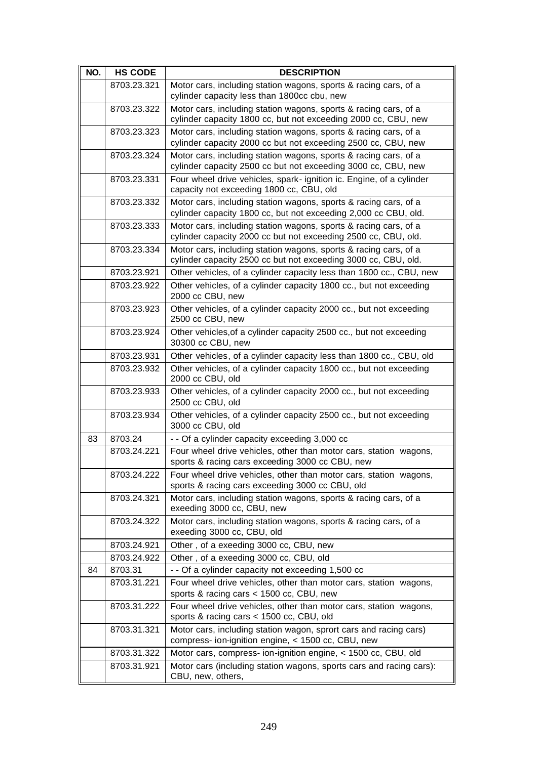| NO. | <b>HS CODE</b> | <b>DESCRIPTION</b>                                                                                                                  |
|-----|----------------|-------------------------------------------------------------------------------------------------------------------------------------|
|     | 8703.23.321    | Motor cars, including station wagons, sports & racing cars, of a<br>cylinder capacity less than 1800cc cbu, new                     |
|     | 8703.23.322    | Motor cars, including station wagons, sports & racing cars, of a<br>cylinder capacity 1800 cc, but not exceeding 2000 cc, CBU, new  |
|     | 8703.23.323    | Motor cars, including station wagons, sports & racing cars, of a<br>cylinder capacity 2000 cc but not exceeding 2500 cc, CBU, new   |
|     | 8703.23.324    | Motor cars, including station wagons, sports & racing cars, of a<br>cylinder capacity 2500 cc but not exceeding 3000 cc, CBU, new   |
|     | 8703.23.331    | Four wheel drive vehicles, spark-ignition ic. Engine, of a cylinder<br>capacity not exceeding 1800 cc, CBU, old                     |
|     | 8703.23.332    | Motor cars, including station wagons, sports & racing cars, of a<br>cylinder capacity 1800 cc, but not exceeding 2,000 cc CBU, old. |
|     | 8703.23.333    | Motor cars, including station wagons, sports & racing cars, of a<br>cylinder capacity 2000 cc but not exceeding 2500 cc, CBU, old.  |
|     | 8703.23.334    | Motor cars, including station wagons, sports & racing cars, of a<br>cylinder capacity 2500 cc but not exceeding 3000 cc, CBU, old.  |
|     | 8703.23.921    | Other vehicles, of a cylinder capacity less than 1800 cc., CBU, new                                                                 |
|     | 8703.23.922    | Other vehicles, of a cylinder capacity 1800 cc., but not exceeding<br>2000 cc CBU, new                                              |
|     | 8703.23.923    | Other vehicles, of a cylinder capacity 2000 cc., but not exceeding<br>2500 cc CBU, new                                              |
|     | 8703.23.924    | Other vehicles, of a cylinder capacity 2500 cc., but not exceeding<br>30300 cc CBU, new                                             |
|     | 8703.23.931    | Other vehicles, of a cylinder capacity less than 1800 cc., CBU, old                                                                 |
|     | 8703.23.932    | Other vehicles, of a cylinder capacity 1800 cc., but not exceeding<br>2000 cc CBU, old                                              |
|     | 8703.23.933    | Other vehicles, of a cylinder capacity 2000 cc., but not exceeding<br>2500 cc CBU, old                                              |
|     | 8703.23.934    | Other vehicles, of a cylinder capacity 2500 cc., but not exceeding<br>3000 cc CBU, old                                              |
| 83  | 8703.24        | - - Of a cylinder capacity exceeding 3,000 cc                                                                                       |
|     | 8703.24.221    | Four wheel drive vehicles, other than motor cars, station wagons,<br>sports & racing cars exceeding 3000 cc CBU, new                |
|     | 8703.24.222    | Four wheel drive vehicles, other than motor cars, station wagons,<br>sports & racing cars exceeding 3000 cc CBU, old                |
|     | 8703.24.321    | Motor cars, including station wagons, sports & racing cars, of a<br>exeeding 3000 cc, CBU, new                                      |
|     | 8703.24.322    | Motor cars, including station wagons, sports & racing cars, of a<br>exeeding 3000 cc, CBU, old                                      |
|     | 8703.24.921    | Other, of a exeeding 3000 cc, CBU, new                                                                                              |
|     | 8703.24.922    | Other, of a exeeding 3000 cc, CBU, old                                                                                              |
| 84  | 8703.31        | - - Of a cylinder capacity not exceeding 1,500 cc                                                                                   |
|     | 8703.31.221    | Four wheel drive vehicles, other than motor cars, station wagons,<br>sports & racing cars < 1500 cc, CBU, new                       |
|     | 8703.31.222    | Four wheel drive vehicles, other than motor cars, station wagons,<br>sports & racing cars < 1500 cc, CBU, old                       |
|     | 8703.31.321    | Motor cars, including station wagon, sprort cars and racing cars)<br>compress- ion-ignition engine, < 1500 cc, CBU, new             |
|     | 8703.31.322    | Motor cars, compress- ion-ignition engine, < 1500 cc, CBU, old                                                                      |
|     | 8703.31.921    | Motor cars (including station wagons, sports cars and racing cars):<br>CBU, new, others,                                            |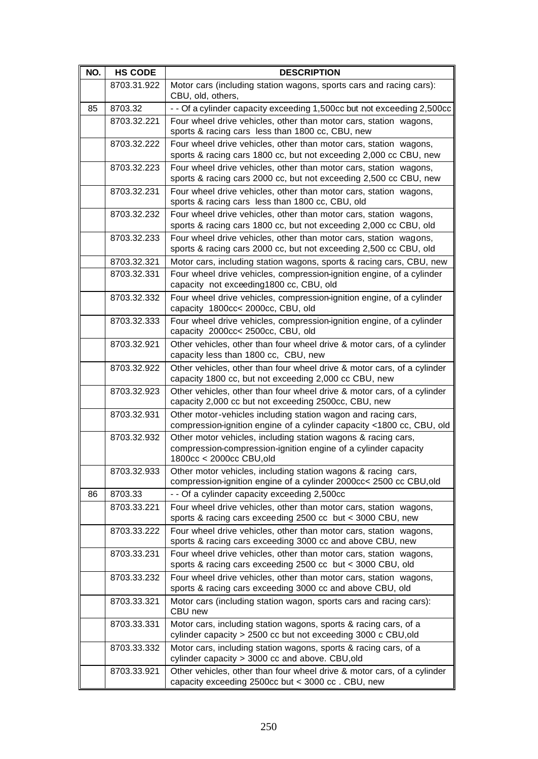| NO. | <b>HS CODE</b> | <b>DESCRIPTION</b>                                                                                                                                          |
|-----|----------------|-------------------------------------------------------------------------------------------------------------------------------------------------------------|
|     | 8703.31.922    | Motor cars (including station wagons, sports cars and racing cars):<br>CBU, old, others,                                                                    |
| 85  | 8703.32        | - - Of a cylinder capacity exceeding 1,500cc but not exceeding 2,500cc                                                                                      |
|     | 8703.32.221    | Four wheel drive vehicles, other than motor cars, station wagons,<br>sports & racing cars less than 1800 cc, CBU, new                                       |
|     | 8703.32.222    | Four wheel drive vehicles, other than motor cars, station wagons,<br>sports & racing cars 1800 cc, but not exceeding 2,000 cc CBU, new                      |
|     | 8703.32.223    | Four wheel drive vehicles, other than motor cars, station wagons,<br>sports & racing cars 2000 cc, but not exceeding 2,500 cc CBU, new                      |
|     | 8703.32.231    | Four wheel drive vehicles, other than motor cars, station wagons,<br>sports & racing cars less than 1800 cc, CBU, old                                       |
|     | 8703.32.232    | Four wheel drive vehicles, other than motor cars, station wagons,<br>sports & racing cars 1800 cc, but not exceeding 2,000 cc CBU, old                      |
|     | 8703.32.233    | Four wheel drive vehicles, other than motor cars, station wagons,<br>sports & racing cars 2000 cc, but not exceeding 2,500 cc CBU, old                      |
|     | 8703.32.321    | Motor cars, including station wagons, sports & racing cars, CBU, new                                                                                        |
|     | 8703.32.331    | Four wheel drive vehicles, compression-ignition engine, of a cylinder<br>capacity not exceeding1800 cc, CBU, old                                            |
|     | 8703.32.332    | Four wheel drive vehicles, compression-ignition engine, of a cylinder<br>capacity 1800cc< 2000cc, CBU, old                                                  |
|     | 8703.32.333    | Four wheel drive vehicles, compression-ignition engine, of a cylinder<br>capacity 2000cc< 2500cc, CBU, old                                                  |
|     | 8703.32.921    | Other vehicles, other than four wheel drive & motor cars, of a cylinder<br>capacity less than 1800 cc, CBU, new                                             |
|     | 8703.32.922    | Other vehicles, other than four wheel drive & motor cars, of a cylinder<br>capacity 1800 cc, but not exceeding 2,000 cc CBU, new                            |
|     | 8703.32.923    | Other vehicles, other than four wheel drive & motor cars, of a cylinder<br>capacity 2,000 cc but not exceeding 2500cc, CBU, new                             |
|     | 8703.32.931    | Other motor-vehicles including station wagon and racing cars,<br>compression-ignition engine of a cylinder capacity <1800 cc, CBU, old                      |
|     | 8703.32.932    | Other motor vehicles, including station wagons & racing cars,<br>compression-compression-ignition engine of a cylinder capacity<br>1800cc < 2000cc CBU, old |
|     | 8703.32.933    | Other motor vehicles, including station wagons & racing cars,<br>compression-ignition engine of a cylinder 2000cc< 2500 cc CBU,old                          |
| 86  | 8703.33        | - - Of a cylinder capacity exceeding 2,500cc                                                                                                                |
|     | 8703.33.221    | Four wheel drive vehicles, other than motor cars, station wagons,<br>sports & racing cars exceeding 2500 cc but < 3000 CBU, new                             |
|     | 8703.33.222    | Four wheel drive vehicles, other than motor cars, station wagons,<br>sports & racing cars exceeding 3000 cc and above CBU, new                              |
|     | 8703.33.231    | Four wheel drive vehicles, other than motor cars, station wagons,<br>sports & racing cars exceeding 2500 cc but < 3000 CBU, old                             |
|     | 8703.33.232    | Four wheel drive vehicles, other than motor cars, station wagons,<br>sports & racing cars exceeding 3000 cc and above CBU, old                              |
|     | 8703.33.321    | Motor cars (including station wagon, sports cars and racing cars):<br>CBU new                                                                               |
|     | 8703.33.331    | Motor cars, including station wagons, sports & racing cars, of a<br>cylinder capacity > 2500 cc but not exceeding 3000 c CBU, old                           |
|     | 8703.33.332    | Motor cars, including station wagons, sports & racing cars, of a<br>cylinder capacity > 3000 cc and above. CBU, old                                         |
|     | 8703.33.921    | Other vehicles, other than four wheel drive & motor cars, of a cylinder<br>capacity exceeding 2500cc but < 3000 cc. CBU, new                                |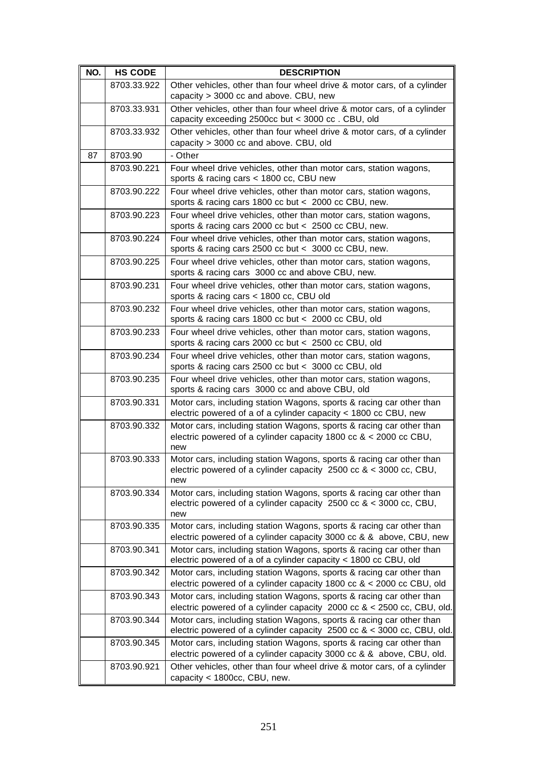| NO. | <b>HS CODE</b> | <b>DESCRIPTION</b>                                                                                                                                 |
|-----|----------------|----------------------------------------------------------------------------------------------------------------------------------------------------|
|     | 8703.33.922    | Other vehicles, other than four wheel drive & motor cars, of a cylinder<br>capacity > 3000 cc and above. CBU, new                                  |
|     | 8703.33.931    | Other vehicles, other than four wheel drive & motor cars, of a cylinder<br>capacity exceeding 2500cc but < 3000 cc. CBU, old                       |
|     | 8703.33.932    | Other vehicles, other than four wheel drive & motor cars, of a cylinder<br>capacity > 3000 cc and above. CBU, old                                  |
| 87  | 8703.90        | - Other                                                                                                                                            |
|     | 8703.90.221    | Four wheel drive vehicles, other than motor cars, station wagons,<br>sports & racing cars < 1800 cc, CBU new                                       |
|     | 8703.90.222    | Four wheel drive vehicles, other than motor cars, station wagons,<br>sports & racing cars 1800 cc but < 2000 cc CBU, new.                          |
|     | 8703.90.223    | Four wheel drive vehicles, other than motor cars, station wagons,<br>sports & racing cars 2000 cc but < 2500 cc CBU, new.                          |
|     | 8703.90.224    | Four wheel drive vehicles, other than motor cars, station wagons,<br>sports & racing cars 2500 cc but < 3000 cc CBU, new.                          |
|     | 8703.90.225    | Four wheel drive vehicles, other than motor cars, station wagons,<br>sports & racing cars 3000 cc and above CBU, new.                              |
|     | 8703.90.231    | Four wheel drive vehicles, other than motor cars, station wagons,<br>sports & racing cars < 1800 cc, CBU old                                       |
|     | 8703.90.232    | Four wheel drive vehicles, other than motor cars, station wagons,<br>sports & racing cars 1800 cc but < 2000 cc CBU, old                           |
|     | 8703.90.233    | Four wheel drive vehicles, other than motor cars, station wagons,<br>sports & racing cars 2000 cc but < 2500 cc CBU, old                           |
|     | 8703.90.234    | Four wheel drive vehicles, other than motor cars, station wagons,<br>sports & racing cars 2500 cc but < 3000 cc CBU, old                           |
|     | 8703.90.235    | Four wheel drive vehicles, other than motor cars, station wagons,<br>sports & racing cars 3000 cc and above CBU, old                               |
|     | 8703.90.331    | Motor cars, including station Wagons, sports & racing car other than<br>electric powered of a of a cylinder capacity < 1800 cc CBU, new            |
|     | 8703.90.332    | Motor cars, including station Wagons, sports & racing car other than<br>electric powered of a cylinder capacity 1800 cc $<$ 2000 cc CBU,<br>new    |
|     | 8703.90.333    | Motor cars, including station Wagons, sports & racing car other than<br>electric powered of a cylinder capacity 2500 cc & < 3000 cc, CBU,<br>new   |
|     | 8703.90.334    | Motor cars, including station Wagons, sports & racing car other than<br>electric powered of a cylinder capacity $2500$ cc & < 3000 cc, CBU,<br>new |
|     | 8703.90.335    | Motor cars, including station Wagons, sports & racing car other than<br>electric powered of a cylinder capacity 3000 cc & & above, CBU, new        |
|     | 8703.90.341    | Motor cars, including station Wagons, sports & racing car other than<br>electric powered of a of a cylinder capacity < 1800 cc CBU, old            |
|     | 8703.90.342    | Motor cars, including station Wagons, sports & racing car other than<br>electric powered of a cylinder capacity 1800 cc & < 2000 cc CBU, old       |
|     | 8703.90.343    | Motor cars, including station Wagons, sports & racing car other than<br>electric powered of a cylinder capacity 2000 cc & < 2500 cc, CBU, old.     |
|     | 8703.90.344    | Motor cars, including station Wagons, sports & racing car other than<br>electric powered of a cylinder capacity 2500 cc & < 3000 cc, CBU, old.     |
|     | 8703.90.345    | Motor cars, including station Wagons, sports & racing car other than<br>electric powered of a cylinder capacity 3000 cc & & above, CBU, old.       |
|     | 8703.90.921    | Other vehicles, other than four wheel drive & motor cars, of a cylinder<br>capacity < 1800cc, CBU, new.                                            |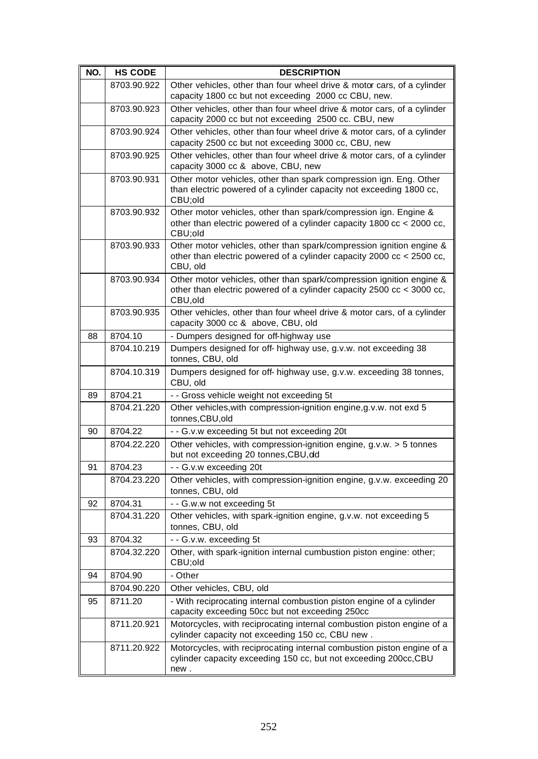| NO. | <b>HS CODE</b> | <b>DESCRIPTION</b>                                                                                                                                        |
|-----|----------------|-----------------------------------------------------------------------------------------------------------------------------------------------------------|
|     | 8703.90.922    | Other vehicles, other than four wheel drive & motor cars, of a cylinder                                                                                   |
|     |                | capacity 1800 cc but not exceeding 2000 cc CBU, new.                                                                                                      |
|     | 8703.90.923    | Other vehicles, other than four wheel drive & motor cars, of a cylinder<br>capacity 2000 cc but not exceeding 2500 cc. CBU, new                           |
|     | 8703.90.924    | Other vehicles, other than four wheel drive & motor cars, of a cylinder<br>capacity 2500 cc but not exceeding 3000 cc, CBU, new                           |
|     | 8703.90.925    | Other vehicles, other than four wheel drive & motor cars, of a cylinder<br>capacity 3000 cc & above, CBU, new                                             |
|     | 8703.90.931    | Other motor vehicles, other than spark compression ign. Eng. Other<br>than electric powered of a cylinder capacity not exceeding 1800 cc,<br>CBU;old      |
|     | 8703.90.932    | Other motor vehicles, other than spark/compression ign. Engine &<br>other than electric powered of a cylinder capacity 1800 cc < 2000 cc,<br>CBU;old      |
|     | 8703.90.933    | Other motor vehicles, other than spark/compression ignition engine &<br>other than electric powered of a cylinder capacity 2000 cc < 2500 cc,<br>CBU, old |
|     | 8703.90.934    | Other motor vehicles, other than spark/compression ignition engine &<br>other than electric powered of a cylinder capacity 2500 cc < 3000 cc,<br>CBU, old |
|     | 8703.90.935    | Other vehicles, other than four wheel drive & motor cars, of a cylinder<br>capacity 3000 cc & above, CBU, old                                             |
| 88  | 8704.10        | - Dumpers designed for off-highway use                                                                                                                    |
|     | 8704.10.219    | Dumpers designed for off- highway use, g.v.w. not exceeding 38<br>tonnes, CBU, old                                                                        |
|     | 8704.10.319    | Dumpers designed for off- highway use, g.v.w. exceeding 38 tonnes,<br>CBU, old                                                                            |
| 89  | 8704.21        | - - Gross vehicle weight not exceeding 5t                                                                                                                 |
|     | 8704.21.220    | Other vehicles, with compression-ignition engine, g.v.w. not exd 5<br>tonnes, CBU, old                                                                    |
| 90  | 8704.22        | - - G.v.w exceeding 5t but not exceeding 20t                                                                                                              |
|     | 8704.22.220    | Other vehicles, with compression-ignition engine, $g.v.w. > 5$ tonnes<br>but not exceeding 20 tonnes, CBU, dd                                             |
| 91  | 8704.23        | - - G.v.w exceeding 20t                                                                                                                                   |
|     | 8704.23.220    | Other vehicles, with compression-ignition engine, g.v.w. exceeding 20<br>tonnes, CBU, old                                                                 |
| 92  | 8704.31        | - - G.w.w not exceeding 5t                                                                                                                                |
|     | 8704.31.220    | Other vehicles, with spark-ignition engine, g.v.w. not exceeding 5<br>tonnes, CBU, old                                                                    |
| 93  | 8704.32        | - - G.v.w. exceeding 5t                                                                                                                                   |
|     | 8704.32.220    | Other, with spark-ignition internal cumbustion piston engine: other;<br>CBU;old                                                                           |
| 94  | 8704.90        | - Other                                                                                                                                                   |
|     | 8704.90.220    | Other vehicles, CBU, old                                                                                                                                  |
| 95  | 8711.20        | - With reciprocating internal combustion piston engine of a cylinder<br>capacity exceeding 50cc but not exceeding 250cc                                   |
|     | 8711.20.921    | Motorcycles, with reciprocating internal combustion piston engine of a<br>cylinder capacity not exceeding 150 cc, CBU new.                                |
|     | 8711.20.922    | Motorcycles, with reciprocating internal combustion piston engine of a<br>cylinder capacity exceeding 150 cc, but not exceeding 200cc, CBU<br>new.        |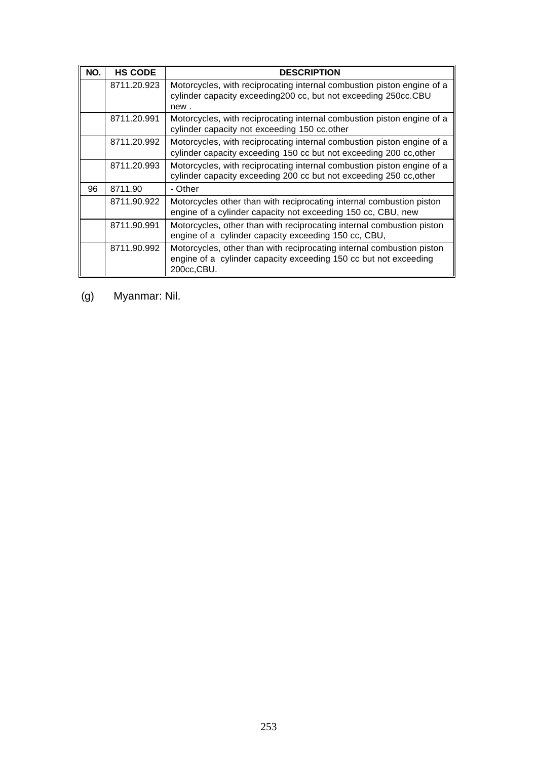| NO. | <b>HS CODE</b> | <b>DESCRIPTION</b>                                                                                                                                       |
|-----|----------------|----------------------------------------------------------------------------------------------------------------------------------------------------------|
|     | 8711.20.923    | Motorcycles, with reciprocating internal combustion piston engine of a<br>cylinder capacity exceeding 200 cc, but not exceeding 250cc.CBU<br>new.        |
|     | 8711.20.991    | Motorcycles, with reciprocating internal combustion piston engine of a<br>cylinder capacity not exceeding 150 cc, other                                  |
|     | 8711.20.992    | Motorcycles, with reciprocating internal combustion piston engine of a<br>cylinder capacity exceeding 150 cc but not exceeding 200 cc, other             |
|     | 8711.20.993    | Motorcycles, with reciprocating internal combustion piston engine of a<br>cylinder capacity exceeding 200 cc but not exceeding 250 cc, other             |
| 96  | 8711.90        | - Other                                                                                                                                                  |
|     | 8711.90.922    | Motorcycles other than with reciprocating internal combustion piston<br>engine of a cylinder capacity not exceeding 150 cc, CBU, new                     |
|     | 8711.90.991    | Motorcycles, other than with reciprocating internal combustion piston<br>engine of a cylinder capacity exceeding 150 cc, CBU,                            |
|     | 8711.90.992    | Motorcycles, other than with reciprocating internal combustion piston<br>engine of a cylinder capacity exceeding 150 cc but not exceeding<br>200cc, CBU. |

(g) Myanmar: Nil.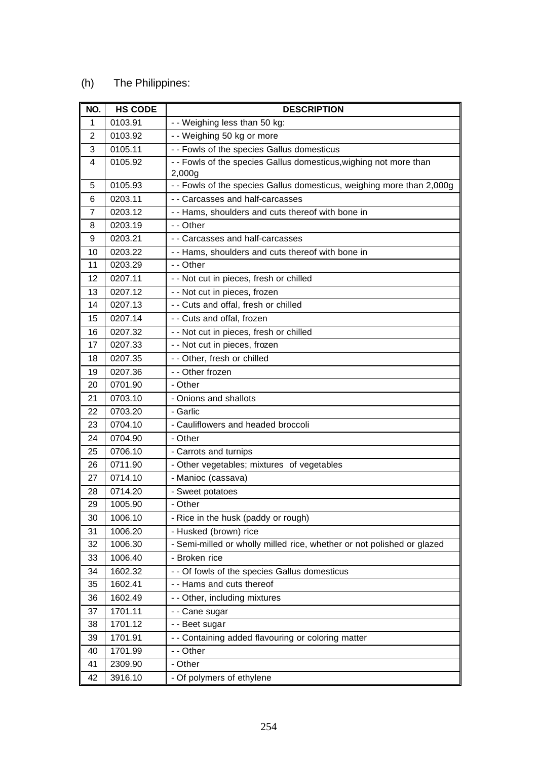#### (h) The Philippines:

| NO.            | <b>HS CODE</b> | <b>DESCRIPTION</b>                                                          |
|----------------|----------------|-----------------------------------------------------------------------------|
| $\mathbf{1}$   | 0103.91        | - - Weighing less than 50 kg:                                               |
| $\overline{2}$ | 0103.92        | - - Weighing 50 kg or more                                                  |
| 3              | 0105.11        | - - Fowls of the species Gallus domesticus                                  |
| 4              | 0105.92        | - - Fowls of the species Gallus domesticus, wighing not more than<br>2,000g |
| 5              | 0105.93        | - - Fowls of the species Gallus domesticus, weighing more than 2,000g       |
| 6              | 0203.11        | - - Carcasses and half-carcasses                                            |
| 7              | 0203.12        | - - Hams, shoulders and cuts thereof with bone in                           |
| 8              | 0203.19        | - - Other                                                                   |
| 9              | 0203.21        | - - Carcasses and half-carcasses                                            |
| 10             | 0203.22        | - - Hams, shoulders and cuts thereof with bone in                           |
| 11             | 0203.29        | - - Other                                                                   |
| 12             | 0207.11        | - - Not cut in pieces, fresh or chilled                                     |
| 13             | 0207.12        | - - Not cut in pieces, frozen                                               |
| 14             | 0207.13        | - - Cuts and offal, fresh or chilled                                        |
| 15             | 0207.14        | - - Cuts and offal, frozen                                                  |
| 16             | 0207.32        | - - Not cut in pieces, fresh or chilled                                     |
| 17             | 0207.33        | - - Not cut in pieces, frozen                                               |
| 18             | 0207.35        | - - Other, fresh or chilled                                                 |
| 19             | 0207.36        | - - Other frozen                                                            |
| 20             | 0701.90        | - Other                                                                     |
| 21             | 0703.10        | - Onions and shallots                                                       |
| 22             | 0703.20        | - Garlic                                                                    |
| 23             | 0704.10        | - Cauliflowers and headed broccoli                                          |
| 24             | 0704.90        | - Other                                                                     |
| 25             | 0706.10        | - Carrots and turnips                                                       |
| 26             | 0711.90        | - Other vegetables; mixtures of vegetables                                  |
| 27             | 0714.10        | - Manioc (cassava)                                                          |
| 28             | 0714.20        | - Sweet potatoes                                                            |
| 29             | 1005.90        | - Other                                                                     |
| 30             | 1006.10        | - Rice in the husk (paddy or rough)                                         |
| 31             | 1006.20        | - Husked (brown) rice                                                       |
| 32             | 1006.30        | - Semi-milled or wholly milled rice, whether or not polished or glazed      |
| 33             | 1006.40        | - Broken rice                                                               |
| 34             | 1602.32        | - - Of fowls of the species Gallus domesticus                               |
| 35             | 1602.41        | - - Hams and cuts thereof                                                   |
| 36             | 1602.49        | - - Other, including mixtures                                               |
| 37             | 1701.11        | - - Cane sugar                                                              |
| 38             | 1701.12        | - - Beet sugar                                                              |
| 39             | 1701.91        | - - Containing added flavouring or coloring matter                          |
| 40             | 1701.99        | - - Other                                                                   |
| 41             | 2309.90        | - Other                                                                     |
| 42             | 3916.10        | - Of polymers of ethylene                                                   |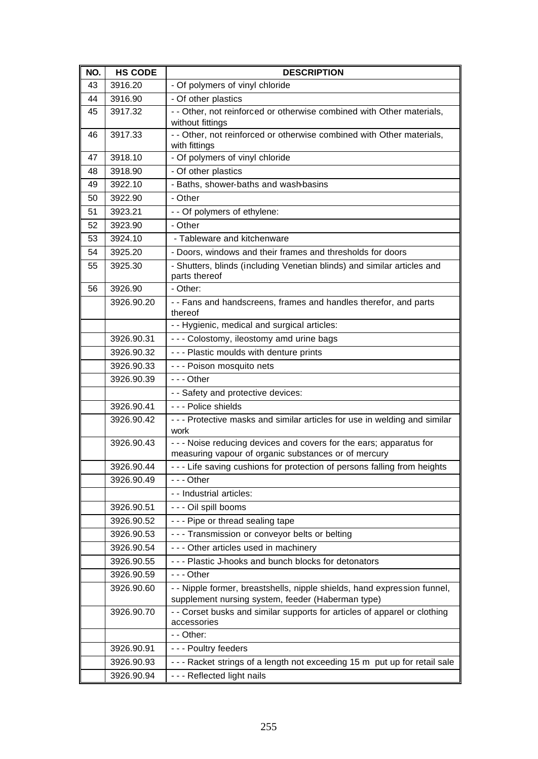| NO. | <b>HS CODE</b> | <b>DESCRIPTION</b>                                                                                                            |
|-----|----------------|-------------------------------------------------------------------------------------------------------------------------------|
| 43  | 3916.20        | - Of polymers of vinyl chloride                                                                                               |
| 44  | 3916.90        | - Of other plastics                                                                                                           |
| 45  | 3917.32        | - - Other, not reinforced or otherwise combined with Other materials,<br>without fittings                                     |
| 46  | 3917.33        | - - Other, not reinforced or otherwise combined with Other materials,<br>with fittings                                        |
| 47  | 3918.10        | - Of polymers of vinyl chloride                                                                                               |
| 48  | 3918.90        | - Of other plastics                                                                                                           |
| 49  | 3922.10        | - Baths, shower-baths and wash-basins                                                                                         |
| 50  | 3922.90        | - Other                                                                                                                       |
| 51  | 3923.21        | - - Of polymers of ethylene:                                                                                                  |
| 52  | 3923.90        | - Other                                                                                                                       |
| 53  | 3924.10        | - Tableware and kitchenware                                                                                                   |
| 54  | 3925.20        | - Doors, windows and their frames and thresholds for doors                                                                    |
| 55  | 3925.30        | - Shutters, blinds (including Venetian blinds) and similar articles and                                                       |
|     |                | parts thereof                                                                                                                 |
| 56  | 3926.90        | - Other:                                                                                                                      |
|     | 3926.90.20     | - - Fans and handscreens, frames and handles therefor, and parts<br>thereof                                                   |
|     |                | - - Hygienic, medical and surgical articles:                                                                                  |
|     | 3926.90.31     | - - - Colostomy, ileostomy amd urine bags                                                                                     |
|     | 3926.90.32     | --- Plastic moulds with denture prints                                                                                        |
|     | 3926.90.33     | - - - Poison mosquito nets                                                                                                    |
|     | 3926.90.39     | $- -$ Other                                                                                                                   |
|     |                | - - Safety and protective devices:                                                                                            |
|     | 3926.90.41     | - - - Police shields                                                                                                          |
|     | 3926.90.42     | --- Protective masks and similar articles for use in welding and similar<br>work                                              |
|     | 3926.90.43     | - - - Noise reducing devices and covers for the ears; apparatus for                                                           |
|     |                | measuring vapour of organic substances or of mercury                                                                          |
|     | 3926.90.44     | - - - Life saving cushions for protection of persons falling from heights                                                     |
|     | 3926.90.49     | $- -$ Other                                                                                                                   |
|     |                | - - Industrial articles:                                                                                                      |
|     | 3926.90.51     | - - - Oil spill booms                                                                                                         |
|     | 3926.90.52     | - - - Pipe or thread sealing tape                                                                                             |
|     | 3926.90.53     | --- Transmission or conveyor belts or belting                                                                                 |
|     | 3926.90.54     | - - - Other articles used in machinery                                                                                        |
|     | 3926.90.55     | - - - Plastic J-hooks and bunch blocks for detonators                                                                         |
|     | 3926.90.59     | $- -$ Other                                                                                                                   |
|     | 3926.90.60     | - - Nipple former, breastshells, nipple shields, hand expression funnel,<br>supplement nursing system, feeder (Haberman type) |
|     | 3926.90.70     | - - Corset busks and similar supports for articles of apparel or clothing<br>accessories                                      |
|     |                | - - Other:                                                                                                                    |
|     | 3926.90.91     | - - - Poultry feeders                                                                                                         |
|     | 3926.90.93     | --- Racket strings of a length not exceeding 15 m put up for retail sale                                                      |
|     | 3926.90.94     | - - - Reflected light nails                                                                                                   |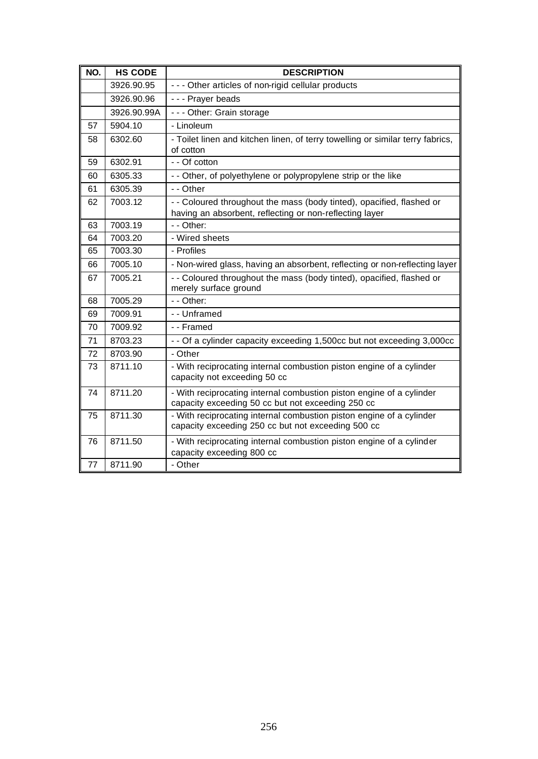| NO. | <b>HS CODE</b> | <b>DESCRIPTION</b>                                                                                                               |
|-----|----------------|----------------------------------------------------------------------------------------------------------------------------------|
|     | 3926.90.95     | - - - Other articles of non-rigid cellular products                                                                              |
|     | 3926.90.96     | - - - Prayer beads                                                                                                               |
|     | 3926.90.99A    | - - - Other: Grain storage                                                                                                       |
| 57  | 5904.10        | - Linoleum                                                                                                                       |
| 58  | 6302.60        | - Toilet linen and kitchen linen, of terry towelling or similar terry fabrics,<br>of cotton                                      |
| 59  | 6302.91        | - - Of cotton                                                                                                                    |
| 60  | 6305.33        | - - Other, of polyethylene or polypropylene strip or the like                                                                    |
| 61  | 6305.39        | - - Other                                                                                                                        |
| 62  | 7003.12        | - - Coloured throughout the mass (body tinted), opacified, flashed or<br>having an absorbent, reflecting or non-reflecting layer |
| 63  | 7003.19        | - - Other:                                                                                                                       |
| 64  | 7003.20        | - Wired sheets                                                                                                                   |
| 65  | 7003.30        | - Profiles                                                                                                                       |
| 66  | 7005.10        | - Non-wired glass, having an absorbent, reflecting or non-reflecting layer                                                       |
| 67  | 7005.21        | - - Coloured throughout the mass (body tinted), opacified, flashed or<br>merely surface ground                                   |
| 68  | 7005.29        | - - Other:                                                                                                                       |
| 69  | 7009.91        | - - Unframed                                                                                                                     |
| 70  | 7009.92        | - - Framed                                                                                                                       |
| 71  | 8703.23        | - - Of a cylinder capacity exceeding 1,500cc but not exceeding 3,000cc                                                           |
| 72  | 8703.90        | - Other                                                                                                                          |
| 73  | 8711.10        | - With reciprocating internal combustion piston engine of a cylinder<br>capacity not exceeding 50 cc                             |
| 74  | 8711.20        | - With reciprocating internal combustion piston engine of a cylinder<br>capacity exceeding 50 cc but not exceeding 250 cc        |
| 75  | 8711.30        | - With reciprocating internal combustion piston engine of a cylinder<br>capacity exceeding 250 cc but not exceeding 500 cc       |
| 76  | 8711.50        | - With reciprocating internal combustion piston engine of a cylinder<br>capacity exceeding 800 cc                                |
| 77  | 8711.90        | - Other                                                                                                                          |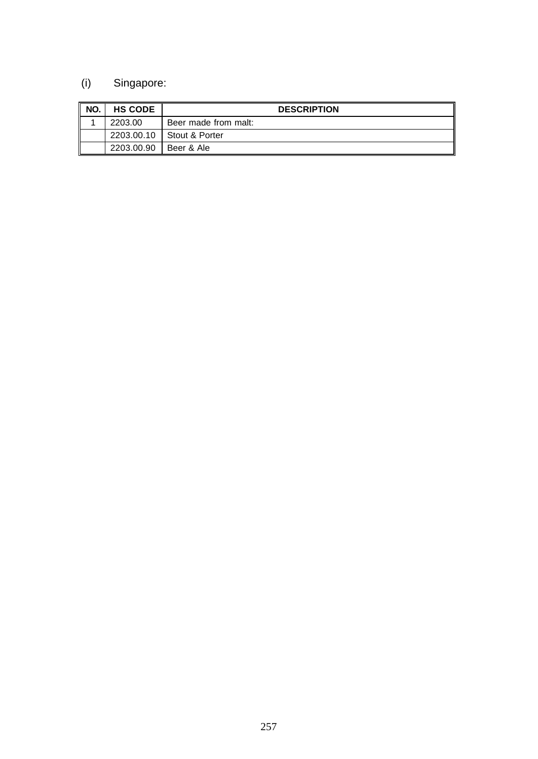# (i) Singapore:

| NO. | <b>HS CODE</b> | <b>DESCRIPTION</b>        |
|-----|----------------|---------------------------|
|     | 2203.00        | Beer made from malt:      |
|     |                | 2203.00.10 Stout & Porter |
|     | 2203.00.90     | Beer & Ale                |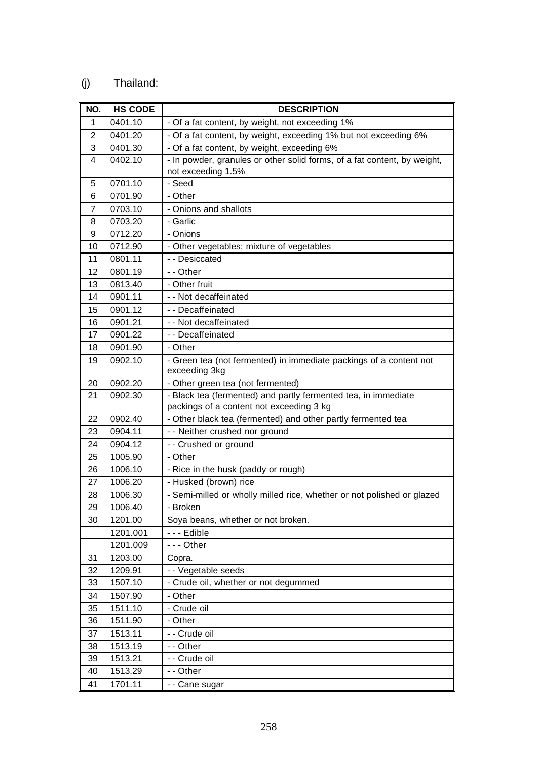### (j) Thailand:

| NO.          | <b>HS CODE</b> | <b>DESCRIPTION</b>                                                                  |
|--------------|----------------|-------------------------------------------------------------------------------------|
| $\mathbf{1}$ | 0401.10        | - Of a fat content, by weight, not exceeding 1%                                     |
| 2            | 0401.20        | - Of a fat content, by weight, exceeding 1% but not exceeding 6%                    |
| 3            | 0401.30        | - Of a fat content, by weight, exceeding 6%                                         |
| 4            | 0402.10        | - In powder, granules or other solid forms, of a fat content, by weight,            |
|              |                | not exceeding 1.5%                                                                  |
| 5            | 0701.10        | - Seed                                                                              |
| 6            | 0701.90        | - Other                                                                             |
| 7            | 0703.10        | - Onions and shallots                                                               |
| 8            | 0703.20        | - Garlic                                                                            |
| 9            | 0712.20        | - Onions                                                                            |
| 10           | 0712.90        | - Other vegetables; mixture of vegetables                                           |
| 11           | 0801.11        | - - Desiccated                                                                      |
| 12           | 0801.19        | - - Other                                                                           |
| 13           | 0813.40        | - Other fruit                                                                       |
| 14           | 0901.11        | - - Not decaffeinated                                                               |
| 15           | 0901.12        | - - Decaffeinated                                                                   |
| 16           | 0901.21        | - - Not decaffeinated                                                               |
| 17           | 0901.22        | - - Decaffeinated                                                                   |
| 18           | 0901.90        | - Other                                                                             |
| 19           | 0902.10        | - Green tea (not fermented) in immediate packings of a content not<br>exceeding 3kg |
| 20           | 0902.20        | - Other green tea (not fermented)                                                   |
| 21           | 0902.30        | - Black tea (fermented) and partly fermented tea, in immediate                      |
|              |                | packings of a content not exceeding 3 kg                                            |
| 22           | 0902.40        | - Other black tea (fermented) and other partly fermented tea                        |
| 23           | 0904.11        | - - Neither crushed nor ground                                                      |
| 24           | 0904.12        | - - Crushed or ground                                                               |
| 25           | 1005.90        | - Other                                                                             |
| 26           | 1006.10        | - Rice in the husk (paddy or rough)                                                 |
| 27           | 1006.20        | - Husked (brown) rice                                                               |
| 28           | 1006.30        | - Semi-milled or wholly milled rice, whether or not polished or glazed              |
| 29           | 1006.40        | - Broken                                                                            |
| 30           | 1201.00        | Soya beans, whether or not broken.                                                  |
|              | 1201.001       | - - - Edible                                                                        |
|              | 1201.009       | --- Other                                                                           |
| 31           | 1203.00        | Copra.                                                                              |
| 32           | 1209.91        | - - Vegetable seeds                                                                 |
| 33           | 1507.10        | - Crude oil, whether or not degummed                                                |
| 34           | 1507.90        | - Other                                                                             |
| 35           | 1511.10        | - Crude oil                                                                         |
| 36           | 1511.90        | - Other                                                                             |
| 37           | 1513.11        | - - Crude oil                                                                       |
| 38           | 1513.19        | - - Other                                                                           |
| 39           | 1513.21        | - - Crude oil                                                                       |
| 40           | 1513.29        | - - Other                                                                           |
| 41           | 1701.11        | - - Cane sugar                                                                      |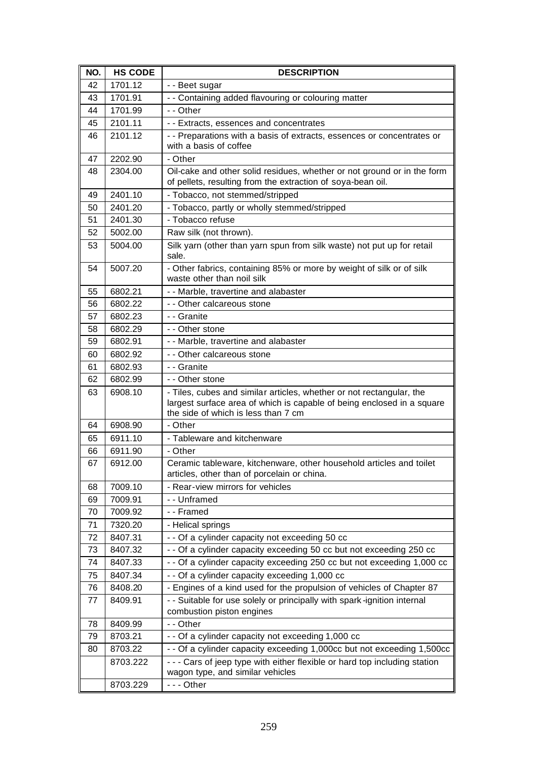| NO. | <b>HS CODE</b> | <b>DESCRIPTION</b>                                                                                                                                                                    |
|-----|----------------|---------------------------------------------------------------------------------------------------------------------------------------------------------------------------------------|
| 42  | 1701.12        | - - Beet sugar                                                                                                                                                                        |
| 43  | 1701.91        | - - Containing added flavouring or colouring matter                                                                                                                                   |
| 44  | 1701.99        | - - Other                                                                                                                                                                             |
| 45  | 2101.11        | - - Extracts, essences and concentrates                                                                                                                                               |
| 46  | 2101.12        | -- Preparations with a basis of extracts, essences or concentrates or<br>with a basis of coffee                                                                                       |
| 47  | 2202.90        | - Other                                                                                                                                                                               |
| 48  | 2304.00        | Oil-cake and other solid residues, whether or not ground or in the form<br>of pellets, resulting from the extraction of soya-bean oil.                                                |
| 49  | 2401.10        | - Tobacco, not stemmed/stripped                                                                                                                                                       |
| 50  | 2401.20        | - Tobacco, partly or wholly stemmed/stripped                                                                                                                                          |
| 51  | 2401.30        | - Tobacco refuse                                                                                                                                                                      |
| 52  | 5002.00        | Raw silk (not thrown).                                                                                                                                                                |
| 53  | 5004.00        | Silk yarn (other than yarn spun from silk waste) not put up for retail<br>sale.                                                                                                       |
| 54  | 5007.20        | - Other fabrics, containing 85% or more by weight of silk or of silk<br>waste other than noil silk                                                                                    |
| 55  | 6802.21        | - - Marble, travertine and alabaster                                                                                                                                                  |
| 56  | 6802.22        | - - Other calcareous stone                                                                                                                                                            |
| 57  | 6802.23        | - - Granite                                                                                                                                                                           |
| 58  | 6802.29        | - - Other stone                                                                                                                                                                       |
| 59  | 6802.91        | - - Marble, travertine and alabaster                                                                                                                                                  |
| 60  | 6802.92        | - - Other calcareous stone                                                                                                                                                            |
| 61  | 6802.93        | - - Granite                                                                                                                                                                           |
| 62  | 6802.99        | - - Other stone                                                                                                                                                                       |
| 63  | 6908.10        | - Tiles, cubes and similar articles, whether or not rectangular, the<br>largest surface area of which is capable of being enclosed in a square<br>the side of which is less than 7 cm |
| 64  | 6908.90        | - Other                                                                                                                                                                               |
| 65  | 6911.10        | - Tableware and kitchenware                                                                                                                                                           |
| 66  | 6911.90        | - Other                                                                                                                                                                               |
| 67  | 6912.00        | Ceramic tableware, kitchenware, other household articles and toilet<br>articles, other than of porcelain or china.                                                                    |
| 68  | 7009.10        | - Rear-view mirrors for vehicles                                                                                                                                                      |
| 69  | 7009.91        | - - Unframed                                                                                                                                                                          |
| 70  | 7009.92        | - - Framed                                                                                                                                                                            |
| 71  | 7320.20        | - Helical springs                                                                                                                                                                     |
| 72  | 8407.31        | - - Of a cylinder capacity not exceeding 50 cc                                                                                                                                        |
| 73  | 8407.32        | - - Of a cylinder capacity exceeding 50 cc but not exceeding 250 cc                                                                                                                   |
| 74  | 8407.33        | - - Of a cylinder capacity exceeding 250 cc but not exceeding 1,000 cc                                                                                                                |
| 75  | 8407.34        | - - Of a cylinder capacity exceeding 1,000 cc                                                                                                                                         |
| 76  | 8408.20        | - Engines of a kind used for the propulsion of vehicles of Chapter 87                                                                                                                 |
| 77  | 8409.91        | - - Suitable for use solely or principally with spark-ignition internal<br>combustion piston engines                                                                                  |
| 78  | 8409.99        | - - Other                                                                                                                                                                             |
| 79  | 8703.21        | - - Of a cylinder capacity not exceeding 1,000 cc                                                                                                                                     |
| 80  | 8703.22        | - - Of a cylinder capacity exceeding 1,000cc but not exceeding 1,500cc                                                                                                                |
|     | 8703.222       | - - - Cars of jeep type with either flexible or hard top including station<br>wagon type, and similar vehicles                                                                        |
|     | 8703.229       | --- Other                                                                                                                                                                             |